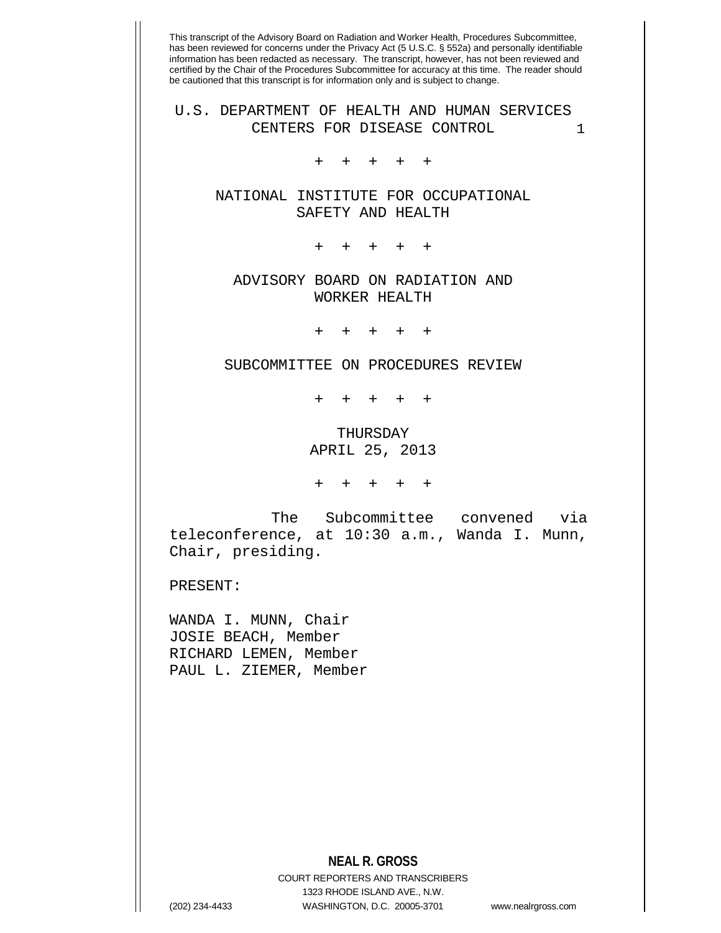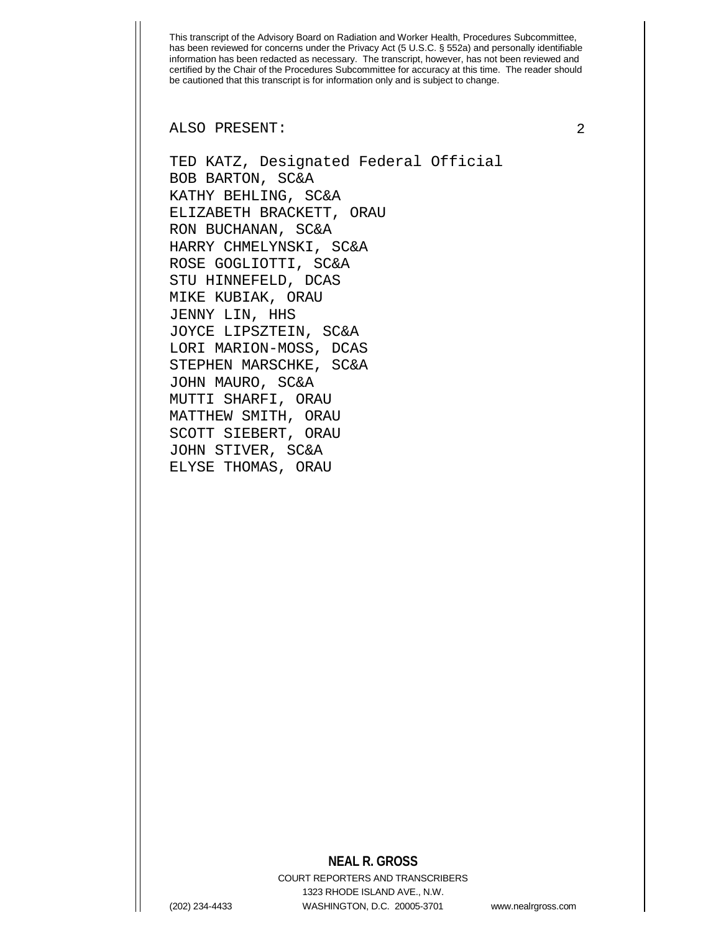ALSO PRESENT: 2

TED KATZ, Designated Federal Official BOB BARTON, SC&A KATHY BEHLING, SC&A ELIZABETH BRACKETT, ORAU RON BUCHANAN, SC&A HARRY CHMELYNSKI, SC&A ROSE GOGLIOTTI, SC&A STU HINNEFELD, DCAS MIKE KUBIAK, ORAU JENNY LIN, HHS JOYCE LIPSZTEIN, SC&A LORI MARION-MOSS, DCAS STEPHEN MARSCHKE, SC&A JOHN MAURO, SC&A MUTTI SHARFI, ORAU MATTHEW SMITH, ORAU SCOTT SIEBERT, ORAU JOHN STIVER, SC&A ELYSE THOMAS, ORAU

## **NEAL R. GROSS**

COURT REPORTERS AND TRANSCRIBERS 1323 RHODE ISLAND AVE., N.W. (202) 234-4433 WASHINGTON, D.C. 20005-3701 www.nealrgross.com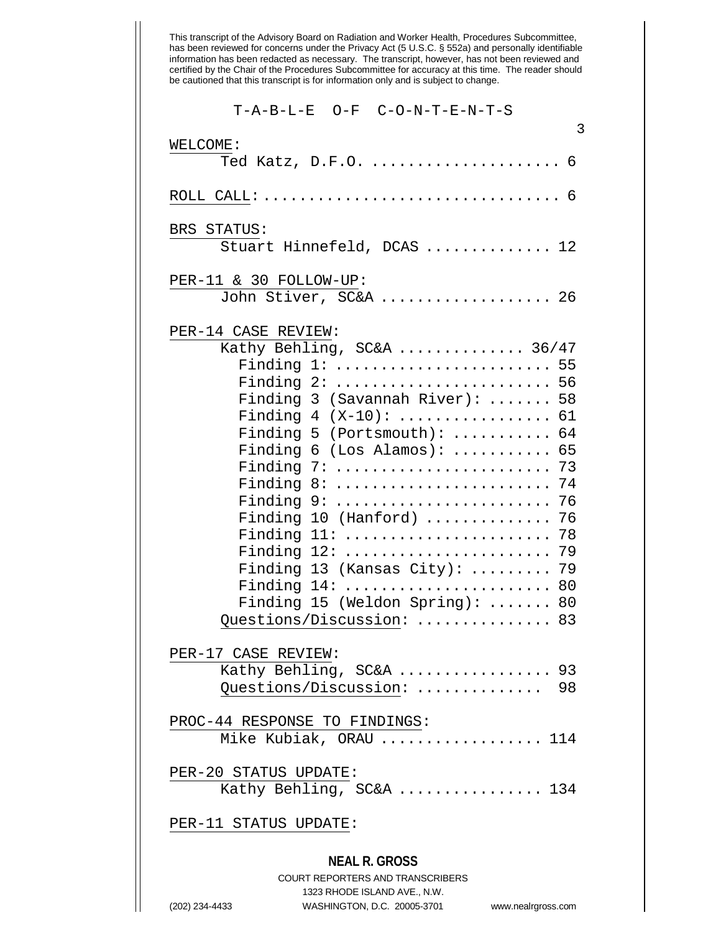|  | $T - A - B - L - E$ $Q - F$ $C - Q - N - T - E - N - T - S$ |  |
|--|-------------------------------------------------------------|--|
|  |                                                             |  |

| 3                                                 |
|---------------------------------------------------|
| WELCOME:<br>Ted Katz, D.F.O.  6                   |
|                                                   |
| BRS STATUS:                                       |
| Stuart Hinnefeld, DCAS  12                        |
| PER-11 & 30 FOLLOW-UP:<br>John Stiver, SC&A  26   |
| PER-14 CASE REVIEW:                               |
| Kathy Behling, SC&A  36/47                        |
| Finding 1:  55                                    |
| Finding 2:  56                                    |
| Finding 3 (Savannah River):  58                   |
| Finding $4 (X-10)$ :  61                          |
| Finding 5 (Portsmouth): $\ldots \ldots \ldots$ 64 |
| Finding $6$ (Los Alamos):<br>65                   |
| Finding 7:<br>73                                  |
| Finding 8:<br>74                                  |
| Finding 9:  76                                    |
| Finding 10 (Hanford)  76                          |
| Finding 11:<br>-78                                |
| Finding 12:<br>79                                 |
| Finding 13 (Kansas City):<br>79                   |
| Finding 14:  80                                   |
| Finding 15 (Weldon Spring): $\ldots \ldots$ 80    |
| Questions/Discussion:  83                         |
| PER-17 CASE REVIEW:                               |
| Kathy Behling, SC&A  93                           |
| Questions/Discussion:  98                         |
| PROC-44 RESPONSE TO FINDINGS:                     |
| Mike Kubiak, ORAU  114                            |
| PER-20 STATUS UPDATE:                             |
| Kathy Behling, SC&A  134                          |
| PER-11 STATUS UPDATE:                             |
|                                                   |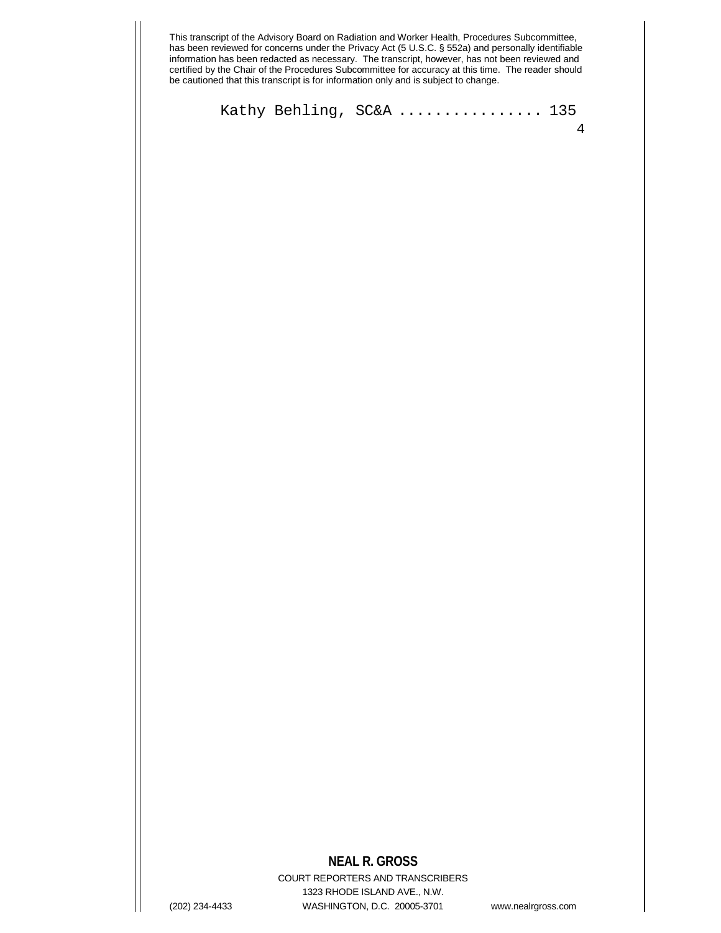Kathy Behling, SC&A ................. 135

# **NEAL R. GROSS**

COURT REPORTERS AND TRANSCRIBERS 1323 RHODE ISLAND AVE., N.W. (202) 234-4433 WASHINGTON, D.C. 20005-3701 www.nealrgross.com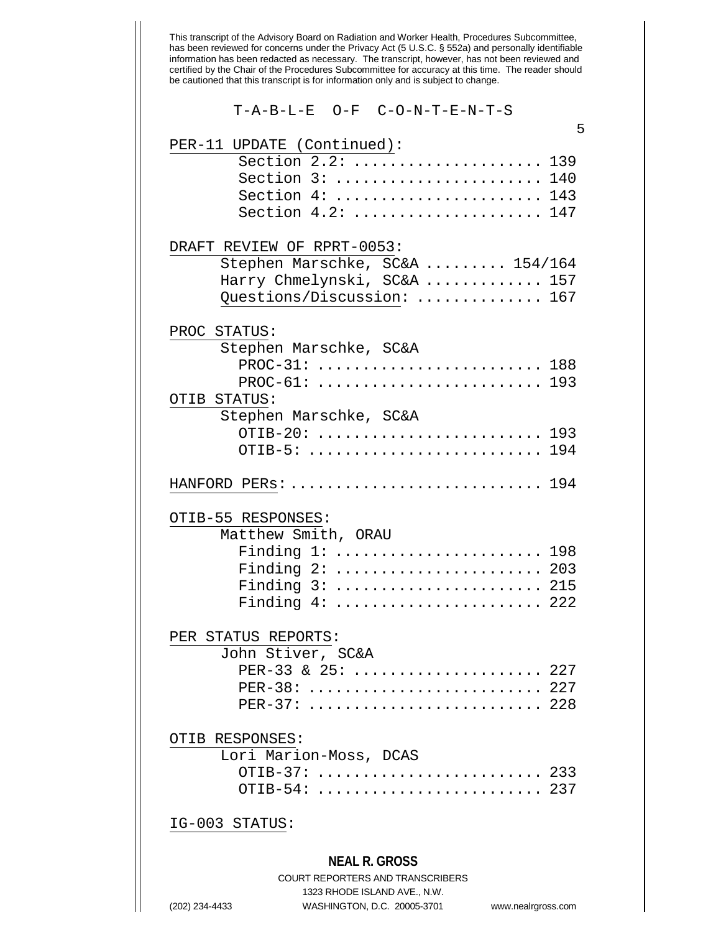| T-A-B-L-E O-F C-O-N-T-E-N-T-S                                                                                                                             |     |
|-----------------------------------------------------------------------------------------------------------------------------------------------------------|-----|
| PER-11 UPDATE (Continued):<br>Section 2.2:  139<br>Section 3:  140<br>Section 4:  143<br>Section 4.2:  147                                                | 5   |
| DRAFT REVIEW OF RPRT-0053:<br>Stephen Marschke, SC&A  154/164<br>Harry Chmelynski, SC&A  157<br>Questions/Discussion:  167                                |     |
| PROC STATUS:<br>Stephen Marschke, SC&A<br>PROC-31:  188<br>PROC-61:  193<br>OTIB STATUS:                                                                  |     |
| Stephen Marschke, SC&A<br>OTIB-20:  193<br>OTIB-5:  194                                                                                                   |     |
| HANFORD PERs:  194                                                                                                                                        |     |
| OTIB-55 RESPONSES:<br>Matthew Smith, ORAU<br>Finding $1: \ldots: \ldots: \ldots: \ldots: \ldots$<br>Finding 2:  203<br>Finding 3:  215<br>Finding 4:  222 | 198 |
| PER STATUS REPORTS:<br>John Stiver, SC&A<br>PER-33 & 25:  227<br>PER-38:  227<br>PER-37:  228                                                             |     |
| OTIB RESPONSES:<br>Lori Marion-Moss, DCAS<br>OTIB-37:  233<br>OTIB-54:  237                                                                               |     |

### IG-003 STATUS:

#### **NEAL R. GROSS**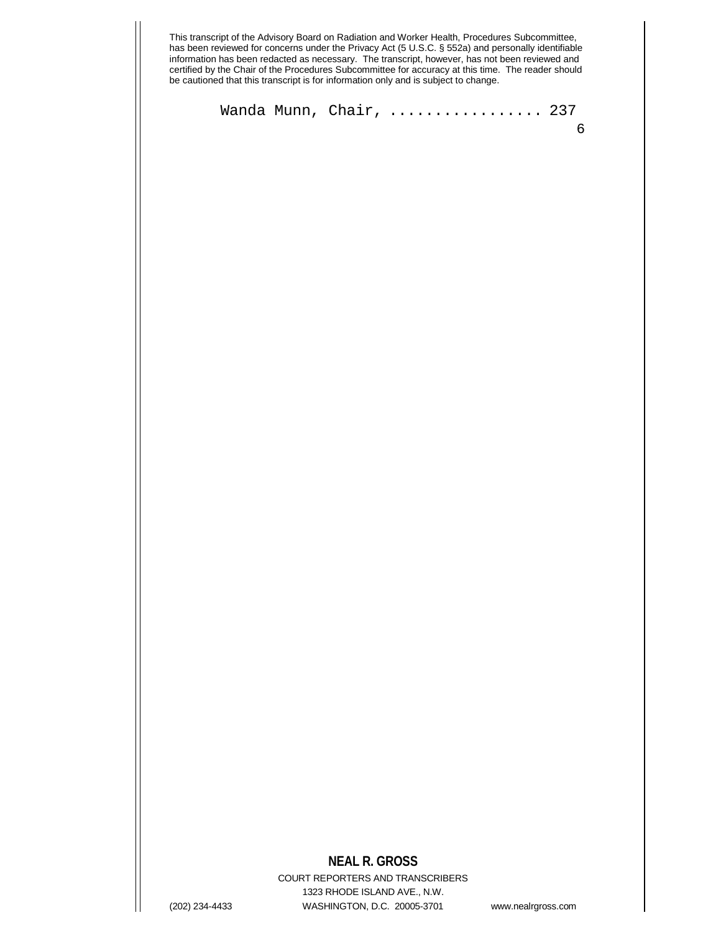Wanda Munn, Chair, .................. 237

## **NEAL R. GROSS**

COURT REPORTERS AND TRANSCRIBERS 1323 RHODE ISLAND AVE., N.W. (202) 234-4433 WASHINGTON, D.C. 20005-3701 www.nealrgross.com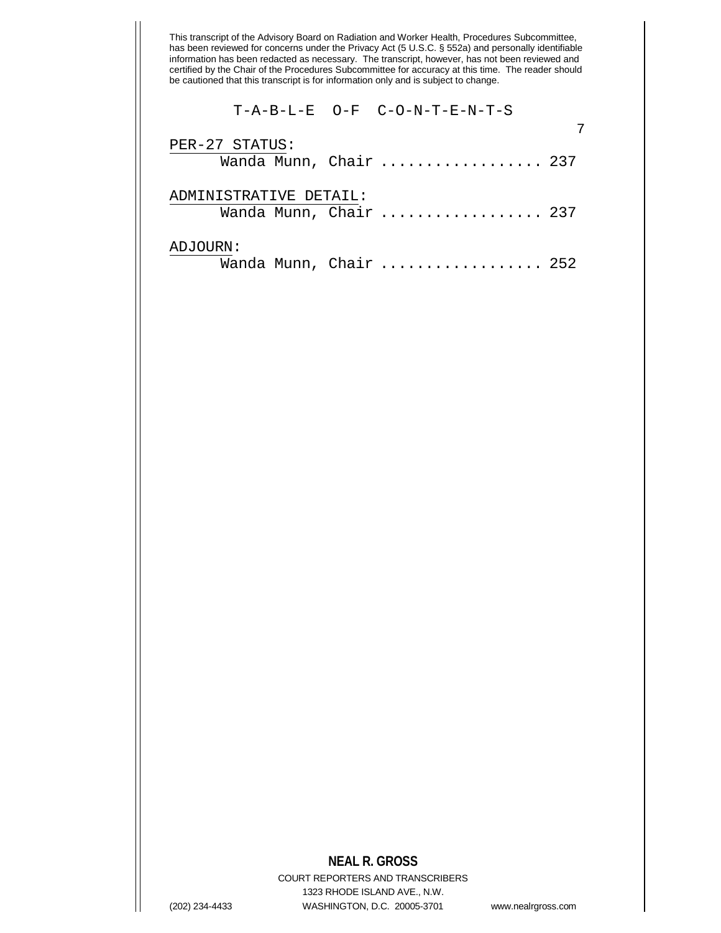### T-A-B-L-E O-F C-O-N-T-E-N-T-S

| PER-27 STATUS:<br>Wanda Munn, Chair  237         |  |
|--------------------------------------------------|--|
| ADMINISTRATIVE DETAIL:<br>Wanda Munn, Chair  237 |  |
| ADJOURN:<br>Wanda Munn, Chair  252               |  |

### **NEAL R. GROSS**

COURT REPORTERS AND TRANSCRIBERS 1323 RHODE ISLAND AVE., N.W. (202) 234-4433 WASHINGTON, D.C. 20005-3701 www.nealrgross.com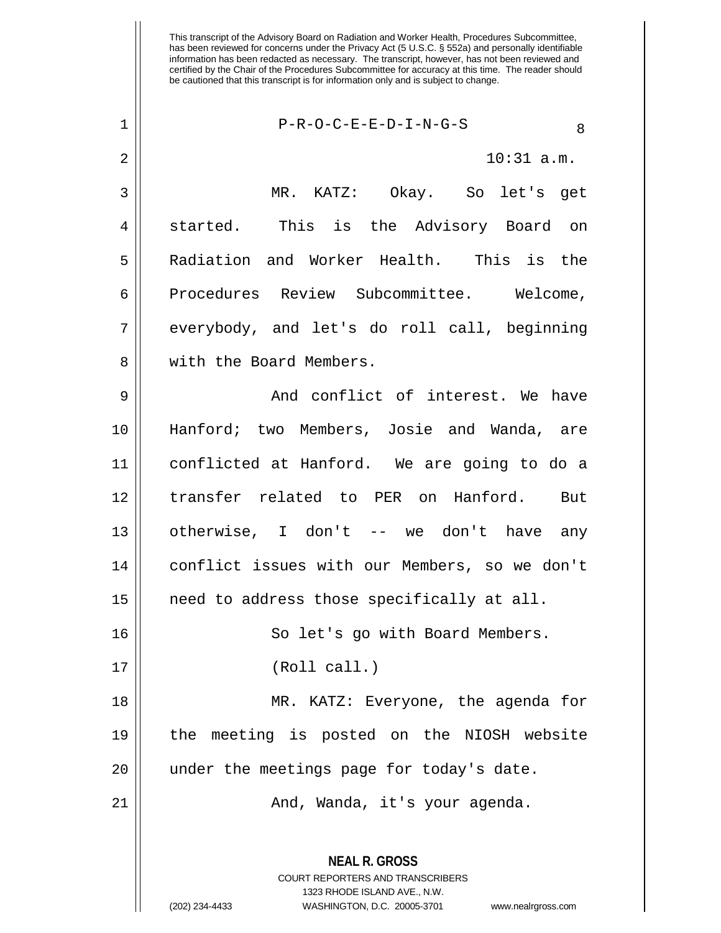| $\mathbf 1$ | $P-R-O-C-E-E-D-I-N-G-S$<br>8                  |
|-------------|-----------------------------------------------|
| 2           | $10:31$ a.m.                                  |
| 3           | MR. KATZ: Okay. So let's get                  |
| 4           | started. This is the Advisory Board on        |
| 5           | Radiation and Worker Health. This is the      |
| 6           | Procedures Review Subcommittee. Welcome,      |
| 7           | everybody, and let's do roll call, beginning  |
| 8           | with the Board Members.                       |
| 9           | And conflict of interest. We have             |
| 10          | Hanford; two Members, Josie and Wanda, are    |
| 11          | conflicted at Hanford. We are going to do a   |
| 12          | transfer related to PER on Hanford. But       |
| 13          | otherwise, I don't -- we don't have any       |
| 14          | conflict issues with our Members, so we don't |
| 15          | need to address those specifically at all.    |
| 16          | So let's go with Board Members.               |
| 17          | (Roll call.)                                  |
| 18          | MR. KATZ: Everyone, the agenda for            |
| 19          | the meeting is posted on the NIOSH website    |
| 20          | under the meetings page for today's date.     |
| 21          | And, Wanda, it's your agenda.                 |
|             |                                               |

**NEAL R. GROSS** COURT REPORTERS AND TRANSCRIBERS 1323 RHODE ISLAND AVE., N.W.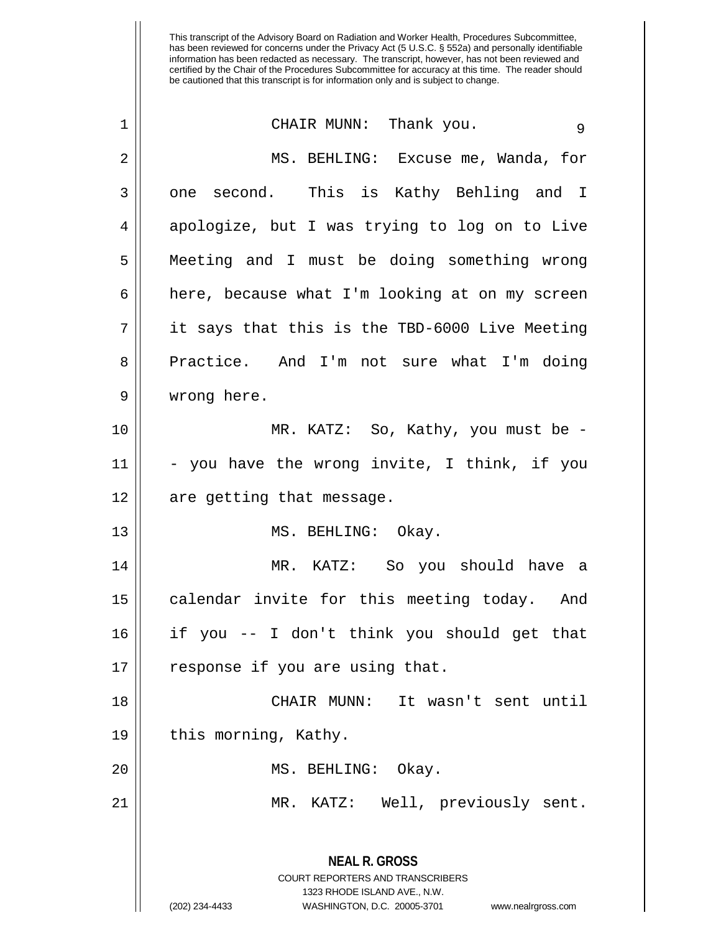| 1  | CHAIR MUNN: Thank you.<br>9                                                                                                                                            |
|----|------------------------------------------------------------------------------------------------------------------------------------------------------------------------|
| 2  | MS. BEHLING: Excuse me, Wanda, for                                                                                                                                     |
| 3  | one second. This is Kathy Behling and I                                                                                                                                |
| 4  | apologize, but I was trying to log on to Live                                                                                                                          |
| 5  | Meeting and I must be doing something wrong                                                                                                                            |
| 6  | here, because what I'm looking at on my screen                                                                                                                         |
| 7  | it says that this is the TBD-6000 Live Meeting                                                                                                                         |
| 8  | Practice. And I'm not sure what I'm doing                                                                                                                              |
| 9  | wrong here.                                                                                                                                                            |
| 10 | MR. KATZ: So, Kathy, you must be -                                                                                                                                     |
| 11 | - you have the wrong invite, I think, if you                                                                                                                           |
| 12 | are getting that message.                                                                                                                                              |
| 13 | MS. BEHLING: Okay.                                                                                                                                                     |
| 14 | MR. KATZ: So you should have a                                                                                                                                         |
| 15 | calendar invite for this meeting today. And                                                                                                                            |
| 16 | if you -- I don't think you should get that                                                                                                                            |
| 17 | response if you are using that.                                                                                                                                        |
| 18 | It wasn't sent until<br>CHAIR MUNN:                                                                                                                                    |
| 19 | this morning, Kathy.                                                                                                                                                   |
| 20 | MS. BEHLING: Okay.                                                                                                                                                     |
| 21 | MR. KATZ: Well, previously sent.                                                                                                                                       |
|    | <b>NEAL R. GROSS</b><br><b>COURT REPORTERS AND TRANSCRIBERS</b><br>1323 RHODE ISLAND AVE., N.W.<br>(202) 234-4433<br>WASHINGTON, D.C. 20005-3701<br>www.nealrgross.com |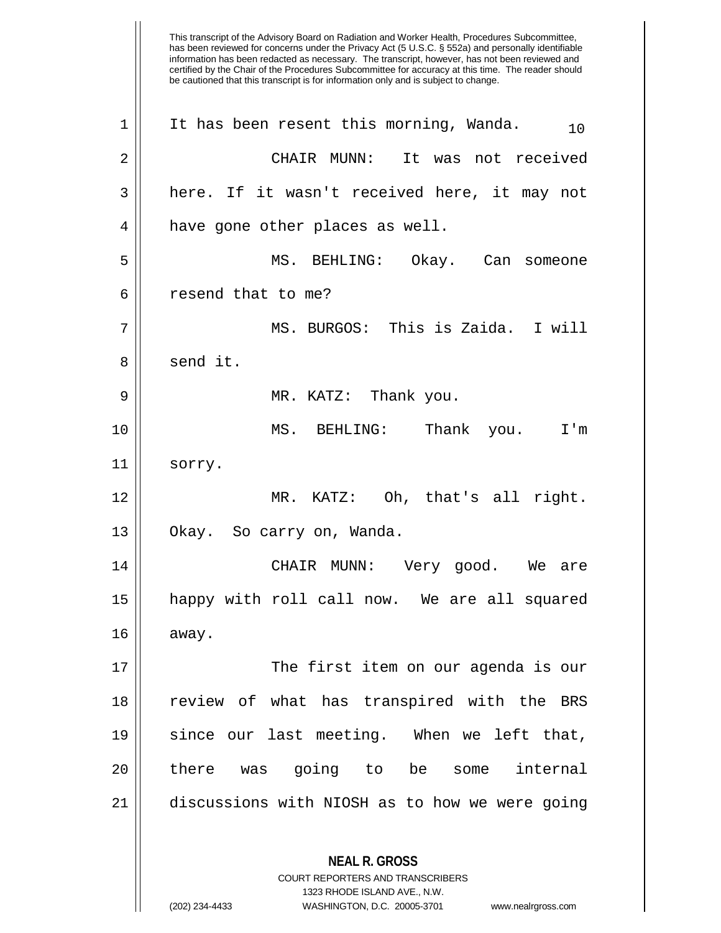This transcript of the Advisory Board on Radiation and Worker Health, Procedures Subcommittee, has been reviewed for concerns under the Privacy Act (5 U.S.C. § 552a) and personally identifiable information has been redacted as necessary. The transcript, however, has not been reviewed and certified by the Chair of the Procedures Subcommittee for accuracy at this time. The reader should be cautioned that this transcript is for information only and is subject to change. **NEAL R. GROSS** COURT REPORTERS AND TRANSCRIBERS 1323 RHODE ISLAND AVE., N.W. (202) 234-4433 WASHINGTON, D.C. 20005-3701 www.nealrgross.com 1 || It has been resent this morning, Wanda.  $10^{10}$ 2 CHAIR MUNN: It was not received 3 || here. If it wasn't received here, it may not 4 || have gone other places as well. 5 MS. BEHLING: Okay. Can someone 6 l resend that to me? 7 MS. BURGOS: This is Zaida. I will  $8 \parallel$  send it. 9 MR. KATZ: Thank you. 10 MS. BEHLING: Thank you. I'm 11 || sorry. 12 MR. KATZ: Oh, that's all right. 13 || Okay. So carry on, Wanda. 14 CHAIR MUNN: Very good. We are 15 happy with roll call now. We are all squared  $16 \parallel$  away. 17 The first item on our agenda is our 18 || review of what has transpired with the BRS 19 since our last meeting. When we left that, 20 || there was going to be some internal 21 discussions with NIOSH as to how we were going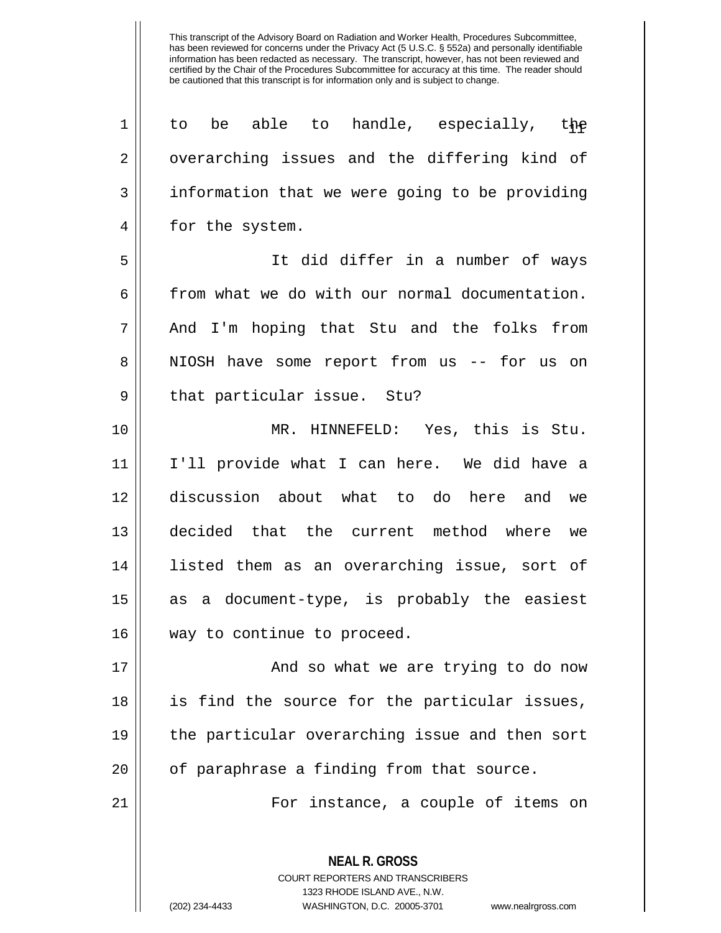| 1  | be able to handle, especially, the<br>to                 |
|----|----------------------------------------------------------|
| 2  | overarching issues and the differing kind of             |
| 3  | information that we were going to be providing           |
| 4  | for the system.                                          |
| 5  | It did differ in a number of ways                        |
| 6  | from what we do with our normal documentation.           |
| 7  | And I'm hoping that Stu and the folks from               |
| 8  | NIOSH have some report from us -- for us on              |
| 9  | that particular issue. Stu?                              |
| 10 | MR. HINNEFELD: Yes, this is Stu.                         |
| 11 | I'll provide what I can here. We did have a              |
| 12 | discussion about what to do here and we                  |
| 13 | decided that the current method where we                 |
| 14 | listed them as an overarching issue, sort of             |
| 15 | as a document-type, is probably the easiest              |
| 16 | way to continue to proceed.                              |
| 17 | And so what we are trying to do now                      |
| 18 | is find the source for the particular issues,            |
| 19 | the particular overarching issue and then sort           |
| 20 | of paraphrase a finding from that source.                |
| 21 | For instance, a couple of items on                       |
|    | <b>NEAL R. GROSS</b><br>COURT REPORTERS AND TRANSCRIBERS |

1323 RHODE ISLAND AVE., N.W.

 $\mathop{\text{||}}$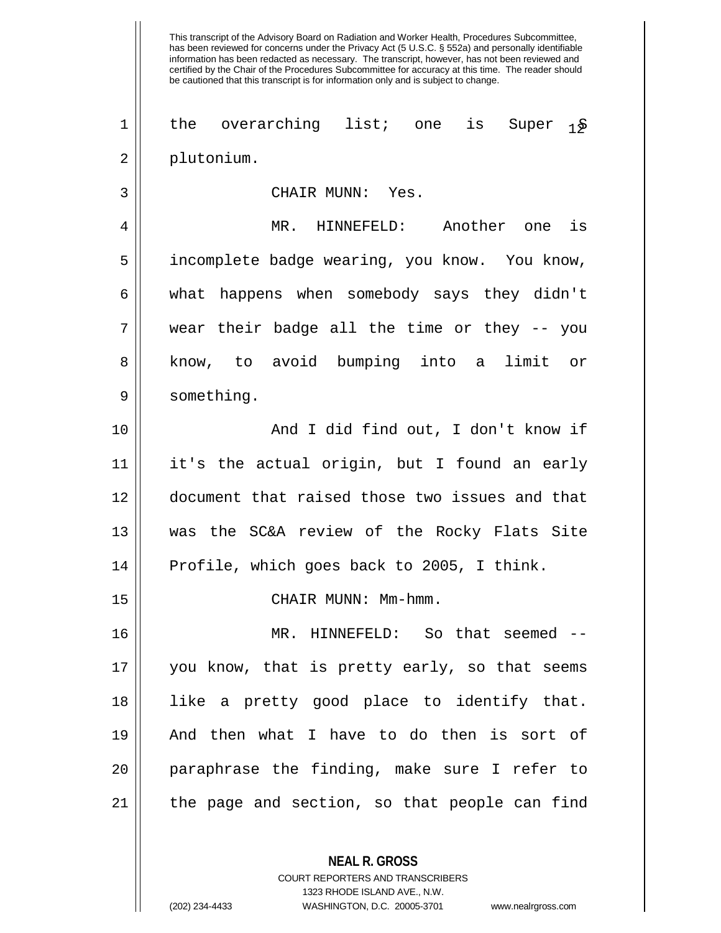This transcript of the Advisory Board on Radiation and Worker Health, Procedures Subcommittee, has been reviewed for concerns under the Privacy Act (5 U.S.C. § 552a) and personally identifiable information has been redacted as necessary. The transcript, however, has not been reviewed and certified by the Chair of the Procedures Subcommittee for accuracy at this time. The reader should be cautioned that this transcript is for information only and is subject to change. 1 || the overarching list; one is Super  $1\frac{1}{2}$ 2 plutonium. 3 CHAIR MUNN: Yes. 4 MR. HINNEFELD: Another one is 5 incomplete badge wearing, you know. You know, 6 what happens when somebody says they didn't  $7 \parallel$  wear their badge all the time or they -- you 8 || know, to avoid bumping into a limit or 9 | something. 10 || And I did find out, I don't know if 11 it's the actual origin, but I found an early 12 document that raised those two issues and that 13 was the SC&A review of the Rocky Flats Site 14 || Profile, which goes back to 2005, I think. 15 CHAIR MUNN: Mm-hmm. 16 MR. HINNEFELD: So that seemed -- 17 you know, that is pretty early, so that seems 18 like a pretty good place to identify that. 19 And then what I have to do then is sort of 20 paraphrase the finding, make sure I refer to  $21$  | the page and section, so that people can find

> **NEAL R. GROSS** COURT REPORTERS AND TRANSCRIBERS 1323 RHODE ISLAND AVE., N.W.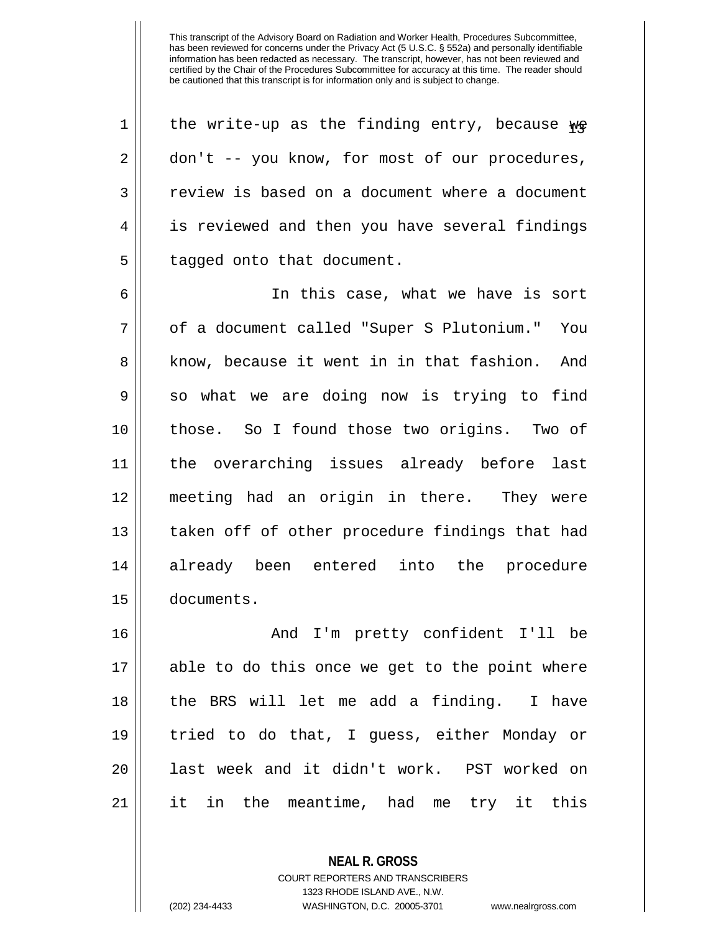| $\mathbf 1$ | the write-up as the finding entry, because $w$ e |
|-------------|--------------------------------------------------|
| 2           | don't -- you know, for most of our procedures,   |
| 3           | review is based on a document where a document   |
| 4           | is reviewed and then you have several findings   |
| 5           | tagged onto that document.                       |
| 6           | In this case, what we have is sort               |
| 7           | of a document called "Super S Plutonium." You    |
| 8           | know, because it went in in that fashion. And    |
| 9           | so what we are doing now is trying to find       |
| 10          | those. So I found those two origins. Two of      |
| 11          | the overarching issues already before last       |
| 12          | meeting had an origin in there. They were        |
| 13          | taken off of other procedure findings that had   |
| 14          | already been entered into the procedure          |
| 15          | documents.                                       |
| 16          | I'm pretty confident I'll be<br>And              |
| 17          | able to do this once we get to the point where   |
| 18          | the BRS will let me add a finding. I have        |
| 19          | tried to do that, I guess, either Monday or      |
| 20          | last week and it didn't work. PST worked on      |

21 it in the meantime, had me try it this

**NEAL R. GROSS**

COURT REPORTERS AND TRANSCRIBERS 1323 RHODE ISLAND AVE., N.W.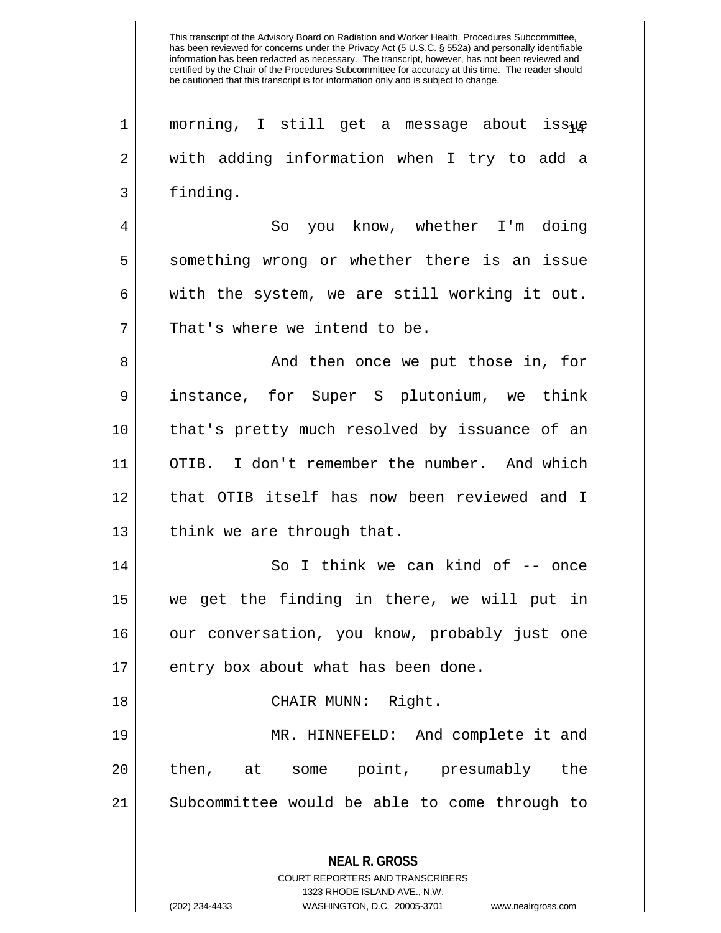**NEAL R. GROSS** COURT REPORTERS AND TRANSCRIBERS  $1$  morning, I still get a message about issue 2 || with adding information when I try to add a 3 | finding. 4 So you know, whether I'm doing 5 Something wrong or whether there is an issue 6 | with the system, we are still working it out.  $7$  || That's where we intend to be. 8 And then once we put those in, for 9 instance, for Super S plutonium, we think 10 that's pretty much resolved by issuance of an 11 OTIB. I don't remember the number. And which 12 || that OTIB itself has now been reviewed and I 13  $\parallel$  think we are through that. 14 || So I think we can kind of -- once 15 we get the finding in there, we will put in 16 || our conversation, you know, probably just one  $17$  || entry box about what has been done. 18 || CHAIR MUNN: Right. 19 MR. HINNEFELD: And complete it and 20 || then, at some point, presumably the 21 | Subcommittee would be able to come through to

1323 RHODE ISLAND AVE., N.W.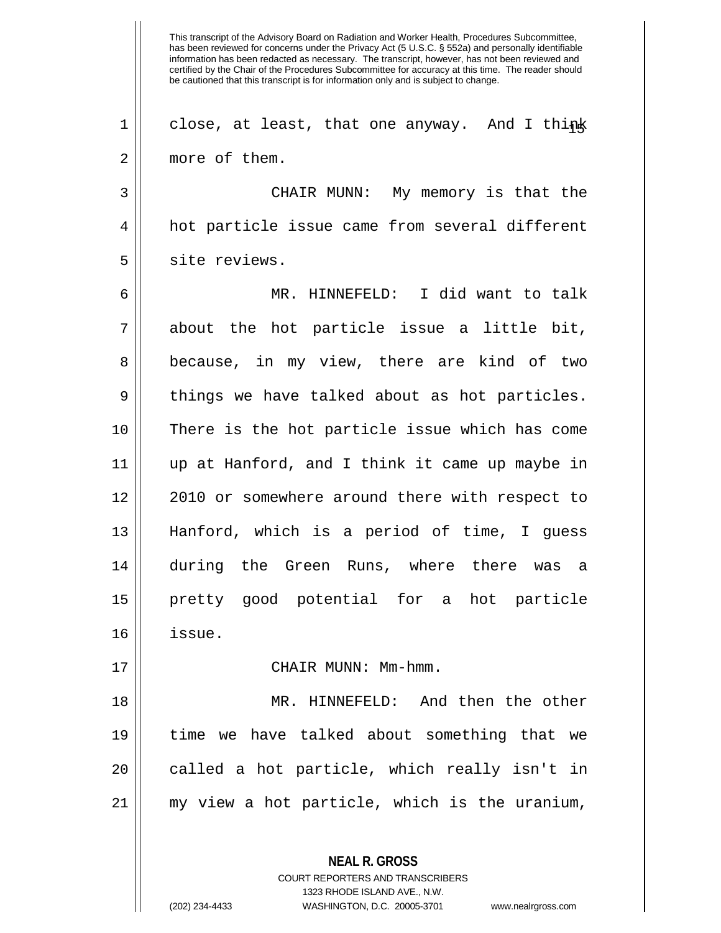This transcript of the Advisory Board on Radiation and Worker Health, Procedures Subcommittee, has been reviewed for concerns under the Privacy Act (5 U.S.C. § 552a) and personally identifiable information has been redacted as necessary. The transcript, however, has not been reviewed and certified by the Chair of the Procedures Subcommittee for accuracy at this time. The reader should be cautioned that this transcript is for information only and is subject to change. **NEAL R. GROSS** COURT REPORTERS AND TRANSCRIBERS 1 || close, at least, that one anyway. And I think 2 more of them. 3 CHAIR MUNN: My memory is that the 4 hot particle issue came from several different 5 || site reviews. 6 MR. HINNEFELD: I did want to talk  $7 \parallel$  about the hot particle issue a little bit, 8 || because, in my view, there are kind of two  $9 \parallel$  things we have talked about as hot particles. 10 There is the hot particle issue which has come 11 up at Hanford, and I think it came up maybe in 12 || 2010 or somewhere around there with respect to 13 Hanford, which is a period of time, I guess 14 during the Green Runs, where there was a 15 pretty good potential for a hot particle 16 issue. 17 || CHAIR MUNN: Mm-hmm. 18 MR. HINNEFELD: And then the other 19 time we have talked about something that we  $20$  || called a hot particle, which really isn't in 21 my view a hot particle, which is the uranium,

1323 RHODE ISLAND AVE., N.W.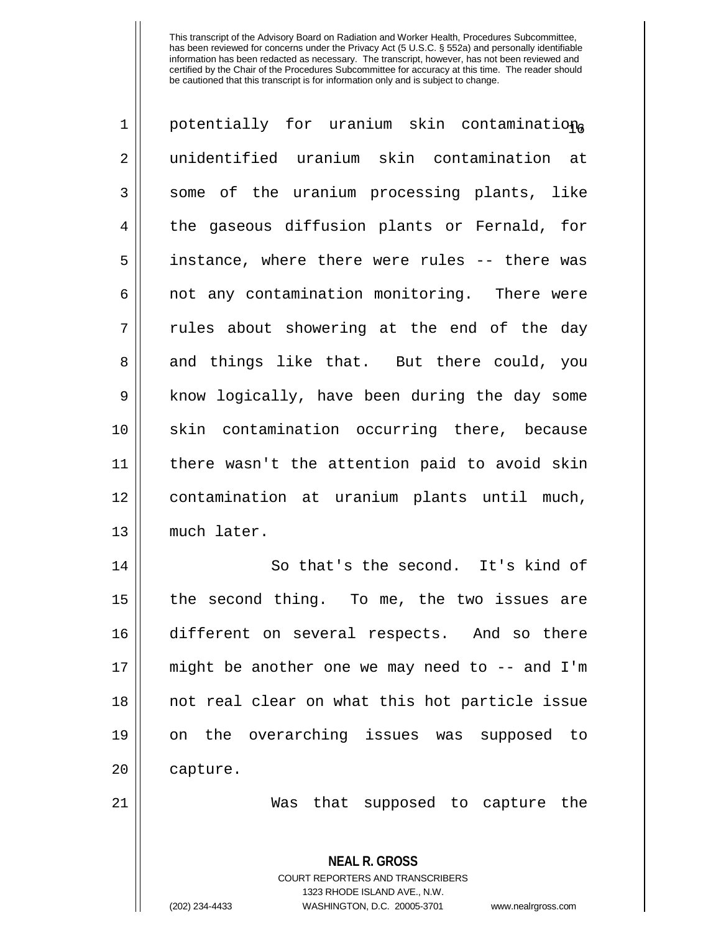| 1              | potentially for uranium skin contaminationa              |
|----------------|----------------------------------------------------------|
| $\overline{2}$ | unidentified uranium skin contamination at               |
| 3              | some of the uranium processing plants, like              |
| 4              | the gaseous diffusion plants or Fernald, for             |
| 5              | instance, where there were rules -- there was            |
| 6              | not any contamination monitoring. There were             |
| 7              | rules about showering at the end of the day              |
| 8              | and things like that. But there could, you               |
| $\mathsf 9$    | know logically, have been during the day some            |
| 10             | skin contamination occurring there, because              |
| 11             | there wasn't the attention paid to avoid skin            |
| 12             | contamination at uranium plants until much,              |
| 13             | much later.                                              |
| 14             | So that's the second. It's kind of                       |
| 15             | the second thing. To me, the two issues are              |
| 16             | different on several respects. And so there              |
| 17             | might be another one we may need to -- and I'm           |
| 18             | not real clear on what this hot particle issue           |
| 19             | on the overarching issues was supposed to                |
| 20             | capture.                                                 |
| 21             | Was that supposed to capture the                         |
|                | <b>NEAL R. GROSS</b><br>COURT REPORTERS AND TRANSCRIBERS |

1323 RHODE ISLAND AVE., N.W.

 $\mathsf{I}$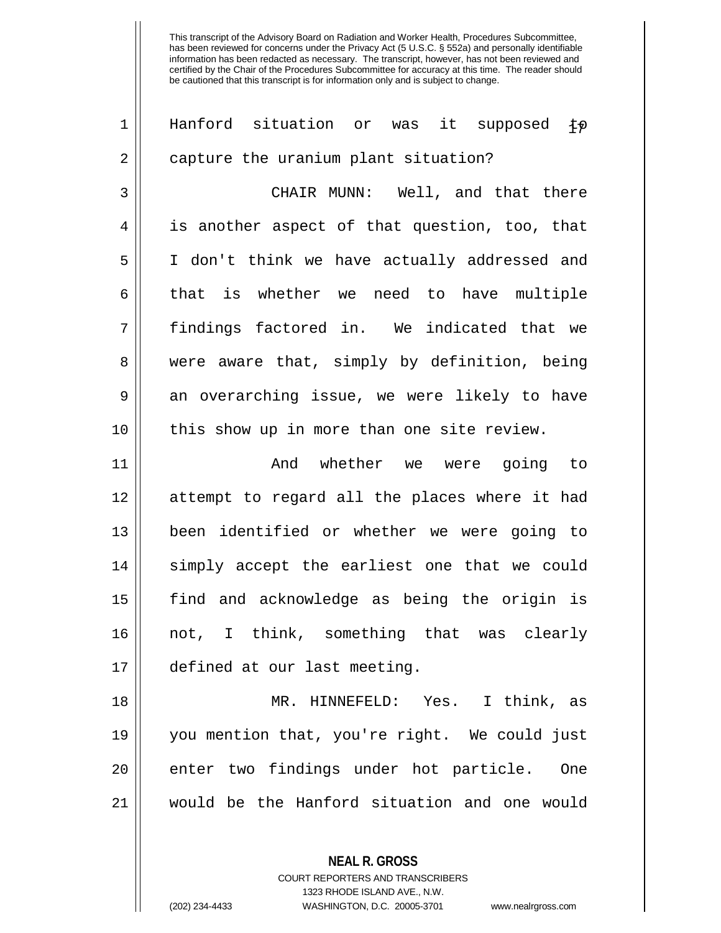| $\mathbf 1$ | Hanford situation or was<br>it supposed<br>ヤの |
|-------------|-----------------------------------------------|
| 2           | capture the uranium plant situation?          |
| 3           | CHAIR MUNN: Well, and that there              |
| 4           | is another aspect of that question, too, that |
| 5           | I don't think we have actually addressed and  |
| 6           | that is whether we need to have multiple      |
| 7           | findings factored in. We indicated that we    |
| 8           | were aware that, simply by definition, being  |
| 9           | an overarching issue, we were likely to have  |
| 10          | this show up in more than one site review.    |
| 11          | whether we were<br>And<br>going to            |
| 12          | attempt to regard all the places where it had |
| 13          | been identified or whether we were going to   |
| 14          | simply accept the earliest one that we could  |
| 15          | find and acknowledge as being the origin is   |
| 16          | not, I think, something that was clearly      |
| 17          | defined at our last meeting.                  |
| 18          | MR. HINNEFELD: Yes. I think, as               |
| 19          | you mention that, you're right. We could just |
| 20          | enter two findings under hot particle. One    |
| 21          | would be the Hanford situation and one would  |
|             |                                               |

**NEAL R. GROSS** COURT REPORTERS AND TRANSCRIBERS 1323 RHODE ISLAND AVE., N.W.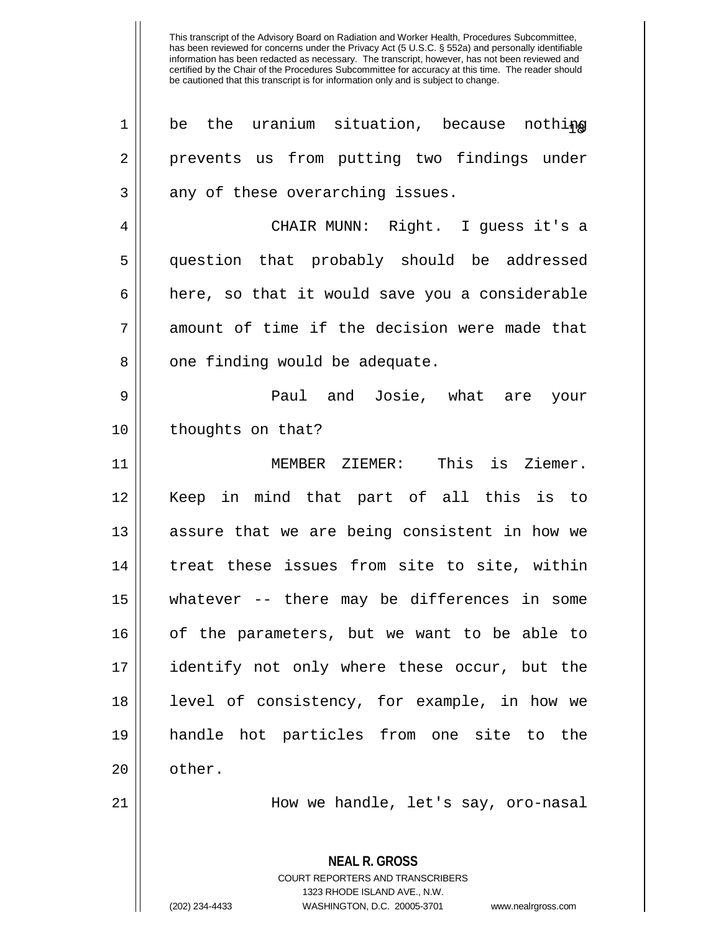| $\mathbf 1$ | be the uranium situation, because nothing                                                                                                                              |
|-------------|------------------------------------------------------------------------------------------------------------------------------------------------------------------------|
| 2           | prevents us from putting two findings under                                                                                                                            |
| 3           | any of these overarching issues.                                                                                                                                       |
| 4           | CHAIR MUNN: Right. I guess it's a                                                                                                                                      |
| 5           | question that probably should be addressed                                                                                                                             |
| 6           | here, so that it would save you a considerable                                                                                                                         |
| 7           | amount of time if the decision were made that                                                                                                                          |
| 8           | one finding would be adequate.                                                                                                                                         |
| 9           | Paul and Josie, what are your                                                                                                                                          |
| 10          | thoughts on that?                                                                                                                                                      |
| 11          | MEMBER ZIEMER: This is Ziemer.                                                                                                                                         |
| 12          | Keep in mind that part of all this is to                                                                                                                               |
| 13          | assure that we are being consistent in how we                                                                                                                          |
| 14          | treat these issues from site to site, within                                                                                                                           |
| 15          | whatever -- there may be differences in some                                                                                                                           |
| 16          | of the parameters, but we want to be able to                                                                                                                           |
| 17          | identify not only where these occur, but the                                                                                                                           |
| 18          | level of consistency, for example, in how we                                                                                                                           |
| 19          | handle hot particles from one site to the                                                                                                                              |
| 20          | other.                                                                                                                                                                 |
| 21          | How we handle, let's say, oro-nasal                                                                                                                                    |
|             | <b>NEAL R. GROSS</b><br><b>COURT REPORTERS AND TRANSCRIBERS</b><br>1323 RHODE ISLAND AVE., N.W.<br>(202) 234-4433<br>WASHINGTON, D.C. 20005-3701<br>www.nealrgross.com |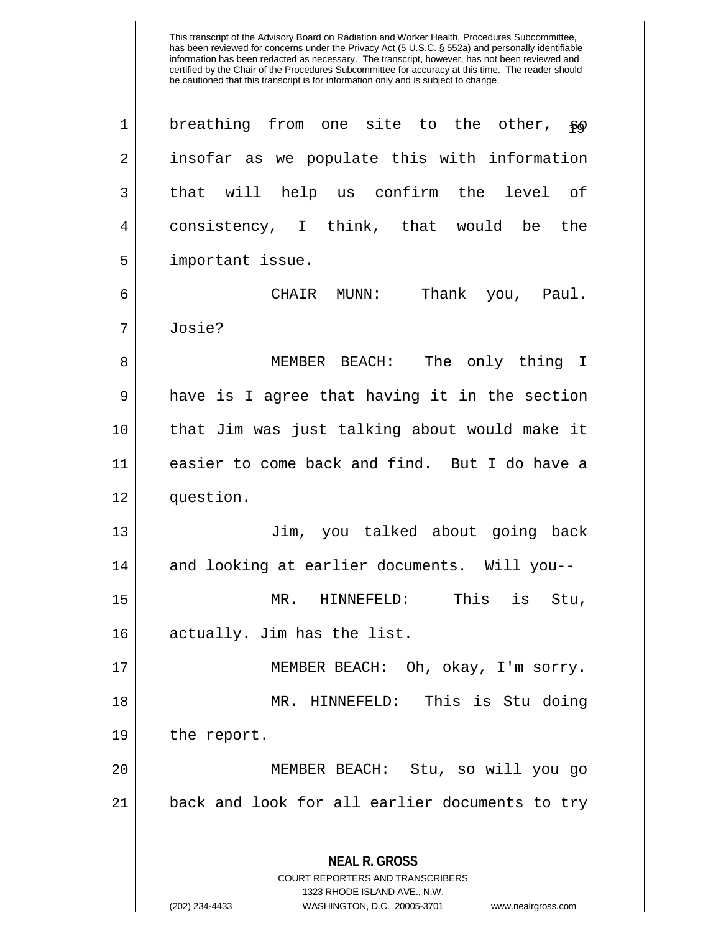**NEAL R. GROSS** COURT REPORTERS AND TRANSCRIBERS 1323 RHODE ISLAND AVE., N.W. (202) 234-4433 WASHINGTON, D.C. 20005-3701 www.nealrgross.com 1 | breathing from one site to the other,  $\epsilon \phi$ 2 || insofar as we populate this with information  $3 \parallel$  that will help us confirm the level of 4 consistency, I think, that would be the 5 | important issue. 6 CHAIR MUNN: Thank you, Paul. 7 Josie? 8 MEMBER BEACH: The only thing I 9 || have is I agree that having it in the section 10 that Jim was just talking about would make it 11 easier to come back and find. But I do have a 12 question. 13 Jim, you talked about going back 14 and looking at earlier documents. Will you-- 15 MR. HINNEFELD: This is Stu, 16 || actually. Jim has the list. 17 MEMBER BEACH: Oh, okay, I'm sorry. 18 MR. HINNEFELD: This is Stu doing 19 the report. 20 MEMBER BEACH: Stu, so will you go 21 || back and look for all earlier documents to try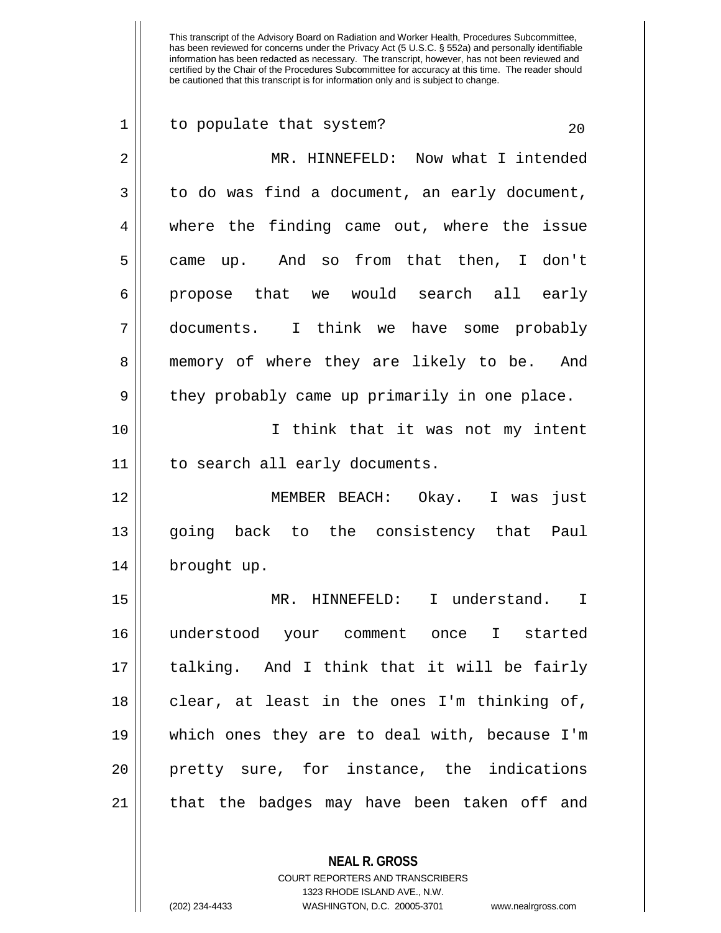| $\mathbf 1$ | to populate that system?<br>20                |
|-------------|-----------------------------------------------|
| 2           | MR. HINNEFELD: Now what I intended            |
| 3           | to do was find a document, an early document, |
| 4           | where the finding came out, where the issue   |
| 5           | came up. And so from that then, I don't       |
| 6           | propose that we would search all early        |
| 7           | documents. I think we have some probably      |
| 8           | memory of where they are likely to be. And    |
| 9           | they probably came up primarily in one place. |
| 10          | I think that it was not my intent             |
| 11          | to search all early documents.                |
| 12          | MEMBER BEACH: Okay. I was<br>just             |
| 13          | going back to the consistency that<br>Paul    |
| 14          | brought up.                                   |
| 15          | MR. HINNEFELD: I understand. I                |
| 16          | understood your comment once I started        |
| 17          | talking. And I think that it will be fairly   |
| 18          | clear, at least in the ones I'm thinking of,  |
| 19          | which ones they are to deal with, because I'm |
| 20          | pretty sure, for instance, the indications    |
| 21          | that the badges may have been taken off and   |

**NEAL R. GROSS**

COURT REPORTERS AND TRANSCRIBERS 1323 RHODE ISLAND AVE., N.W. (202) 234-4433 WASHINGTON, D.C. 20005-3701 www.nealrgross.com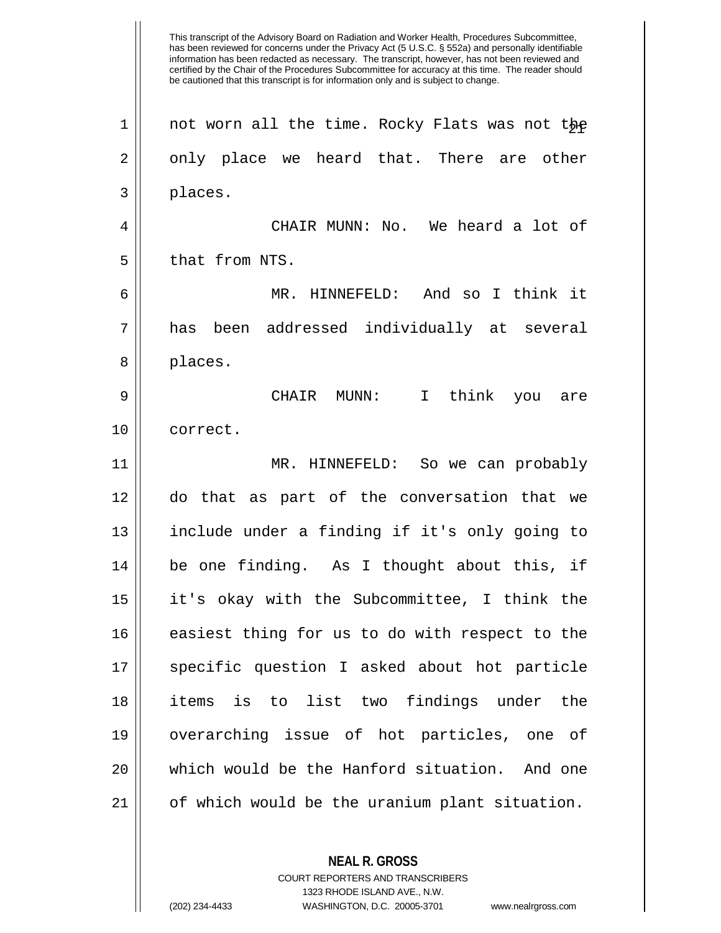This transcript of the Advisory Board on Radiation and Worker Health, Procedures Subcommittee, has been reviewed for concerns under the Privacy Act (5 U.S.C. § 552a) and personally identifiable information has been redacted as necessary. The transcript, however, has not been reviewed and certified by the Chair of the Procedures Subcommittee for accuracy at this time. The reader should be cautioned that this transcript is for information only and is subject to change.  $1$  not worn all the time. Rocky Flats was not the  $2 \parallel$  only place we heard that. There are other 3 places. 4 CHAIR MUNN: No. We heard a lot of  $5$  | that from NTS. 6 MR. HINNEFELD: And so I think it 7 has been addressed individually at several 8 || places. 9 CHAIR MUNN: I think you are 10 || correct. 11 MR. HINNEFELD: So we can probably 12 do that as part of the conversation that we 13 include under a finding if it's only going to 14 be one finding. As I thought about this, if 15 it's okay with the Subcommittee, I think the 16 easiest thing for us to do with respect to the 17 || specific question I asked about hot particle 18 items is to list two findings under the 19 overarching issue of hot particles, one of 20 which would be the Hanford situation. And one  $21$  | of which would be the uranium plant situation.

> COURT REPORTERS AND TRANSCRIBERS 1323 RHODE ISLAND AVE., N.W.

**NEAL R. GROSS**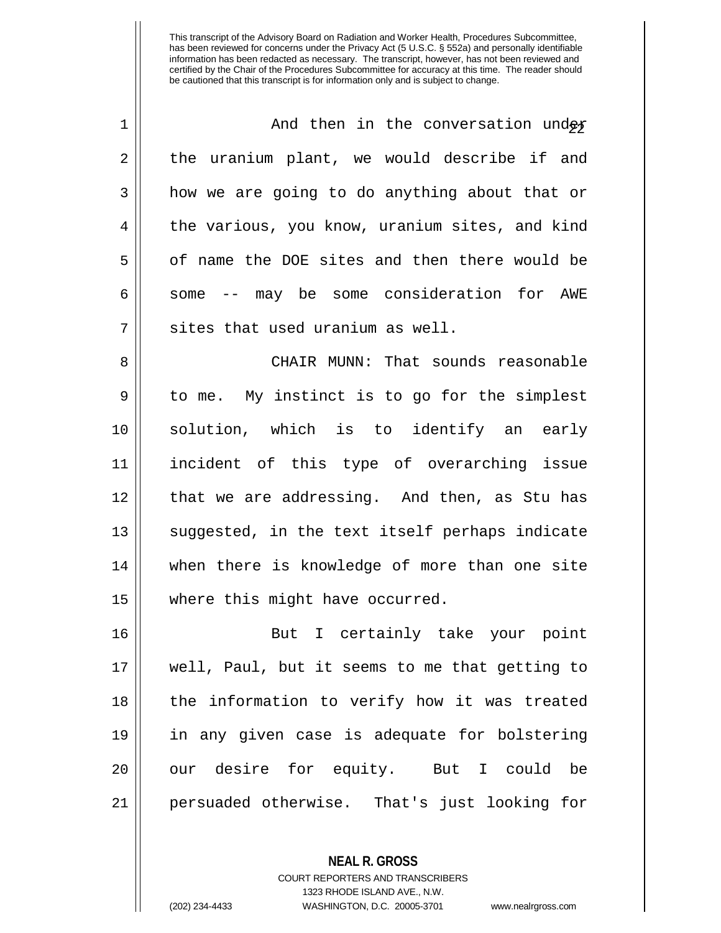| $\mathbf 1$ | And then in the conversation under             |
|-------------|------------------------------------------------|
| 2           | the uranium plant, we would describe if and    |
| 3           | how we are going to do anything about that or  |
| 4           | the various, you know, uranium sites, and kind |
| 5           | of name the DOE sites and then there would be  |
| 6           | some -- may be some consideration for AWE      |
| 7           | sites that used uranium as well.               |
| 8           | CHAIR MUNN: That sounds reasonable             |
| 9           | to me. My instinct is to go for the simplest   |
| 10          | solution, which is to identify an early        |
| 11          | incident of this type of overarching issue     |
| 12          | that we are addressing. And then, as Stu has   |
| 13          | suggested, in the text itself perhaps indicate |
| 14          | when there is knowledge of more than one site  |
| 15          | where this might have occurred.                |
| 16          | But I certainly take your point                |
| 17          | well, Paul, but it seems to me that getting to |
| 18          | the information to verify how it was treated   |
| 19          | in any given case is adequate for bolstering   |
| 20          | our desire for equity. But I could be          |
| 21          | persuaded otherwise. That's just looking for   |

**NEAL R. GROSS**

COURT REPORTERS AND TRANSCRIBERS 1323 RHODE ISLAND AVE., N.W. (202) 234-4433 WASHINGTON, D.C. 20005-3701 www.nealrgross.com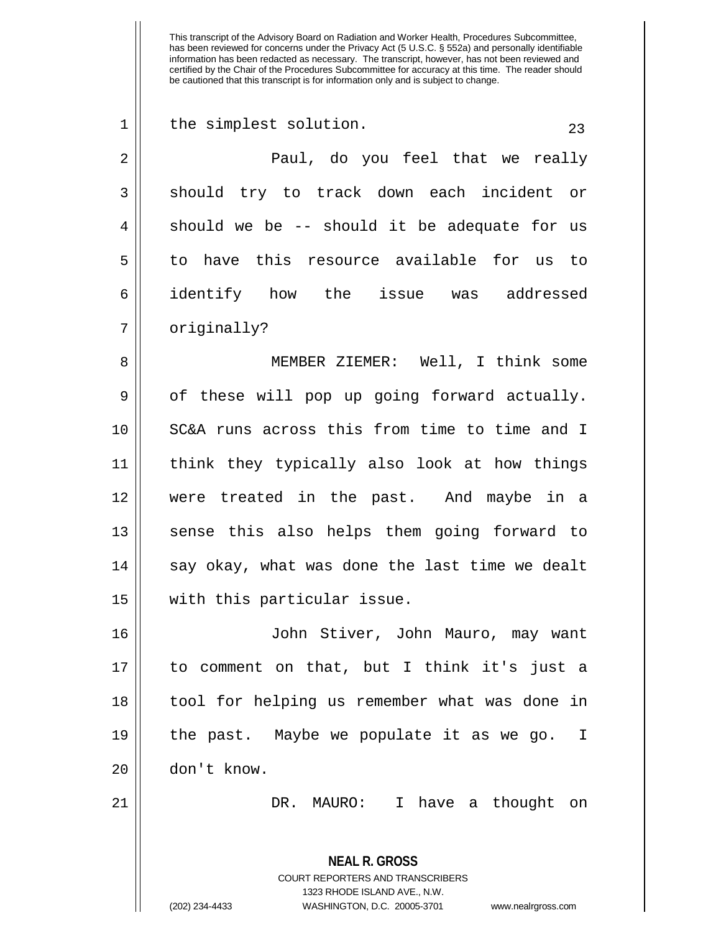| $\mathbf 1$ | the simplest solution.<br>23                             |
|-------------|----------------------------------------------------------|
| 2           | Paul, do you feel that we really                         |
| 3           | should try to track down each incident or                |
| 4           | should we be -- should it be adequate for us             |
| 5           | to have this resource available for us to                |
| 6           | identify how the issue was addressed                     |
| 7           | originally?                                              |
| 8           | MEMBER ZIEMER: Well, I think some                        |
| $\mathsf 9$ | of these will pop up going forward actually.             |
| 10          | SC&A runs across this from time to time and I            |
| 11          | think they typically also look at how things             |
| 12          | were treated in the past. And maybe in a                 |
| 13          | sense this also helps them going forward to              |
| 14          | say okay, what was done the last time we dealt           |
| 15          | with this particular issue.                              |
| 16          | John Stiver, John Mauro, may want                        |
| 17          | to comment on that, but I think it's just a              |
| 18          | tool for helping us remember what was done in            |
| 19          | the past. Maybe we populate it as we go. I               |
| 20          | don't know.                                              |
| 21          | DR. MAURO: I have a thought on                           |
|             | <b>NEAL R. GROSS</b><br>COURT REPORTERS AND TRANSCRIBERS |

1323 RHODE ISLAND AVE., N.W.

 $\mathsf{I}$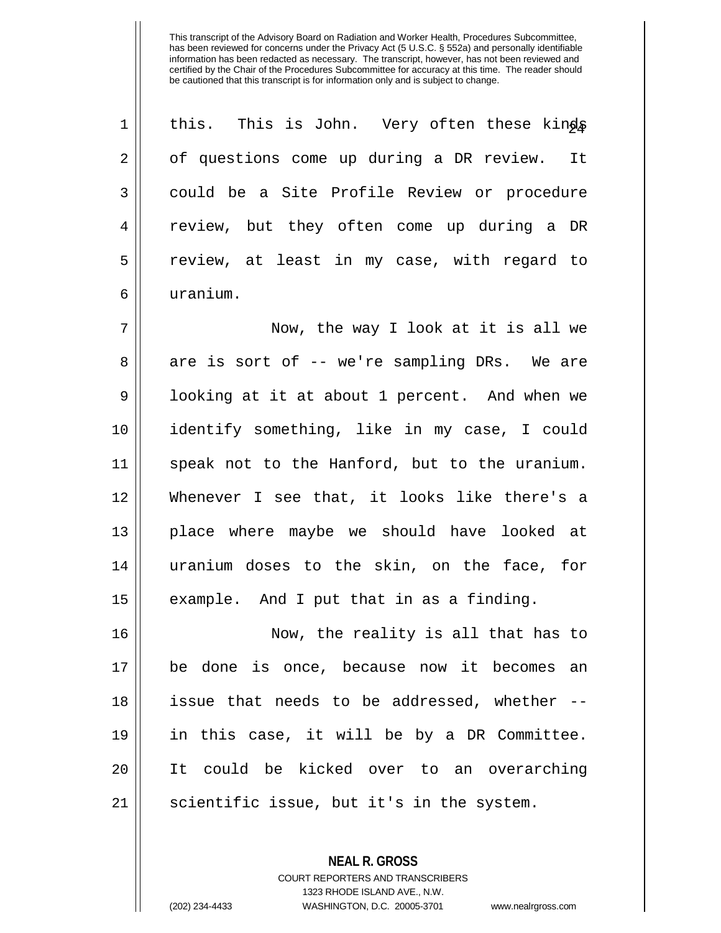| $\mathbf 1$ | this. This is John. Very often these kings    |
|-------------|-----------------------------------------------|
| 2           | of questions come up during a DR review. It   |
| 3           | could be a Site Profile Review or procedure   |
| 4           | review, but they often come up during a DR    |
| 5           | review, at least in my case, with regard to   |
| 6           | uranium.                                      |
| 7           | Now, the way I look at it is all we           |
| 8           | are is sort of -- we're sampling DRs. We are  |
| $\mathsf 9$ | looking at it at about 1 percent. And when we |
| 10          | identify something, like in my case, I could  |
| 11          | speak not to the Hanford, but to the uranium. |
| 12          | Whenever I see that, it looks like there's a  |
| 13          | place where maybe we should have looked at    |
| 14          | uranium doses to the skin, on the face, for   |
| 15          | example. And I put that in as a finding.      |
| 16          | Now, the reality is all that has to           |
| 17          | be done is once, because now it becomes an    |
| 18          | issue that needs to be addressed, whether --  |
| 19          | in this case, it will be by a DR Committee.   |
| 20          | It could be kicked over to an overarching     |
| 21          | scientific issue, but it's in the system.     |

**NEAL R. GROSS** COURT REPORTERS AND TRANSCRIBERS 1323 RHODE ISLAND AVE., N.W.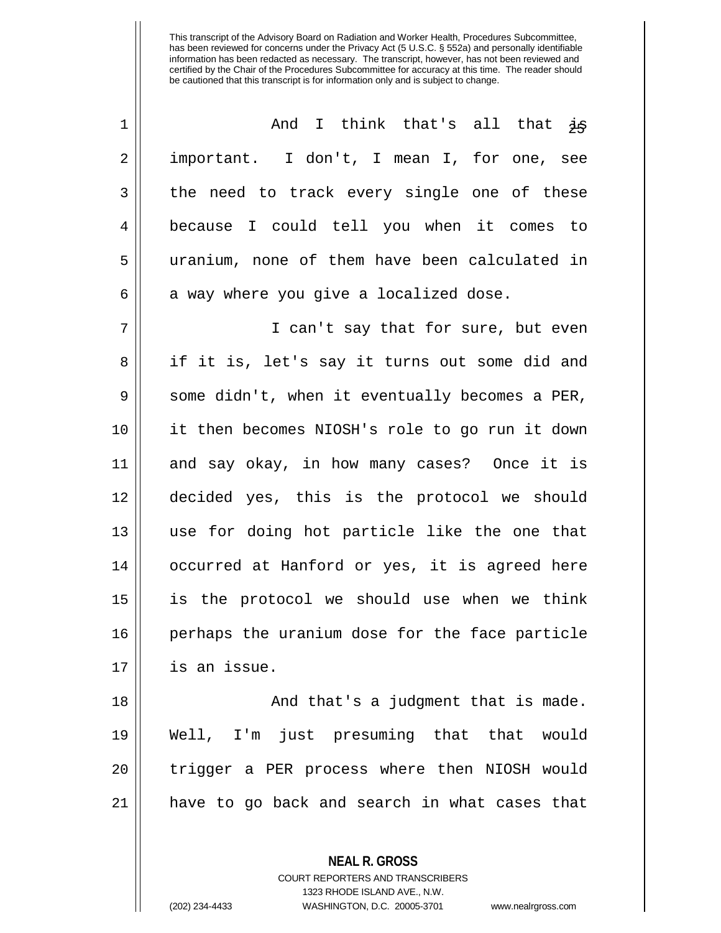| 1  | And I think that's all that is                 |
|----|------------------------------------------------|
| 2  | important. I don't, I mean I, for one, see     |
| 3  | the need to track every single one of these    |
| 4  | because I could tell you when it comes to      |
| 5  | uranium, none of them have been calculated in  |
| 6  | a way where you give a localized dose.         |
| 7  | I can't say that for sure, but even            |
| 8  | if it is, let's say it turns out some did and  |
| 9  | some didn't, when it eventually becomes a PER, |
| 10 | it then becomes NIOSH's role to go run it down |
| 11 | and say okay, in how many cases? Once it is    |
| 12 | decided yes, this is the protocol we should    |
| 13 | use for doing hot particle like the one that   |
| 14 | occurred at Hanford or yes, it is agreed here  |
| 15 | is the protocol we should use when we think    |
| 16 | perhaps the uranium dose for the face particle |
| 17 | is an issue.                                   |
| 18 | And that's a judgment that is made.            |
| 19 | Well, I'm just presuming that that would       |
| 20 | trigger a PER process where then NIOSH would   |
| 21 | have to go back and search in what cases that  |
|    |                                                |

**NEAL R. GROSS** COURT REPORTERS AND TRANSCRIBERS 1323 RHODE ISLAND AVE., N.W.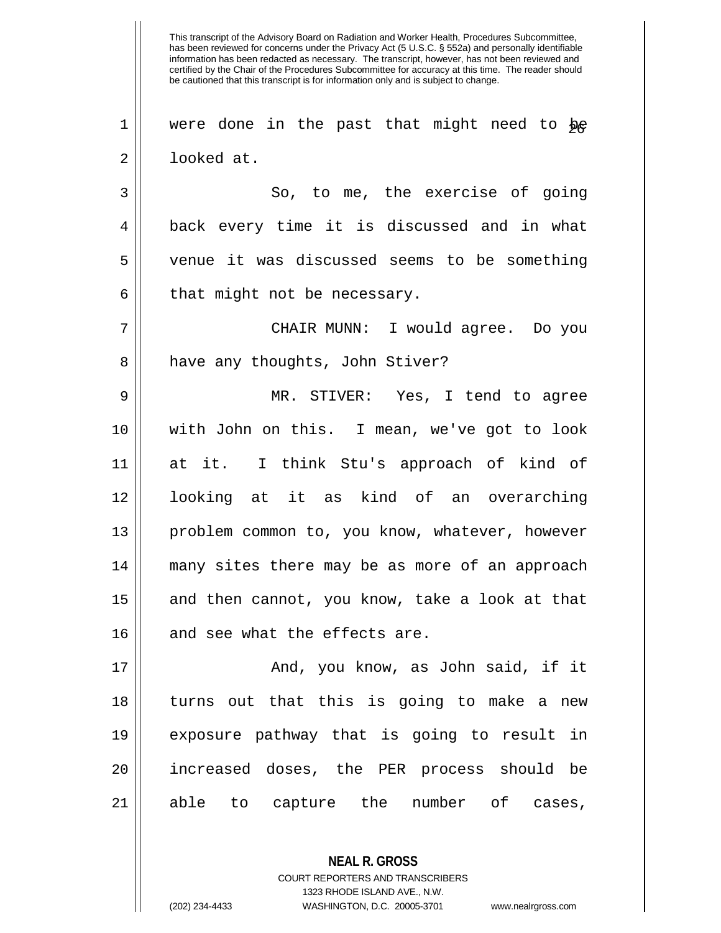$1$  were done in the past that might need to be 2 looked at.

3 || So, to me, the exercise of going back every time it is discussed and in what venue it was discussed seems to be something  $\parallel$  that might not be necessary.

7 CHAIR MUNN: I would agree. Do you 8 | have any thoughts, John Stiver?

 MR. STIVER: Yes, I tend to agree with John on this. I mean, we've got to look at it. I think Stu's approach of kind of looking at it as kind of an overarching 13 || problem common to, you know, whatever, however many sites there may be as more of an approach and then cannot, you know, take a look at that 16 || and see what the effects are.

 And, you know, as John said, if it turns out that this is going to make a new exposure pathway that is going to result in increased doses, the PER process should be able to capture the number of cases,

> **NEAL R. GROSS** COURT REPORTERS AND TRANSCRIBERS 1323 RHODE ISLAND AVE., N.W. (202) 234-4433 WASHINGTON, D.C. 20005-3701 www.nealrgross.com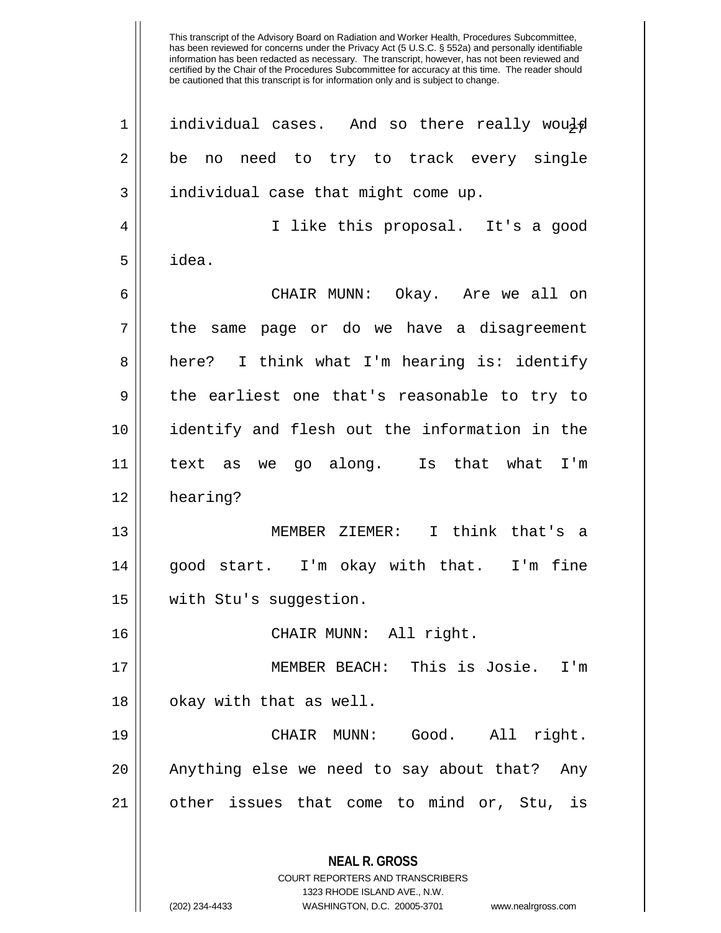**NEAL R. GROSS** COURT REPORTERS AND TRANSCRIBERS 1323 RHODE ISLAND AVE., N.W.  $1$  individual cases. And so there really would 2 || be no need to try to track every single 3 || individual case that might come up. 4 || I like this proposal. It's a good  $5 \parallel$  idea. 6 CHAIR MUNN: Okay. Are we all on  $7 \parallel$  the same page or do we have a disagreement 8 || here? I think what I'm hearing is: identify 9 || the earliest one that's reasonable to try to 10 identify and flesh out the information in the 11 text as we go along. Is that what I'm 12 hearing? 13 MEMBER ZIEMER: I think that's a 14 good start. I'm okay with that. I'm fine 15 with Stu's suggestion. 16 CHAIR MUNN: All right. 17 MEMBER BEACH: This is Josie. I'm 18 || okay with that as well. 19 CHAIR MUNN: Good. All right. 20 || Anything else we need to say about that? Any 21 || other issues that come to mind or, Stu, is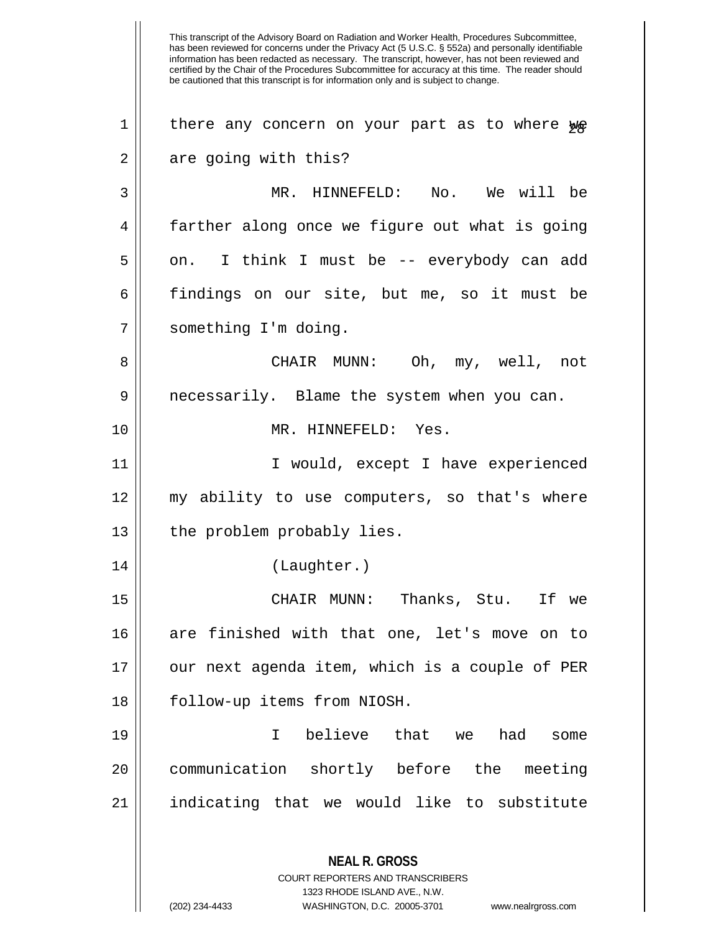This transcript of the Advisory Board on Radiation and Worker Health, Procedures Subcommittee, has been reviewed for concerns under the Privacy Act (5 U.S.C. § 552a) and personally identifiable information has been redacted as necessary. The transcript, however, has not been reviewed and certified by the Chair of the Procedures Subcommittee for accuracy at this time. The reader should be cautioned that this transcript is for information only and is subject to change. **NEAL R. GROSS**  $1$  there any concern on your part as to where we  $2 \parallel$  are going with this? 3 MR. HINNEFELD: No. We will be 4 farther along once we figure out what is going  $5 \parallel$  on. I think I must be -- everybody can add 6 findings on our site, but me, so it must be 7 | something I'm doing. 8 CHAIR MUNN: Oh, my, well, not 9 necessarily. Blame the system when you can. 10 MR. HINNEFELD: Yes. 11 || Twould, except I have experienced 12 || my ability to use computers, so that's where 13 || the problem probably lies. 14 (Laughter.) 15 CHAIR MUNN: Thanks, Stu. If we 16 || are finished with that one, let's move on to 17 || our next agenda item, which is a couple of PER 18 | follow-up items from NIOSH. 19 I believe that we had some 20 communication shortly before the meeting  $21$  indicating that we would like to substitute

> COURT REPORTERS AND TRANSCRIBERS 1323 RHODE ISLAND AVE., N.W.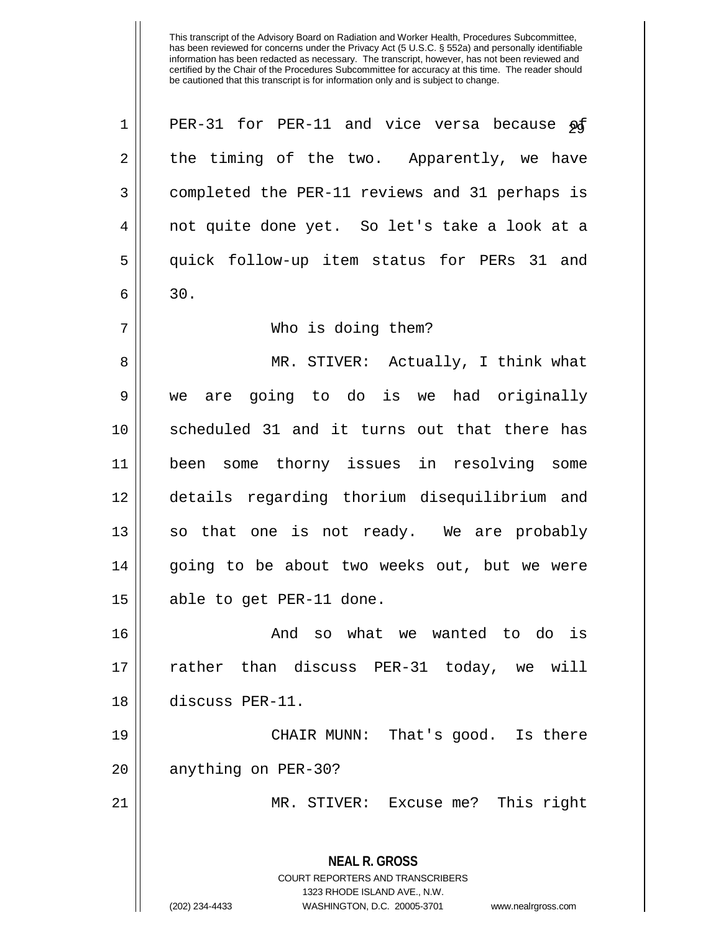**NEAL R. GROSS** COURT REPORTERS AND TRANSCRIBERS 1323 RHODE ISLAND AVE., N.W. (202) 234-4433 WASHINGTON, D.C. 20005-3701 www.nealrgross.com  $1$  PER-31 for PER-11 and vice versa because  $\mathfrak{g}$  $2 \parallel$  the timing of the two. Apparently, we have 3 completed the PER-11 reviews and 31 perhaps is 4 not quite done yet. So let's take a look at a 5 quick follow-up item status for PERs 31 and  $6 \parallel 30.$ 7 Who is doing them? 8 MR. STIVER: Actually, I think what 9 we are going to do is we had originally 10 scheduled 31 and it turns out that there has 11 been some thorny issues in resolving some 12 details regarding thorium disequilibrium and 13 || so that one is not ready. We are probably 14 || going to be about two weeks out, but we were 15 || able to get PER-11 done. 16 And so what we wanted to do is 17 rather than discuss PER-31 today, we will 18 discuss PER-11. 19 CHAIR MUNN: That's good. Is there 20 || anything on PER-30? 21 || MR. STIVER: Excuse me? This right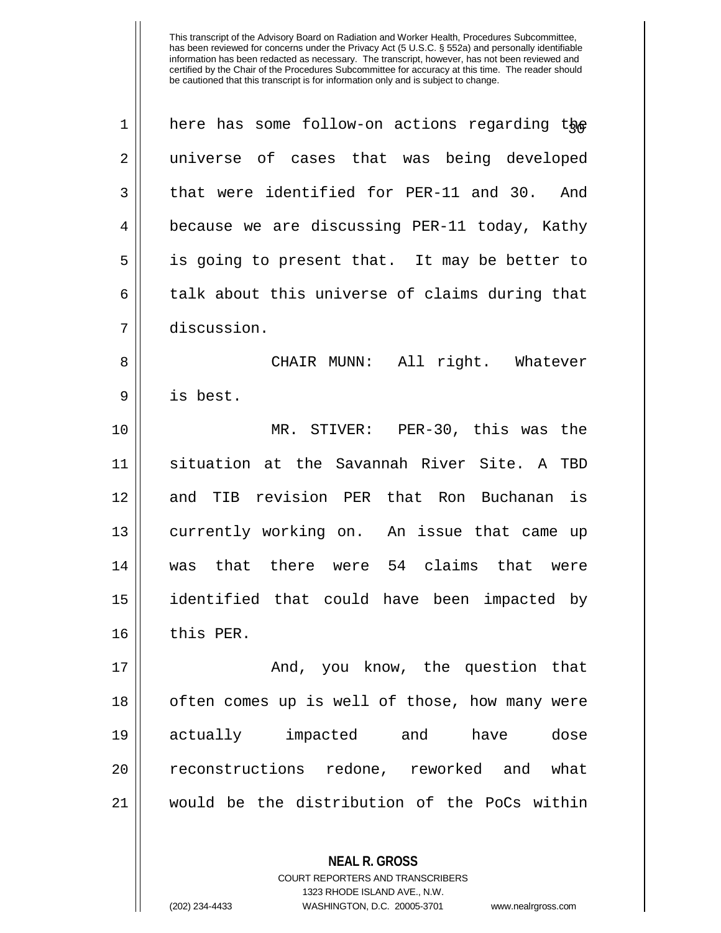| $\mathbf 1$ | here has some follow-on actions regarding the  |
|-------------|------------------------------------------------|
| 2           | universe of cases that was being developed     |
| 3           | that were identified for PER-11 and 30. And    |
| 4           | because we are discussing PER-11 today, Kathy  |
| 5           | is going to present that. It may be better to  |
| 6           | talk about this universe of claims during that |
| 7           | discussion.                                    |
| 8           | CHAIR MUNN: All right. Whatever                |
| 9           | is best.                                       |
| 10          | MR. STIVER: PER-30, this was the               |
| 11          | situation at the Savannah River Site. A TBD    |
| 12          | and TIB revision PER that Ron Buchanan is      |
| 13          | currently working on. An issue that came up    |
| 14          | was that there were 54 claims that were        |
| 15          | identified that could have been impacted by    |
| 16          | this PER.                                      |
| 17          | And, you know, the question that               |
| 18          | often comes up is well of those, how many were |
| 19          | actually impacted and<br>dose<br>have          |
| 20          | reconstructions redone, reworked and what      |
| 21          | would be the distribution of the PoCs within   |
|             |                                                |

**NEAL R. GROSS** COURT REPORTERS AND TRANSCRIBERS 1323 RHODE ISLAND AVE., N.W.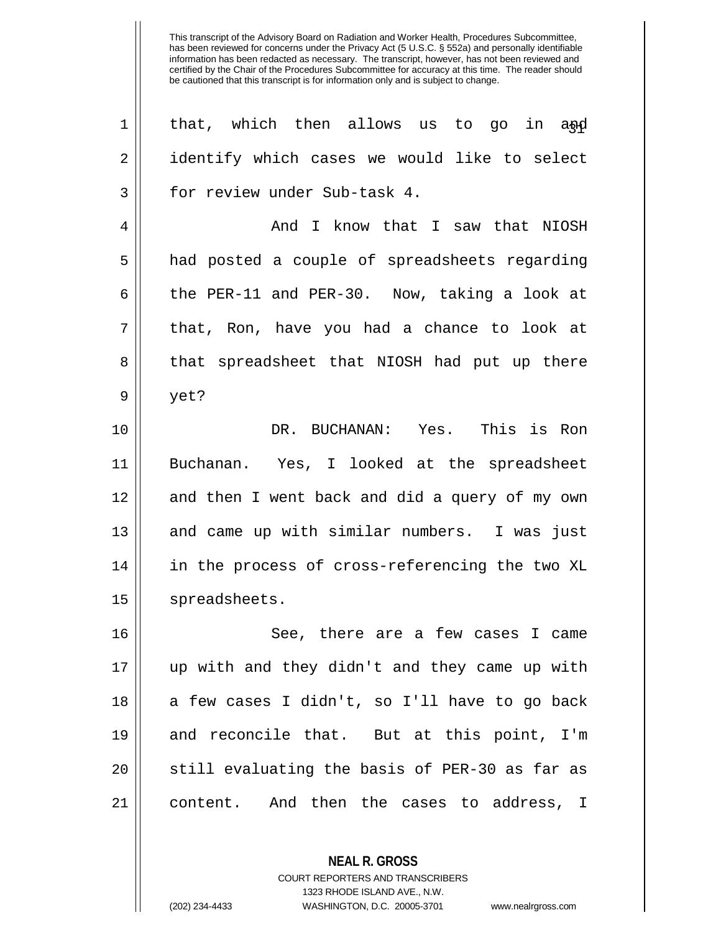| $\mathbf 1$ | that, which then allows us to go<br>in and     |
|-------------|------------------------------------------------|
| 2           | identify which cases we would like to select   |
| 3           | for review under Sub-task 4.                   |
| 4           | And I know that I saw that NIOSH               |
| 5           | had posted a couple of spreadsheets regarding  |
| 6           | the PER-11 and PER-30. Now, taking a look at   |
| 7           | that, Ron, have you had a chance to look at    |
| 8           | that spreadsheet that NIOSH had put up there   |
| 9           | yet?                                           |
| 10          | DR. BUCHANAN: Yes. This is Ron                 |
| 11          | Buchanan. Yes, I looked at the spreadsheet     |
| 12          | and then I went back and did a query of my own |
| 13          | and came up with similar numbers. I was just   |
| 14          | in the process of cross-referencing the two XL |
| 15          | spreadsheets.                                  |
| 16          | See, there are a few cases I came              |
| 17          | up with and they didn't and they came up with  |
| 18          | a few cases I didn't, so I'll have to go back  |
| 19          | and reconcile that. But at this point, I'm     |
| 20          | still evaluating the basis of PER-30 as far as |
| 21          | content. And then the cases to address, I      |
|             |                                                |

1323 RHODE ISLAND AVE., N.W.

**NEAL R. GROSS** COURT REPORTERS AND TRANSCRIBERS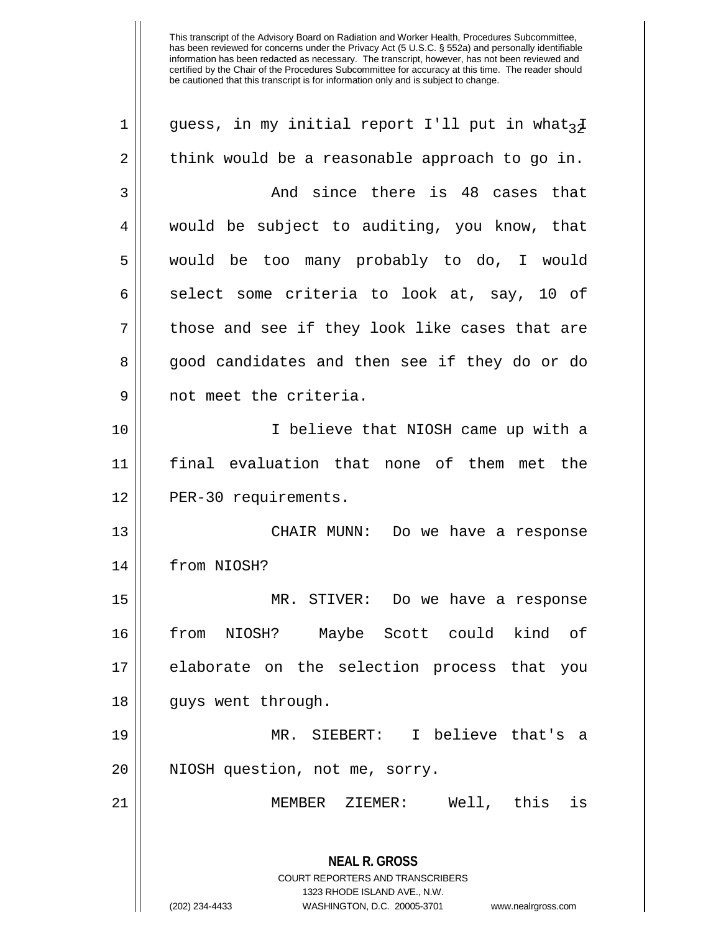**NEAL R. GROSS** COURT REPORTERS AND TRANSCRIBERS 1323 RHODE ISLAND AVE., N.W. (202) 234-4433 WASHINGTON, D.C. 20005-3701 www.nealrgross.com 1 || quess, in my initial report I'll put in what<sub>3</sub>I  $2 \parallel$  think would be a reasonable approach to go in.  $3 \parallel$  . And since there is  $48$  cases that 4 would be subject to auditing, you know, that 5 would be too many probably to do, I would 6 select some criteria to look at, say, 10 of  $7 \parallel$  those and see if they look like cases that are 8 good candidates and then see if they do or do 9 || not meet the criteria. 10 I believe that NIOSH came up with a 11 final evaluation that none of them met the 12 | PER-30 requirements. 13 CHAIR MUNN: Do we have a response 14 from NIOSH? 15 MR. STIVER: Do we have a response 16 from NIOSH? Maybe Scott could kind of 17 elaborate on the selection process that you 18 || guys went through. 19 MR. SIEBERT: I believe that's a 20 || NIOSH question, not me, sorry. 21 MEMBER ZIEMER: Well, this is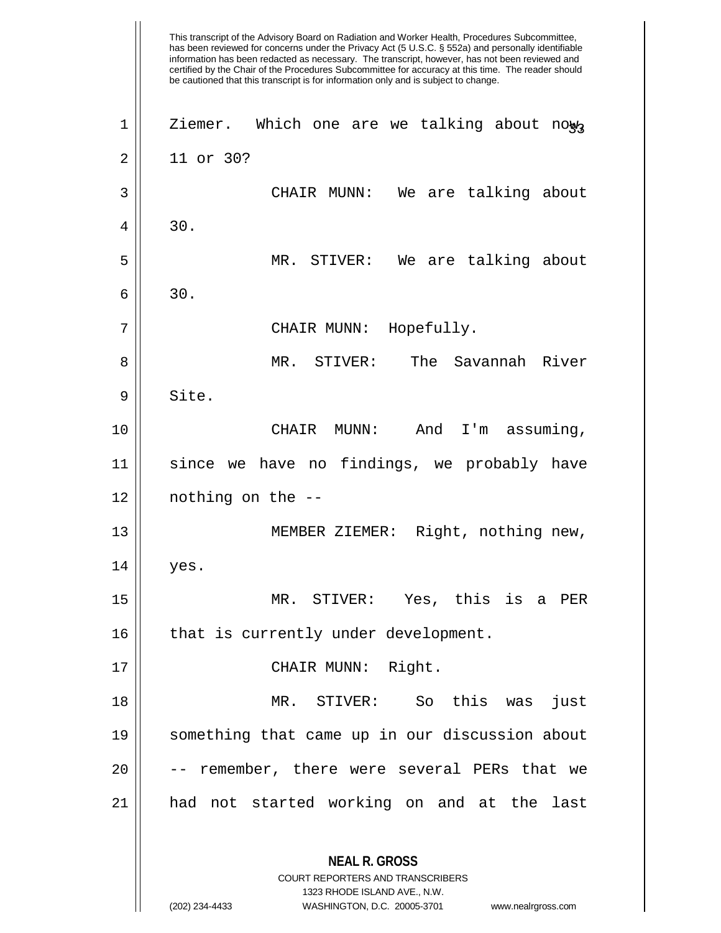This transcript of the Advisory Board on Radiation and Worker Health, Procedures Subcommittee, has been reviewed for concerns under the Privacy Act (5 U.S.C. § 552a) and personally identifiable information has been redacted as necessary. The transcript, however, has not been reviewed and certified by the Chair of the Procedures Subcommittee for accuracy at this time. The reader should be cautioned that this transcript is for information only and is subject to change. **NEAL R. GROSS** COURT REPORTERS AND TRANSCRIBERS 1323 RHODE ISLAND AVE., N.W.  $1 \parallel$  Ziemer. Which one are we talking about now, 2 11 or 30? 3 CHAIR MUNN: We are talking about  $4 \parallel 30.$ 5 MR. STIVER: We are talking about  $6 \parallel 30.$ 7 CHAIR MUNN: Hopefully. 8 MR. STIVER: The Savannah River 9 | Site. 10 CHAIR MUNN: And I'm assuming, 11 since we have no findings, we probably have 12 nothing on the -- 13 MEMBER ZIEMER: Right, nothing new,  $14 \parallel$  yes. 15 MR. STIVER: Yes, this is a PER 16 | that is currently under development. 17 || CHAIR MUNN: Right. 18 MR. STIVER: So this was just 19 something that came up in our discussion about  $20$   $\vert$  -- remember, there were several PERs that we 21 had not started working on and at the last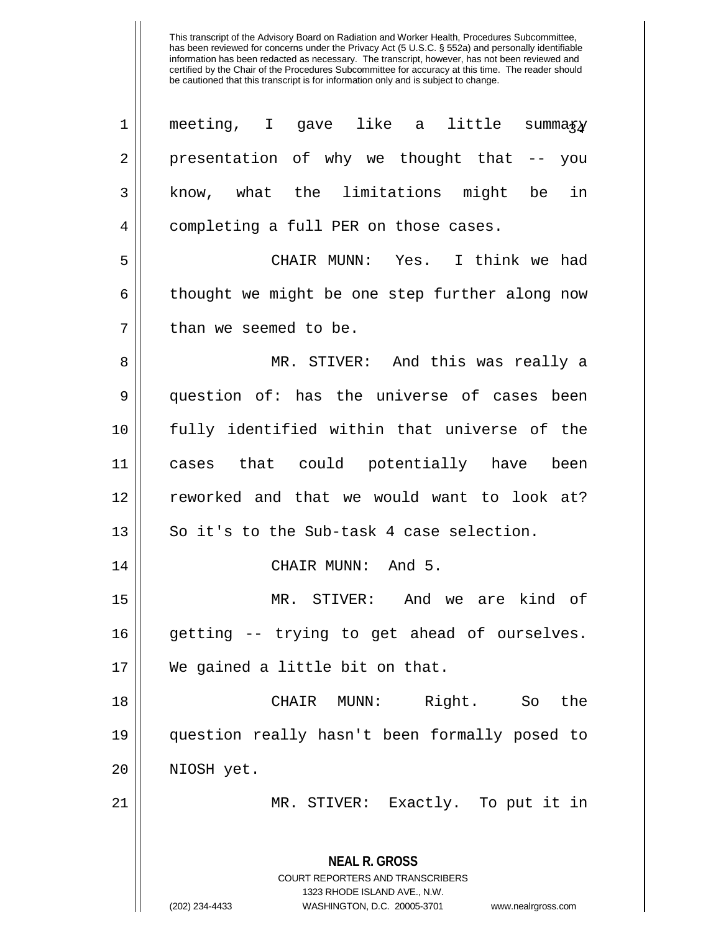| $\mathbf 1$    | meeting, I gave like a little summa $xy$                                                                                                                               |
|----------------|------------------------------------------------------------------------------------------------------------------------------------------------------------------------|
| $\overline{2}$ | presentation of why we thought that -- you                                                                                                                             |
| $\mathfrak{Z}$ | know, what the limitations might be<br>in                                                                                                                              |
| 4              | completing a full PER on those cases.                                                                                                                                  |
| 5              | CHAIR MUNN: Yes. I think we had                                                                                                                                        |
| 6              | thought we might be one step further along now                                                                                                                         |
| 7              | than we seemed to be.                                                                                                                                                  |
| 8              | MR. STIVER: And this was really a                                                                                                                                      |
| 9              | question of: has the universe of cases been                                                                                                                            |
| 10             | fully identified within that universe of the                                                                                                                           |
| 11             | cases that could potentially have been                                                                                                                                 |
| 12             | reworked and that we would want to look at?                                                                                                                            |
| 13             | So it's to the Sub-task 4 case selection.                                                                                                                              |
| 14             | CHAIR MUNN: And 5.                                                                                                                                                     |
| 15             | MR. STIVER: And we are kind of                                                                                                                                         |
| 16             | getting -- trying to get ahead of ourselves.                                                                                                                           |
| 17             | We gained a little bit on that.                                                                                                                                        |
| 18             | Right.<br>CHAIR<br>MUNN:<br>So<br>the                                                                                                                                  |
| 19             | question really hasn't been formally posed to                                                                                                                          |
| 20             | NIOSH yet.                                                                                                                                                             |
| 21             | MR. STIVER: Exactly. To put it in                                                                                                                                      |
|                | <b>NEAL R. GROSS</b><br><b>COURT REPORTERS AND TRANSCRIBERS</b><br>1323 RHODE ISLAND AVE., N.W.<br>(202) 234-4433<br>WASHINGTON, D.C. 20005-3701<br>www.nealrgross.com |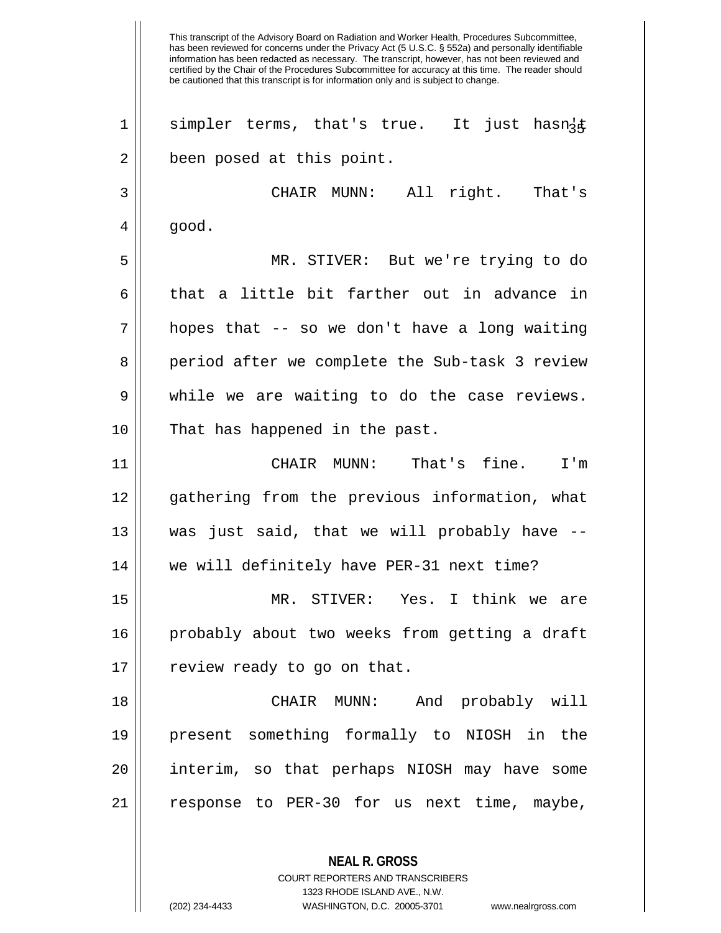This transcript of the Advisory Board on Radiation and Worker Health, Procedures Subcommittee, has been reviewed for concerns under the Privacy Act (5 U.S.C. § 552a) and personally identifiable information has been redacted as necessary. The transcript, however, has not been reviewed and certified by the Chair of the Procedures Subcommittee for accuracy at this time. The reader should be cautioned that this transcript is for information only and is subject to change. 1 || simpler terms, that's true. It just hasn{t 2 | been posed at this point. 3 CHAIR MUNN: All right. That's  $4 \parallel$  good. 5 MR. STIVER: But we're trying to do 6 that a little bit farther out in advance in  $7 ||$  hopes that -- so we don't have a long waiting 8 || period after we complete the Sub-task 3 review  $9 \parallel$  while we are waiting to do the case reviews. 10 || That has happened in the past. 11 CHAIR MUNN: That's fine. I'm 12 gathering from the previous information, what 13 was just said, that we will probably have -- 14 we will definitely have PER-31 next time? 15 MR. STIVER: Yes. I think we are 16 probably about two weeks from getting a draft 17 || review ready to go on that. 18 CHAIR MUNN: And probably will 19 present something formally to NIOSH in the 20 interim, so that perhaps NIOSH may have some 21 || response to PER-30 for us next time, maybe,

> **NEAL R. GROSS** COURT REPORTERS AND TRANSCRIBERS 1323 RHODE ISLAND AVE., N.W.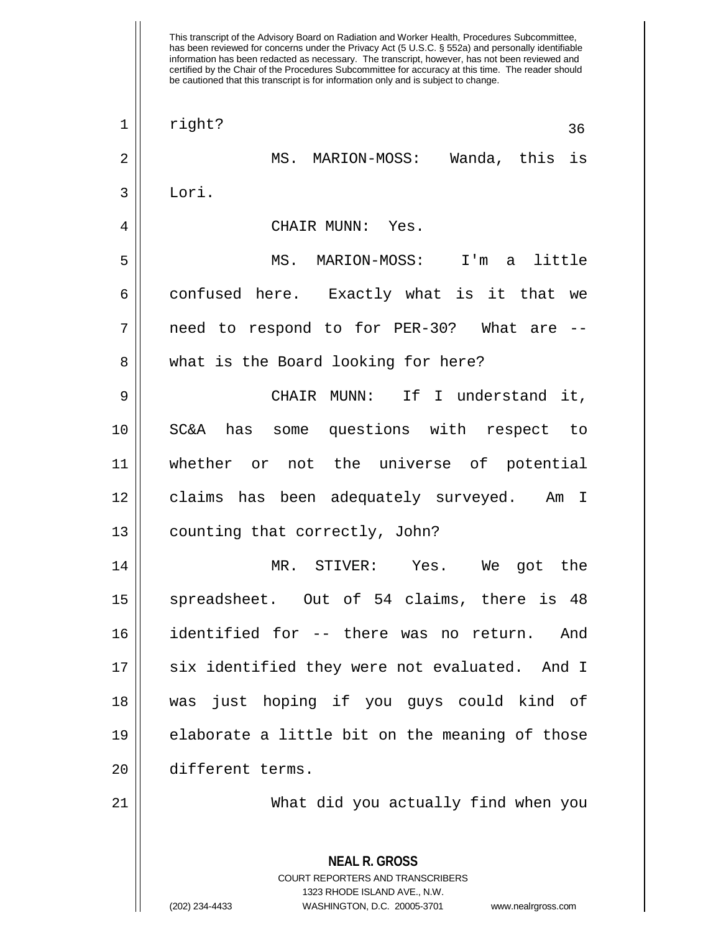| $\mathbf 1$ | right?<br>36                                             |
|-------------|----------------------------------------------------------|
| $\mathbf 2$ | MS. MARION-MOSS: Wanda, this is                          |
| 3           | Lori.                                                    |
| 4           | CHAIR MUNN: Yes.                                         |
| 5           | MS. MARION-MOSS: I'm a little                            |
| 6           | confused here. Exactly what is it that we                |
| 7           | need to respond to for PER-30? What are                  |
| 8           | what is the Board looking for here?                      |
| 9           | CHAIR MUNN: If I understand it,                          |
| 10          | SC&A has some questions with respect to                  |
| 11          | whether or not the universe of potential                 |
| 12          | claims has been adequately surveyed. Am I                |
| 13          | counting that correctly, John?                           |
| 14          | MR. STIVER: Yes. We got the                              |
| 15          | spreadsheet. Out of 54 claims, there is 48               |
| 16          | identified for -- there was no return. And               |
| 17          | six identified they were not evaluated. And I            |
| 18          | just hoping if you guys could kind of<br>was             |
| 19          | elaborate a little bit on the meaning of those           |
| 20          | different terms.                                         |
| 21          | What did you actually find when you                      |
|             |                                                          |
|             | <b>NEAL R. GROSS</b><br>COURT REPORTERS AND TRANSCRIBERS |

1323 RHODE ISLAND AVE., N.W.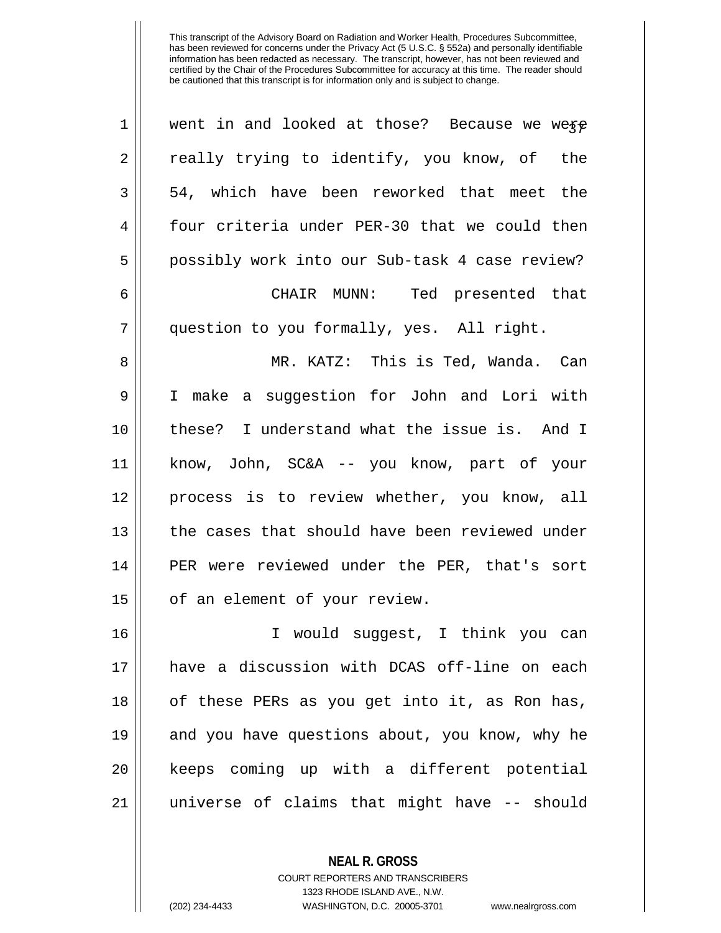| 1            | went in and looked at those? Because we were   |
|--------------|------------------------------------------------|
| 2            | really trying to identify, you know, of the    |
| $\mathbf{3}$ | 54, which have been reworked that meet the     |
| 4            | four criteria under PER-30 that we could then  |
| 5            | possibly work into our Sub-task 4 case review? |
| 6            | CHAIR MUNN: Ted presented that                 |
| 7            | question to you formally, yes. All right.      |
| 8            | MR. KATZ: This is Ted, Wanda. Can              |
| $\mathsf 9$  | I make a suggestion for John and Lori with     |
| 10           | these? I understand what the issue is. And I   |
| 11           | know, John, SC&A -- you know, part of your     |
| 12           | process is to review whether, you know, all    |
| 13           | the cases that should have been reviewed under |
| 14           | PER were reviewed under the PER, that's sort   |
| 15           | of an element of your review.                  |
| 16           | I would suggest, I think you can               |
| 17           | have a discussion with DCAS off-line on each   |
| 18           | of these PERs as you get into it, as Ron has,  |
| 19           | and you have questions about, you know, why he |
| 20           | keeps coming up with a different potential     |
| 21           | universe of claims that might have -- should   |

**NEAL R. GROSS** COURT REPORTERS AND TRANSCRIBERS

1323 RHODE ISLAND AVE., N.W.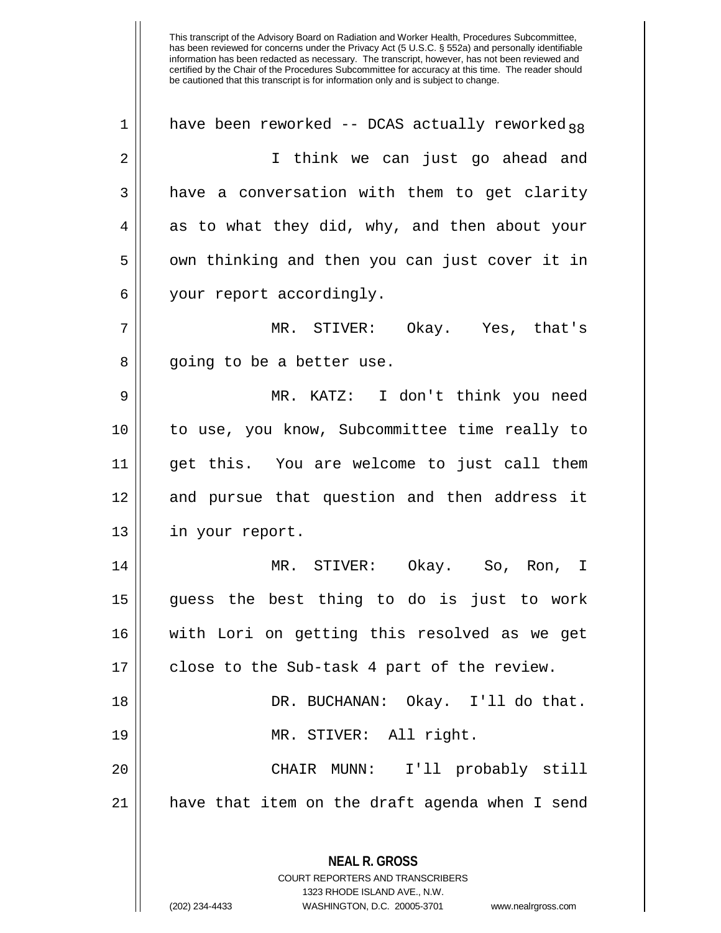**NEAL R. GROSS** 1 | have been reworked -- DCAS actually reworked.38 2 I think we can just go ahead and  $3 \parallel$  have a conversation with them to get clarity  $4 \parallel$  as to what they did, why, and then about your  $5 \parallel$  own thinking and then you can just cover it in 6 | your report accordingly. 7 MR. STIVER: Okay. Yes, that's 8 || going to be a better use. 9 MR. KATZ: I don't think you need 10 to use, you know, Subcommittee time really to 11 get this. You are welcome to just call them 12 || and pursue that question and then address it 13 || in your report. 14 MR. STIVER: Okay. So, Ron, I 15 guess the best thing to do is just to work 16 with Lori on getting this resolved as we get 17 || close to the Sub-task 4 part of the review. 18 DR. BUCHANAN: Okay. I'll do that. 19 MR. STIVER: All right. 20 CHAIR MUNN: I'll probably still  $21$  | have that item on the draft agenda when I send

COURT REPORTERS AND TRANSCRIBERS 1323 RHODE ISLAND AVE., N.W. (202) 234-4433 WASHINGTON, D.C. 20005-3701 www.nealrgross.com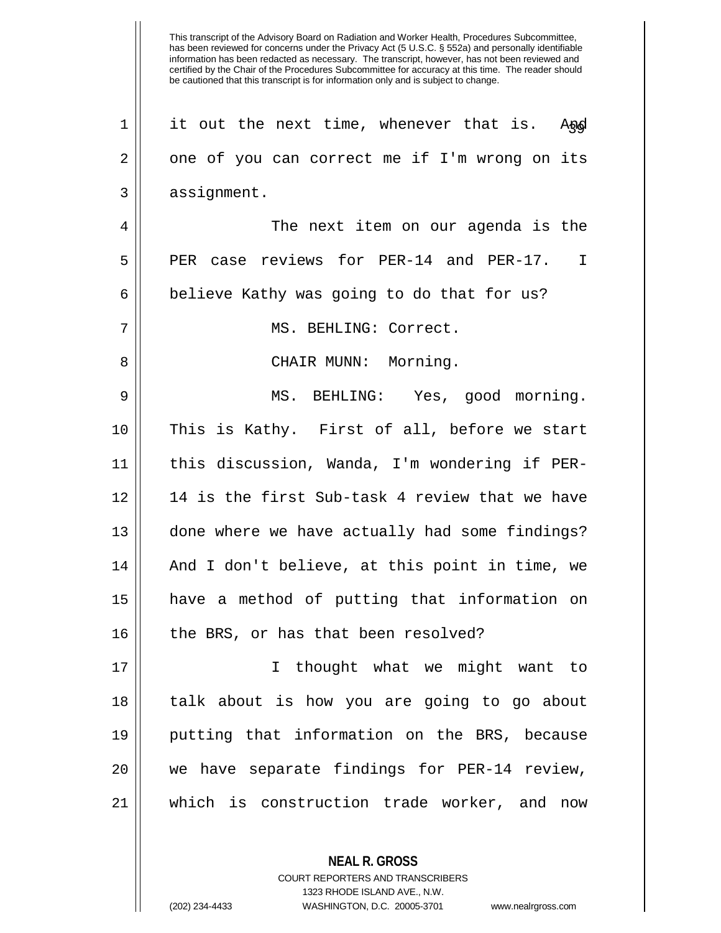|    | This transcript of the Advisory Board on Radiation and Worker Health, Procedures Subcommittee,<br>has been reviewed for concerns under the Privacy Act (5 U.S.C. § 552a) and personally identifiable<br>information has been redacted as necessary. The transcript, however, has not been reviewed and<br>certified by the Chair of the Procedures Subcommittee for accuracy at this time. The reader should<br>be cautioned that this transcript is for information only and is subject to change. |
|----|-----------------------------------------------------------------------------------------------------------------------------------------------------------------------------------------------------------------------------------------------------------------------------------------------------------------------------------------------------------------------------------------------------------------------------------------------------------------------------------------------------|
| 1  | it out the next time, whenever that is.<br>Angl                                                                                                                                                                                                                                                                                                                                                                                                                                                     |
| 2  | one of you can correct me if I'm wrong on its                                                                                                                                                                                                                                                                                                                                                                                                                                                       |
| 3  | assignment.                                                                                                                                                                                                                                                                                                                                                                                                                                                                                         |
| 4  | The next item on our agenda is the                                                                                                                                                                                                                                                                                                                                                                                                                                                                  |
| 5  | reviews for PER-14 and PER-17.<br>PER<br>T<br>case                                                                                                                                                                                                                                                                                                                                                                                                                                                  |
| 6  | believe Kathy was going to do that for us?                                                                                                                                                                                                                                                                                                                                                                                                                                                          |
| 7  | MS. BEHLING: Correct.                                                                                                                                                                                                                                                                                                                                                                                                                                                                               |
| 8  | CHAIR MUNN:<br>Morning.                                                                                                                                                                                                                                                                                                                                                                                                                                                                             |
| 9  | MS. BEHLING: Yes, good morning.                                                                                                                                                                                                                                                                                                                                                                                                                                                                     |
| 10 | This is Kathy. First of all, before we start                                                                                                                                                                                                                                                                                                                                                                                                                                                        |
| 11 | this discussion, Wanda, I'm wondering if PER-                                                                                                                                                                                                                                                                                                                                                                                                                                                       |
| 12 | 14 is the first Sub-task 4 review that we have                                                                                                                                                                                                                                                                                                                                                                                                                                                      |
| 13 | done where we have actually had some findings?                                                                                                                                                                                                                                                                                                                                                                                                                                                      |
| 14 | And I don't believe, at this point in time, we                                                                                                                                                                                                                                                                                                                                                                                                                                                      |
| 15 | have a method of putting that information on                                                                                                                                                                                                                                                                                                                                                                                                                                                        |
| 16 | the BRS, or has that been resolved?                                                                                                                                                                                                                                                                                                                                                                                                                                                                 |
| 17 | I thought what we might want to                                                                                                                                                                                                                                                                                                                                                                                                                                                                     |
| 18 | talk about is how you are going to go about                                                                                                                                                                                                                                                                                                                                                                                                                                                         |
| 19 | putting that information on the BRS, because                                                                                                                                                                                                                                                                                                                                                                                                                                                        |
| 20 | we have separate findings for PER-14 review,                                                                                                                                                                                                                                                                                                                                                                                                                                                        |
| 21 | which is construction trade worker, and now                                                                                                                                                                                                                                                                                                                                                                                                                                                         |
|    |                                                                                                                                                                                                                                                                                                                                                                                                                                                                                                     |

COURT REPORTERS AND TRANSCRIBERS 1323 RHODE ISLAND AVE., N.W. (202) 234-4433 WASHINGTON, D.C. 20005-3701 www.nealrgross.com

**NEAL R. GROSS**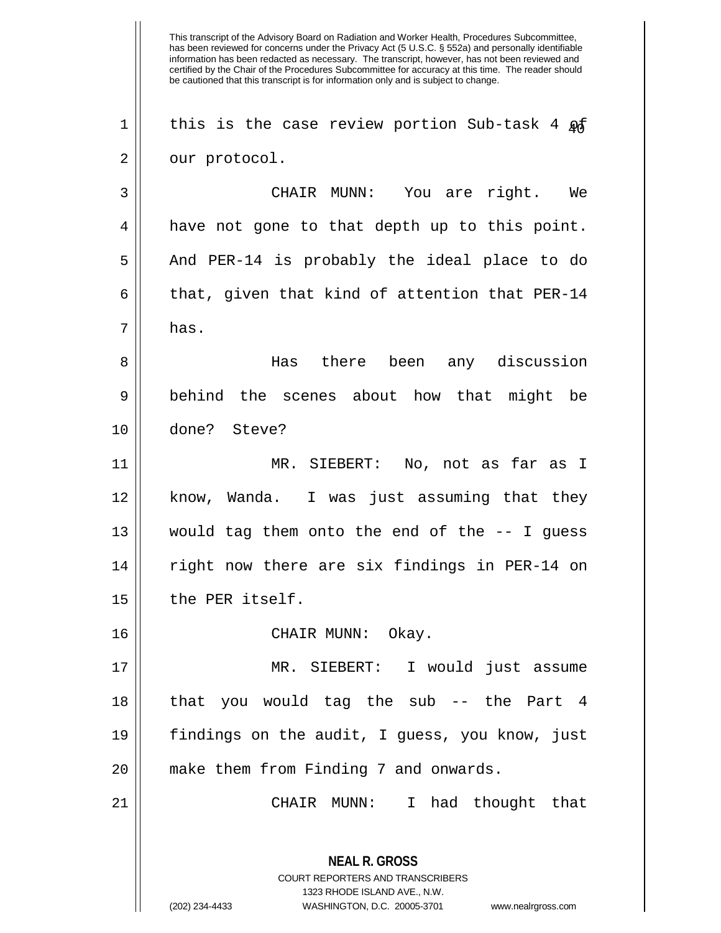This transcript of the Advisory Board on Radiation and Worker Health, Procedures Subcommittee, has been reviewed for concerns under the Privacy Act (5 U.S.C. § 552a) and personally identifiable information has been redacted as necessary. The transcript, however, has not been reviewed and certified by the Chair of the Procedures Subcommittee for accuracy at this time. The reader should be cautioned that this transcript is for information only and is subject to change. **NEAL R. GROSS** COURT REPORTERS AND TRANSCRIBERS 1323 RHODE ISLAND AVE., N.W. 1 || this is the case review portion Sub-task 4  $\mathfrak{g}$ 2 || our protocol. 3 CHAIR MUNN: You are right. We  $4 \parallel$  have not gone to that depth up to this point. 5 || And PER-14 is probably the ideal place to do 6  $\parallel$  that, given that kind of attention that PER-14  $7 \parallel$  has. 8 Has there been any discussion 9 behind the scenes about how that might be 10 done? Steve? 11 MR. SIEBERT: No, not as far as I 12 know, Wanda. I was just assuming that they 13 would tag them onto the end of the -- I guess 14 || right now there are six findings in PER-14 on 15 | the PER itself. 16 CHAIR MUNN: Okay. 17 MR. SIEBERT: I would just assume 18 || that you would tag the sub -- the Part 4 19 findings on the audit, I guess, you know, just 20 || make them from Finding 7 and onwards. 21 CHAIR MUNN: I had thought that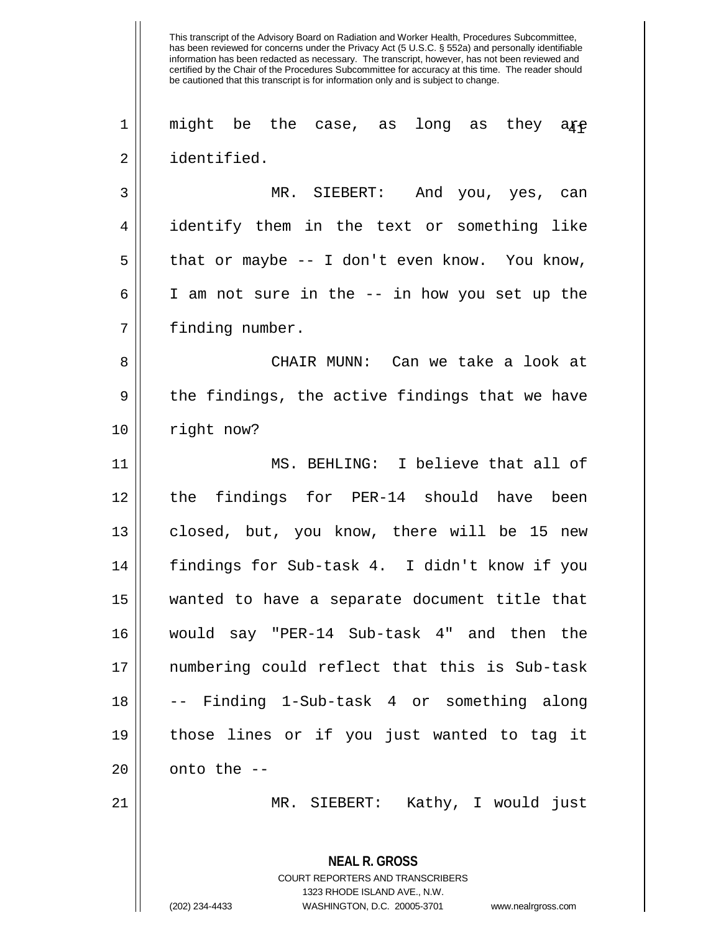This transcript of the Advisory Board on Radiation and Worker Health, Procedures Subcommittee, has been reviewed for concerns under the Privacy Act (5 U.S.C. § 552a) and personally identifiable information has been redacted as necessary. The transcript, however, has not been reviewed and certified by the Chair of the Procedures Subcommittee for accuracy at this time. The reader should be cautioned that this transcript is for information only and is subject to change. **NEAL R. GROSS** COURT REPORTERS AND TRANSCRIBERS 1323 RHODE ISLAND AVE., N.W.  $1$   $\parallel$  <code>might be the case, as long as they a</sup>ff  $\parallel$ </code> 2 identified. 3 MR. SIEBERT: And you, yes, can 4 identify them in the text or something like  $5 \parallel$  that or maybe -- I don't even know. You know, 6 I am not sure in the -- in how you set up the 7 | finding number. 8 CHAIR MUNN: Can we take a look at  $9 \parallel$  the findings, the active findings that we have 10 || right now? 11 MS. BEHLING: I believe that all of 12 || the findings for PER-14 should have been 13 || closed, but, you know, there will be 15 new 14 findings for Sub-task 4. I didn't know if you 15 wanted to have a separate document title that 16 would say "PER-14 Sub-task 4" and then the 17 numbering could reflect that this is Sub-task 18 -- Finding 1-Sub-task 4 or something along 19 those lines or if you just wanted to tag it  $20$  | onto the  $-$ 21 MR. SIEBERT: Kathy, I would just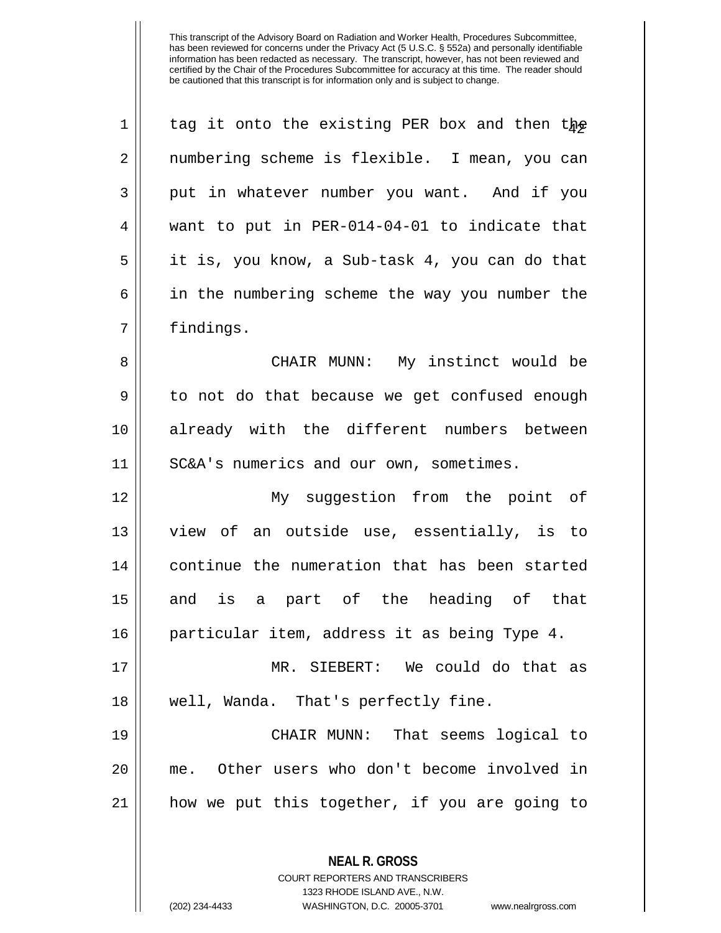| $\mathbf 1$    | tag it onto the existing PER box and then the  |
|----------------|------------------------------------------------|
| $\overline{2}$ | numbering scheme is flexible. I mean, you can  |
| 3              | put in whatever number you want. And if you    |
| 4              | want to put in PER-014-04-01 to indicate that  |
| 5              | it is, you know, a Sub-task 4, you can do that |
| 6              | in the numbering scheme the way you number the |
| 7              | findings.                                      |
| 8              | CHAIR MUNN: My instinct would be               |
| 9              | to not do that because we get confused enough  |
| 10             | already with the different numbers between     |
| 11             | SC&A's numerics and our own, sometimes.        |
|                |                                                |
|                | My suggestion from the point of                |
| 12<br>13       | view of an outside use, essentially, is to     |
| 14             | continue the numeration that has been started  |
| 15             | and is a part of the heading of that           |
| 16             | particular item, address it as being Type 4.   |
| 17             | MR. SIEBERT: We could do that as               |
|                | well, Wanda. That's perfectly fine.            |
| 18<br>19       | CHAIR MUNN: That seems logical to              |
|                | me. Other users who don't become involved in   |
| 20<br>21       | how we put this together, if you are going to  |

**NEAL R. GROSS** COURT REPORTERS AND TRANSCRIBERS 1323 RHODE ISLAND AVE., N.W.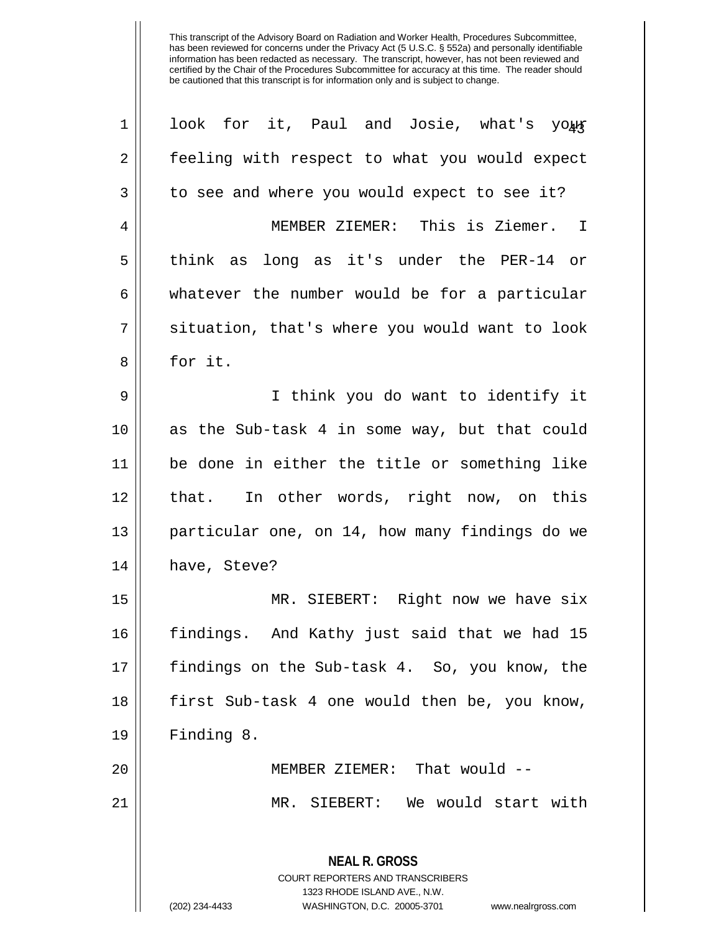| $\mathbf 1$    | look for it, Paul and Josie, what's your                            |
|----------------|---------------------------------------------------------------------|
| $\overline{2}$ | feeling with respect to what you would expect                       |
| $\mathbf{3}$   | to see and where you would expect to see it?                        |
| 4              | MEMBER ZIEMER: This is Ziemer. I                                    |
| 5              | think as long as it's under the PER-14 or                           |
| 6              | whatever the number would be for a particular                       |
| 7              | situation, that's where you would want to look                      |
| 8              | for it.                                                             |
| 9              | I think you do want to identify it                                  |
| 10             | as the Sub-task 4 in some way, but that could                       |
| 11             | be done in either the title or something like                       |
| 12             | that. In other words, right now, on this                            |
| 13             | particular one, on 14, how many findings do we                      |
| 14             | have, Steve?                                                        |
| 15             | MR. SIEBERT: Right now we have six                                  |
| 16             | findings. And Kathy just said that we had 15                        |
| 17             | findings on the Sub-task 4. So, you know, the                       |
| 18             | first Sub-task 4 one would then be, you know,                       |
| 19             | Finding 8.                                                          |
| 20             | MEMBER ZIEMER: That would --                                        |
| 21             | MR. SIEBERT: We would start with                                    |
|                |                                                                     |
|                | <b>NEAL R. GROSS</b><br><b>COURT REPORTERS AND TRANSCRIBERS</b>     |
|                | 1323 RHODE ISLAND AVE., N.W.                                        |
|                | (202) 234-4433<br>WASHINGTON, D.C. 20005-3701<br>www.nealrgross.com |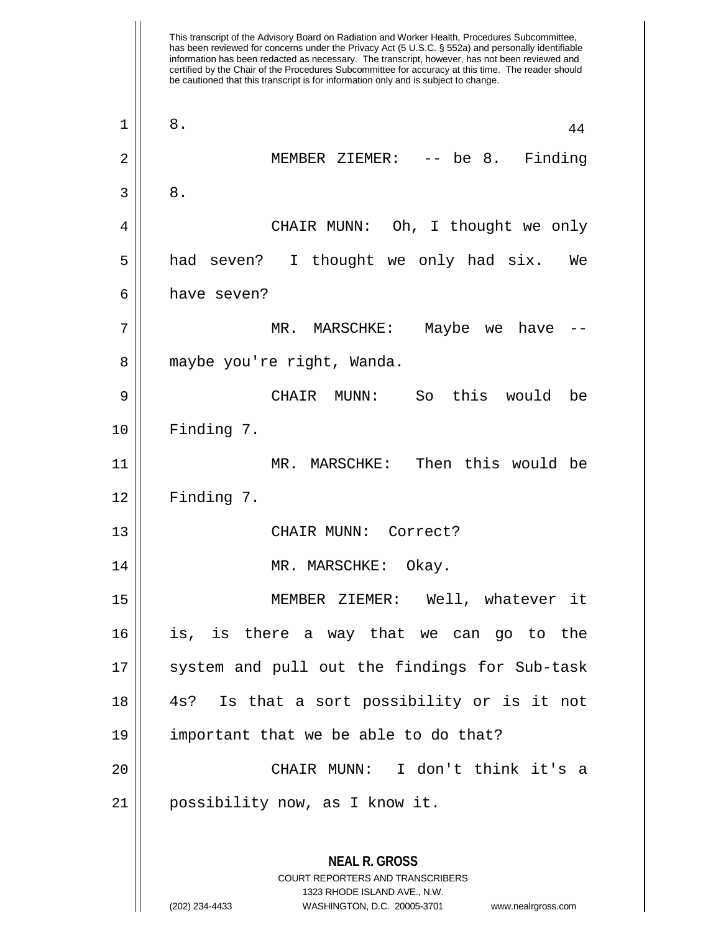This transcript of the Advisory Board on Radiation and Worker Health, Procedures Subcommittee, has been reviewed for concerns under the Privacy Act (5 U.S.C. § 552a) and personally identifiable information has been redacted as necessary. The transcript, however, has not been reviewed and certified by the Chair of the Procedures Subcommittee for accuracy at this time. The reader should be cautioned that this transcript is for information only and is subject to change. **NEAL R. GROSS** COURT REPORTERS AND TRANSCRIBERS 1323 RHODE ISLAND AVE., N.W.  $\begin{array}{|c|c|c|c|c|}\n1 & 8 & 44 \\
\hline\n\end{array}$ 2 MEMBER ZIEMER: -- be 8. Finding  $3 \parallel 8$ . 4 CHAIR MUNN: Oh, I thought we only 5 had seven? I thought we only had six. We 6 have seven? 7 MR. MARSCHKE: Maybe we have -- 8 | maybe you're right, Wanda. 9 CHAIR MUNN: So this would be 10 | Finding 7. 11 MR. MARSCHKE: Then this would be  $12 \parallel$  Finding 7. 13 || CHAIR MUNN: Correct? 14 || MR. MARSCHKE: Okay. 15 MEMBER ZIEMER: Well, whatever it 16 is, is there a way that we can go to the 17 || system and pull out the findings for Sub-task 18 4s? Is that a sort possibility or is it not 19 important that we be able to do that? 20 CHAIR MUNN: I don't think it's a 21 possibility now, as I know it.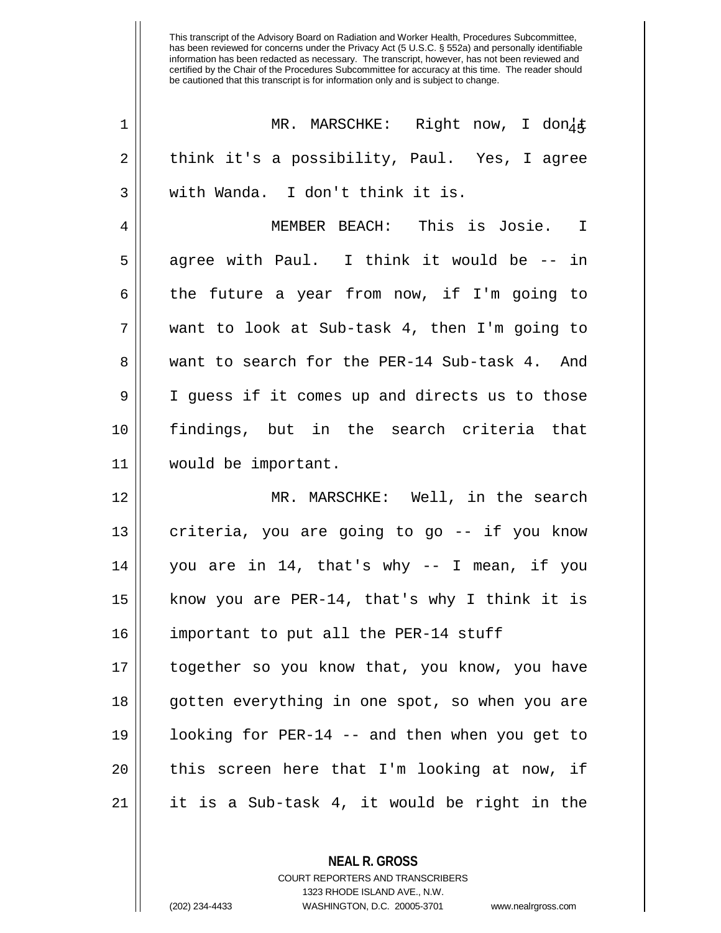| $\mathbf 1$ | MR. MARSCHKE: Right now, I don4&               |
|-------------|------------------------------------------------|
| 2           | think it's a possibility, Paul. Yes, I agree   |
| 3           | with Wanda. I don't think it is.               |
| 4           | MEMBER BEACH: This is Josie. I                 |
| 5           | agree with Paul. I think it would be -- in     |
| 6           | the future a year from now, if I'm going to    |
| 7           | want to look at Sub-task 4, then I'm going to  |
| 8           | want to search for the PER-14 Sub-task 4. And  |
| 9           | I guess if it comes up and directs us to those |
| 10          | findings, but in the search criteria that      |
| 11          | would be important.                            |
| 12          | MR. MARSCHKE: Well, in the search              |
| 13          | criteria, you are going to go -- if you know   |
| 14          | you are in 14, that's why -- I mean, if you    |
| 15          | know you are PER-14, that's why I think it is  |
| 16          | important to put all the PER-14 stuff          |
| 17          | together so you know that, you know, you have  |
| 18          | gotten everything in one spot, so when you are |
| 19          | looking for PER-14 -- and then when you get to |
| 20          | this screen here that I'm looking at now, if   |
| 21          | it is a Sub-task 4, it would be right in the   |

COURT REPORTERS AND TRANSCRIBERS 1323 RHODE ISLAND AVE., N.W.

**NEAL R. GROSS**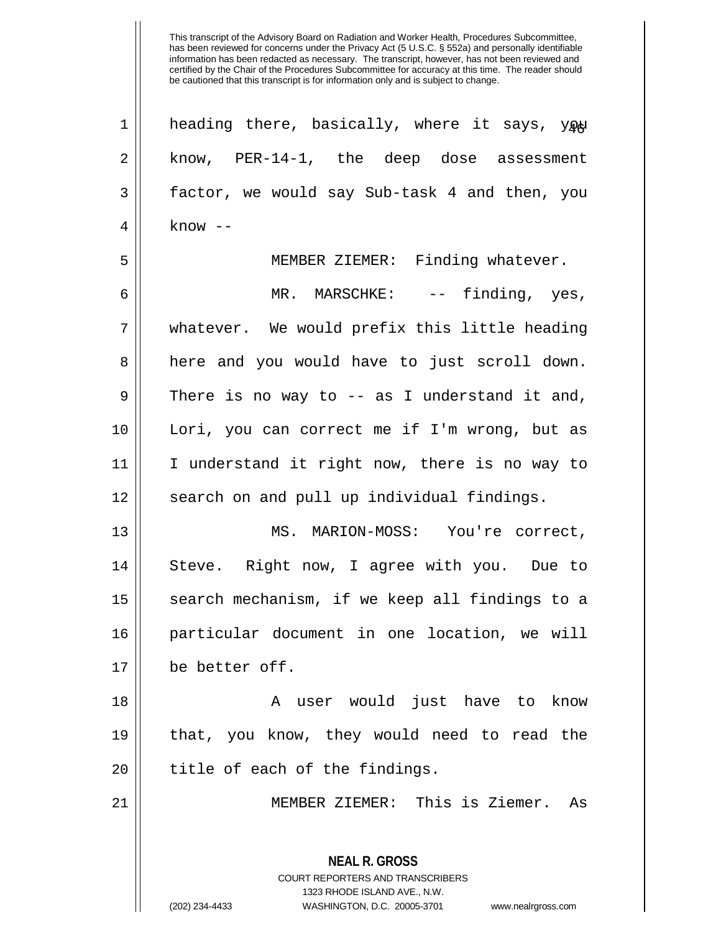**NEAL R. GROSS** COURT REPORTERS AND TRANSCRIBERS 1323 RHODE ISLAND AVE., N.W. 1 || heading there, basically, where it says, you 2 || know, PER-14-1, the deep dose assessment 3 factor, we would say Sub-task 4 and then, you  $4 \parallel$  know  $-$ 5 MEMBER ZIEMER: Finding whatever. 6 MR. MARSCHKE: -- finding, yes, 7 whatever. We would prefix this little heading 8 || here and you would have to just scroll down.  $9 \parallel$  There is no way to -- as I understand it and, 10 Lori, you can correct me if I'm wrong, but as 11 I understand it right now, there is no way to 12 || search on and pull up individual findings. 13 MS. MARION-MOSS: You're correct, 14 Steve. Right now, I agree with you. Due to 15 || search mechanism, if we keep all findings to a 16 particular document in one location, we will 17 be better off. 18 || A user would just have to know 19 that, you know, they would need to read the  $20$  || title of each of the findings. 21 MEMBER ZIEMER: This is Ziemer. As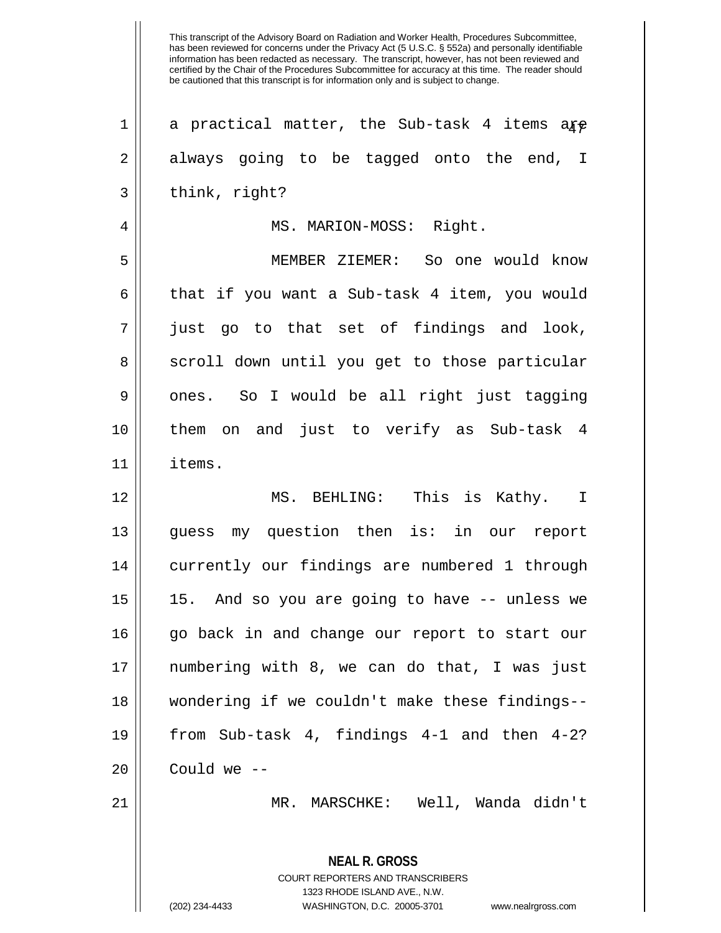has been reviewed for concerns under the Privacy Act (5 U.S.C. § 552a) and personally identifiable information has been redacted as necessary. The transcript, however, has not been reviewed and certified by the Chair of the Procedures Subcommittee for accuracy at this time. The reader should be cautioned that this transcript is for information only and is subject to change. **NEAL R. GROSS** COURT REPORTERS AND TRANSCRIBERS 1323 RHODE ISLAND AVE., N.W. 1 | a practical matter, the Sub-task 4 items are  $2 \parallel$  always going to be tagged onto the end, I  $3 \parallel$  think, right? 4 MS. MARION-MOSS: Right. 5 MEMBER ZIEMER: So one would know  $6 \parallel$  that if you want a Sub-task 4 item, you would  $7 \parallel$  just go to that set of findings and look, 8 || scroll down until you get to those particular  $9 \parallel$  ones. So I would be all right just tagging 10 them on and just to verify as Sub-task 4 11 items. 12 MS. BEHLING: This is Kathy. I 13 || quess my question then is: in our report 14 currently our findings are numbered 1 through 15 15. And so you are going to have -- unless we 16 || go back in and change our report to start our 17 numbering with 8, we can do that, I was just 18 wondering if we couldn't make these findings-- 19 from Sub-task 4, findings 4-1 and then 4-2?  $20$  | Could we  $-$ 21 MR. MARSCHKE: Well, Wanda didn't

This transcript of the Advisory Board on Radiation and Worker Health, Procedures Subcommittee,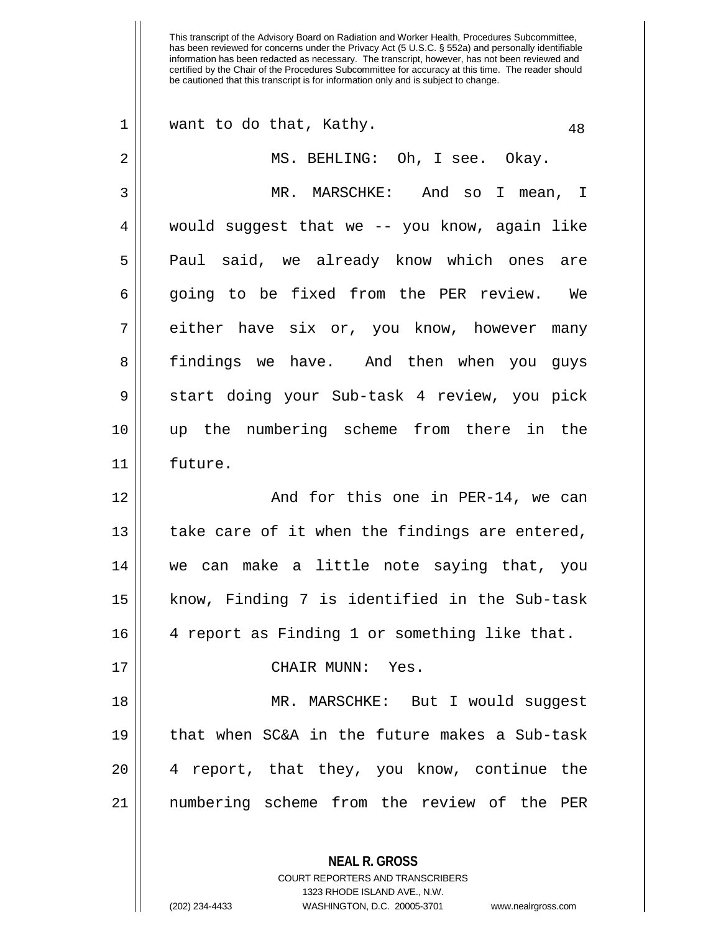| $\mathbf 1$    | want to do that, Kathy.<br>48                            |
|----------------|----------------------------------------------------------|
| 2              | MS. BEHLING: Oh, I see. Okay.                            |
| 3              | MR. MARSCHKE: And so I mean, I                           |
| $\overline{4}$ | would suggest that we -- you know, again like            |
| 5              | Paul said, we already know which ones are                |
| 6              | going to be fixed from the PER review. We                |
| 7              | either have six or, you know, however many               |
| 8              | findings we have. And then when you guys                 |
| 9              | start doing your Sub-task 4 review, you pick             |
| 10             | up the numbering scheme from there in the                |
| 11             | future.                                                  |
| 12             | And for this one in PER-14, we can                       |
| 13             | take care of it when the findings are entered,           |
| 14             | we can make a little note saying that, you               |
| 15             | know, Finding 7 is identified in the Sub-task            |
| 16             | 4 report as Finding 1 or something like that.            |
| 17             | CHAIR MUNN: Yes.                                         |
| 18             | MR. MARSCHKE: But I would suggest                        |
| 19             | that when SC&A in the future makes a Sub-task            |
| 20             | 4 report, that they, you know, continue the              |
| 21             | numbering scheme from the review of the PER              |
|                | <b>NEAL R. GROSS</b><br>COURT REPORTERS AND TRANSCRIBERS |

1323 RHODE ISLAND AVE., N.W.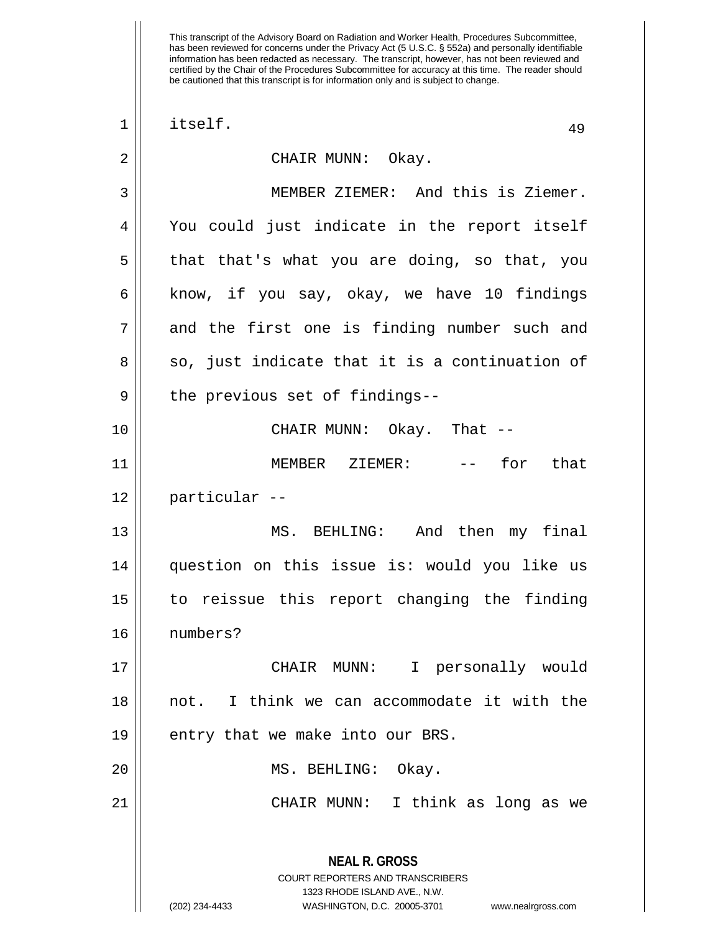**NEAL R. GROSS** COURT REPORTERS AND TRANSCRIBERS 1323 RHODE ISLAND AVE., N.W.  $\begin{array}{|c|c|c|c|c|}\n1 & \text{itself.} & & & & 49 \\
\hline\n\end{array}$ 2 CHAIR MUNN: Okay. 3 MEMBER ZIEMER: And this is Ziemer. 4 You could just indicate in the report itself  $5 \parallel$  that that's what you are doing, so that, you 6 | know, if you say, okay, we have 10 findings  $7 \parallel$  and the first one is finding number such and  $8 \parallel$  so, just indicate that it is a continuation of  $9 \parallel$  the previous set of findings--10 CHAIR MUNN: Okay. That -- 11 MEMBER ZIEMER: -- for that 12 particular -- 13 MS. BEHLING: And then my final 14 question on this issue is: would you like us 15 to reissue this report changing the finding 16 numbers? 17 CHAIR MUNN: I personally would 18 not. I think we can accommodate it with the 19 || entry that we make into our BRS. 20 || MS. BEHLING: Okay. 21 CHAIR MUNN: I think as long as we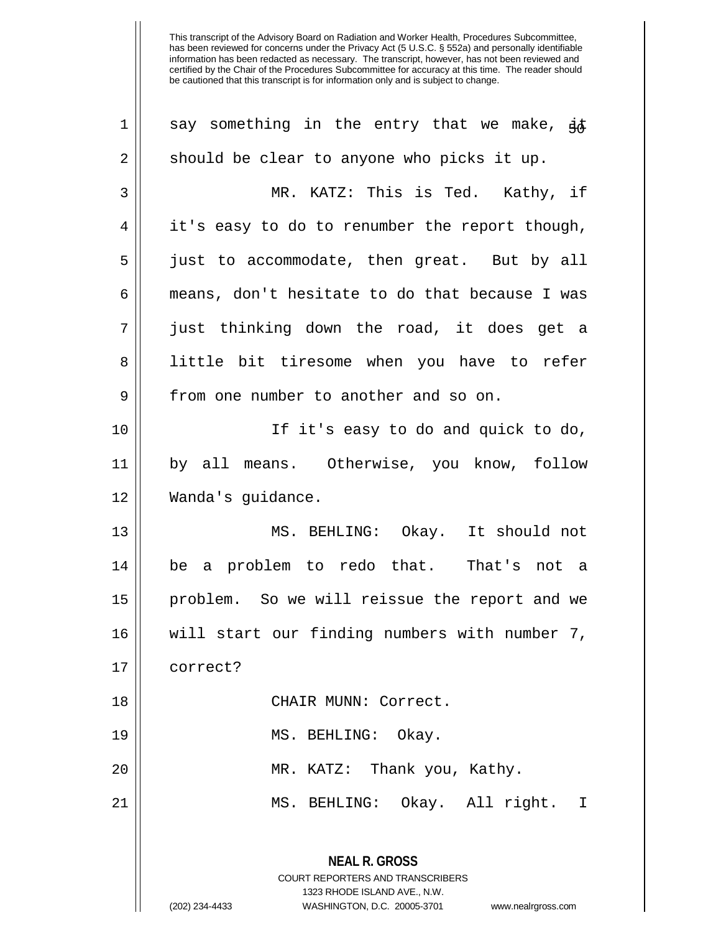| should be clear to anyone who picks it up.<br>$\overline{2}$<br>MR. KATZ: This is Ted. Kathy, if<br>$\mathsf 3$<br>it's easy to do to renumber the report though,<br>4<br>5<br>just to accommodate, then great. But by all<br>6<br>means, don't hesitate to do that because I was<br>7<br>just thinking down the road, it does get a<br>8<br>little bit tiresome when you have to refer |  |
|-----------------------------------------------------------------------------------------------------------------------------------------------------------------------------------------------------------------------------------------------------------------------------------------------------------------------------------------------------------------------------------------|--|
|                                                                                                                                                                                                                                                                                                                                                                                         |  |
|                                                                                                                                                                                                                                                                                                                                                                                         |  |
|                                                                                                                                                                                                                                                                                                                                                                                         |  |
|                                                                                                                                                                                                                                                                                                                                                                                         |  |
|                                                                                                                                                                                                                                                                                                                                                                                         |  |
|                                                                                                                                                                                                                                                                                                                                                                                         |  |
|                                                                                                                                                                                                                                                                                                                                                                                         |  |
| $\mathsf 9$<br>from one number to another and so on.                                                                                                                                                                                                                                                                                                                                    |  |
| 10<br>If it's easy to do and quick to do,                                                                                                                                                                                                                                                                                                                                               |  |
| 11<br>by all means. Otherwise, you know, follow                                                                                                                                                                                                                                                                                                                                         |  |
| 12<br>Wanda's guidance.                                                                                                                                                                                                                                                                                                                                                                 |  |
| 13<br>MS. BEHLING: Okay. It should not                                                                                                                                                                                                                                                                                                                                                  |  |
| be a problem to redo that. That's not a<br>14                                                                                                                                                                                                                                                                                                                                           |  |
| 15<br>problem. So we will reissue the report and we                                                                                                                                                                                                                                                                                                                                     |  |
| will start our finding numbers with number 7,<br>16                                                                                                                                                                                                                                                                                                                                     |  |
| 17<br>correct?                                                                                                                                                                                                                                                                                                                                                                          |  |
| CHAIR MUNN: Correct.<br>18                                                                                                                                                                                                                                                                                                                                                              |  |
| MS. BEHLING: Okay.<br>19                                                                                                                                                                                                                                                                                                                                                                |  |
| MR. KATZ: Thank you, Kathy.<br>20                                                                                                                                                                                                                                                                                                                                                       |  |
| MS. BEHLING: Okay. All right. I<br>21                                                                                                                                                                                                                                                                                                                                                   |  |
| <b>NEAL R. GROSS</b><br><b>COURT REPORTERS AND TRANSCRIBERS</b><br>1323 RHODE ISLAND AVE., N.W.<br>(202) 234-4433<br>WASHINGTON, D.C. 20005-3701                                                                                                                                                                                                                                        |  |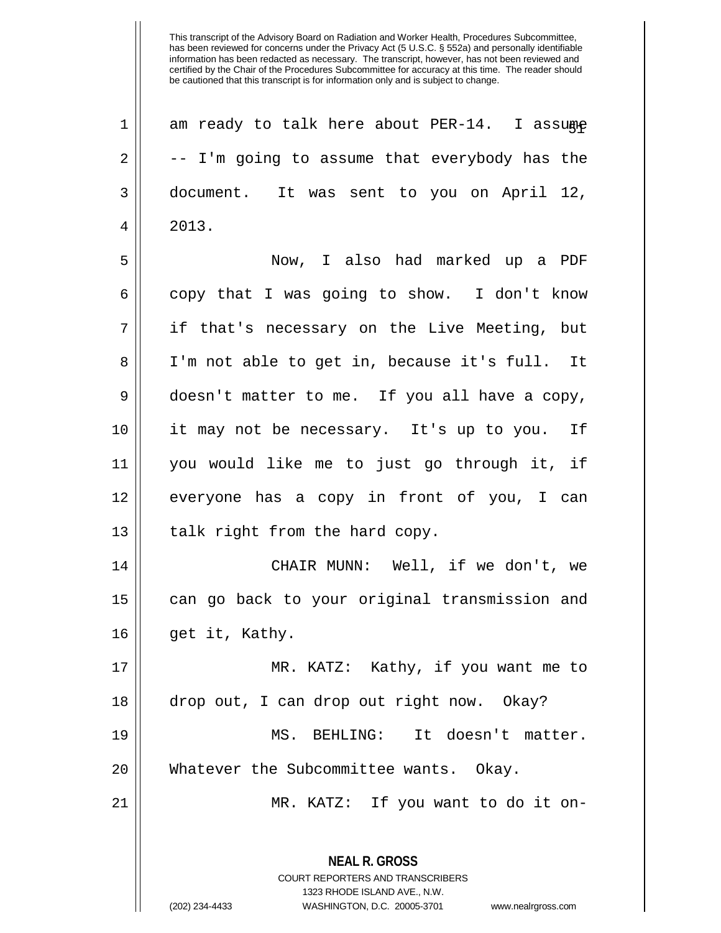| $\mathbf 1$ | am ready to talk here about PER-14. I assume                                                    |
|-------------|-------------------------------------------------------------------------------------------------|
| 2           | -- I'm going to assume that everybody has the                                                   |
| 3           | document. It was sent to you on April 12,                                                       |
| 4           | 2013.                                                                                           |
| 5           | Now, I also had marked up a PDF                                                                 |
| 6           | copy that I was going to show. I don't know                                                     |
| 7           | if that's necessary on the Live Meeting, but                                                    |
| 8           | I'm not able to get in, because it's full. It                                                   |
| $\mathsf 9$ | doesn't matter to me. If you all have a copy,                                                   |
| 10          | it may not be necessary. It's up to you. If                                                     |
| 11          | you would like me to just go through it, if                                                     |
| 12          | everyone has a copy in front of you, I can                                                      |
| 13          | talk right from the hard copy.                                                                  |
| 14          | CHAIR MUNN: Well, if we don't, we                                                               |
| 15          | can go back to your original transmission and                                                   |
| 16          | get it, Kathy.                                                                                  |
| 17          | MR. KATZ: Kathy, if you want me to                                                              |
| 18          | drop out, I can drop out right now. Okay?                                                       |
| 19          | MS. BEHLING: It doesn't matter.                                                                 |
| 20          | Whatever the Subcommittee wants. Okay.                                                          |
| 21          | MR. KATZ: If you want to do it on-                                                              |
|             | <b>NEAL R. GROSS</b><br><b>COURT REPORTERS AND TRANSCRIBERS</b><br>1323 RHODE ISLAND AVE., N.W. |
|             | (202) 234-4433<br>WASHINGTON, D.C. 20005-3701<br>www.nealrgross.com                             |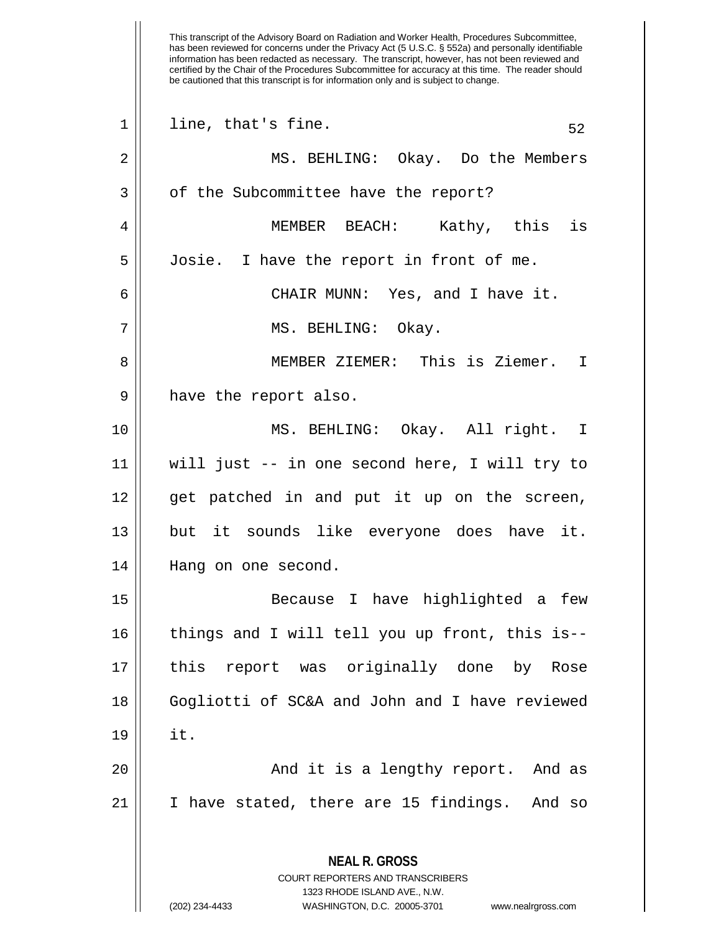This transcript of the Advisory Board on Radiation and Worker Health, Procedures Subcommittee, has been reviewed for concerns under the Privacy Act (5 U.S.C. § 552a) and personally identifiable information has been redacted as necessary. The transcript, however, has not been reviewed and certified by the Chair of the Procedures Subcommittee for accuracy at this time. The reader should be cautioned that this transcript is for information only and is subject to change. **NEAL R. GROSS** COURT REPORTERS AND TRANSCRIBERS 1323 RHODE ISLAND AVE., N.W. (202) 234-4433 WASHINGTON, D.C. 20005-3701 www.nealrgross.com  $1 \parallel$  line, that's fine. 52 2 MS. BEHLING: Okay. Do the Members 3 | of the Subcommittee have the report? 4 MEMBER BEACH: Kathy, this is 5 Josie. I have the report in front of me. 6 CHAIR MUNN: Yes, and I have it. 7 || MS. BEHLING: Okay. 8 MEMBER ZIEMER: This is Ziemer. I 9 || have the report also. 10 MS. BEHLING: Okay. All right. I 11 will just -- in one second here, I will try to  $12$  || get patched in and put it up on the screen, 13 but it sounds like everyone does have it. 14 Hang on one second. 15 Because I have highlighted a few 16 || things and I will tell you up front, this is--17 this report was originally done by Rose 18 Gogliotti of SC&A and John and I have reviewed 19 it. 20 || And it is a lengthy report. And as  $21$  | I have stated, there are 15 findings. And so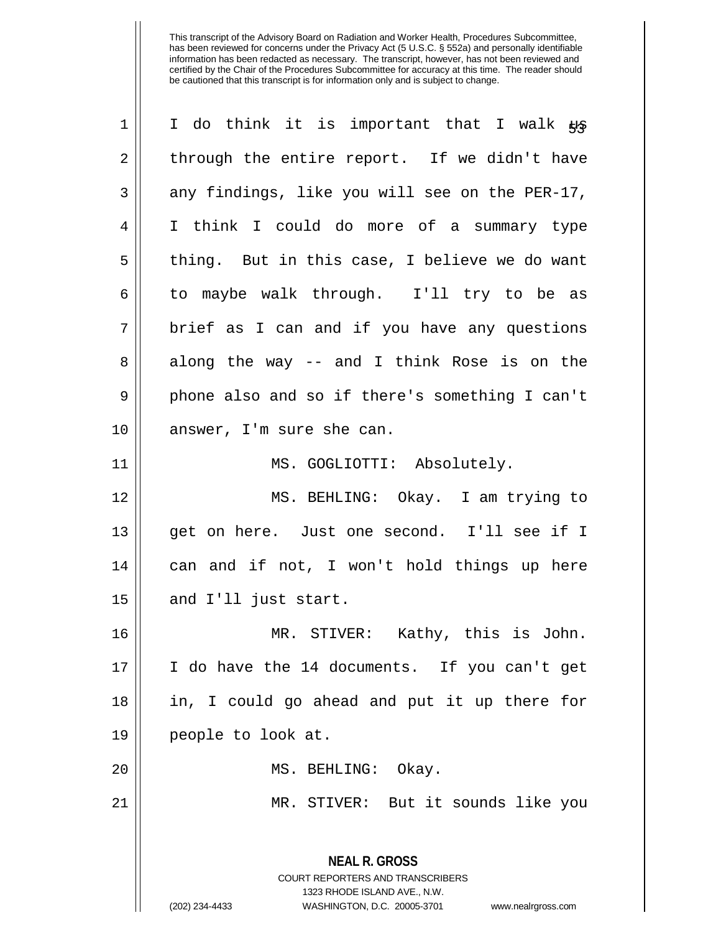| $\mathbf 1$ | I do think it is important that I walk #                            |
|-------------|---------------------------------------------------------------------|
| 2           | through the entire report. If we didn't have                        |
| 3           | any findings, like you will see on the PER-17,                      |
| 4           | I think I could do more of a summary type                           |
| 5           | thing. But in this case, I believe we do want                       |
| 6           | to maybe walk through. I'll try to be as                            |
| 7           | brief as I can and if you have any questions                        |
| 8           | along the way -- and I think Rose is on the                         |
| 9           | phone also and so if there's something I can't                      |
| 10          | answer, I'm sure she can.                                           |
| 11          | MS. GOGLIOTTI: Absolutely.                                          |
| 12          | MS. BEHLING: Okay. I am trying to                                   |
| 13          | get on here. Just one second. I'll see if I                         |
| 14          | can and if not, I won't hold things up here                         |
| 15          | and I'll just start.                                                |
| 16          | MR. STIVER: Kathy, this is John.                                    |
| 17          | I do have the 14 documents. If you can't get                        |
| 18          | in, I could go ahead and put it up there for                        |
| 19          | people to look at.                                                  |
| 20          | MS. BEHLING: Okay.                                                  |
| 21          | MR. STIVER: But it sounds like you                                  |
|             | <b>NEAL R. GROSS</b>                                                |
|             | <b>COURT REPORTERS AND TRANSCRIBERS</b>                             |
|             | 1323 RHODE ISLAND AVE., N.W.                                        |
|             | (202) 234-4433<br>WASHINGTON, D.C. 20005-3701<br>www.nealrgross.com |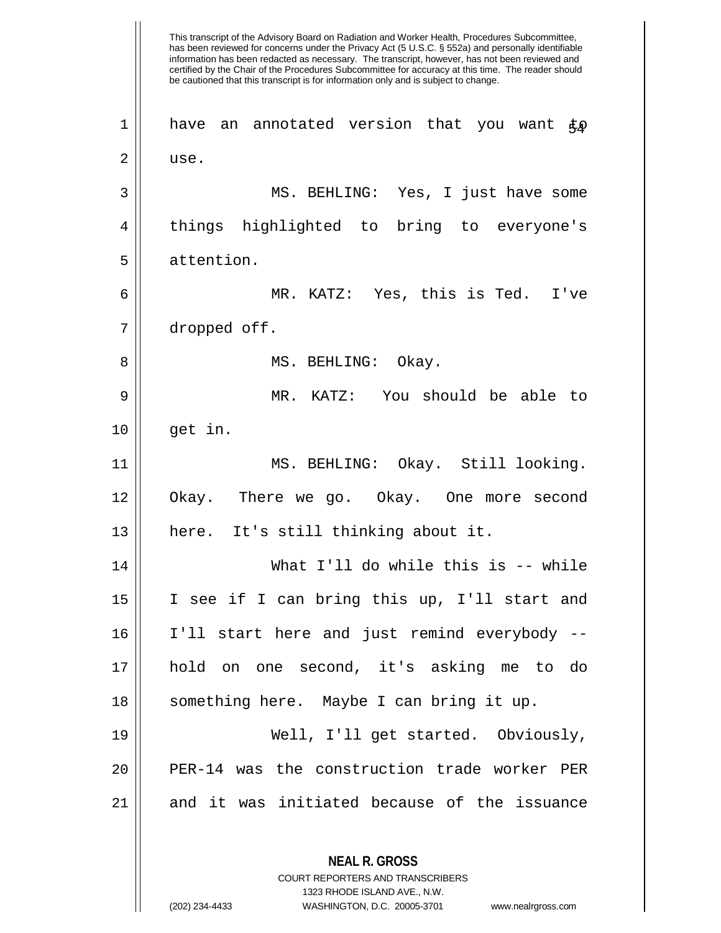This transcript of the Advisory Board on Radiation and Worker Health, Procedures Subcommittee, has been reviewed for concerns under the Privacy Act (5 U.S.C. § 552a) and personally identifiable information has been redacted as necessary. The transcript, however, has not been reviewed and certified by the Chair of the Procedures Subcommittee for accuracy at this time. The reader should be cautioned that this transcript is for information only and is subject to change. **NEAL R. GROSS** 1 || have an annotated version that you want  $\mathfrak{t}_\mathcal{D}$ 2 l use. 3 MS. BEHLING: Yes, I just have some 4 things highlighted to bring to everyone's 5 attention. 6 MR. KATZ: Yes, this is Ted. I've 7 dropped off. 8 MS. BEHLING: Okay. 9 MR. KATZ: You should be able to  $10 \parallel$  qet in. 11 MS. BEHLING: Okay. Still looking. 12 Okay. There we go. Okay. One more second 13 || here. It's still thinking about it. 14 What I'll do while this is -- while 15 I see if I can bring this up, I'll start and 16 I'll start here and just remind everybody -- 17 hold on one second, it's asking me to do 18 || something here. Maybe I can bring it up. 19 Well, I'll get started. Obviously, 20 || PER-14 was the construction trade worker PER  $21$  and it was initiated because of the issuance

> COURT REPORTERS AND TRANSCRIBERS 1323 RHODE ISLAND AVE., N.W.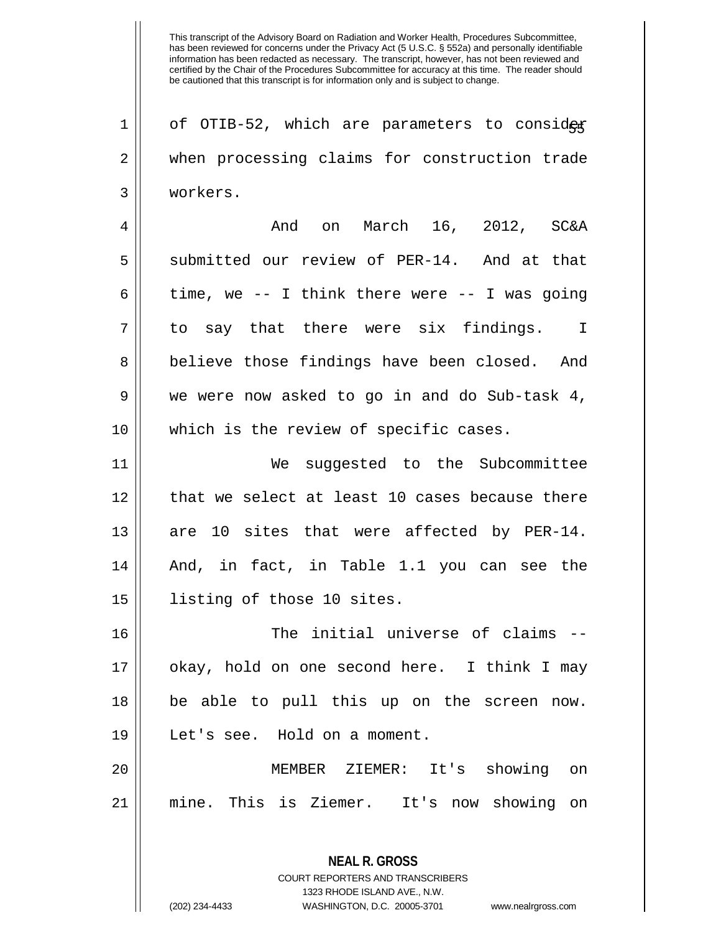**NEAL R. GROSS** COURT REPORTERS AND TRANSCRIBERS 1 |  $\sigma$  of OTIB-52, which are parameters to consider 2 || when processing claims for construction trade 3 workers. 4 And on March 16, 2012, SC&A 5 Submitted our review of PER-14. And at that 6 time, we -- I think there were -- I was going  $7 \parallel$  to say that there were six findings. I 8 || believe those findings have been closed. And  $9 \parallel$  we were now asked to go in and do Sub-task 4, 10 || which is the review of specific cases. 11 We suggested to the Subcommittee 12 || that we select at least 10 cases because there 13 are 10 sites that were affected by PER-14. 14 And, in fact, in Table 1.1 you can see the 15 || listing of those 10 sites. 16 || The initial universe of claims --17 okay, hold on one second here. I think I may 18 be able to pull this up on the screen now. 19 Let's see. Hold on a moment. 20 MEMBER ZIEMER: It's showing on 21 mine. This is Ziemer. It's now showing on

1323 RHODE ISLAND AVE., N.W.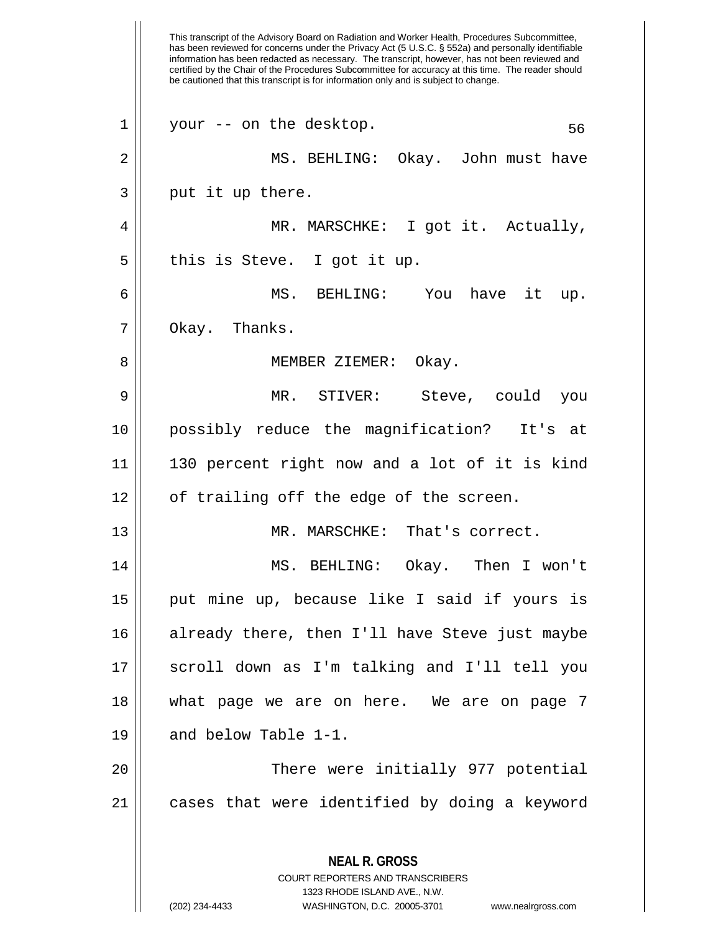This transcript of the Advisory Board on Radiation and Worker Health, Procedures Subcommittee, has been reviewed for concerns under the Privacy Act (5 U.S.C. § 552a) and personally identifiable information has been redacted as necessary. The transcript, however, has not been reviewed and certified by the Chair of the Procedures Subcommittee for accuracy at this time. The reader should be cautioned that this transcript is for information only and is subject to change. **NEAL R. GROSS** COURT REPORTERS AND TRANSCRIBERS 1323 RHODE ISLAND AVE., N.W.  $1 \parallel$  your -- on the desktop. 56 2 MS. BEHLING: Okay. John must have  $3 \parallel$  put it up there. 4 MR. MARSCHKE: I got it. Actually,  $5$  || this is Steve. I got it up. 6 MS. BEHLING: You have it up.  $7 \parallel$  Okay. Thanks. 8 || MEMBER ZIEMER: Okay. 9 MR. STIVER: Steve, could you 10 possibly reduce the magnification? It's at 11 130 percent right now and a lot of it is kind  $12 \parallel$  of trailing off the edge of the screen. 13 || MR. MARSCHKE: That's correct. 14 MS. BEHLING: Okay. Then I won't 15 || put mine up, because like I said if yours is 16 already there, then I'll have Steve just maybe 17 scroll down as I'm talking and I'll tell you 18 what page we are on here. We are on page 7 19 || and below Table 1-1. 20 || There were initially 977 potential  $21$  cases that were identified by doing a keyword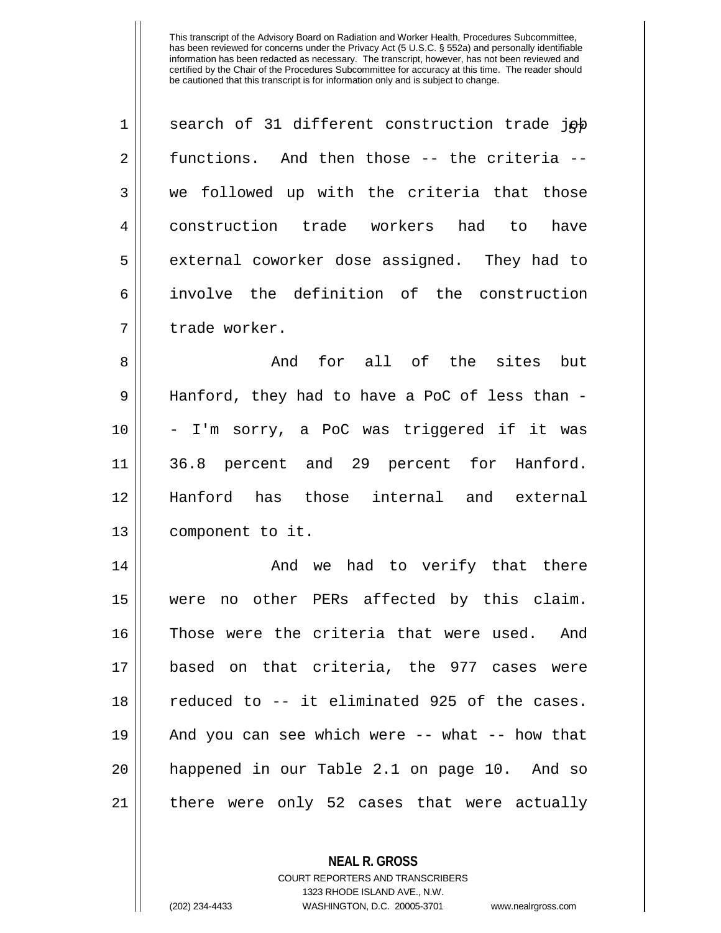| $\mathbf 1$    | search of 31 different construction trade job |
|----------------|-----------------------------------------------|
| 2              | functions. And then those -- the criteria --  |
| 3              | we followed up with the criteria that those   |
| $\overline{4}$ | construction trade workers had to have        |
| 5              | external coworker dose assigned. They had to  |
| 6              | involve the definition of the construction    |
| 7              | trade worker.                                 |
| 8              | And for all of the sites but                  |

 $9 \parallel$  Hanford, they had to have a PoC of less than -10 - I'm sorry, a PoC was triggered if it was 11 36.8 percent and 29 percent for Hanford. 12 Hanford has those internal and external 13 | component to it.

 And we had to verify that there were no other PERs affected by this claim. Those were the criteria that were used. And based on that criteria, the 977 cases were 18 || reduced to -- it eliminated 925 of the cases. And you can see which were -- what -- how that happened in our Table 2.1 on page 10. And so there were only 52 cases that were actually

> **NEAL R. GROSS** COURT REPORTERS AND TRANSCRIBERS 1323 RHODE ISLAND AVE., N.W. (202) 234-4433 WASHINGTON, D.C. 20005-3701 www.nealrgross.com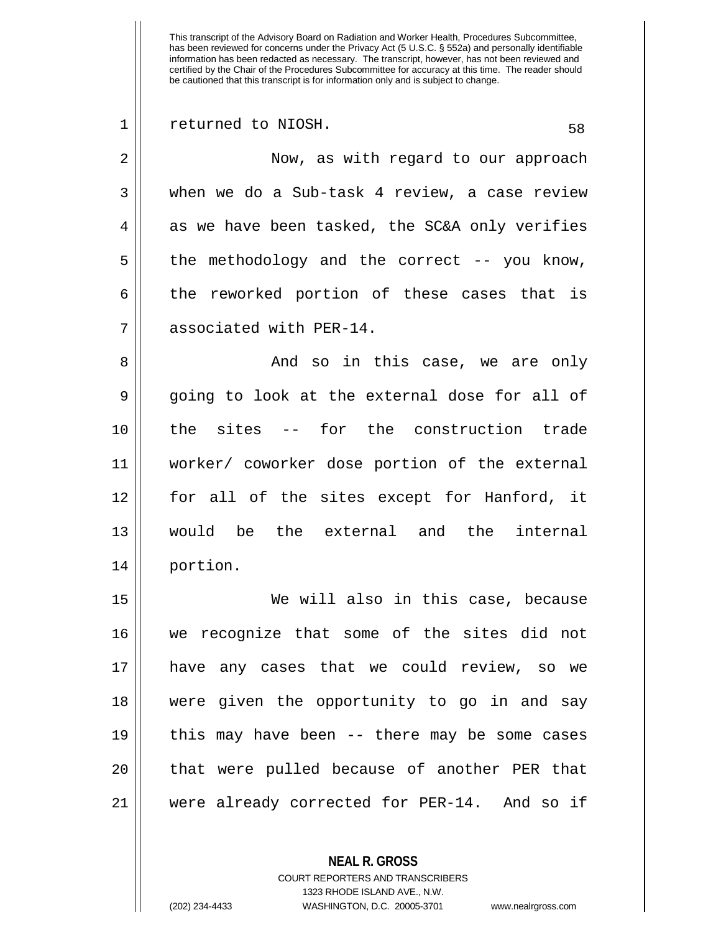1 || returned to NIOSH. 58 2 || Now, as with regard to our approach 3 when we do a Sub-task 4 review, a case review  $4 \parallel$  as we have been tasked, the SC&A only verifies  $5 \parallel$  the methodology and the correct -- you know,  $6 \parallel$  the reworked portion of these cases that is 7 | associated with PER-14. 8 And so in this case, we are only  $9 \parallel$  going to look at the external dose for all of 10 the sites -- for the construction trade 11 worker/ coworker dose portion of the external 12 || for all of the sites except for Hanford, it 13 would be the external and the internal 14 portion. 15 We will also in this case, because 16 we recognize that some of the sites did not 17 have any cases that we could review, so we 18 were given the opportunity to go in and say 19 this may have been -- there may be some cases 20 || that were pulled because of another PER that

21 were already corrected for PER-14. And so if

**NEAL R. GROSS**

COURT REPORTERS AND TRANSCRIBERS 1323 RHODE ISLAND AVE., N.W. (202) 234-4433 WASHINGTON, D.C. 20005-3701 www.nealrgross.com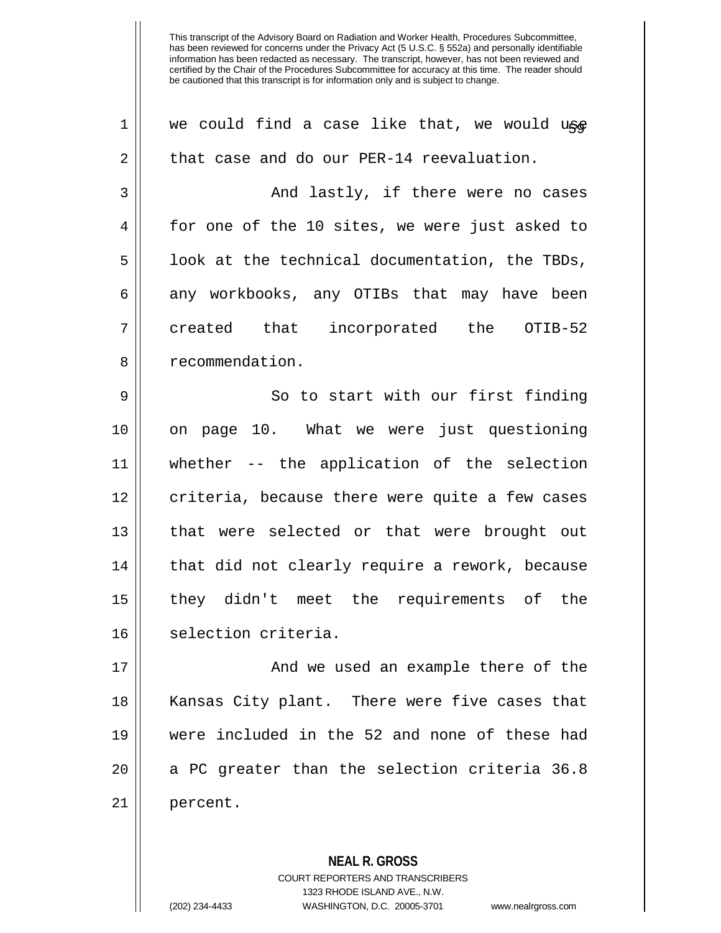| $\mathbf 1$ | we could find a case like that, we would use   |
|-------------|------------------------------------------------|
| 2           | that case and do our PER-14 reevaluation.      |
| 3           | And lastly, if there were no cases             |
| 4           | for one of the 10 sites, we were just asked to |
| 5           | look at the technical documentation, the TBDs, |
| 6           | any workbooks, any OTIBs that may have been    |
| 7           | created that incorporated the OTIB-52          |
| 8           | recommendation.                                |
| $\mathsf 9$ | So to start with our first finding             |
| 10          | page 10. What we were just questioning<br>on   |
| 11          | whether -- the application of the selection    |
| 12          | criteria, because there were quite a few cases |
| 13          | that were selected or that were brought out    |
| 14          | that did not clearly require a rework, because |
| 15          | they didn't meet the requirements of the       |
| 16          | selection criteria.                            |
| 17          | And we used an example there of the            |
| 18          | Kansas City plant. There were five cases that  |
| 19          | were included in the 52 and none of these had  |
| 20          | a PC greater than the selection criteria 36.8  |
| 21          | percent.                                       |

COURT REPORTERS AND TRANSCRIBERS

**NEAL R. GROSS**

1323 RHODE ISLAND AVE., N.W.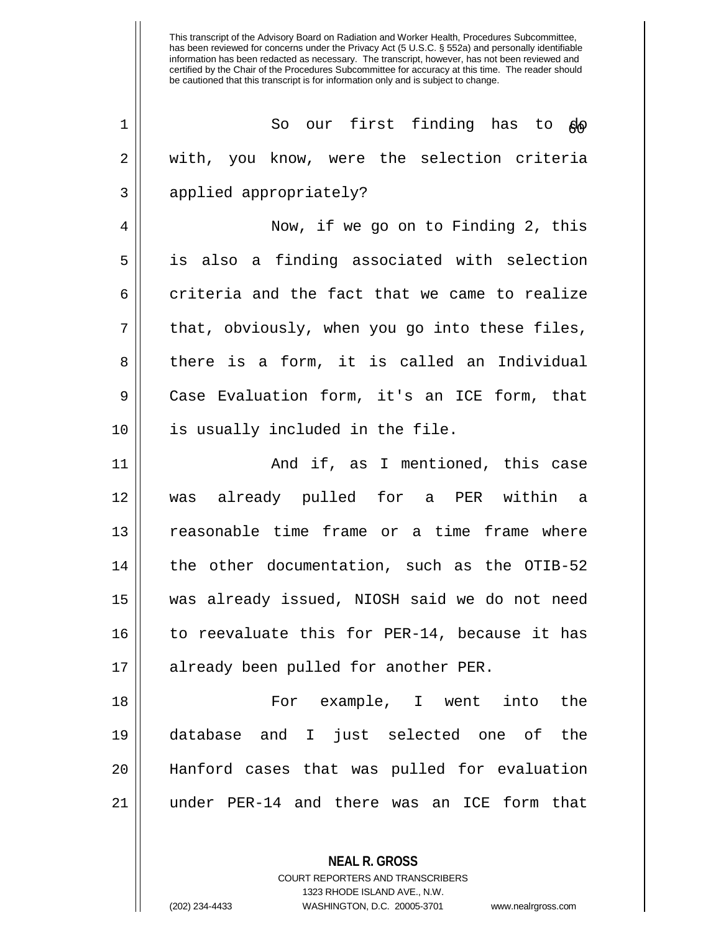| 1  | So our first finding has to go                 |
|----|------------------------------------------------|
| 2  | with, you know, were the selection criteria    |
| 3  | applied appropriately?                         |
| 4  | Now, if we go on to Finding 2, this            |
| 5  | is also a finding associated with selection    |
| 6  | criteria and the fact that we came to realize  |
| 7  | that, obviously, when you go into these files, |
| 8  | there is a form, it is called an Individual    |
| 9  | Case Evaluation form, it's an ICE form, that   |
| 10 | is usually included in the file.               |
| 11 | And if, as I mentioned, this case              |
| 12 | was already pulled for a PER within a          |
| 13 | reasonable time frame or a time frame where    |
| 14 | the other documentation, such as the OTIB-52   |
| 15 | was already issued, NIOSH said we do not need  |
| 16 | to reevaluate this for PER-14, because it has  |
| 17 | already been pulled for another PER.           |
| 18 | For example, I went into<br>the                |
| 19 | database and I just selected one of<br>the     |
| 20 | Hanford cases that was pulled for evaluation   |
| 21 | under PER-14 and there was an ICE form that    |

1323 RHODE ISLAND AVE., N.W.

**NEAL R. GROSS** COURT REPORTERS AND TRANSCRIBERS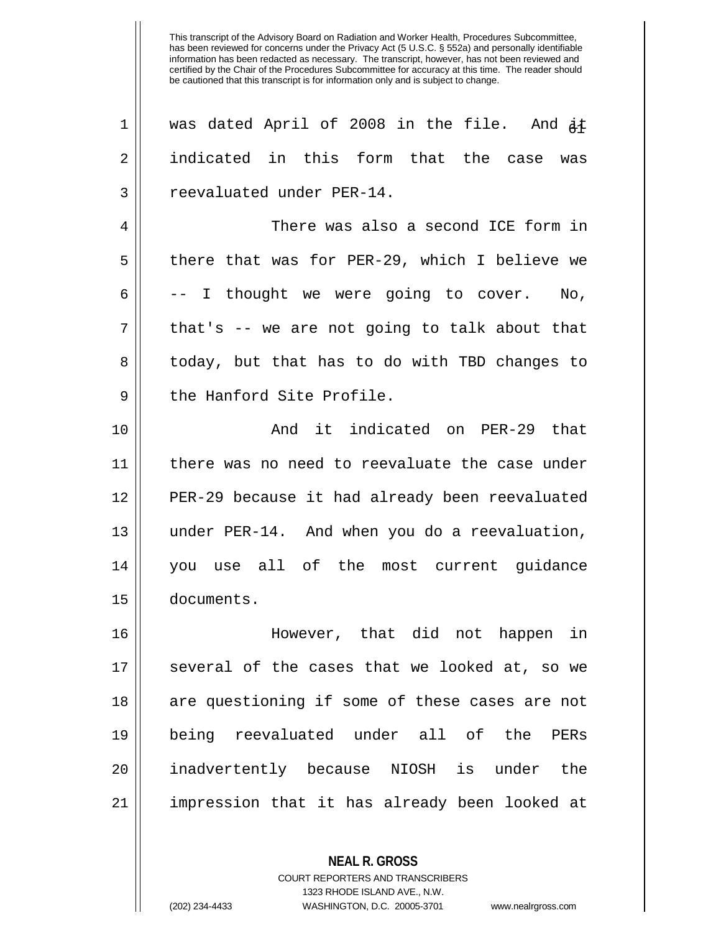| $\mathbf 1$ | was dated April of 2008 in the file. And $\dot{A}$ t |
|-------------|------------------------------------------------------|
| 2           | indicated in this form that the case was             |
| 3           | reevaluated under PER-14.                            |
| 4           | There was also a second ICE form in                  |
| 5           | there that was for PER-29, which I believe we        |
| 6           | -- I thought we were going to cover. No,             |
| 7           | that's -- we are not going to talk about that        |
| 8           | today, but that has to do with TBD changes to        |
| 9           | the Hanford Site Profile.                            |
| 10          | And it indicated on PER-29 that                      |
| 11          | there was no need to reevaluate the case under       |
| 12          | PER-29 because it had already been reevaluated       |
| 13          | under PER-14. And when you do a reevaluation,        |
| 14          | you use all of the most current guidance             |
| 15          | documents.                                           |
| 16          | However, that did not happen<br>in                   |
| 17          | several of the cases that we looked at, so we        |
| 18          | are questioning if some of these cases are not       |
| 19          | being reevaluated under all of the PERs              |
| 20          | inadvertently because NIOSH is under the             |
| 21          | impression that it has already been looked at        |
|             |                                                      |

**NEAL R. GROSS** COURT REPORTERS AND TRANSCRIBERS 1323 RHODE ISLAND AVE., N.W.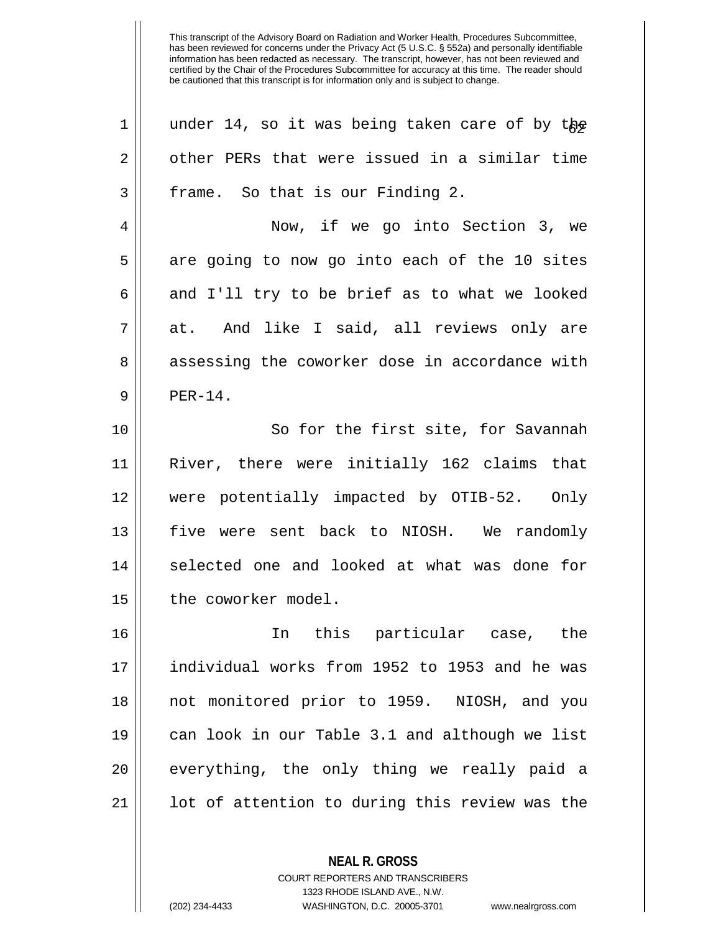| 1  | under 14, so it was being taken care of by the |
|----|------------------------------------------------|
| 2  | other PERs that were issued in a similar time  |
| 3  | frame. So that is our Finding 2.               |
| 4  | Now, if we go into Section 3, we               |
| 5  | are going to now go into each of the 10 sites  |
| 6  | and I'll try to be brief as to what we looked  |
| 7  | And like I said, all reviews only are<br>at.   |
| 8  | assessing the coworker dose in accordance with |
| 9  | $PER-14.$                                      |
| 10 | So for the first site, for Savannah            |
| 11 | River, there were initially 162 claims that    |
| 12 | were potentially impacted by OTIB-52. Only     |
| 13 | five were sent back to NIOSH. We randomly      |
| 14 | selected one and looked at what was done for   |
| 15 | the coworker model.                            |
| 16 | In this particular case, the                   |
| 17 | individual works from 1952 to 1953 and he was  |
| 18 | not monitored prior to 1959. NIOSH, and you    |
| 19 | can look in our Table 3.1 and although we list |
| 20 | everything, the only thing we really paid a    |
| 21 | lot of attention to during this review was the |
|    |                                                |

**NEAL R. GROSS** COURT REPORTERS AND TRANSCRIBERS 1323 RHODE ISLAND AVE., N.W.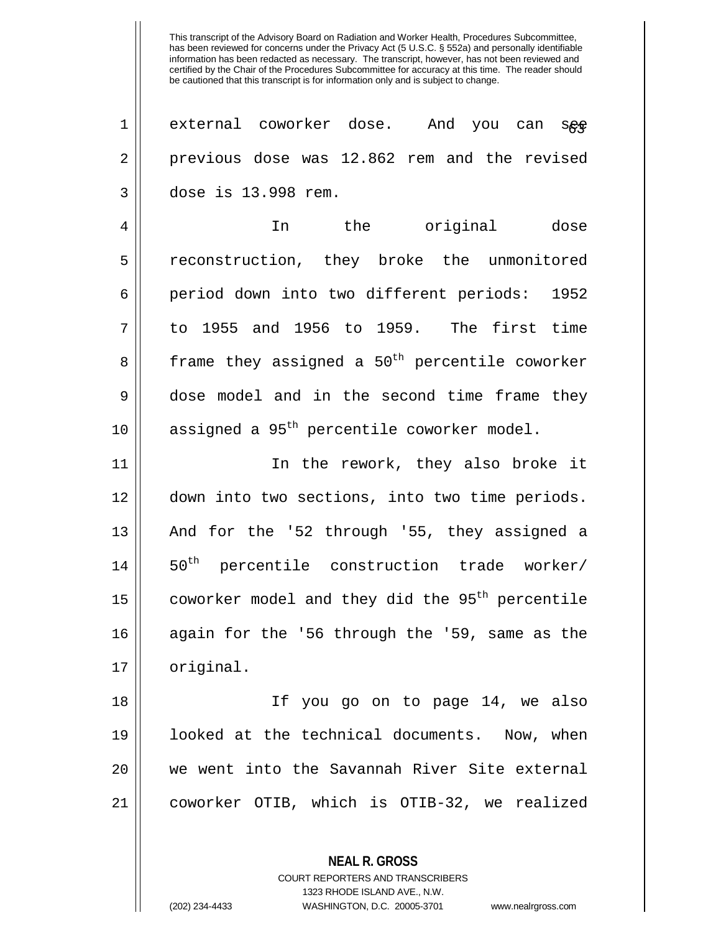1 || external coworker dose. And you can see 2 previous dose was 12.862 rem and the revised 3 dose is 13.998 rem.

4 In the original dose 5 reconstruction, they broke the unmonitored 6 period down into two different periods: 1952  $7 \parallel$  to 1955 and 1956 to 1959. The first time  $8 \parallel$  frame they assigned a 50<sup>th</sup> percentile coworker 9 dose model and in the second time frame they 10  $\parallel$  assigned a 95<sup>th</sup> percentile coworker model.

11 || In the rework, they also broke it 12 down into two sections, into two time periods. 13 || And for the '52 through '55, they assigned a  $14$  || 50<sup>th</sup> percentile construction trade worker/ 15  $\parallel$  coworker model and they did the 95<sup>th</sup> percentile 16 again for the '56 through the '59, same as the 17 | original.

 If you go on to page 14, we also looked at the technical documents. Now, when we went into the Savannah River Site external coworker OTIB, which is OTIB-32, we realized

> **NEAL R. GROSS** COURT REPORTERS AND TRANSCRIBERS

> > 1323 RHODE ISLAND AVE., N.W.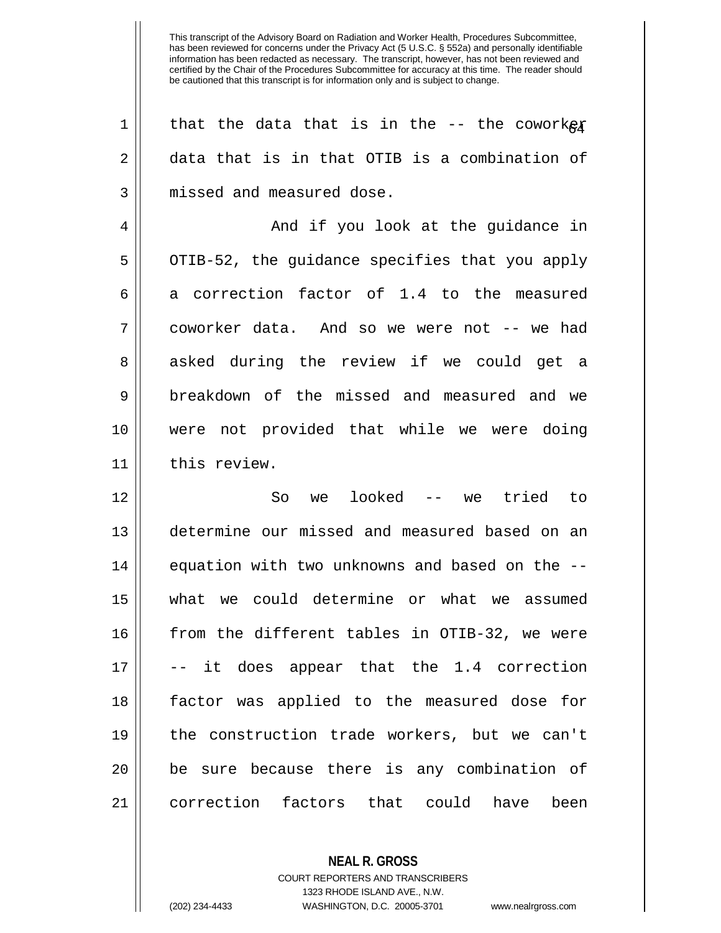| 1  | that the data that is in the $-$ - the coworkex |
|----|-------------------------------------------------|
| 2  | data that is in that OTIB is a combination of   |
| 3  | missed and measured dose.                       |
| 4  | And if you look at the guidance in              |
| 5  | OTIB-52, the guidance specifies that you apply  |
| 6  | a correction factor of 1.4 to the measured      |
| 7  | coworker data. And so we were not -- we had     |
| 8  | asked during the review if we could get a       |
| 9  | breakdown of the missed and measured and we     |
| 10 | were not provided that while we were doing      |
| 11 | this review.                                    |
| 12 | we looked -- we tried to<br>So                  |
| 13 | determine our missed and measured based on an   |
| 14 | equation with two unknowns and based on the --  |
| 15 | what we could determine or what we assumed      |
| 16 | from the different tables in OTIB-32, we were   |
| 17 | -- it does appear that the 1.4 correction       |
| 18 | factor was applied to the measured dose for     |
| 19 | the construction trade workers, but we can't    |
| 20 | be sure because there is any combination of     |
| 21 | correction factors that could<br>been<br>have   |

COURT REPORTERS AND TRANSCRIBERS 1323 RHODE ISLAND AVE., N.W.

**NEAL R. GROSS**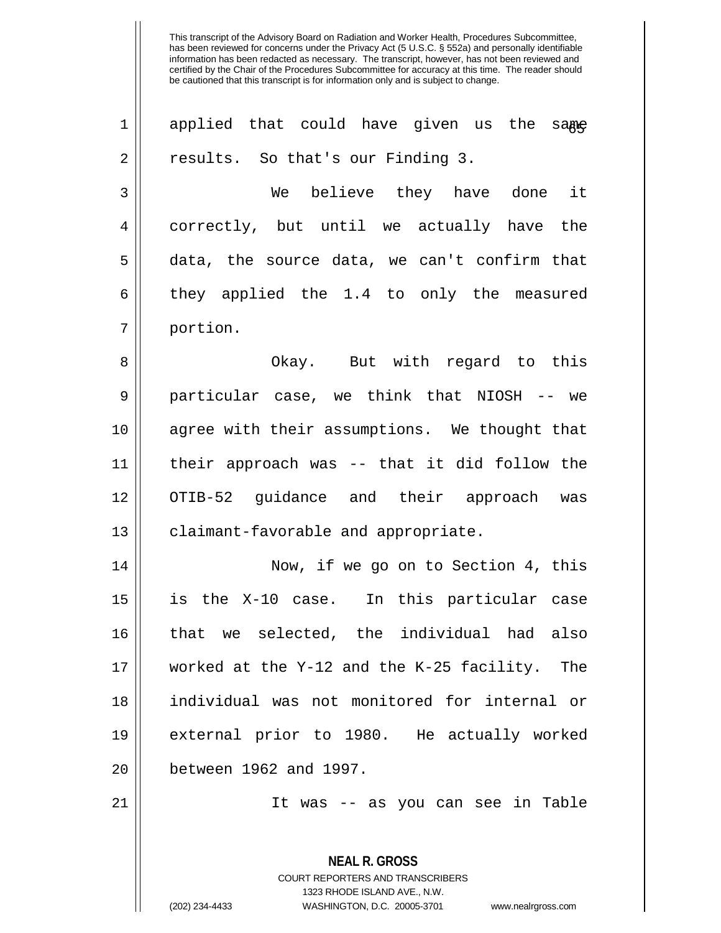| $\mathbf 1$ | applied that could have given us the same                |
|-------------|----------------------------------------------------------|
| 2           | results. So that's our Finding 3.                        |
| 3           | We believe they have done it                             |
| 4           | correctly, but until we actually have the                |
| 5           | data, the source data, we can't confirm that             |
| 6           | they applied the 1.4 to only the measured                |
| 7           | portion.                                                 |
| 8           | Okay. But with regard to this                            |
| $\mathsf 9$ | particular case, we think that NIOSH -- we               |
| 10          | agree with their assumptions. We thought that            |
| 11          | their approach was -- that it did follow the             |
| 12          | OTIB-52 guidance and their approach was                  |
| 13          | claimant-favorable and appropriate.                      |
| 14          | Now, if we go on to Section 4, this                      |
| 15          | is the X-10 case. In this particular case                |
| 16          | that we selected, the individual had also                |
| 17          | worked at the Y-12 and the K-25 facility. The            |
| 18          | individual was not monitored for internal or             |
| 19          | external prior to 1980. He actually worked               |
| 20          | between 1962 and 1997.                                   |
| 21          | It was -- as you can see in Table                        |
|             | <b>NEAL R. GROSS</b><br>COURT REPORTERS AND TRANSCRIBERS |

1323 RHODE ISLAND AVE., N.W.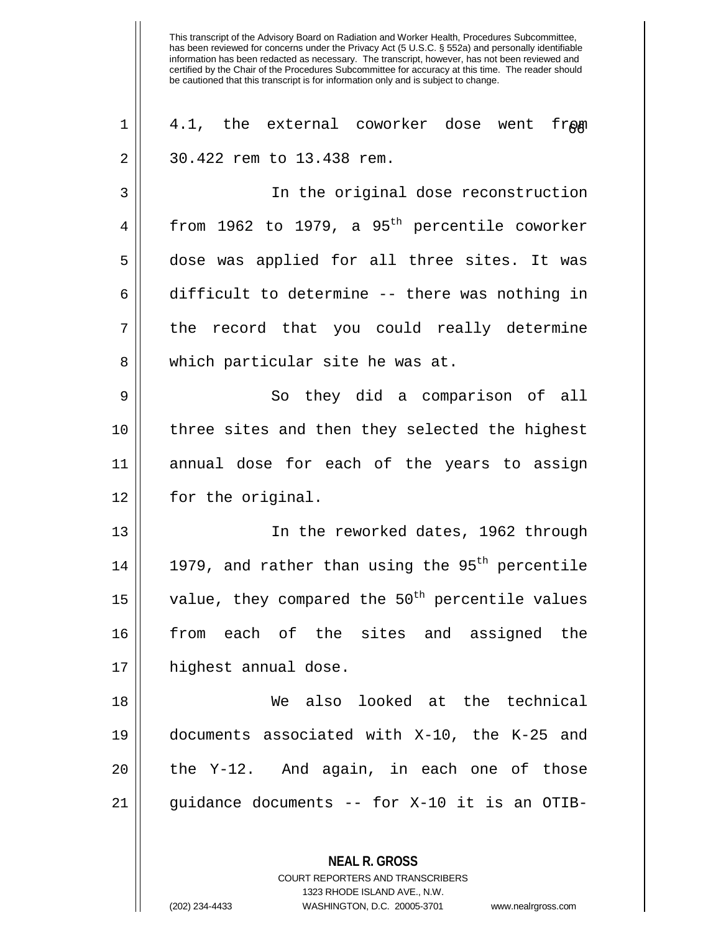**NEAL R. GROSS**  $1 \parallel 4.1$ , the external coworker dose went fr $\rho$ m 2 | 30.422 rem to 13.438 rem. 3 In the original dose reconstruction 4 | from 1962 to 1979, a 95<sup>th</sup> percentile coworker 5 dose was applied for all three sites. It was 6  $\parallel$  difficult to determine -- there was nothing in  $7 \parallel$  the record that you could really determine 8 || which particular site he was at. 9 So they did a comparison of all 10 || three sites and then they selected the highest 11 annual dose for each of the years to assign 12 | for the original. 13 In the reworked dates, 1962 through 14  $\parallel$  1979, and rather than using the 95<sup>th</sup> percentile 15  $\parallel$  value, they compared the 50<sup>th</sup> percentile values 16 from each of the sites and assigned the 17 || highest annual dose. 18 We also looked at the technical 19 documents associated with X-10, the K-25 and  $20$  || the Y-12. And again, in each one of those  $21$  || guidance documents -- for X-10 it is an OTIB-

> COURT REPORTERS AND TRANSCRIBERS 1323 RHODE ISLAND AVE., N.W.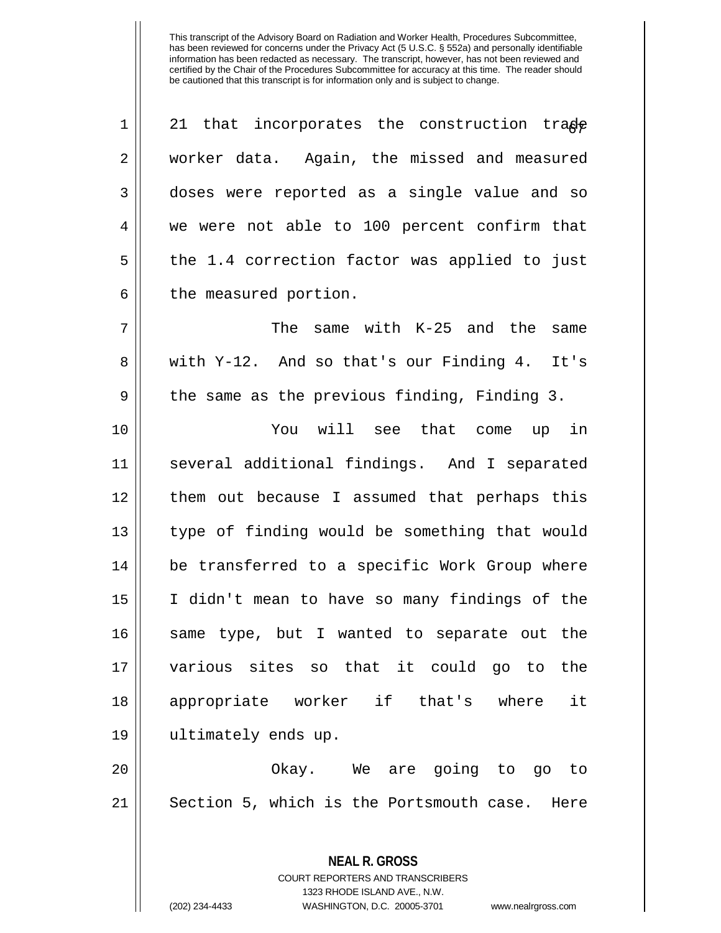| $\mathbf 1$ | 21 that incorporates the construction trade     |
|-------------|-------------------------------------------------|
| 2           | worker data. Again, the missed and measured     |
| 3           | doses were reported as a single value and so    |
| 4           | we were not able to 100 percent confirm that    |
| 5           | the 1.4 correction factor was applied to just   |
| 6           | the measured portion.                           |
| 7           | The same with K-25 and the same                 |
| 8           | with Y-12. And so that's our Finding 4.<br>It's |
| 9           | the same as the previous finding, Finding 3.    |
| 10          | You will see that come up in                    |
| 11          | several additional findings. And I separated    |
| 12          | them out because I assumed that perhaps this    |
| 13          | type of finding would be something that would   |
| 14          | be transferred to a specific Work Group where   |
| 15          | I didn't mean to have so many findings of the   |
| 16          | same type, but I wanted to separate out the     |
| 17          | various sites so that it could go to the        |
| 18          | appropriate worker if that's where<br>it        |
| 19          | ultimately ends up.                             |
| 20          | Okay. We are going to go to                     |
| 21          | Section 5, which is the Portsmouth case. Here   |
|             |                                                 |

**NEAL R. GROSS** COURT REPORTERS AND TRANSCRIBERS 1323 RHODE ISLAND AVE., N.W.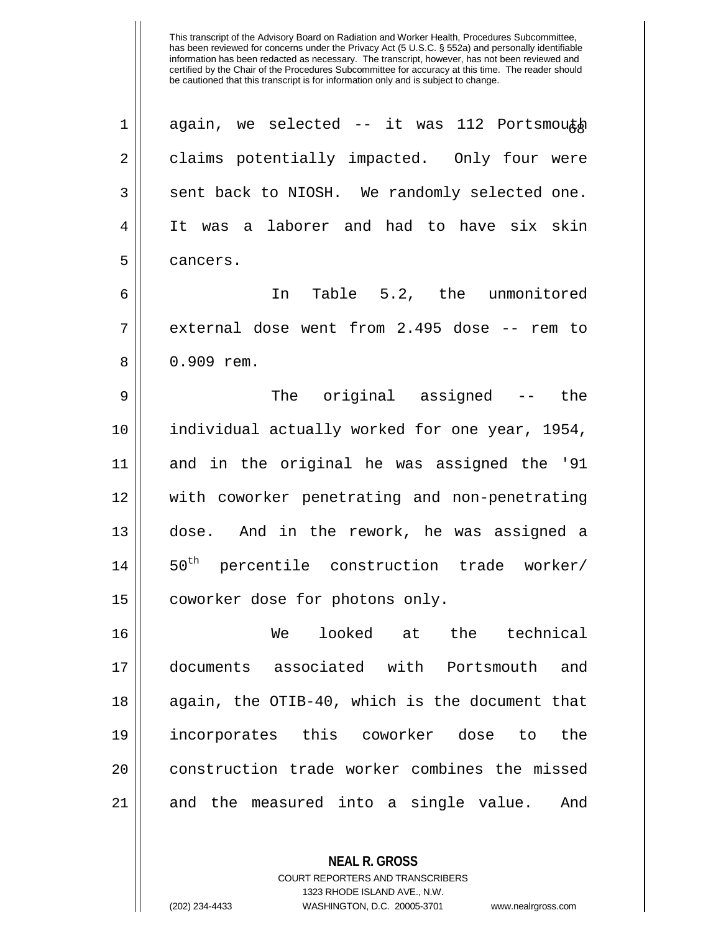$\parallel$  again, we selected -- it was 112 Portsmouth 2 | claims potentially impacted. Only four were  $3 \parallel$  sent back to NIOSH. We randomly selected one. It was a laborer and had to have six skin 5 l cancers. In Table 5.2, the unmonitored external dose went from 2.495 dose -- rem to 8 | 0.909 rem. The original assigned -- the individual actually worked for one year, 1954, and in the original he was assigned the '91 with coworker penetrating and non-penetrating dose. And in the rework, he was assigned a ||  $50<sup>th</sup>$  percentile construction trade worker/ 15 || coworker dose for photons only. We looked at the technical documents associated with Portsmouth and again, the OTIB-40, which is the document that incorporates this coworker dose to the 20 || construction trade worker combines the missed and the measured into a single value. And

> COURT REPORTERS AND TRANSCRIBERS 1323 RHODE ISLAND AVE., N.W.

**NEAL R. GROSS**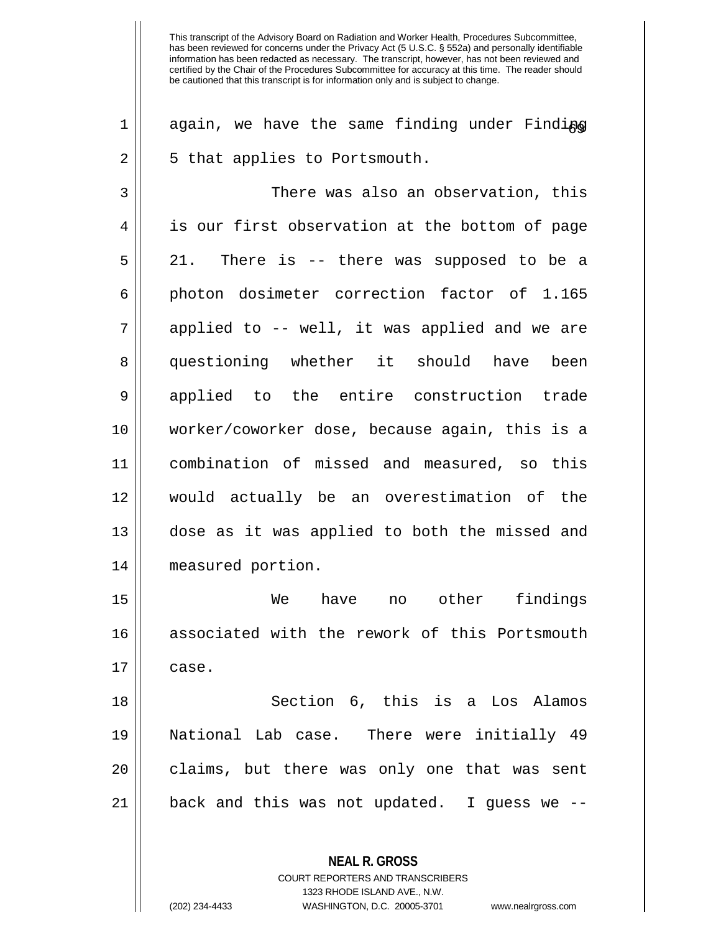**NEAL R. GROSS** COURT REPORTERS AND TRANSCRIBERS  $1$  again, we have the same finding under Finding 2 || 5 that applies to Portsmouth. 3 There was also an observation, this 4 || is our first observation at the bottom of page 5 21. There is -- there was supposed to be a 6 photon dosimeter correction factor of 1.165  $7 \parallel$  applied to -- well, it was applied and we are 8 || questioning whether it should have been 9 || applied to the entire construction trade 10 worker/coworker dose, because again, this is a 11 combination of missed and measured, so this 12 would actually be an overestimation of the 13 dose as it was applied to both the missed and 14 measured portion. 15 We have no other findings 16 associated with the rework of this Portsmouth  $17 \parallel \text{case.}$ 18 Section 6, this is a Los Alamos 19 National Lab case. There were initially 49 20 || claims, but there was only one that was sent 21  $\parallel$  back and this was not updated. I guess we --

1323 RHODE ISLAND AVE., N.W.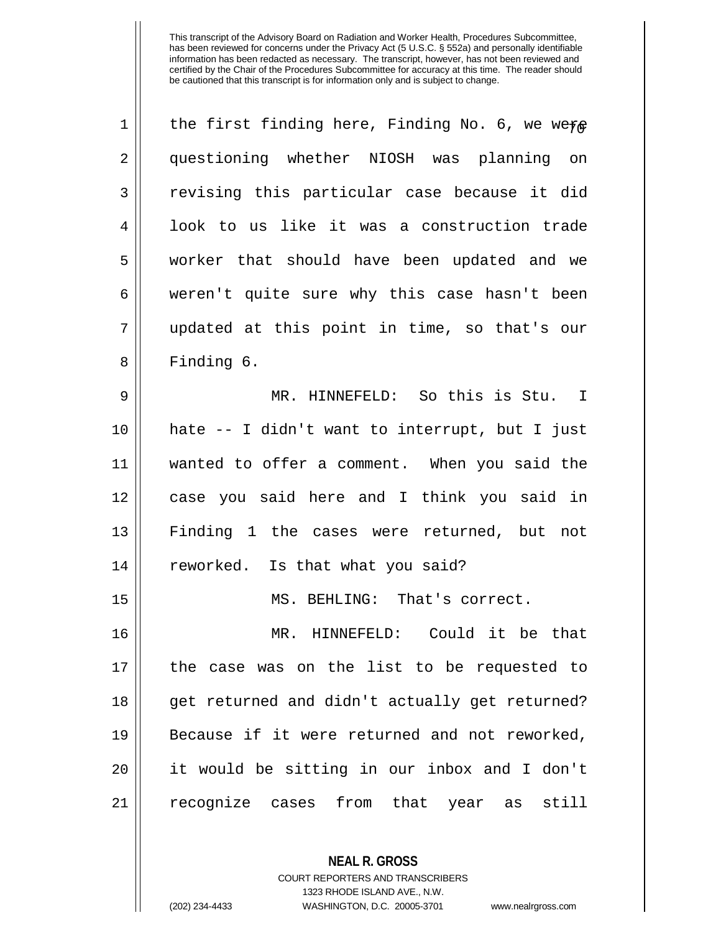| 1  | the first finding here, Finding No. 6, we were |
|----|------------------------------------------------|
| 2  | questioning whether NIOSH was planning on      |
| 3  | revising this particular case because it did   |
| 4  | look to us like it was a construction trade    |
| 5  | worker that should have been updated and we    |
| 6  | weren't quite sure why this case hasn't been   |
| 7  | updated at this point in time, so that's our   |
| 8  | Finding 6.                                     |
| 9  | MR. HINNEFELD: So this is Stu. I               |
| 10 | hate -- I didn't want to interrupt, but I just |
| 11 | wanted to offer a comment. When you said the   |
| 12 | case you said here and I think you said in     |
| 13 | Finding 1 the cases were returned, but not     |
| 14 | reworked. Is that what you said?               |
| 15 | MS. BEHLING: That's correct.                   |
| 16 | MR. HINNEFELD: Could it be that                |
| 17 | the case was on the list to be requested to    |
| 18 | get returned and didn't actually get returned? |
| 19 | Because if it were returned and not reworked,  |
| 20 | it would be sitting in our inbox and I don't   |
| 21 | recognize cases from that year as still        |
|    |                                                |

COURT REPORTERS AND TRANSCRIBERS 1323 RHODE ISLAND AVE., N.W. (202) 234-4433 WASHINGTON, D.C. 20005-3701 www.nealrgross.com

**NEAL R. GROSS**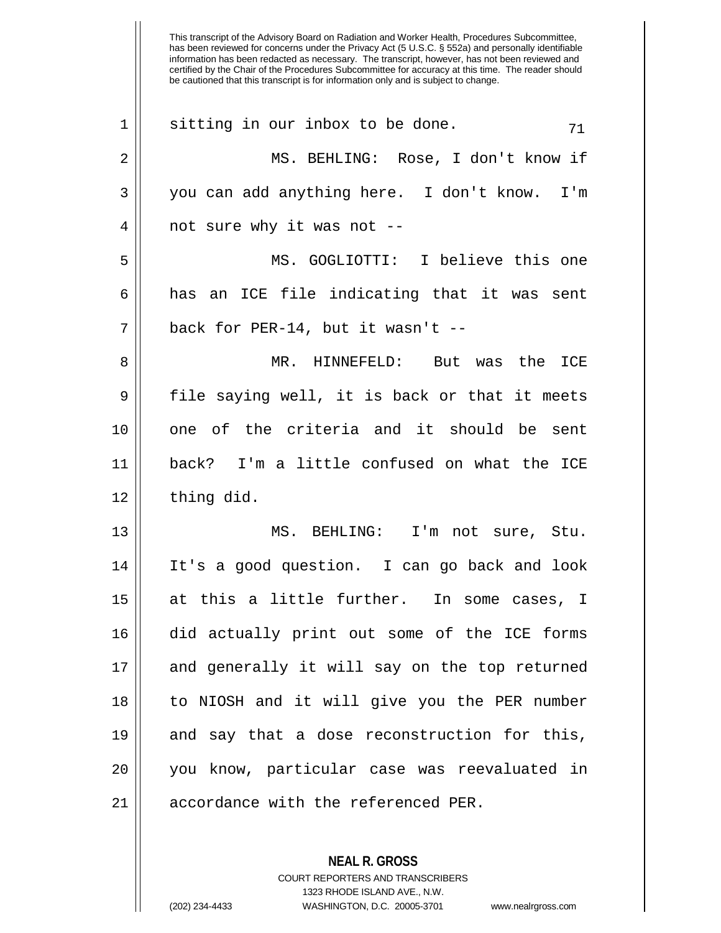|    | This transcript of the Advisory Board on Radiation and Worker Health, Procedures Subcommittee,<br>has been reviewed for concerns under the Privacy Act (5 U.S.C. § 552a) and personally identifiable<br>information has been redacted as necessary. The transcript, however, has not been reviewed and<br>certified by the Chair of the Procedures Subcommittee for accuracy at this time. The reader should<br>be cautioned that this transcript is for information only and is subject to change. |
|----|-----------------------------------------------------------------------------------------------------------------------------------------------------------------------------------------------------------------------------------------------------------------------------------------------------------------------------------------------------------------------------------------------------------------------------------------------------------------------------------------------------|
| 1  | sitting in our inbox to be done.<br>71                                                                                                                                                                                                                                                                                                                                                                                                                                                              |
| 2  | MS. BEHLING: Rose, I don't know if                                                                                                                                                                                                                                                                                                                                                                                                                                                                  |
| 3  | you can add anything here. I don't know.<br>T'm                                                                                                                                                                                                                                                                                                                                                                                                                                                     |
| 4  | not sure why it was not --                                                                                                                                                                                                                                                                                                                                                                                                                                                                          |
| 5  | MS. GOGLIOTTI:<br>I believe this one                                                                                                                                                                                                                                                                                                                                                                                                                                                                |
| 6  | an ICE file indicating that it was<br>has<br>sent                                                                                                                                                                                                                                                                                                                                                                                                                                                   |
| 7  | back for PER-14, but it wasn't $-$                                                                                                                                                                                                                                                                                                                                                                                                                                                                  |
| 8  | HINNEFELD:<br>was the<br>MR.<br>But<br>ICE                                                                                                                                                                                                                                                                                                                                                                                                                                                          |
| 9  | file saying well, it is back or that it meets                                                                                                                                                                                                                                                                                                                                                                                                                                                       |
| 10 | of the criteria and it should be<br>one.<br>sent                                                                                                                                                                                                                                                                                                                                                                                                                                                    |
| 11 | I'm a little confused on what the ICE<br>back?                                                                                                                                                                                                                                                                                                                                                                                                                                                      |
| 12 | thing did.                                                                                                                                                                                                                                                                                                                                                                                                                                                                                          |
| 13 | MS. BEHLING: I'm not sure, Stu.                                                                                                                                                                                                                                                                                                                                                                                                                                                                     |
| 14 | It's a good question. I can go back and look                                                                                                                                                                                                                                                                                                                                                                                                                                                        |
| 15 | at this a little further. In some cases, I                                                                                                                                                                                                                                                                                                                                                                                                                                                          |
| 16 | did actually print out some of the ICE forms                                                                                                                                                                                                                                                                                                                                                                                                                                                        |
| 17 | and generally it will say on the top returned                                                                                                                                                                                                                                                                                                                                                                                                                                                       |
| 18 | to NIOSH and it will give you the PER number                                                                                                                                                                                                                                                                                                                                                                                                                                                        |
| 19 | and say that a dose reconstruction for this,                                                                                                                                                                                                                                                                                                                                                                                                                                                        |
| 20 | you know, particular case was reevaluated in                                                                                                                                                                                                                                                                                                                                                                                                                                                        |
| 21 | accordance with the referenced PER.                                                                                                                                                                                                                                                                                                                                                                                                                                                                 |

COURT REPORTERS AND TRANSCRIBERS 1323 RHODE ISLAND AVE., N.W.

**NEAL R. GROSS**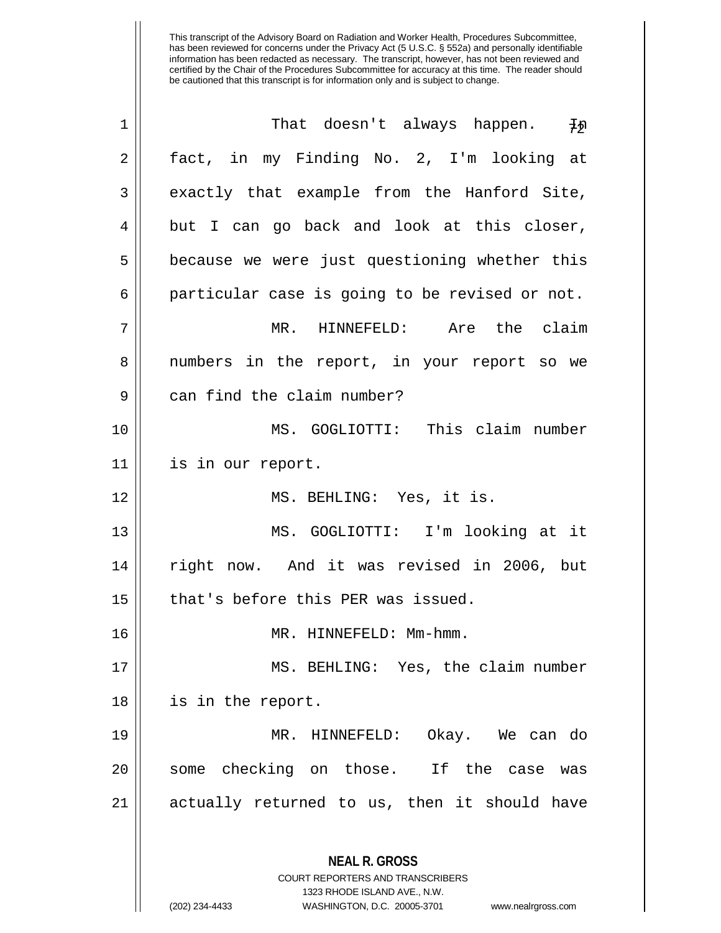| 1  | That doesn't always happen. Jn                                                           |
|----|------------------------------------------------------------------------------------------|
| 2  | fact, in my Finding No. 2, I'm looking at                                                |
| 3  | exactly that example from the Hanford Site,                                              |
| 4  | but I can go back and look at this closer,                                               |
| 5  | because we were just questioning whether this                                            |
| 6  | particular case is going to be revised or not.                                           |
| 7  | MR. HINNEFELD: Are the claim                                                             |
| 8  | numbers in the report, in your report so we                                              |
| 9  | can find the claim number?                                                               |
| 10 | MS. GOGLIOTTI: This claim number                                                         |
| 11 | is in our report.                                                                        |
| 12 | MS. BEHLING: Yes, it is.                                                                 |
| 13 | MS. GOGLIOTTI: I'm looking at it                                                         |
| 14 | right now. And it was revised in 2006, but                                               |
| 15 | that's before this PER was issued.                                                       |
| 16 | MR. HINNEFELD: Mm-hmm.                                                                   |
| 17 | MS. BEHLING: Yes, the claim number                                                       |
| 18 | is in the report.                                                                        |
| 19 | MR. HINNEFELD: Okay. We can do                                                           |
| 20 | some checking on those. If the case<br>was                                               |
| 21 | actually returned to us, then it should have                                             |
|    | <b>NEAL R. GROSS</b><br>COURT REPORTERS AND TRANSCRIBERS<br>1323 RHODE ISLAND AVE., N.W. |
|    | (202) 234-4433<br>WASHINGTON, D.C. 20005-3701<br>www.nealrgross.com                      |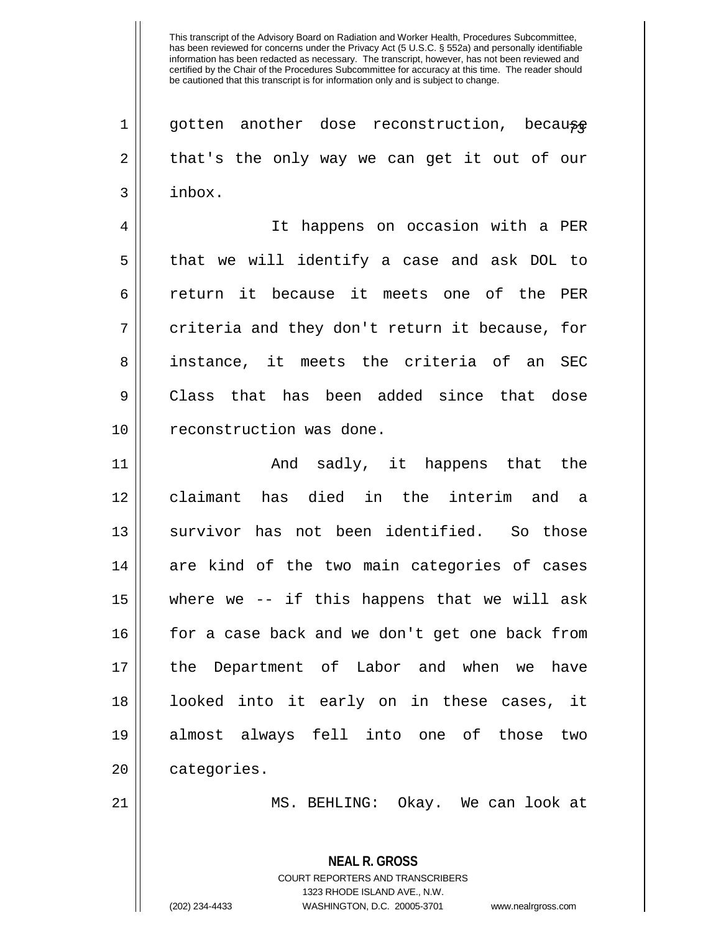$1 \parallel$  gotten another dose reconstruction, because  $2 \parallel$  that's the only way we can get it out of our 3 inbox.

4 It happens on occasion with a PER 5 that we will identify a case and ask DOL to 6 return it because it meets one of the PER  $7 \parallel$  criteria and they don't return it because, for 8 ainstance, it meets the criteria of an SEC 9 Class that has been added since that dose 10 || reconstruction was done.

 And sadly, it happens that the claimant has died in the interim and a 13 || survivor has not been identified. So those are kind of the two main categories of cases where we -- if this happens that we will ask 16 || for a case back and we don't get one back from the Department of Labor and when we have looked into it early on in these cases, it almost always fell into one of those two 20 | categories.

21 || MS. BEHLING: Okay. We can look at

**NEAL R. GROSS** COURT REPORTERS AND TRANSCRIBERS 1323 RHODE ISLAND AVE., N.W. (202) 234-4433 WASHINGTON, D.C. 20005-3701 www.nealrgross.com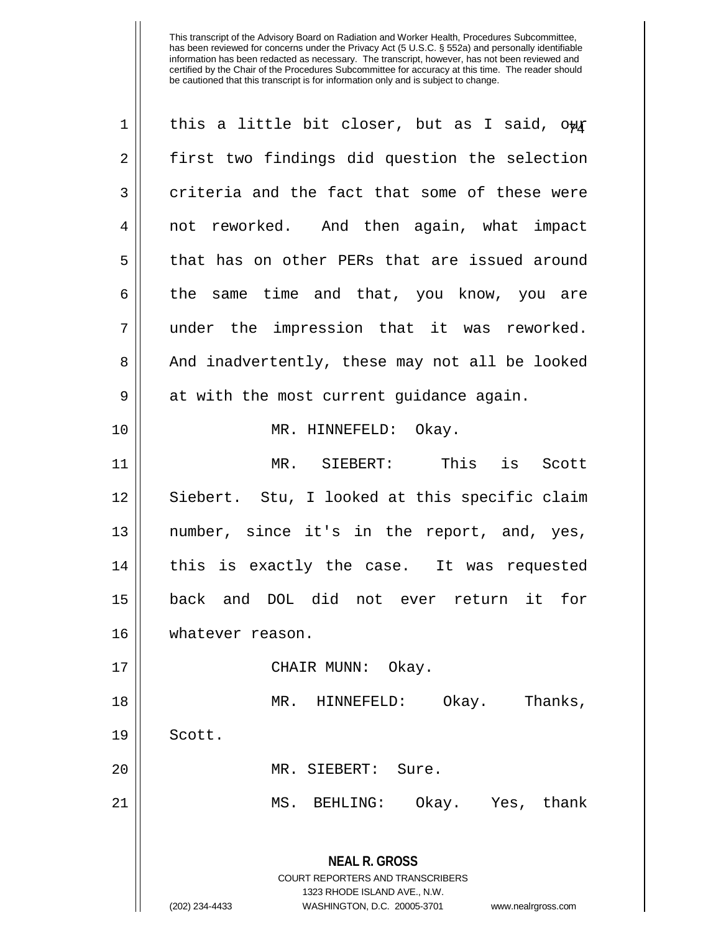| $\mathbf 1$ | this a little bit closer, but as I said, owr                                                    |
|-------------|-------------------------------------------------------------------------------------------------|
| 2           | first two findings did question the selection                                                   |
| 3           | criteria and the fact that some of these were                                                   |
| 4           | not reworked. And then again, what impact                                                       |
| 5           | that has on other PERs that are issued around                                                   |
| 6           | the same time and that, you know, you are                                                       |
| 7           | under the impression that it was reworked.                                                      |
| 8           | And inadvertently, these may not all be looked                                                  |
| 9           | at with the most current guidance again.                                                        |
| 10          | MR. HINNEFELD: Okay.                                                                            |
| 11          | MR. SIEBERT: This is Scott                                                                      |
| 12          | Siebert. Stu, I looked at this specific claim                                                   |
| 13          | number, since it's in the report, and, yes,                                                     |
| 14          | this is exactly the case. It was requested                                                      |
| 15          | back and DOL did not ever return it for                                                         |
| 16          | whatever reason.                                                                                |
| 17          | CHAIR MUNN: Okay.                                                                               |
| 18          | Okay.<br>Thanks,<br>HINNEFELD:<br>MR.                                                           |
| 19          | Scott.                                                                                          |
| 20          | MR. SIEBERT:<br>Sure.                                                                           |
| 21          | MS. BEHLING:<br>Okay. Yes, thank                                                                |
|             | <b>NEAL R. GROSS</b><br><b>COURT REPORTERS AND TRANSCRIBERS</b><br>1323 RHODE ISLAND AVE., N.W. |
|             | (202) 234-4433<br>WASHINGTON, D.C. 20005-3701<br>www.nealrgross.com                             |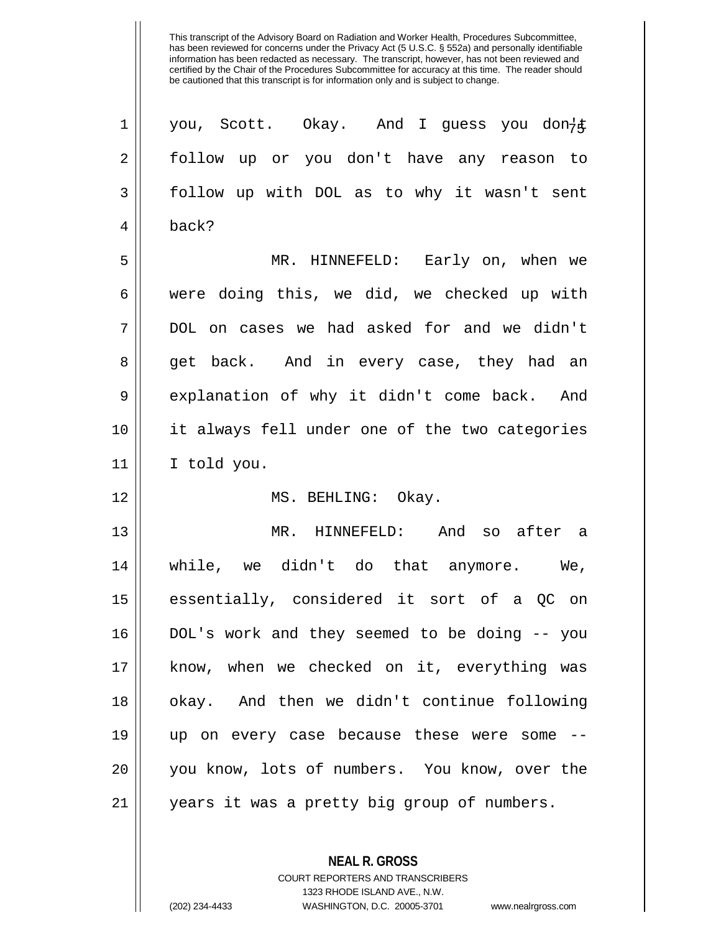| 1  | you, Scott. Okay. And I guess you don-         |
|----|------------------------------------------------|
| 2  | follow up or you don't have any reason to      |
| 3  | follow up with DOL as to why it wasn't sent    |
| 4  | back?                                          |
| 5  | MR. HINNEFELD: Early on, when we               |
| 6  | were doing this, we did, we checked up with    |
| 7  | DOL on cases we had asked for and we didn't    |
| 8  | get back. And in every case, they had an       |
| 9  | explanation of why it didn't come back. And    |
| 10 | it always fell under one of the two categories |
| 11 | I told you.                                    |
| 12 | MS. BEHLING: Okay.                             |
| 13 | MR. HINNEFELD: And so after a                  |
| 14 | while, we didn't do that anymore. We,          |
| 15 | essentially, considered it sort of a QC on     |
| 16 | DOL's work and they seemed to be doing -- you  |
| 17 | know, when we checked on it, everything was    |
| 18 | okay. And then we didn't continue following    |
| 19 | up on every case because these were some       |
| 20 | you know, lots of numbers. You know, over the  |
| 21 | years it was a pretty big group of numbers.    |

**NEAL R. GROSS** COURT REPORTERS AND TRANSCRIBERS

1323 RHODE ISLAND AVE., N.W.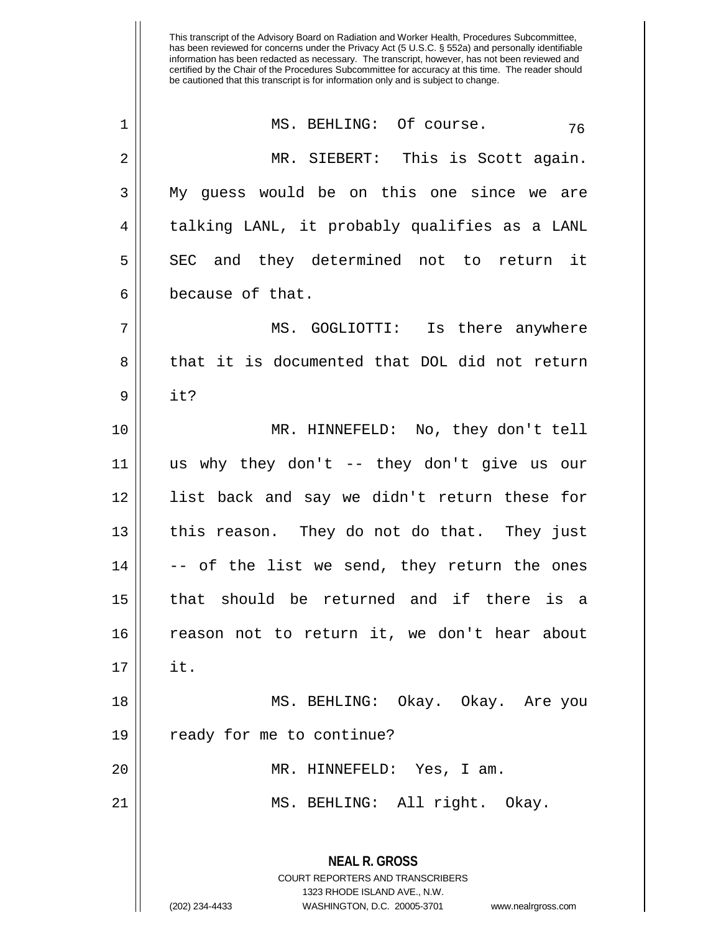| $\mathbf 1$ | MS. BEHLING: Of course.<br>76                                                                                                                                          |
|-------------|------------------------------------------------------------------------------------------------------------------------------------------------------------------------|
| 2           | MR. SIEBERT: This is Scott again.                                                                                                                                      |
| 3           | My quess would be on this one since we are                                                                                                                             |
| 4           | talking LANL, it probably qualifies as a LANL                                                                                                                          |
| 5           | SEC and they determined not to return it                                                                                                                               |
| 6           | because of that.                                                                                                                                                       |
| 7           | MS. GOGLIOTTI: Is there anywhere                                                                                                                                       |
| 8           | that it is documented that DOL did not return                                                                                                                          |
| 9           | it?                                                                                                                                                                    |
| 10          | MR. HINNEFELD: No, they don't tell                                                                                                                                     |
| 11          | us why they don't -- they don't give us our                                                                                                                            |
| 12          | list back and say we didn't return these for                                                                                                                           |
| 13          | this reason. They do not do that. They just                                                                                                                            |
| 14          | -- of the list we send, they return the ones                                                                                                                           |
| 15          | that should be returned and if there is a                                                                                                                              |
| 16          | reason not to return it, we don't hear about                                                                                                                           |
| 17          | it.                                                                                                                                                                    |
| 18          | MS. BEHLING: Okay. Okay. Are you                                                                                                                                       |
| 19          | ready for me to continue?                                                                                                                                              |
| 20          | MR. HINNEFELD: Yes, I am.                                                                                                                                              |
| 21          | MS. BEHLING: All right. Okay.                                                                                                                                          |
|             | <b>NEAL R. GROSS</b><br><b>COURT REPORTERS AND TRANSCRIBERS</b><br>1323 RHODE ISLAND AVE., N.W.<br>(202) 234-4433<br>WASHINGTON, D.C. 20005-3701<br>www.nealrgross.com |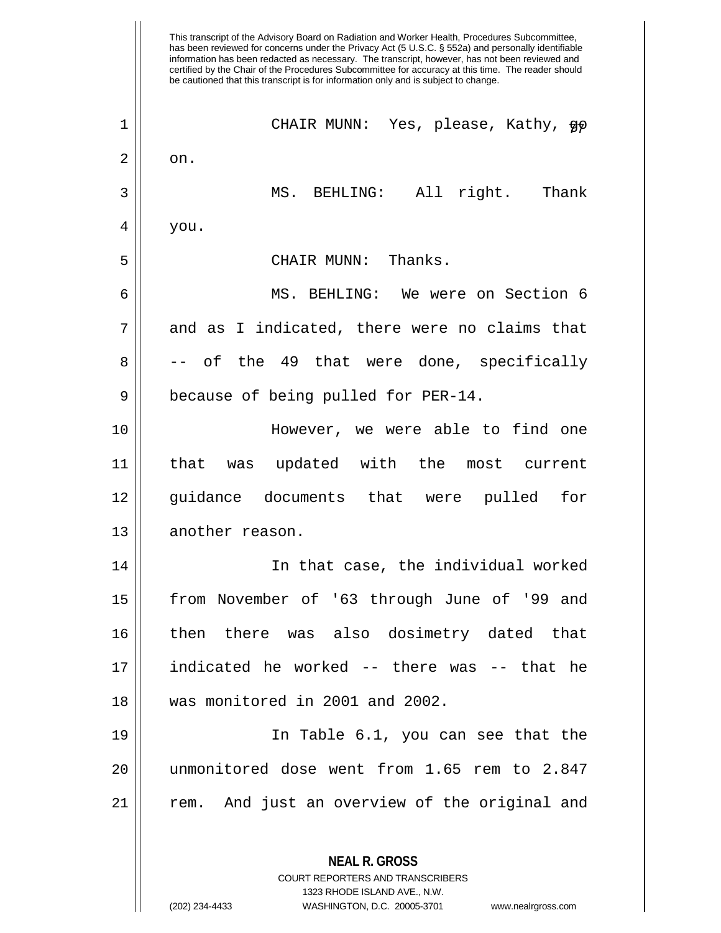This transcript of the Advisory Board on Radiation and Worker Health, Procedures Subcommittee, has been reviewed for concerns under the Privacy Act (5 U.S.C. § 552a) and personally identifiable information has been redacted as necessary. The transcript, however, has not been reviewed and certified by the Chair of the Procedures Subcommittee for accuracy at this time. The reader should be cautioned that this transcript is for information only and is subject to change. **NEAL R. GROSS** CHAIR MUNN: Yes, please, Kathy, go 77 1  $2 \parallel$  on. 3 MS. BEHLING: All right. Thank  $4 \mid$  you. 5 CHAIR MUNN: Thanks. 6 || MS. BEHLING: We were on Section 6  $7$  || and as I indicated, there were no claims that  $8 \parallel$  -- of the 49 that were done, specifically 9 | because of being pulled for PER-14. 10 However, we were able to find one 11 that was updated with the most current 12 guidance documents that were pulled for 13 | another reason. 14 In that case, the individual worked 15 from November of '63 through June of '99 and 16 then there was also dosimetry dated that 17 indicated he worked -- there was -- that he 18 was monitored in 2001 and 2002. 19 In Table 6.1, you can see that the 20 unmonitored dose went from 1.65 rem to 2.847  $21$   $\parallel$  rem. And just an overview of the original and

> COURT REPORTERS AND TRANSCRIBERS 1323 RHODE ISLAND AVE., N.W.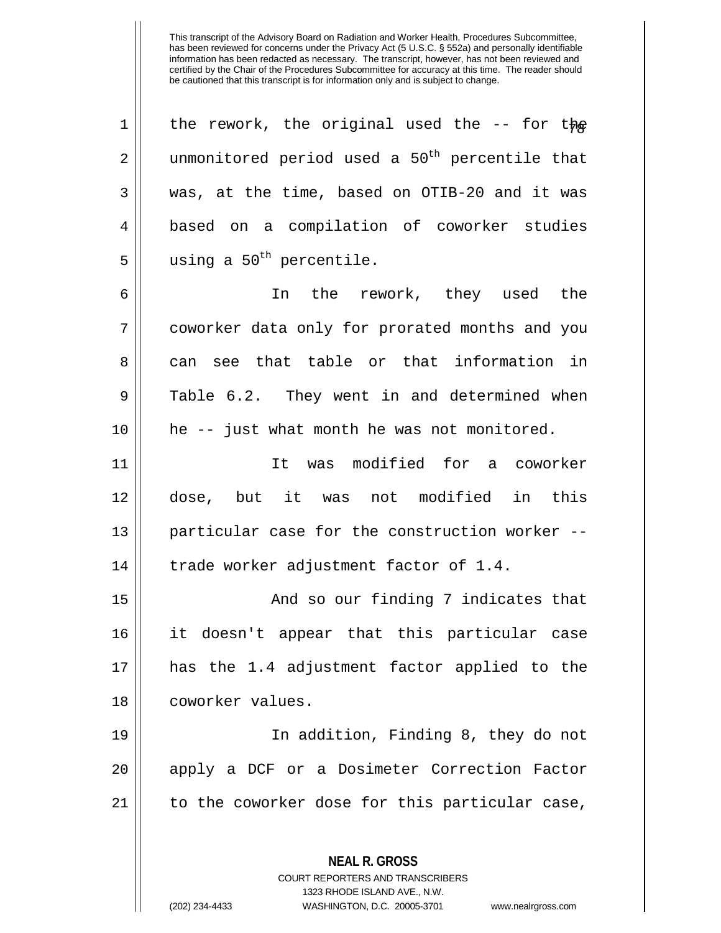| $\mathbf 1$ | the rework, the original used the $-$ - for the            |
|-------------|------------------------------------------------------------|
| 2           | unmonitored period used a 50 <sup>th</sup> percentile that |
| 3           | was, at the time, based on OTIB-20 and it was              |
| 4           | based on a compilation of coworker studies                 |
| 5           | using a 50 <sup>th</sup> percentile.                       |
| 6           | In the rework, they used the                               |
| 7           | coworker data only for prorated months and you             |
| 8           | can see that table or that information in                  |
| 9           | Table 6.2. They went in and determined when                |
| 10          | he -- just what month he was not monitored.                |
| 11          | It was modified for a coworker                             |
| 12          | dose, but it was not modified in this                      |
| 13          | particular case for the construction worker --             |
| 14          | trade worker adjustment factor of 1.4.                     |
| 15          | And so our finding 7 indicates that                        |
| 16          | it doesn't appear that this particular case                |
| 17          | has the 1.4 adjustment factor applied to the               |
| 18          | coworker values.                                           |
| 19          | In addition, Finding 8, they do not                        |
| 20          | apply a DCF or a Dosimeter Correction Factor               |
| 21          | to the coworker dose for this particular case,             |
|             |                                                            |
|             | <b>NEAL R. GROSS</b><br>COURT REPORTERS AND TRANSCRIBERS   |

1323 RHODE ISLAND AVE., N.W.

 $\mathop{\text{||}}$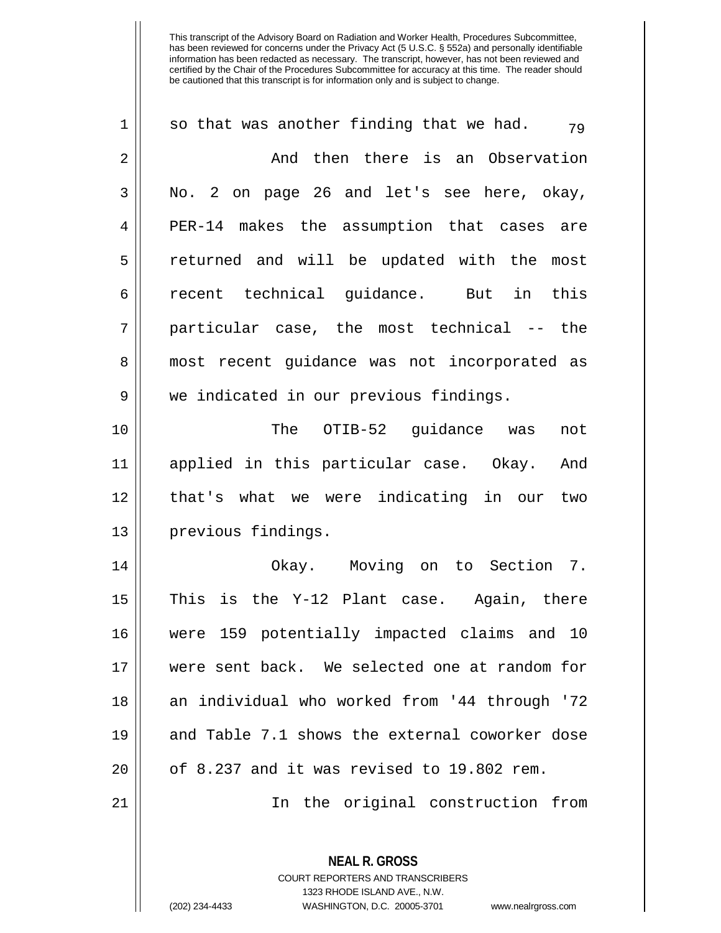| 1  | so that was another finding that we had.<br>79           |
|----|----------------------------------------------------------|
| 2  | And then there is an Observation                         |
| 3  | No. 2 on page 26 and let's see here, okay,               |
| 4  | PER-14 makes the assumption that cases are               |
| 5  | returned and will be updated with the most               |
| 6  | recent technical guidance. But in this                   |
| 7  | particular case, the most technical -- the               |
| 8  | most recent guidance was not incorporated as             |
| 9  | we indicated in our previous findings.                   |
| 10 | The OTIB-52 guidance was<br>not                          |
| 11 | applied in this particular case. Okay. And               |
| 12 | that's what we were indicating in our two                |
| 13 | previous findings.                                       |
| 14 | Okay. Moving on to Section 7.                            |
| 15 | This<br>is the Y-12 Plant case. Again, there             |
| 16 | 159 potentially impacted claims and 10<br>were           |
| 17 | were sent back. We selected one at random for            |
| 18 | an individual who worked from '44 through '72            |
| 19 | and Table 7.1 shows the external coworker dose           |
| 20 | of 8.237 and it was revised to 19.802 rem.               |
| 21 | In the original construction from                        |
|    | <b>NEAL R. GROSS</b><br>COURT REPORTERS AND TRANSCRIBERS |

1323 RHODE ISLAND AVE., N.W.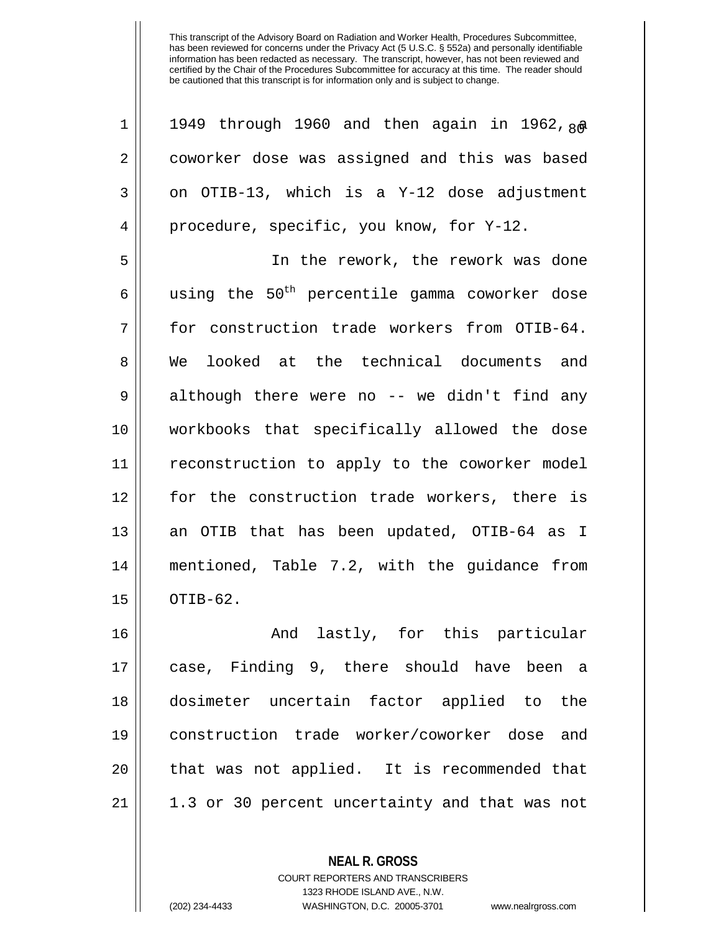| 1              | 1949 through 1960 and then again in 1962, 80              |
|----------------|-----------------------------------------------------------|
| $\overline{2}$ | coworker dose was assigned and this was based             |
| 3              | on OTIB-13, which is a Y-12 dose adjustment               |
| 4              | procedure, specific, you know, for Y-12.                  |
| 5              | In the rework, the rework was done                        |
| 6              | using the 50 <sup>th</sup> percentile gamma coworker dose |
| 7              | for construction trade workers from OTIB-64.              |
| 8              | We looked at the technical documents and                  |
| 9              | although there were no -- we didn't find any              |
| 10             | workbooks that specifically allowed the dose              |
| 11             | reconstruction to apply to the coworker model             |
| 12             | for the construction trade workers, there is              |
| 13             | an OTIB that has been updated, OTIB-64 as I               |
| 14             | mentioned, Table 7.2, with the guidance from              |
| 15             | OTIB-62.                                                  |
| 16             | And lastly, for this particular                           |
| 17             | case, Finding 9, there should have been a                 |
| 18             | dosimeter uncertain factor applied to the                 |
| 19             | construction trade worker/coworker dose and               |

**NEAL R. GROSS** COURT REPORTERS AND TRANSCRIBERS 1323 RHODE ISLAND AVE., N.W.

|| that was not applied. It is recommended that

| 1.3 or 30 percent uncertainty and that was not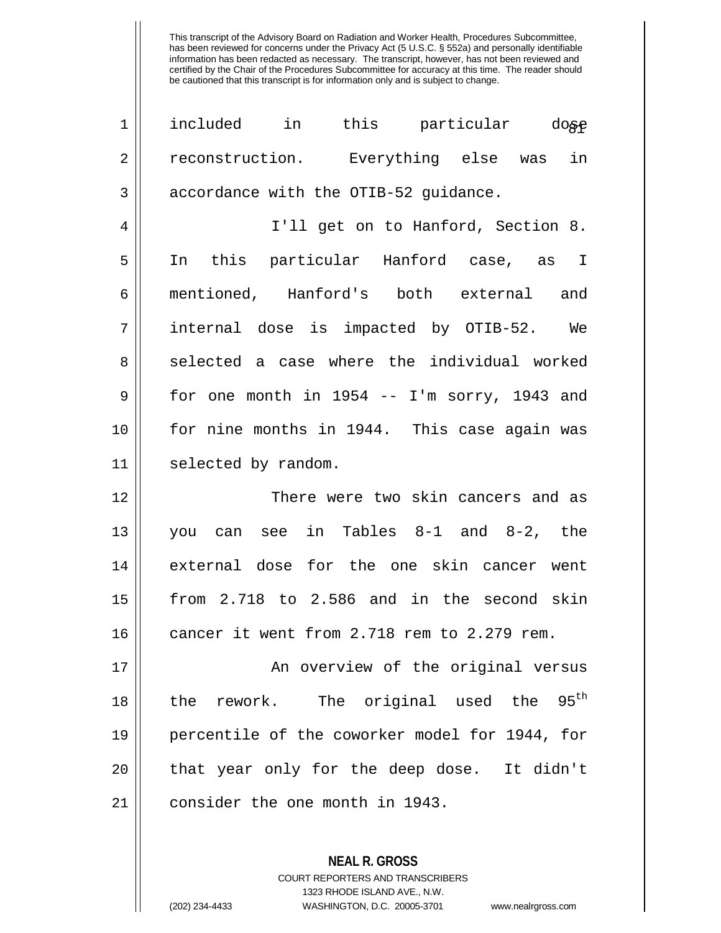| $\mathbf 1$ | included in this particular dose                         |
|-------------|----------------------------------------------------------|
| 2           | reconstruction. Everything else was in                   |
| 3           | accordance with the OTIB-52 guidance.                    |
| 4           | I'll get on to Hanford, Section 8.                       |
| 5           | In this particular Hanford case, as I                    |
| 6           | mentioned, Hanford's both external and                   |
| 7           | internal dose is impacted by OTIB-52. We                 |
| 8           | selected a case where the individual worked              |
| 9           | for one month in 1954 -- I'm sorry, 1943 and             |
| 10          | for nine months in 1944. This case again was             |
| 11          | selected by random.                                      |
| 12          | There were two skin cancers and as                       |
| 13          | you can see in Tables 8-1 and 8-2, the                   |
| 14          | external dose for the one skin cancer went               |
| 15          | from 2.718 to 2.586 and in the second skin               |
| 16          | cancer it went from 2.718 rem to 2.279 rem.              |
| 17          | An overview of the original versus                       |
| 18          | $95^{\text{th}}$<br>The original used the<br>the rework. |
| 19          | percentile of the coworker model for 1944, for           |
| 20          | that year only for the deep dose. It didn't              |
| 21          |                                                          |
|             | consider the one month in 1943.                          |

**NEAL R. GROSS** COURT REPORTERS AND TRANSCRIBERS 1323 RHODE ISLAND AVE., N.W.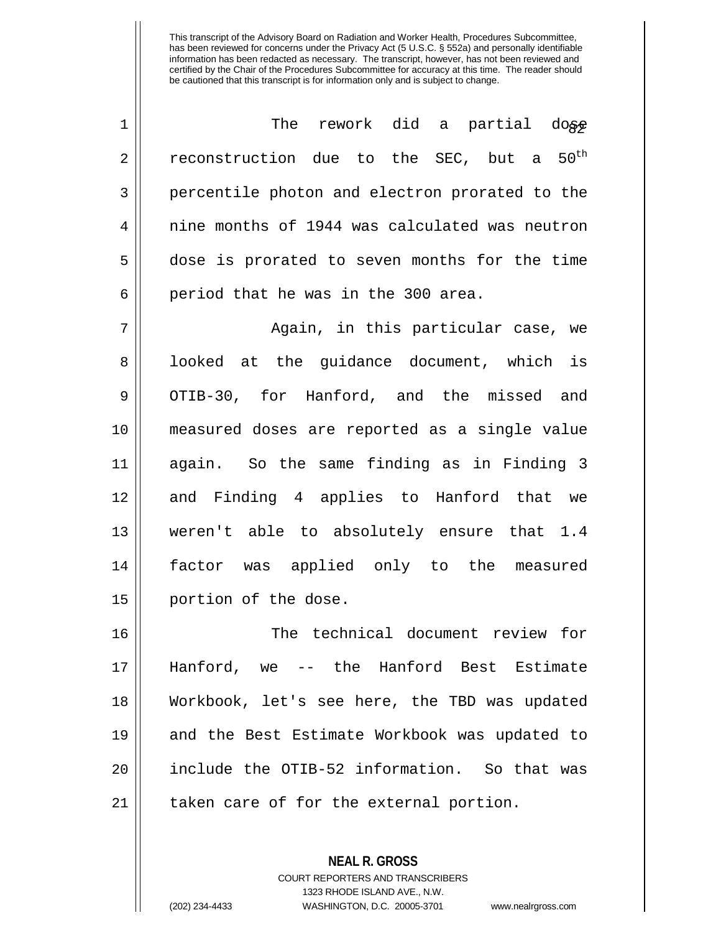| 1              | rework did a partial dose<br>The                         |
|----------------|----------------------------------------------------------|
| $\overline{2}$ | $50^{\text{th}}$<br>reconstruction due to the SEC, but a |
| 3              | percentile photon and electron prorated to the           |
| 4              | nine months of 1944 was calculated was neutron           |
| 5              | dose is prorated to seven months for the time            |
| 6              | period that he was in the 300 area.                      |
| 7              | Again, in this particular case, we                       |
| 8              | looked at the guidance document, which is                |
| 9              | OTIB-30, for Hanford, and the missed and                 |
| 10             | measured doses are reported as a single value            |
| 11             | again. So the same finding as in Finding 3               |
| 12             | and Finding 4 applies to Hanford that we                 |
| 13             | weren't able to absolutely ensure that 1.4               |
| 14             | factor was applied only to the measured                  |
| 15             | portion of the dose.                                     |
| 16             | The technical document review for                        |
| 17             | Hanford, we -- the Hanford Best Estimate                 |
| 18             | Workbook, let's see here, the TBD was updated            |
| 19             | and the Best Estimate Workbook was updated to            |
| 20             | include the OTIB-52 information. So that was             |
| 21             | taken care of for the external portion.                  |

**NEAL R. GROSS** COURT REPORTERS AND TRANSCRIBERS 1323 RHODE ISLAND AVE., N.W. (202) 234-4433 WASHINGTON, D.C. 20005-3701 www.nealrgross.com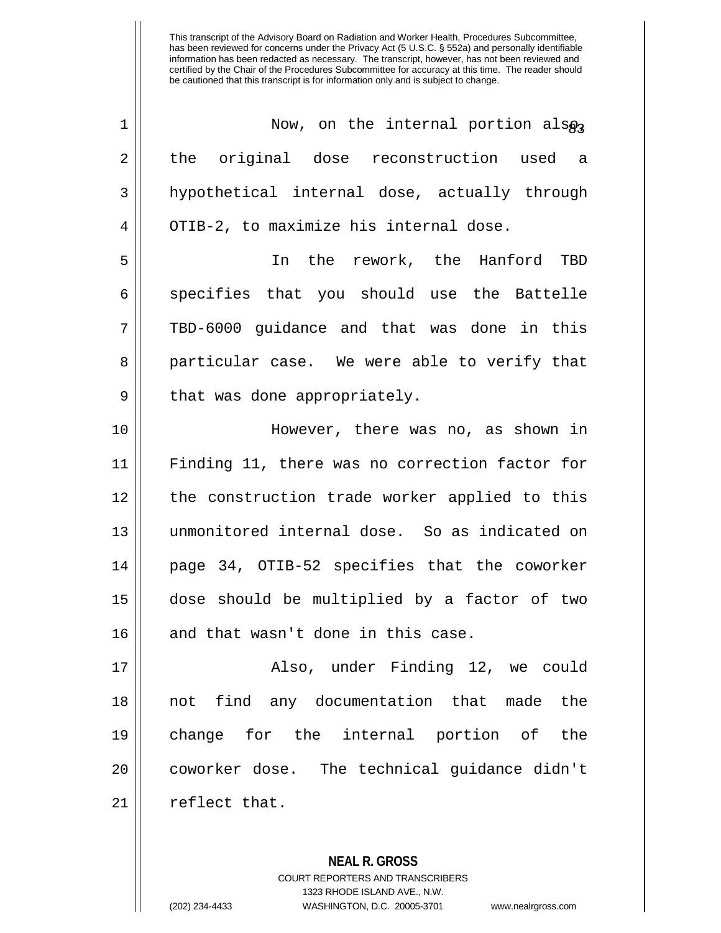| 1              | Now, on the internal portion also              |
|----------------|------------------------------------------------|
| $\overline{2}$ | the original dose reconstruction used<br>a a   |
| 3              | hypothetical internal dose, actually through   |
| 4              | OTIB-2, to maximize his internal dose.         |
| 5              | In the rework, the Hanford TBD                 |
| 6              | specifies that you should use the Battelle     |
| 7              | TBD-6000 guidance and that was done in this    |
| 8              | particular case. We were able to verify that   |
| 9              | that was done appropriately.                   |
| 10             | However, there was no, as shown in             |
| 11             | Finding 11, there was no correction factor for |
| 12             | the construction trade worker applied to this  |
| 13             | unmonitored internal dose. So as indicated on  |
| 14             | page 34, OTIB-52 specifies that the coworker   |
| 15             | dose should be multiplied by a factor of two   |
| 16             | and that wasn't done in this case.             |
| 17             | Also, under Finding 12, we could               |
| 18             | not find any documentation that made the       |
| 19             | change for the internal portion of the         |
| 20             | coworker dose. The technical quidance didn't   |
| 21             | reflect that.                                  |

**NEAL R. GROSS** COURT REPORTERS AND TRANSCRIBERS 1323 RHODE ISLAND AVE., N.W.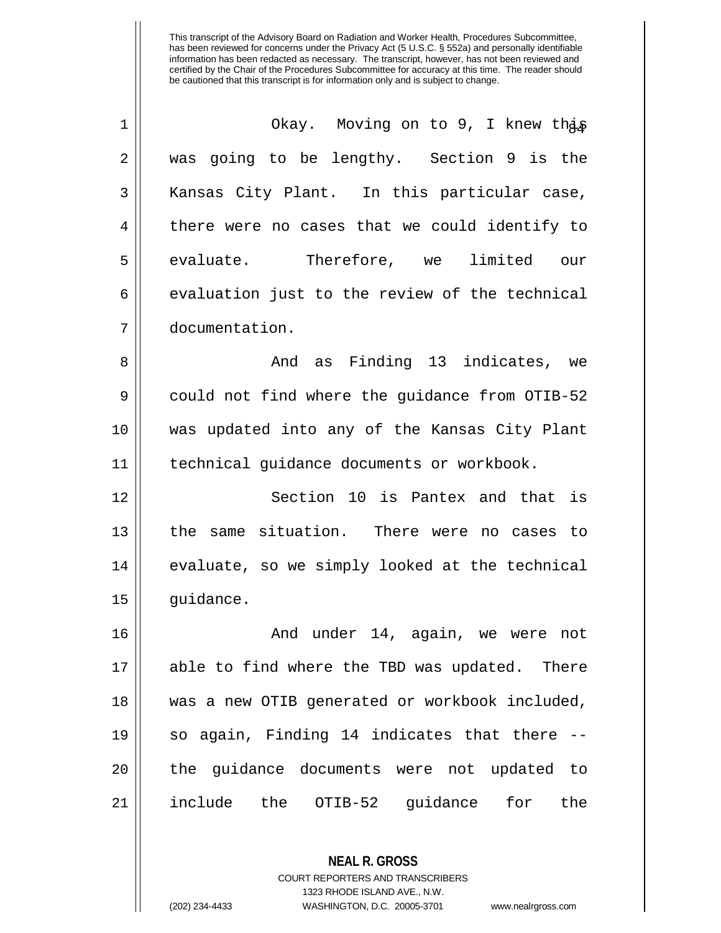| $\mathbf 1$ | Okay. Moving on to 9, I knew thas              |
|-------------|------------------------------------------------|
| 2           | was going to be lengthy. Section 9 is the      |
| 3           | Kansas City Plant. In this particular case,    |
| 4           | there were no cases that we could identify to  |
| 5           | evaluate. Therefore, we limited our            |
| 6           | evaluation just to the review of the technical |
| 7           | documentation.                                 |
| 8           | And as Finding 13 indicates, we                |
| 9           | could not find where the guidance from OTIB-52 |
| 10          | was updated into any of the Kansas City Plant  |
| 11          | technical guidance documents or workbook.      |
| 12          | Section 10 is Pantex and that is               |
| 13          | the same situation. There were no cases to     |
| 14          | evaluate, so we simply looked at the technical |
| 15          | quidance.                                      |
| 16          | And under 14, again, we were not               |
| 17          | able to find where the TBD was updated. There  |
| 18          | was a new OTIB generated or workbook included, |
| 19          | so again, Finding 14 indicates that there --   |
| 20          | the guidance documents were not updated to     |
| 21          | include the OTIB-52 guidance for<br>the        |

**NEAL R. GROSS** COURT REPORTERS AND TRANSCRIBERS 1323 RHODE ISLAND AVE., N.W.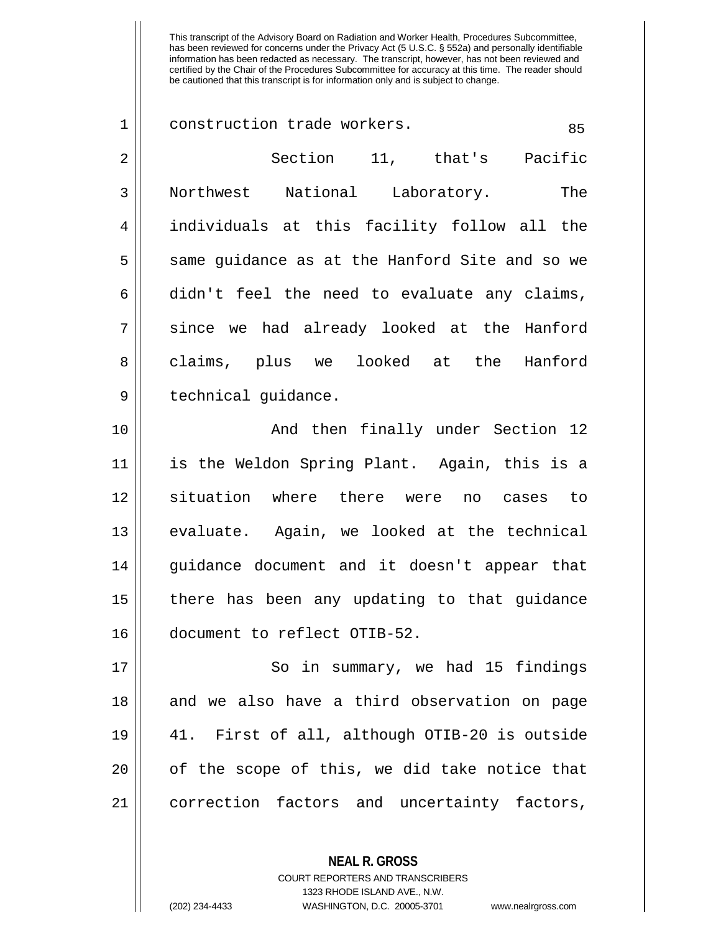| $\mathbf 1$    | construction trade workers.<br>85              |
|----------------|------------------------------------------------|
| $\overline{2}$ | Section 11, that's Pacific                     |
| 3              | Northwest National Laboratory.<br>The          |
| 4              | individuals at this facility follow all the    |
| 5              | same guidance as at the Hanford Site and so we |
| 6              | didn't feel the need to evaluate any claims,   |
| 7              | since we had already looked at the Hanford     |
| 8              | claims, plus we looked at the<br>Hanford       |
| 9              | technical guidance.                            |
| 10             | And then finally under Section 12              |
| 11             | is the Weldon Spring Plant. Again, this is a   |
| 12             | situation where there were<br>no cases to      |
| 13             | evaluate. Again, we looked at the technical    |
| 14             | guidance document and it doesn't appear that   |
| 15             | there has been any updating to that guidance   |
| 16             | document to reflect OTIB-52.                   |
| 17             | So in summary, we had 15 findings              |
| 18             | and we also have a third observation on page   |
| 19             | 41. First of all, although OTIB-20 is outside  |
| 20             | of the scope of this, we did take notice that  |
| 21             | correction factors and uncertainty factors,    |
|                |                                                |

**NEAL R. GROSS** COURT REPORTERS AND TRANSCRIBERS 1323 RHODE ISLAND AVE., N.W.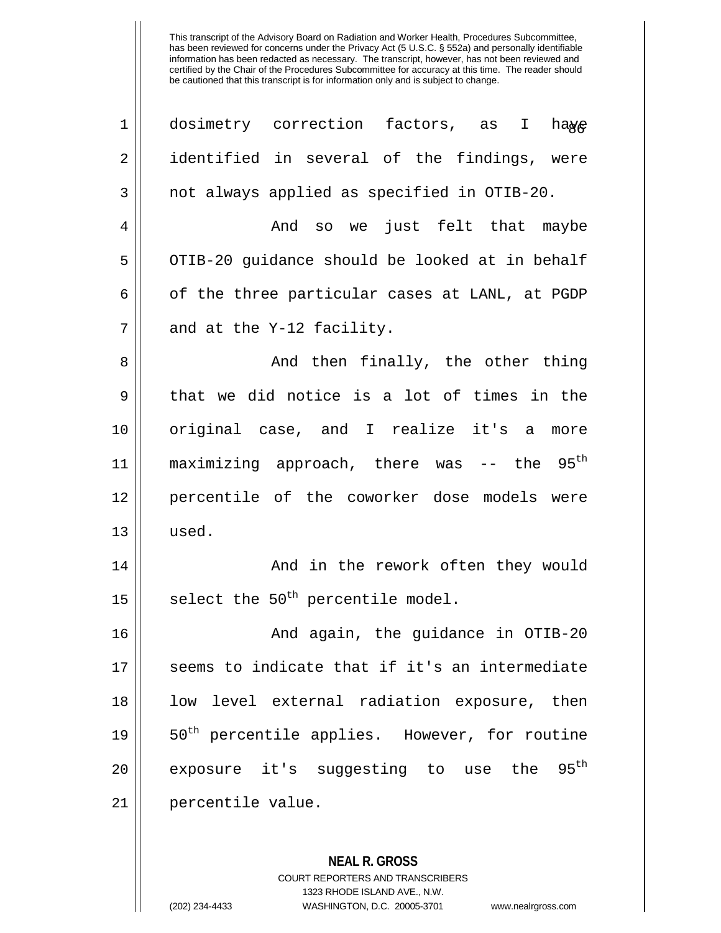| $\mathbf 1$ | dosimetry correction factors, as I haye                   |
|-------------|-----------------------------------------------------------|
| 2           | identified in several of the findings, were               |
| 3           | not always applied as specified in OTIB-20.               |
| 4           | And so we just felt that maybe                            |
| 5           | OTIB-20 guidance should be looked at in behalf            |
| 6           | of the three particular cases at LANL, at PGDP            |
| 7           | and at the Y-12 facility.                                 |
| 8           | And then finally, the other thing                         |
| 9           | that we did notice is a lot of times in the               |
| 10          | original case, and I realize it's a<br>more               |
| 11          | maximizing approach, there was -- the $95th$              |
| 12          | percentile of the coworker dose models were               |
| 13          | used.                                                     |
| 14          | And in the rework often they would                        |
| 15          | select the 50 <sup>th</sup> percentile model.             |
| 16          | And again, the guidance in OTIB-20                        |
| 17          | seems to indicate that if it's an intermediate            |
| 18          | low level external radiation exposure, then               |
| 19          | 50 <sup>th</sup> percentile applies. However, for routine |
| 20          | exposure it's suggesting to use the 95 <sup>th</sup>      |
| 21          | percentile value.                                         |
|             |                                                           |
|             | <b>NEAL R. GROSS</b>                                      |

COURT REPORTERS AND TRANSCRIBERS 1323 RHODE ISLAND AVE., N.W.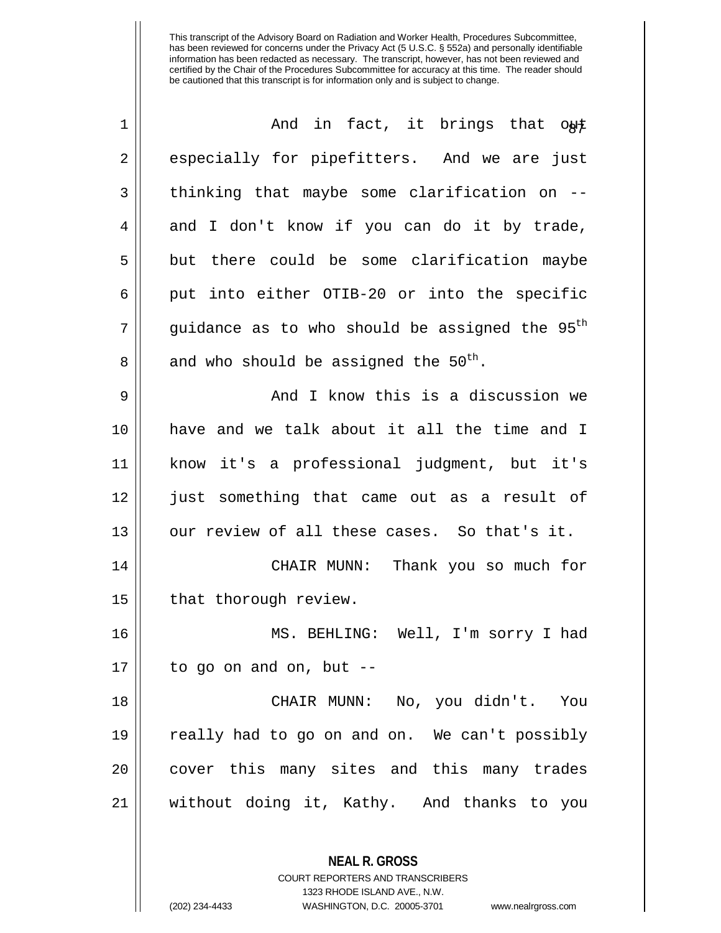| $\mathbf 1$ | And in fact, it brings that out                            |
|-------------|------------------------------------------------------------|
| 2           | especially for pipefitters. And we are just                |
| 3           | thinking that maybe some clarification on --               |
| 4           | and I don't know if you can do it by trade,                |
| 5           | but there could be some clarification maybe                |
| 6           | put into either OTIB-20 or into the specific               |
| 7           | guidance as to who should be assigned the 95 <sup>th</sup> |
| 8           | and who should be assigned the 50 <sup>th</sup> .          |
| 9           | And I know this is a discussion we                         |
| 10          | have and we talk about it all the time and I               |
| 11          | know it's a professional judgment, but it's                |
| 12          | just something that came out as a result of                |
| 13          | our review of all these cases. So that's it.               |
| 14          | CHAIR MUNN: Thank you so much for                          |
| 15          | that thorough review.                                      |
| 16          | MS. BEHLING: Well, I'm sorry I had                         |
| 17          | to go on and on, but --                                    |
| 18          | CHAIR MUNN: No, you didn't. You                            |
| 19          | really had to go on and on. We can't possibly              |
| 20          | cover this many sites and this many trades                 |
| 21          | without doing it, Kathy. And thanks to you                 |
|             |                                                            |
|             | <b>NEAL R. GROSS</b>                                       |

COURT REPORTERS AND TRANSCRIBERS 1323 RHODE ISLAND AVE., N.W.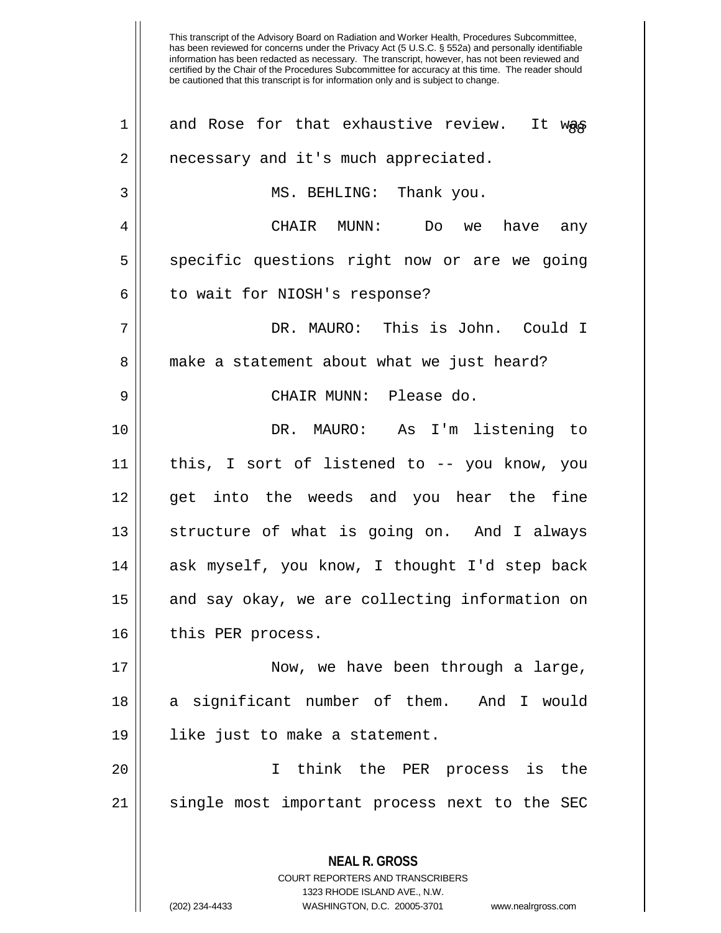information has been redacted as necessary. The transcript, however, has not been reviewed and certified by the Chair of the Procedures Subcommittee for accuracy at this time. The reader should be cautioned that this transcript is for information only and is subject to change. **NEAL R. GROSS** COURT REPORTERS AND TRANSCRIBERS 1323 RHODE ISLAND AVE., N.W. 1 || and Rose for that exhaustive review. It was 2 | necessary and it's much appreciated. 3 || MS. BEHLING: Thank you. 4 CHAIR MUNN: Do we have any 5 Som specific questions right now or are we going  $6 \parallel$  to wait for NIOSH's response? 7 DR. MAURO: This is John. Could I 8 || make a statement about what we just heard? 9 CHAIR MUNN: Please do. 10 DR. MAURO: As I'm listening to 11 this, I sort of listened to -- you know, you 12 get into the weeds and you hear the fine 13 || structure of what is going on. And I always 14 || ask myself, you know, I thought I'd step back 15 || and say okay, we are collecting information on 16 || this PER process. 17 || Now, we have been through a large, 18 a significant number of them. And I would 19 like just to make a statement. 20 I think the PER process is the  $21$  single most important process next to the SEC

This transcript of the Advisory Board on Radiation and Worker Health, Procedures Subcommittee, has been reviewed for concerns under the Privacy Act (5 U.S.C. § 552a) and personally identifiable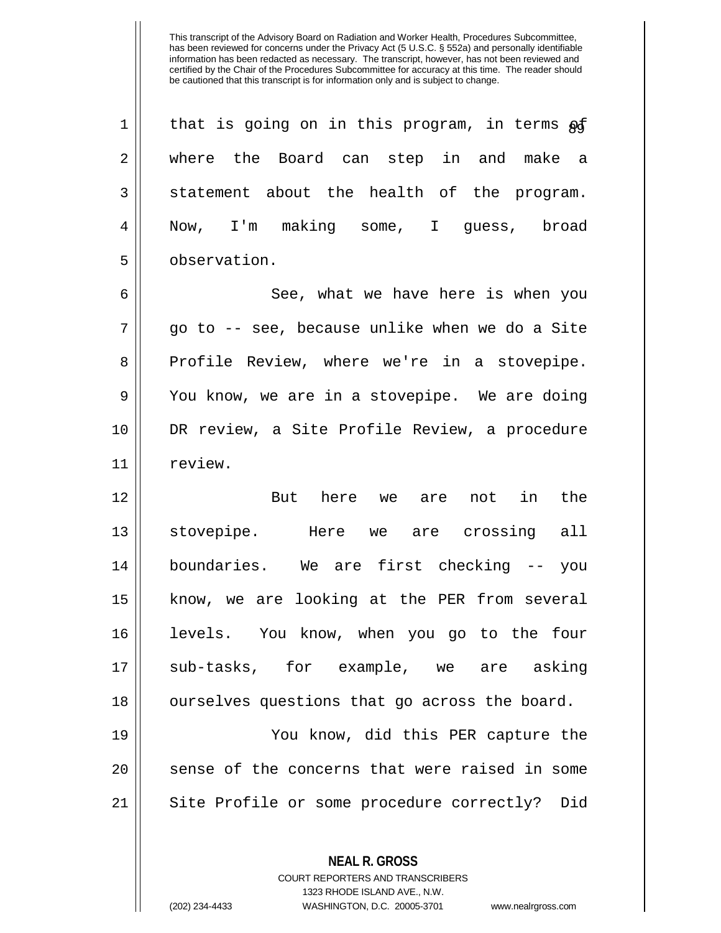| $\mathbf 1$    | that is going on in this program, in terms of  |
|----------------|------------------------------------------------|
| 2              | where the Board can step in and make a         |
| $\mathfrak{Z}$ | statement about the health of the program.     |
| 4              | Now, I'm making some, I guess, broad           |
| 5              | observation.                                   |
| 6              | See, what we have here is when you             |
| 7              | go to -- see, because unlike when we do a Site |
| 8              | Profile Review, where we're in a stovepipe.    |
| 9              | You know, we are in a stovepipe. We are doing  |
| 10             | DR review, a Site Profile Review, a procedure  |
| 11             | review.                                        |
| 12             | But here we are not in<br>the                  |
| 13             | stovepipe. Here we are crossing all            |
| 14             | boundaries. We are first checking -- you       |
| 15             | know, we are looking at the PER from several   |
| 16             | levels. You know, when you go to the four      |
| 17             | sub-tasks, for example, we are asking          |
| 18             | ourselves questions that go across the board.  |
| 19             | You know, did this PER capture the             |
| 20             | sense of the concerns that were raised in some |
| 21             | Site Profile or some procedure correctly? Did  |
|                |                                                |

**NEAL R. GROSS** COURT REPORTERS AND TRANSCRIBERS

1323 RHODE ISLAND AVE., N.W.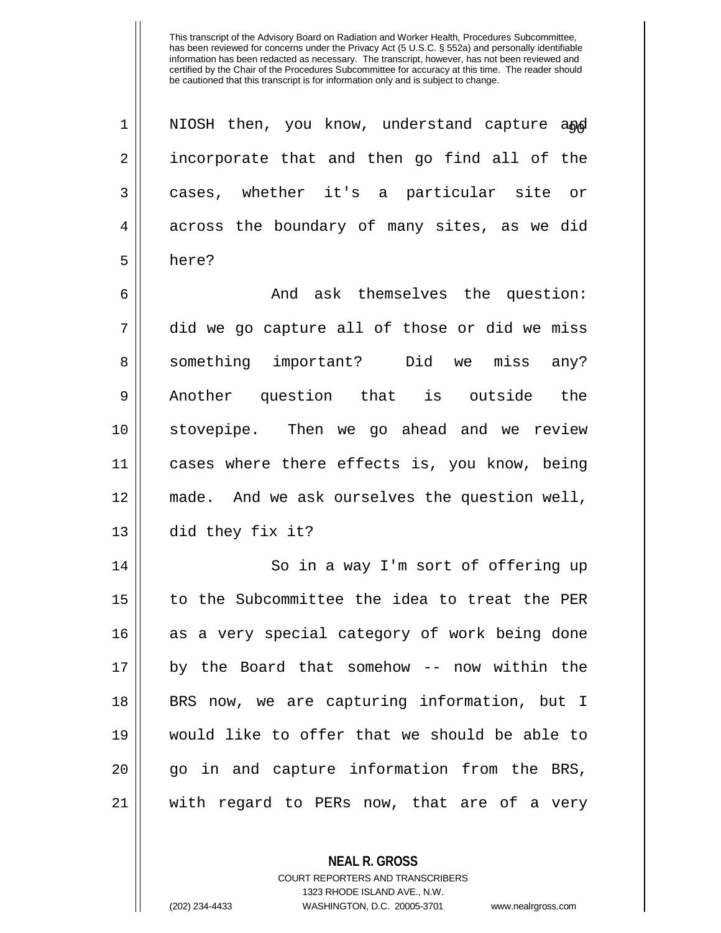| 1  | NIOSH then, you know, understand capture and  |
|----|-----------------------------------------------|
| 2  | incorporate that and then go find all of the  |
| 3  | cases, whether it's a particular site or      |
| 4  | across the boundary of many sites, as we did  |
| 5  | here?                                         |
| 6  | And ask themselves the question:              |
| 7  | did we go capture all of those or did we miss |
| 8  | something important? Did we miss any?         |
| 9  | Another question that is outside the          |
| 10 | stovepipe. Then we go ahead and we review     |
| 11 | cases where there effects is, you know, being |
| 12 | made. And we ask ourselves the question well, |
| 13 | did they fix it?                              |
| 14 | So in a way I'm sort of offering up           |
| 15 | to the Subcommittee the idea to treat the PER |
| 16 | as a very special category of work being done |
| 17 | by the Board that somehow -- now within the   |
| 18 | BRS now, we are capturing information, but I  |
| 19 | would like to offer that we should be able to |
| 20 | go in and capture information from the BRS,   |
| 21 | with regard to PERs now, that are of a very   |

**NEAL R. GROSS**

COURT REPORTERS AND TRANSCRIBERS 1323 RHODE ISLAND AVE., N.W. (202) 234-4433 WASHINGTON, D.C. 20005-3701 www.nealrgross.com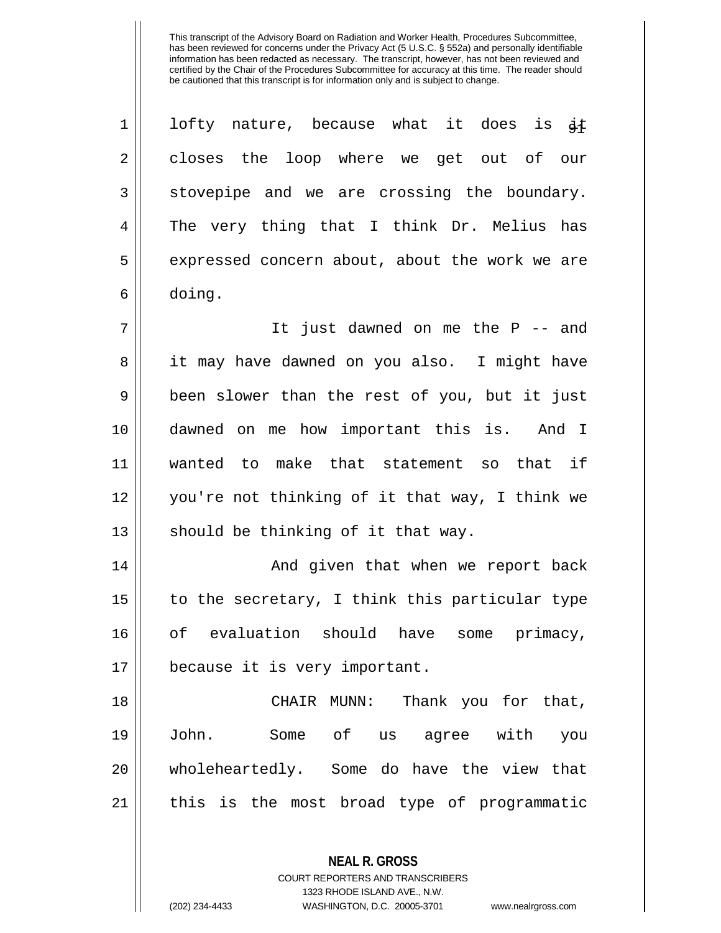| $\mathbf 1$ | lofty nature, because what it does is $\notin$ |
|-------------|------------------------------------------------|
| 2           | closes the loop where we get out of our        |
| 3           | stovepipe and we are crossing the boundary.    |
| 4           | The very thing that I think Dr. Melius has     |
| 5           | expressed concern about, about the work we are |
| 6           | doing.                                         |
| 7           | It just dawned on me the $P$ -- and            |
| 8           | it may have dawned on you also. I might have   |
| $\mathsf 9$ | been slower than the rest of you, but it just  |
| 10          | dawned on me how important this is. And I      |
| 11          | wanted to make that statement so that if       |
| 12          | you're not thinking of it that way, I think we |
| 13          | should be thinking of it that way.             |
| 14          | And given that when we report back             |
| 15          | to the secretary, I think this particular type |
| 16          | of evaluation should have some primacy,        |
| 17          | because it is very important.                  |
| 18          | CHAIR MUNN: Thank you for that,                |
| 19          | Some of us agree with you<br>John.             |
| 20          | wholeheartedly. Some do have the view that     |
| 21          | this is the most broad type of programmatic    |
|             |                                                |

**NEAL R. GROSS** COURT REPORTERS AND TRANSCRIBERS 1323 RHODE ISLAND AVE., N.W.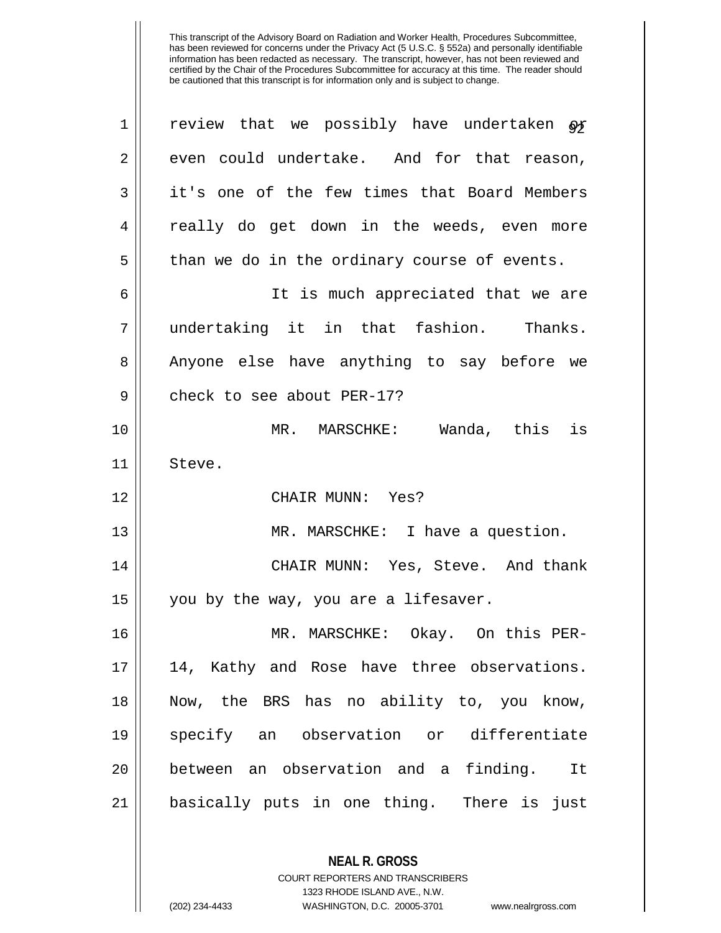| $\mathbf 1$ | review that we possibly have undertaken of   |
|-------------|----------------------------------------------|
| 2           | even could undertake. And for that reason,   |
| 3           | it's one of the few times that Board Members |
| 4           | really do get down in the weeds, even more   |
| 5           | than we do in the ordinary course of events. |
| 6           | It is much appreciated that we are           |
| 7           | undertaking it in that fashion. Thanks.      |
| 8           | Anyone else have anything to say before we   |
| 9           | check to see about PER-17?                   |
| 10          | MR. MARSCHKE: Wanda, this is                 |
| 11          | Steve.                                       |
| 12          | CHAIR MUNN: Yes?                             |
|             |                                              |
| 13          | MR. MARSCHKE: I have a question.             |
| 14          | CHAIR MUNN: Yes, Steve. And thank            |
| 15          | you by the way, you are a lifesaver.         |
| 16          | MR. MARSCHKE: Okay. On this PER-             |
| 17          | 14, Kathy and Rose have three observations.  |
| 18          | Now, the BRS has no ability to, you know,    |
| 19          | specify an observation or differentiate      |
| 20          | between an observation and a finding. It     |
| 21          | basically puts in one thing. There is just   |

**NEAL R. GROSS** COURT REPORTERS AND TRANSCRIBERS 1323 RHODE ISLAND AVE., N.W.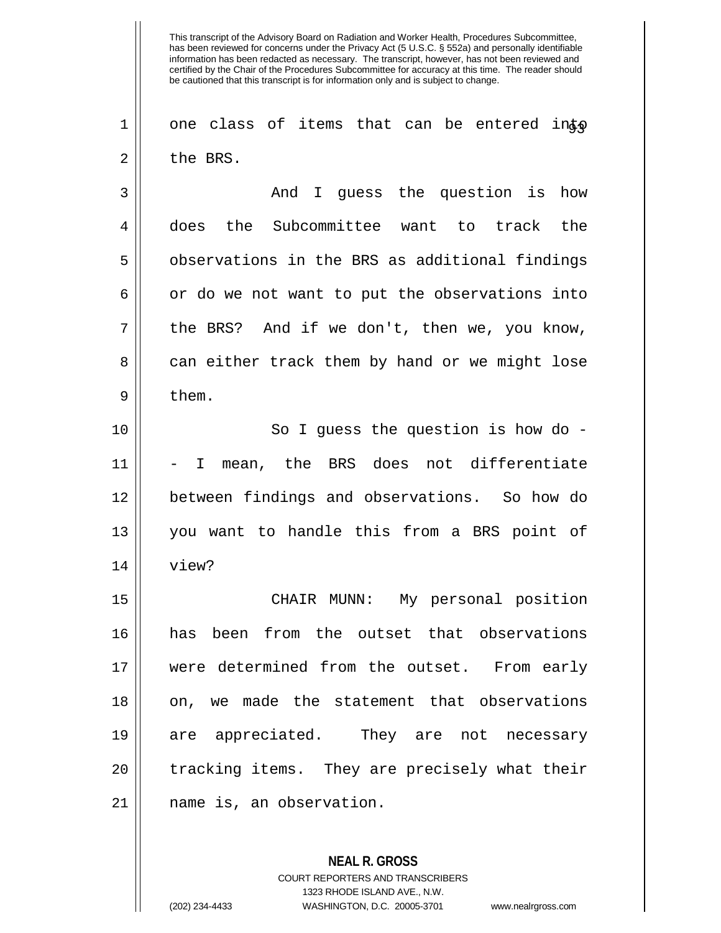$1 \parallel$  one class of items that can be entered into 2 l the BRS.

3 || The Mondal State Guestion is how 4 does the Subcommittee want to track the 5 | observations in the BRS as additional findings  $6 \parallel$  or do we not want to put the observations into  $7 \parallel$  the BRS? And if we don't, then we, you know, 8 can either track them by hand or we might lose  $9 \parallel$  them.

10 || So I guess the question is how do -11 - I mean, the BRS does not differentiate 12 between findings and observations. So how do 13 you want to handle this from a BRS point of 14 view?

 CHAIR MUNN: My personal position has been from the outset that observations were determined from the outset. From early 18 on, we made the statement that observations are appreciated. They are not necessary 20 || tracking items. They are precisely what their name is, an observation.

> **NEAL R. GROSS** COURT REPORTERS AND TRANSCRIBERS 1323 RHODE ISLAND AVE., N.W. (202) 234-4433 WASHINGTON, D.C. 20005-3701 www.nealrgross.com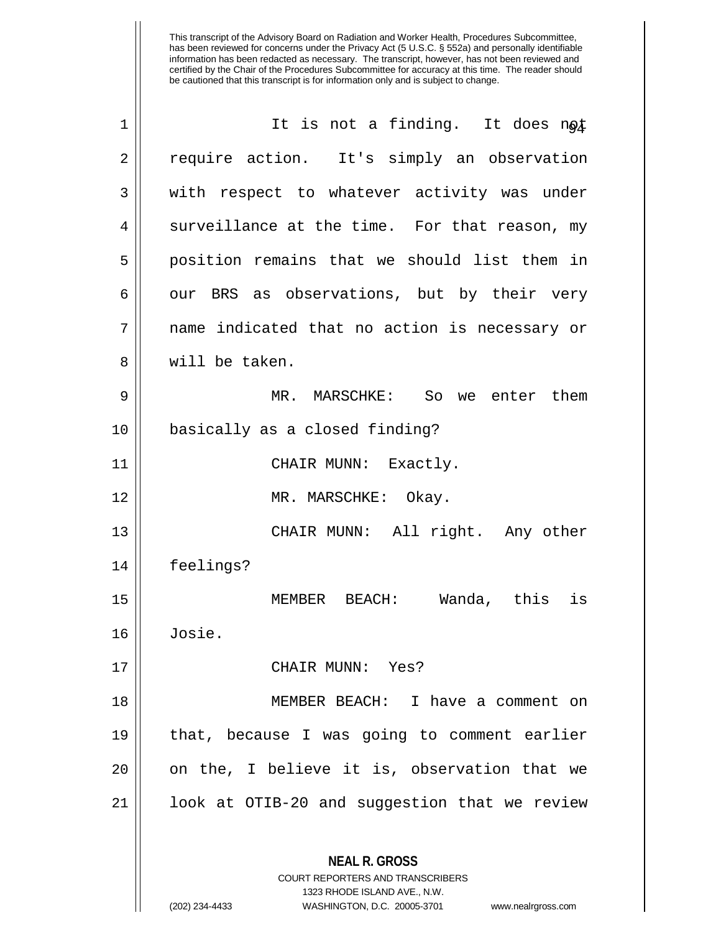| 1  | It is not a finding. It does not                                                                                                                                       |
|----|------------------------------------------------------------------------------------------------------------------------------------------------------------------------|
| 2  | require action. It's simply an observation                                                                                                                             |
| 3  | with respect to whatever activity was under                                                                                                                            |
| 4  | surveillance at the time. For that reason, my                                                                                                                          |
| 5  | position remains that we should list them in                                                                                                                           |
| 6  | our BRS as observations, but by their very                                                                                                                             |
| 7  | name indicated that no action is necessary or                                                                                                                          |
| 8  | will be taken.                                                                                                                                                         |
| 9  | MR. MARSCHKE: So we enter them                                                                                                                                         |
| 10 | basically as a closed finding?                                                                                                                                         |
| 11 | CHAIR MUNN: Exactly.                                                                                                                                                   |
| 12 | MR. MARSCHKE: Okay.                                                                                                                                                    |
| 13 | CHAIR MUNN: All right. Any other                                                                                                                                       |
| 14 | feelings?                                                                                                                                                              |
| 15 | Wanda, this<br>is<br>MEMBER<br>BEACH:                                                                                                                                  |
| 16 | Josie.                                                                                                                                                                 |
| 17 | CHAIR MUNN: Yes?                                                                                                                                                       |
| 18 | MEMBER BEACH: I have a comment on                                                                                                                                      |
| 19 | that, because I was going to comment earlier                                                                                                                           |
| 20 | on the, I believe it is, observation that we                                                                                                                           |
| 21 | look at OTIB-20 and suggestion that we review                                                                                                                          |
|    | <b>NEAL R. GROSS</b><br><b>COURT REPORTERS AND TRANSCRIBERS</b><br>1323 RHODE ISLAND AVE., N.W.<br>(202) 234-4433<br>WASHINGTON, D.C. 20005-3701<br>www.nealrgross.com |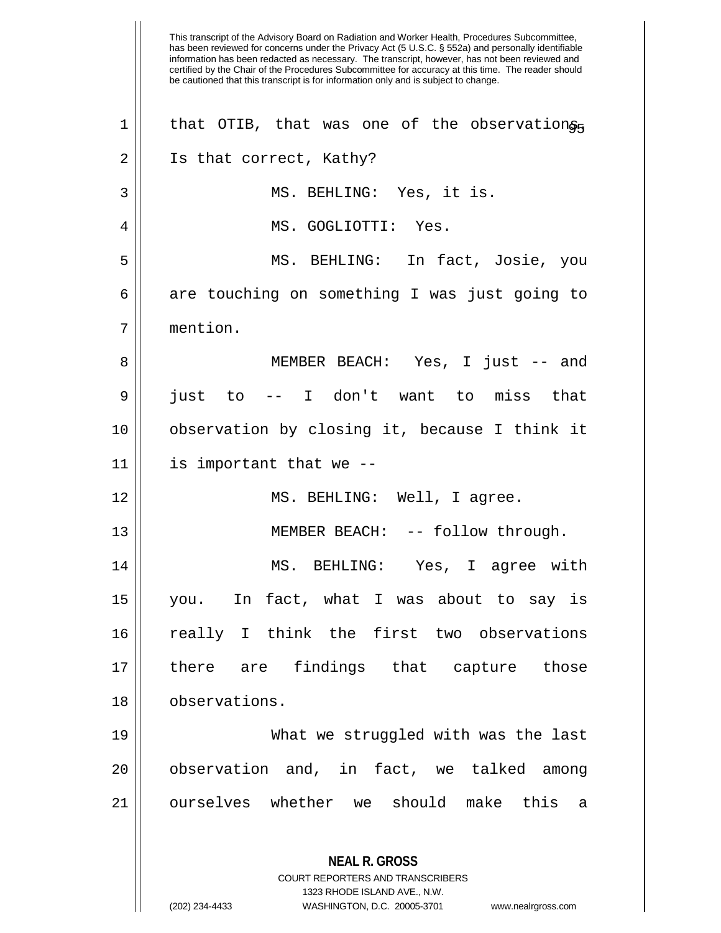This transcript of the Advisory Board on Radiation and Worker Health, Procedures Subcommittee, has been reviewed for concerns under the Privacy Act (5 U.S.C. § 552a) and personally identifiable information has been redacted as necessary. The transcript, however, has not been reviewed and certified by the Chair of the Procedures Subcommittee for accuracy at this time. The reader should be cautioned that this transcript is for information only and is subject to change. **NEAL R. GROSS** COURT REPORTERS AND TRANSCRIBERS 1323 RHODE ISLAND AVE., N.W.  $1$  that OTIB, that was one of the observations. 2 || Is that correct, Kathy? 3 MS. BEHLING: Yes, it is. 4 MS. GOGLIOTTI: Yes. 5 MS. BEHLING: In fact, Josie, you  $6 \parallel$  are touching on something I was just going to 7 mention. 8 MEMBER BEACH: Yes, I just -- and 9 just to -- I don't want to miss that 10 observation by closing it, because I think it  $11$  | is important that we --12 MS. BEHLING: Well, I agree. 13 || MEMBER BEACH: -- follow through. 14 || MS. BEHLING: Yes, I agree with 15 you. In fact, what I was about to say is 16 really I think the first two observations 17 there are findings that capture those 18 observations. 19 What we struggled with was the last 20 || observation and, in fact, we talked among 21 ourselves whether we should make this a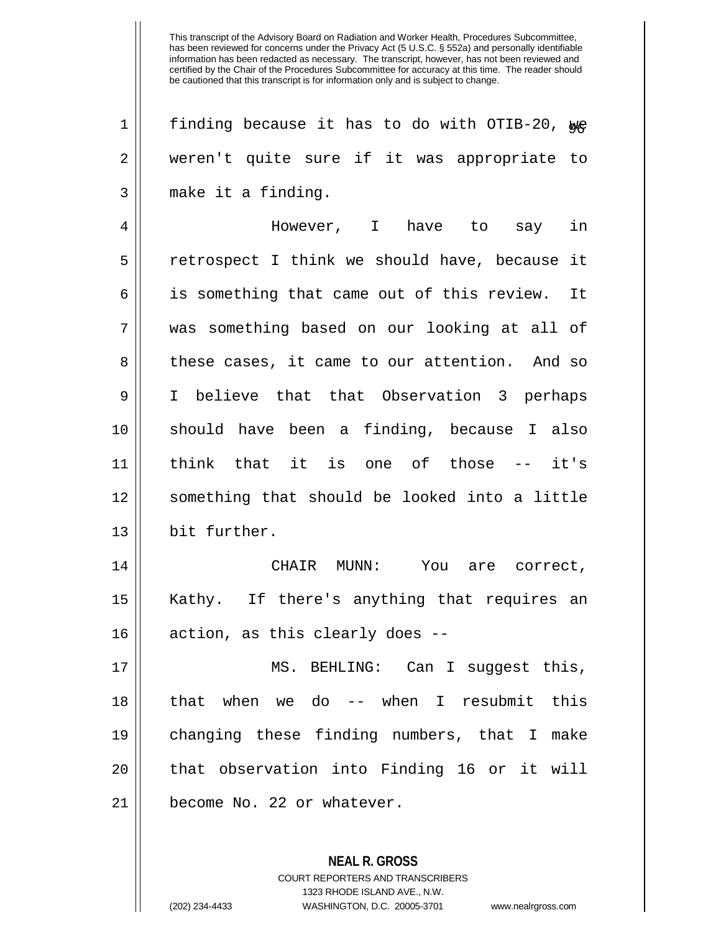| 1  | finding because it has to do with OTIB-20, we    |
|----|--------------------------------------------------|
| 2  | weren't quite sure if it was appropriate to      |
| 3  | make it a finding.                               |
| 4  | However, I have to say in                        |
| 5  | retrospect I think we should have, because it    |
| 6  | is something that came out of this review.<br>It |
| 7  | was something based on our looking at all of     |
| 8  | these cases, it came to our attention. And so    |
| 9  | I believe that that Observation 3 perhaps        |
| 10 | should have been a finding, because I also       |
| 11 | think that it is one of those --<br>it's         |
| 12 | something that should be looked into a little    |
| 13 | bit further.                                     |
| 14 | CHAIR MUNN: You are correct,                     |
| 15 | Kathy. If there's anything that requires an      |
| 16 | action, as this clearly does --                  |
| 17 | MS. BEHLING: Can I suggest this,                 |
| 18 | that when we do -- when I resubmit this          |
| 19 | changing these finding numbers, that I make      |
| 20 | that observation into Finding 16 or it will      |
| 21 | become No. 22 or whatever.                       |
|    |                                                  |
|    |                                                  |

**NEAL R. GROSS** COURT REPORTERS AND TRANSCRIBERS 1323 RHODE ISLAND AVE., N.W.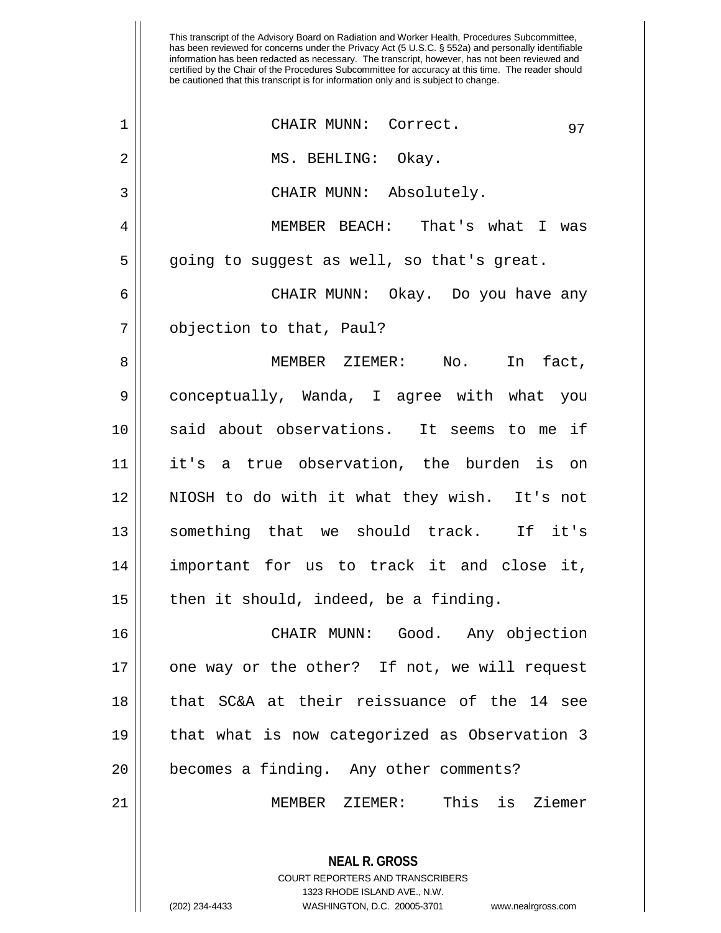| $\mathbf 1$    | CHAIR MUNN: Correct.<br>97                                                                      |
|----------------|-------------------------------------------------------------------------------------------------|
| $\mathbf 2$    | MS. BEHLING: Okay.                                                                              |
| 3              | CHAIR MUNN: Absolutely.                                                                         |
| $\overline{4}$ | MEMBER BEACH: That's what I was                                                                 |
| 5              | going to suggest as well, so that's great.                                                      |
| 6              | CHAIR MUNN: Okay. Do you have any                                                               |
| 7              | objection to that, Paul?                                                                        |
| 8              | MEMBER ZIEMER: No. In fact,                                                                     |
| 9              | conceptually, Wanda, I agree with what you                                                      |
| 10             | said about observations. It seems to me if                                                      |
| 11             | it's a true observation, the burden is on                                                       |
| 12             | NIOSH to do with it what they wish. It's not                                                    |
| 13             | something that we should track. If it's                                                         |
| 14             | important for us to track it and close it,                                                      |
| 15             | then it should, indeed, be a finding.                                                           |
| 16             | CHAIR MUNN: Good. Any objection                                                                 |
| 17             | one way or the other? If not, we will request                                                   |
| 18             | that SC&A at their reissuance of the 14 see                                                     |
| 19             | that what is now categorized as Observation 3                                                   |
| 20             | becomes a finding. Any other comments?                                                          |
| 21             | MEMBER ZIEMER: This is Ziemer                                                                   |
|                | <b>NEAL R. GROSS</b><br><b>COURT REPORTERS AND TRANSCRIBERS</b><br>1323 RHODE ISLAND AVE., N.W. |

 $\mathbf{\mathcal{H}}$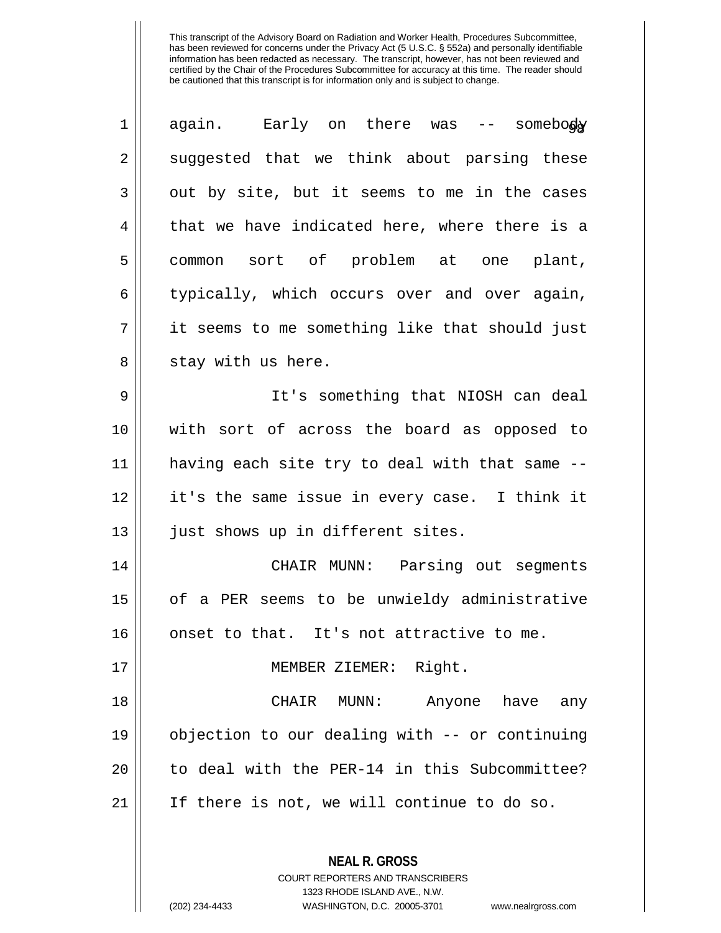| $\mathbf 1$ | again. Early on there was -- somebody          |
|-------------|------------------------------------------------|
| 2           | suggested that we think about parsing these    |
| 3           | out by site, but it seems to me in the cases   |
| 4           | that we have indicated here, where there is a  |
| 5           | common sort of problem at one plant,           |
| 6           | typically, which occurs over and over again,   |
| 7           | it seems to me something like that should just |
| 8           | stay with us here.                             |
| 9           | It's something that NIOSH can deal             |
| 10          | with sort of across the board as opposed to    |
| 11          | having each site try to deal with that same -- |
| 12          | it's the same issue in every case. I think it  |
| 13          | just shows up in different sites.              |
| 14          | CHAIR MUNN: Parsing out segments               |
| 15          | of a PER seems to be unwieldy administrative   |
| 16          | onset to that. It's not attractive to me.      |
| 17          | MEMBER ZIEMER: Right.                          |
| 18          | CHAIR MUNN: Anyone have<br>any                 |
| 19          | objection to our dealing with -- or continuing |
| 20          | to deal with the PER-14 in this Subcommittee?  |
| 21          | If there is not, we will continue to do so.    |
|             | <b>NEAL R. GROSS</b>                           |

COURT REPORTERS AND TRANSCRIBERS 1323 RHODE ISLAND AVE., N.W.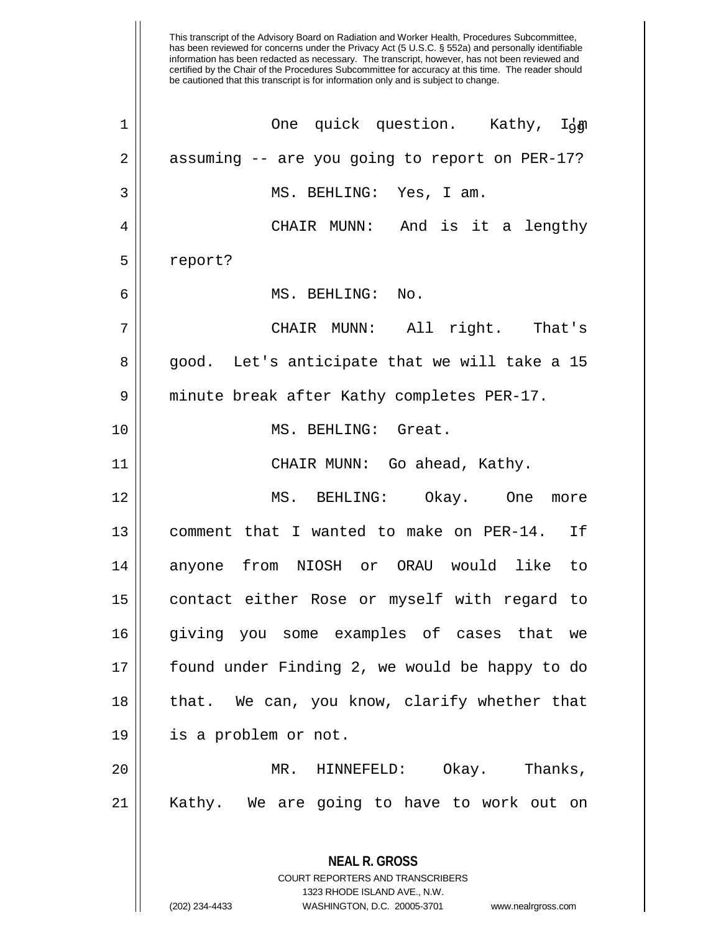| $\mathbf 1$ | One quick question. Kathy, Idga                          |
|-------------|----------------------------------------------------------|
| 2           | assuming -- are you going to report on PER-17?           |
| 3           | MS. BEHLING: Yes, I am.                                  |
| 4           | CHAIR MUNN: And is it a lengthy                          |
| 5           | report?                                                  |
| 6           | MS. BEHLING: No.                                         |
| 7           | CHAIR MUNN: All right. That's                            |
| 8           | good. Let's anticipate that we will take a 15            |
| 9           | minute break after Kathy completes PER-17.               |
| 10          | MS. BEHLING: Great.                                      |
| 11          | CHAIR MUNN: Go ahead, Kathy.                             |
| 12          | MS. BEHLING: Okay. One more                              |
| 13          | comment that I wanted to make on PER-14. If              |
| 14          | anyone from NIOSH or ORAU would like to                  |
| 15          | contact either Rose or myself with regard to             |
| 16          | giving you some examples of cases that we                |
| 17          | found under Finding 2, we would be happy to do           |
| 18          | that. We can, you know, clarify whether that             |
| 19          | is a problem or not.                                     |
| 20          | Okay. Thanks,<br>MR. HINNEFELD:                          |
| 21          | Kathy. We are going to have to work out on               |
|             | <b>NEAL R. GROSS</b><br>COURT REPORTERS AND TRANSCRIBERS |

1323 RHODE ISLAND AVE., N.W.

 $\mathop{\text{||}}$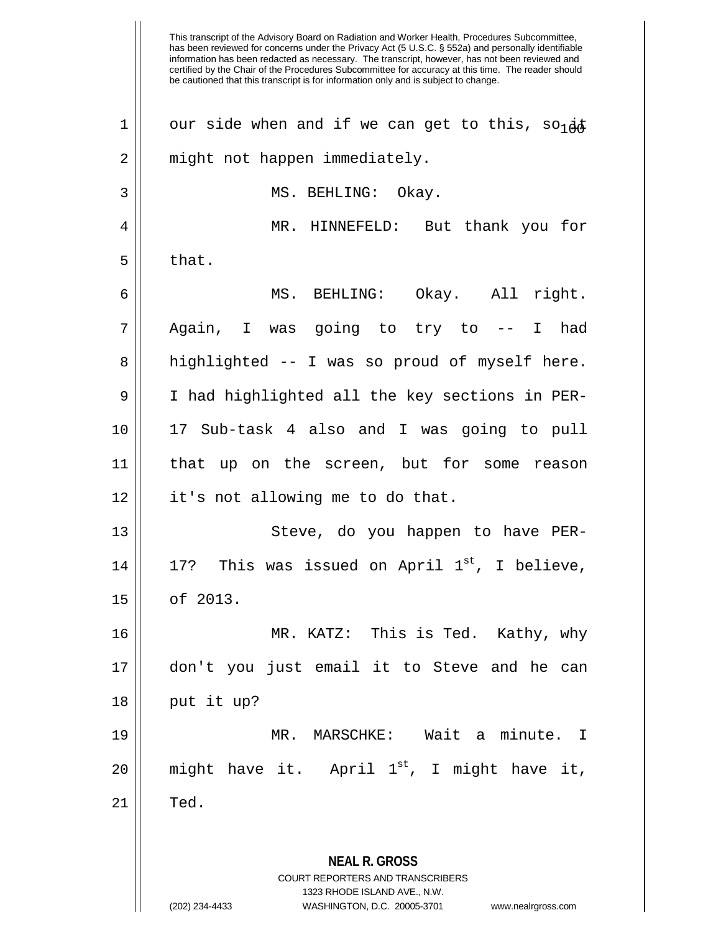This transcript of the Advisory Board on Radiation and Worker Health, Procedures Subcommittee, has been reviewed for concerns under the Privacy Act (5 U.S.C. § 552a) and personally identifiable information has been redacted as necessary. The transcript, however, has not been reviewed and certified by the Chair of the Procedures Subcommittee for accuracy at this time. The reader should be cautioned that this transcript is for information only and is subject to change. **NEAL R. GROSS** COURT REPORTERS AND TRANSCRIBERS 1323 RHODE ISLAND AVE., N.W. (202) 234-4433 WASHINGTON, D.C. 20005-3701 www.nealrgross.com 1 | our side when and if we can get to this, so  $4\sigma$ 2 || might not happen immediately. 3 || MS. BEHLING: Okay. 4 MR. HINNEFELD: But thank you for  $5 \parallel$  that. 6 MS. BEHLING: Okay. All right. 7 Again, I was going to try to -- I had 8 || highlighted -- I was so proud of myself here. 9 I had highlighted all the key sections in PER-10 17 Sub-task 4 also and I was going to pull 11 that up on the screen, but for some reason 12 | it's not allowing me to do that. 13 || Steve, do you happen to have PER-14 || 17? This was issued on April  $1^{st}$ , I believe, 15 of 2013. 16 MR. KATZ: This is Ted. Kathy, why 17 don't you just email it to Steve and he can  $18$  || put it up? 19 MR. MARSCHKE: Wait a minute. I 20  $\parallel$  might have it. April 1<sup>st</sup>, I might have it,  $21$   $\parallel$  Ted.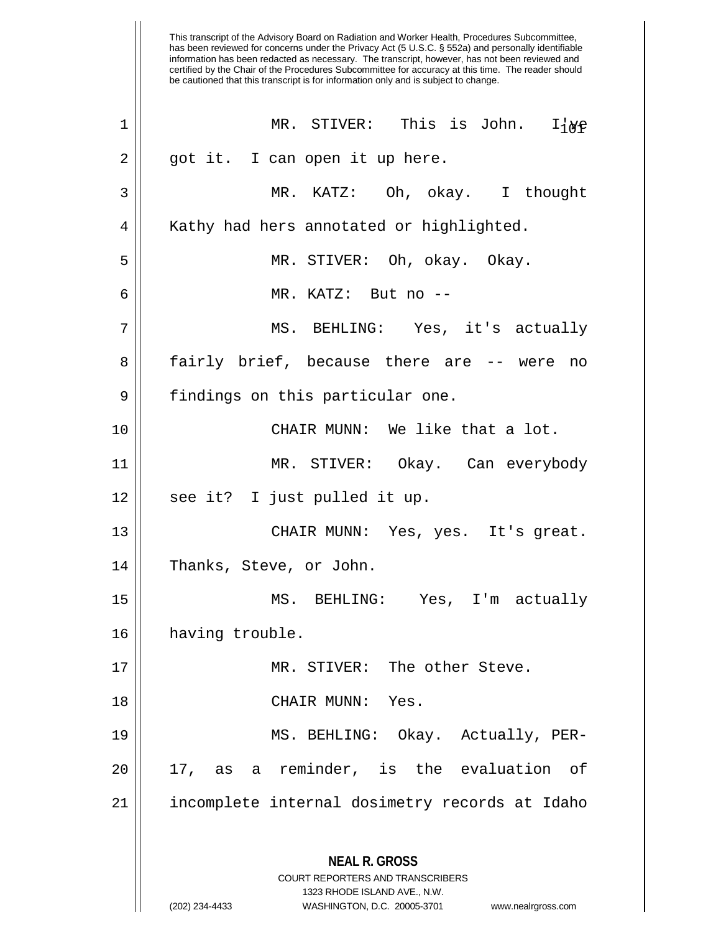has been reviewed for concerns under the Privacy Act (5 U.S.C. § 552a) and personally identifiable information has been redacted as necessary. The transcript, however, has not been reviewed and certified by the Chair of the Procedures Subcommittee for accuracy at this time. The reader should be cautioned that this transcript is for information only and is subject to change. **NEAL R. GROSS** COURT REPORTERS AND TRANSCRIBERS 1323 RHODE ISLAND AVE., N.W.  $1$  || MR. STIVER: This is John. I{ $_{\text{NP}}$ 2 || got it. I can open it up here. 3 MR. KATZ: Oh, okay. I thought 4 || Kathy had hers annotated or highlighted. 5 MR. STIVER: Oh, okay. Okay. 6 MR. KATZ: But no -- 7 MS. BEHLING: Yes, it's actually 8 || fairly brief, because there are -- were no  $9 \parallel$  findings on this particular one. 10 CHAIR MUNN: We like that a lot. 11 MR. STIVER: Okay. Can everybody  $12 \parallel$  see it? I just pulled it up. 13 CHAIR MUNN: Yes, yes. It's great. 14 || Thanks, Steve, or John. 15 MS. BEHLING: Yes, I'm actually 16 | having trouble. 17 || MR. STIVER: The other Steve. 18 || CHAIR MUNN: Yes. 19 MS. BEHLING: Okay. Actually, PER- $20$  || 17, as a reminder, is the evaluation of 21 | incomplete internal dosimetry records at Idaho

This transcript of the Advisory Board on Radiation and Worker Health, Procedures Subcommittee,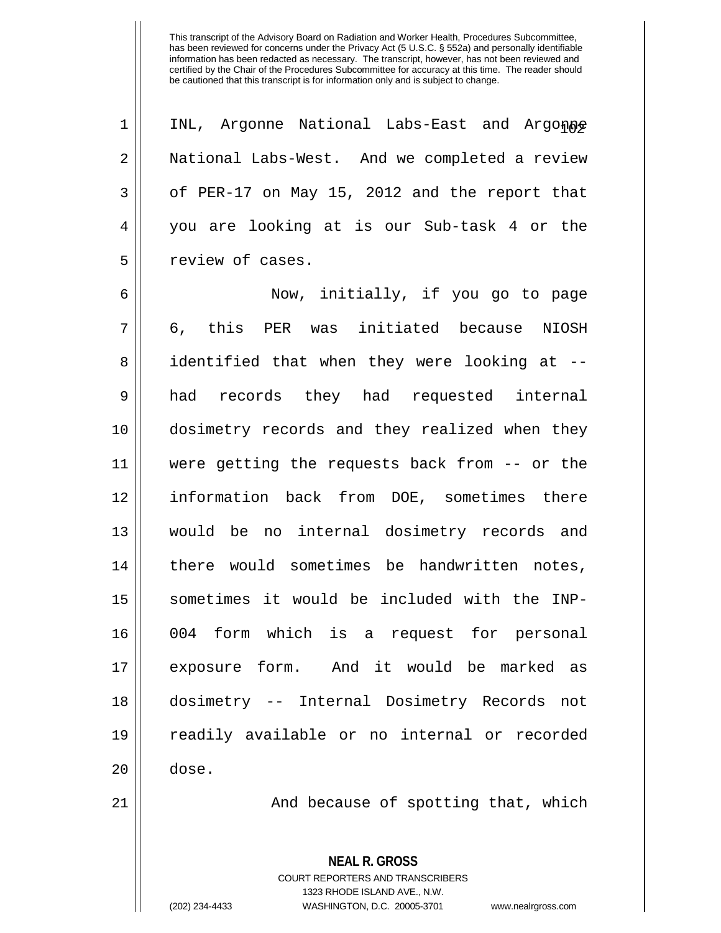$1$  | INL, Argonne National Labs-East and Argonne 2 National Labs-West. And we completed a review  $3 \parallel$  of PER-17 on May 15, 2012 and the report that 4 you are looking at is our Sub-task 4 or the 5 | Teview of cases. 6 || Now, initially, if you go to page 7 6, this PER was initiated because NIOSH 8 || identified that when they were looking at --9 had records they had requested internal 10 dosimetry records and they realized when they 11 were getting the requests back from -- or the 12 information back from DOE, sometimes there 13 would be no internal dosimetry records and 14 || there would sometimes be handwritten notes, 15 sometimes it would be included with the INP-16 004 form which is a request for personal 17 exposure form. And it would be marked as 18 dosimetry -- Internal Dosimetry Records not 19 readily available or no internal or recorded  $20 \parallel$  dose.

 $21$  ||  $\blacksquare$  And because of spotting that, which

**NEAL R. GROSS** COURT REPORTERS AND TRANSCRIBERS 1323 RHODE ISLAND AVE., N.W. (202) 234-4433 WASHINGTON, D.C. 20005-3701 www.nealrgross.com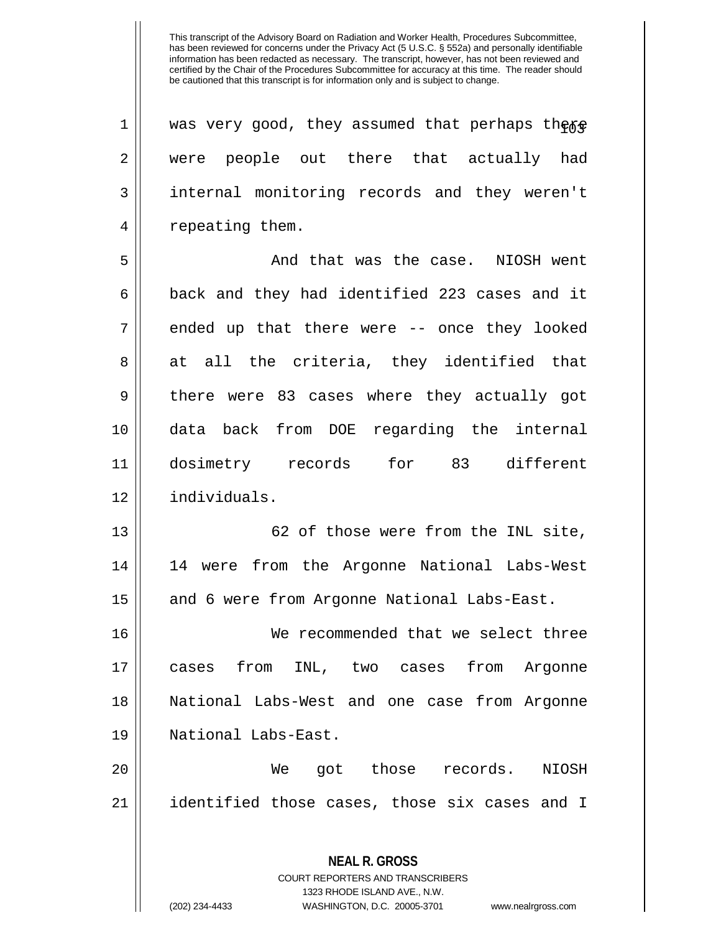| $\mathbf 1$ | was very good, they assumed that perhaps theap                                                                                                                         |
|-------------|------------------------------------------------------------------------------------------------------------------------------------------------------------------------|
| 2           | were people out there that actually had                                                                                                                                |
| 3           | internal monitoring records and they weren't                                                                                                                           |
| 4           | repeating them.                                                                                                                                                        |
| 5           | And that was the case. NIOSH went                                                                                                                                      |
| 6           | back and they had identified 223 cases and it                                                                                                                          |
| 7           | ended up that there were -- once they looked                                                                                                                           |
| 8           | at all the criteria, they identified that                                                                                                                              |
| 9           | there were 83 cases where they actually got                                                                                                                            |
| 10          | back from DOE regarding the internal<br>data                                                                                                                           |
| 11          | dosimetry records for 83 different                                                                                                                                     |
| 12          | individuals.                                                                                                                                                           |
| 13          | 62 of those were from the INL site,                                                                                                                                    |
| 14          | 14 were from the Argonne National Labs-West                                                                                                                            |
| 15          | and 6 were from Argonne National Labs-East.                                                                                                                            |
| 16          | We recommended that we select three                                                                                                                                    |
| 17          | cases from<br>INL, two cases<br>from<br>Argonne                                                                                                                        |
| 18          | National Labs-West and one case from Argonne                                                                                                                           |
| 19          | National Labs-East.                                                                                                                                                    |
|             |                                                                                                                                                                        |
| 20          | got those records.<br>We<br>NIOSH                                                                                                                                      |
| 21          | identified those cases, those six cases and I                                                                                                                          |
|             | <b>NEAL R. GROSS</b><br><b>COURT REPORTERS AND TRANSCRIBERS</b><br>1323 RHODE ISLAND AVE., N.W.<br>(202) 234-4433<br>WASHINGTON, D.C. 20005-3701<br>www.nealrgross.com |
|             |                                                                                                                                                                        |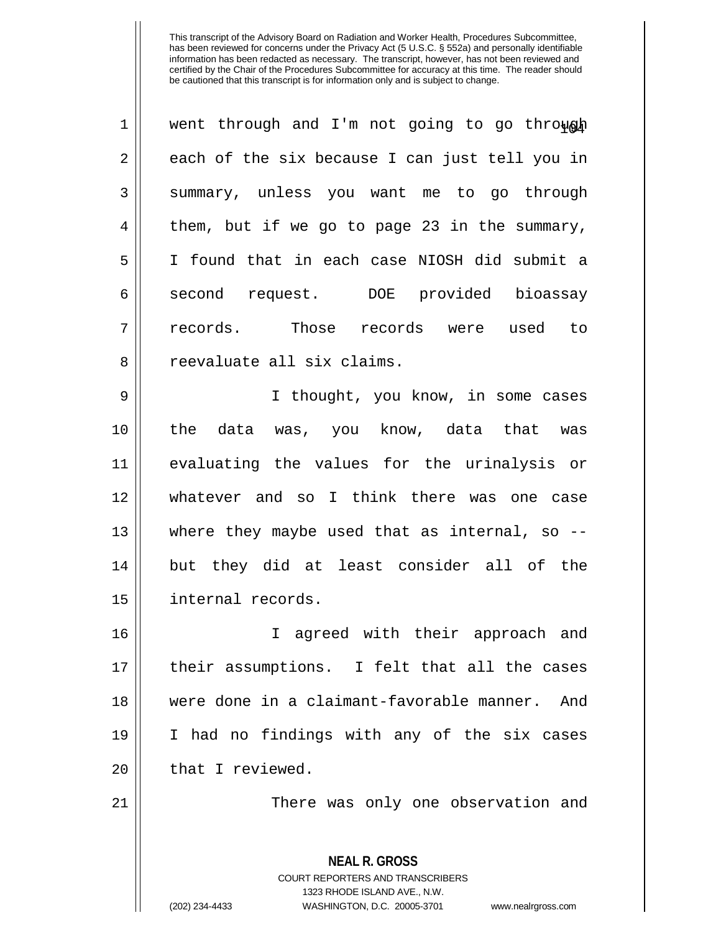| $\mathbf 1$    | went through and I'm not going to go through             |
|----------------|----------------------------------------------------------|
| $\mathbf 2$    | each of the six because I can just tell you in           |
| 3              | summary, unless you want me to go through                |
| $\overline{4}$ | them, but if we go to page 23 in the summary,            |
| 5              | I found that in each case NIOSH did submit a             |
| 6              | second request. DOE provided bioassay                    |
| 7              | records. Those records were used to                      |
| 8              | reevaluate all six claims.                               |
| 9              | I thought, you know, in some cases                       |
| 10             | the data was, you know, data that was                    |
| 11             | evaluating the values for the urinalysis or              |
| 12             | whatever and so I think there was one case               |
| 13             | where they maybe used that as internal, so --            |
| 14             | but they did at least consider all of the                |
| 15             | internal records.                                        |
| 16             | I agreed with their approach and                         |
| 17             | their assumptions. I felt that all the cases             |
| 18             | were done in a claimant-favorable manner. And            |
| 19             | I had no findings with any of the six cases              |
| 20             | that I reviewed.                                         |
| 21             | There was only one observation and                       |
|                |                                                          |
|                | <b>NEAL R. GROSS</b><br>COURT REPORTERS AND TRANSCRIBERS |

1323 RHODE ISLAND AVE., N.W.

 $\mathop{\text{||}}$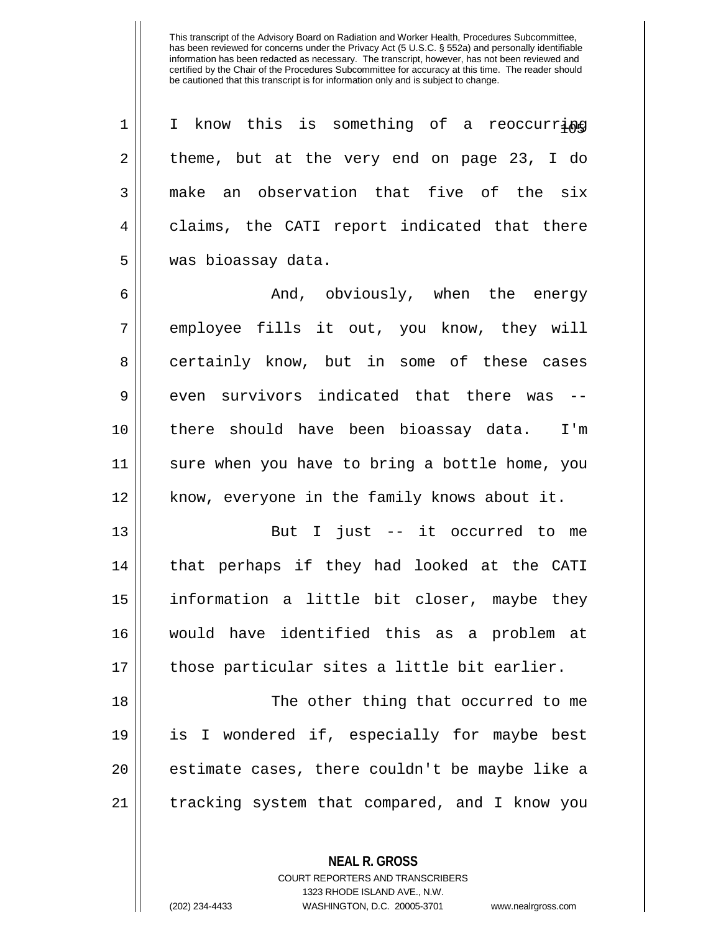$1 \parallel$  I know this is something of a reoccurring  $2 \parallel$  theme, but at the very end on page 23, I do 3 make an observation that five of the six 4 claims, the CATI report indicated that there 5 | was bioassay data.

6  $\parallel$  and, obviously, when the energy 7 || employee fills it out, you know, they will 8 certainly know, but in some of these cases  $9 \parallel$  even survivors indicated that there was --10 there should have been bioassay data. I'm 11 sure when you have to bring a bottle home, you 12 || know, everyone in the family knows about it.

 But I just -- it occurred to me that perhaps if they had looked at the CATI information a little bit closer, maybe they would have identified this as a problem at 17 || those particular sites a little bit earlier.

18 || The other thing that occurred to me is I wondered if, especially for maybe best || estimate cases, there couldn't be maybe like a | tracking system that compared, and I know you

**NEAL R. GROSS**

COURT REPORTERS AND TRANSCRIBERS 1323 RHODE ISLAND AVE., N.W. (202) 234-4433 WASHINGTON, D.C. 20005-3701 www.nealrgross.com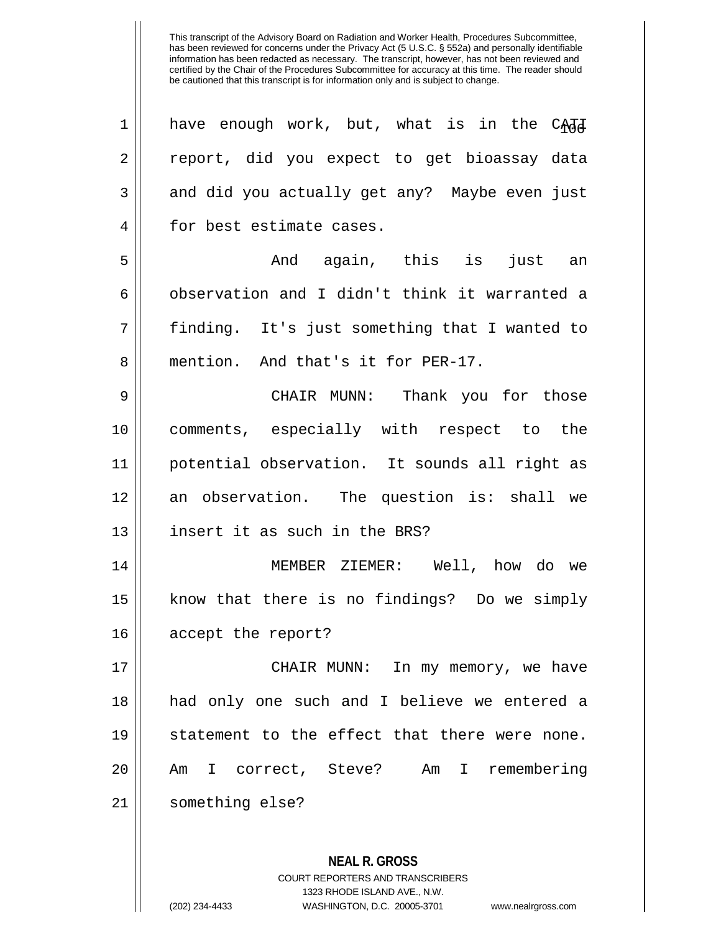| 1  | have enough work, but, what is in the CARA    |
|----|-----------------------------------------------|
| 2  | report, did you expect to get bioassay data   |
| 3  | and did you actually get any? Maybe even just |
| 4  | for best estimate cases.                      |
| 5  | And again, this is<br>just an                 |
| 6  | observation and I didn't think it warranted a |
| 7  | finding. It's just something that I wanted to |
| 8  | mention. And that's it for PER-17.            |
| 9  | CHAIR MUNN: Thank you for those               |
| 10 | comments, especially with respect to the      |
| 11 | potential observation. It sounds all right as |
| 12 | an observation. The question is: shall we     |
| 13 | insert it as such in the BRS?                 |
| 14 | MEMBER ZIEMER: Well, how do we                |
| 15 | know that there is no findings? Do we simply  |
| 16 | accept the report?                            |
| 17 | CHAIR MUNN: In my memory, we have             |
| 18 | had only one such and I believe we entered a  |
| 19 | statement to the effect that there were none. |
| 20 | Am I correct, Steve? Am I remembering         |
| 21 | something else?                               |
|    |                                               |
|    | <b>NEAL R. GROSS</b>                          |

COURT REPORTERS AND TRANSCRIBERS 1323 RHODE ISLAND AVE., N.W.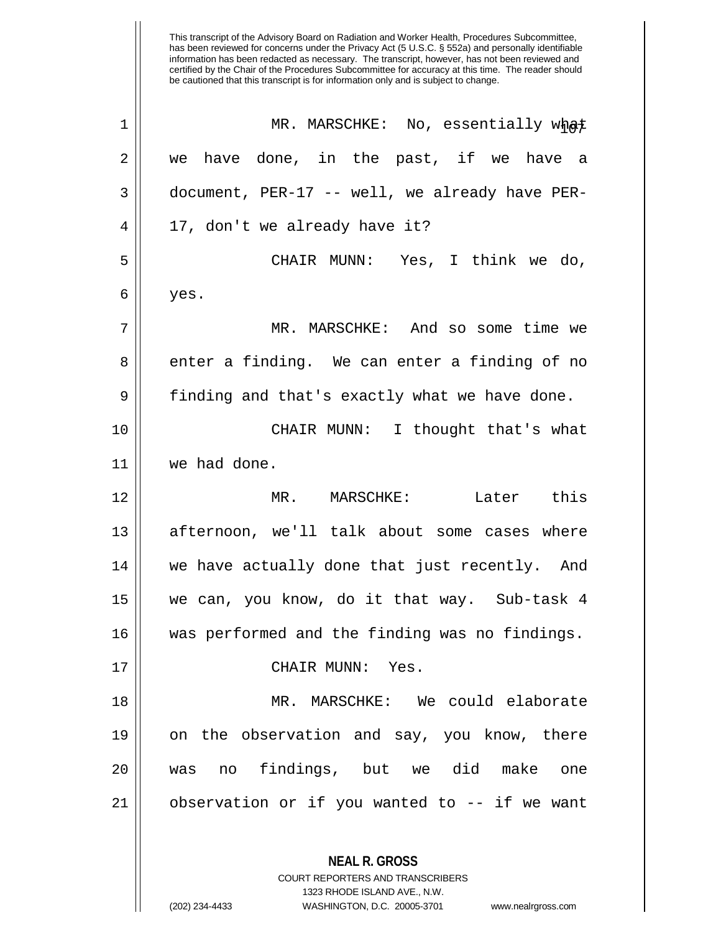| $\mathbf 1$ | MR. MARSCHKE: No, essentially what             |
|-------------|------------------------------------------------|
| 2           | we have done, in the past, if we have a        |
| 3           | document, PER-17 -- well, we already have PER- |
| 4           | 17, don't we already have it?                  |
| 5           | CHAIR MUNN: Yes, I think we do,                |
| 6           | yes.                                           |
| 7           | MR. MARSCHKE: And so some time we              |
| 8           | enter a finding. We can enter a finding of no  |
| 9           | finding and that's exactly what we have done.  |
| 10          | CHAIR MUNN: I thought that's what              |
| 11          | we had done.                                   |
| 12          | MR. MARSCHKE: Later this                       |
| 13          | afternoon, we'll talk about some cases where   |
| 14          | we have actually done that just recently. And  |
| 15          | we can, you know, do it that way. Sub-task 4   |
| 16          | was performed and the finding was no findings. |
| 17          | CHAIR MUNN: Yes.                               |
| 18          | MR. MARSCHKE: We could elaborate               |
| 19          | on the observation and say, you know, there    |
| 20          | was no findings, but we did make<br>one        |
| 21          | observation or if you wanted to -- if we want  |
|             | <b>NEAL R. GROSS</b>                           |

COURT REPORTERS AND TRANSCRIBERS 1323 RHODE ISLAND AVE., N.W.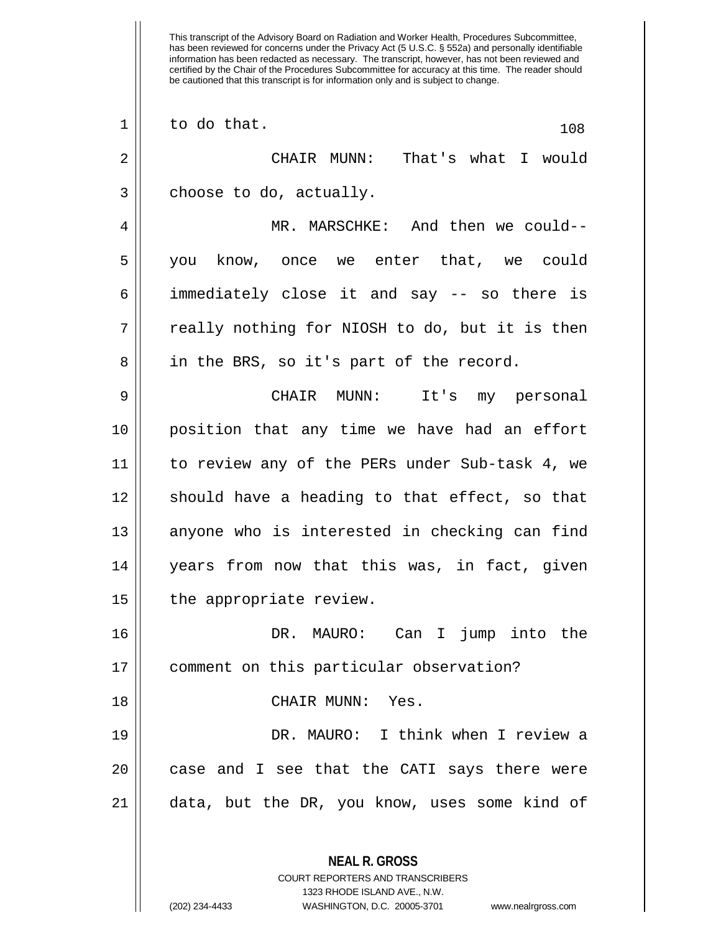**NEAL R. GROSS** COURT REPORTERS AND TRANSCRIBERS  $\begin{array}{c|c|c|c|c} 1 & \text{to do that.} \end{array}$  CHAIR MUNN: That's what I would  $3 \parallel$  choose to do, actually. MR. MARSCHKE: And then we could-- you know, once we enter that, we could immediately close it and say -- so there is  $7 ||$  really nothing for NIOSH to do, but it is then  $8 \parallel$  in the BRS, so it's part of the record. CHAIR MUNN: It's my personal position that any time we have had an effort to review any of the PERs under Sub-task 4, we should have a heading to that effect, so that 13 || anyone who is interested in checking can find years from now that this was, in fact, given 15 | the appropriate review. DR. MAURO: Can I jump into the comment on this particular observation? CHAIR MUNN: Yes. DR. MAURO: I think when I review a || case and I see that the CATI says there were | data, but the DR, you know, uses some kind of

1323 RHODE ISLAND AVE., N.W.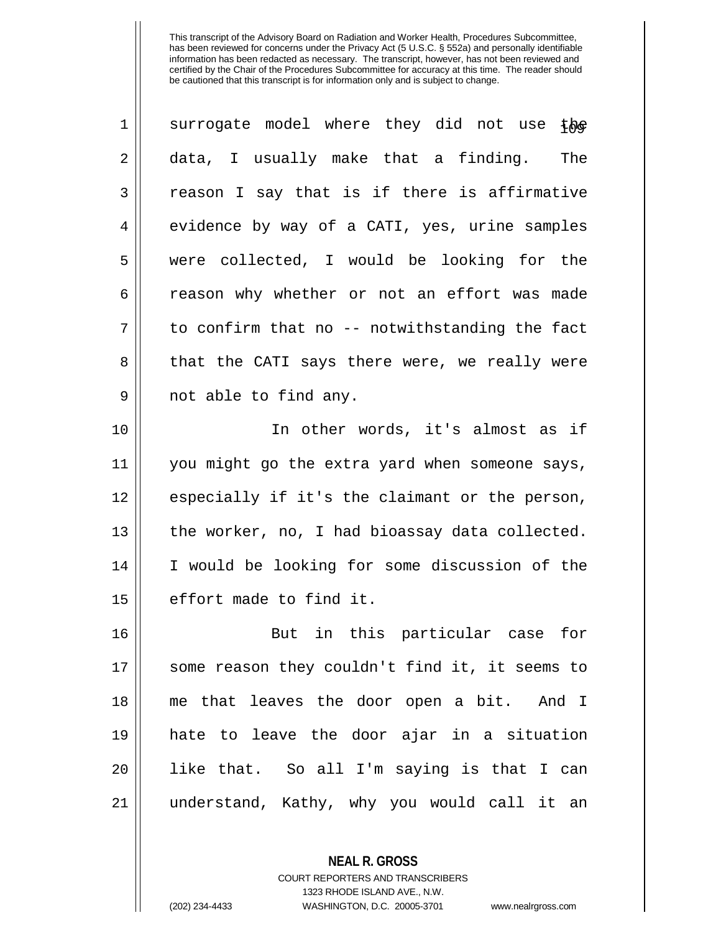| $\mathbf 1$ | surrogate model where they did not use<br>t <u>ክ</u> e |
|-------------|--------------------------------------------------------|
| 2           | data, I usually make that a finding.<br>The            |
| 3           | reason I say that is if there is affirmative           |
| 4           | evidence by way of a CATI, yes, urine samples          |
| 5           | were collected, I would be looking for the             |
| 6           | reason why whether or not an effort was made           |
| 7           | to confirm that no -- notwithstanding the fact         |
| 8           | that the CATI says there were, we really were          |
| 9           | not able to find any.                                  |
| 10          | In other words, it's almost as if                      |
| 11          | you might go the extra yard when someone says,         |
| 12          | especially if it's the claimant or the person,         |
| 13          | the worker, no, I had bioassay data collected.         |
| 14          | I would be looking for some discussion of the          |
| 15          | effort made to find it.                                |
| 16          | in this particular case<br>for<br>But                  |
| 17          | some reason they couldn't find it, it seems to         |
| 18          | me that leaves the door open a bit. And I              |
| 19          | hate to leave the door ajar in a situation             |
| 20          | like that. So all I'm saying is that I can             |
| 21          | understand, Kathy, why you would call it an            |

**NEAL R. GROSS** COURT REPORTERS AND TRANSCRIBERS 1323 RHODE ISLAND AVE., N.W.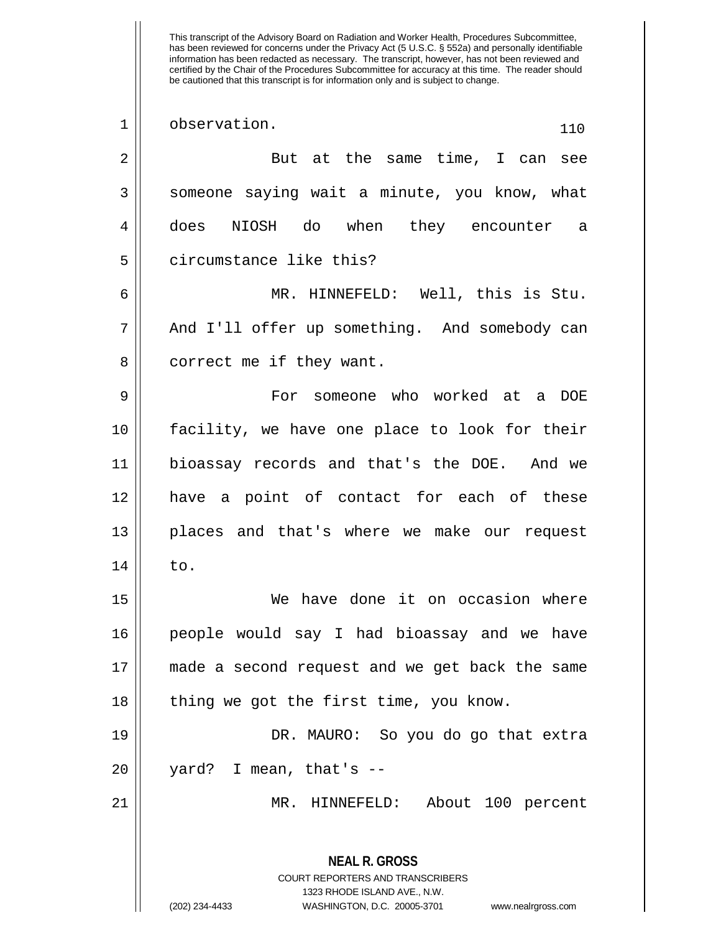| $\mathbf 1$    | observation.<br>110                                                                                                                                                    |
|----------------|------------------------------------------------------------------------------------------------------------------------------------------------------------------------|
| $\sqrt{2}$     | But at the same time, I can see                                                                                                                                        |
| 3              | someone saying wait a minute, you know, what                                                                                                                           |
| $\overline{4}$ | does NIOSH do when they encounter a                                                                                                                                    |
| 5              | circumstance like this?                                                                                                                                                |
| 6              | MR. HINNEFELD: Well, this is Stu.                                                                                                                                      |
| 7              | And I'll offer up something. And somebody can                                                                                                                          |
| 8              | correct me if they want.                                                                                                                                               |
| 9              | For someone who worked at a DOE                                                                                                                                        |
| 10             | facility, we have one place to look for their                                                                                                                          |
| 11             | bioassay records and that's the DOE. And we                                                                                                                            |
| 12             | have a point of contact for each of these                                                                                                                              |
| 13             | places and that's where we make our request                                                                                                                            |
| 14             | to.                                                                                                                                                                    |
| 15             | We have done it on occasion where                                                                                                                                      |
| 16             | people would say I had bioassay and we have                                                                                                                            |
| 17             | made a second request and we get back the same                                                                                                                         |
| 18             | thing we got the first time, you know.                                                                                                                                 |
| 19             | DR. MAURO: So you do go that extra                                                                                                                                     |
| 20             | yard? I mean, that's --                                                                                                                                                |
| 21             | MR. HINNEFELD: About 100 percent                                                                                                                                       |
|                | <b>NEAL R. GROSS</b><br><b>COURT REPORTERS AND TRANSCRIBERS</b><br>1323 RHODE ISLAND AVE., N.W.<br>(202) 234-4433<br>WASHINGTON, D.C. 20005-3701<br>www.nealrgross.com |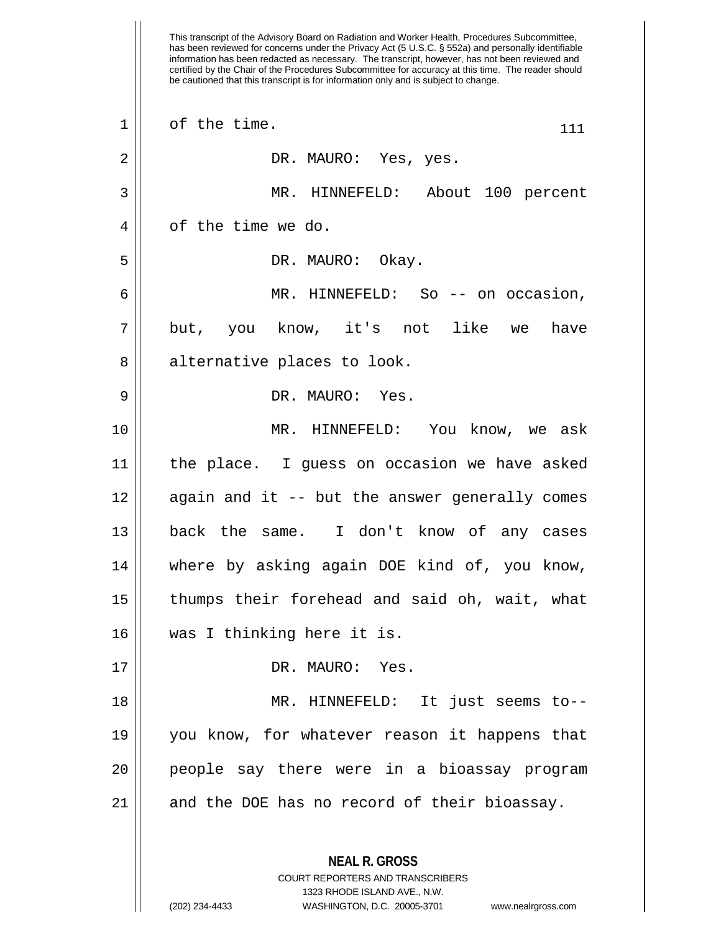This transcript of the Advisory Board on Radiation and Worker Health, Procedures Subcommittee, has been reviewed for concerns under the Privacy Act (5 U.S.C. § 552a) and personally identifiable information has been redacted as necessary. The transcript, however, has not been reviewed and certified by the Chair of the Procedures Subcommittee for accuracy at this time. The reader should be cautioned that this transcript is for information only and is subject to change.  $1 \parallel$  of the time.  $111$  DR. MAURO: Yes, yes. MR. HINNEFELD: About 100 percent 4 || of the time we do. DR. MAURO: Okay. MR. HINNEFELD: So -- on occasion, 7|| but, you know, it's not like we have 8 || alternative places to look. DR. MAURO: Yes. MR. HINNEFELD: You know, we ask the place. I guess on occasion we have asked | again and it -- but the answer generally comes back the same. I don't know of any cases where by asking again DOE kind of, you know, thumps their forehead and said oh, wait, what was I thinking here it is. 17 || DR. MAURO: Yes. MR. HINNEFELD: It just seems to-- you know, for whatever reason it happens that people say there were in a bioassay program and the DOE has no record of their bioassay.

> **NEAL R. GROSS** COURT REPORTERS AND TRANSCRIBERS 1323 RHODE ISLAND AVE., N.W.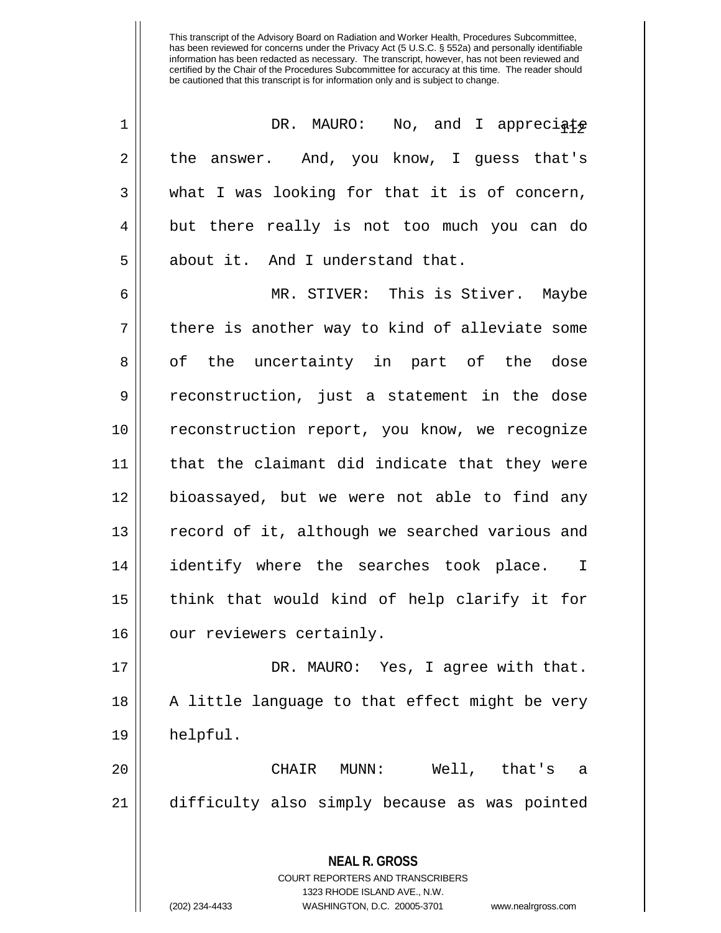| 1  | DR. MAURO: No, and I appreciate                                                                                                                                        |
|----|------------------------------------------------------------------------------------------------------------------------------------------------------------------------|
| 2  | the answer. And, you know, I guess that's                                                                                                                              |
| 3  | what I was looking for that it is of concern,                                                                                                                          |
| 4  | but there really is not too much you can do                                                                                                                            |
| 5  | about it. And I understand that.                                                                                                                                       |
| 6  | MR. STIVER: This is Stiver. Maybe                                                                                                                                      |
| 7  | there is another way to kind of alleviate some                                                                                                                         |
| 8  | of the uncertainty in part of the dose                                                                                                                                 |
| 9  | reconstruction, just a statement in the dose                                                                                                                           |
| 10 | reconstruction report, you know, we recognize                                                                                                                          |
| 11 | that the claimant did indicate that they were                                                                                                                          |
| 12 | bioassayed, but we were not able to find any                                                                                                                           |
| 13 | record of it, although we searched various and                                                                                                                         |
| 14 | identify where the searches took place. I                                                                                                                              |
| 15 | think that would kind of help clarify it for                                                                                                                           |
| 16 | our reviewers certainly.                                                                                                                                               |
| 17 | DR. MAURO: Yes, I agree with that.                                                                                                                                     |
| 18 | A little language to that effect might be very                                                                                                                         |
| 19 | helpful.                                                                                                                                                               |
| 20 | CHAIR MUNN:<br>Well, that's a                                                                                                                                          |
| 21 | difficulty also simply because as was pointed                                                                                                                          |
|    | <b>NEAL R. GROSS</b><br><b>COURT REPORTERS AND TRANSCRIBERS</b><br>1323 RHODE ISLAND AVE., N.W.<br>WASHINGTON, D.C. 20005-3701<br>(202) 234-4433<br>www.nealrgross.com |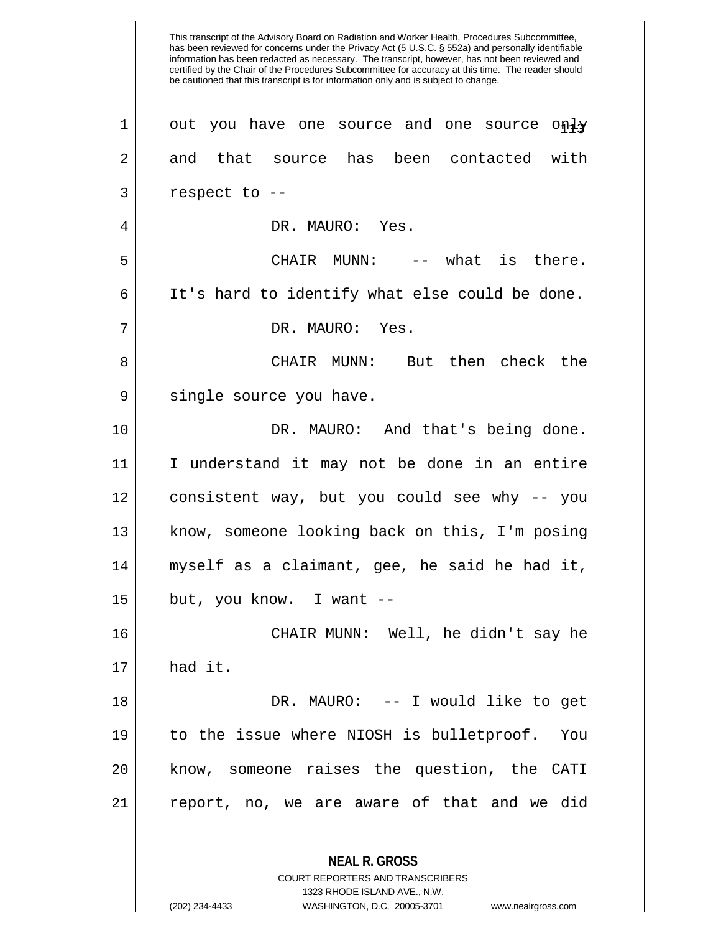has been reviewed for concerns under the Privacy Act (5 U.S.C. § 552a) and personally identifiable information has been redacted as necessary. The transcript, however, has not been reviewed and certified by the Chair of the Procedures Subcommittee for accuracy at this time. The reader should be cautioned that this transcript is for information only and is subject to change. **NEAL R. GROSS** COURT REPORTERS AND TRANSCRIBERS 1 | out you have one source and one source only 2 and that source has been contacted with  $3 \parallel$  respect to --4 DR. MAURO: Yes. 5 || CHAIR MUNN: -- what is there.  $6$  | It's hard to identify what else could be done. 7 DR. MAURO: Yes. 8 CHAIR MUNN: But then check the 9 || single source you have. 10 DR. MAURO: And that's being done. 11 I understand it may not be done in an entire 12 consistent way, but you could see why -- you 13 || know, someone looking back on this, I'm posing 14 myself as a claimant, gee, he said he had it,  $15$  || but, you know. I want  $-$ 16 CHAIR MUNN: Well, he didn't say he  $17 \parallel$  had it. 18 DR. MAURO: -- I would like to get 19 to the issue where NIOSH is bulletproof. You 20 know, someone raises the question, the CATI  $21$  report, no, we are aware of that and we did

1323 RHODE ISLAND AVE., N.W.

This transcript of the Advisory Board on Radiation and Worker Health, Procedures Subcommittee,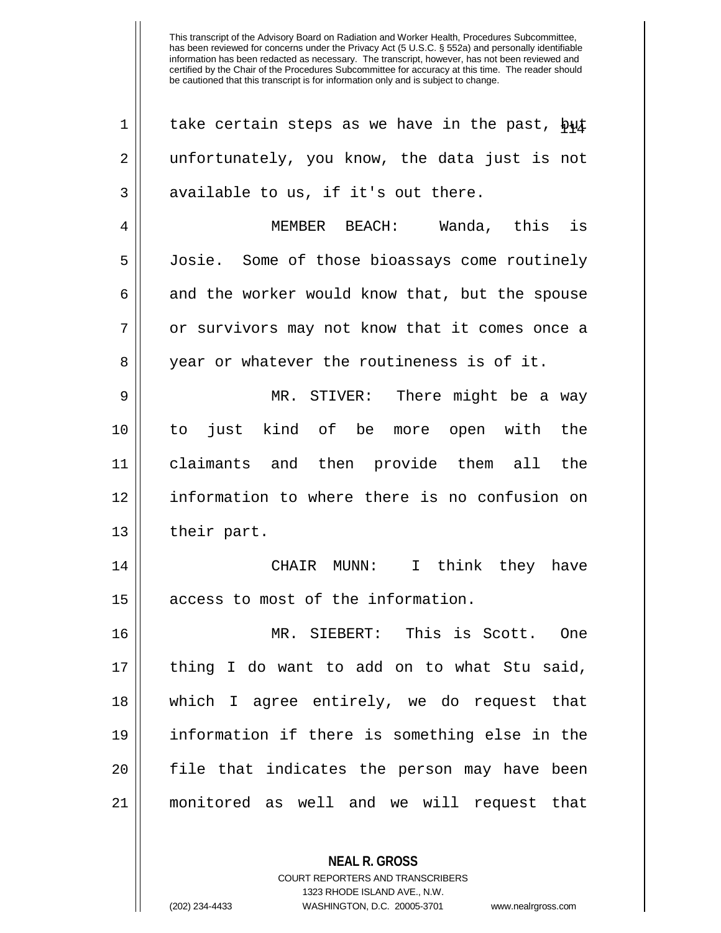| $\mathbf 1$ | take certain steps as we have in the past, but |
|-------------|------------------------------------------------|
| 2           | unfortunately, you know, the data just is not  |
| 3           | available to us, if it's out there.            |
| 4           | MEMBER BEACH: Wanda, this is                   |
| 5           | Josie. Some of those bioassays come routinely  |
| 6           | and the worker would know that, but the spouse |
| 7           | or survivors may not know that it comes once a |
| 8           | year or whatever the routineness is of it.     |
| 9           | MR. STIVER: There might be a way               |
| 10          | just kind of be more open with the<br>to       |
| 11          | claimants and then provide them all the        |
| 12          | information to where there is no confusion on  |
| 13          | their part.                                    |
| 14          | CHAIR MUNN: I think they have                  |
| 15          | access to most of the information.             |
| 16          | MR. SIEBERT: This is Scott. One                |
| 17          | thing I do want to add on to what Stu said,    |
| 18          | which I agree entirely, we do request that     |
| 19          | information if there is something else in the  |
| 20          | file that indicates the person may have been   |
| 21          | monitored as well and we will request that     |
|             |                                                |

**NEAL R. GROSS** COURT REPORTERS AND TRANSCRIBERS 1323 RHODE ISLAND AVE., N.W.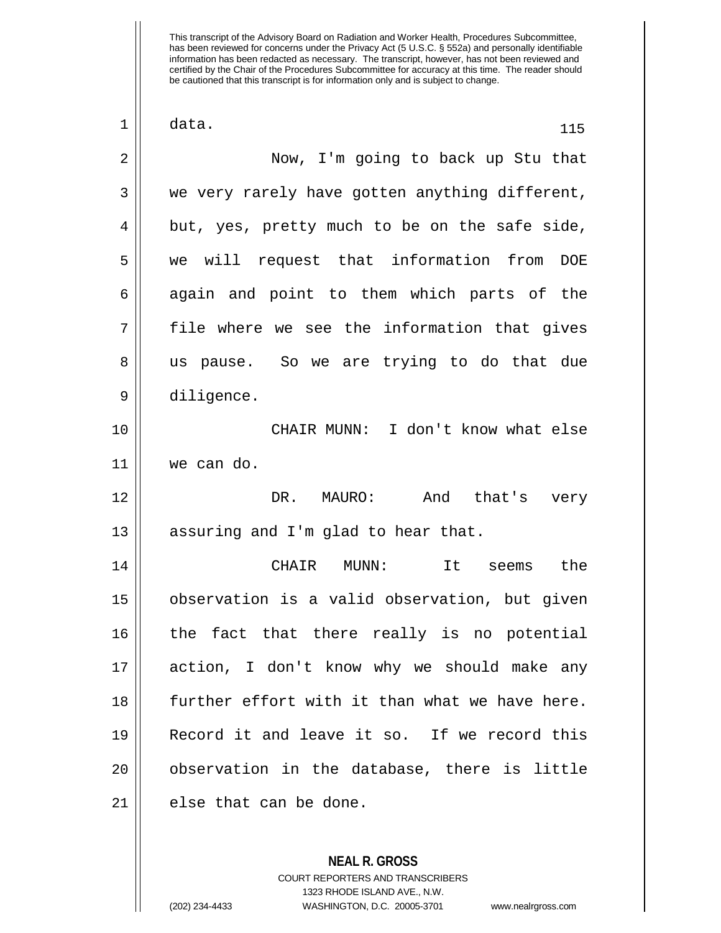| 1  | data.<br>115                                        |
|----|-----------------------------------------------------|
| 2  | Now, I'm going to back up Stu that                  |
| 3  | we very rarely have gotten anything different,      |
| 4  | but, yes, pretty much to be on the safe side,       |
| 5  | we will request that information from<br><b>DOE</b> |
| 6  | again and point to them which parts of the          |
| 7  | file where we see the information that gives        |
| 8  | us pause. So we are trying to do that due           |
| 9  | diligence.                                          |
| 10 | CHAIR MUNN: I don't know what else                  |
| 11 | we can do.                                          |
| 12 | And that's<br>DR. MAURO:<br>very                    |
| 13 | assuring and I'm glad to hear that.                 |
| 14 | CHAIR<br>$MUNN$ :<br>It<br>the<br>seems             |
| 15 | observation is a valid observation, but given       |
| 16 | the fact that there really is no potential          |
| 17 | action, I don't know why we should make any         |
| 18 | further effort with it than what we have here.      |
| 19 | Record it and leave it so. If we record this        |
| 20 | observation in the database, there is little        |
| 21 | else that can be done.                              |

**NEAL R. GROSS** COURT REPORTERS AND TRANSCRIBERS 1323 RHODE ISLAND AVE., N.W.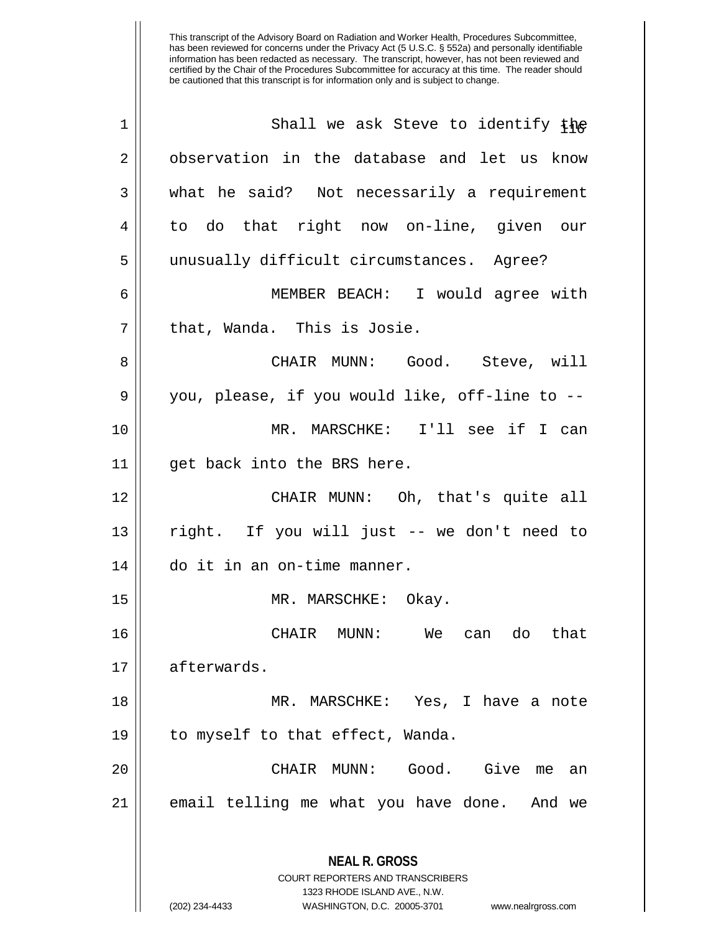| 1  | Shall we ask Steve to identify the                                                                                                                                     |
|----|------------------------------------------------------------------------------------------------------------------------------------------------------------------------|
| 2  | observation in the database and let us know                                                                                                                            |
| 3  | what he said? Not necessarily a requirement                                                                                                                            |
| 4  | to do that right now on-line, given our                                                                                                                                |
| 5  | unusually difficult circumstances. Agree?                                                                                                                              |
| 6  | MEMBER BEACH: I would agree with                                                                                                                                       |
| 7  | that, Wanda. This is Josie.                                                                                                                                            |
| 8  | CHAIR MUNN: Good. Steve, will                                                                                                                                          |
| 9  | you, please, if you would like, off-line to --                                                                                                                         |
| 10 | MR. MARSCHKE: I'll see if I can                                                                                                                                        |
| 11 | get back into the BRS here.                                                                                                                                            |
| 12 | CHAIR MUNN: Oh, that's quite all                                                                                                                                       |
| 13 | right. If you will just -- we don't need to                                                                                                                            |
| 14 | do it in an on-time manner.                                                                                                                                            |
| 15 | MR. MARSCHKE: Okay.                                                                                                                                                    |
| 16 | CHAIR MUNN:<br>We<br>can do<br>that                                                                                                                                    |
| 17 | afterwards.                                                                                                                                                            |
| 18 | MR. MARSCHKE: Yes, I have a note                                                                                                                                       |
| 19 | to myself to that effect, Wanda.                                                                                                                                       |
| 20 | Give<br>CHAIR MUNN:<br>Good.<br>me<br>an                                                                                                                               |
| 21 | email telling me what you have done. And we                                                                                                                            |
|    | <b>NEAL R. GROSS</b><br><b>COURT REPORTERS AND TRANSCRIBERS</b><br>1323 RHODE ISLAND AVE., N.W.<br>WASHINGTON, D.C. 20005-3701<br>(202) 234-4433<br>www.nealrgross.com |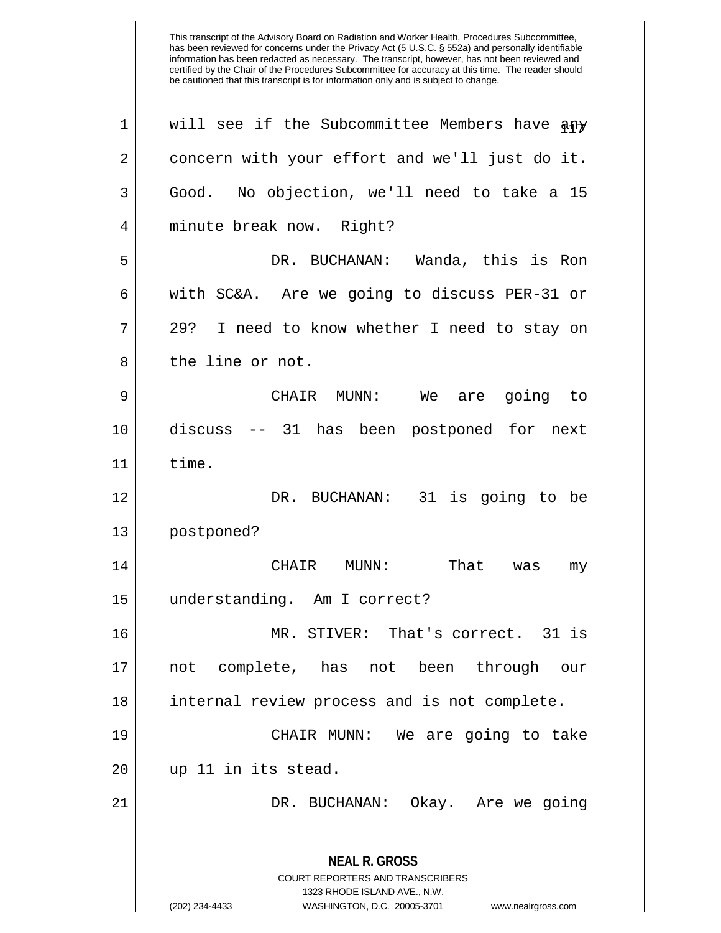| 1  | will see if the Subcommittee Members have any                                                                                                                          |
|----|------------------------------------------------------------------------------------------------------------------------------------------------------------------------|
| 2  | concern with your effort and we'll just do it.                                                                                                                         |
| 3  | No objection, we'll need to take a 15<br>Good.                                                                                                                         |
| 4  | minute break now. Right?                                                                                                                                               |
| 5  | DR. BUCHANAN: Wanda, this is Ron                                                                                                                                       |
| 6  | with SC&A. Are we going to discuss PER-31 or                                                                                                                           |
| 7  | I need to know whether I need to stay on<br>29?                                                                                                                        |
| 8  | the line or not.                                                                                                                                                       |
| 9  | CHAIR MUNN: We<br>going to<br>are                                                                                                                                      |
| 10 | discuss -- 31 has been postponed for next                                                                                                                              |
| 11 | time.                                                                                                                                                                  |
| 12 | DR. BUCHANAN: 31 is going to be                                                                                                                                        |
| 13 | postponed?                                                                                                                                                             |
| 14 | That<br>CHAIR<br>MUNN:<br>was<br>my                                                                                                                                    |
| 15 | understanding. Am I correct?                                                                                                                                           |
| 16 | MR. STIVER: That's correct. 31 is                                                                                                                                      |
| 17 | not complete, has not been through our                                                                                                                                 |
| 18 | internal review process and is not complete.                                                                                                                           |
| 19 | CHAIR MUNN: We are going to take                                                                                                                                       |
| 20 | up 11 in its stead.                                                                                                                                                    |
| 21 | DR. BUCHANAN: Okay. Are we going                                                                                                                                       |
|    | <b>NEAL R. GROSS</b><br><b>COURT REPORTERS AND TRANSCRIBERS</b><br>1323 RHODE ISLAND AVE., N.W.<br>(202) 234-4433<br>WASHINGTON, D.C. 20005-3701<br>www.nealrgross.com |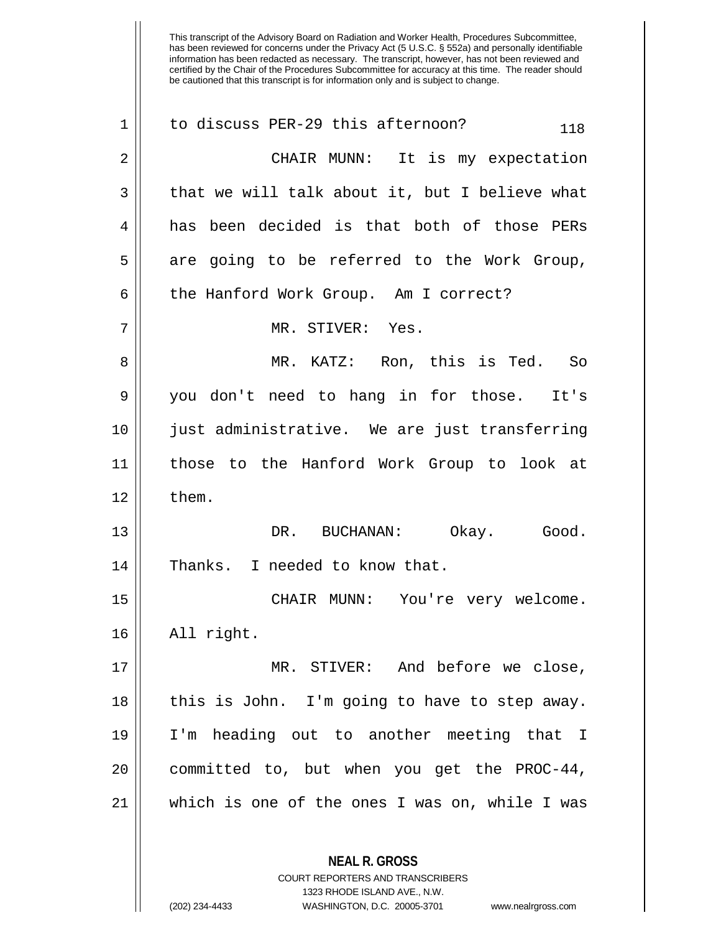| $\mathbf 1$    | to discuss PER-29 this afternoon?<br>118                 |
|----------------|----------------------------------------------------------|
| $\overline{2}$ | CHAIR MUNN: It is my expectation                         |
| 3              | that we will talk about it, but I believe what           |
| 4              | has been decided is that both of those PERs              |
| 5              | are going to be referred to the Work Group,              |
| 6              | the Hanford Work Group. Am I correct?                    |
| 7              | MR. STIVER: Yes.                                         |
| 8              | MR. KATZ: Ron, this is Ted. So                           |
| 9              | you don't need to hang in for those. It's                |
| 10             | just administrative. We are just transferring            |
| 11             | those to the Hanford Work Group to look at               |
| 12             | them.                                                    |
| 13             | DR. BUCHANAN: Okay. Good.                                |
| 14             | Thanks. I needed to know that.                           |
| 15             | CHAIR MUNN:<br>You're very welcome.                      |
| 16             | All right.                                               |
| 17             | MR. STIVER: And before we close,                         |
| 18             | this is John. I'm going to have to step away.            |
| 19             | I'm heading out to another meeting that I                |
| 20             | committed to, but when you get the PROC-44,              |
| 21             | which is one of the ones I was on, while I was           |
|                | <b>NEAL R. GROSS</b><br>COURT REPORTERS AND TRANSCRIBERS |

1323 RHODE ISLAND AVE., N.W.

 $\mathop{\text{||}}$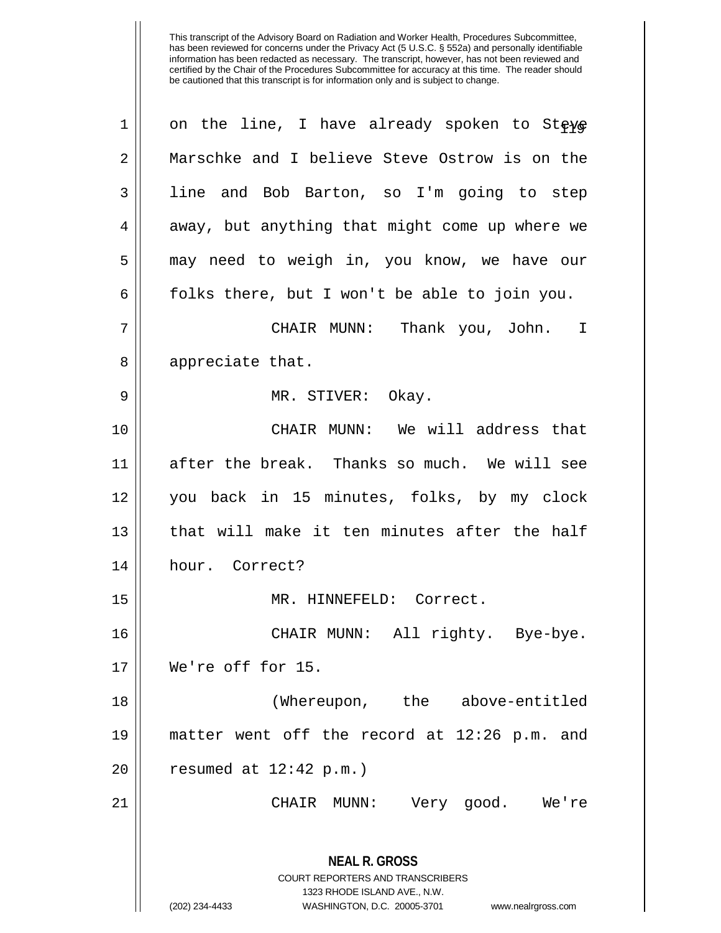| $\mathbf 1$ | on the line, I have already spoken to Steve                                                                                                                            |
|-------------|------------------------------------------------------------------------------------------------------------------------------------------------------------------------|
| 2           | Marschke and I believe Steve Ostrow is on the                                                                                                                          |
| 3           | line and Bob Barton, so I'm going to step                                                                                                                              |
| 4           | away, but anything that might come up where we                                                                                                                         |
| 5           | may need to weigh in, you know, we have our                                                                                                                            |
| 6           | folks there, but I won't be able to join you.                                                                                                                          |
| 7           | CHAIR MUNN: Thank you, John. I                                                                                                                                         |
| 8           | appreciate that.                                                                                                                                                       |
| 9           | MR. STIVER: Okay.                                                                                                                                                      |
| 10          | CHAIR MUNN: We will address that                                                                                                                                       |
| 11          | after the break. Thanks so much. We will see                                                                                                                           |
| 12          | you back in 15 minutes, folks, by my clock                                                                                                                             |
| 13          | that will make it ten minutes after the half                                                                                                                           |
| 14          | hour. Correct?                                                                                                                                                         |
| 15          | MR. HINNEFELD: Correct.                                                                                                                                                |
| 16          | CHAIR MUNN: All righty. Bye-bye.                                                                                                                                       |
| 17          | We're off for 15.                                                                                                                                                      |
| 18          | (Whereupon, the above-entitled                                                                                                                                         |
| 19          | matter went off the record at 12:26 p.m. and                                                                                                                           |
| 20          | resumed at $12:42$ p.m.)                                                                                                                                               |
| 21          | CHAIR MUNN:<br>Very good. We're                                                                                                                                        |
|             | <b>NEAL R. GROSS</b><br><b>COURT REPORTERS AND TRANSCRIBERS</b><br>1323 RHODE ISLAND AVE., N.W.<br>(202) 234-4433<br>WASHINGTON, D.C. 20005-3701<br>www.nealrgross.com |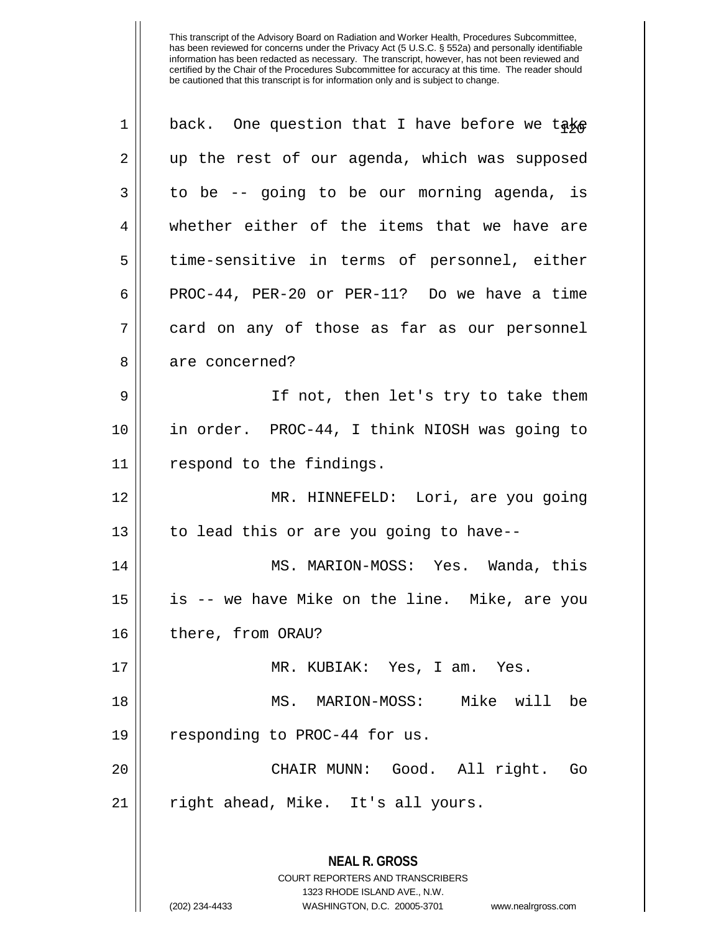| 2  | up the rest of our agenda, which was supposed                                                                                                                          |
|----|------------------------------------------------------------------------------------------------------------------------------------------------------------------------|
|    |                                                                                                                                                                        |
| 3  | to be -- going to be our morning agenda, is                                                                                                                            |
| 4  | whether either of the items that we have are                                                                                                                           |
| 5  | time-sensitive in terms of personnel, either                                                                                                                           |
| 6  | PROC-44, PER-20 or PER-11? Do we have a time                                                                                                                           |
| 7  | card on any of those as far as our personnel                                                                                                                           |
| 8  | are concerned?                                                                                                                                                         |
| 9  | If not, then let's try to take them                                                                                                                                    |
| 10 | in order. PROC-44, I think NIOSH was going to                                                                                                                          |
| 11 | respond to the findings.                                                                                                                                               |
| 12 | MR. HINNEFELD: Lori, are you going                                                                                                                                     |
| 13 | to lead this or are you going to have--                                                                                                                                |
| 14 | MS. MARION-MOSS: Yes. Wanda, this                                                                                                                                      |
| 15 | is -- we have Mike on the line. Mike, are you                                                                                                                          |
| 16 | there, from ORAU?                                                                                                                                                      |
| 17 | MR. KUBIAK: Yes, I am. Yes.                                                                                                                                            |
| 18 | MS. MARION-MOSS: Mike will be                                                                                                                                          |
| 19 | responding to PROC-44 for us.                                                                                                                                          |
| 20 | CHAIR MUNN: Good. All right.<br>Go                                                                                                                                     |
| 21 | right ahead, Mike. It's all yours.                                                                                                                                     |
|    | <b>NEAL R. GROSS</b><br><b>COURT REPORTERS AND TRANSCRIBERS</b><br>1323 RHODE ISLAND AVE., N.W.<br>(202) 234-4433<br>WASHINGTON, D.C. 20005-3701<br>www.nealrgross.com |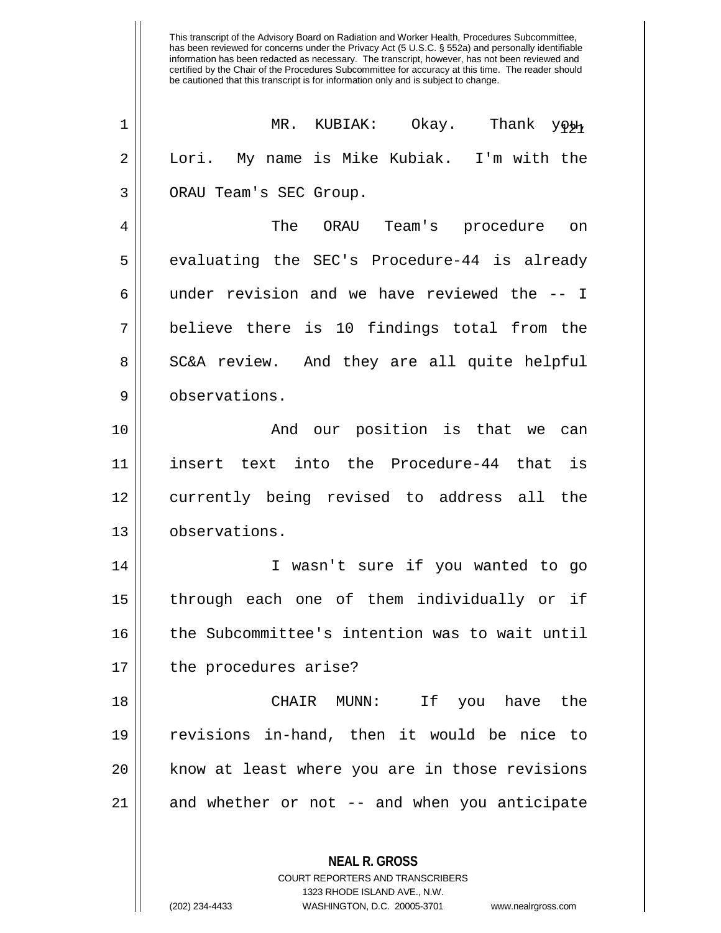| $\mathbf 1$ | MR. KUBIAK: Okay. Thank youn                   |
|-------------|------------------------------------------------|
| 2           | Lori. My name is Mike Kubiak. I'm with the     |
| 3           | ORAU Team's SEC Group.                         |
| 4           | The<br>ORAU Team's<br>procedure<br>on          |
| 5           | evaluating the SEC's Procedure-44 is already   |
| 6           | under revision and we have reviewed the -- I   |
| 7           | believe there is 10 findings total from the    |
| 8           | SC&A review. And they are all quite helpful    |
| 9           | observations.                                  |
| 10          | And our position is that we can                |
| 11          | insert text into the Procedure-44 that is      |
| 12          | currently being revised to address all the     |
| 13          | observations.                                  |
| 14          | I wasn't sure if you wanted to go              |
| 15          | through each one of them individually or if    |
| 16          | the Subcommittee's intention was to wait until |
| 17          | the procedures arise?                          |
| 18          | CHAIR MUNN: If you have the                    |
| 19          | revisions in-hand, then it would be nice to    |
| 20          | know at least where you are in those revisions |
| 21          | and whether or not -- and when you anticipate  |
|             | <b>NEAL R. GROSS</b>                           |

COURT REPORTERS AND TRANSCRIBERS 1323 RHODE ISLAND AVE., N.W.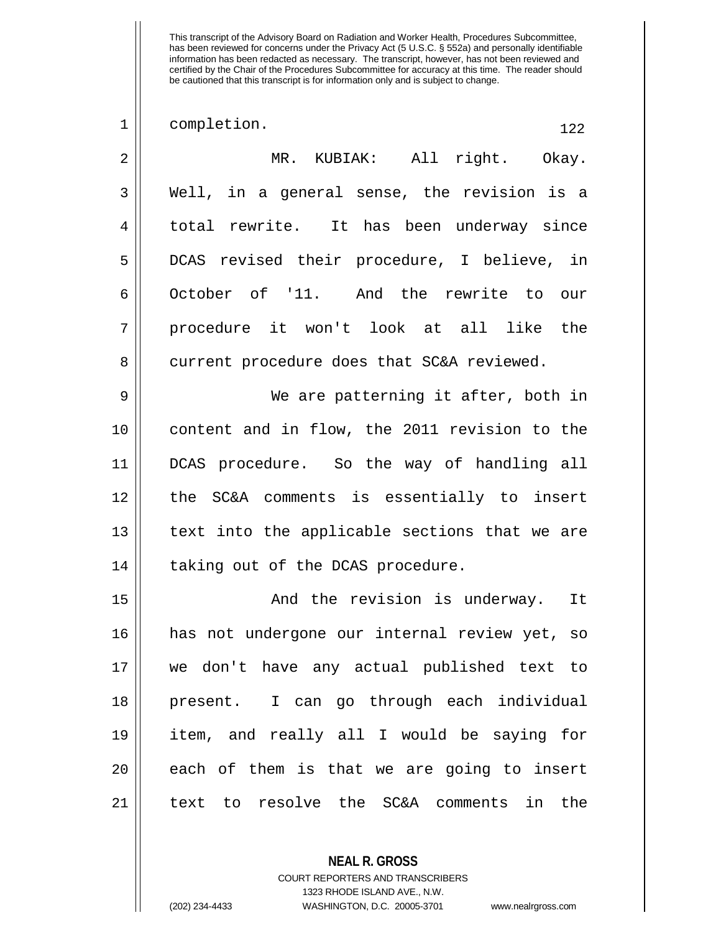1 | completion. 122 MR. KUBIAK: All right. Okay.  $3 \parallel$  Well, in a general sense, the revision is a 4 || total rewrite. It has been underway since DCAS revised their procedure, I believe, in October of '11. And the rewrite to our procedure it won't look at all like the 8 || current procedure does that SC&A reviewed. We are patterning it after, both in content and in flow, the 2011 revision to the DCAS procedure. So the way of handling all the SC&A comments is essentially to insert 13 || text into the applicable sections that we are 14 || taking out of the DCAS procedure. And the revision is underway. It has not undergone our internal review yet, so we don't have any actual published text to present. I can go through each individual item, and really all I would be saying for || each of them is that we are going to insert text to resolve the SC&A comments in the

> COURT REPORTERS AND TRANSCRIBERS 1323 RHODE ISLAND AVE., N.W. (202) 234-4433 WASHINGTON, D.C. 20005-3701 www.nealrgross.com

**NEAL R. GROSS**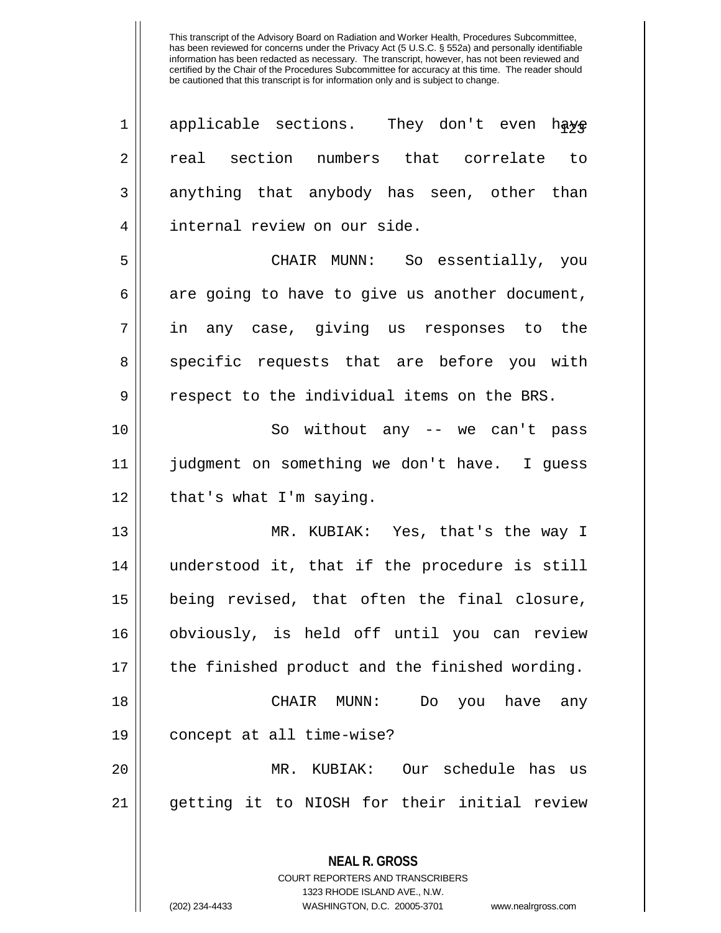**NEAL R. GROSS**  $1$  applicable sections. They don't even have 2 || real section numbers that correlate to 3 anything that anybody has seen, other than 4 || internal review on our side. 5 CHAIR MUNN: So essentially, you  $6 \parallel$  are going to have to give us another document, 7 in any case, giving us responses to the 8 || specific requests that are before you with  $9 \parallel$  respect to the individual items on the BRS. 10 || So without any -- we can't pass 11 judgment on something we don't have. I guess  $12$  | that's what I'm saying. 13 MR. KUBIAK: Yes, that's the way I 14 understood it, that if the procedure is still 15 being revised, that often the final closure, 16 obviously, is held off until you can review 17 || the finished product and the finished wording. 18 CHAIR MUNN: Do you have any 19 concept at all time-wise? 20 MR. KUBIAK: Our schedule has us 21 getting it to NIOSH for their initial review

> COURT REPORTERS AND TRANSCRIBERS 1323 RHODE ISLAND AVE., N.W.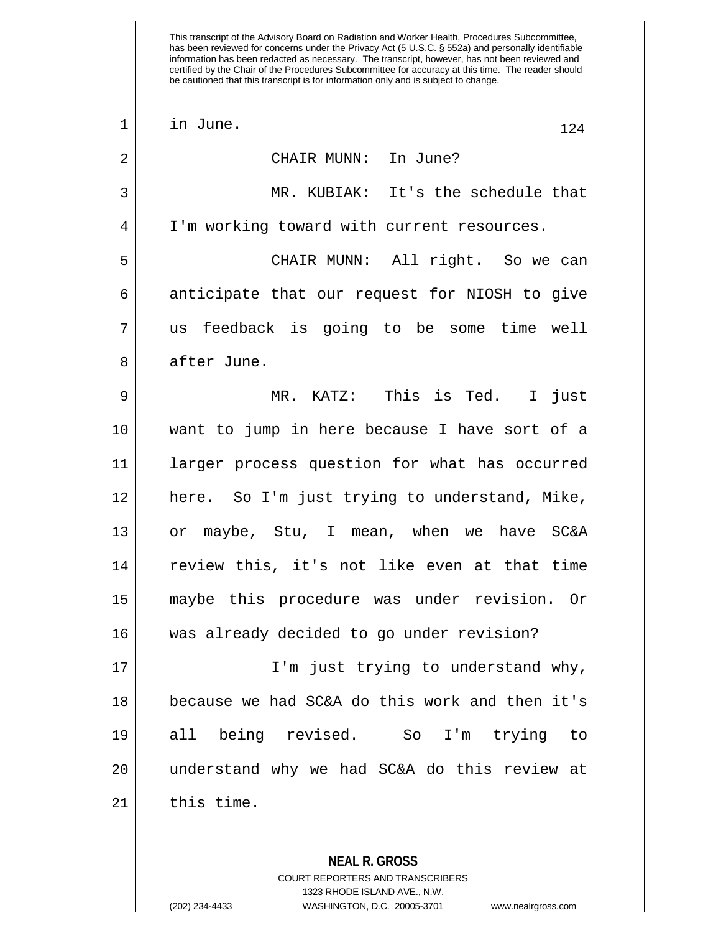| $\mathbf 1$ | in June.<br>124                                |
|-------------|------------------------------------------------|
| 2           | CHAIR MUNN: In June?                           |
| 3           | MR. KUBIAK: It's the schedule that             |
| 4           | I'm working toward with current resources.     |
| 5           | CHAIR MUNN: All right. So we can               |
| 6           | anticipate that our request for NIOSH to give  |
| 7           | us feedback is going to be some time well      |
| 8           | after June.                                    |
| 9           | MR. KATZ: This is Ted. I just                  |
| 10          | want to jump in here because I have sort of a  |
| 11          | larger process question for what has occurred  |
| 12          | here. So I'm just trying to understand, Mike,  |
| 13          | or maybe, Stu, I mean, when we have SC&A       |
| 14          | review this, it's not like even at that time   |
| 15          | maybe this procedure was under revision. Or    |
| 16          | was already decided to go under revision?      |
| 17          | I'm just trying to understand why,             |
| 18          | because we had SC&A do this work and then it's |
| 19          | all being revised. So<br>I'm trying<br>to      |
| 20          | understand why we had SC&A do this review at   |
| 21          | this time.                                     |
|             |                                                |

**NEAL R. GROSS** COURT REPORTERS AND TRANSCRIBERS 1323 RHODE ISLAND AVE., N.W.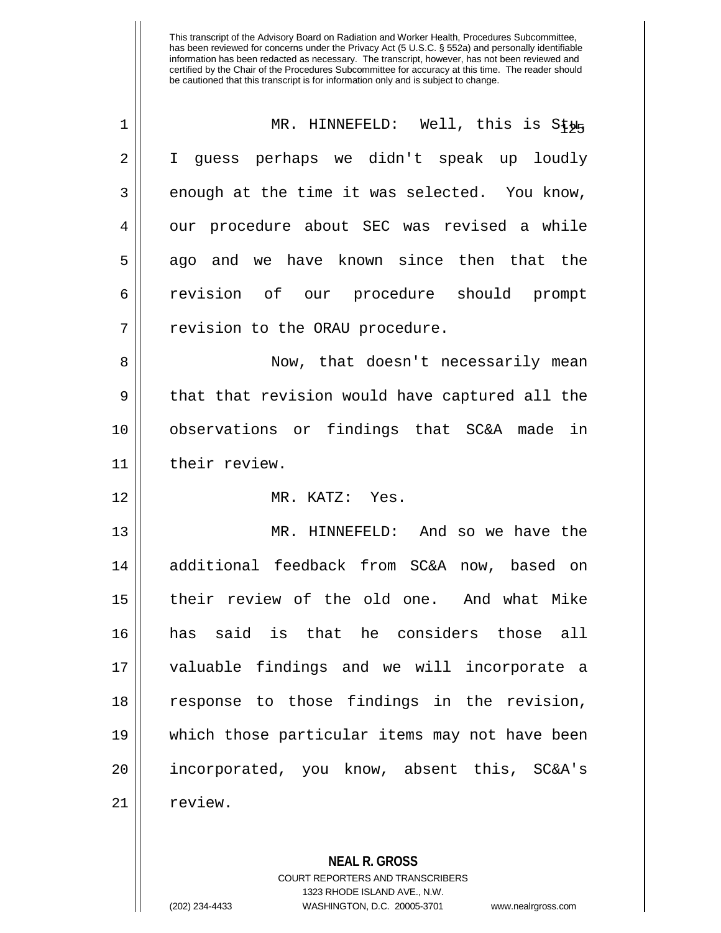| $\mathbf 1$    | MR. HINNEFELD: Well, this is Stug              |
|----------------|------------------------------------------------|
| $\overline{2}$ | I guess perhaps we didn't speak up loudly      |
| 3              | enough at the time it was selected. You know,  |
| 4              | our procedure about SEC was revised a while    |
| 5              | ago and we have known since then that the      |
| 6              | revision of our procedure should prompt        |
| 7              | revision to the ORAU procedure.                |
| 8              | Now, that doesn't necessarily mean             |
| 9              | that that revision would have captured all the |
| 10             | observations or findings that SC&A made in     |
| 11             | their review.                                  |
| 12             | MR. KATZ: Yes.                                 |
| 13             | MR. HINNEFELD: And so we have the              |
| 14             | additional feedback from SC&A now, based on    |
| 15             | their review of the old one. And what Mike     |
| 16             | has said is that he considers those all        |
| 17             | valuable findings and we will incorporate a    |
| 18             | response to those findings in the revision,    |
| 19             | which those particular items may not have been |
| 20             | incorporated, you know, absent this, SC&A's    |
| 21             | review.                                        |

**NEAL R. GROSS** COURT REPORTERS AND TRANSCRIBERS

1323 RHODE ISLAND AVE., N.W.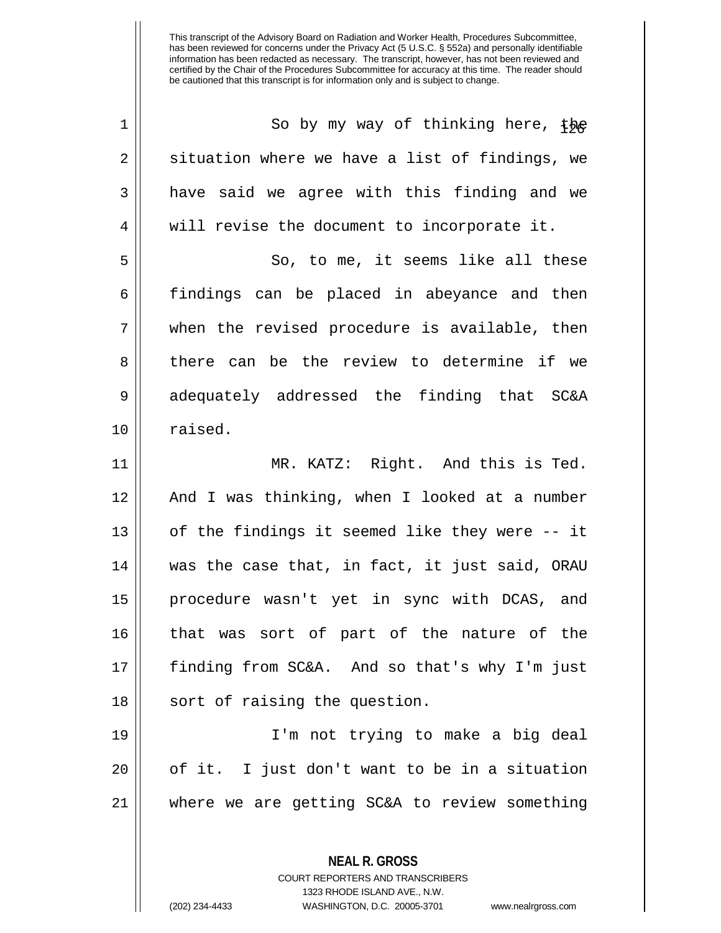| $\mathbf 1$ | So by my way of thinking here, the             |
|-------------|------------------------------------------------|
| 2           | situation where we have a list of findings, we |
| 3           | have said we agree with this finding and we    |
| 4           | will revise the document to incorporate it.    |
| 5           | So, to me, it seems like all these             |
| 6           | findings can be placed in abeyance and then    |
| 7           | when the revised procedure is available, then  |
| 8           | there can be the review to determine if we     |
| 9           | adequately addressed the finding that SC&A     |
| 10          | raised.                                        |
| 11          | MR. KATZ: Right. And this is Ted.              |
| 12          | And I was thinking, when I looked at a number  |
|             |                                                |
| 13          | of the findings it seemed like they were -- it |
| 14          | was the case that, in fact, it just said, ORAU |
| 15          | procedure wasn't yet in sync with DCAS, and    |
| 16          | that was sort of part of the nature of the     |
| 17          | finding from SC&A. And so that's why I'm just  |
| 18          | sort of raising the question.                  |
| 19          | I'm not trying to make a big deal              |
| 20          | of it. I just don't want to be in a situation  |
| 21          | where we are getting SC&A to review something  |

COURT REPORTERS AND TRANSCRIBERS 1323 RHODE ISLAND AVE., N.W.

**NEAL R. GROSS**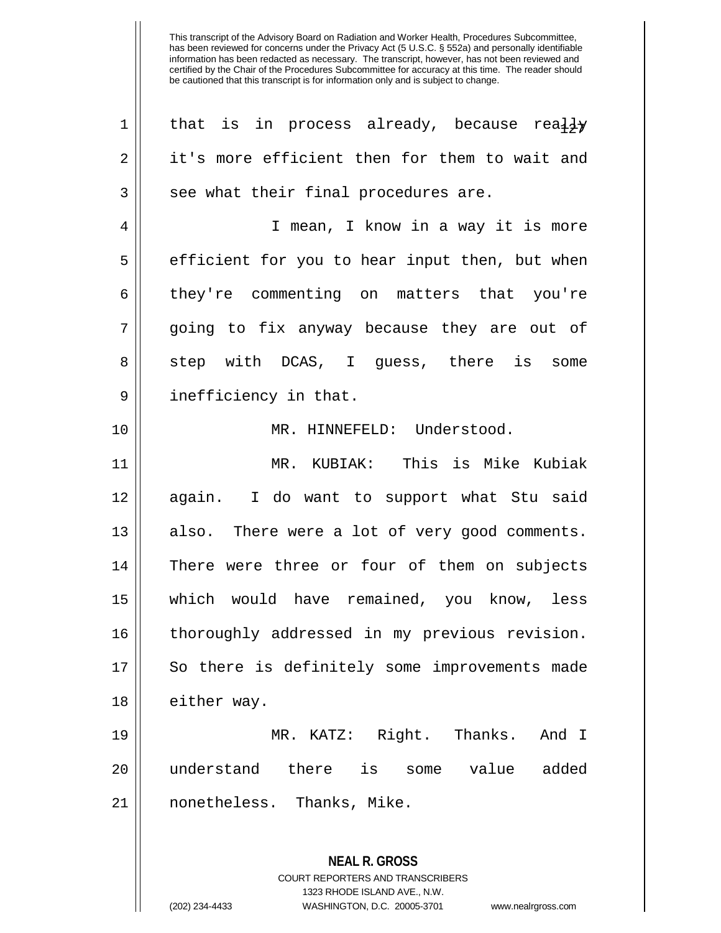| 1  | that is in process already, because really     |
|----|------------------------------------------------|
| 2  | it's more efficient then for them to wait and  |
| 3  | see what their final procedures are.           |
| 4  | I mean, I know in a way it is more             |
| 5  | efficient for you to hear input then, but when |
| 6  | they're commenting on matters that you're      |
| 7  | going to fix anyway because they are out of    |
| 8  | step with DCAS, I guess, there is some         |
| 9  | inefficiency in that.                          |
| 10 | MR. HINNEFELD: Understood.                     |
| 11 | MR. KUBIAK: This is Mike Kubiak                |
| 12 | again. I do want to support what Stu said      |
| 13 | also. There were a lot of very good comments.  |
| 14 | There were three or four of them on subjects   |
| 15 | which would have remained, you know, less      |
| 16 | thoroughly addressed in my previous revision.  |
| 17 | So there is definitely some improvements made  |
| 18 | either way.                                    |
| 19 | MR. KATZ: Right. Thanks.<br>And I              |
| 20 | understand there is some value<br>added        |
| 21 | nonetheless. Thanks, Mike.                     |
|    |                                                |
|    | <b>NEAL R. GROSS</b>                           |

COURT REPORTERS AND TRANSCRIBERS 1323 RHODE ISLAND AVE., N.W.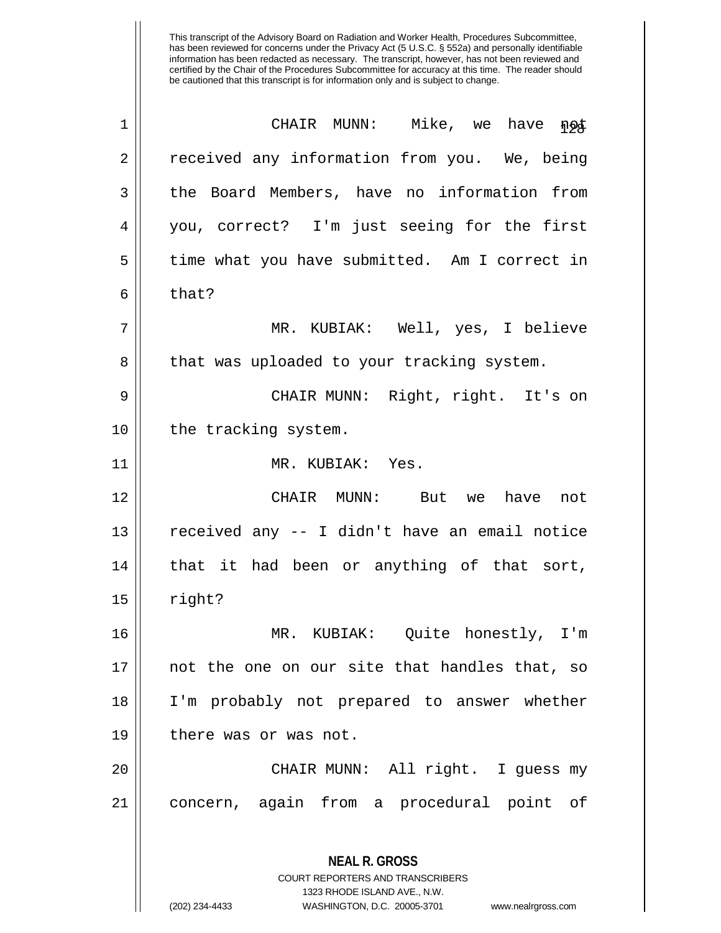| $\mathbf 1$ | CHAIR MUNN: Mike, we have not                                                                   |
|-------------|-------------------------------------------------------------------------------------------------|
| 2           | received any information from you. We, being                                                    |
| 3           | the Board Members, have no information from                                                     |
| 4           | you, correct? I'm just seeing for the first                                                     |
| 5           | time what you have submitted. Am I correct in                                                   |
| 6           | that?                                                                                           |
| 7           | MR. KUBIAK: Well, yes, I believe                                                                |
| 8           | that was uploaded to your tracking system.                                                      |
| 9           | CHAIR MUNN: Right, right. It's on                                                               |
| 10          | the tracking system.                                                                            |
| 11          | MR. KUBIAK: Yes.                                                                                |
| 12          | CHAIR MUNN: But we have not                                                                     |
| 13          | received any -- I didn't have an email notice                                                   |
| 14          | that it had been or anything of that sort,                                                      |
| 15          | right?                                                                                          |
| 16          | MR. KUBIAK: Quite honestly, I'm                                                                 |
| 17          | not the one on our site that handles that, so                                                   |
| 18          | I'm probably not prepared to answer whether                                                     |
| 19          | there was or was not.                                                                           |
| 20          | CHAIR MUNN: All right. I guess my                                                               |
| 21          | concern, again from a procedural point of                                                       |
|             | <b>NEAL R. GROSS</b><br><b>COURT REPORTERS AND TRANSCRIBERS</b><br>1323 RHODE ISLAND AVE., N.W. |

 $\mathbf{\mathcal{H}}$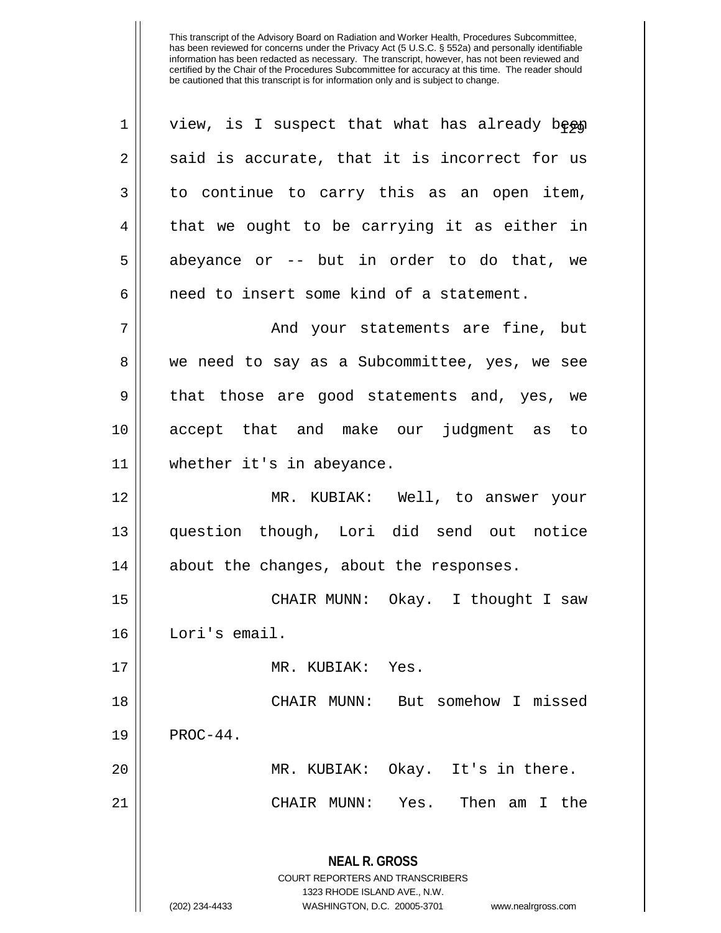| $\mathbf 1$ | view, is I suspect that what has already been                                                                                                                          |
|-------------|------------------------------------------------------------------------------------------------------------------------------------------------------------------------|
| 2           | said is accurate, that it is incorrect for us                                                                                                                          |
| 3           | to continue to carry this as an open item,                                                                                                                             |
| 4           | that we ought to be carrying it as either in                                                                                                                           |
| 5           | abeyance or -- but in order to do that, we                                                                                                                             |
| 6           | need to insert some kind of a statement.                                                                                                                               |
| 7           | And your statements are fine, but                                                                                                                                      |
| 8           | we need to say as a Subcommittee, yes, we see                                                                                                                          |
| 9           | that those are good statements and, yes, we                                                                                                                            |
| 10          | accept that and make our judgment as to                                                                                                                                |
| 11          | whether it's in abeyance.                                                                                                                                              |
| 12          | MR. KUBIAK: Well, to answer your                                                                                                                                       |
| 13          | question though, Lori did send out notice                                                                                                                              |
| 14          | about the changes, about the responses.                                                                                                                                |
| 15          | CHAIR MUNN: Okay. I thought I saw                                                                                                                                      |
| 16          | Lori's email.                                                                                                                                                          |
| 17          | MR. KUBIAK: Yes.                                                                                                                                                       |
| 18          | CHAIR MUNN: But somehow I missed                                                                                                                                       |
| 19          | $PROC-44$ .                                                                                                                                                            |
| 20          | MR. KUBIAK: Okay. It's in there.                                                                                                                                       |
| 21          | CHAIR MUNN: Yes. Then am I the                                                                                                                                         |
|             | <b>NEAL R. GROSS</b><br><b>COURT REPORTERS AND TRANSCRIBERS</b><br>1323 RHODE ISLAND AVE., N.W.<br>(202) 234-4433<br>WASHINGTON, D.C. 20005-3701<br>www.nealrgross.com |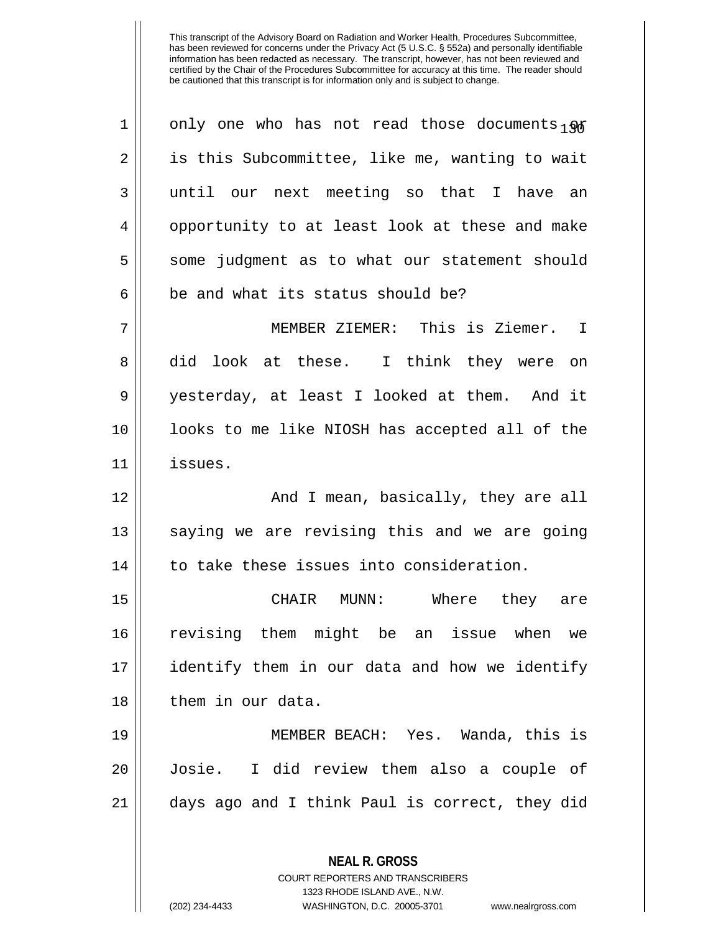| 1  | only one who has not read those documents $_{1}$ og |
|----|-----------------------------------------------------|
| 2  | is this Subcommittee, like me, wanting to wait      |
| 3  | until our next meeting so that I have an            |
| 4  | opportunity to at least look at these and make      |
| 5  | some judgment as to what our statement should       |
| 6  | be and what its status should be?                   |
| 7  | MEMBER ZIEMER: This is Ziemer. I                    |
| 8  | did look at these. I think they were on             |
| 9  | yesterday, at least I looked at them. And it        |
| 10 | looks to me like NIOSH has accepted all of the      |
| 11 | issues.                                             |
| 12 | And I mean, basically, they are all                 |
| 13 | saying we are revising this and we are going        |
| 14 | to take these issues into consideration.            |
| 15 | CHAIR MUNN: Where they are                          |
| 16 | revising them might be an issue when we             |
| 17 | identify them in our data and how we identify       |
| 18 | them in our data.                                   |
| 19 | MEMBER BEACH: Yes. Wanda, this is                   |
| 20 | I did review them also a couple of<br>Josie.        |
| 21 | days ago and I think Paul is correct, they did      |
|    | <b>NEAL R. GROSS</b>                                |

COURT REPORTERS AND TRANSCRIBERS 1323 RHODE ISLAND AVE., N.W.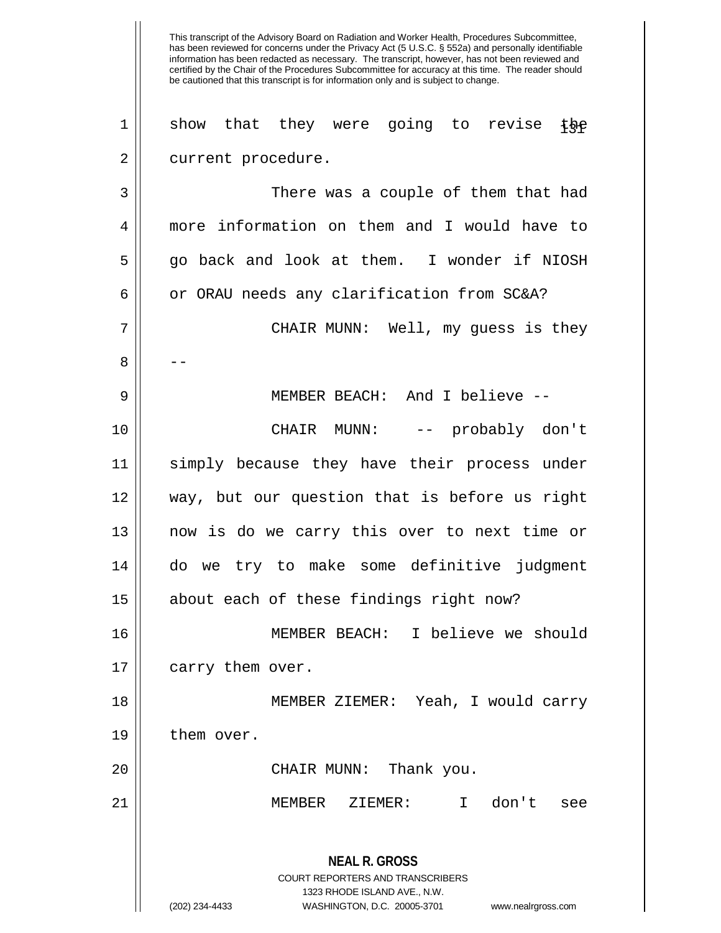This transcript of the Advisory Board on Radiation and Worker Health, Procedures Subcommittee, has been reviewed for concerns under the Privacy Act (5 U.S.C. § 552a) and personally identifiable information has been redacted as necessary. The transcript, however, has not been reviewed and certified by the Chair of the Procedures Subcommittee for accuracy at this time. The reader should be cautioned that this transcript is for information only and is subject to change. **NEAL R. GROSS** COURT REPORTERS AND TRANSCRIBERS 1323 RHODE ISLAND AVE., N.W. (202) 234-4433 WASHINGTON, D.C. 20005-3701 www.nealrgross.com 1 || show that they were going to revise the 2 || current procedure. 3 There was a couple of them that had 4 more information on them and I would have to 5 go back and look at them. I wonder if NIOSH 6  $\vert$  or ORAU needs any clarification from SC&A? 7 CHAIR MUNN: Well, my guess is they 8 | --9 MEMBER BEACH: And I believe -- 10 CHAIR MUNN: -- probably don't 11 simply because they have their process under 12 way, but our question that is before us right 13 now is do we carry this over to next time or 14 do we try to make some definitive judgment 15 || about each of these findings right now? 16 MEMBER BEACH: I believe we should 17 | carry them over. 18 MEMBER ZIEMER: Yeah, I would carry 19 them over. 20 CHAIR MUNN: Thank you. 21 MEMBER ZIEMER: I don't see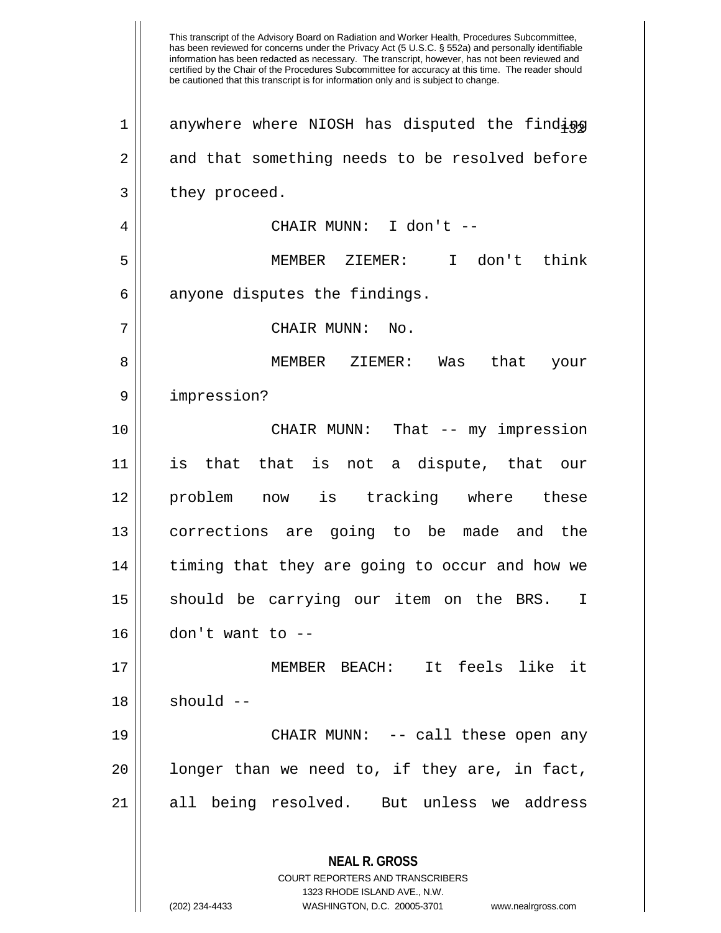This transcript of the Advisory Board on Radiation and Worker Health, Procedures Subcommittee, has been reviewed for concerns under the Privacy Act (5 U.S.C. § 552a) and personally identifiable information has been redacted as necessary. The transcript, however, has not been reviewed and certified by the Chair of the Procedures Subcommittee for accuracy at this time. The reader should be cautioned that this transcript is for information only and is subject to change. **NEAL R. GROSS** COURT REPORTERS AND TRANSCRIBERS 1323 RHODE ISLAND AVE., N.W. (202) 234-4433 WASHINGTON, D.C. 20005-3701 www.nealrgross.com  $1$  anywhere where NIOSH has disputed the finding 2 and that something needs to be resolved before  $3 \parallel$  they proceed. 4 CHAIR MUNN: I don't -- 5 MEMBER ZIEMER: I don't think  $6 \parallel$  anyone disputes the findings. 7 || CHAIR MUNN: No. 8 || MEMBER ZIEMER: Was that your 9 impression? 10 CHAIR MUNN: That -- my impression 11 is that that is not a dispute, that our 12 problem now is tracking where these 13 corrections are going to be made and the 14 || timing that they are going to occur and how we 15 || should be carrying our item on the BRS. I  $16$  || don't want to  $-$ 17 MEMBER BEACH: It feels like it  $18$   $\parallel$  should  $-$ 19 CHAIR MUNN: -- call these open any  $20$  || longer than we need to, if they are, in fact, 21 || all being resolved. But unless we address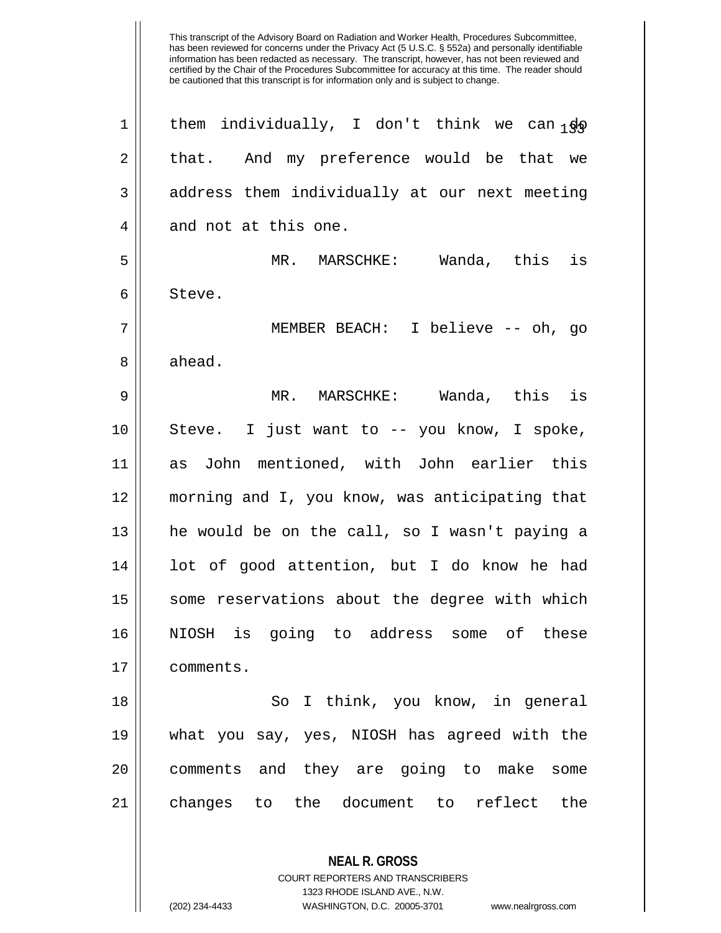1 | them individually, I don't think we can  $\frac{1}{30}$ 2 || that. And my preference would be that we 3 || address them individually at our next meeting  $4 \parallel$  and not at this one. 5 MR. MARSCHKE: Wanda, this is 6 Steve. 7 MEMBER BEACH: I believe -- oh, go 8 ahead. 9 MR. MARSCHKE: Wanda, this is 10 Steve. I just want to -- you know, I spoke, 11 as John mentioned, with John earlier this 12 morning and I, you know, was anticipating that 13 he would be on the call, so I wasn't paying a 14 || lot of good attention, but I do know he had 15 || some reservations about the degree with which 16 NIOSH is going to address some of these 17 comments. 18 || So I think, you know, in general 19 what you say, yes, NIOSH has agreed with the 20 || comments and they are going to make some 21 changes to the document to reflect the

> COURT REPORTERS AND TRANSCRIBERS 1323 RHODE ISLAND AVE., N.W.

**NEAL R. GROSS**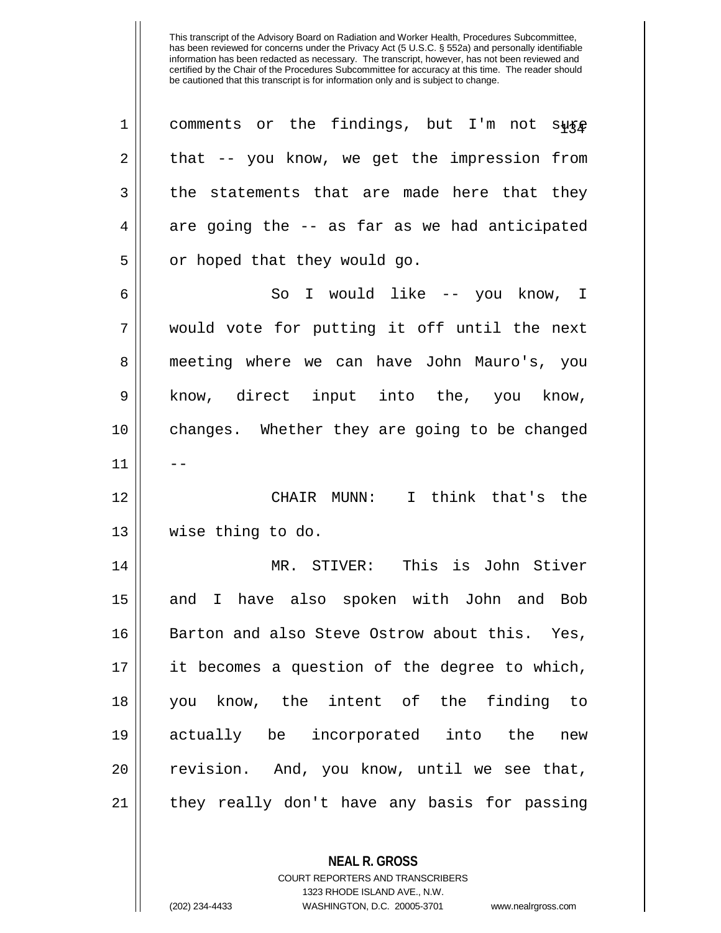| comments or the findings, but I'm not sure    |
|-----------------------------------------------|
| that -- you know, we get the impression from  |
| the statements that are made here that they   |
| are going the -- as far as we had anticipated |
| or hoped that they would go.                  |
| So I would like -- you know, I                |
| would vote for putting it off until the next  |
| meeting where we can have John Mauro's, you   |
| know, direct input into the, you know,        |
| changes. Whether they are going to be changed |
|                                               |
| CHAIR MUNN: I think that's the                |
| wise thing to do.                             |
| MR. STIVER: This is John Stiver               |
| and I have also spoken with John and Bob      |
| Barton and also Steve Ostrow about this. Yes, |
| it becomes a question of the degree to which, |
| you know, the intent of the finding to        |
| actually be incorporated into the new         |
| revision. And, you know, until we see that,   |
| they really don't have any basis for passing  |
|                                               |

**NEAL R. GROSS** COURT REPORTERS AND TRANSCRIBERS 1323 RHODE ISLAND AVE., N.W.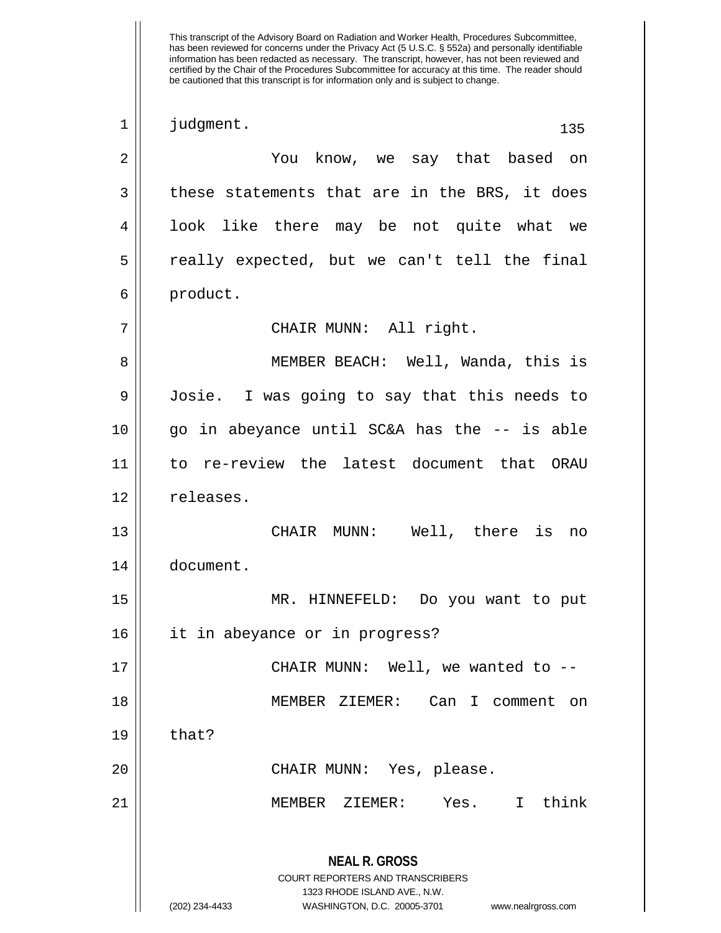This transcript of the Advisory Board on Radiation and Worker Health, Procedures Subcommittee, has been reviewed for concerns under the Privacy Act (5 U.S.C. § 552a) and personally identifiable information has been redacted as necessary. The transcript, however, has not been reviewed and certified by the Chair of the Procedures Subcommittee for accuracy at this time. The reader should be cautioned that this transcript is for information only and is subject to change. **NEAL R. GROSS** COURT REPORTERS AND TRANSCRIBERS 1323 RHODE ISLAND AVE., N.W. (202) 234-4433 WASHINGTON, D.C. 20005-3701 www.nealrgross.com 1 || judgment. 135 2 || You know, we say that based on  $3 \parallel$  these statements that are in the BRS, it does 4 || look like there may be not quite what we 5 really expected, but we can't tell the final 6 product. 7 CHAIR MUNN: All right. 8 MEMBER BEACH: Well, Wanda, this is 9 Josie. I was going to say that this needs to 10 go in abeyance until SC&A has the -- is able 11 to re-review the latest document that ORAU 12 | releases. 13 CHAIR MUNN: Well, there is no 14 document. 15 MR. HINNEFELD: Do you want to put 16 it in abeyance or in progress? 17 CHAIR MUNN: Well, we wanted to -- 18 MEMBER ZIEMER: Can I comment on  $19 \parallel$  that? 20 CHAIR MUNN: Yes, please. 21 MEMBER ZIEMER: Yes. I think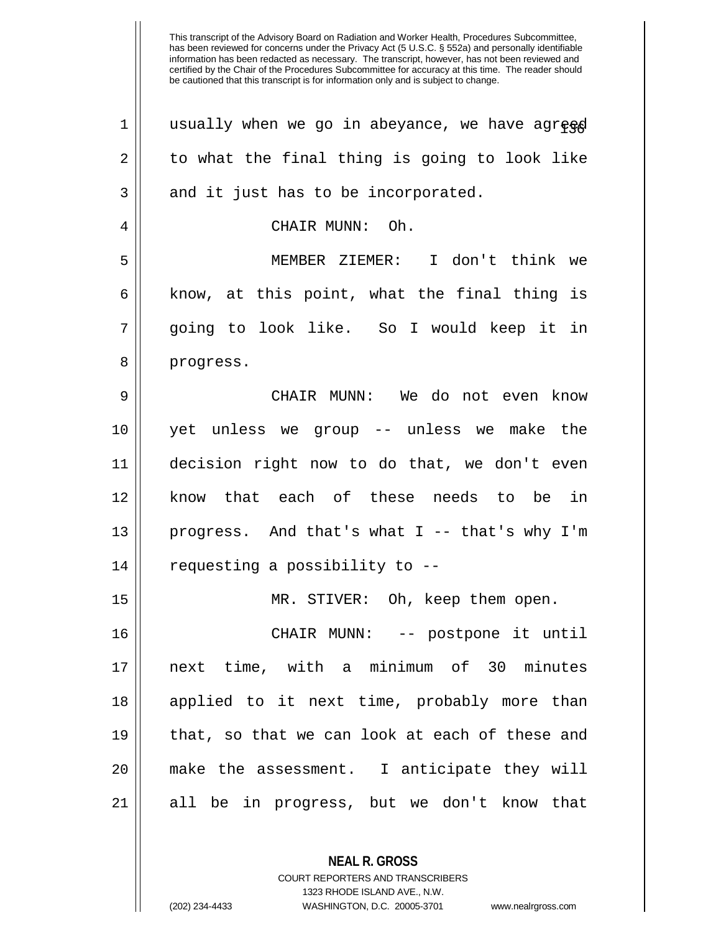| 1  | usually when we go in abeyance, we have agreed |
|----|------------------------------------------------|
| 2  | to what the final thing is going to look like  |
| 3  | and it just has to be incorporated.            |
| 4  | CHAIR MUNN: Oh.                                |
| 5  | MEMBER ZIEMER: I don't think we                |
| 6  | know, at this point, what the final thing is   |
| 7  | going to look like. So I would keep it in      |
| 8  | progress.                                      |
| 9  | CHAIR MUNN: We do not even know                |
| 10 | yet unless we group -- unless we make the      |
| 11 | decision right now to do that, we don't even   |
| 12 | know that each of these needs to be in         |
| 13 | progress. And that's what I -- that's why I'm  |
| 14 | requesting a possibility to --                 |
| 15 | MR. STIVER: Oh, keep them open.                |
| 16 | CHAIR MUNN: -- postpone it until               |
| 17 | next time, with a minimum of 30 minutes        |
| 18 | applied to it next time, probably more than    |
| 19 | that, so that we can look at each of these and |
| 20 | make the assessment. I anticipate they will    |
| 21 | all be in progress, but we don't know that     |
|    |                                                |

1323 RHODE ISLAND AVE., N.W.

**NEAL R. GROSS** COURT REPORTERS AND TRANSCRIBERS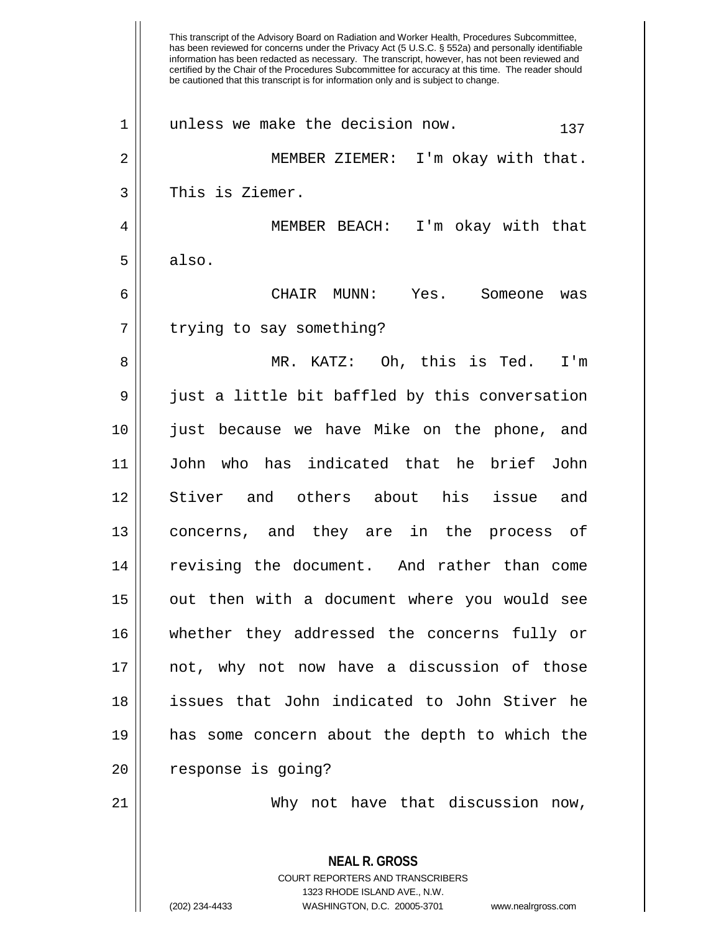This transcript of the Advisory Board on Radiation and Worker Health, Procedures Subcommittee, has been reviewed for concerns under the Privacy Act (5 U.S.C. § 552a) and personally identifiable information has been redacted as necessary. The transcript, however, has not been reviewed and certified by the Chair of the Procedures Subcommittee for accuracy at this time. The reader should be cautioned that this transcript is for information only and is subject to change. **NEAL R. GROSS** COURT REPORTERS AND TRANSCRIBERS  $1 \parallel$  unless we make the decision now.  $137$ 2 MEMBER ZIEMER: I'm okay with that. 3 || This is Ziemer. 4 MEMBER BEACH: I'm okay with that  $5 \parallel$  also. 6 CHAIR MUNN: Yes. Someone was 7 | trying to say something? 8 MR. KATZ: Oh, this is Ted. I'm  $9 \parallel$  just a little bit baffled by this conversation 10 just because we have Mike on the phone, and 11 John who has indicated that he brief John 12 Stiver and others about his issue and 13 concerns, and they are in the process of 14 revising the document. And rather than come 15 || out then with a document where you would see 16 whether they addressed the concerns fully or 17 not, why not now have a discussion of those 18 issues that John indicated to John Stiver he 19 has some concern about the depth to which the 20 | response is going? 21 || Why not have that discussion now,

1323 RHODE ISLAND AVE., N.W.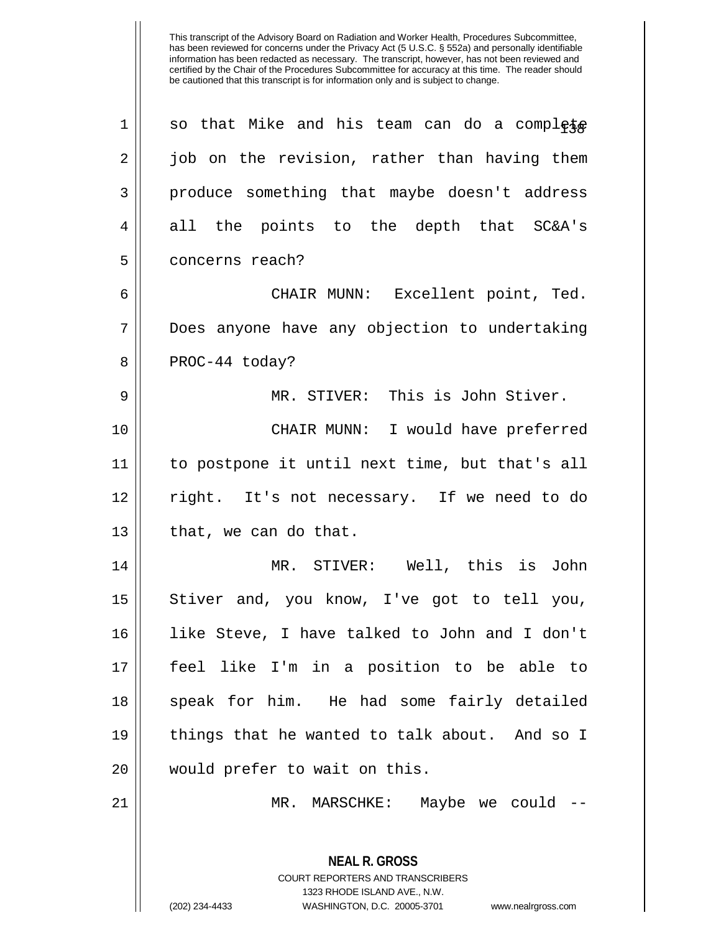**NEAL R. GROSS** COURT REPORTERS AND TRANSCRIBERS  $1 \parallel$  so that Mike and his team can do a complete 2 || job on the revision, rather than having them 3 || produce something that maybe doesn't address 4 all the points to the depth that SC&A's 5 concerns reach? 6 CHAIR MUNN: Excellent point, Ted. 7 || Does anyone have any objection to undertaking  $8 \parallel$  PROC-44 today? 9 MR. STIVER: This is John Stiver. 10 || CHAIR MUNN: I would have preferred 11 to postpone it until next time, but that's all 12 right. It's not necessary. If we need to do  $13$  | that, we can do that. 14 MR. STIVER: Well, this is John 15 || Stiver and, you know, I've got to tell you, 16 like Steve, I have talked to John and I don't 17 feel like I'm in a position to be able to 18 || speak for him. He had some fairly detailed 19 things that he wanted to talk about. And so I 20 || would prefer to wait on this. 21 MR. MARSCHKE: Maybe we could --

1323 RHODE ISLAND AVE., N.W.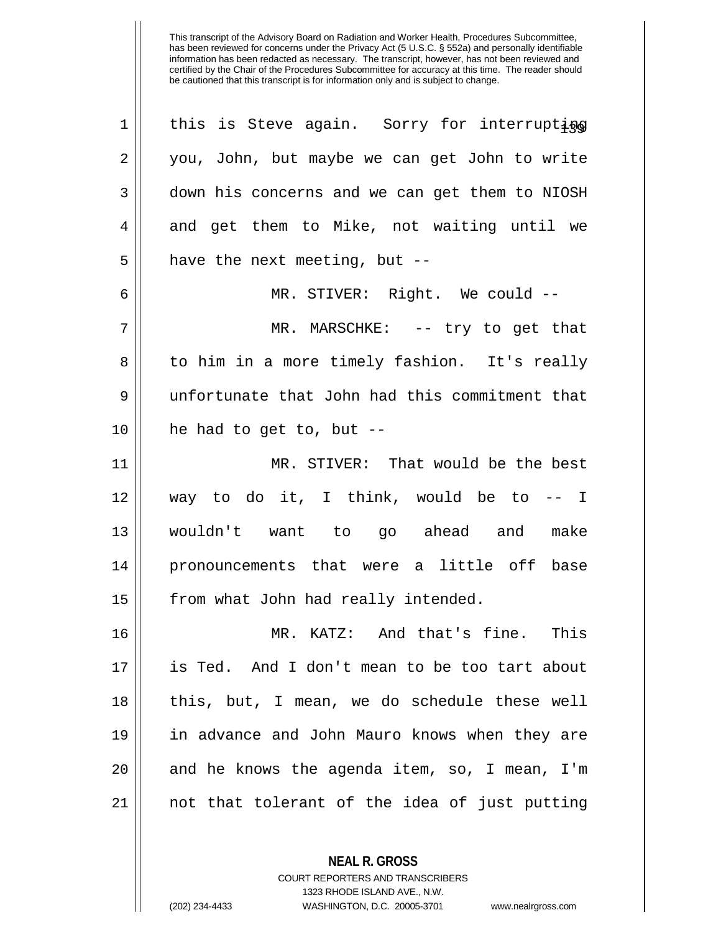this is Steve again. Sorry for interrupting 2 || you, John, but maybe we can get John to write down his concerns and we can get them to NIOSH 4 and get them to Mike, not waiting until we || have the next meeting, but  $-$  MR. STIVER: Right. We could -- MR. MARSCHKE: -- try to get that 8 || to him in a more timely fashion. It's really unfortunate that John had this commitment that || he had to get to, but -- MR. STIVER: That would be the best 12 || way to do it, I think, would be to  $-$  I wouldn't want to go ahead and make pronouncements that were a little off base 15 | from what John had really intended. MR. KATZ: And that's fine. This is Ted. And I don't mean to be too tart about this, but, I mean, we do schedule these well in advance and John Mauro knows when they are || and he knows the agenda item, so, I mean, I'm || not that tolerant of the idea of just putting

> **NEAL R. GROSS** COURT REPORTERS AND TRANSCRIBERS

> > 1323 RHODE ISLAND AVE., N.W.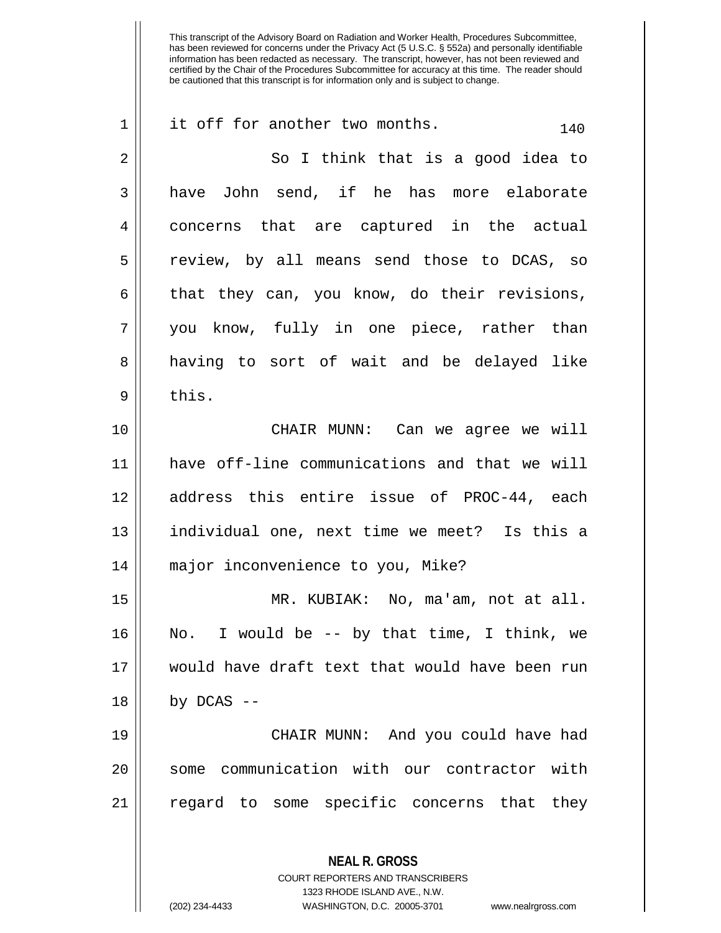| $\mathbf 1$ | it off for another two months.<br>140                    |
|-------------|----------------------------------------------------------|
| 2           | So I think that is a good idea to                        |
| 3           | have John send, if he has more elaborate                 |
| 4           | concerns that are captured in the actual                 |
| 5           | review, by all means send those to DCAS, so              |
| 6           | that they can, you know, do their revisions,             |
| 7           | you know, fully in one piece, rather than                |
| 8           | having to sort of wait and be delayed like               |
| $\mathsf 9$ | this.                                                    |
| 10          | CHAIR MUNN: Can we agree we will                         |
| 11          | have off-line communications and that we will            |
| 12          | address this entire issue of PROC-44, each               |
| 13          | individual one, next time we meet? Is this a             |
| 14          | major inconvenience to you, Mike?                        |
| 15          | MR. KUBIAK: No, ma'am, not at all.                       |
| 16          | No. I would be $-$ by that time, I think, we             |
| 17          | would have draft text that would have been run           |
| 18          | by $DCAS$ --                                             |
| 19          | CHAIR MUNN: And you could have had                       |
| 20          | communication with our contractor with<br>some           |
| 21          | regard to some specific concerns that they               |
|             | <b>NEAL R. GROSS</b><br>COURT REPORTERS AND TRANSCRIBERS |

1323 RHODE ISLAND AVE., N.W.

 $\mathop{\text{||}}$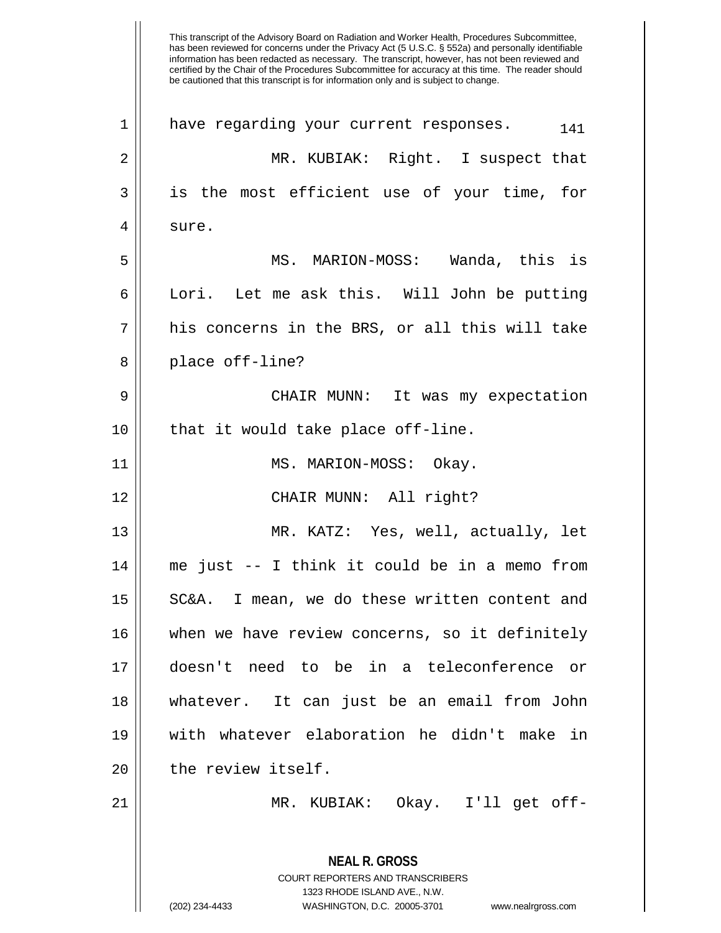This transcript of the Advisory Board on Radiation and Worker Health, Procedures Subcommittee, has been reviewed for concerns under the Privacy Act (5 U.S.C. § 552a) and personally identifiable information has been redacted as necessary. The transcript, however, has not been reviewed and certified by the Chair of the Procedures Subcommittee for accuracy at this time. The reader should be cautioned that this transcript is for information only and is subject to change. **NEAL R. GROSS** COURT REPORTERS AND TRANSCRIBERS 1323 RHODE ISLAND AVE., N.W. (202) 234-4433 WASHINGTON, D.C. 20005-3701 www.nealrgross.com  $1$  have regarding your current responses.  $141$ 2 MR. KUBIAK: Right. I suspect that 3 || is the most efficient use of your time, for 4 | sure. 5 || MS. MARION-MOSS: Wanda, this is 6 Lori. Let me ask this. Will John be putting  $7 \parallel$  his concerns in the BRS, or all this will take 8 || place off-line? 9 CHAIR MUNN: It was my expectation  $10$  | that it would take place off-line. 11 || MS. MARION-MOSS: Okay. 12 CHAIR MUNN: All right? 13 MR. KATZ: Yes, well, actually, let 14 me just -- I think it could be in a memo from 15 || SC&A. I mean, we do these written content and 16 when we have review concerns, so it definitely 17 doesn't need to be in a teleconference or 18 whatever. It can just be an email from John 19 with whatever elaboration he didn't make in 20 || the review itself. 21 MR. KUBIAK: Okay. I'll get off-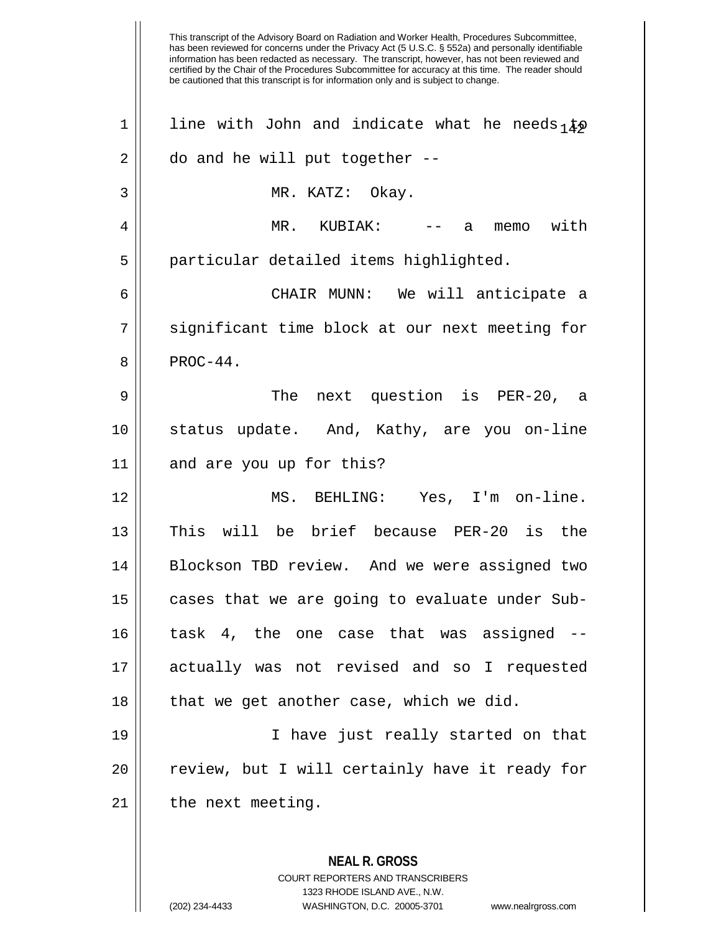This transcript of the Advisory Board on Radiation and Worker Health, Procedures Subcommittee, has been reviewed for concerns under the Privacy Act (5 U.S.C. § 552a) and personally identifiable information has been redacted as necessary. The transcript, however, has not been reviewed and certified by the Chair of the Procedures Subcommittee for accuracy at this time. The reader should be cautioned that this transcript is for information only and is subject to change. **NEAL R. GROSS** 1 || line with John and indicate what he needs  $\frac{1}{4}$  $2 \parallel$  do and he will put together  $-$ -3 MR. KATZ: Okay. 4 MR. KUBIAK: -- a memo with 5 || particular detailed items highlighted. 6 CHAIR MUNN: We will anticipate a 7 || significant time block at our next meeting for  $8 \parallel$  PROC-44. 9 The next question is PER-20, a 10 status update. And, Kathy, are you on-line 11 || and are you up for this? 12 MS. BEHLING: Yes, I'm on-line. 13 This will be brief because PER-20 is the 14 Blockson TBD review. And we were assigned two 15 || cases that we are going to evaluate under Sub-16 task 4, the one case that was assigned -- 17 actually was not revised and so I requested  $18$  || that we get another case, which we did. 19 I have just really started on that 20 || review, but I will certainly have it ready for  $21$  | the next meeting.

> COURT REPORTERS AND TRANSCRIBERS 1323 RHODE ISLAND AVE., N.W.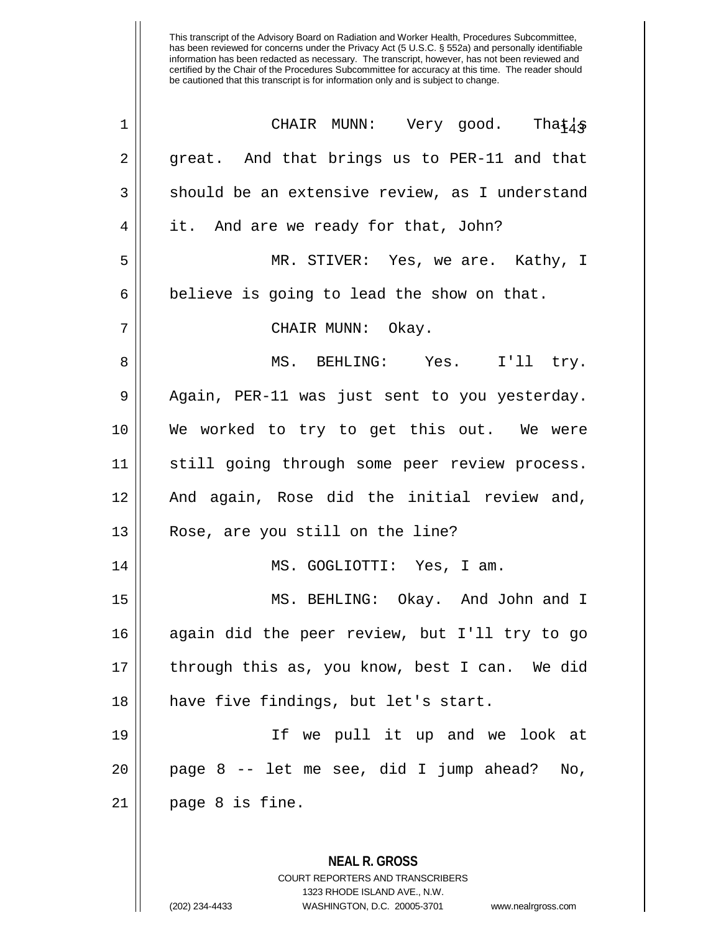| $\mathbf 1$ | CHAIR MUNN: Very good. That $4$                |
|-------------|------------------------------------------------|
| 2           | great. And that brings us to PER-11 and that   |
| 3           | should be an extensive review, as I understand |
| 4           | it. And are we ready for that, John?           |
| 5           | MR. STIVER: Yes, we are. Kathy, I              |
| 6           | believe is going to lead the show on that.     |
| 7           | CHAIR MUNN: Okay.                              |
| 8           | MS. BEHLING: Yes. I'll try.                    |
| 9           | Again, PER-11 was just sent to you yesterday.  |
| 10          | We worked to try to get this out. We were      |
| 11          | still going through some peer review process.  |
| 12          | And again, Rose did the initial review and,    |
| 13          | Rose, are you still on the line?               |
| 14          | MS. GOGLIOTTI: Yes, I am.                      |
| 15          | MS. BEHLING: Okay. And John and I              |
| 16          | again did the peer review, but I'll try to go  |
| 17          | through this as, you know, best I can. We did  |
| 18          | have five findings, but let's start.           |
| 19          | If we pull it up and we look at                |
| 20          | page 8 -- let me see, did I jump ahead?<br>No, |
| 21          | page 8 is fine.                                |
|             |                                                |

COURT REPORTERS AND TRANSCRIBERS 1323 RHODE ISLAND AVE., N.W. (202) 234-4433 WASHINGTON, D.C. 20005-3701 www.nealrgross.com

**NEAL R. GROSS**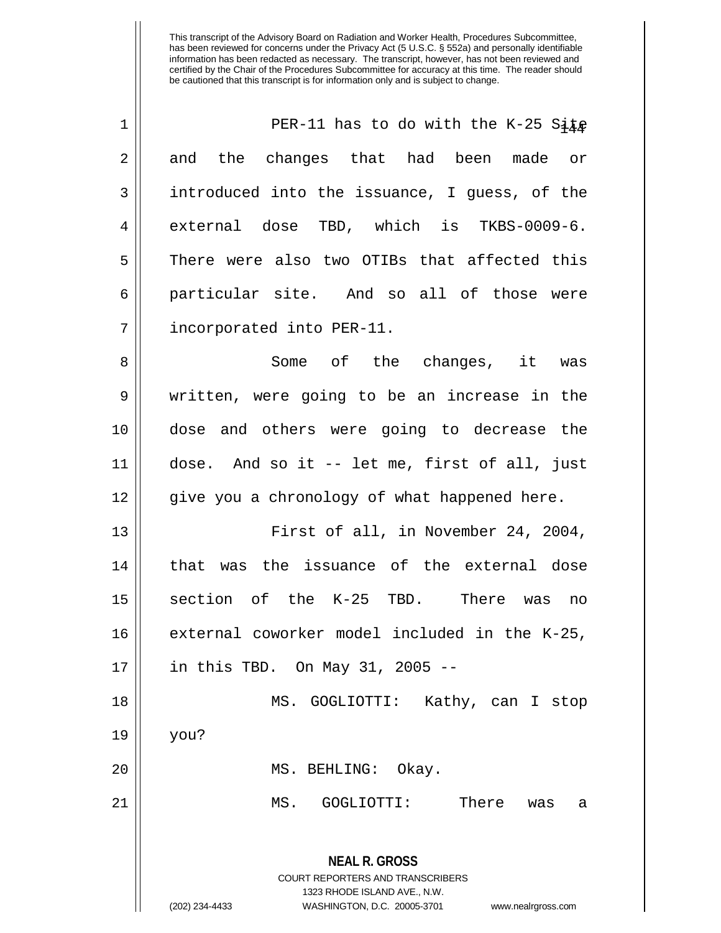| $\mathbf 1$ | PER-11 has to do with the K-25 Site                                                                                                                                    |
|-------------|------------------------------------------------------------------------------------------------------------------------------------------------------------------------|
| 2           | and the changes that had been made or                                                                                                                                  |
| 3           | introduced into the issuance, I guess, of the                                                                                                                          |
| 4           | external dose TBD, which is TKBS-0009-6.                                                                                                                               |
| 5           | There were also two OTIBs that affected this                                                                                                                           |
| 6           | particular site. And so all of those were                                                                                                                              |
| 7           | incorporated into PER-11.                                                                                                                                              |
| 8           | Some of the changes, it was                                                                                                                                            |
| 9           | written, were going to be an increase in the                                                                                                                           |
| 10          | dose and others were going to decrease the                                                                                                                             |
| 11          | dose. And so it -- let me, first of all, just                                                                                                                          |
| 12          | give you a chronology of what happened here.                                                                                                                           |
| 13          | First of all, in November 24, 2004,                                                                                                                                    |
| 14          | that was the issuance of the external dose                                                                                                                             |
| 15          | section of the K-25 TBD. There was<br>no                                                                                                                               |
| 16          | external coworker model included in the K-25,                                                                                                                          |
| 17          | in this TBD. On May 31, 2005 --                                                                                                                                        |
| 18          | MS. GOGLIOTTI: Kathy, can I stop                                                                                                                                       |
| 19          | you?                                                                                                                                                                   |
| 20          | MS. BEHLING: Okay.                                                                                                                                                     |
| 21          | There<br>MS.<br>GOGLIOTTI:<br>was<br>а                                                                                                                                 |
|             | <b>NEAL R. GROSS</b><br><b>COURT REPORTERS AND TRANSCRIBERS</b><br>1323 RHODE ISLAND AVE., N.W.<br>(202) 234-4433<br>WASHINGTON, D.C. 20005-3701<br>www.nealrgross.com |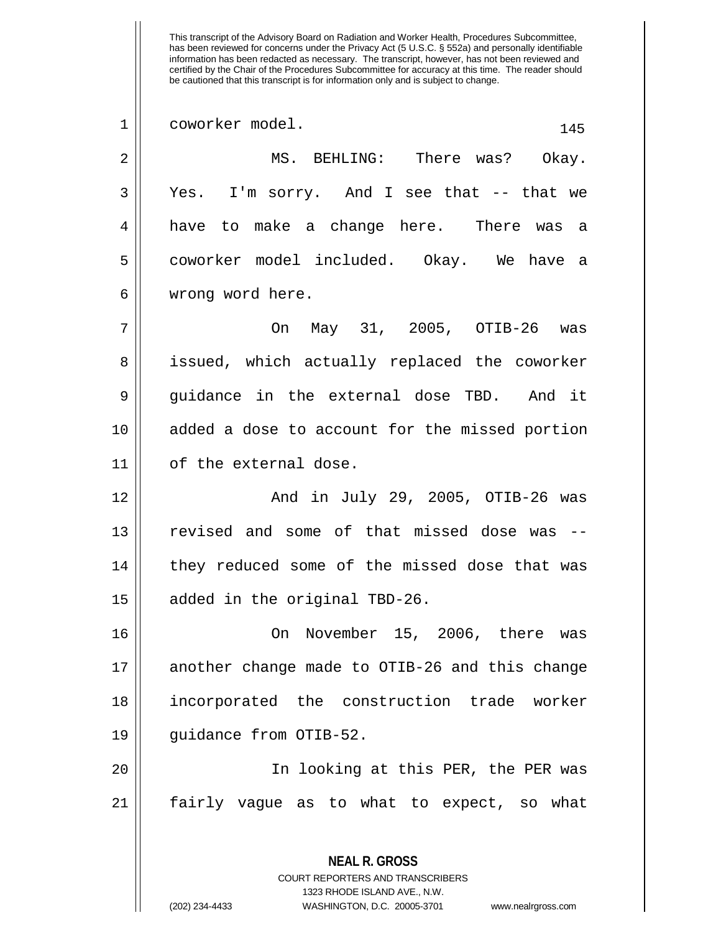This transcript of the Advisory Board on Radiation and Worker Health, Procedures Subcommittee, has been reviewed for concerns under the Privacy Act (5 U.S.C. § 552a) and personally identifiable information has been redacted as necessary. The transcript, however, has not been reviewed and certified by the Chair of the Procedures Subcommittee for accuracy at this time. The reader should be cautioned that this transcript is for information only and is subject to change. 1 || coworker model. 145 2 MS. BEHLING: There was? Okay. 3 Yes. I'm sorry. And I see that -- that we 4 have to make a change here. There was a 5 coworker model included. Okay. We have a 6 wrong word here. 7 On May 31, 2005, OTIB-26 was 8 || issued, which actually replaced the coworker 9 guidance in the external dose TBD. And it 10 added a dose to account for the missed portion 11 of the external dose. 12 And in July 29, 2005, OTIB-26 was 13 || revised and some of that missed dose was --14 || they reduced some of the missed dose that was 15 added in the original TBD-26.

 On November 15, 2006, there was 17 another change made to OTIB-26 and this change incorporated the construction trade worker guidance from OTIB-52.

20 In looking at this PER, the PER was 21 fairly vague as to what to expect, so what

> COURT REPORTERS AND TRANSCRIBERS 1323 RHODE ISLAND AVE., N.W. (202) 234-4433 WASHINGTON, D.C. 20005-3701 www.nealrgross.com

**NEAL R. GROSS**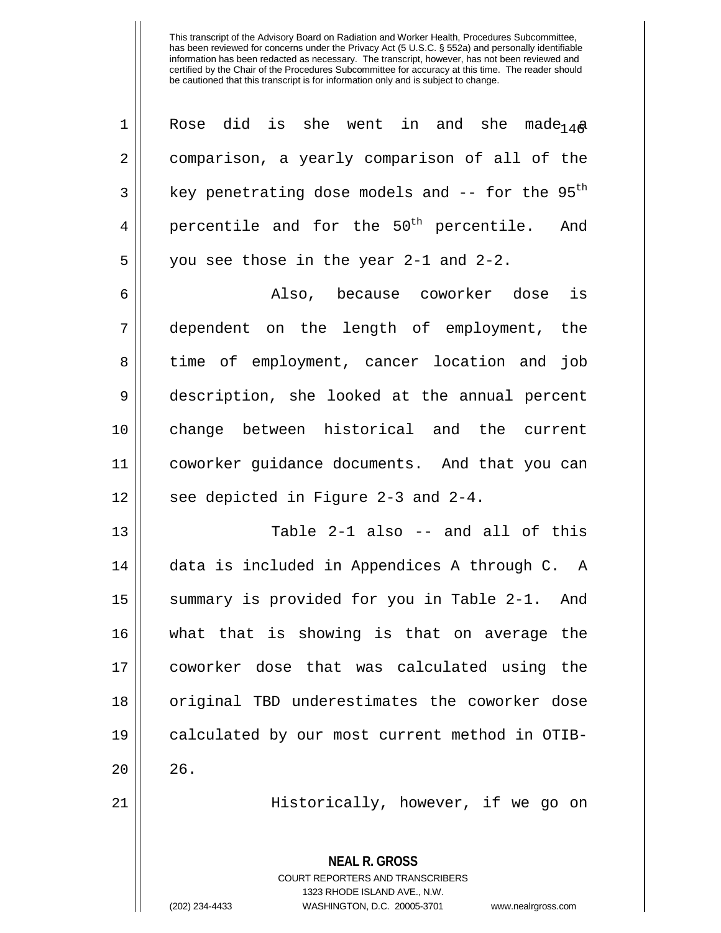| $\mathbf 1$    | did is she went in and she made <sub>14</sub> a<br>Rose     |
|----------------|-------------------------------------------------------------|
| 2              | comparison, a yearly comparison of all of the               |
| 3              | key penetrating dose models and -- for the 95 <sup>th</sup> |
| $\overline{4}$ | percentile and for the 50 <sup>th</sup> percentile. And     |
| 5              | you see those in the year 2-1 and 2-2.                      |
| 6              | is<br>Also, because coworker dose                           |
| 7              | dependent on the length of employment, the                  |
| 8              | time of employment, cancer location and job                 |
| $\mathsf 9$    | description, she looked at the annual percent               |
| 10             | change between historical and the current                   |
| 11             | coworker guidance documents. And that you can               |
| 12             | see depicted in Figure 2-3 and 2-4.                         |
| 13             | Table 2-1 also -- and all of this                           |
| 14             | data is included in Appendices A through C. A               |
| 15             | summary is provided for you in Table 2-1. And               |
| 16             | what that is showing is that on average the                 |
| 17             | coworker dose that was calculated using the                 |
| 18             | original TBD underestimates the coworker dose               |
| 19             | calculated by our most current method in OTIB-              |
| 20             | 26.                                                         |
| 21             | Historically, however, if we go on                          |
|                | <b>NEAL R. GROSS</b><br>COURT REPORTERS AND TRANSCRIBERS    |

1323 RHODE ISLAND AVE., N.W.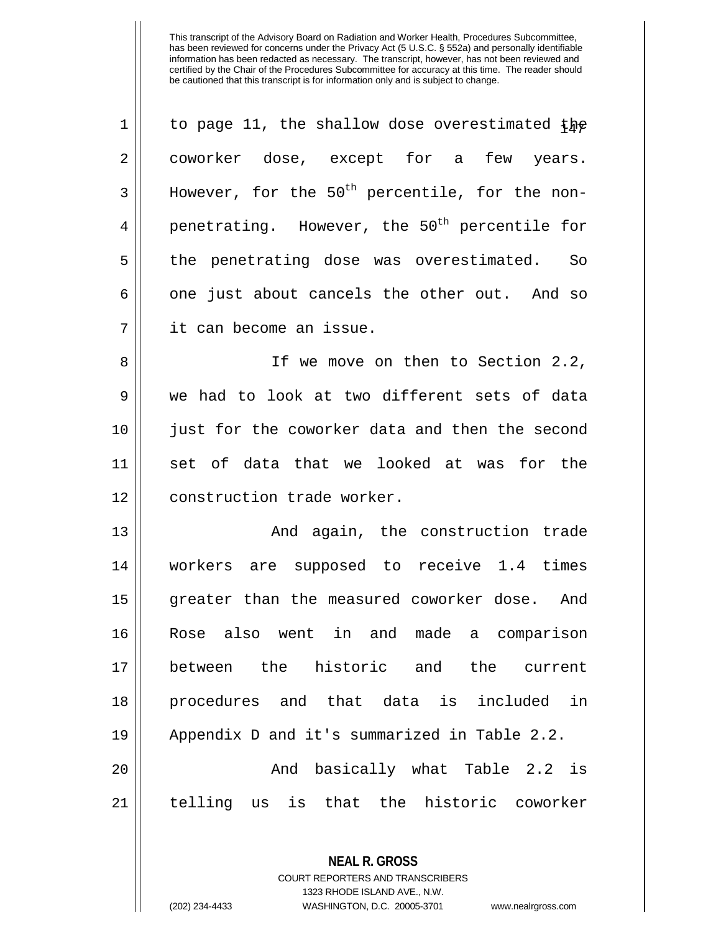| $\mathbf 1$ | to page 11, the shallow dose overestimated the            |
|-------------|-----------------------------------------------------------|
| 2           | coworker dose, except for a few years.                    |
| 3           | However, for the $50th$ percentile, for the non-          |
| 4           | penetrating. However, the 50 <sup>th</sup> percentile for |
| 5           | the penetrating dose was overestimated. So                |
| 6           | one just about cancels the other out. And so              |
| 7           | it can become an issue.                                   |
| 8           | If we move on then to Section 2.2,                        |
| 9           | we had to look at two different sets of data              |
| 10          | just for the coworker data and then the second            |
| 11          | set of data that we looked at was for the                 |
| 12          | construction trade worker.                                |
| 13          | And again, the construction trade                         |
| 14          | workers are supposed to receive 1.4 times                 |
| 15          | greater than the measured coworker dose. And              |
| 16          | Rose also went in and made a comparison                   |
| 17          | between the historic and the current                      |
| 18          | procedures and that data is included in                   |
| 19          | Appendix D and it's summarized in Table 2.2.              |
| 20          | And basically what Table 2.2 is                           |
| 21          | telling us is that the historic coworker                  |
|             |                                                           |

**NEAL R. GROSS** COURT REPORTERS AND TRANSCRIBERS 1323 RHODE ISLAND AVE., N.W.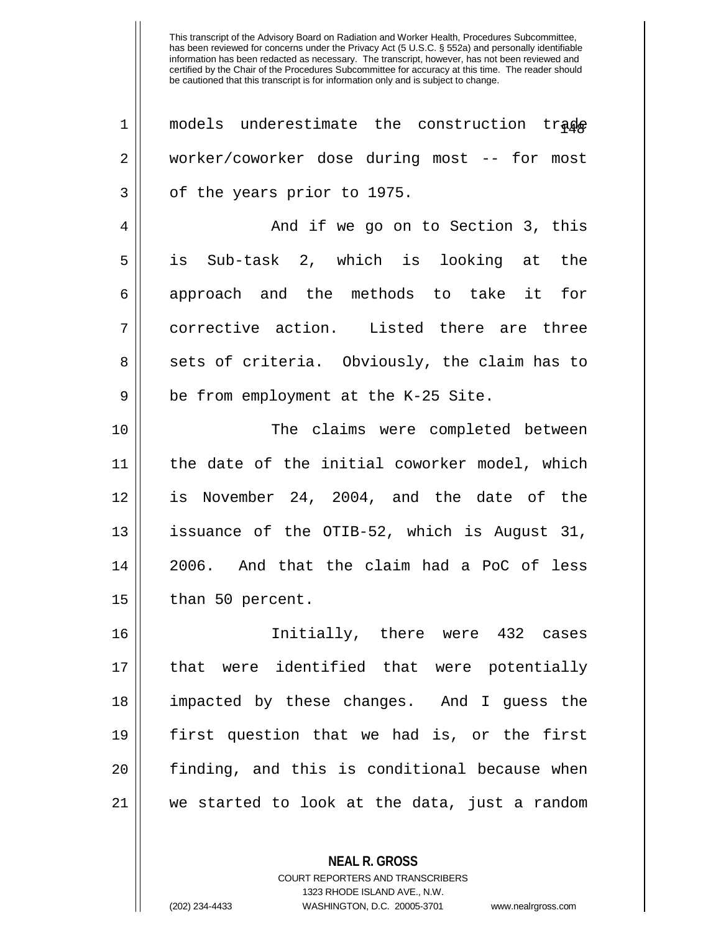| $\mathbf 1$ | models underestimate the construction trade   |
|-------------|-----------------------------------------------|
| 2           | worker/coworker dose during most -- for most  |
| 3           | of the years prior to 1975.                   |
| 4           | And if we go on to Section 3, this            |
| 5           | is Sub-task 2, which is looking at the        |
| 6           | approach and the methods to take it for       |
| 7           | corrective action. Listed there are three     |
| 8           | sets of criteria. Obviously, the claim has to |
| 9           | be from employment at the K-25 Site.          |
| 10          | The claims were completed between             |
| 11          | the date of the initial coworker model, which |
| 12          | is November 24, 2004, and the date of the     |
| 13          | issuance of the OTIB-52, which is August 31,  |
| 14          | 2006. And that the claim had a PoC of less    |
| 15          | than 50 percent.                              |
| 16          | Initially, there were 432 cases               |
| 17          | that were identified that were potentially    |
| 18          | impacted by these changes. And I guess the    |
| 19          | first question that we had is, or the first   |
| 20          | finding, and this is conditional because when |
| 21          | we started to look at the data, just a random |
|             |                                               |

**NEAL R. GROSS** COURT REPORTERS AND TRANSCRIBERS

1323 RHODE ISLAND AVE., N.W.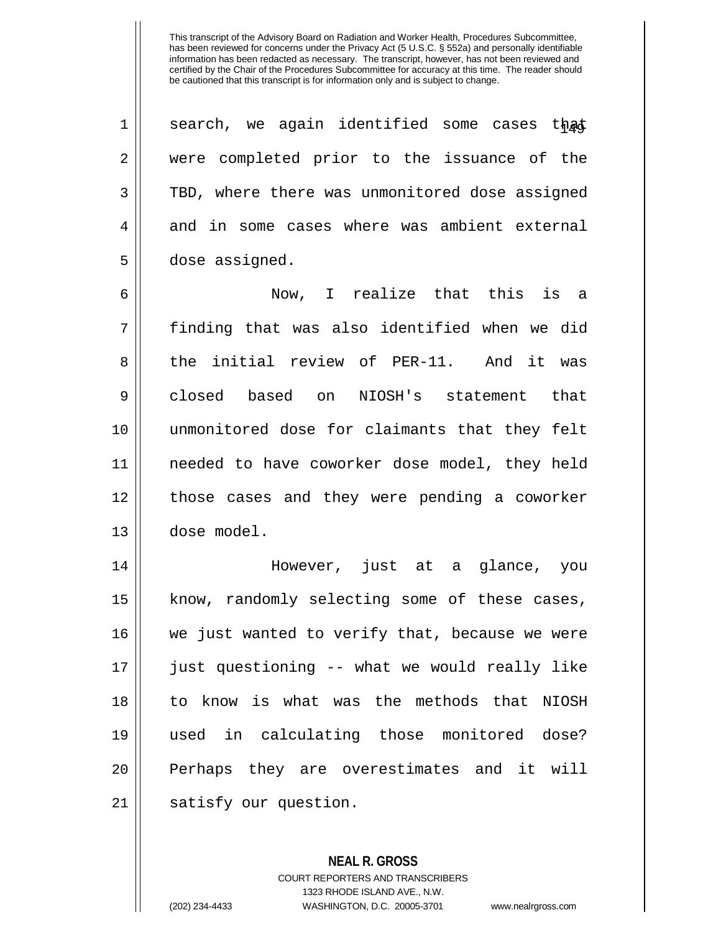1 || search, we again identified some cases that 2 were completed prior to the issuance of the 3 TBD, where there was unmonitored dose assigned 4 and in some cases where was ambient external 5 dose assigned. 6 Now, I realize that this is a 7 finding that was also identified when we did 8 the initial review of PER-11. And it was 9 closed based on NIOSH's statement that 10 unmonitored dose for claimants that they felt 11 needed to have coworker dose model, they held 12 || those cases and they were pending a coworker 13 dose model. 14 However, just at a glance, you 15 || know, randomly selecting some of these cases, 16 we just wanted to verify that, because we were 17 just questioning -- what we would really like 18 to know is what was the methods that NIOSH 19 used in calculating those monitored dose? 20 || Perhaps they are overestimates and it will 21 | satisfy our question.

> **NEAL R. GROSS** COURT REPORTERS AND TRANSCRIBERS 1323 RHODE ISLAND AVE., N.W. (202) 234-4433 WASHINGTON, D.C. 20005-3701 www.nealrgross.com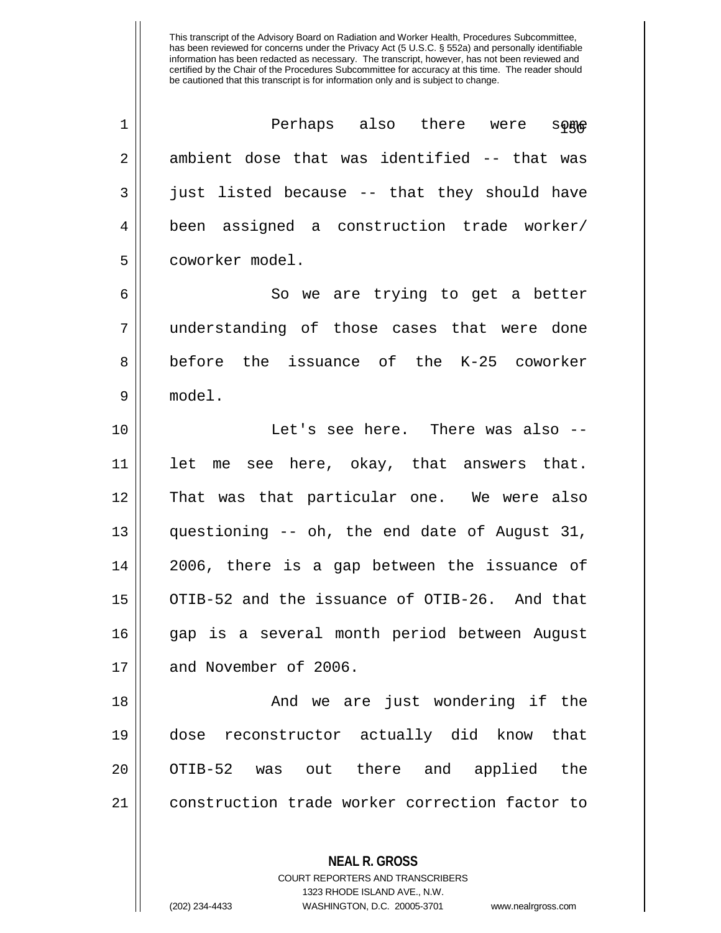| $\mathbf 1$ | Perhaps also there were<br>$\mathbf{S} \mathbf{p}$ |
|-------------|----------------------------------------------------|
| 2           | ambient dose that was identified -- that was       |
| 3           | just listed because -- that they should have       |
| 4           | been assigned a construction trade worker/         |
| 5           | coworker model.                                    |
| 6           | So we are trying to get a better                   |
| 7           | understanding of those cases that were done        |
| 8           | before the issuance of the K-25 coworker           |
| 9           | model.                                             |
| 10          | Let's see here. There was also --                  |
| 11          | let me see here, okay, that answers that.          |
| 12          | That was that particular one. We were also         |
| 13          | questioning -- oh, the end date of August 31,      |
| 14          | 2006, there is a gap between the issuance of       |
| 15          | OTIB-52 and the issuance of OTIB-26. And that      |
| 16          | gap is a several month period between August       |
| 17          | and November of 2006.                              |
| 18          | And we are just wondering if the                   |
| 19          | dose reconstructor actually did know that          |
| 20          | OTIB-52 was out there and applied the              |
| 21          | construction trade worker correction factor to     |
|             |                                                    |
|             | <b>NEAL R. GROSS</b>                               |

COURT REPORTERS AND TRANSCRIBERS 1323 RHODE ISLAND AVE., N.W.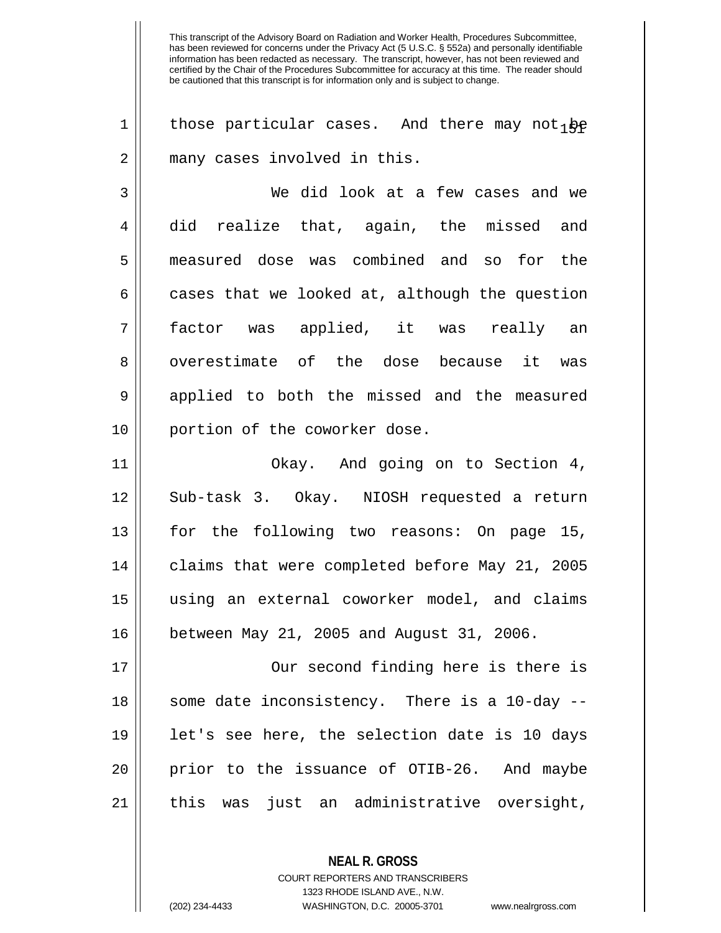1 | those particular cases. And there may not  $\phi$ 2 || many cases involved in this.

3 We did look at a few cases and we 4 || did realize that, again, the missed and 5 measured dose was combined and so for the  $6 \parallel$  cases that we looked at, although the question 7 factor was applied, it was really an 8 || overestimate of the dose because it was 9 applied to both the missed and the measured 10 || portion of the coworker dose.

 Okay. And going on to Section 4, Sub-task 3. Okay. NIOSH requested a return for the following two reasons: On page 15, 14 || claims that were completed before May 21, 2005 using an external coworker model, and claims between May 21, 2005 and August 31, 2006.

17 Our second finding here is there is 18 || some date inconsistency. There is a 10-day --19 let's see here, the selection date is 10 days 20 || prior to the issuance of OTIB-26. And maybe 21 || this was just an administrative oversight,

> **NEAL R. GROSS** COURT REPORTERS AND TRANSCRIBERS 1323 RHODE ISLAND AVE., N.W.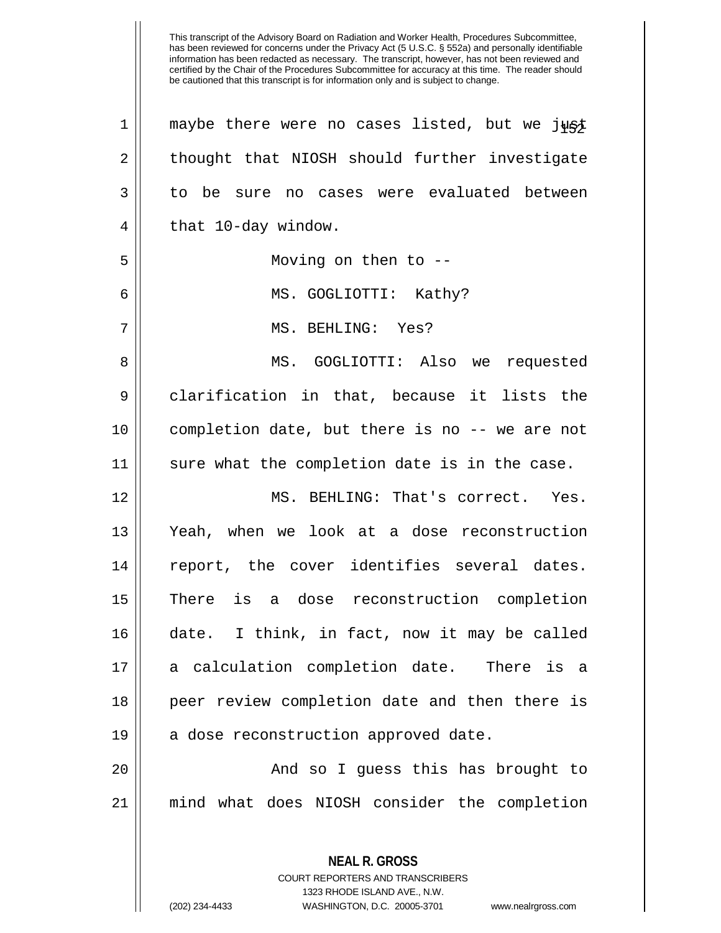|    | This transcript of the Advisory Board on Radiation and Worker Health, Procedures Subcommittee,<br>has been reviewed for concerns under the Privacy Act (5 U.S.C. § 552a) and personally identifiable<br>information has been redacted as necessary. The transcript, however, has not been reviewed and<br>certified by the Chair of the Procedures Subcommittee for accuracy at this time. The reader should<br>be cautioned that this transcript is for information only and is subject to change. |
|----|-----------------------------------------------------------------------------------------------------------------------------------------------------------------------------------------------------------------------------------------------------------------------------------------------------------------------------------------------------------------------------------------------------------------------------------------------------------------------------------------------------|
| 1  | maybe there were no cases listed, but we just                                                                                                                                                                                                                                                                                                                                                                                                                                                       |
| 2  | thought that NIOSH should further investigate                                                                                                                                                                                                                                                                                                                                                                                                                                                       |
| 3  | no cases were evaluated between<br>to be<br>sure                                                                                                                                                                                                                                                                                                                                                                                                                                                    |
| 4  | that 10-day window.                                                                                                                                                                                                                                                                                                                                                                                                                                                                                 |
| 5  | Moving on then to $-$ -                                                                                                                                                                                                                                                                                                                                                                                                                                                                             |
| 6  | MS. GOGLIOTTI: Kathy?                                                                                                                                                                                                                                                                                                                                                                                                                                                                               |
| 7  | MS. BEHLING: Yes?                                                                                                                                                                                                                                                                                                                                                                                                                                                                                   |
| 8  | GOGLIOTTI: Also<br>MS.<br>requested<br>we                                                                                                                                                                                                                                                                                                                                                                                                                                                           |
| 9  | clarification in that, because it lists the                                                                                                                                                                                                                                                                                                                                                                                                                                                         |
| 10 | completion date, but there is no -- we are not                                                                                                                                                                                                                                                                                                                                                                                                                                                      |
| 11 | sure what the completion date is in the case.                                                                                                                                                                                                                                                                                                                                                                                                                                                       |
| 12 | MS. BEHLING: That's correct.<br>Yes.                                                                                                                                                                                                                                                                                                                                                                                                                                                                |
| 13 | Yeah, when<br>we look at a dose reconstruction                                                                                                                                                                                                                                                                                                                                                                                                                                                      |
| 14 | report, the cover identifies several dates.                                                                                                                                                                                                                                                                                                                                                                                                                                                         |
| 15 | There is a dose reconstruction completion                                                                                                                                                                                                                                                                                                                                                                                                                                                           |
| 16 | date. I think, in fact, now it may be called                                                                                                                                                                                                                                                                                                                                                                                                                                                        |
| 17 | a calculation completion date. There is a                                                                                                                                                                                                                                                                                                                                                                                                                                                           |
| 18 | peer review completion date and then there is                                                                                                                                                                                                                                                                                                                                                                                                                                                       |
| 19 | a dose reconstruction approved date.                                                                                                                                                                                                                                                                                                                                                                                                                                                                |
| 20 | And so I guess this has brought to                                                                                                                                                                                                                                                                                                                                                                                                                                                                  |
| 21 | mind what does NIOSH consider the completion                                                                                                                                                                                                                                                                                                                                                                                                                                                        |
|    | <b>NEAL R. GROSS</b><br>COURT REPORTERS AND TRANSCRIBERS                                                                                                                                                                                                                                                                                                                                                                                                                                            |

1323 RHODE ISLAND AVE., N.W.

 $\prod$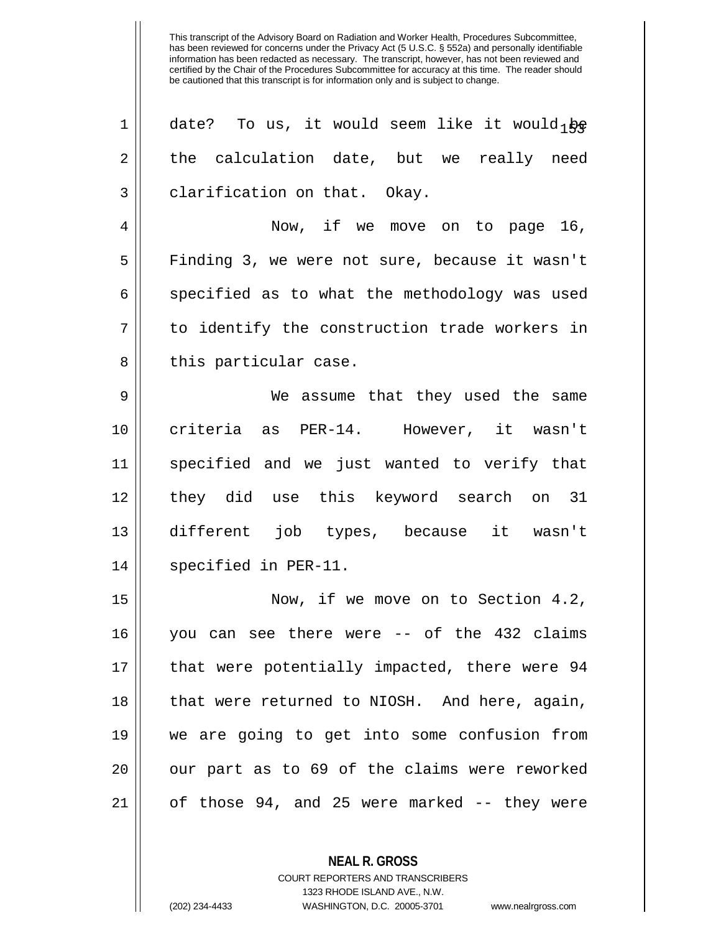| $\mathbf 1$ | date? To us, it would seem like it would $p_{\mathcal{E}}$ |
|-------------|------------------------------------------------------------|
| 2           | the calculation date, but we really need                   |
| 3           | clarification on that. Okay.                               |
| 4           | Now, if we move on to page 16,                             |
| 5           | Finding 3, we were not sure, because it wasn't             |
| 6           | specified as to what the methodology was used              |
| 7           | to identify the construction trade workers in              |
| 8           | this particular case.                                      |
| 9           | We assume that they used the same                          |
| 10          | criteria as PER-14. However, it wasn't                     |
| 11          | specified and we just wanted to verify that                |
| 12          | they did use this keyword search on 31                     |
| 13          | different job types, because it wasn't                     |
| 14          | specified in PER-11.                                       |
| 15          | Now, if we move on to Section 4.2,                         |
| 16          | you can see there were -- of the 432 claims                |
| 17          | that were potentially impacted, there were 94              |
| 18          | that were returned to NIOSH. And here, again,              |
| 19          | we are going to get into some confusion from               |
| 20          | our part as to 69 of the claims were reworked              |
| 21          | of those 94, and 25 were marked -- they were               |

**NEAL R. GROSS**

COURT REPORTERS AND TRANSCRIBERS 1323 RHODE ISLAND AVE., N.W. (202) 234-4433 WASHINGTON, D.C. 20005-3701 www.nealrgross.com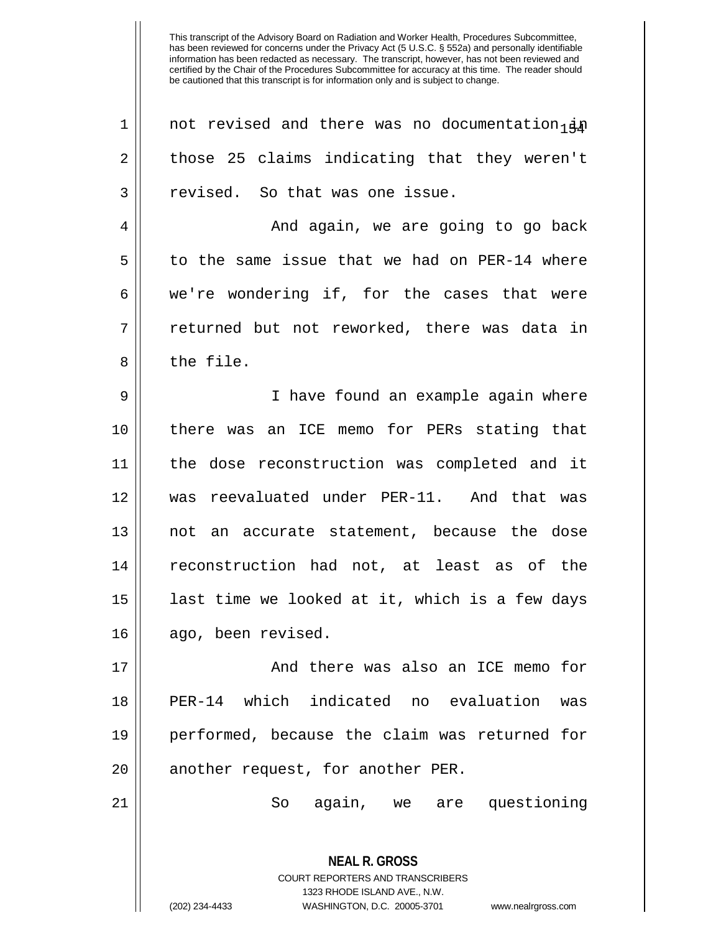| $\mathbf 1$    | not revised and there was no documentation <sub>1</sub>                                                                                                                |
|----------------|------------------------------------------------------------------------------------------------------------------------------------------------------------------------|
| $\overline{2}$ | those 25 claims indicating that they weren't                                                                                                                           |
| 3              | revised. So that was one issue.                                                                                                                                        |
| 4              | And again, we are going to go back                                                                                                                                     |
| 5              | to the same issue that we had on PER-14 where                                                                                                                          |
| 6              | we're wondering if, for the cases that were                                                                                                                            |
| 7              | returned but not reworked, there was data in                                                                                                                           |
| 8              | the file.                                                                                                                                                              |
| 9              | I have found an example again where                                                                                                                                    |
| 10             | there was an ICE memo for PERs stating that                                                                                                                            |
| 11             | the dose reconstruction was completed and it                                                                                                                           |
| 12             | was reevaluated under PER-11. And that was                                                                                                                             |
| 13             | not an accurate statement, because the dose                                                                                                                            |
| 14             | reconstruction had not, at least as of the                                                                                                                             |
| 15             | last time we looked at it, which is a few days                                                                                                                         |
| 16             | ago, been revised.                                                                                                                                                     |
| 17             | And there was also an ICE memo for                                                                                                                                     |
| 18             | PER-14 which indicated no evaluation<br>was                                                                                                                            |
| 19             | performed, because the claim was returned for                                                                                                                          |
| 20             | another request, for another PER.                                                                                                                                      |
| 21             | again, we are questioning<br>So                                                                                                                                        |
|                | <b>NEAL R. GROSS</b><br><b>COURT REPORTERS AND TRANSCRIBERS</b><br>1323 RHODE ISLAND AVE., N.W.<br>WASHINGTON, D.C. 20005-3701<br>(202) 234-4433<br>www.nealrgross.com |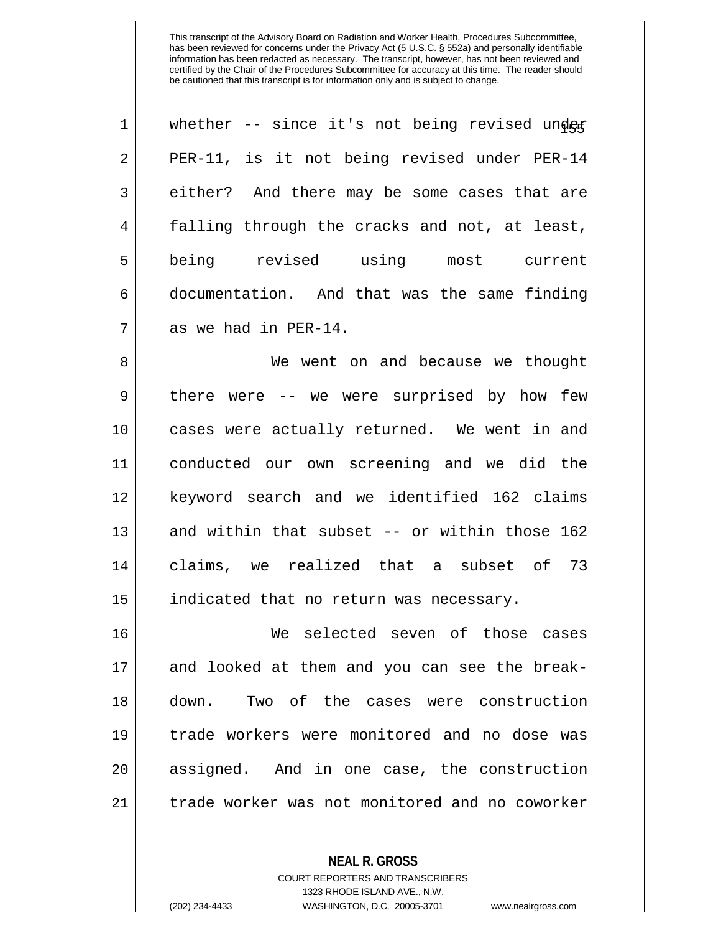| $\mathbf 1$    | whether -- since it's not being revised under |
|----------------|-----------------------------------------------|
| $\overline{2}$ | PER-11, is it not being revised under PER-14  |
| 3              | either? And there may be some cases that are  |
| 4              | falling through the cracks and not, at least, |
| 5              | being<br>revised<br>using<br>most<br>current  |
| б              | documentation. And that was the same finding  |
| 7              | as we had in PER-14.                          |

 We went on and because we thought 9 there were -- we were surprised by how few cases were actually returned. We went in and conducted our own screening and we did the keyword search and we identified 162 claims 13 || and within that subset -- or within those 162 claims, we realized that a subset of 73 15 || indicated that no return was necessary.

 We selected seven of those cases and looked at them and you can see the break- down. Two of the cases were construction trade workers were monitored and no dose was 20 || assigned. And in one case, the construction 21 | trade worker was not monitored and no coworker

> COURT REPORTERS AND TRANSCRIBERS 1323 RHODE ISLAND AVE., N.W.

**NEAL R. GROSS**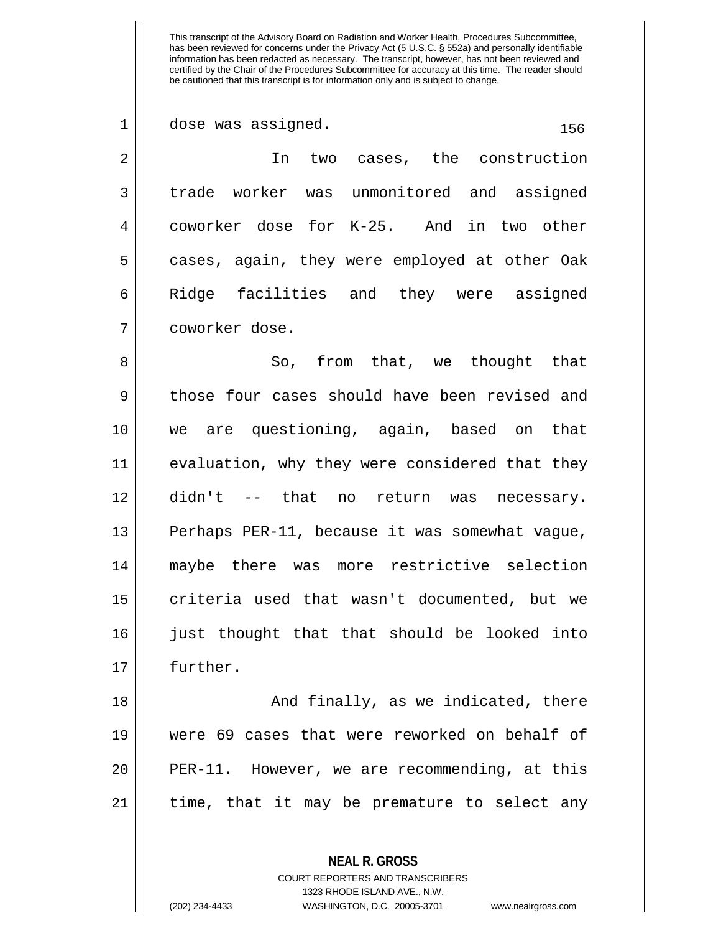| 1  | dose was assigned.<br>156                      |
|----|------------------------------------------------|
| 2  | In two cases, the construction                 |
| 3  | trade worker was unmonitored and assigned      |
| 4  | coworker dose for K-25. And in two other       |
| 5  | cases, again, they were employed at other Oak  |
| 6  | Ridge facilities and they were assigned        |
| 7  | coworker dose.                                 |
| 8  | So, from that, we thought that                 |
| 9  | those four cases should have been revised and  |
| 10 | we are questioning, again, based on that       |
| 11 | evaluation, why they were considered that they |
| 12 | didn't -- that no return was necessary.        |
| 13 | Perhaps PER-11, because it was somewhat vague, |
| 14 | maybe there was more restrictive selection     |
| 15 | criteria used that wasn't documented, but we   |
| 16 | just thought that that should be looked into   |
| 17 | further.                                       |
| 18 | And finally, as we indicated, there            |
| 19 | were 69 cases that were reworked on behalf of  |
| 20 | PER-11. However, we are recommending, at this  |
| 21 | time, that it may be premature to select any   |

**NEAL R. GROSS** COURT REPORTERS AND TRANSCRIBERS

1323 RHODE ISLAND AVE., N.W.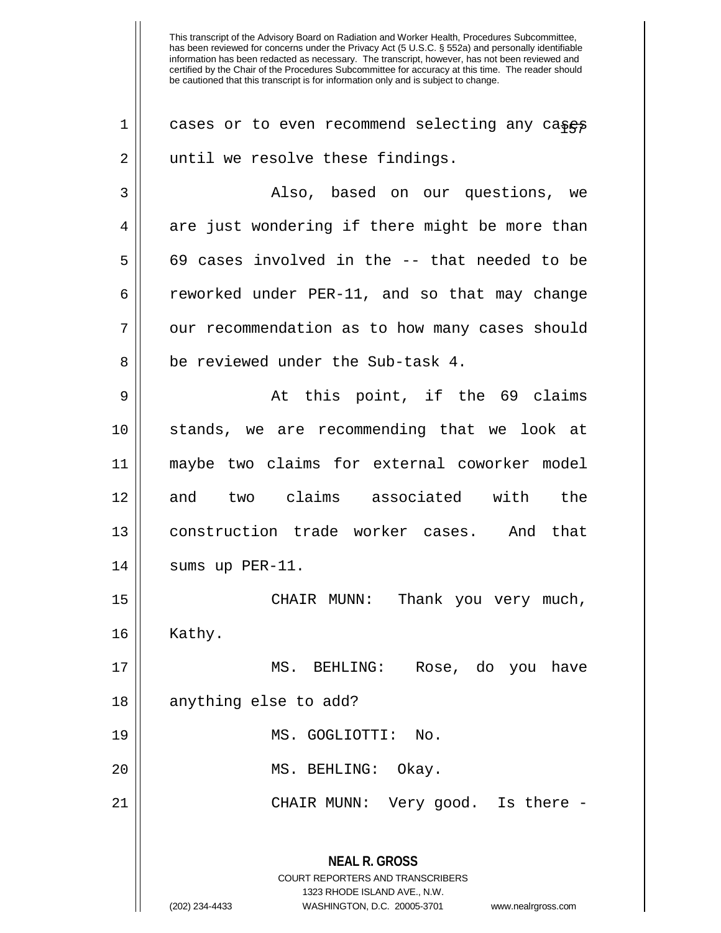| 1  | cases or to even recommend selecting any cases                                                                                                                         |
|----|------------------------------------------------------------------------------------------------------------------------------------------------------------------------|
| 2  | until we resolve these findings.                                                                                                                                       |
| 3  | Also, based on our questions, we                                                                                                                                       |
| 4  | are just wondering if there might be more than                                                                                                                         |
| 5  | 69 cases involved in the -- that needed to be                                                                                                                          |
| 6  | reworked under PER-11, and so that may change                                                                                                                          |
| 7  | our recommendation as to how many cases should                                                                                                                         |
| 8  | be reviewed under the Sub-task 4.                                                                                                                                      |
| 9  | At this point, if the 69 claims                                                                                                                                        |
| 10 | stands, we are recommending that we look at                                                                                                                            |
| 11 | maybe two claims for external coworker model                                                                                                                           |
| 12 | and two claims associated with the                                                                                                                                     |
| 13 | construction trade worker cases. And that                                                                                                                              |
| 14 | sums up $PER-11$ .                                                                                                                                                     |
| 15 | Thank you very much,<br>CHAIR MUNN:                                                                                                                                    |
| 16 | Kathy.                                                                                                                                                                 |
| 17 | MS. BEHLING: Rose, do you have                                                                                                                                         |
| 18 | anything else to add?                                                                                                                                                  |
| 19 | MS. GOGLIOTTI:<br>No.                                                                                                                                                  |
| 20 | MS. BEHLING: Okay.                                                                                                                                                     |
| 21 | CHAIR MUNN: Very good. Is there -                                                                                                                                      |
|    | <b>NEAL R. GROSS</b><br><b>COURT REPORTERS AND TRANSCRIBERS</b><br>1323 RHODE ISLAND AVE., N.W.<br>WASHINGTON, D.C. 20005-3701<br>(202) 234-4433<br>www.nealrgross.com |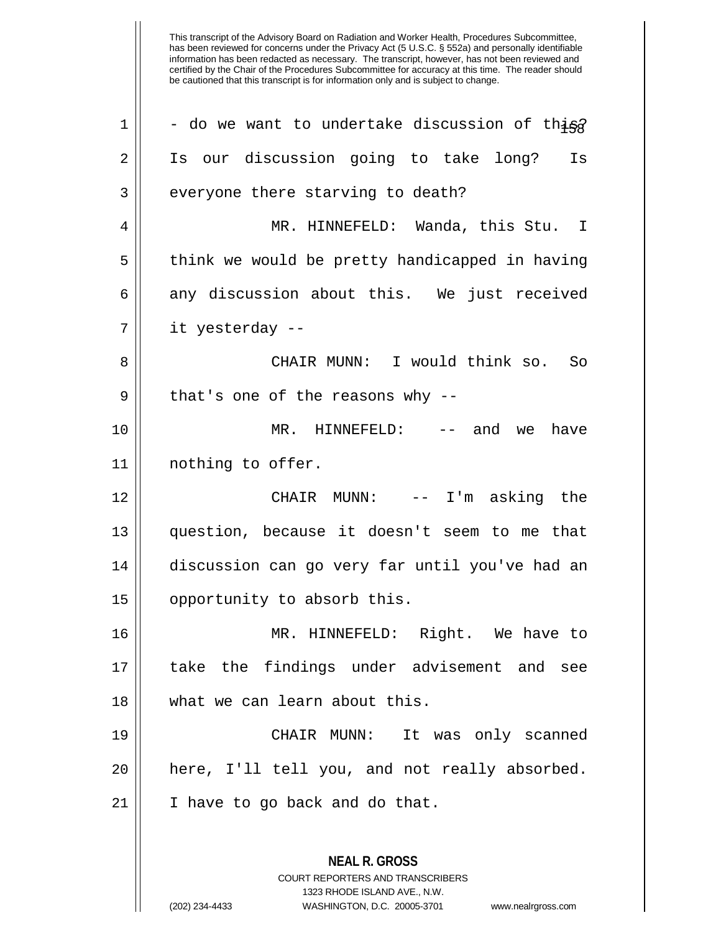| $\mathbf 1$    | - do we want to undertake discussion of thisg                                                                                                                          |
|----------------|------------------------------------------------------------------------------------------------------------------------------------------------------------------------|
| 2              | Is our discussion going to take long? Is                                                                                                                               |
| $\mathbf{3}$   | everyone there starving to death?                                                                                                                                      |
| $\overline{4}$ | MR. HINNEFELD: Wanda, this Stu. I                                                                                                                                      |
| 5              | think we would be pretty handicapped in having                                                                                                                         |
| 6              | any discussion about this. We just received                                                                                                                            |
| 7              | it yesterday --                                                                                                                                                        |
| 8              | CHAIR MUNN: I would think so. So                                                                                                                                       |
| 9              | that's one of the reasons why $-$ -                                                                                                                                    |
| 10             | MR. HINNEFELD: -- and we have                                                                                                                                          |
| 11             | nothing to offer.                                                                                                                                                      |
| 12             | CHAIR MUNN: $--$ I'm asking the                                                                                                                                        |
| 13             | question, because it doesn't seem to me that                                                                                                                           |
| 14             | discussion can go very far until you've had an                                                                                                                         |
| 15             | opportunity to absorb this.                                                                                                                                            |
| 16             | MR. HINNEFELD: Right. We have to                                                                                                                                       |
| 17             | take the findings under advisement and see                                                                                                                             |
| 18             | what we can learn about this.                                                                                                                                          |
| 19             | CHAIR MUNN:<br>It was only scanned                                                                                                                                     |
| 20             | here, I'll tell you, and not really absorbed.                                                                                                                          |
| 21             | I have to go back and do that.                                                                                                                                         |
|                | <b>NEAL R. GROSS</b><br><b>COURT REPORTERS AND TRANSCRIBERS</b><br>1323 RHODE ISLAND AVE., N.W.<br>(202) 234-4433<br>WASHINGTON, D.C. 20005-3701<br>www.nealrgross.com |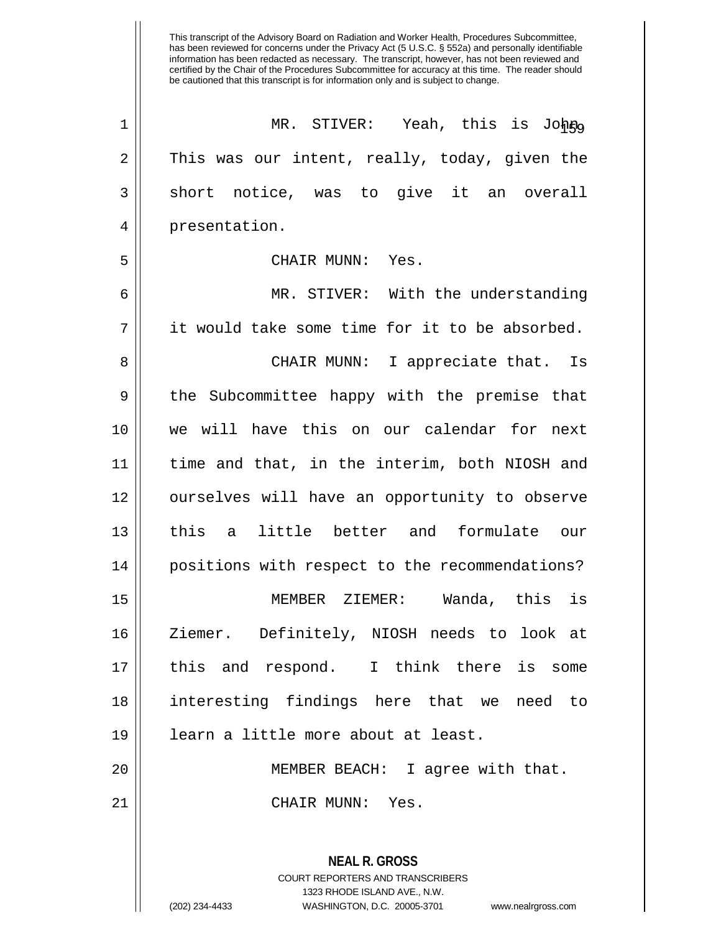| $\mathbf 1$    | MR. STIVER: Yeah, this is Johno                                                                                                                                        |
|----------------|------------------------------------------------------------------------------------------------------------------------------------------------------------------------|
| $\overline{2}$ | This was our intent, really, today, given the                                                                                                                          |
| $\mathbf{3}$   | short notice, was to give it an overall                                                                                                                                |
| $\overline{4}$ | presentation.                                                                                                                                                          |
| 5              | CHAIR MUNN: Yes.                                                                                                                                                       |
| 6              | MR. STIVER: With the understanding                                                                                                                                     |
| 7              | it would take some time for it to be absorbed.                                                                                                                         |
| 8              | CHAIR MUNN: I appreciate that. Is                                                                                                                                      |
| 9              | the Subcommittee happy with the premise that                                                                                                                           |
| 10             | we will have this on our calendar for next                                                                                                                             |
| 11             | time and that, in the interim, both NIOSH and                                                                                                                          |
| 12             | ourselves will have an opportunity to observe                                                                                                                          |
| 13             | this a little better and formulate our                                                                                                                                 |
| 14             | positions with respect to the recommendations?                                                                                                                         |
| 15             | MEMBER ZIEMER: Wanda, this is                                                                                                                                          |
| 16             | Ziemer. Definitely, NIOSH needs to look at                                                                                                                             |
| 17             | this and respond. I think there is some                                                                                                                                |
| 18             | interesting findings here that we need<br>to to                                                                                                                        |
| 19             | learn a little more about at least.                                                                                                                                    |
| 20             | MEMBER BEACH: I agree with that.                                                                                                                                       |
| 21             | CHAIR MUNN: Yes.                                                                                                                                                       |
|                | <b>NEAL R. GROSS</b><br><b>COURT REPORTERS AND TRANSCRIBERS</b><br>1323 RHODE ISLAND AVE., N.W.<br>(202) 234-4433<br>WASHINGTON, D.C. 20005-3701<br>www.nealrgross.com |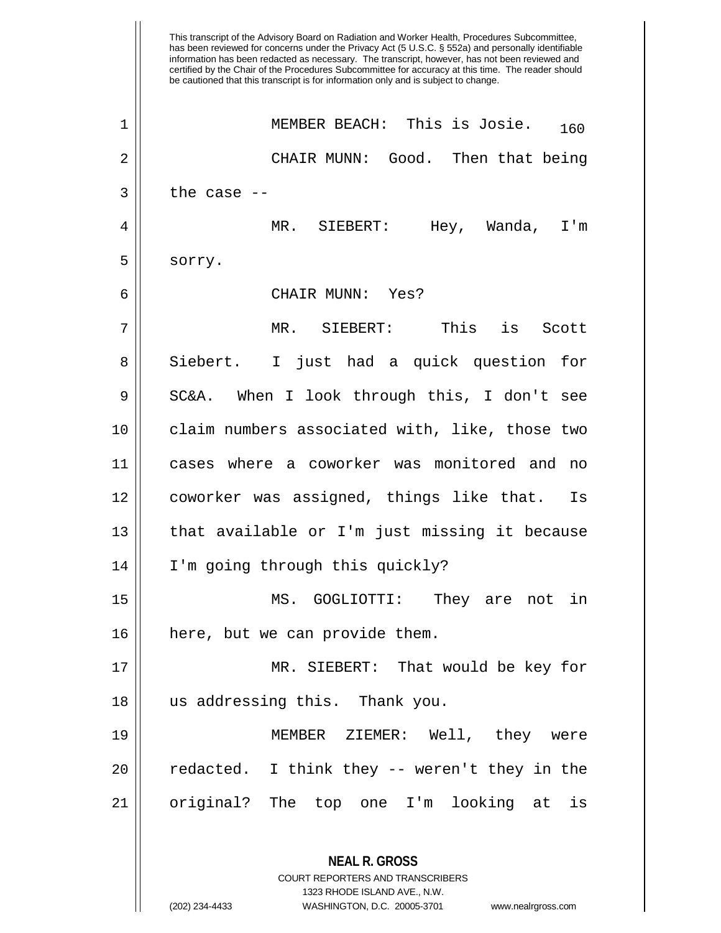has been reviewed for concerns under the Privacy Act (5 U.S.C. § 552a) and personally identifiable information has been redacted as necessary. The transcript, however, has not been reviewed and certified by the Chair of the Procedures Subcommittee for accuracy at this time. The reader should be cautioned that this transcript is for information only and is subject to change. **NEAL R. GROSS** MEMBER BEACH: This is Josie. 160 1 2 CHAIR MUNN: Good. Then that being  $3$  | the case  $-$ 4 MR. SIEBERT: Hey, Wanda, I'm 5 sorry. 6 CHAIR MUNN: Yes? 7 MR. SIEBERT: This is Scott 8 || Siebert. I just had a quick question for 9 || SC&A. When I look through this, I don't see 10 claim numbers associated with, like, those two 11 cases where a coworker was monitored and no 12 coworker was assigned, things like that. Is 13 || that available or I'm just missing it because 14 I'm going through this quickly? 15 MS. GOGLIOTTI: They are not in 16 || here, but we can provide them. 17 MR. SIEBERT: That would be key for 18 us addressing this. Thank you. 19 MEMBER ZIEMER: Well, they were  $20$  || redacted. I think they  $-$  weren't they in the 21 || original? The top one I'm looking at is

> COURT REPORTERS AND TRANSCRIBERS 1323 RHODE ISLAND AVE., N.W.

This transcript of the Advisory Board on Radiation and Worker Health, Procedures Subcommittee,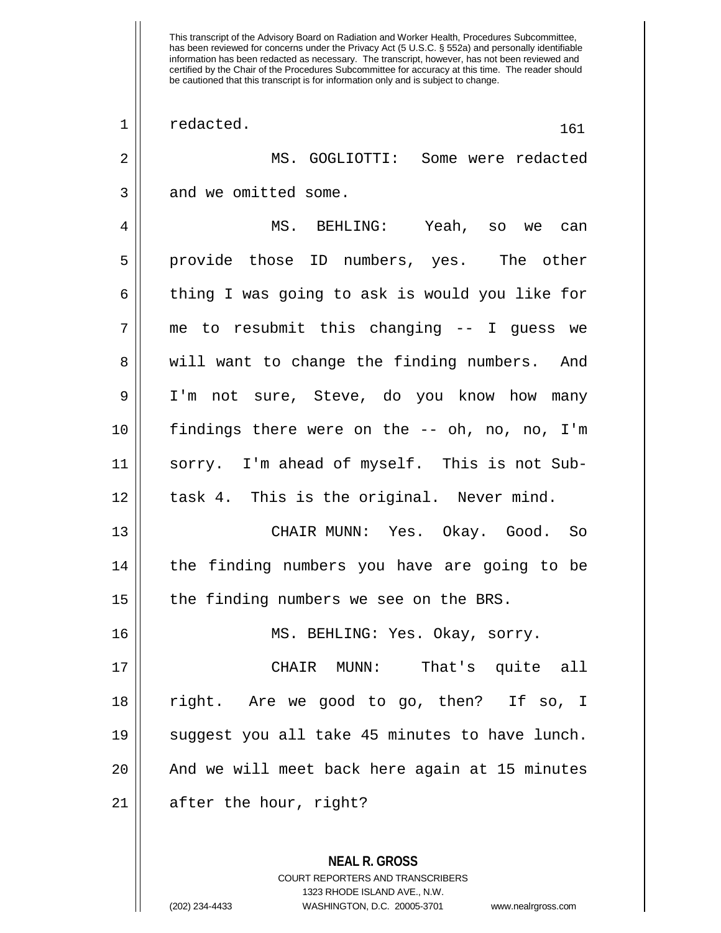This transcript of the Advisory Board on Radiation and Worker Health, Procedures Subcommittee, has been reviewed for concerns under the Privacy Act (5 U.S.C. § 552a) and personally identifiable information has been redacted as necessary. The transcript, however, has not been reviewed and certified by the Chair of the Procedures Subcommittee for accuracy at this time. The reader should be cautioned that this transcript is for information only and is subject to change.  $\begin{array}{|c|c|c|c|c|}\n1 & \text{read.} & \text{161} \end{array}$ 2 MS. GOGLIOTTI: Some were redacted 3 || and we omitted some. 4 MS. BEHLING: Yeah, so we can 5 provide those ID numbers, yes. The other 6 thing I was going to ask is would you like for  $7$  || me to resubmit this changing -- I guess we 8 || will want to change the finding numbers. And 9 I'm not sure, Steve, do you know how many 10 findings there were on the -- oh, no, no, I'm 11 sorry. I'm ahead of myself. This is not Sub- $12 \parallel$  task 4. This is the original. Never mind. 13 CHAIR MUNN: Yes. Okay. Good. So 14 || the finding numbers you have are going to be  $15$  | the finding numbers we see on the BRS. 16 || MS. BEHLING: Yes. Okay, sorry. 17 CHAIR MUNN: That's quite all 18 right. Are we good to go, then? If so, I 19 suggest you all take 45 minutes to have lunch. 20 || And we will meet back here again at 15 minutes  $21$  | after the hour, right?

> **NEAL R. GROSS** COURT REPORTERS AND TRANSCRIBERS 1323 RHODE ISLAND AVE., N.W.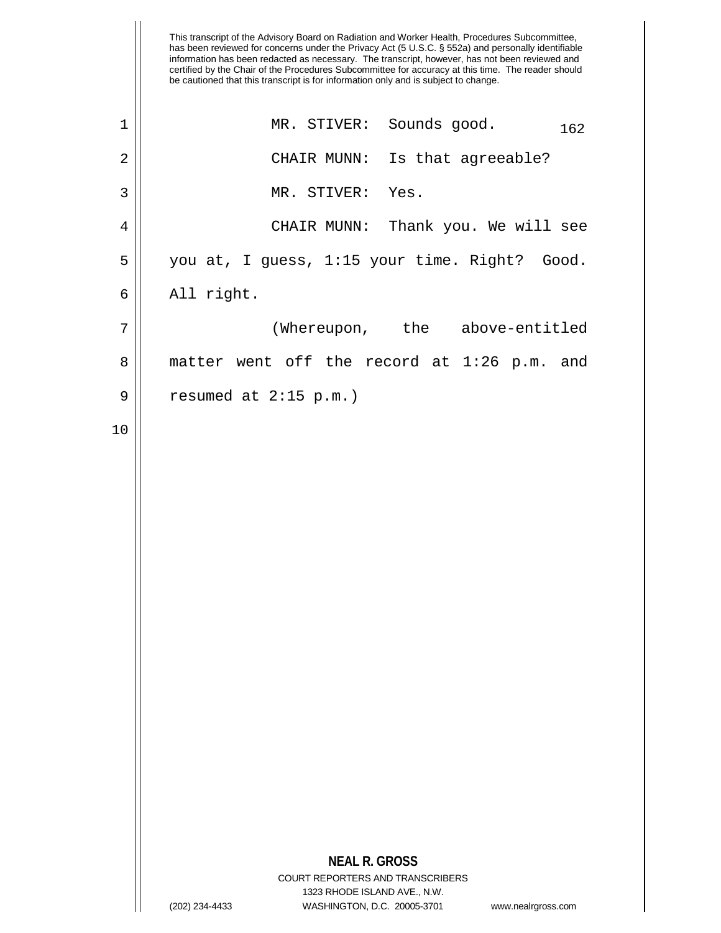|             | This transcript of the Advisory Board on Radiation and Worker Health, Procedures Subcommittee,<br>has been reviewed for concerns under the Privacy Act (5 U.S.C. § 552a) and personally identifiable<br>information has been redacted as necessary. The transcript, however, has not been reviewed and<br>certified by the Chair of the Procedures Subcommittee for accuracy at this time. The reader should<br>be cautioned that this transcript is for information only and is subject to change. |
|-------------|-----------------------------------------------------------------------------------------------------------------------------------------------------------------------------------------------------------------------------------------------------------------------------------------------------------------------------------------------------------------------------------------------------------------------------------------------------------------------------------------------------|
| $\mathbf 1$ | MR. STIVER: Sounds good.<br>162                                                                                                                                                                                                                                                                                                                                                                                                                                                                     |
| 2           | CHAIR MUNN:<br>Is that agreeable?                                                                                                                                                                                                                                                                                                                                                                                                                                                                   |
| 3           | MR. STIVER:<br>Yes.                                                                                                                                                                                                                                                                                                                                                                                                                                                                                 |
| 4           | CHAIR MUNN: Thank you. We will see                                                                                                                                                                                                                                                                                                                                                                                                                                                                  |
| 5           | you at, I guess, 1:15 your time. Right? Good.                                                                                                                                                                                                                                                                                                                                                                                                                                                       |
| 6           | All right.                                                                                                                                                                                                                                                                                                                                                                                                                                                                                          |
| 7           | (Whereupon, the<br>above-entitled                                                                                                                                                                                                                                                                                                                                                                                                                                                                   |
| 8           | matter went off the record at $1:26$ p.m.<br>and                                                                                                                                                                                                                                                                                                                                                                                                                                                    |
| 9           | resumed at $2:15$ p.m.)                                                                                                                                                                                                                                                                                                                                                                                                                                                                             |
| 10          |                                                                                                                                                                                                                                                                                                                                                                                                                                                                                                     |
|             | <b>NEAL R. GROSS</b><br><b>COURT REPORTERS AND TRANSCRIBERS</b><br>1323 RHODE ISLAND AVE., N.W.<br>WASHINGTON, D.C. 20005-3701<br>(202) 234-4433<br>www.nealrgross.com                                                                                                                                                                                                                                                                                                                              |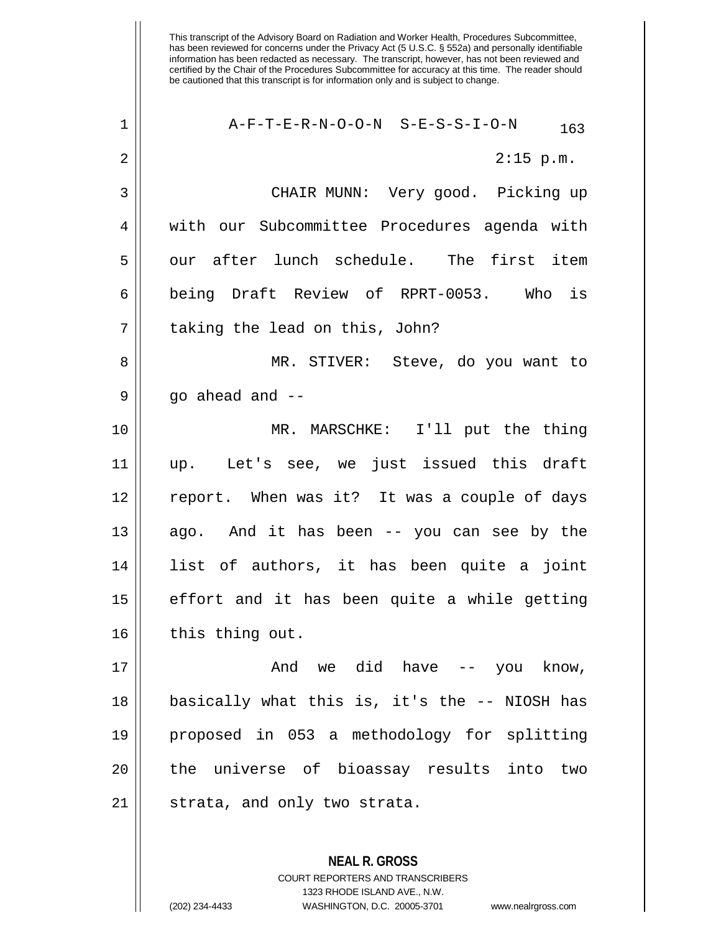| $\mathbf 1$ | A-F-T-E-R-N-O-O-N S-E-S-S-I-O-N<br>163        |
|-------------|-----------------------------------------------|
| 2           | $2:15$ p.m.                                   |
| 3           | CHAIR MUNN: Very good. Picking up             |
| 4           | with our Subcommittee Procedures agenda with  |
| 5           | our after lunch schedule. The first item      |
| 6           | being Draft Review of RPRT-0053. Who is       |
| 7           | taking the lead on this, John?                |
| 8           | MR. STIVER: Steve, do you want to             |
| 9           | qo ahead and --                               |
| 10          | MR. MARSCHKE: I'll put the thing              |
| 11          | Let's see, we just issued this draft<br>up.   |
| 12          | report. When was it? It was a couple of days  |
| 13          | ago. And it has been -- you can see by the    |
| 14          | list of authors, it has been quite a joint    |
| 15          | effort and it has been quite a while getting  |
| 16          | this thing out.                               |
| 17          | And we did have -- you know,                  |
| 18          | basically what this is, it's the -- NIOSH has |
| 19          | proposed in 053 a methodology for splitting   |
| 20          | the universe of bioassay results into<br>two  |
| 21          | strata, and only two strata.                  |
|             |                                               |

**NEAL R. GROSS** COURT REPORTERS AND TRANSCRIBERS 1323 RHODE ISLAND AVE., N.W. (202) 234-4433 WASHINGTON, D.C. 20005-3701 www.nealrgross.com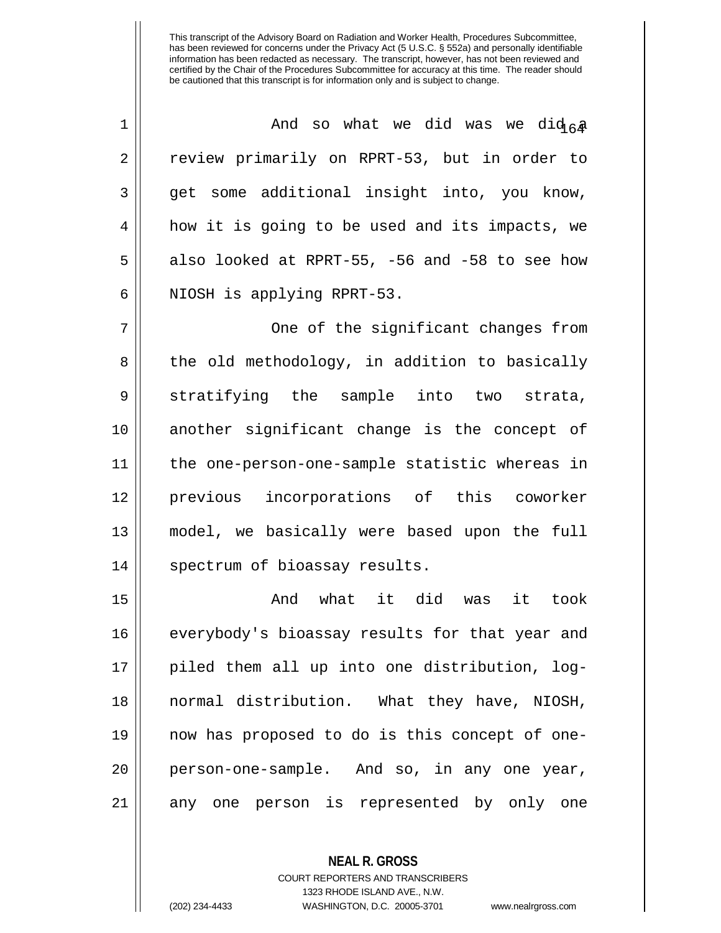| 1  | And so what we did was we did $64$             |
|----|------------------------------------------------|
| 2  | review primarily on RPRT-53, but in order to   |
| 3  | get some additional insight into, you know,    |
| 4  | how it is going to be used and its impacts, we |
| 5  | also looked at RPRT-55, -56 and -58 to see how |
| 6  | NIOSH is applying RPRT-53.                     |
| 7  | One of the significant changes from            |
| 8  | the old methodology, in addition to basically  |
| 9  | stratifying the sample into two strata,        |
| 10 | another significant change is the concept of   |
| 11 | the one-person-one-sample statistic whereas in |
| 12 | previous incorporations of this coworker       |
| 13 | model, we basically were based upon the full   |
| 14 | spectrum of bioassay results.                  |
| 15 | And what it did was<br>it took                 |
| 16 | everybody's bioassay results for that year and |
| 17 | piled them all up into one distribution, log-  |
| 18 | normal distribution. What they have, NIOSH,    |
| 19 | now has proposed to do is this concept of one- |
| 20 | person-one-sample. And so, in any one year,    |
| 21 | any one person is represented by only one      |

**NEAL R. GROSS**

COURT REPORTERS AND TRANSCRIBERS 1323 RHODE ISLAND AVE., N.W. (202) 234-4433 WASHINGTON, D.C. 20005-3701 www.nealrgross.com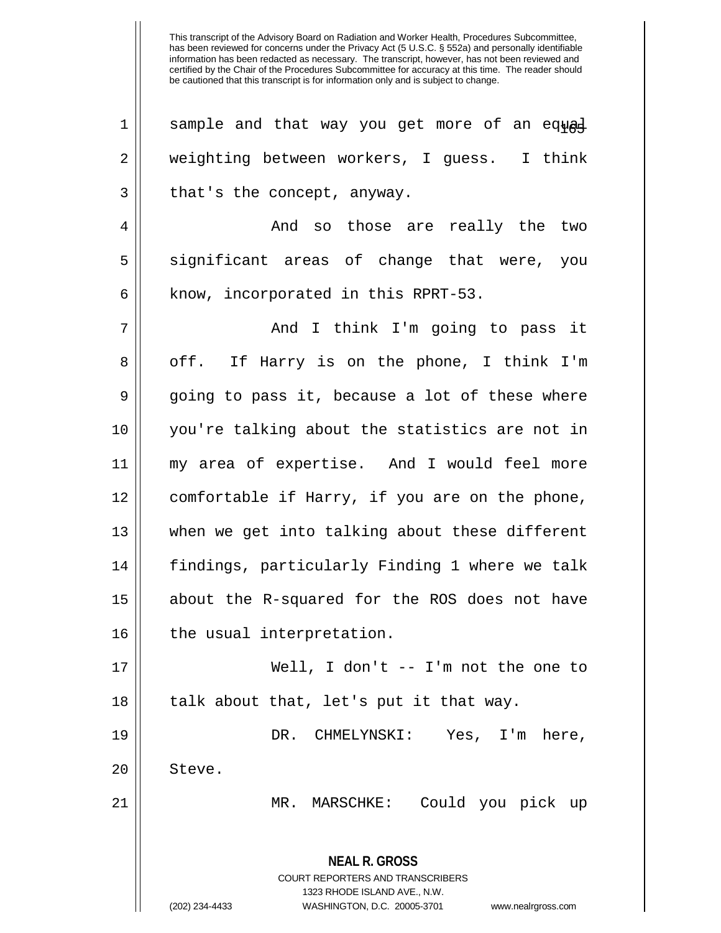| $\mathbf 1$    | sample and that way you get more of an equad                                                                                                                        |
|----------------|---------------------------------------------------------------------------------------------------------------------------------------------------------------------|
| $\mathbf 2$    | weighting between workers, I guess. I think                                                                                                                         |
| 3              | that's the concept, anyway.                                                                                                                                         |
| $\overline{4}$ | And so those are really the two                                                                                                                                     |
| 5              | significant areas of change that were, you                                                                                                                          |
| 6              | know, incorporated in this RPRT-53.                                                                                                                                 |
| 7              | And I think I'm going to pass it                                                                                                                                    |
| 8              | off. If Harry is on the phone, I think I'm                                                                                                                          |
| 9              | going to pass it, because a lot of these where                                                                                                                      |
| 10             | you're talking about the statistics are not in                                                                                                                      |
| 11             | my area of expertise. And I would feel more                                                                                                                         |
| 12             | comfortable if Harry, if you are on the phone,                                                                                                                      |
| 13             | when we get into talking about these different                                                                                                                      |
| 14             | findings, particularly Finding 1 where we talk                                                                                                                      |
| 15             | about the R-squared for the ROS does not have                                                                                                                       |
| 16             | the usual interpretation.                                                                                                                                           |
| 17             | Well, I don't $--$ I'm not the one to                                                                                                                               |
| 18             | talk about that, let's put it that way.                                                                                                                             |
| 19             | DR. CHMELYNSKI: Yes, I'm here,                                                                                                                                      |
| 20             | Steve.                                                                                                                                                              |
| 21             | MR. MARSCHKE: Could you pick up                                                                                                                                     |
|                | <b>NEAL R. GROSS</b><br><b>COURT REPORTERS AND TRANSCRIBERS</b><br>1323 RHODE ISLAND AVE., N.W.<br>(202) 234-4433<br>WASHINGTON, D.C. 20005-3701 www.nealrgross.com |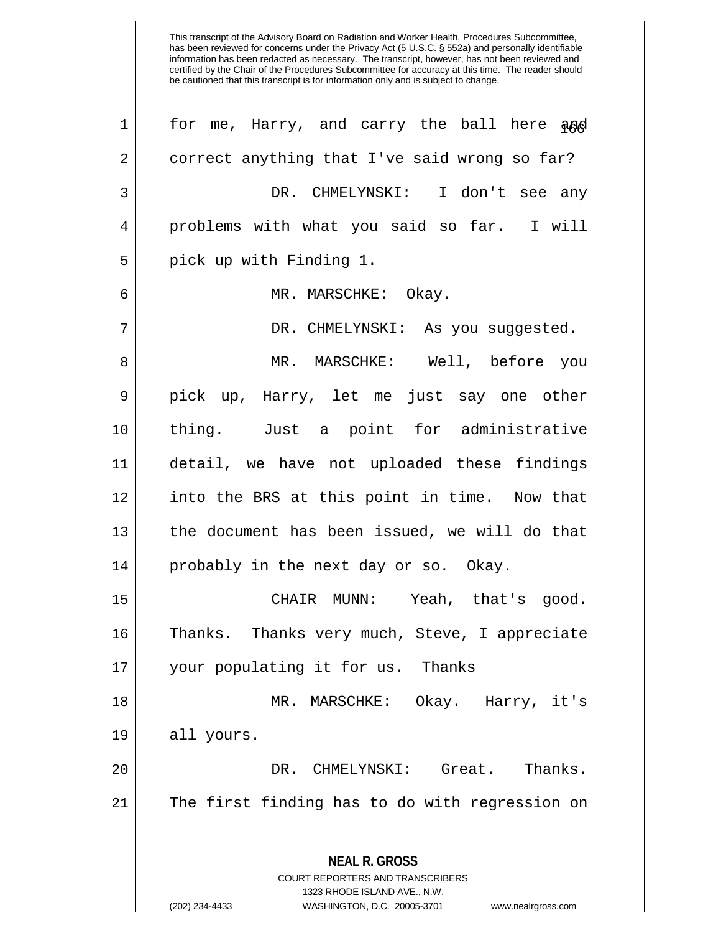**NEAL R. GROSS** COURT REPORTERS AND TRANSCRIBERS 1323 RHODE ISLAND AVE., N.W. (202) 234-4433 WASHINGTON, D.C. 20005-3701 www.nealrgross.com for me, Harry, and carry the ball here and  $2 \parallel$  correct anything that I've said wrong so far? DR. CHMELYNSKI: I don't see any problems with what you said so far. I will 5 || pick up with Finding 1. MR. MARSCHKE: Okay. DR. CHMELYNSKI: As you suggested. MR. MARSCHKE: Well, before you pick up, Harry, let me just say one other thing. Just a point for administrative detail, we have not uploaded these findings 12 || into the BRS at this point in time. Now that the document has been issued, we will do that probably in the next day or so. Okay. CHAIR MUNN: Yeah, that's good. 16 || Thanks. Thanks very much, Steve, I appreciate 17 || your populating it for us. Thanks MR. MARSCHKE: Okay. Harry, it's all yours. DR. CHMELYNSKI: Great. Thanks. The first finding has to do with regression on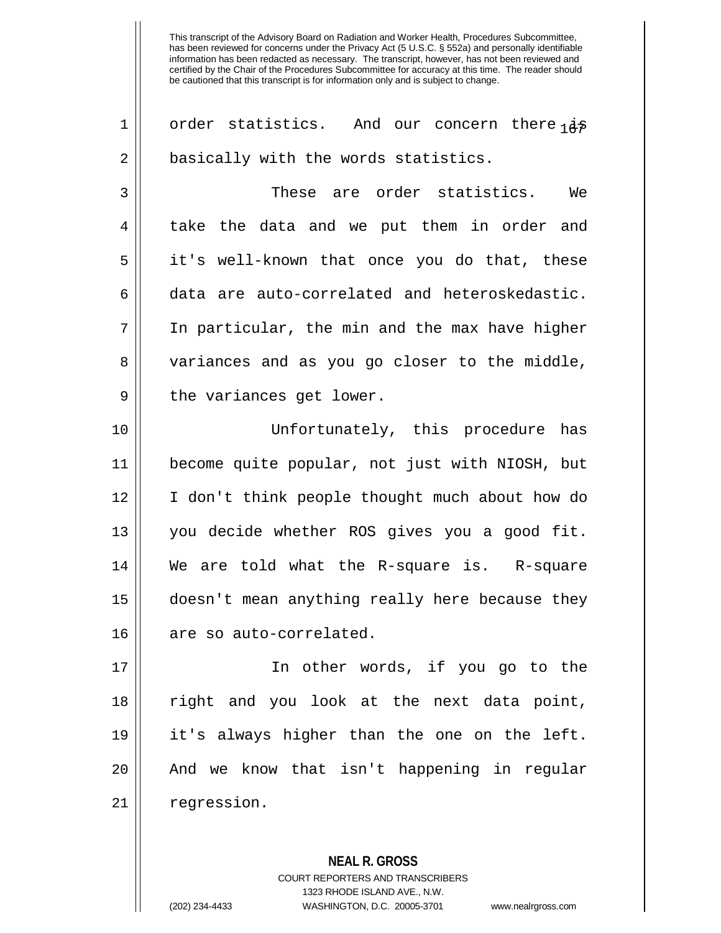1 || order statistics. And our concern there  $i\ddot{\sigma}$ 2 | basically with the words statistics. 3 These are order statistics. We 4 || take the data and we put them in order and 5 it's well-known that once you do that, these 6 || data are auto-correlated and heteroskedastic.  $7 \parallel$  In particular, the min and the max have higher 8 variances and as you go closer to the middle, 9 || the variances get lower. 10 Unfortunately, this procedure has 11 become quite popular, not just with NIOSH, but 12 || I don't think people thought much about how do 13 you decide whether ROS gives you a good fit. 14 We are told what the R-square is. R-square 15 doesn't mean anything really here because they 16 | are so auto-correlated. 17 In other words, if you go to the 18 right and you look at the next data point, 19 it's always higher than the one on the left.

20 || And we know that isn't happening in regular 21 | regression.

> **NEAL R. GROSS** COURT REPORTERS AND TRANSCRIBERS 1323 RHODE ISLAND AVE., N.W. (202) 234-4433 WASHINGTON, D.C. 20005-3701 www.nealrgross.com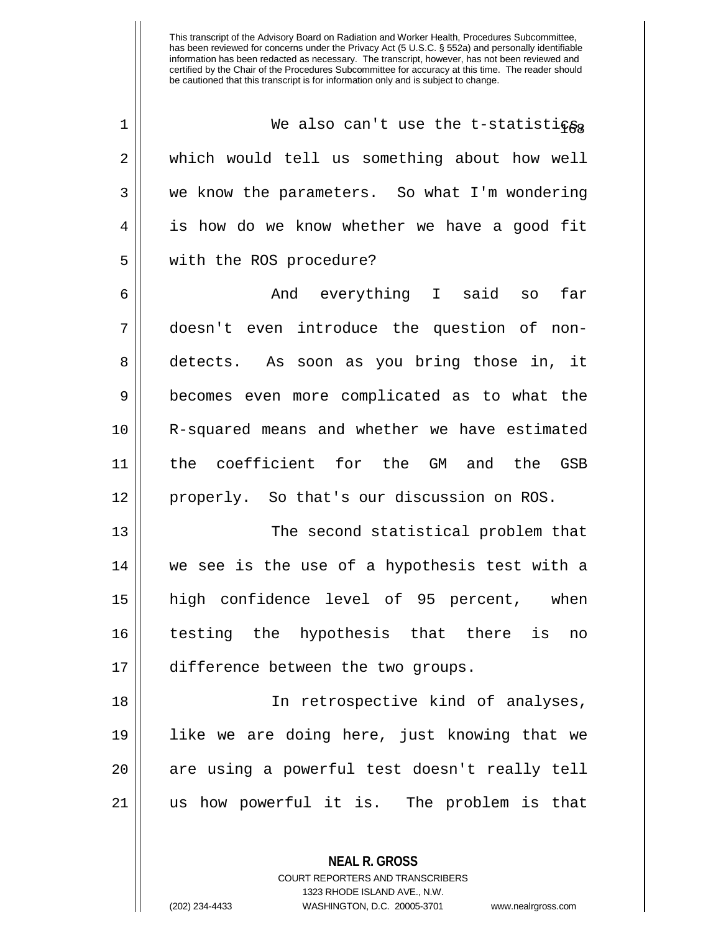| $\mathbf 1$ | We also can't use the t-statistics                       |
|-------------|----------------------------------------------------------|
| 2           | which would tell us something about how well             |
| 3           | we know the parameters. So what I'm wondering            |
| 4           | is how do we know whether we have a good fit             |
| 5           | with the ROS procedure?                                  |
| 6           | And everything I said so<br>far                          |
| 7           | doesn't even introduce the question of non-              |
| 8           | detects. As soon as you bring those in, it               |
| 9           | becomes even more complicated as to what the             |
| 10          | R-squared means and whether we have estimated            |
| 11          | the coefficient for the GM and the GSB                   |
|             |                                                          |
| 12          | properly. So that's our discussion on ROS.               |
| 13          | The second statistical problem that                      |
| 14          | we see is the use of a hypothesis test with a            |
| 15          | high confidence level of 95 percent, when                |
| 16          | testing the hypothesis that there<br>is<br>$\mathtt{no}$ |
| 17          | difference between the two groups.                       |
| 18          | In retrospective kind of analyses,                       |
| 19          | like we are doing here, just knowing that we             |
| 20          | are using a powerful test doesn't really tell            |
| 21          | us how powerful it is. The problem is that               |

**NEAL R. GROSS** COURT REPORTERS AND TRANSCRIBERS 1323 RHODE ISLAND AVE., N.W.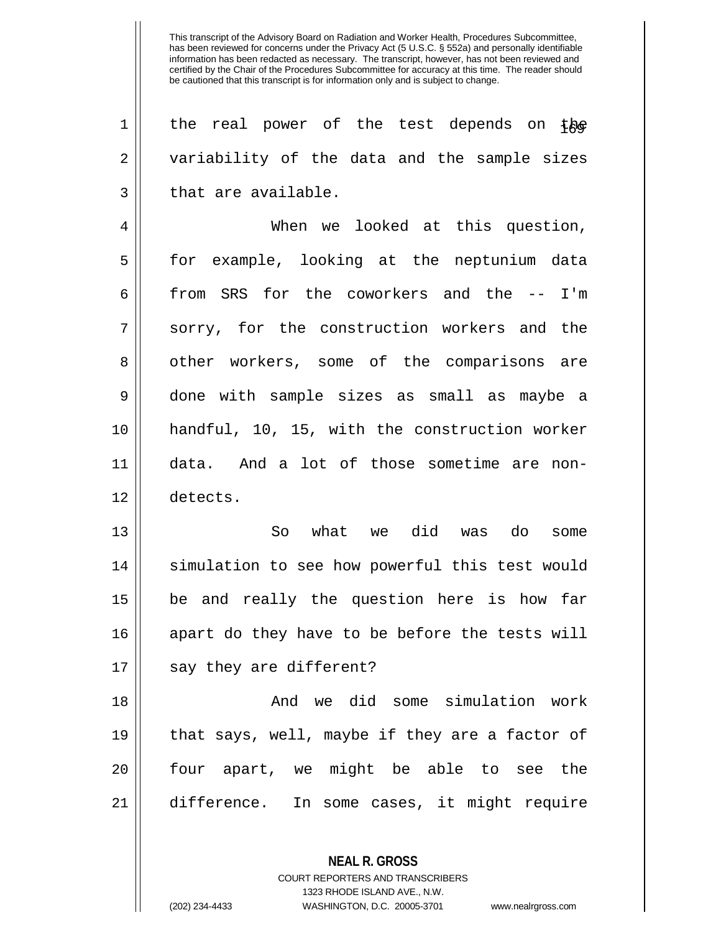| $\mathbf 1$ | the real power of the test depends on the      |
|-------------|------------------------------------------------|
| 2           | variability of the data and the sample sizes   |
| 3           | that are available.                            |
| 4           | When we looked at this question,               |
| 5           | for example, looking at the neptunium data     |
| 6           | from SRS for the coworkers and the -- I'm      |
| 7           | sorry, for the construction workers and the    |
| 8           | other workers, some of the comparisons are     |
| 9           | done with sample sizes as small as maybe a     |
| 10          | handful, 10, 15, with the construction worker  |
| 11          | data. And a lot of those sometime are non-     |
| 12          | detects.                                       |
| 13          | So what we did was<br>do<br>some               |
| 14          | simulation to see how powerful this test would |
| 15          | be and really the question here is how far     |
| 16          | apart do they have to be before the tests will |
|             |                                                |
| 17          | say they are different?                        |
| 18          | And we did some simulation work                |
| 19          | that says, well, maybe if they are a factor of |
| 20          | four apart, we might be able to see the        |
| 21          | difference. In some cases, it might require    |
|             |                                                |

**NEAL R. GROSS** COURT REPORTERS AND TRANSCRIBERS 1323 RHODE ISLAND AVE., N.W.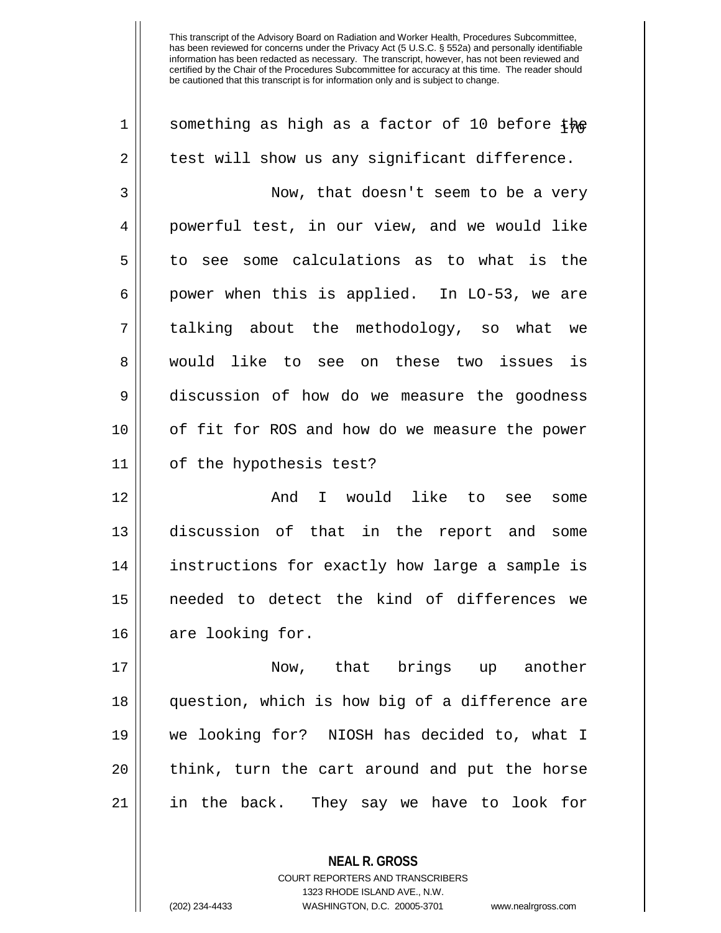| 1  | something as high as a factor of 10 before the |
|----|------------------------------------------------|
| 2  | test will show us any significant difference.  |
| 3  | Now, that doesn't seem to be a very            |
| 4  | powerful test, in our view, and we would like  |
| 5  | to see some calculations as to what is the     |
| 6  | power when this is applied. In LO-53, we are   |
| 7  | talking about the methodology, so what we      |
| 8  | would like to see on these two issues is       |
| 9  | discussion of how do we measure the goodness   |
| 10 | of fit for ROS and how do we measure the power |
| 11 | of the hypothesis test?                        |
| 12 | I would like to<br>And<br>see<br>some          |
| 13 | discussion of that in the report and some      |
| 14 | instructions for exactly how large a sample is |
| 15 | needed to detect the kind of differences we    |
| 16 | are looking for.                               |
| 17 | Now, that brings up another                    |
| 18 | question, which is how big of a difference are |
| 19 | we looking for? NIOSH has decided to, what I   |
| 20 | think, turn the cart around and put the horse  |
| 21 | in the back. They say we have to look for      |
|    |                                                |

**NEAL R. GROSS** COURT REPORTERS AND TRANSCRIBERS 1323 RHODE ISLAND AVE., N.W.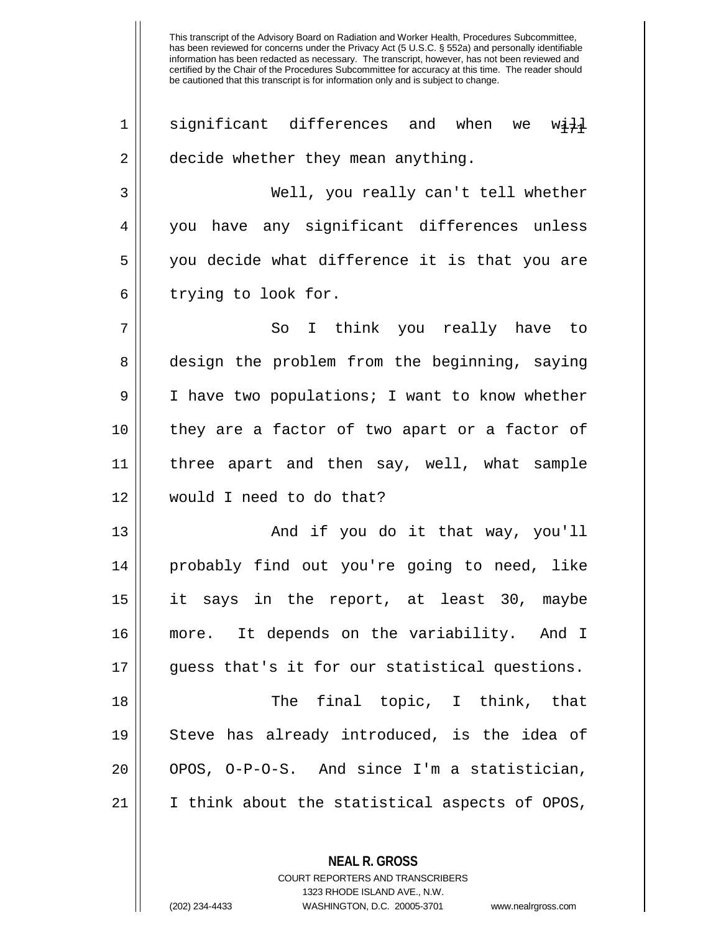significant differences and when we with 2 | decide whether they mean anything. Well, you really can't tell whether 4 you have any significant differences unless you decide what difference it is that you are 6 || trying to look for. So I think you really have to 8 design the problem from the beginning, saying 9 | I have two populations; I want to know whether they are a factor of two apart or a factor of three apart and then say, well, what sample would I need to do that? And if you do it that way, you'll probably find out you're going to need, like it says in the report, at least 30, maybe more. It depends on the variability. And I 17 quess that's it for our statistical questions. The final topic, I think, that Steve has already introduced, is the idea of || OPOS, O-P-O-S. And since I'm a statistician, | I think about the statistical aspects of OPOS,

> **NEAL R. GROSS** COURT REPORTERS AND TRANSCRIBERS 1323 RHODE ISLAND AVE., N.W.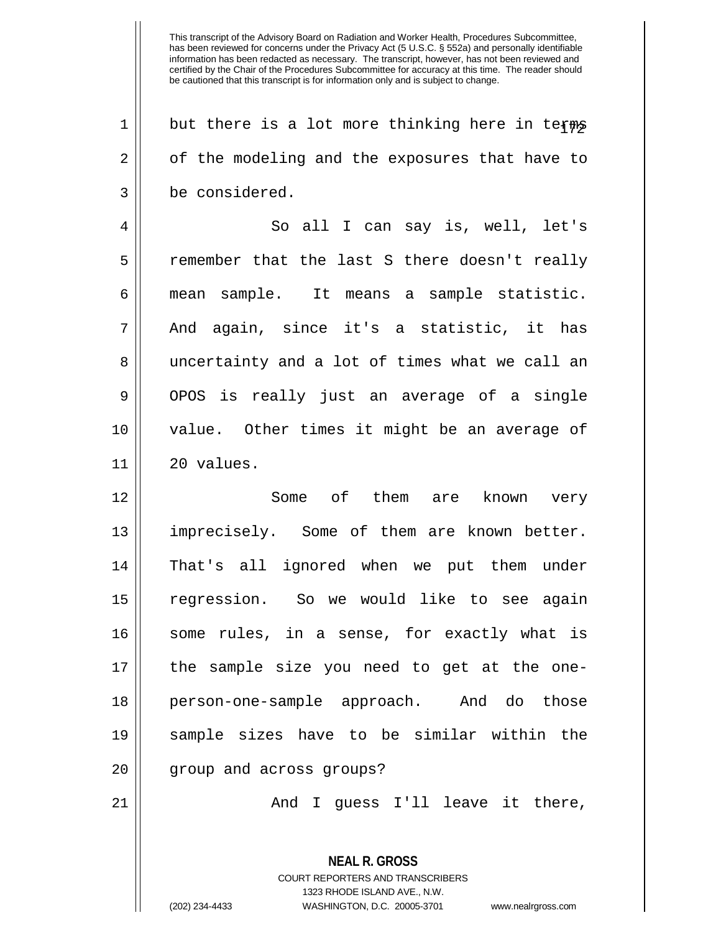$1 \parallel$  but there is a lot more thinking here in terms 2 | of the modeling and the exposures that have to 3 be considered.

4 So all I can say is, well, let's 5 || remember that the last S there doesn't really 6 mean sample. It means a sample statistic.  $7 \parallel$  And again, since it's a statistic, it has 8 || uncertainty and a lot of times what we call an  $9 \parallel$  OPOS is really just an average of a single 10 value. Other times it might be an average of  $11 \parallel 20$  values.

 Some of them are known very imprecisely. Some of them are known better. That's all ignored when we put them under regression. So we would like to see again 16 || some rules, in a sense, for exactly what is the sample size you need to get at the one- person-one-sample approach. And do those sample sizes have to be similar within the 20 || group and across groups?

 $21$  ||  $\qquad$   $\qquad$  And I guess I'll leave it there,

**NEAL R. GROSS** COURT REPORTERS AND TRANSCRIBERS 1323 RHODE ISLAND AVE., N.W. (202) 234-4433 WASHINGTON, D.C. 20005-3701 www.nealrgross.com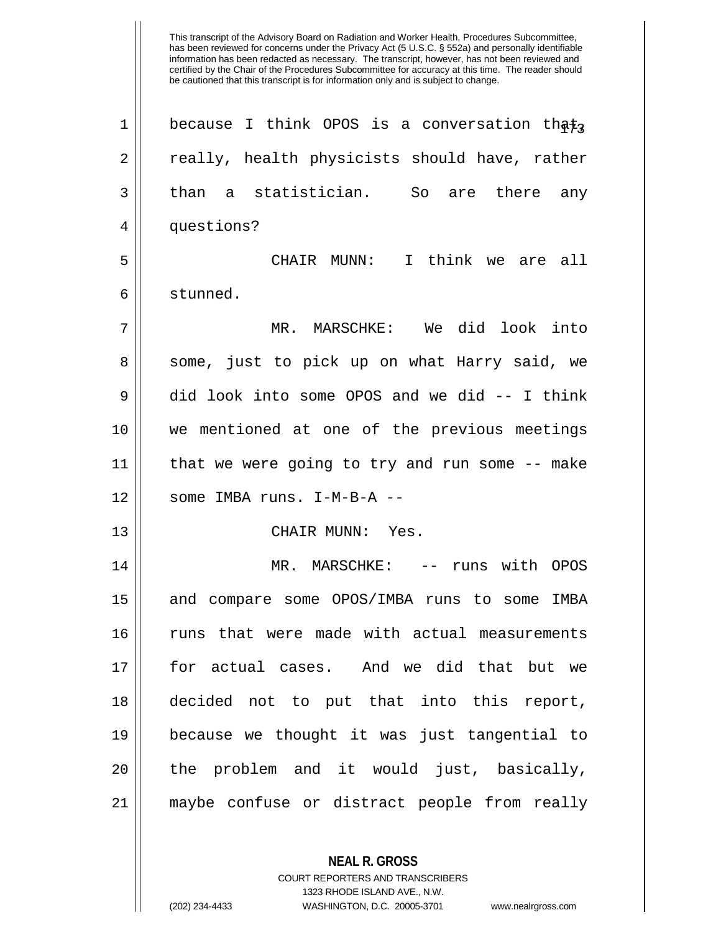This transcript of the Advisory Board on Radiation and Worker Health, Procedures Subcommittee, has been reviewed for concerns under the Privacy Act (5 U.S.C. § 552a) and personally identifiable information has been redacted as necessary. The transcript, however, has not been reviewed and certified by the Chair of the Procedures Subcommittee for accuracy at this time. The reader should be cautioned that this transcript is for information only and is subject to change. 1 | because I think OPOS is a conversation that, 2 || really, health physicists should have, rather  $3 \parallel$  than a statistician. So are there any 4 || questions? 5 CHAIR MUNN: I think we are all 6 stunned. 7 MR. MARSCHKE: We did look into 8 Some, just to pick up on what Harry said, we 9 did look into some OPOS and we did -- I think 10 we mentioned at one of the previous meetings 11 that we were going to try and run some -- make  $12$  || some IMBA runs. I-M-B-A --13 CHAIR MUNN: Yes. 14 MR. MARSCHKE: -- runs with OPOS 15 and compare some OPOS/IMBA runs to some IMBA 16 || runs that were made with actual measurements 17 for actual cases. And we did that but we 18 decided not to put that into this report, 19 because we thought it was just tangential to  $20$  || the problem and it would just, basically, 21 maybe confuse or distract people from really

> COURT REPORTERS AND TRANSCRIBERS 1323 RHODE ISLAND AVE., N.W.

**NEAL R. GROSS**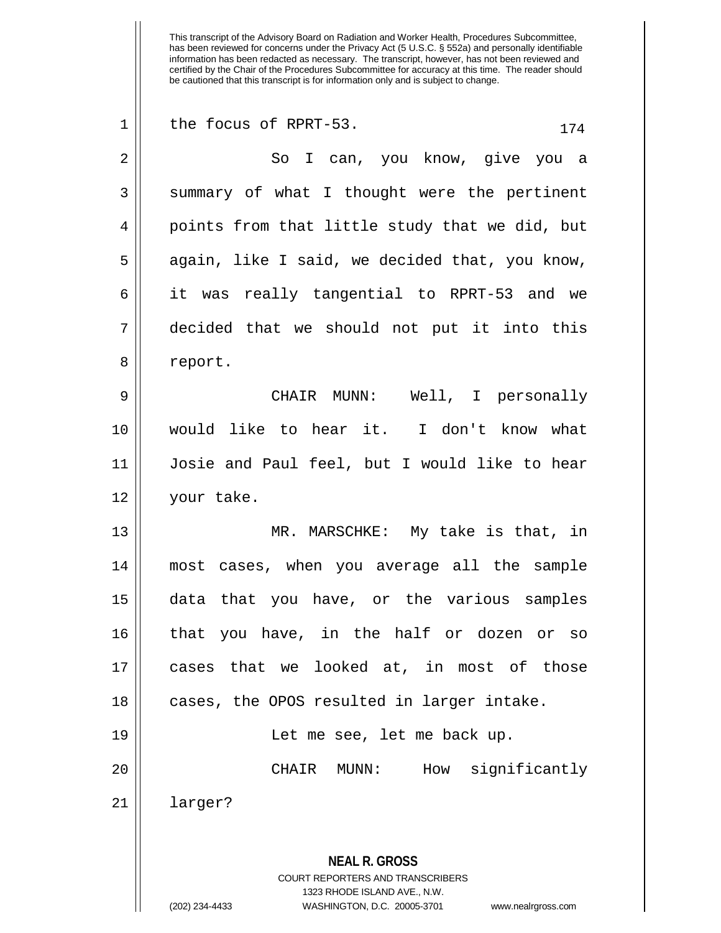| $\mathbf 1$ | the focus of RPRT-53.<br>174                                                                        |
|-------------|-----------------------------------------------------------------------------------------------------|
| 2           | So I can, you know, give you a                                                                      |
| 3           | summary of what I thought were the pertinent                                                        |
| 4           | points from that little study that we did, but                                                      |
| 5           | again, like I said, we decided that, you know,                                                      |
| 6           | it was really tangential to RPRT-53 and we                                                          |
| 7           | decided that we should not put it into this                                                         |
| 8           | report.                                                                                             |
| 9           | Well, I personally<br>CHAIR MUNN:                                                                   |
| 10          | would like to hear it. I don't know what                                                            |
| 11          | Josie and Paul feel, but I would like to hear                                                       |
| 12          | your take.                                                                                          |
| 13          | MR. MARSCHKE: My take is that, in                                                                   |
| 14          | most cases, when you average all the sample                                                         |
| 15          | data that you have, or the various samples                                                          |
| 16          | that you have, in the half or dozen or so                                                           |
| 17          | cases that we looked at, in most of those                                                           |
| 18          | cases, the OPOS resulted in larger intake.                                                          |
| 19          | Let me see, let me back up.                                                                         |
| 20          | How significantly<br>CHAIR<br>MUNN:                                                                 |
| 21          | larger?                                                                                             |
|             |                                                                                                     |
|             | <b>NEAL R. GROSS</b>                                                                                |
|             | <b>COURT REPORTERS AND TRANSCRIBERS</b>                                                             |
|             | 1323 RHODE ISLAND AVE., N.W.<br>(202) 234-4433<br>WASHINGTON, D.C. 20005-3701<br>www.nealrgross.com |
|             |                                                                                                     |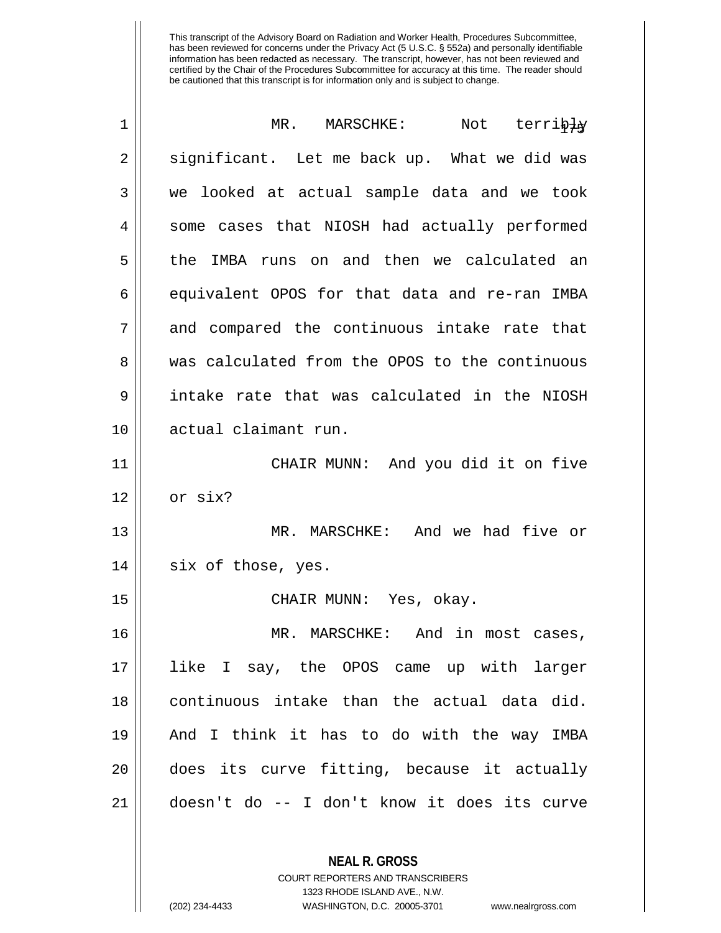| 1  | MR. MARSCHKE:<br>Not terribly                  |
|----|------------------------------------------------|
| 2  | significant. Let me back up. What we did was   |
| 3  | we looked at actual sample data and we took    |
| 4  | some cases that NIOSH had actually performed   |
| 5  | the IMBA runs on and then we calculated an     |
| 6  | equivalent OPOS for that data and re-ran IMBA  |
| 7  | and compared the continuous intake rate that   |
| 8  | was calculated from the OPOS to the continuous |
| 9  | intake rate that was calculated in the NIOSH   |
| 10 | actual claimant run.                           |
| 11 | CHAIR MUNN: And you did it on five             |
| 12 | or six?                                        |
| 13 | MR. MARSCHKE: And we had five or               |
| 14 | six of those, yes.                             |
| 15 | CHAIR MUNN: Yes, okay.                         |
| 16 | MR. MARSCHKE: And in most cases,               |
| 17 | like I say, the OPOS came up with larger       |
| 18 | continuous intake than the actual data did.    |
| 19 | And I think it has to do with the way IMBA     |
| 20 | does its curve fitting, because it actually    |
| 21 | doesn't do -- I don't know it does its curve   |
|    |                                                |

**NEAL R. GROSS** COURT REPORTERS AND TRANSCRIBERS 1323 RHODE ISLAND AVE., N.W.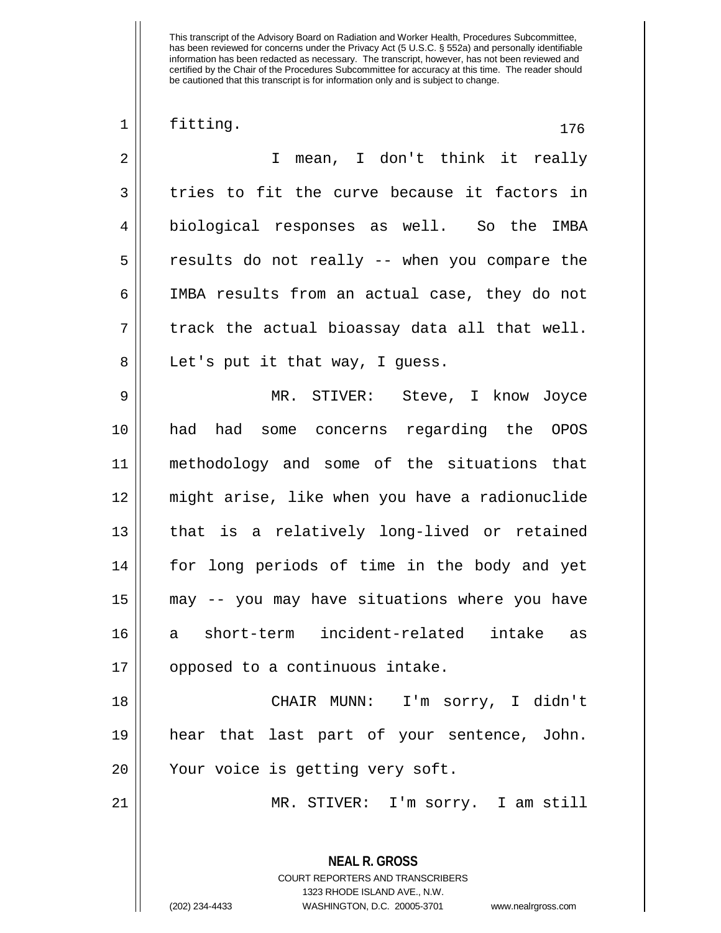**NEAL R. GROSS** COURT REPORTERS AND TRANSCRIBERS 1323 RHODE ISLAND AVE., N.W.  $\begin{array}{|c|c|c|c|c|}\n1 & \text{fitting.} & \text{176} \quad \text{176} \quad \text{177} \quad \text{188} & \text{199} \quad \text{199} \quad \text{198} \quad \text{100} \quad \text{101} \quad \text{110} \quad \text{120} \quad \text{131} \quad \text{142} \quad \text{153} \quad \text{164} \quad \text{176} \quad \text{177} \quad \text{188} \quad \text{199} \quad \text{199} \quad \text{199} \quad \text{1$ 2 I mean, I don't think it really  $3 \parallel$  tries to fit the curve because it factors in 4 biological responses as well. So the IMBA 5 results do not really -- when you compare the 6 IMBA results from an actual case, they do not  $7 \parallel$  track the actual bioassay data all that well.  $8 \parallel$  Let's put it that way, I guess. 9 MR. STIVER: Steve, I know Joyce 10 had had some concerns regarding the OPOS 11 methodology and some of the situations that 12 might arise, like when you have a radionuclide 13 || that is a relatively long-lived or retained 14 for long periods of time in the body and yet 15 may -- you may have situations where you have 16 a short-term incident-related intake as 17 || opposed to a continuous intake. 18 CHAIR MUNN: I'm sorry, I didn't 19 hear that last part of your sentence, John. 20 || Your voice is getting very soft. 21 MR. STIVER: I'm sorry. I am still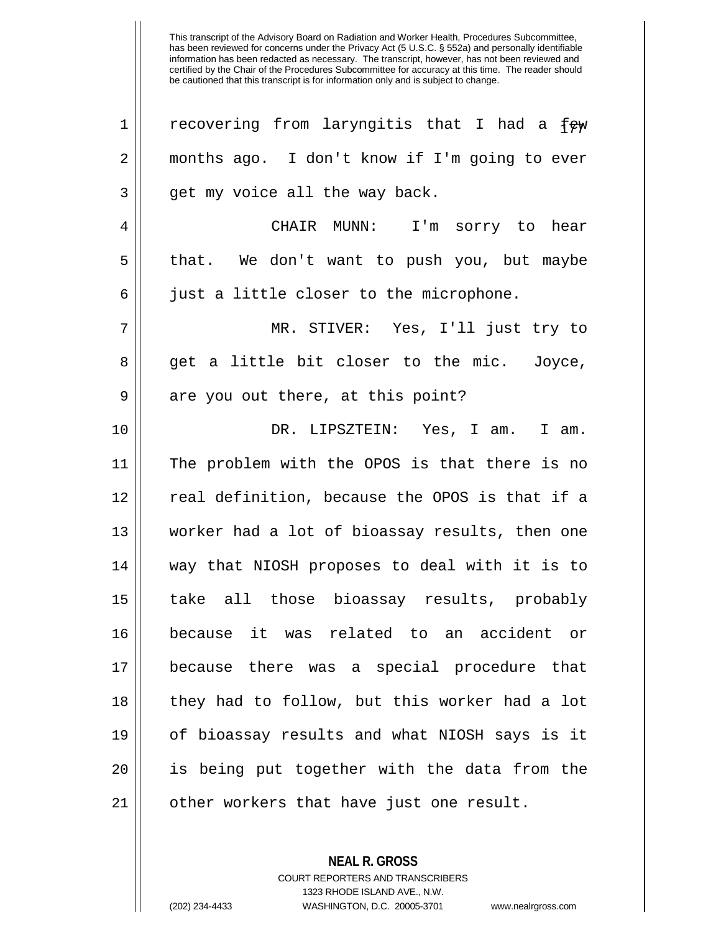| 1              | recovering from laryngitis that I had a few    |
|----------------|------------------------------------------------|
| $\overline{2}$ | months ago. I don't know if I'm going to ever  |
| 3              | get my voice all the way back.                 |
| 4              | CHAIR MUNN: I'm sorry to hear                  |
| 5              | that. We don't want to push you, but maybe     |
| 6              | just a little closer to the microphone.        |
| 7              | MR. STIVER: Yes, I'll just try to              |
| 8              | get a little bit closer to the mic. Joyce,     |
| $\mathsf 9$    | are you out there, at this point?              |
| 10             | DR. LIPSZTEIN: Yes, I am. I am.                |
| 11             | The problem with the OPOS is that there is no  |
| 12             | real definition, because the OPOS is that if a |
| 13             | worker had a lot of bioassay results, then one |
| 14             | way that NIOSH proposes to deal with it is to  |
| 15             | take all those bioassay results, probably      |
| 16             | because it was related to an accident or       |
| 17             | because there was a special procedure that     |
| 18             | they had to follow, but this worker had a lot  |
| 19             | of bioassay results and what NIOSH says is it  |
| 20             | is being put together with the data from the   |
| 21             | other workers that have just one result.       |

**NEAL R. GROSS** COURT REPORTERS AND TRANSCRIBERS

1323 RHODE ISLAND AVE., N.W.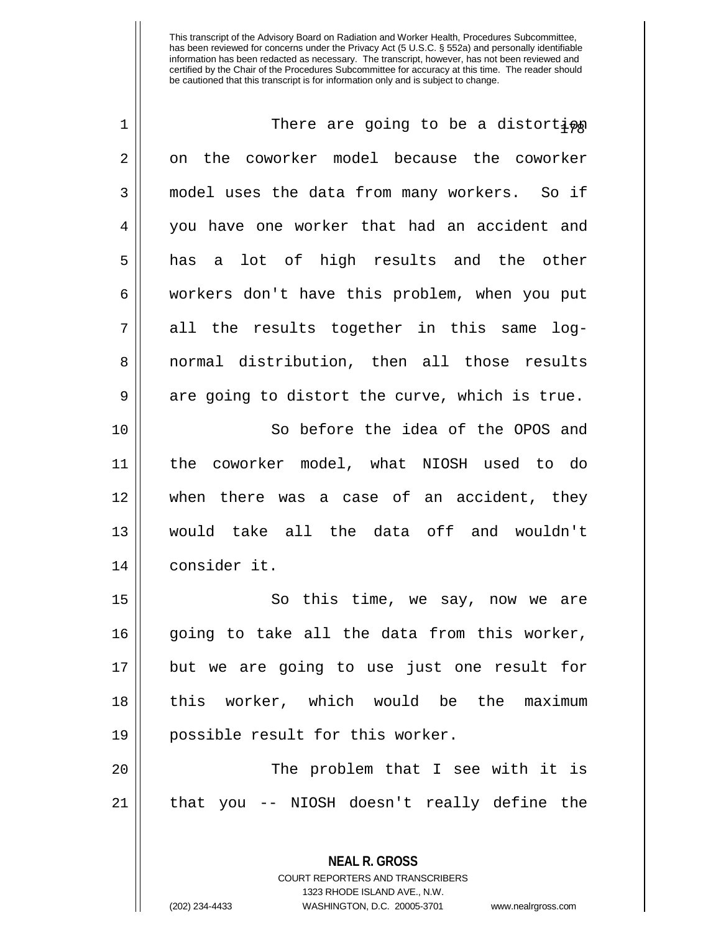| $\mathbf 1$ | There are going to be a distorti $\varphi$     |
|-------------|------------------------------------------------|
| 2           | on the coworker model because the coworker     |
| 3           | model uses the data from many workers. So if   |
| 4           | you have one worker that had an accident and   |
| 5           | has a lot of high results and the other        |
| 6           | workers don't have this problem, when you put  |
| 7           | all the results together in this same log-     |
| 8           | normal distribution, then all those results    |
| 9           | are going to distort the curve, which is true. |
| 10          | So before the idea of the OPOS and             |
| 11          | the coworker model, what NIOSH used to do      |
| 12          | there was a case of an accident, they<br>when  |
| 13          | would take all the data off and wouldn't       |
| 14          | consider it.                                   |
| 15          | So this time, we say, now we are               |
| 16          | going to take all the data from this worker,   |
| 17          | but we are going to use just one result for    |
| 18          | this worker, which would be the maximum        |
| 19          | possible result for this worker.               |
| 20          | The problem that I see with it is              |
| 21          | that you -- NIOSH doesn't really define the    |
|             |                                                |
|             | <b>NEAL R. GROSS</b>                           |

COURT REPORTERS AND TRANSCRIBERS 1323 RHODE ISLAND AVE., N.W.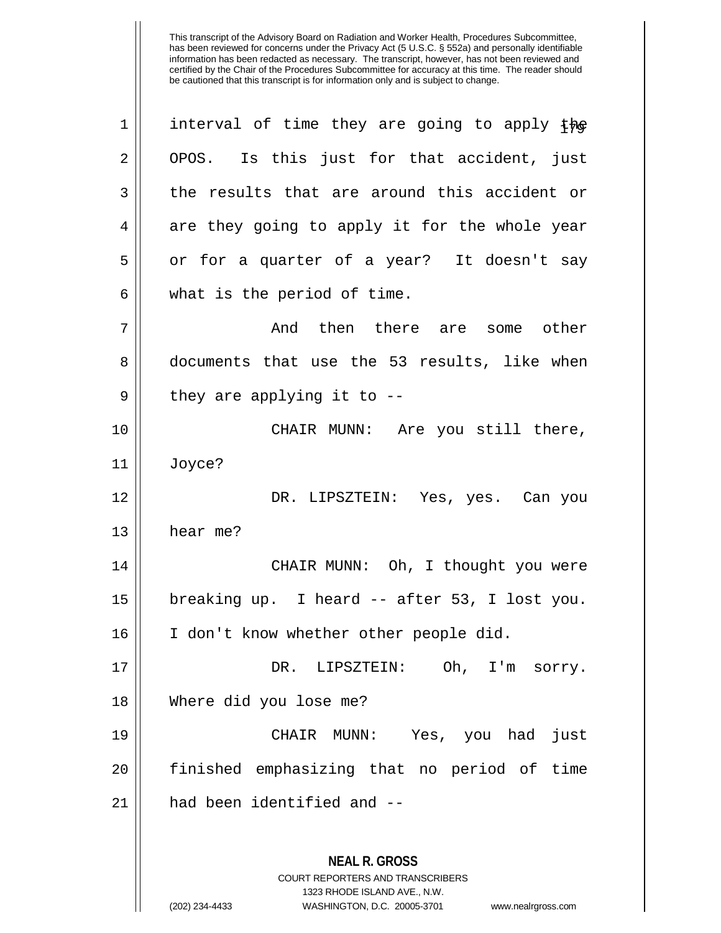| $\mathbf 1$ | interval of time they are going to apply the                                                        |
|-------------|-----------------------------------------------------------------------------------------------------|
| 2           | OPOS. Is this just for that accident, just                                                          |
| 3           | the results that are around this accident or                                                        |
| 4           | are they going to apply it for the whole year                                                       |
| 5           | or for a quarter of a year? It doesn't say                                                          |
| 6           | what is the period of time.                                                                         |
| 7           | And then there are<br>some other                                                                    |
| 8           | documents that use the 53 results, like when                                                        |
| 9           | they are applying it to $-$ -                                                                       |
| 10          | CHAIR MUNN: Are you still there,                                                                    |
| 11          | Joyce?                                                                                              |
| 12          | DR. LIPSZTEIN: Yes, yes. Can you                                                                    |
| 13          | hear me?                                                                                            |
| 14          | CHAIR MUNN: Oh, I thought you were                                                                  |
| 15          | breaking up. I heard -- after 53, I lost you.                                                       |
| 16          | I don't know whether other people did.                                                              |
| 17          | DR. LIPSZTEIN:<br>Oh, I'm sorry.                                                                    |
| 18          | Where did you lose me?                                                                              |
| 19          | CHAIR MUNN: Yes, you had just                                                                       |
| 20          | finished emphasizing that no period of time                                                         |
| 21          | had been identified and --                                                                          |
|             | <b>NEAL R. GROSS</b><br><b>COURT REPORTERS AND TRANSCRIBERS</b>                                     |
|             | 1323 RHODE ISLAND AVE., N.W.<br>(202) 234-4433<br>WASHINGTON, D.C. 20005-3701<br>www.nealrgross.com |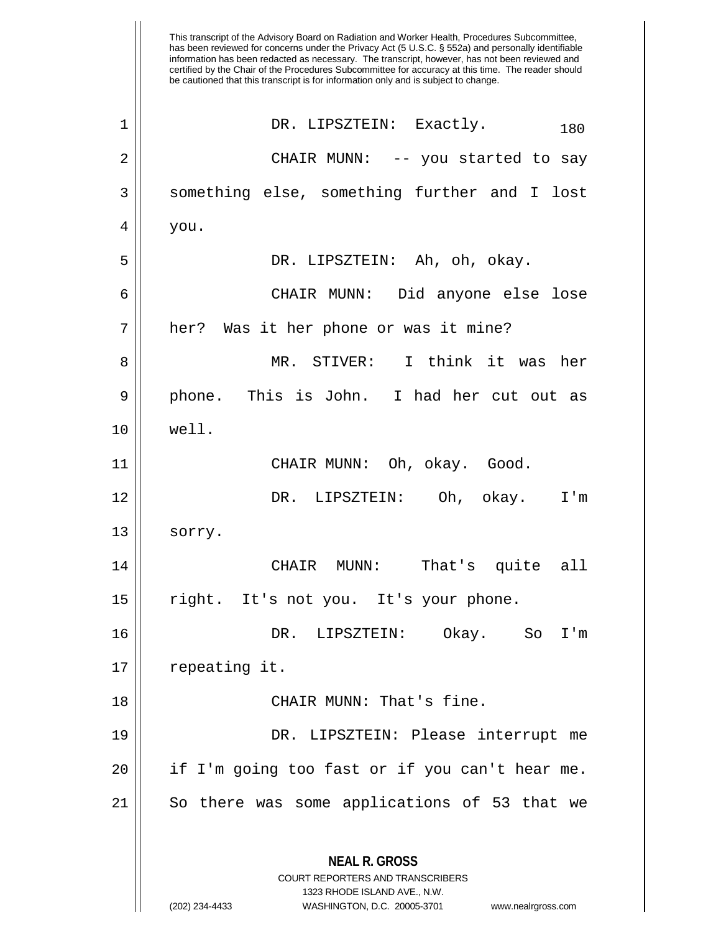This transcript of the Advisory Board on Radiation and Worker Health, Procedures Subcommittee, has been reviewed for concerns under the Privacy Act (5 U.S.C. § 552a) and personally identifiable information has been redacted as necessary. The transcript, however, has not been reviewed and certified by the Chair of the Procedures Subcommittee for accuracy at this time. The reader should be cautioned that this transcript is for information only and is subject to change. **NEAL R. GROSS** COURT REPORTERS AND TRANSCRIBERS 1323 RHODE ISLAND AVE., N.W. (202) 234-4433 WASHINGTON, D.C. 20005-3701 www.nealrgross.com  $1$  || DR. LIPSZTEIN: Exactly.  $180$ 2 CHAIR MUNN: -- you started to say 3 Something else, something further and I lost  $4 \mid$  you. 5 DR. LIPSZTEIN: Ah, oh, okay. 6 CHAIR MUNN: Did anyone else lose 7 || her? Was it her phone or was it mine? 8 MR. STIVER: I think it was her 9 || phone. This is John. I had her cut out as 10 well. 11 CHAIR MUNN: Oh, okay. Good. 12 DR. LIPSZTEIN: Oh, okay. I'm  $13 \parallel$  sorry. 14 CHAIR MUNN: That's quite all 15 right. It's not you. It's your phone. 16 DR. LIPSZTEIN: Okay. So I'm 17 | repeating it. 18 || CHAIR MUNN: That's fine. 19 DR. LIPSZTEIN: Please interrupt me  $20$  || if I'm going too fast or if you can't hear me.  $21$  So there was some applications of 53 that we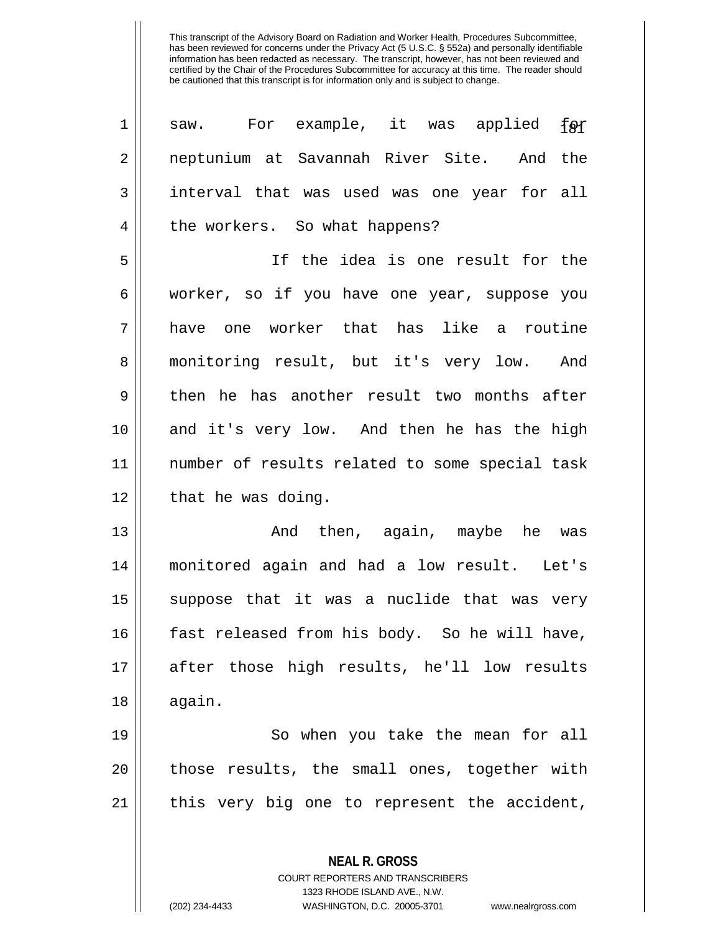| $\mathbf 1$ | For example, it was applied<br>‡ຄ≭<br>saw.     |
|-------------|------------------------------------------------|
| 2           | neptunium at Savannah River Site. And the      |
| 3           | interval that was used was one year for all    |
| 4           | the workers. So what happens?                  |
| 5           | If the idea is one result for the              |
| 6           | worker, so if you have one year, suppose you   |
| 7           | one worker that has like a routine<br>have     |
| 8           | monitoring result, but it's very low. And      |
| 9           | then he has another result two months after    |
| 10          | and it's very low. And then he has the high    |
| 11          | number of results related to some special task |
| 12          | that he was doing.                             |
| 13          | And then, again, maybe he was                  |
| 14          | monitored again and had a low result. Let's    |
| 15          | suppose that it was a nuclide that was very    |
| 16          | fast released from his body. So he will have,  |
| 17          | after those high results, he'll low results    |
| 18          | again.                                         |
| 19          | So when you take the mean for all              |
| 20          | those results, the small ones, together with   |
| 21          | this very big one to represent the accident,   |
|             | <b>NEAL R. GROSS</b>                           |
|             | COURT REPORTERS AND TRANSCRIBERS               |

1323 RHODE ISLAND AVE., N.W.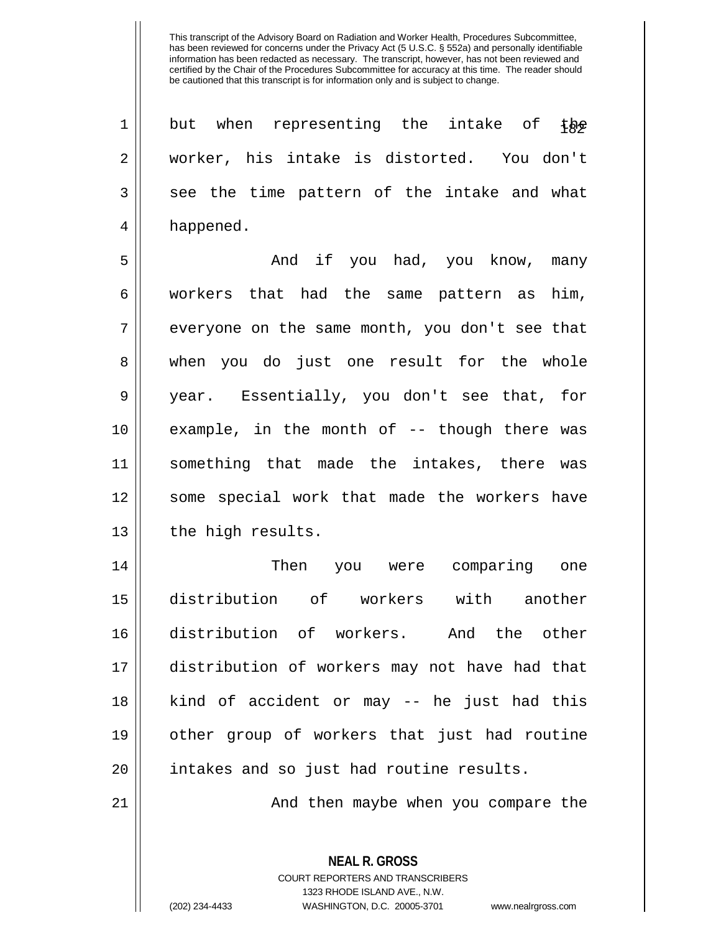1 || but when representing the intake of the 2 worker, his intake is distorted. You don't  $3 \parallel$  see the time pattern of the intake and what 4 || happened.

5 And if you had, you know, many 6 workers that had the same pattern as him,  $7$  || everyone on the same month, you don't see that 8 || when you do just one result for the whole 9 year. Essentially, you don't see that, for 10 example, in the month of -- though there was 11 something that made the intakes, there was 12 || some special work that made the workers have 13 || the high results.

 Then you were comparing one distribution of workers with another distribution of workers. And the other distribution of workers may not have had that kind of accident or may -- he just had this other group of workers that just had routine 20 || intakes and so just had routine results.

21 And then maybe when you compare the

**NEAL R. GROSS** COURT REPORTERS AND TRANSCRIBERS 1323 RHODE ISLAND AVE., N.W. (202) 234-4433 WASHINGTON, D.C. 20005-3701 www.nealrgross.com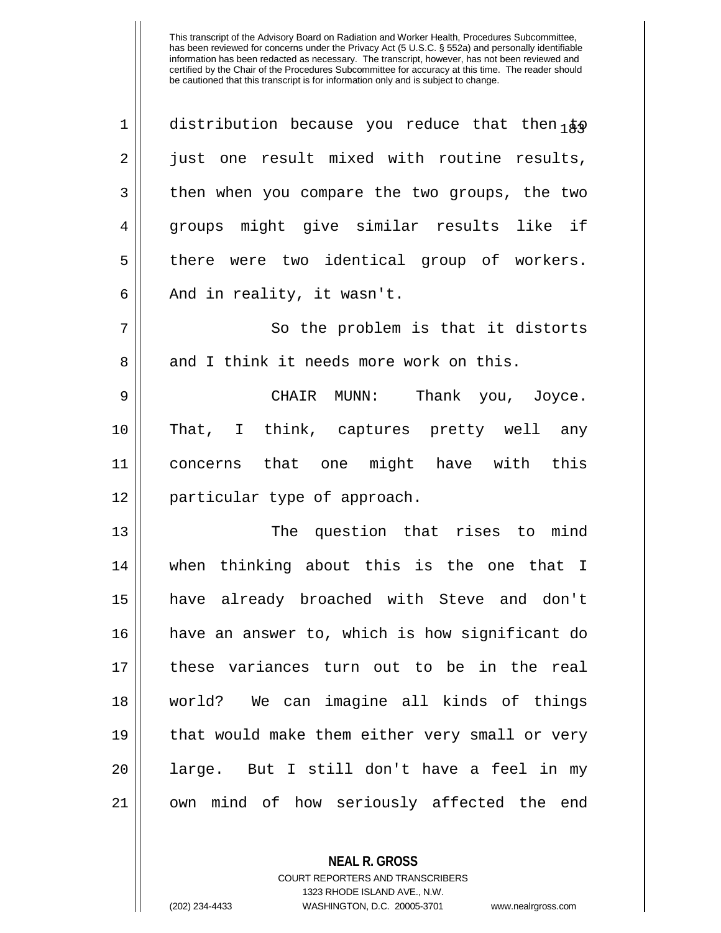| 1  | distribution because you reduce that then $1\overline{k}$ |
|----|-----------------------------------------------------------|
| 2  | just one result mixed with routine results,               |
| 3  | then when you compare the two groups, the two             |
| 4  | groups might give similar results like if                 |
| 5  | there were two identical group of workers.                |
| 6  | And in reality, it wasn't.                                |
| 7  | So the problem is that it distorts                        |
| 8  | and I think it needs more work on this.                   |
| 9  | CHAIR MUNN: Thank you, Joyce.                             |
| 10 | That, I think, captures pretty well any                   |
| 11 | concerns that one might have with this                    |
| 12 | particular type of approach.                              |
| 13 | The question that rises to mind                           |
| 14 | when thinking about this is the one that I                |
| 15 | have already broached with Steve and don't                |
| 16 | have an answer to, which is how significant do            |
| 17 | these variances turn out to be in the real                |
| 18 | world? We can imagine all kinds of things                 |
| 19 | that would make them either very small or very            |
| 20 | large. But I still don't have a feel in my                |
| 21 | own mind of how seriously affected the end                |

**NEAL R. GROSS**

COURT REPORTERS AND TRANSCRIBERS 1323 RHODE ISLAND AVE., N.W. (202) 234-4433 WASHINGTON, D.C. 20005-3701 www.nealrgross.com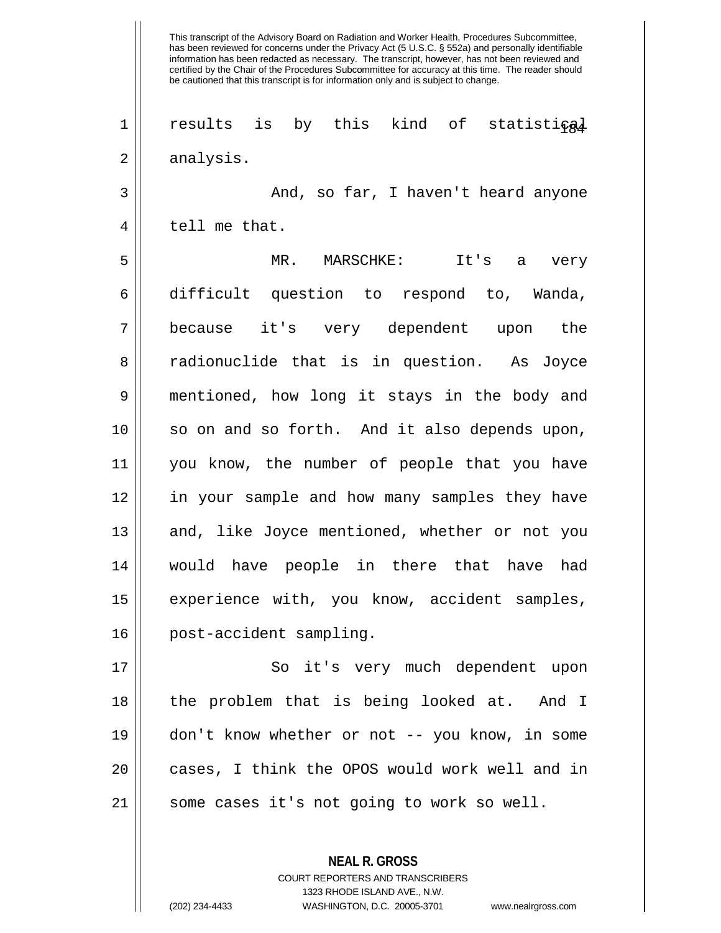has been reviewed for concerns under the Privacy Act (5 U.S.C. § 552a) and personally identifiable information has been redacted as necessary. The transcript, however, has not been reviewed and certified by the Chair of the Procedures Subcommittee for accuracy at this time. The reader should be cautioned that this transcript is for information only and is subject to change. 1 || results is by this kind of statistical 2 | analysis. 3 And, so far, I haven't heard anyone  $4 \parallel$  tell me that. 5 MR. MARSCHKE: It's a very 6 difficult question to respond to, Wanda, 7 because it's very dependent upon the 8 || radionuclide that is in question. As Joyce 9 mentioned, how long it stays in the body and 10 so on and so forth. And it also depends upon, 11 you know, the number of people that you have 12 || in your sample and how many samples they have 13 || and, like Joyce mentioned, whether or not you 14 would have people in there that have had 15 || experience with, you know, accident samples, 16 post-accident sampling. 17 || So it's very much dependent upon 18 the problem that is being looked at. And I 19 don't know whether or not -- you know, in some

This transcript of the Advisory Board on Radiation and Worker Health, Procedures Subcommittee,

 $21$  some cases it's not going to work so well.

**NEAL R. GROSS** COURT REPORTERS AND TRANSCRIBERS 1323 RHODE ISLAND AVE., N.W. (202) 234-4433 WASHINGTON, D.C. 20005-3701 www.nealrgross.com

20 || cases, I think the OPOS would work well and in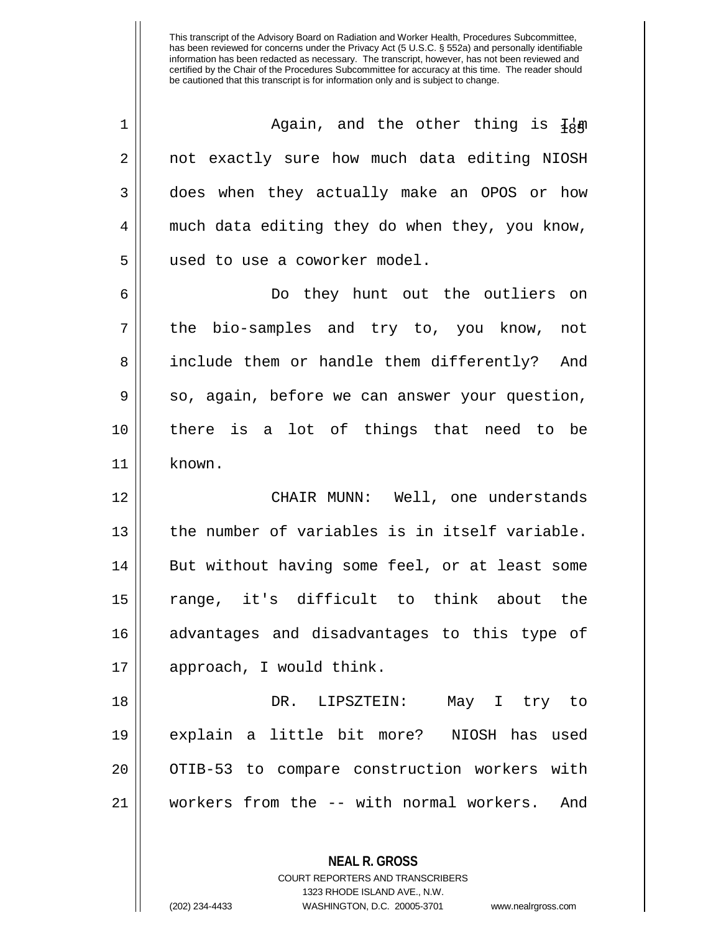| $\mathbf 1$ | Again, and the other thing is $I_8$ m          |
|-------------|------------------------------------------------|
| 2           | not exactly sure how much data editing NIOSH   |
| 3           | does when they actually make an OPOS or how    |
| 4           | much data editing they do when they, you know, |
| 5           | used to use a coworker model.                  |
| 6           | Do they hunt out the outliers on               |
| 7           | the bio-samples and try to, you know, not      |
| 8           | include them or handle them differently? And   |
| 9           | so, again, before we can answer your question, |
| 10          | there is a lot of things that need to be       |
| 11          | known.                                         |
|             |                                                |
| 12          | CHAIR MUNN: Well, one understands              |
| 13          | the number of variables is in itself variable. |
| 14          | But without having some feel, or at least some |
| 15          | range, it's difficult to think about the       |
| 16          | advantages and disadvantages to this type of   |
| 17          | approach, I would think.                       |
| 18          | DR. LIPSZTEIN: May I try to                    |
| 19          | explain a little bit more? NIOSH has used      |
| 20          | OTIB-53 to compare construction workers with   |
| 21          | workers from the -- with normal workers. And   |

**NEAL R. GROSS**

COURT REPORTERS AND TRANSCRIBERS 1323 RHODE ISLAND AVE., N.W.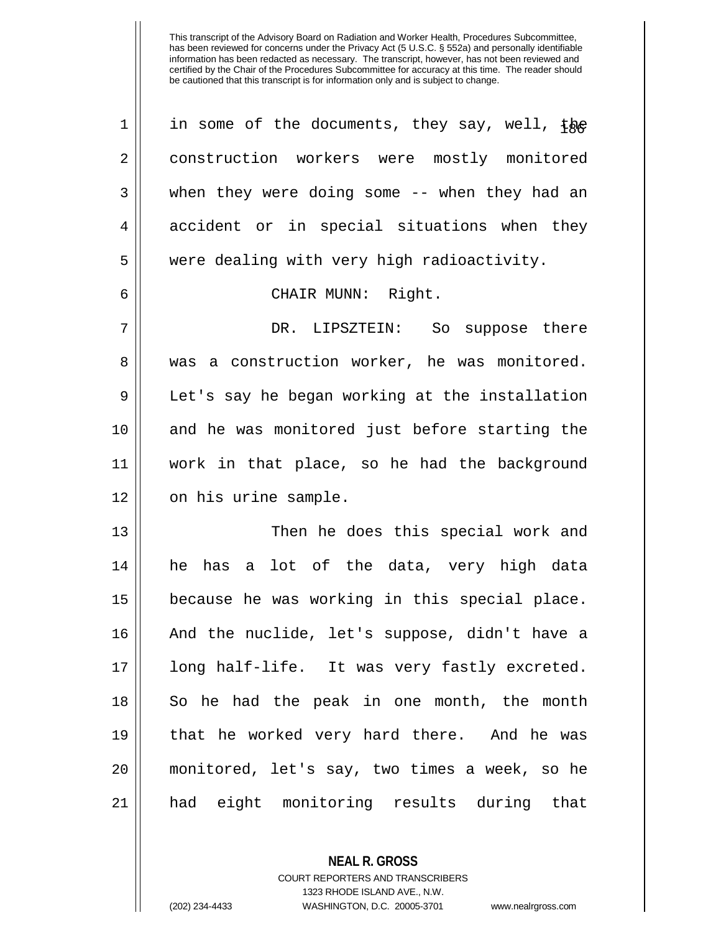| $\mathbf 1$ | in some of the documents, they say, well, the   |
|-------------|-------------------------------------------------|
| 2           | construction workers were mostly monitored      |
| 3           | when they were doing some -- when they had an   |
| 4           | accident or in special situations when they     |
| 5           | were dealing with very high radioactivity.      |
| 6           | CHAIR MUNN: Right.                              |
| 7           | DR. LIPSZTEIN: So suppose there                 |
| 8           | a construction worker, he was monitored.<br>was |
| 9           | Let's say he began working at the installation  |
| 10          | and he was monitored just before starting the   |
| 11          | work in that place, so he had the background    |
| 12          | on his urine sample.                            |
| 13          | Then he does this special work and              |
| 14          | he has a lot of the data, very high data        |
| 15          | because he was working in this special place.   |
| 16          | And the nuclide, let's suppose, didn't have a   |
| 17          | long half-life. It was very fastly excreted.    |
| 18          | So he had the peak in one month, the month      |
| 19          | that he worked very hard there. And he was      |
| 20          | monitored, let's say, two times a week, so he   |
| 21          | had eight monitoring results during that        |

**NEAL R. GROSS** COURT REPORTERS AND TRANSCRIBERS

1323 RHODE ISLAND AVE., N.W.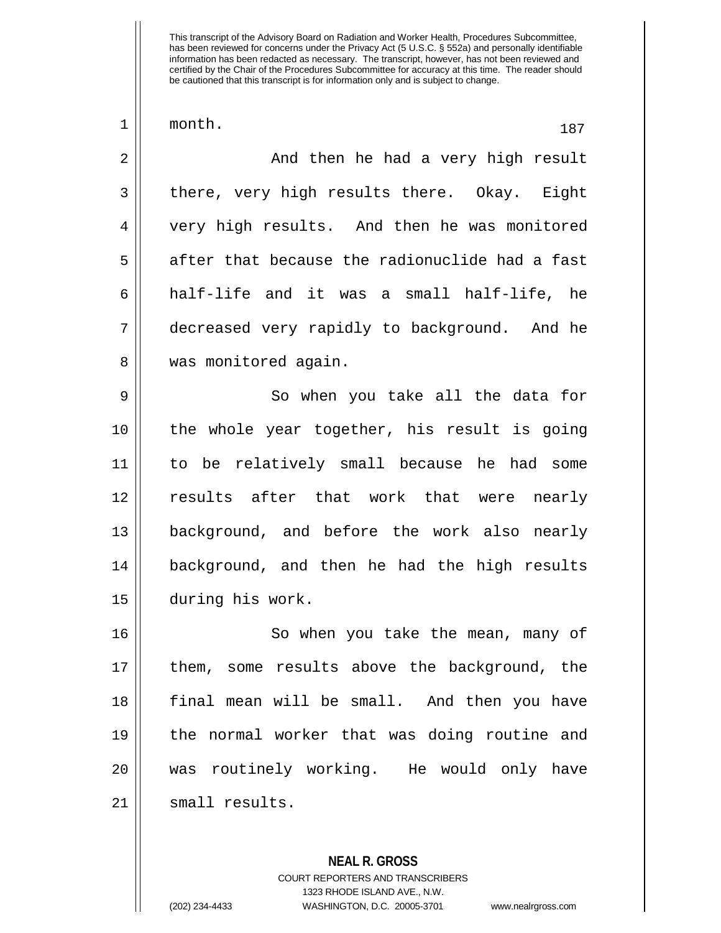| 1  | month.<br>187                                  |
|----|------------------------------------------------|
| 2  | And then he had a very high result             |
| 3  | there, very high results there. Okay. Eight    |
| 4  | very high results. And then he was monitored   |
| 5  | after that because the radionuclide had a fast |
| 6  | half-life and it was a small half-life, he     |
| 7  | decreased very rapidly to background. And he   |
| 8  | was monitored again.                           |
| 9  | So when you take all the data for              |
| 10 | the whole year together, his result is going   |
| 11 | to be relatively small because he had some     |
| 12 | results after that work that were nearly       |
| 13 | background, and before the work also nearly    |
| 14 | background, and then he had the high results   |
| 15 | during his work.                               |
| 16 | So when you take the mean, many of             |
| 17 | them, some results above the background, the   |
| 18 | final mean will be small. And then you have    |
| 19 | the normal worker that was doing routine and   |
| 20 | was routinely working. He would only have      |
| 21 | small results.                                 |
|    |                                                |

**NEAL R. GROSS** COURT REPORTERS AND TRANSCRIBERS 1323 RHODE ISLAND AVE., N.W. (202) 234-4433 WASHINGTON, D.C. 20005-3701 www.nealrgross.com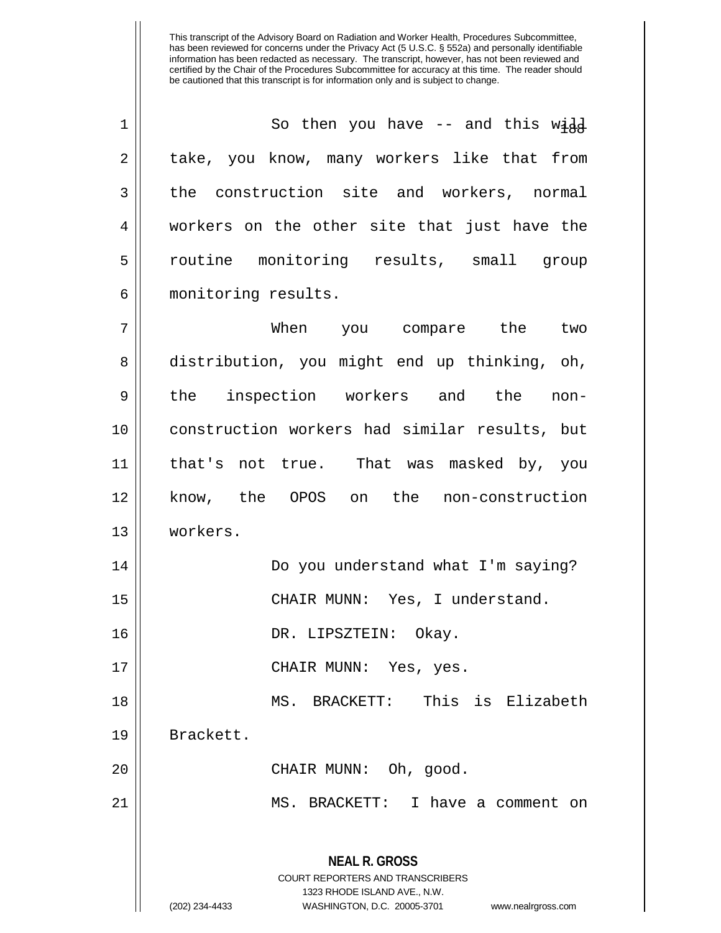| $\mathbf 1$ | So then you have -- and this $w \dot{a} d$                                                                                                                             |
|-------------|------------------------------------------------------------------------------------------------------------------------------------------------------------------------|
| 2           | take, you know, many workers like that from                                                                                                                            |
| 3           | the construction site and workers, normal                                                                                                                              |
| 4           | workers on the other site that just have the                                                                                                                           |
| 5           | routine monitoring results, small group                                                                                                                                |
| 6           | monitoring results.                                                                                                                                                    |
| 7           | When you compare the two                                                                                                                                               |
| 8           | distribution, you might end up thinking, oh,                                                                                                                           |
| 9           | the inspection workers and the non-                                                                                                                                    |
| 10          | construction workers had similar results, but                                                                                                                          |
| 11          | that's not true. That was masked by, you                                                                                                                               |
| 12          | know, the OPOS on the non-construction                                                                                                                                 |
| 13          | workers.                                                                                                                                                               |
| 14          | Do you understand what I'm saying?                                                                                                                                     |
| 15          | CHAIR MUNN: Yes, I understand.                                                                                                                                         |
| 16          | DR. LIPSZTEIN: Okay.                                                                                                                                                   |
| 17          | CHAIR MUNN: Yes, yes.                                                                                                                                                  |
| 18          | MS. BRACKETT: This is Elizabeth                                                                                                                                        |
| 19          | Brackett.                                                                                                                                                              |
| 20          | CHAIR MUNN: Oh, good.                                                                                                                                                  |
| 21          | MS. BRACKETT: I have a comment on                                                                                                                                      |
|             | <b>NEAL R. GROSS</b><br><b>COURT REPORTERS AND TRANSCRIBERS</b><br>1323 RHODE ISLAND AVE., N.W.<br>(202) 234-4433<br>WASHINGTON, D.C. 20005-3701<br>www.nealrgross.com |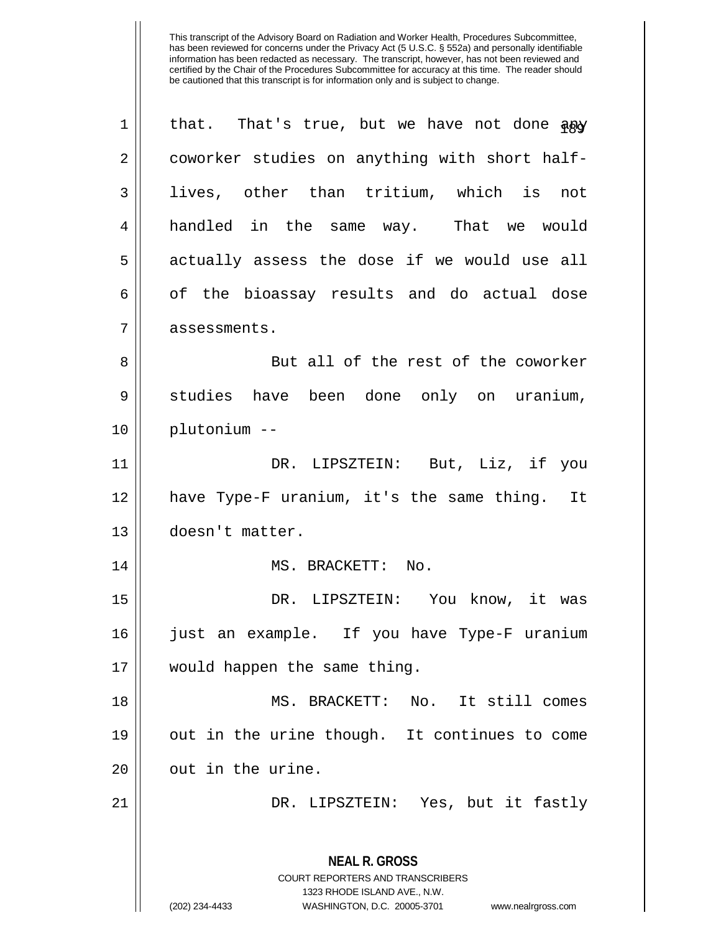| 1  | that. That's true, but we have not done apy                                                                                                                     |
|----|-----------------------------------------------------------------------------------------------------------------------------------------------------------------|
| 2  | coworker studies on anything with short half-                                                                                                                   |
| 3  | lives, other than tritium, which is not                                                                                                                         |
| 4  | handled in the same way. That we would                                                                                                                          |
| 5  | actually assess the dose if we would use all                                                                                                                    |
| 6  | of the bioassay results and do actual dose                                                                                                                      |
| 7  | assessments.                                                                                                                                                    |
| 8  | But all of the rest of the coworker                                                                                                                             |
| 9  | studies have been done only on uranium,                                                                                                                         |
| 10 | plutonium --                                                                                                                                                    |
| 11 | DR. LIPSZTEIN: But, Liz, if you                                                                                                                                 |
| 12 | have Type-F uranium, it's the same thing. It                                                                                                                    |
| 13 | doesn't matter.                                                                                                                                                 |
| 14 | MS. BRACKETT: No.                                                                                                                                               |
| 15 | DR. LIPSZTEIN: You know, it was                                                                                                                                 |
| 16 | just an example. If you have Type-F uranium                                                                                                                     |
| 17 | would happen the same thing.                                                                                                                                    |
| 18 | MS. BRACKETT: No. It still comes                                                                                                                                |
| 19 | out in the urine though. It continues to come                                                                                                                   |
| 20 | out in the urine.                                                                                                                                               |
| 21 | DR. LIPSZTEIN: Yes, but it fastly                                                                                                                               |
|    | <b>NEAL R. GROSS</b><br>COURT REPORTERS AND TRANSCRIBERS<br>1323 RHODE ISLAND AVE., N.W.<br>(202) 234-4433<br>WASHINGTON, D.C. 20005-3701<br>www.nealrgross.com |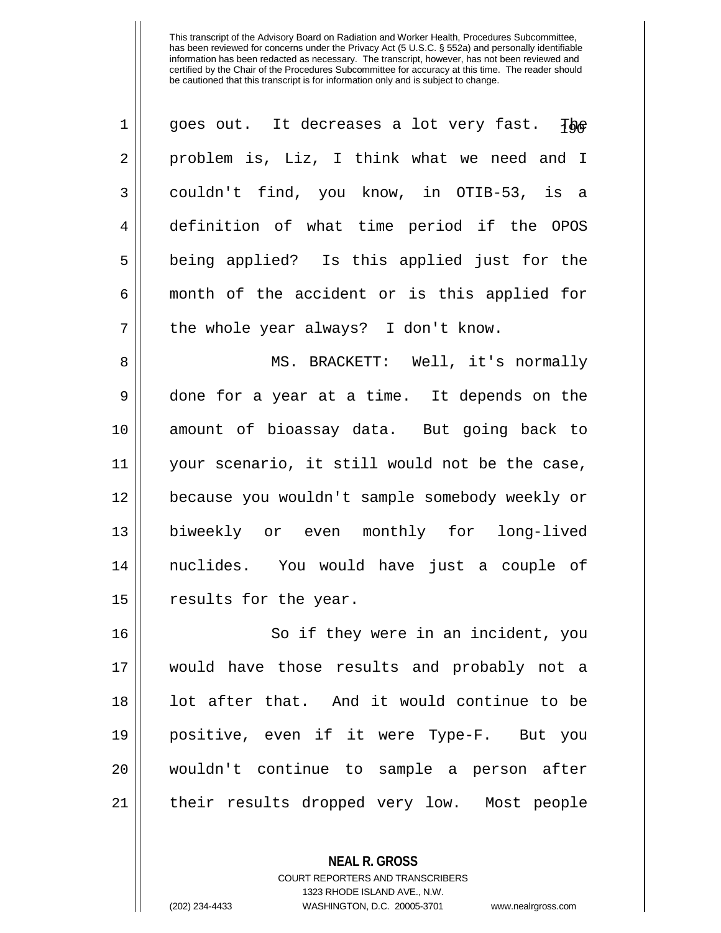| $\mathbf 1$    | goes out. It decreases a lot very fast. The    |
|----------------|------------------------------------------------|
| $\overline{2}$ | problem is, Liz, I think what we need and I    |
| 3              | couldn't find, you know, in OTIB-53, is a      |
| 4              | definition of what time period if the OPOS     |
| 5              | being applied? Is this applied just for the    |
| 6              | month of the accident or is this applied for   |
| 7              | the whole year always? I don't know.           |
| 8              | MS. BRACKETT: Well, it's normally              |
| 9              | done for a year at a time. It depends on the   |
| 10             | amount of bioassay data. But going back to     |
| 11             | your scenario, it still would not be the case, |
| 12             | because you wouldn't sample somebody weekly or |
| 13             | biweekly or even monthly for long-lived        |
| 14             | nuclides. You would have just a couple of      |
| 15             | results for the year.                          |
| 16             | So if they were in an incident, you            |
| 17             | would have those results and probably not a    |
| 18             | lot after that. And it would continue to be    |
| 19             | positive, even if it were Type-F. But you      |
| 20             | wouldn't continue to sample a person after     |
|                |                                                |

21 || their results dropped very low. Most people

**NEAL R. GROSS** COURT REPORTERS AND TRANSCRIBERS

1323 RHODE ISLAND AVE., N.W.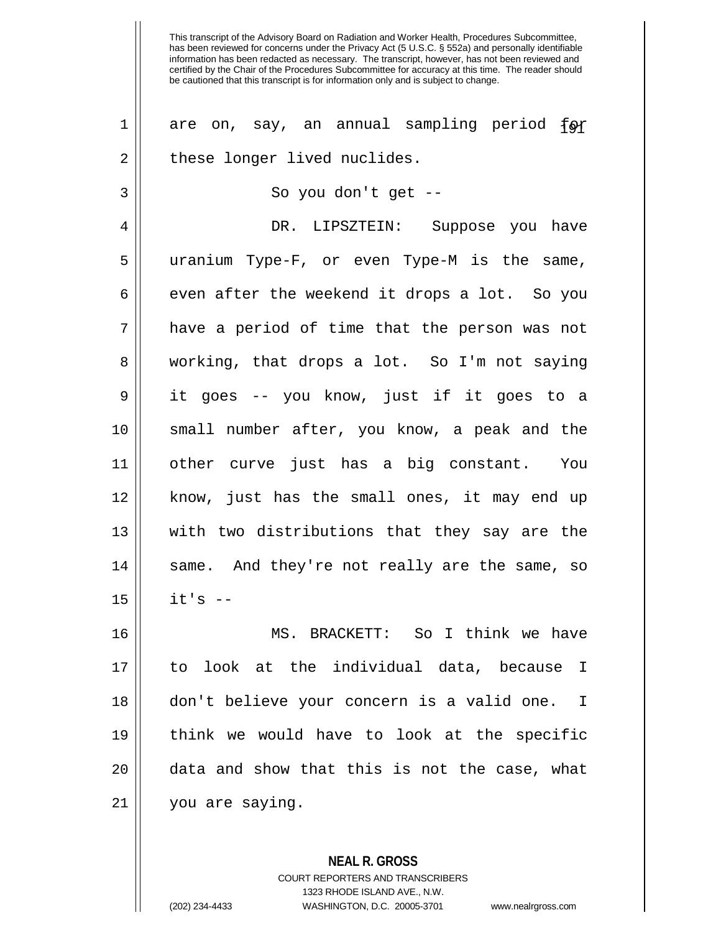has been reviewed for concerns under the Privacy Act (5 U.S.C. § 552a) and personally identifiable information has been redacted as necessary. The transcript, however, has not been reviewed and certified by the Chair of the Procedures Subcommittee for accuracy at this time. The reader should be cautioned that this transcript is for information only and is subject to change. 1 are on, say, an annual sampling period for 2 || these longer lived nuclides. 3 || So you don't get --4 DR. LIPSZTEIN: Suppose you have 5 uranium Type-F, or even Type-M is the same,  $6 \parallel$  even after the weekend it drops a lot. So you  $7$  || have a period of time that the person was not 8 working, that drops a lot. So I'm not saying 9 it goes -- you know, just if it goes to a 10 small number after, you know, a peak and the 11 other curve just has a big constant. You 12 || know, just has the small ones, it may end up 13 with two distributions that they say are the 14 || same. And they're not really are the same, so  $15$   $||$   $15$   $-$ 16 MS. BRACKETT: So I think we have 17 to look at the individual data, because I 18 don't believe your concern is a valid one. I 19 think we would have to look at the specific 20 || data and show that this is not the case, what 21 you are saying.

This transcript of the Advisory Board on Radiation and Worker Health, Procedures Subcommittee,

COURT REPORTERS AND TRANSCRIBERS 1323 RHODE ISLAND AVE., N.W. (202) 234-4433 WASHINGTON, D.C. 20005-3701 www.nealrgross.com

**NEAL R. GROSS**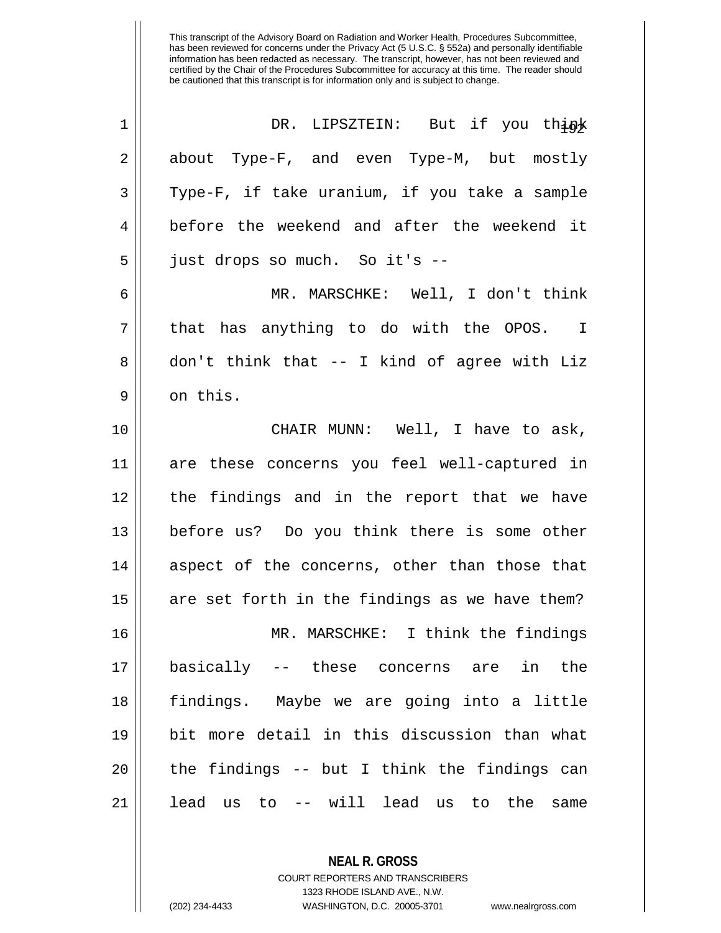| 1  | DR. LIPSZTEIN: But if you think                 |
|----|-------------------------------------------------|
| 2  | about Type-F, and even Type-M, but mostly       |
| 3  | Type-F, if take uranium, if you take a sample   |
| 4  | before the weekend and after the weekend it     |
| 5  | just drops so much. So it's --                  |
| 6  | MR. MARSCHKE: Well, I don't think               |
| 7  | that has anything to do with the OPOS. I        |
| 8  | don't think that -- I kind of agree with Liz    |
| 9  | on this.                                        |
| 10 | CHAIR MUNN: Well, I have to ask,                |
| 11 | are these concerns you feel well-captured in    |
| 12 | the findings and in the report that we have     |
| 13 | before us? Do you think there is some other     |
| 14 | aspect of the concerns, other than those that   |
| 15 | are set forth in the findings as we have them?  |
| 16 | MR. MARSCHKE: I think the findings              |
| 17 | basically -- these concerns are in<br>the       |
| 18 | findings. Maybe we are going into a little      |
| 19 | bit more detail in this discussion than what    |
| 20 | the findings -- but I think the findings can    |
| 21 | lead us to -- will lead us<br>the<br>to<br>same |

COURT REPORTERS AND TRANSCRIBERS 1323 RHODE ISLAND AVE., N.W. (202) 234-4433 WASHINGTON, D.C. 20005-3701 www.nealrgross.com

**NEAL R. GROSS**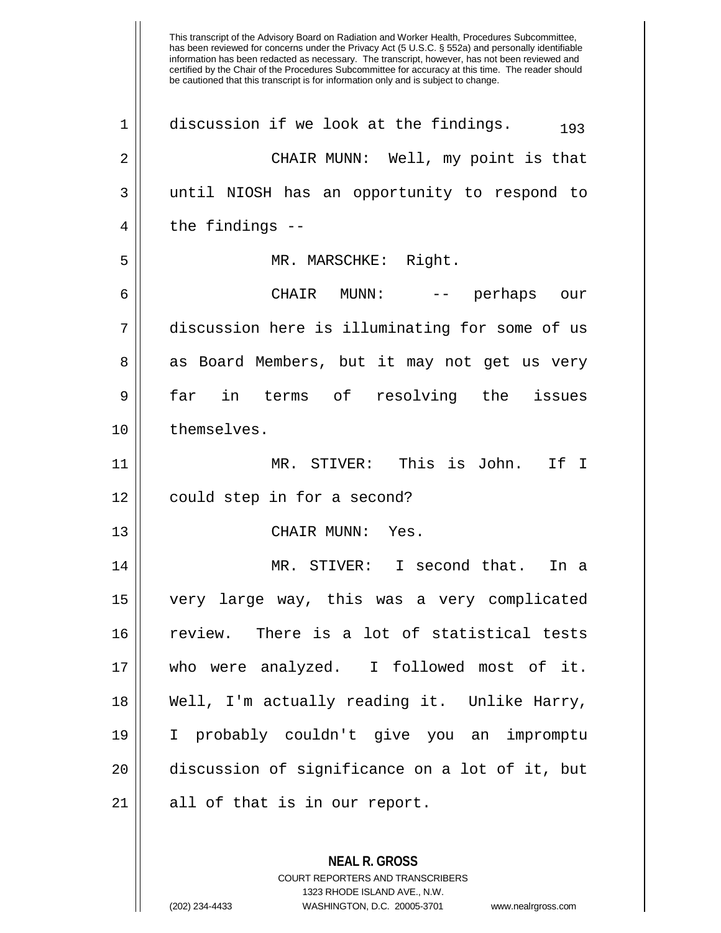This transcript of the Advisory Board on Radiation and Worker Health, Procedures Subcommittee, has been reviewed for concerns under the Privacy Act (5 U.S.C. § 552a) and personally identifiable information has been redacted as necessary. The transcript, however, has not been reviewed and certified by the Chair of the Procedures Subcommittee for accuracy at this time. The reader should be cautioned that this transcript is for information only and is subject to change. 1 | discussion if we look at the findings.  $193$ 2 CHAIR MUNN: Well, my point is that 3 until NIOSH has an opportunity to respond to  $4 \parallel$  the findings --5 MR. MARSCHKE: Right. 6 CHAIR MUNN: -- perhaps our 7 discussion here is illuminating for some of us 8 as Board Members, but it may not get us very 9 far in terms of resolving the issues 10 l themselves. 11 MR. STIVER: This is John. If I 12 | could step in for a second? 13 || CHAIR MUNN: Yes. 14 MR. STIVER: I second that. In a 15 very large way, this was a very complicated 16 review. There is a lot of statistical tests 17 who were analyzed. I followed most of it. 18 Well, I'm actually reading it. Unlike Harry, 19 I probably couldn't give you an impromptu 20 discussion of significance on a lot of it, but  $21$  || all of that is in our report.

> **NEAL R. GROSS** COURT REPORTERS AND TRANSCRIBERS 1323 RHODE ISLAND AVE., N.W. (202) 234-4433 WASHINGTON, D.C. 20005-3701 www.nealrgross.com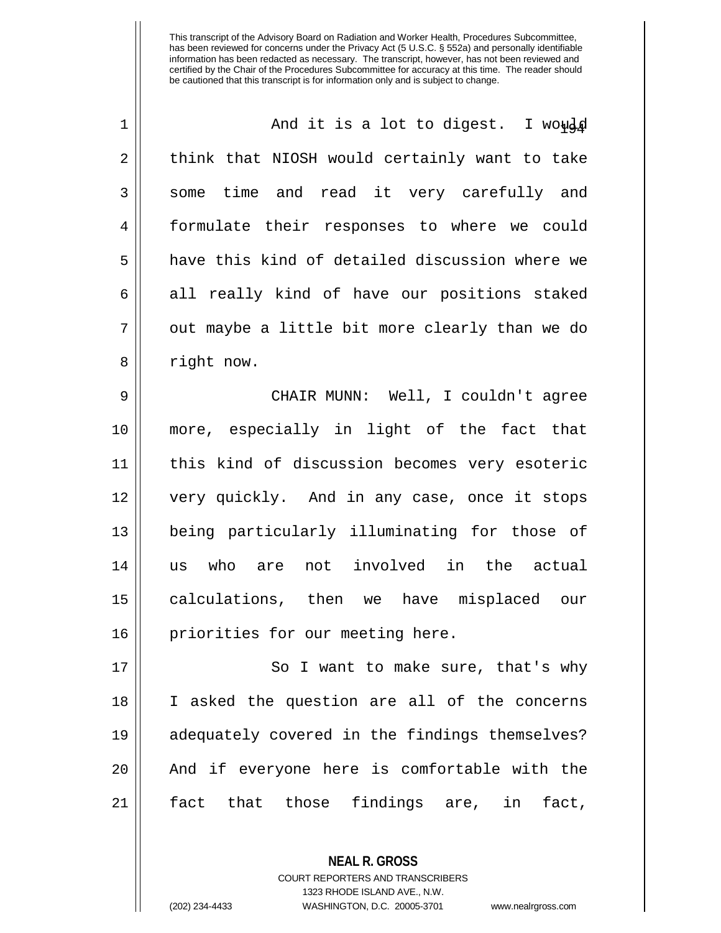| $\mathbf 1$ | And it is a lot to digest. I would             |
|-------------|------------------------------------------------|
| 2           | think that NIOSH would certainly want to take  |
| 3           | some time and read it very carefully and       |
| 4           | formulate their responses to where we could    |
| 5           | have this kind of detailed discussion where we |
| 6           | all really kind of have our positions staked   |
| 7           | out maybe a little bit more clearly than we do |
| 8           | right now.                                     |
| 9           | CHAIR MUNN: Well, I couldn't agree             |
| 10          | more, especially in light of the fact that     |
| 11          | this kind of discussion becomes very esoteric  |
| 12          | very quickly. And in any case, once it stops   |
| 13          | being particularly illuminating for those of   |
| 14          | not involved in the actual<br>who are<br>us    |
| 15          | calculations, then we have misplaced our       |
| 16          | priorities for our meeting here.               |
| 17          | So I want to make sure, that's why             |
| 18          | I asked the question are all of the concerns   |
| 19          | adequately covered in the findings themselves? |
| 20          | And if everyone here is comfortable with the   |
| 21          | that those findings are, in<br>fact<br>fact,   |

**NEAL R. GROSS** COURT REPORTERS AND TRANSCRIBERS 1323 RHODE ISLAND AVE., N.W.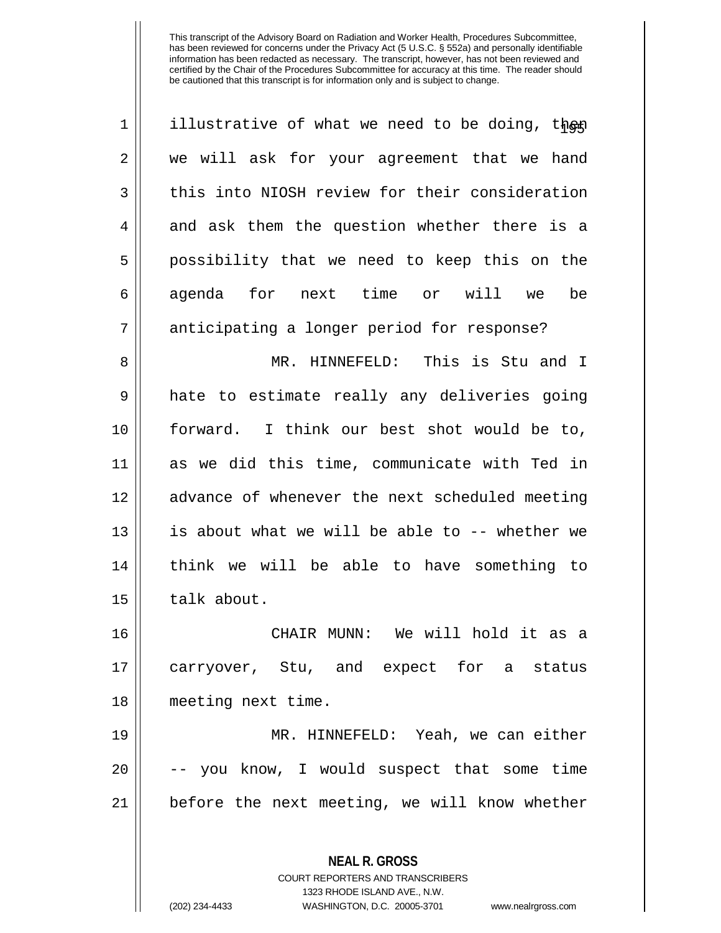| $\mathbf 1$ | illustrative of what we need to be doing, then           |
|-------------|----------------------------------------------------------|
| 2           | we will ask for your agreement that we hand              |
| 3           | this into NIOSH review for their consideration           |
| 4           | and ask them the question whether there is a             |
| 5           | possibility that we need to keep this on the             |
| 6           | agenda for next time or will<br>be<br>we                 |
| 7           | anticipating a longer period for response?               |
| 8           | MR. HINNEFELD: This is Stu and I                         |
| 9           | hate to estimate really any deliveries going             |
| 10          | forward. I think our best shot would be to,              |
| 11          | as we did this time, communicate with Ted in             |
| 12          | advance of whenever the next scheduled meeting           |
| 13          | is about what we will be able to -- whether we           |
| 14          | think we will be able to have something to               |
| 15          | talk about.                                              |
| 16          | We will hold it as a<br>CHAIR MUNN:                      |
| 17          | carryover, Stu, and expect for a status                  |
| 18          | meeting next time.                                       |
| 19          | MR. HINNEFELD: Yeah, we can either                       |
| 20          | -- you know, I would suspect that some time              |
| 21          | before the next meeting, we will know whether            |
|             | <b>NEAL R. GROSS</b><br>COURT REPORTERS AND TRANSCRIBERS |

1323 RHODE ISLAND AVE., N.W.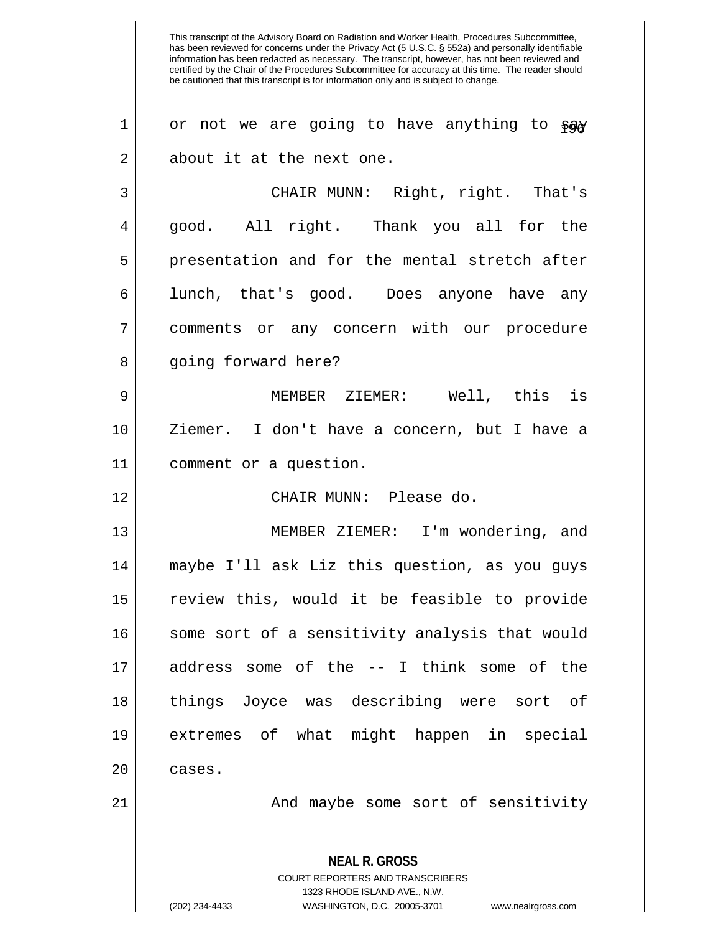This transcript of the Advisory Board on Radiation and Worker Health, Procedures Subcommittee, has been reviewed for concerns under the Privacy Act (5 U.S.C. § 552a) and personally identifiable information has been redacted as necessary. The transcript, however, has not been reviewed and certified by the Chair of the Procedures Subcommittee for accuracy at this time. The reader should be cautioned that this transcript is for information only and is subject to change. **NEAL R. GROSS** COURT REPORTERS AND TRANSCRIBERS 1 | or not we are going to have anything to  $\wp_{\alpha}$ 2 || about it at the next one. 3 CHAIR MUNN: Right, right. That's 4 good. All right. Thank you all for the 5 || presentation and for the mental stretch after 6 lunch, that's good. Does anyone have any 7 || comments or any concern with our procedure 8 || going forward here? 9 MEMBER ZIEMER: Well, this is 10 Ziemer. I don't have a concern, but I have a 11 comment or a question. 12 CHAIR MUNN: Please do. 13 MEMBER ZIEMER: I'm wondering, and 14 maybe I'll ask Liz this question, as you guys 15 review this, would it be feasible to provide 16 || some sort of a sensitivity analysis that would 17 address some of the -- I think some of the 18 things Joyce was describing were sort of 19 extremes of what might happen in special  $20$  | cases. 21 || The Mand maybe some sort of sensitivity

1323 RHODE ISLAND AVE., N.W.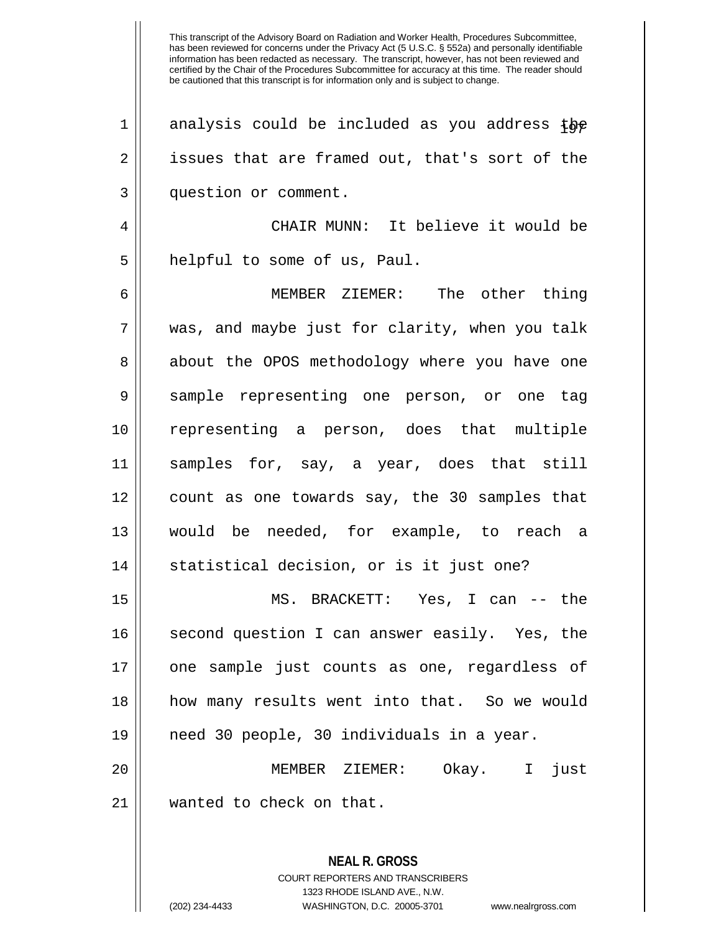**NEAL R. GROSS** 1 analysis could be included as you address the 2 || issues that are framed out, that's sort of the question or comment. CHAIR MUNN: It believe it would be 5 || helpful to some of us, Paul. MEMBER ZIEMER: The other thing was, and maybe just for clarity, when you talk 8 || about the OPOS methodology where you have one sample representing one person, or one tag representing a person, does that multiple samples for, say, a year, does that still count as one towards say, the 30 samples that would be needed, for example, to reach a 14 || statistical decision, or is it just one? MS. BRACKETT: Yes, I can -- the 16 || second question I can answer easily. Yes, the one sample just counts as one, regardless of how many results went into that. So we would need 30 people, 30 individuals in a year. MEMBER ZIEMER: Okay. I just 21 || wanted to check on that.

> COURT REPORTERS AND TRANSCRIBERS 1323 RHODE ISLAND AVE., N.W.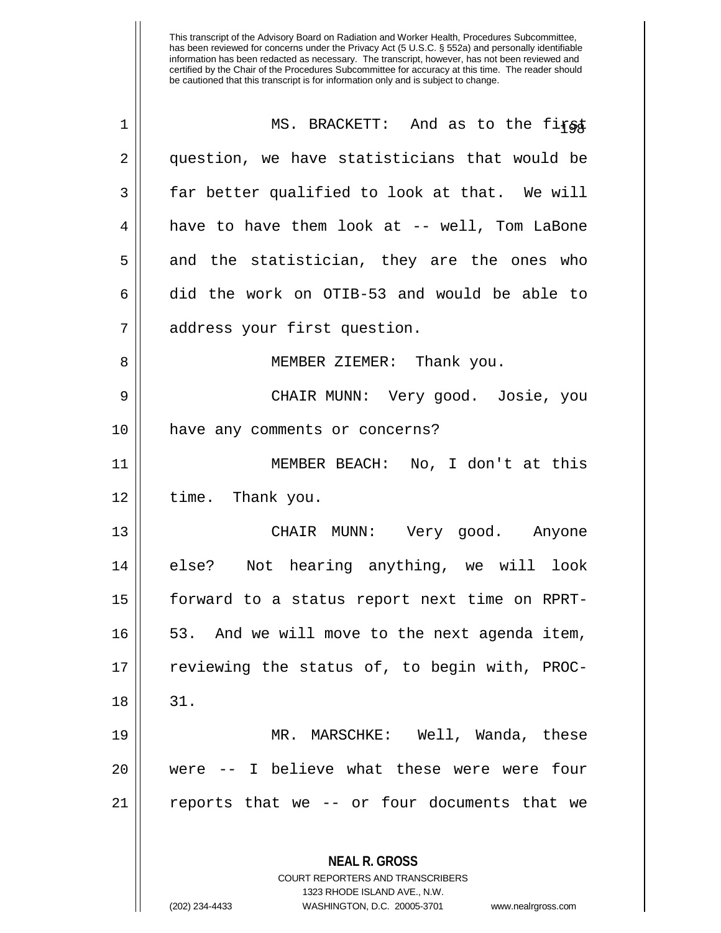| 1  | MS. BRACKETT: And as to the first                                                                                                                                      |
|----|------------------------------------------------------------------------------------------------------------------------------------------------------------------------|
| 2  | question, we have statisticians that would be                                                                                                                          |
| 3  | far better qualified to look at that. We will                                                                                                                          |
| 4  | have to have them look at -- well, Tom LaBone                                                                                                                          |
| 5  | and the statistician, they are the ones who                                                                                                                            |
| 6  | did the work on OTIB-53 and would be able to                                                                                                                           |
| 7  | address your first question.                                                                                                                                           |
| 8  | MEMBER ZIEMER: Thank you.                                                                                                                                              |
| 9  | CHAIR MUNN: Very good. Josie, you                                                                                                                                      |
| 10 | have any comments or concerns?                                                                                                                                         |
| 11 | MEMBER BEACH: No, I don't at this                                                                                                                                      |
| 12 | time. Thank you.                                                                                                                                                       |
| 13 | CHAIR MUNN: Very good. Anyone                                                                                                                                          |
| 14 | else? Not hearing anything, we will look                                                                                                                               |
| 15 | forward to a status report next time on RPRT-                                                                                                                          |
| 16 | 53. And we will move to the next agenda item,                                                                                                                          |
| 17 | reviewing the status of, to begin with, PROC-                                                                                                                          |
| 18 | 31.                                                                                                                                                                    |
| 19 | MR. MARSCHKE: Well, Wanda, these                                                                                                                                       |
| 20 | -- I believe what these were were<br>four<br>were                                                                                                                      |
| 21 | reports that we -- or four documents that we                                                                                                                           |
|    | <b>NEAL R. GROSS</b><br><b>COURT REPORTERS AND TRANSCRIBERS</b><br>1323 RHODE ISLAND AVE., N.W.<br>(202) 234-4433<br>WASHINGTON, D.C. 20005-3701<br>www.nealrgross.com |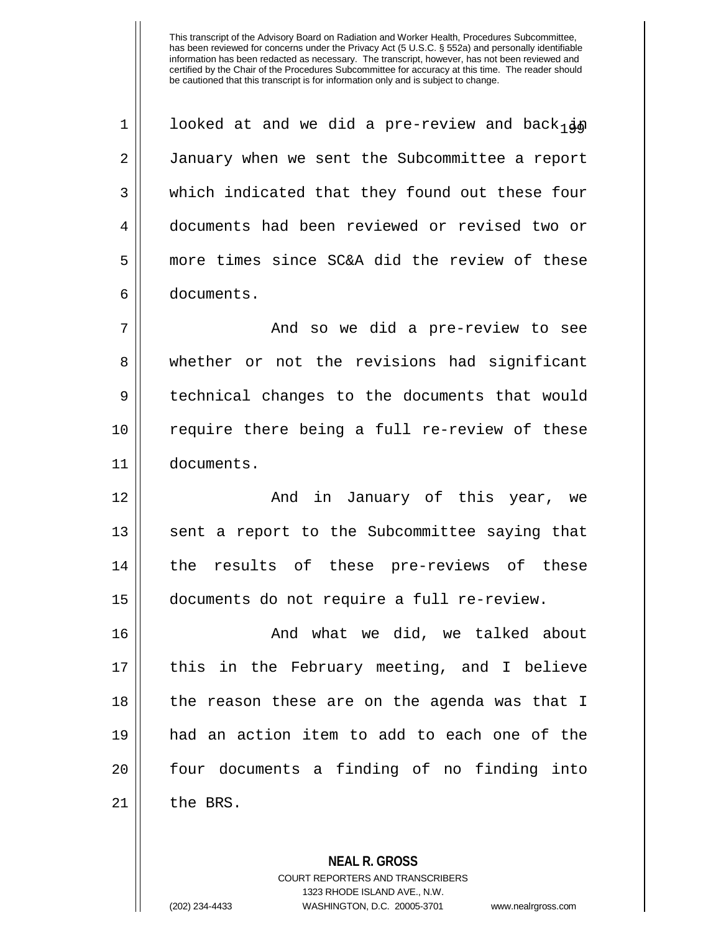1 | looked at and we did a pre-review and back  $_1$ 2 January when we sent the Subcommittee a report 3 which indicated that they found out these four 4 documents had been reviewed or revised two or 5 more times since SC&A did the review of these 6 documents. 7 And so we did a pre-review to see 8 whether or not the revisions had significant 9 technical changes to the documents that would 10 || require there being a full re-review of these 11 documents. 12 And in January of this year, we 13 || sent a report to the Subcommittee saying that 14 the results of these pre-reviews of these 15 documents do not require a full re-review. 16 And what we did, we talked about 17 || this in the February meeting, and I believe 18 || the reason these are on the agenda was that I 19 had an action item to add to each one of the 20 || four documents a finding of no finding into  $21$  the BRS.

> COURT REPORTERS AND TRANSCRIBERS 1323 RHODE ISLAND AVE., N.W. (202) 234-4433 WASHINGTON, D.C. 20005-3701 www.nealrgross.com

**NEAL R. GROSS**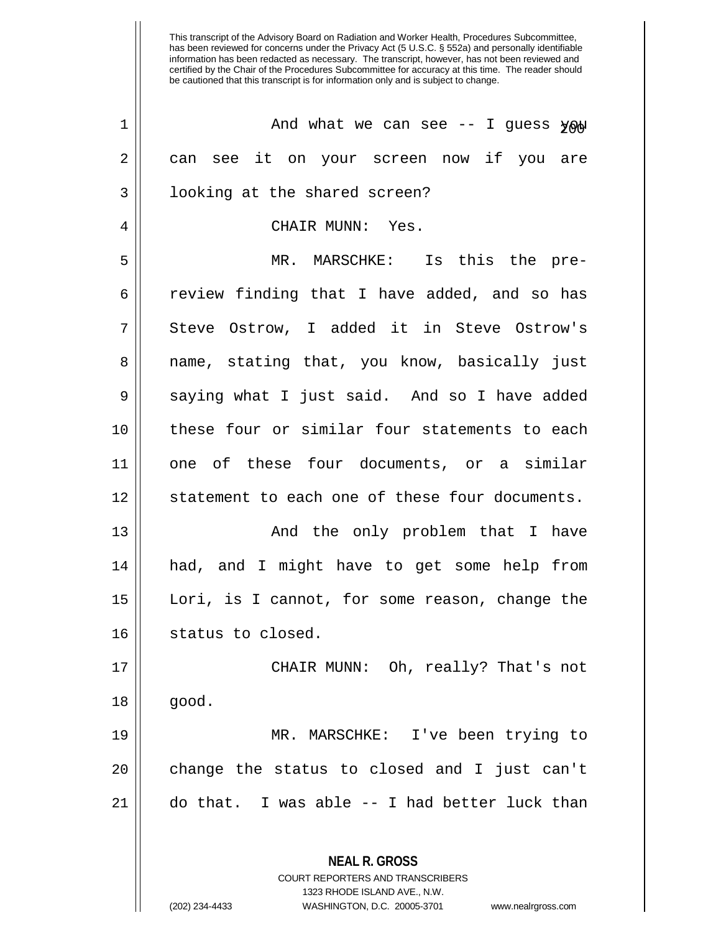| $\mathbf 1$    | And what we can see $-$ I guess $\gamma \infty$                                                 |
|----------------|-------------------------------------------------------------------------------------------------|
| $\overline{2}$ | can see it on your screen now if you are                                                        |
| 3              | looking at the shared screen?                                                                   |
| 4              | CHAIR MUNN: Yes.                                                                                |
| 5              | MR. MARSCHKE: Is this the pre-                                                                  |
| 6              | review finding that I have added, and so has                                                    |
| 7              | Steve Ostrow, I added it in Steve Ostrow's                                                      |
| 8              | name, stating that, you know, basically just                                                    |
| 9              | saying what I just said. And so I have added                                                    |
| 10             | these four or similar four statements to each                                                   |
| 11             | one of these four documents, or a similar                                                       |
| 12             | statement to each one of these four documents.                                                  |
| 13             | And the only problem that I have                                                                |
| 14             | had, and I might have to get some help from                                                     |
| 15             | Lori, is I cannot, for some reason, change the                                                  |
| 16             | status to closed.                                                                               |
| 17             | CHAIR MUNN: Oh, really? That's not                                                              |
| 18             | good.                                                                                           |
| 19             | MR. MARSCHKE: I've been trying to                                                               |
| 20             | change the status to closed and I just can't                                                    |
| 21             | do that. I was able -- I had better luck than                                                   |
|                | <b>NEAL R. GROSS</b><br><b>COURT REPORTERS AND TRANSCRIBERS</b><br>1323 RHODE ISLAND AVE., N.W. |

 $\prod_{i=1}^{n}$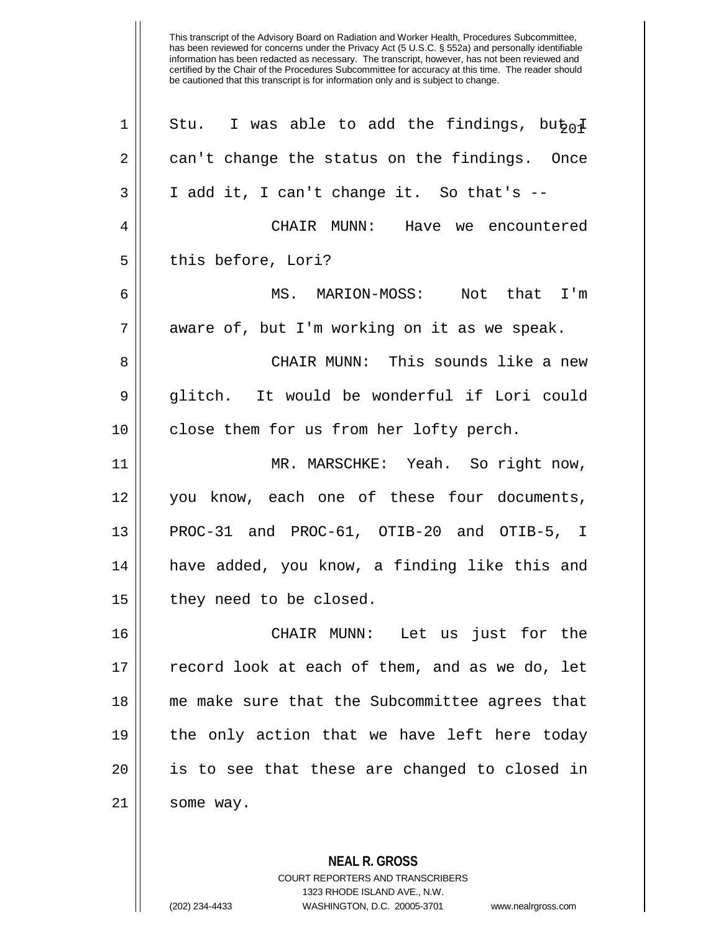| $\mathbf 1$ | Stu. I was able to add the findings, bu $\frac{1}{2}$ |
|-------------|-------------------------------------------------------|
| 2           | can't change the status on the findings. Once         |
| 3           | I add it, I can't change it. So that's --             |
| 4           | CHAIR MUNN: Have we encountered                       |
| 5           | this before, Lori?                                    |
| 6           | MS. MARION-MOSS: Not that I'm                         |
| 7           | aware of, but I'm working on it as we speak.          |
| 8           | CHAIR MUNN: This sounds like a new                    |
| 9           | glitch. It would be wonderful if Lori could           |
| 10          | close them for us from her lofty perch.               |
| 11          | MR. MARSCHKE: Yeah. So right now,                     |
| 12          | you know, each one of these four documents,           |
| 13          | PROC-31 and PROC-61, OTIB-20 and OTIB-5, I            |
| 14          | have added, you know, a finding like this and         |
| 15          | they need to be closed.                               |
| 16          | Let us just for the<br>CHAIR MUNN:                    |
| 17          | record look at each of them, and as we do, let        |
| 18          | me make sure that the Subcommittee agrees that        |
| 19          | the only action that we have left here today          |
| 20          | is to see that these are changed to closed in         |
| 21          | some way.                                             |
|             |                                                       |

**NEAL R. GROSS** COURT REPORTERS AND TRANSCRIBERS 1323 RHODE ISLAND AVE., N.W. (202) 234-4433 WASHINGTON, D.C. 20005-3701 www.nealrgross.com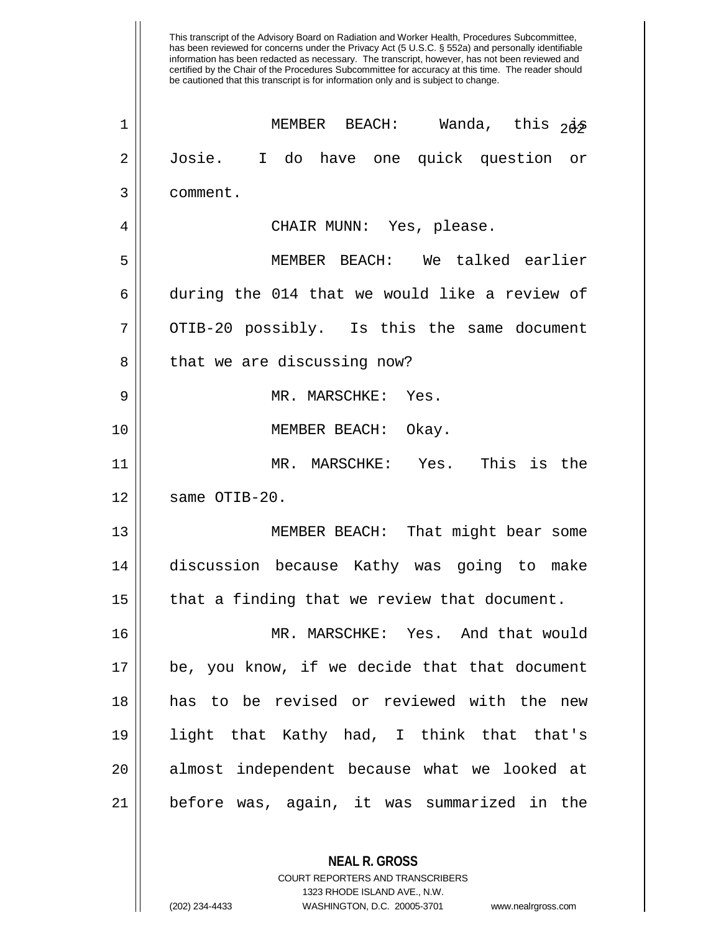| $\mathbf 1$ | MEMBER BEACH: Wanda, this $2\dot{\theta}$     |
|-------------|-----------------------------------------------|
| 2           | Josie. I do have one quick question or        |
| 3           | comment.                                      |
| 4           | CHAIR MUNN: Yes, please.                      |
| 5           | MEMBER BEACH: We talked earlier               |
| 6           | during the 014 that we would like a review of |
| 7           | OTIB-20 possibly. Is this the same document   |
| 8           | that we are discussing now?                   |
| 9           | MR. MARSCHKE: Yes.                            |
| 10          | MEMBER BEACH: Okay.                           |
| 11          | MR. MARSCHKE: Yes. This is the                |
| 12          | same OTIB-20.                                 |
| 13          | MEMBER BEACH: That might bear some            |
| 14          | discussion because Kathy was going to make    |
| 15          | that a finding that we review that document.  |
| 16          | MR. MARSCHKE: Yes. And that would             |
| 17          | be, you know, if we decide that that document |
| 18          | has to be revised or reviewed with the new    |
| 19          | light that Kathy had, I think that that's     |
| 20          | almost independent because what we looked at  |
| 21          | before was, again, it was summarized in the   |
|             |                                               |

**NEAL R. GROSS** COURT REPORTERS AND TRANSCRIBERS 1323 RHODE ISLAND AVE., N.W.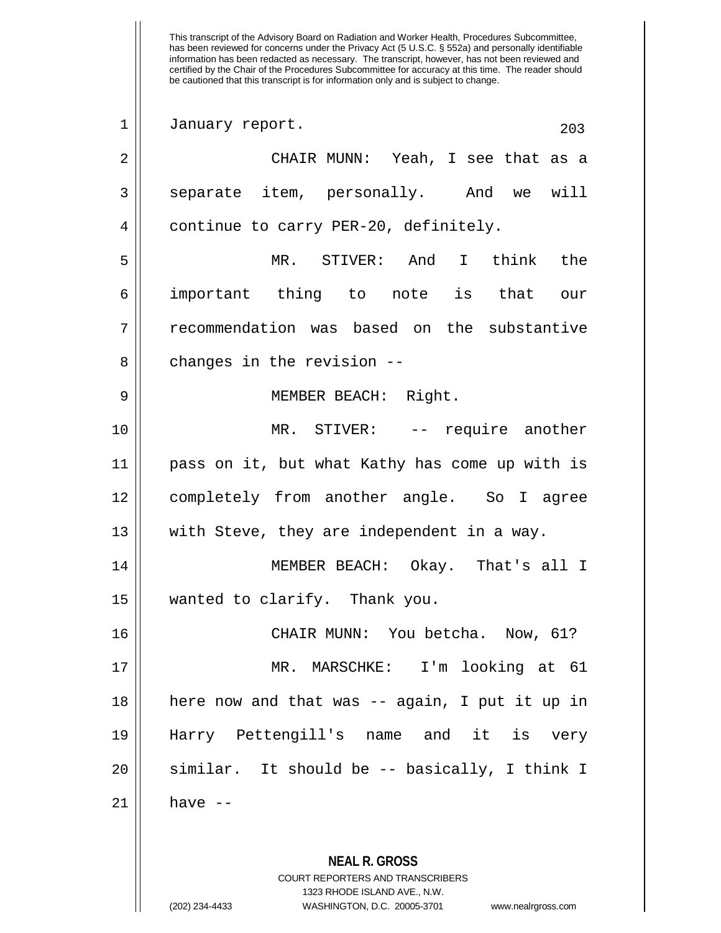This transcript of the Advisory Board on Radiation and Worker Health, Procedures Subcommittee, has been reviewed for concerns under the Privacy Act (5 U.S.C. § 552a) and personally identifiable information has been redacted as necessary. The transcript, however, has not been reviewed and certified by the Chair of the Procedures Subcommittee for accuracy at this time. The reader should be cautioned that this transcript is for information only and is subject to change. 1 January report. 203 2 CHAIR MUNN: Yeah, I see that as a 3 Separate item, personally. And we will 4 | continue to carry PER-20, definitely. 5 MR. STIVER: And I think the 6 important thing to note is that our 7 The recommendation was based on the substantive  $8$  || changes in the revision  $-$ -9 || MEMBER BEACH: Right. 10 || MR. STIVER: -- require another 11 pass on it, but what Kathy has come up with is 12 completely from another angle. So I agree 13 || with Steve, they are independent in a way. 14 MEMBER BEACH: Okay. That's all I 15 wanted to clarify. Thank you. 16 CHAIR MUNN: You betcha. Now, 61? 17 MR. MARSCHKE: I'm looking at 61 18 here now and that was -- again, I put it up in 19 Harry Pettengill's name and it is very 20 similar. It should be -- basically, I think I  $21$  have  $-$ 

> **NEAL R. GROSS** COURT REPORTERS AND TRANSCRIBERS 1323 RHODE ISLAND AVE., N.W.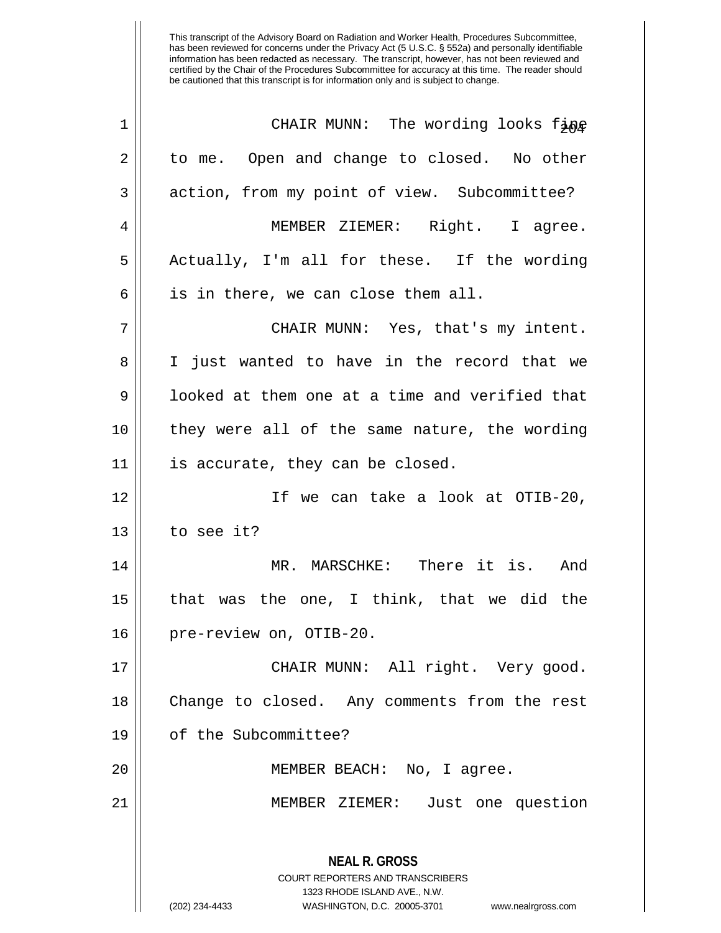| $\mathbf 1$ | CHAIR MUNN: The wording looks fine                                                                  |
|-------------|-----------------------------------------------------------------------------------------------------|
| 2           | to me. Open and change to closed. No other                                                          |
| 3           | action, from my point of view. Subcommittee?                                                        |
| 4           | MEMBER ZIEMER: Right. I agree.                                                                      |
| 5           | Actually, I'm all for these. If the wording                                                         |
| 6           | is in there, we can close them all.                                                                 |
| 7           | CHAIR MUNN: Yes, that's my intent.                                                                  |
| 8           | I just wanted to have in the record that we                                                         |
| 9           | looked at them one at a time and verified that                                                      |
| 10          | they were all of the same nature, the wording                                                       |
| 11          | is accurate, they can be closed.                                                                    |
| 12          | If we can take a look at OTIB-20,                                                                   |
| 13          | to see it?                                                                                          |
| 14          | MR. MARSCHKE: There it is. And                                                                      |
| 15          | that was the one, I think, that we did the                                                          |
| 16          | pre-review on, OTIB-20.                                                                             |
| 17          | CHAIR MUNN: All right. Very good.                                                                   |
| 18          | Change to closed. Any comments from the rest                                                        |
| 19          | of the Subcommittee?                                                                                |
| 20          | MEMBER BEACH: No, I agree.                                                                          |
| 21          | MEMBER ZIEMER: Just one question                                                                    |
|             | <b>NEAL R. GROSS</b>                                                                                |
|             | <b>COURT REPORTERS AND TRANSCRIBERS</b>                                                             |
|             | 1323 RHODE ISLAND AVE., N.W.<br>(202) 234-4433<br>WASHINGTON, D.C. 20005-3701<br>www.nealrgross.com |
|             |                                                                                                     |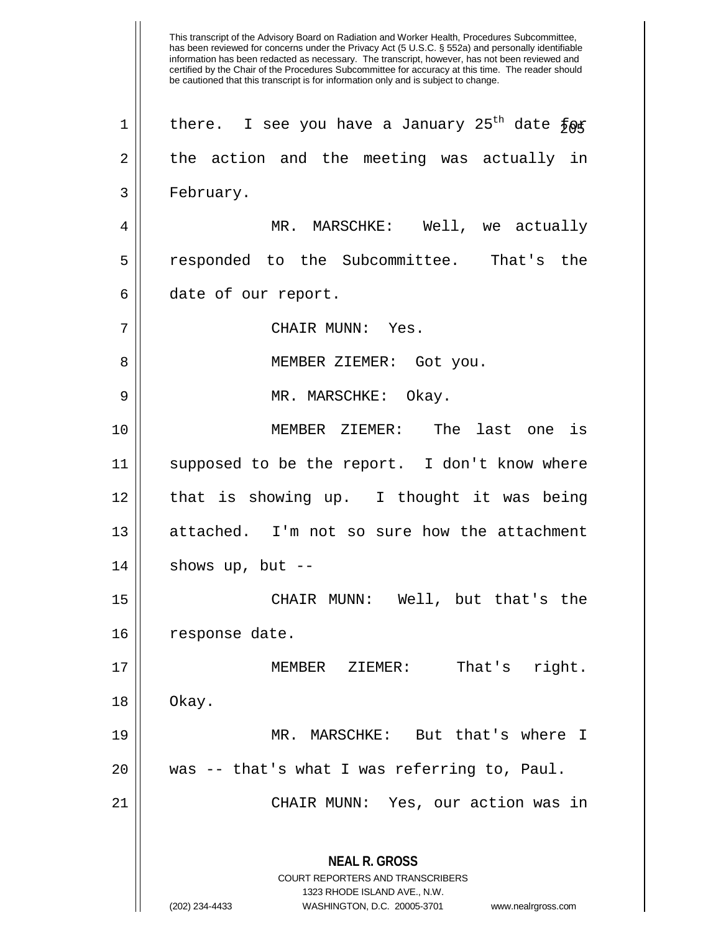This transcript of the Advisory Board on Radiation and Worker Health, Procedures Subcommittee, has been reviewed for concerns under the Privacy Act (5 U.S.C. § 552a) and personally identifiable information has been redacted as necessary. The transcript, however, has not been reviewed and certified by the Chair of the Procedures Subcommittee for accuracy at this time. The reader should be cautioned that this transcript is for information only and is subject to change. **NEAL R. GROSS** COURT REPORTERS AND TRANSCRIBERS 1323 RHODE ISLAND AVE., N.W. (202) 234-4433 WASHINGTON, D.C. 20005-3701 www.nealrgross.com  $1$  there. I see you have a January 25<sup>th</sup> date  $\frac{1}{2} \Theta \mathfrak{F}$  $2 \parallel$  the action and the meeting was actually in 3 | February. 4 MR. MARSCHKE: Well, we actually 5 responded to the Subcommittee. That's the 6 date of our report. 7 CHAIR MUNN: Yes. 8 || MEMBER ZIEMER: Got you. 9 MR. MARSCHKE: Okay. 10 MEMBER ZIEMER: The last one is 11 || supposed to be the report. I don't know where 12 || that is showing up. I thought it was being 13 || attached. I'm not so sure how the attachment  $14$  || shows up, but --15 CHAIR MUNN: Well, but that's the 16 | response date. 17 || MEMBER ZIEMER: That's right.  $18 \parallel$  Okay. 19 MR. MARSCHKE: But that's where I 20 was -- that's what I was referring to, Paul. 21 CHAIR MUNN: Yes, our action was in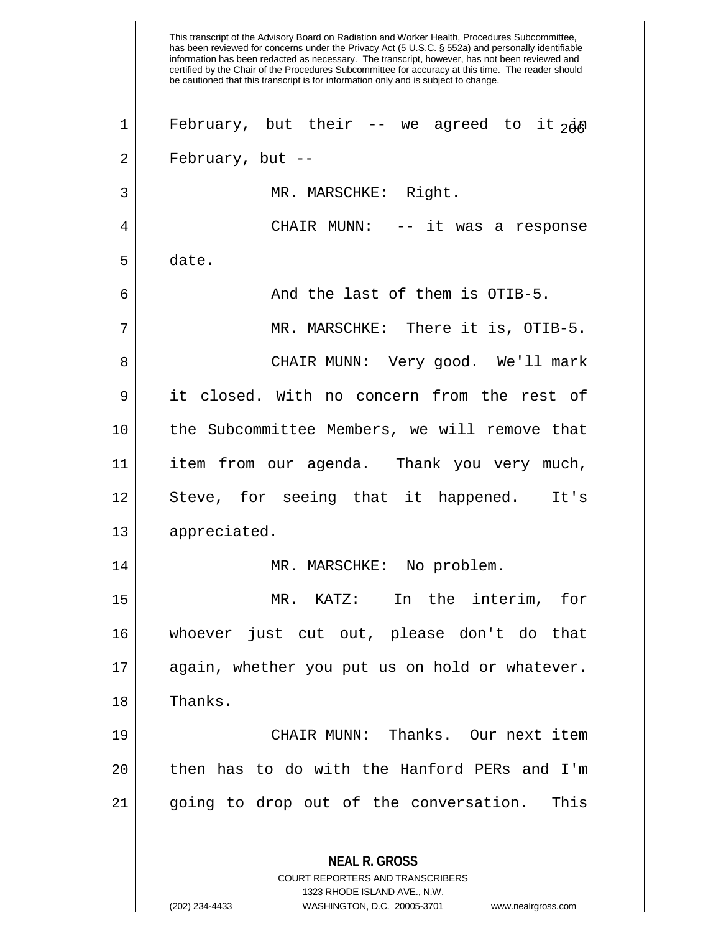This transcript of the Advisory Board on Radiation and Worker Health, Procedures Subcommittee, has been reviewed for concerns under the Privacy Act (5 U.S.C. § 552a) and personally identifiable information has been redacted as necessary. The transcript, however, has not been reviewed and certified by the Chair of the Procedures Subcommittee for accuracy at this time. The reader should be cautioned that this transcript is for information only and is subject to change. **NEAL R. GROSS** COURT REPORTERS AND TRANSCRIBERS 1323 RHODE ISLAND AVE., N.W. 1 February, but their -- we agreed to it  $2dA$ 2 || February, but --3 || MR. MARSCHKE: Right. 4 CHAIR MUNN: -- it was a response 5 date.  $6 \parallel$  and the last of them is OTIB-5. 7 MR. MARSCHKE: There it is, OTIB-5. 8 CHAIR MUNN: Very good. We'll mark 9 it closed. With no concern from the rest of 10 the Subcommittee Members, we will remove that 11 item from our agenda. Thank you very much, 12 || Steve, for seeing that it happened. It's 13 | appreciated. 14 MR. MARSCHKE: No problem. 15 MR. KATZ: In the interim, for 16 whoever just cut out, please don't do that 17 || again, whether you put us on hold or whatever. 18 | Thanks. 19 CHAIR MUNN: Thanks. Our next item 20 || then has to do with the Hanford PERs and I'm 21 || going to drop out of the conversation. This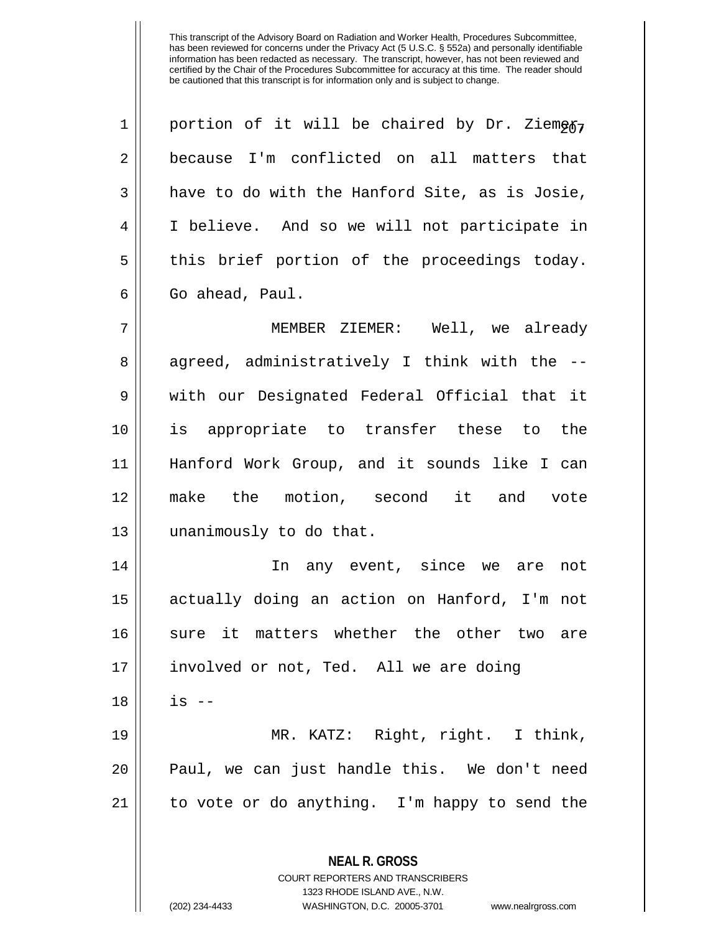| $\mathbf 1$ | portion of it will be chaired by Dr. Ziemegr,                   |
|-------------|-----------------------------------------------------------------|
| 2           | because I'm conflicted on all matters that                      |
| 3           | have to do with the Hanford Site, as is Josie,                  |
| 4           | I believe. And so we will not participate in                    |
| 5           | this brief portion of the proceedings today.                    |
| 6           | Go ahead, Paul.                                                 |
| 7           | MEMBER ZIEMER: Well, we already                                 |
| 8           | agreed, administratively I think with the --                    |
| 9           | with our Designated Federal Official that it                    |
| 10          | is appropriate to transfer these to the                         |
| 11          | Hanford Work Group, and it sounds like I can                    |
| 12          | make the motion, second it and vote                             |
| 13          | unanimously to do that.                                         |
| 14          | In any event, since we are<br>not                               |
| 15          | actually doing an action on Hanford, I'm not                    |
| 16          | sure it matters whether the other two are                       |
| 17          | involved or not, Ted. All we are doing                          |
| 18          | $is$ --                                                         |
| 19          | MR. KATZ: Right, right. I think,                                |
| 20          | Paul, we can just handle this. We don't need                    |
| 21          | to vote or do anything. I'm happy to send the                   |
|             |                                                                 |
|             | <b>NEAL R. GROSS</b><br><b>COURT REPORTERS AND TRANSCRIBERS</b> |
|             | 1323 RHODE ISLAND AVE., N.W.                                    |

 $\prod_{i=1}^{n}$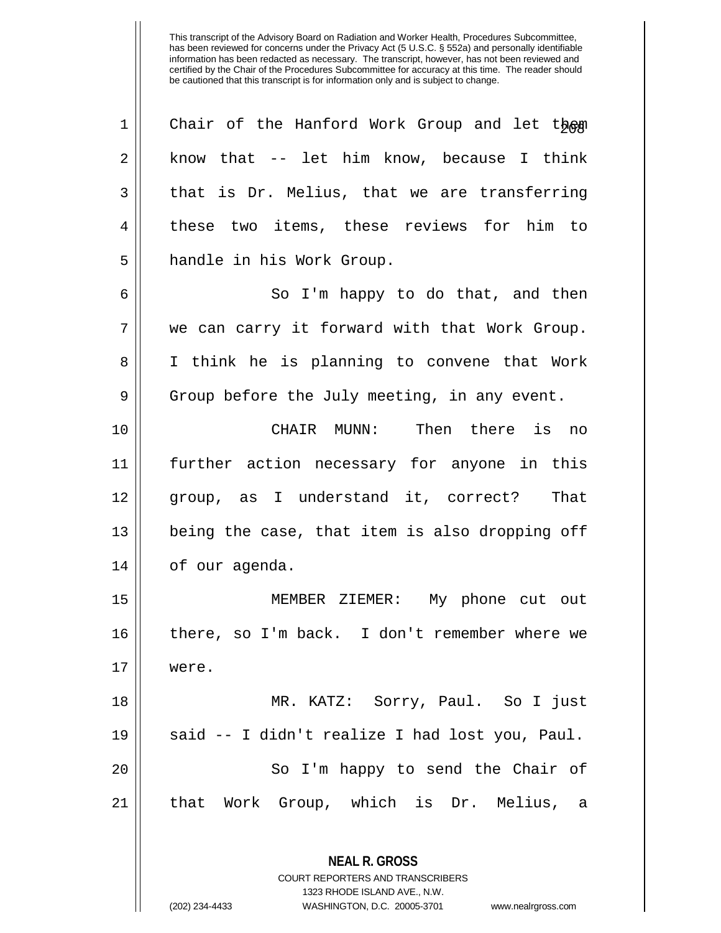| $\mathbf 1$    | Chair of the Hanford Work Group and let them                            |
|----------------|-------------------------------------------------------------------------|
| $\sqrt{2}$     | know that -- let him know, because I think                              |
| 3              | that is Dr. Melius, that we are transferring                            |
| $\overline{4}$ | these two items, these reviews for him to                               |
| 5              | handle in his Work Group.                                               |
| 6              | So I'm happy to do that, and then                                       |
| 7              | we can carry it forward with that Work Group.                           |
| 8              | I think he is planning to convene that Work                             |
| $\mathsf 9$    | Group before the July meeting, in any event.                            |
| 10             | CHAIR MUNN: Then there is no                                            |
| 11             | further action necessary for anyone in this                             |
| 12             | group, as I understand it, correct? That                                |
| 13             | being the case, that item is also dropping off                          |
| 14             | of our agenda.                                                          |
| 15             | MEMBER ZIEMER: My phone cut out                                         |
| 16             | there, so I'm back. I don't remember where we                           |
| 17             | were.                                                                   |
| 18             | MR. KATZ: Sorry, Paul. So I just                                        |
| 19             | said -- I didn't realize I had lost you, Paul.                          |
| 20             | So I'm happy to send the Chair of                                       |
| 21             | that Work Group, which is Dr. Melius,<br>a                              |
|                |                                                                         |
|                | <b>NEAL R. GROSS</b>                                                    |
|                | <b>COURT REPORTERS AND TRANSCRIBERS</b><br>1323 RHODE ISLAND AVE., N.W. |
|                | (202) 234-4433<br>WASHINGTON, D.C. 20005-3701<br>www.nealrgross.com     |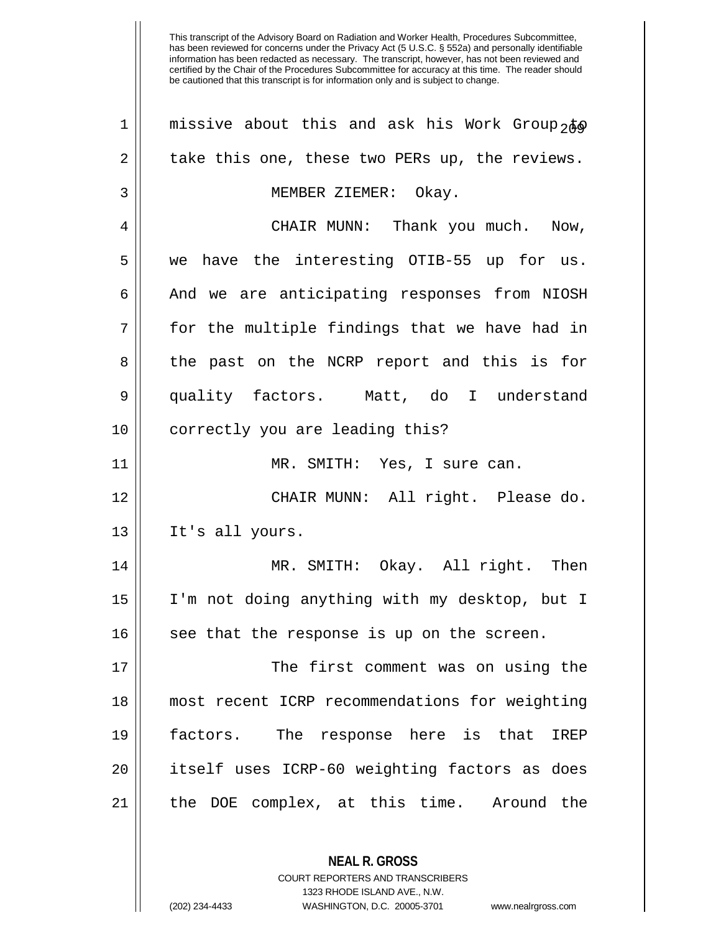| $\mathbf 1$ | missive about this and ask his Work Group <sub>2</sub> #o |
|-------------|-----------------------------------------------------------|
| 2           | take this one, these two PERs up, the reviews.            |
| 3           | MEMBER ZIEMER: Okay.                                      |
| 4           | CHAIR MUNN: Thank you much. Now,                          |
| 5           | we have the interesting OTIB-55 up for us.                |
| 6           | And we are anticipating responses from NIOSH              |
| 7           | for the multiple findings that we have had in             |
| 8           | the past on the NCRP report and this is for               |
| 9           | quality factors. Matt, do I understand                    |
| 10          | correctly you are leading this?                           |
| 11          | MR. SMITH: Yes, I sure can.                               |
| 12          | CHAIR MUNN: All right. Please do.                         |
| 13          | It's all yours.                                           |
| 14          | MR. SMITH: Okay. All right. Then                          |
| 15          | I'm not doing anything with my desktop, but I             |
| 16          | see that the response is up on the screen.                |
| 17          | The first comment was on using the                        |
| 18          | most recent ICRP recommendations for weighting            |
| 19          | factors. The response here is that<br>IREP                |
| 20          | itself uses ICRP-60 weighting factors as does             |
| 21          | the DOE complex, at this time. Around the                 |
|             |                                                           |
|             | <b>NEAL R. GROSS</b>                                      |

COURT REPORTERS AND TRANSCRIBERS 1323 RHODE ISLAND AVE., N.W.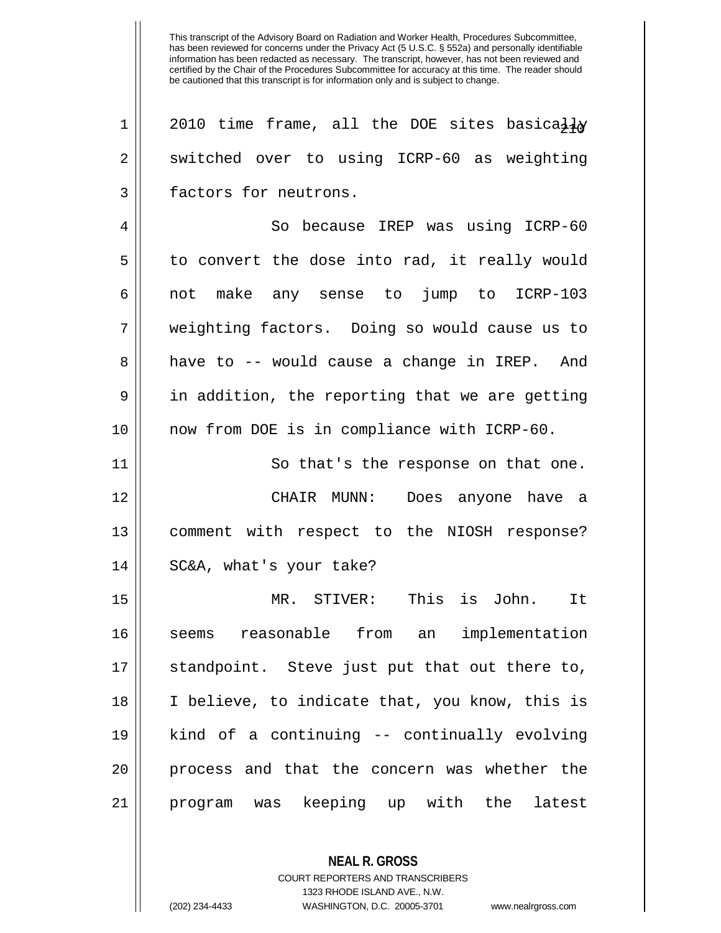1 || 2010 time frame, all the DOE sites basically  $2 \parallel$  switched over to using ICRP-60 as weighting 3 **factors** for neutrons. 4 So because IREP was using ICRP-60  $5 \parallel$  to convert the dose into rad, it really would 6 not make any sense to jump to ICRP-103 7 weighting factors. Doing so would cause us to 8 || have to -- would cause a change in IREP. And  $9 \parallel$  in addition, the reporting that we are getting 10 now from DOE is in compliance with ICRP-60. 11 | So that's the response on that one. 12 CHAIR MUNN: Does anyone have a 13 comment with respect to the NIOSH response? 14 SC&A, what's your take? 15 MR. STIVER: This is John. It 16 seems reasonable from an implementation 17 || standpoint. Steve just put that out there to, 18 I believe, to indicate that, you know, this is 19 kind of a continuing -- continually evolving 20 || process and that the concern was whether the 21 program was keeping up with the latest

> **NEAL R. GROSS** COURT REPORTERS AND TRANSCRIBERS 1323 RHODE ISLAND AVE., N.W. (202) 234-4433 WASHINGTON, D.C. 20005-3701 www.nealrgross.com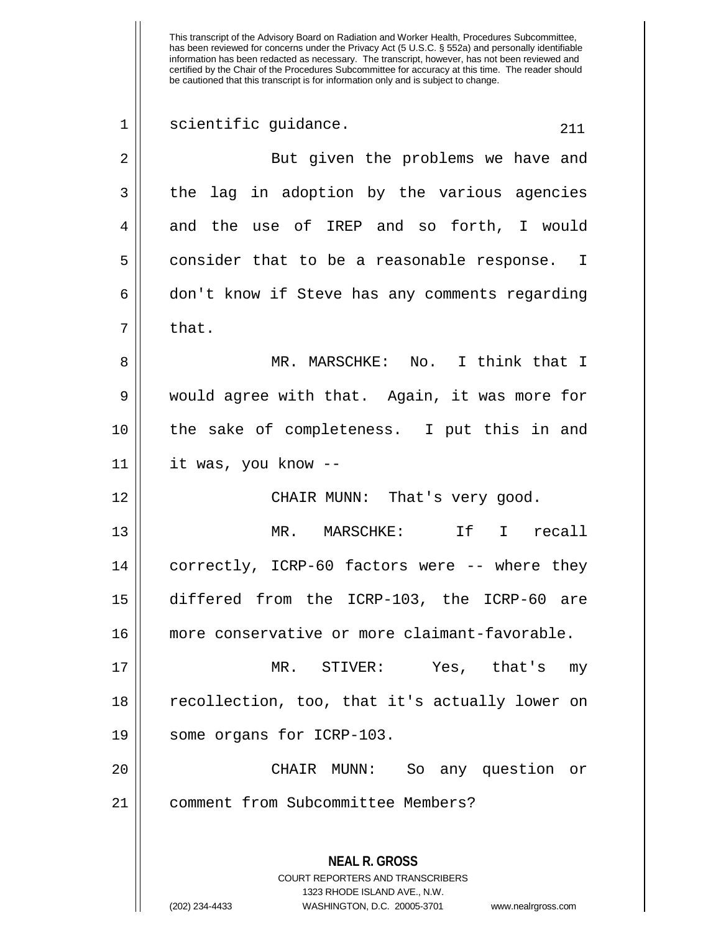This transcript of the Advisory Board on Radiation and Worker Health, Procedures Subcommittee, has been reviewed for concerns under the Privacy Act (5 U.S.C. § 552a) and personally identifiable information has been redacted as necessary. The transcript, however, has not been reviewed and certified by the Chair of the Procedures Subcommittee for accuracy at this time. The reader should be cautioned that this transcript is for information only and is subject to change. **NEAL R. GROSS** COURT REPORTERS AND TRANSCRIBERS 1323 RHODE ISLAND AVE., N.W.  $\begin{array}{c|c} 1 & \text{sci} \end{array}$  scientific guidance. 2 || But given the problems we have and 3 the lag in adoption by the various agencies 4 and the use of IREP and so forth, I would  $5 \parallel$  consider that to be a reasonable response. I  $6 \parallel$  don't know if Steve has any comments regarding  $7 \parallel$  that. 8 MR. MARSCHKE: No. I think that I 9 would agree with that. Again, it was more for 10 the sake of completeness. I put this in and 11 it was, you know -- 12 CHAIR MUNN: That's very good. 13 MR. MARSCHKE: If I recall 14 correctly, ICRP-60 factors were -- where they 15 differed from the ICRP-103, the ICRP-60 are 16 more conservative or more claimant-favorable. 17 MR. STIVER: Yes, that's my 18 recollection, too, that it's actually lower on 19 some organs for ICRP-103. 20 CHAIR MUNN: So any question or 21 | comment from Subcommittee Members?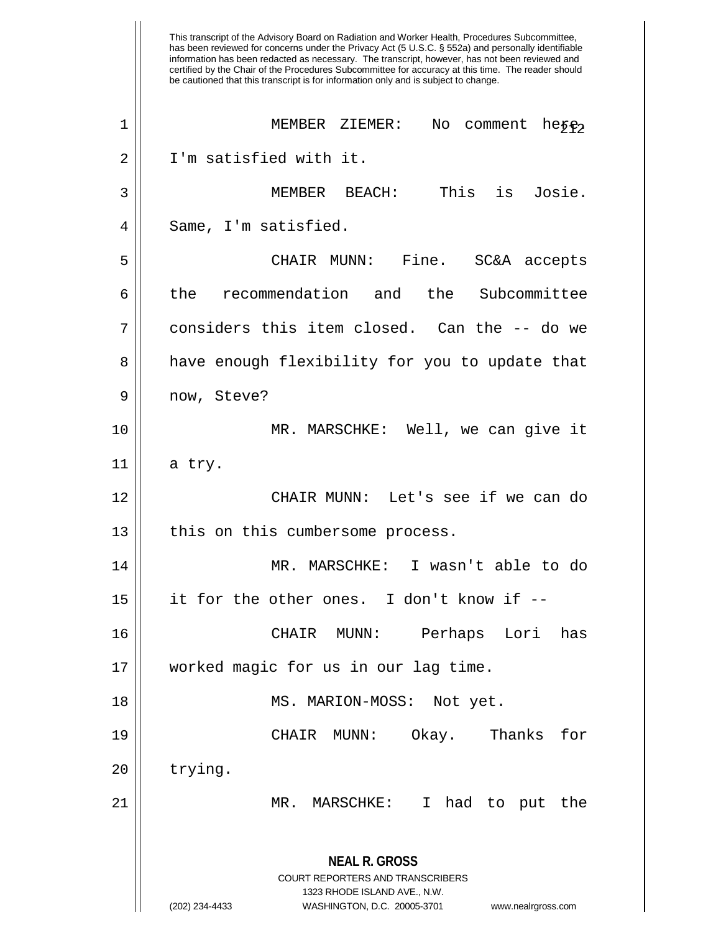This transcript of the Advisory Board on Radiation and Worker Health, Procedures Subcommittee, has been reviewed for concerns under the Privacy Act (5 U.S.C. § 552a) and personally identifiable information has been redacted as necessary. The transcript, however, has not been reviewed and certified by the Chair of the Procedures Subcommittee for accuracy at this time. The reader should be cautioned that this transcript is for information only and is subject to change. **NEAL R. GROSS** COURT REPORTERS AND TRANSCRIBERS 1323 RHODE ISLAND AVE., N.W. (202) 234-4433 WASHINGTON, D.C. 20005-3701 www.nealrgross.com 1 || MEMBER ZIEMER: No comment heye? 2 I'm satisfied with it. 3 MEMBER BEACH: This is Josie.  $4 \parallel$  Same, I'm satisfied. 5 CHAIR MUNN: Fine. SC&A accepts 6 the recommendation and the Subcommittee  $7 \parallel$  considers this item closed. Can the -- do we 8 and a have enough flexibility for you to update that 9 || now, Steve? 10 MR. MARSCHKE: Well, we can give it  $11 \parallel$  a try. 12 CHAIR MUNN: Let's see if we can do  $13$  | this on this cumbersome process. 14 MR. MARSCHKE: I wasn't able to do  $15$  || it for the other ones. I don't know if  $-$ -16 CHAIR MUNN: Perhaps Lori has 17 worked magic for us in our lag time. 18 || MS. MARION-MOSS: Not yet. 19 CHAIR MUNN: Okay. Thanks for  $20$  | trying. 21 MR. MARSCHKE: I had to put the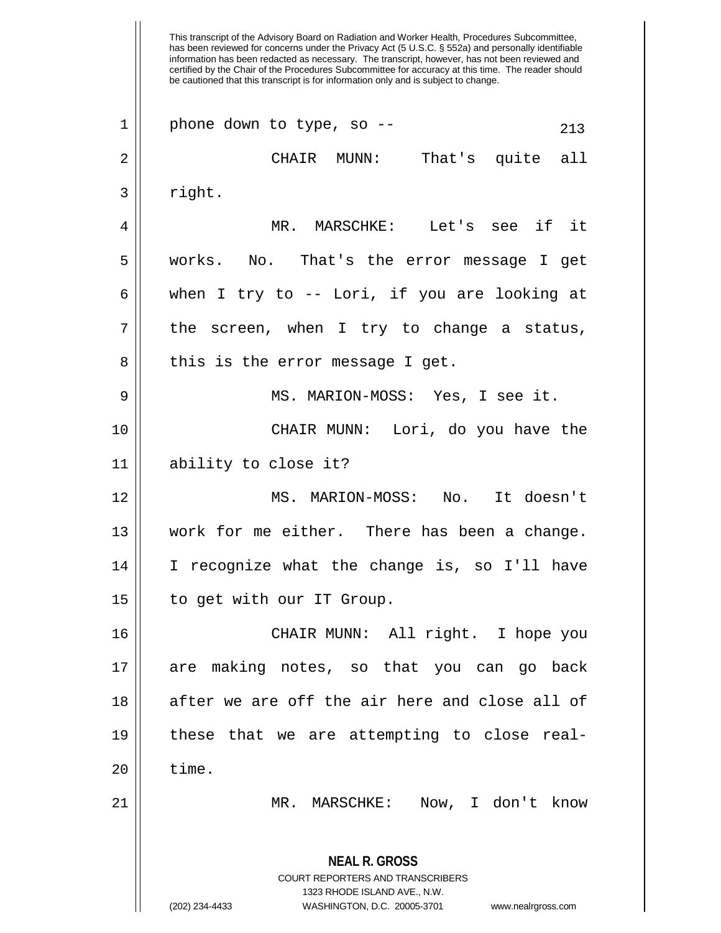This transcript of the Advisory Board on Radiation and Worker Health, Procedures Subcommittee, has been reviewed for concerns under the Privacy Act (5 U.S.C. § 552a) and personally identifiable information has been redacted as necessary. The transcript, however, has not been reviewed and certified by the Chair of the Procedures Subcommittee for accuracy at this time. The reader should be cautioned that this transcript is for information only and is subject to change. **NEAL R. GROSS** COURT REPORTERS AND TRANSCRIBERS 1323 RHODE ISLAND AVE., N.W. (202) 234-4433 WASHINGTON, D.C. 20005-3701 www.nealrgross.com  $1 \parallel$  phone down to type, so --  $213$ 2 CHAIR MUNN: That's quite all  $3 \parallel$  right. 4 MR. MARSCHKE: Let's see if it 5 works. No. That's the error message I get 6 when I try to -- Lori, if you are looking at  $7$  || the screen, when I try to change a status,  $8 \parallel$  this is the error message I get. 9 MS. MARION-MOSS: Yes, I see it. 10 CHAIR MUNN: Lori, do you have the 11 ability to close it? 12 MS. MARION-MOSS: No. It doesn't 13 work for me either. There has been a change. 14 I recognize what the change is, so I'll have 15 to get with our IT Group. 16 CHAIR MUNN: All right. I hope you 17 are making notes, so that you can go back  $18$  || after we are off the air here and close all of 19 these that we are attempting to close real- $20$  || time. 21 MR. MARSCHKE: Now, I don't know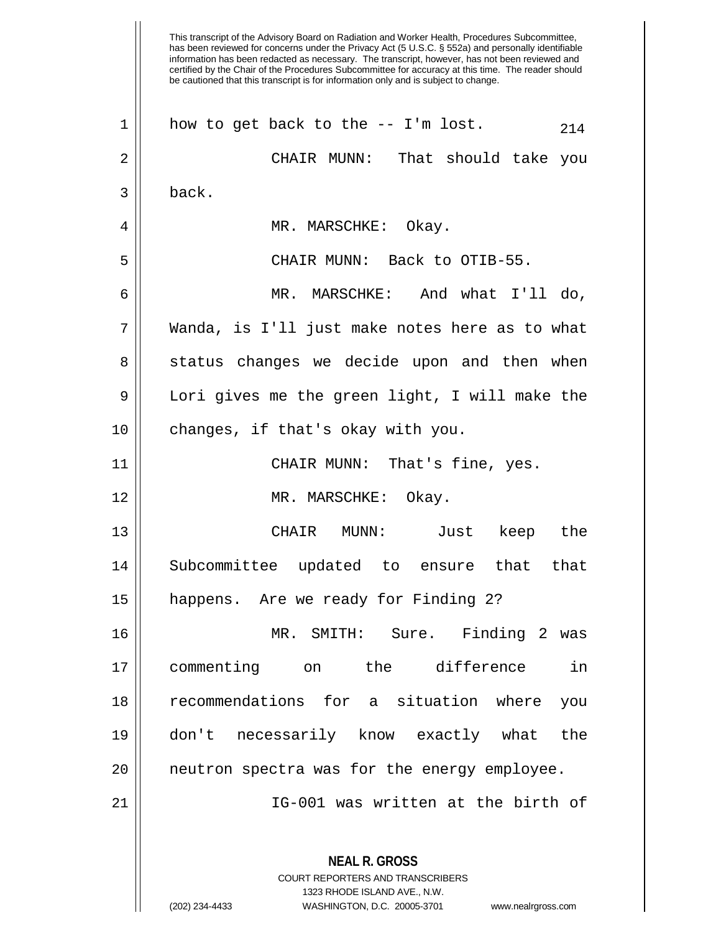This transcript of the Advisory Board on Radiation and Worker Health, Procedures Subcommittee, has been reviewed for concerns under the Privacy Act (5 U.S.C. § 552a) and personally identifiable information has been redacted as necessary. The transcript, however, has not been reviewed and certified by the Chair of the Procedures Subcommittee for accuracy at this time. The reader should be cautioned that this transcript is for information only and is subject to change. **NEAL R. GROSS** COURT REPORTERS AND TRANSCRIBERS 1323 RHODE ISLAND AVE., N.W.  $1 \parallel$  how to get back to the -- I'm lost.  $214$ 2 CHAIR MUNN: That should take you 3 back. 4 MR. MARSCHKE: Okay. 5 CHAIR MUNN: Back to OTIB-55. 6 MR. MARSCHKE: And what I'll do, 7 Wanda, is I'll just make notes here as to what 8 || status changes we decide upon and then when 9 || Lori gives me the green light, I will make the 10 || changes, if that's okay with you. 11 CHAIR MUNN: That's fine, yes. 12 || MR. MARSCHKE: Okay. 13 CHAIR MUNN: Just keep the 14 Subcommittee updated to ensure that that 15 happens. Are we ready for Finding 2? 16 MR. SMITH: Sure. Finding 2 was 17 commenting on the difference in 18 recommendations for a situation where you 19 don't necessarily know exactly what the 20 neutron spectra was for the energy employee. 21 IG-001 was written at the birth of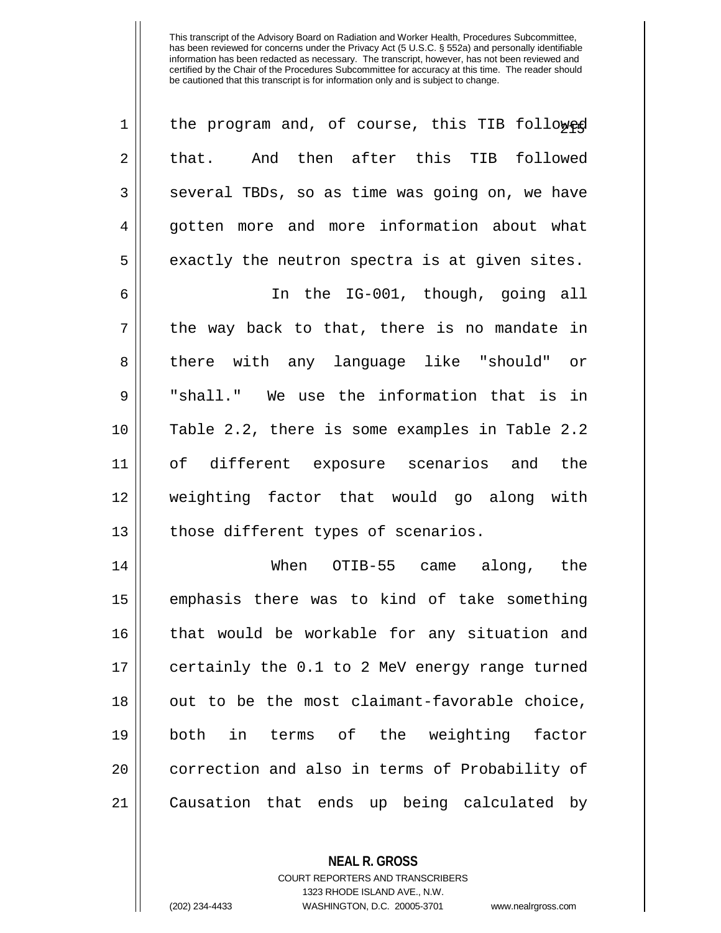| $\mathbf 1$ | the program and, of course, this TIB followed  |
|-------------|------------------------------------------------|
| 2           | that. And then after this TIB followed         |
| 3           | several TBDs, so as time was going on, we have |
| 4           | gotten more and more information about what    |
| 5           | exactly the neutron spectra is at given sites. |
| 6           | In the IG-001, though, going all               |
| 7           | the way back to that, there is no mandate in   |
| 8           | there with any language like "should" or       |
| 9           | "shall." We use the information that is in     |
| 10          | Table 2.2, there is some examples in Table 2.2 |
| 11          | of different exposure scenarios and the        |
| 12          | weighting factor that would go along with      |
| 13          | those different types of scenarios.            |
| 14          | When OTIB-55 came along, the                   |
| 15          | emphasis there was to kind of take something   |
| 16          | that would be workable for any situation and   |
| 17          | certainly the 0.1 to 2 MeV energy range turned |
| 18          | out to be the most claimant-favorable choice,  |
| 19          | in terms of the weighting factor<br>both       |
| 20          | correction and also in terms of Probability of |
| 21          | Causation that ends up being calculated by     |

**NEAL R. GROSS** COURT REPORTERS AND TRANSCRIBERS 1323 RHODE ISLAND AVE., N.W. (202) 234-4433 WASHINGTON, D.C. 20005-3701 www.nealrgross.com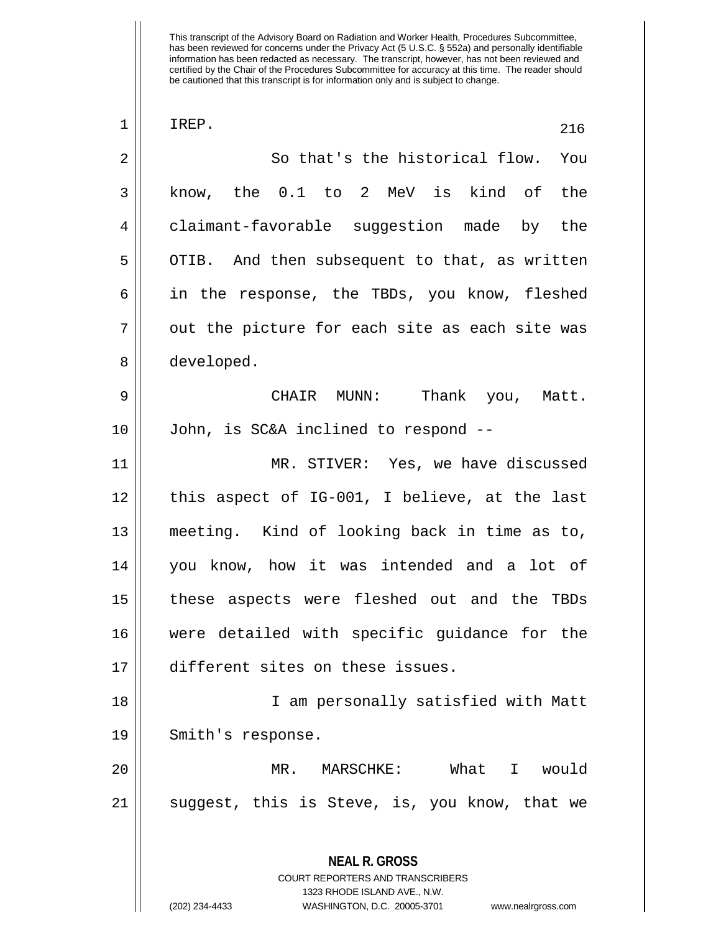| $\mathbf 1$    | IREP.<br>216                                                                                    |
|----------------|-------------------------------------------------------------------------------------------------|
| $\overline{2}$ | So that's the historical flow. You                                                              |
| 3              | know, the 0.1 to 2 MeV is kind of the                                                           |
| 4              | claimant-favorable suggestion made by the                                                       |
| 5              | OTIB. And then subsequent to that, as written                                                   |
| 6              | in the response, the TBDs, you know, fleshed                                                    |
| 7              | out the picture for each site as each site was                                                  |
| 8              | developed.                                                                                      |
| 9              | CHAIR MUNN: Thank you, Matt.                                                                    |
| 10             | John, is SC&A inclined to respond --                                                            |
| 11             | MR. STIVER: Yes, we have discussed                                                              |
| 12             | this aspect of IG-001, I believe, at the last                                                   |
| 13             | meeting. Kind of looking back in time as to,                                                    |
| 14             | you know, how it was intended and a lot of                                                      |
| 15             | these aspects were fleshed out and the TBDs                                                     |
| 16             | were detailed with specific guidance for the                                                    |
| 17             | different sites on these issues.                                                                |
| 18             | I am personally satisfied with Matt                                                             |
| 19             | Smith's response.                                                                               |
| 20             | What I would<br>MR. MARSCHKE:                                                                   |
| 21             | suggest, this is Steve, is, you know, that we                                                   |
|                | <b>NEAL R. GROSS</b><br><b>COURT REPORTERS AND TRANSCRIBERS</b><br>1323 RHODE ISLAND AVE., N.W. |
|                | (202) 234-4433<br>WASHINGTON, D.C. 20005-3701<br>www.nealrgross.com                             |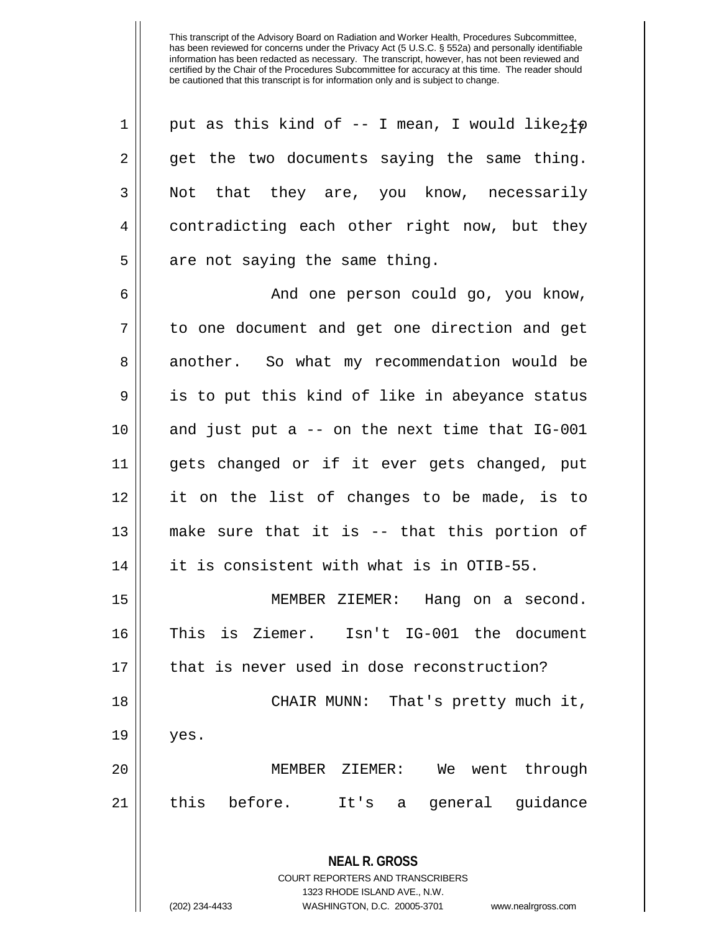1 || put as this kind of -- I mean, I would like, to 2 || get the two documents saying the same thing. 3 || Not that they are, you know, necessarily 4 contradicting each other right now, but they  $5$  || are not saying the same thing.

 And one person could go, you know, 7 || to one document and get one direction and get 8 another. So what my recommendation would be 9 || is to put this kind of like in abeyance status and just put a -- on the next time that IG-001 gets changed or if it ever gets changed, put it on the list of changes to be made, is to make sure that it is -- that this portion of it is consistent with what is in OTIB-55.

15 MEMBER ZIEMER: Hang on a second. 16 This is Ziemer. Isn't IG-001 the document 17 || that is never used in dose reconstruction? 18 || CHAIR MUNN: That's pretty much it,  $19 \parallel$  yes.

20 MEMBER ZIEMER: We went through  $21$  | this before. It's a general guidance

> **NEAL R. GROSS** COURT REPORTERS AND TRANSCRIBERS

> > 1323 RHODE ISLAND AVE., N.W.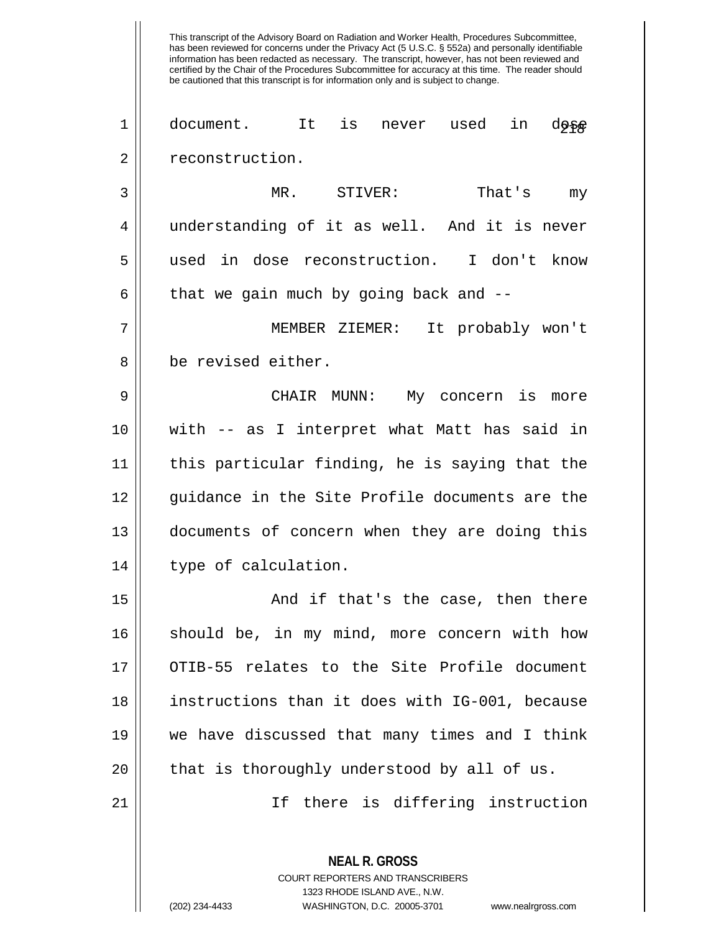has been reviewed for concerns under the Privacy Act (5 U.S.C. § 552a) and personally identifiable information has been redacted as necessary. The transcript, however, has not been reviewed and certified by the Chair of the Procedures Subcommittee for accuracy at this time. The reader should be cautioned that this transcript is for information only and is subject to change. **NEAL R. GROSS** COURT REPORTERS AND TRANSCRIBERS 1323 RHODE ISLAND AVE., N.W.  $1 \parallel$  document. It is never used in d $_2^{\circ}$ 2 | reconstruction. 3 MR. STIVER: That's my 4 understanding of it as well. And it is never 5 used in dose reconstruction. I don't know 6  $\parallel$  that we gain much by going back and  $-$ -7 MEMBER ZIEMER: It probably won't 8 | be revised either. 9 CHAIR MUNN: My concern is more 10 with -- as I interpret what Matt has said in 11 this particular finding, he is saying that the 12 || guidance in the Site Profile documents are the 13 documents of concern when they are doing this 14 || type of calculation. 15 And if that's the case, then there 16 || should be, in my mind, more concern with how 17 || OTIB-55 relates to the Site Profile document 18 instructions than it does with IG-001, because 19 we have discussed that many times and I think  $20$  || that is thoroughly understood by all of us. 21 || There is differing instruction

This transcript of the Advisory Board on Radiation and Worker Health, Procedures Subcommittee,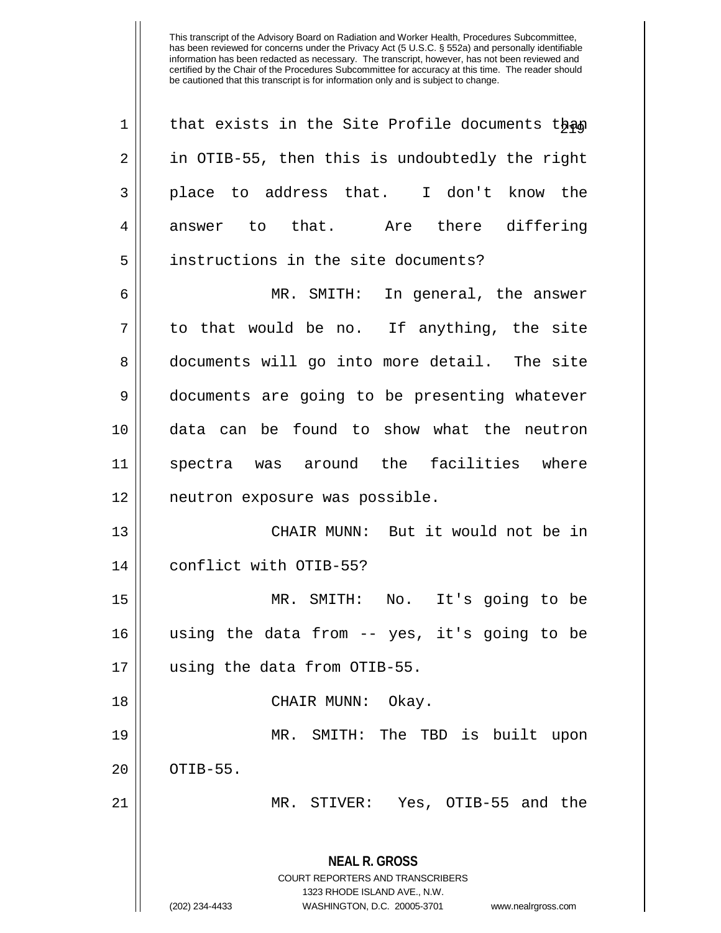| $\mathbf 1$    | that exists in the Site Profile documents than                                                  |
|----------------|-------------------------------------------------------------------------------------------------|
| $\sqrt{2}$     | in OTIB-55, then this is undoubtedly the right                                                  |
| 3              | place to address that. I don't know the                                                         |
| $\overline{4}$ | answer to that. Are there differing                                                             |
| 5              | instructions in the site documents?                                                             |
| 6              | MR. SMITH: In general, the answer                                                               |
| 7              | to that would be no. If anything, the site                                                      |
| 8              | documents will go into more detail. The site                                                    |
| 9              | documents are going to be presenting whatever                                                   |
| 10             | data can be found to show what the neutron                                                      |
| 11             | spectra was around the facilities where                                                         |
| 12             | neutron exposure was possible.                                                                  |
| 13             | CHAIR MUNN: But it would not be in                                                              |
| 14             | conflict with OTIB-55?                                                                          |
| 15             | MR. SMITH: No. It's going to be                                                                 |
| 16             | using the data from -- yes, it's going to be                                                    |
| 17             | using the data from OTIB-55.                                                                    |
| 18             | CHAIR MUNN:<br>Okay.                                                                            |
| 19             | SMITH: The TBD is built<br>MR.<br>upon                                                          |
| 20             | OTIB-55.                                                                                        |
| 21             | MR. STIVER: Yes, OTIB-55 and the                                                                |
|                | <b>NEAL R. GROSS</b><br><b>COURT REPORTERS AND TRANSCRIBERS</b><br>1323 RHODE ISLAND AVE., N.W. |
|                | (202) 234-4433<br>WASHINGTON, D.C. 20005-3701<br>www.nealrgross.com                             |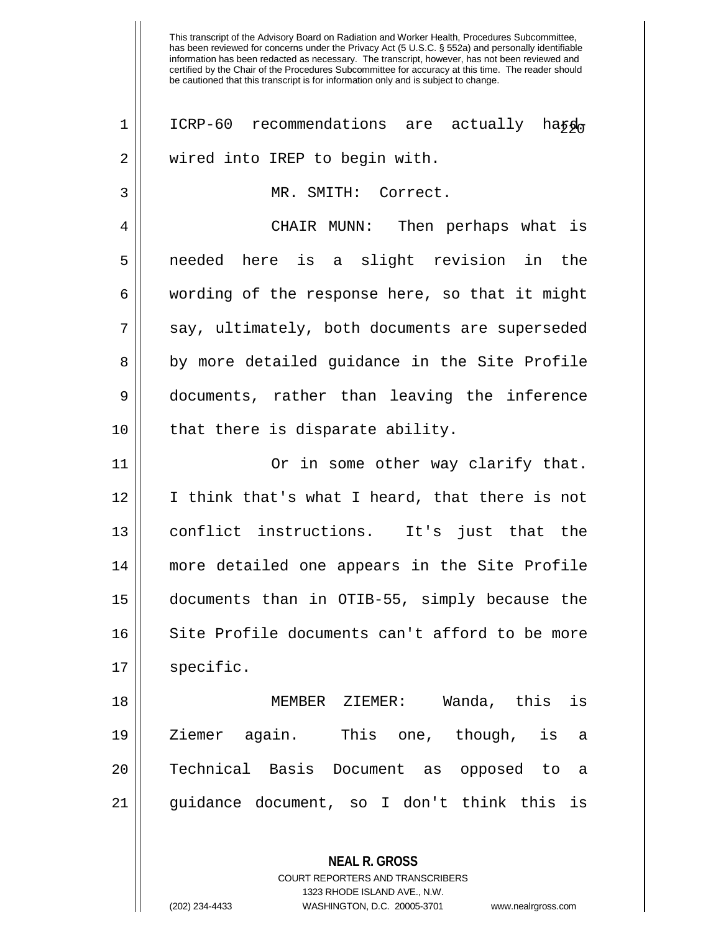**NEAL R. GROSS** 1 || ICRP-60 recommendations are actually hard 2 || wired into IREP to begin with. 3 MR. SMITH: Correct. 4 CHAIR MUNN: Then perhaps what is 5 needed here is a slight revision in the  $6 \parallel$  wording of the response here, so that it might  $7 \parallel$  say, ultimately, both documents are superseded 8 || by more detailed guidance in the Site Profile 9 documents, rather than leaving the inference  $10$  || that there is disparate ability. 11 Or in some other way clarify that.  $12$  | I think that's what I heard, that there is not 13 conflict instructions. It's just that the 14 more detailed one appears in the Site Profile 15 documents than in OTIB-55, simply because the 16 || Site Profile documents can't afford to be more  $17 \parallel$  specific. 18 MEMBER ZIEMER: Wanda, this is 19 Ziemer again. This one, though, is a 20 || Technical Basis Document as opposed to a 21 guidance document, so I don't think this is

> COURT REPORTERS AND TRANSCRIBERS 1323 RHODE ISLAND AVE., N.W.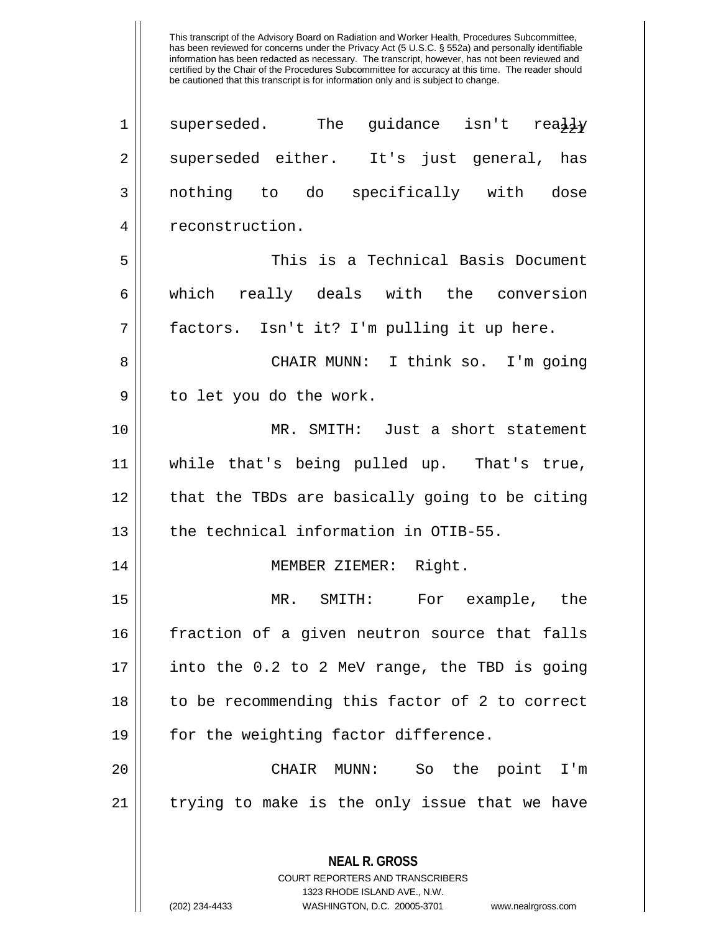| $\mathbf 1$    | superseded. The guidance isn't rea $\frac{1}{2}Y$        |
|----------------|----------------------------------------------------------|
| $\overline{2}$ | superseded either. It's just general, has                |
| 3              | nothing to do specifically with dose                     |
| 4              | reconstruction.                                          |
| 5              | This is a Technical Basis Document                       |
| 6              | which really deals with the conversion                   |
| 7              | factors. Isn't it? I'm pulling it up here.               |
| 8              | CHAIR MUNN: I think so. I'm going                        |
| $\mathsf 9$    | to let you do the work.                                  |
| 10             | MR. SMITH: Just a short statement                        |
| 11             | while that's being pulled up. That's true,               |
| 12             | that the TBDs are basically going to be citing           |
| 13             | the technical information in OTIB-55.                    |
| 14             | MEMBER ZIEMER: Right.                                    |
| 15             | MR. SMITH: For example, the                              |
| 16             | fraction of a given neutron source that falls            |
| 17             | into the 0.2 to 2 MeV range, the TBD is going            |
| 18             | to be recommending this factor of 2 to correct           |
| 19             | for the weighting factor difference.                     |
| 20             | CHAIR MUNN:<br>So the point I'm                          |
| 21             | trying to make is the only issue that we have            |
|                |                                                          |
|                | <b>NEAL R. GROSS</b><br>COURT REPORTERS AND TRANSCRIBERS |

1323 RHODE ISLAND AVE., N.W.

 $\mathop{\text{||}}$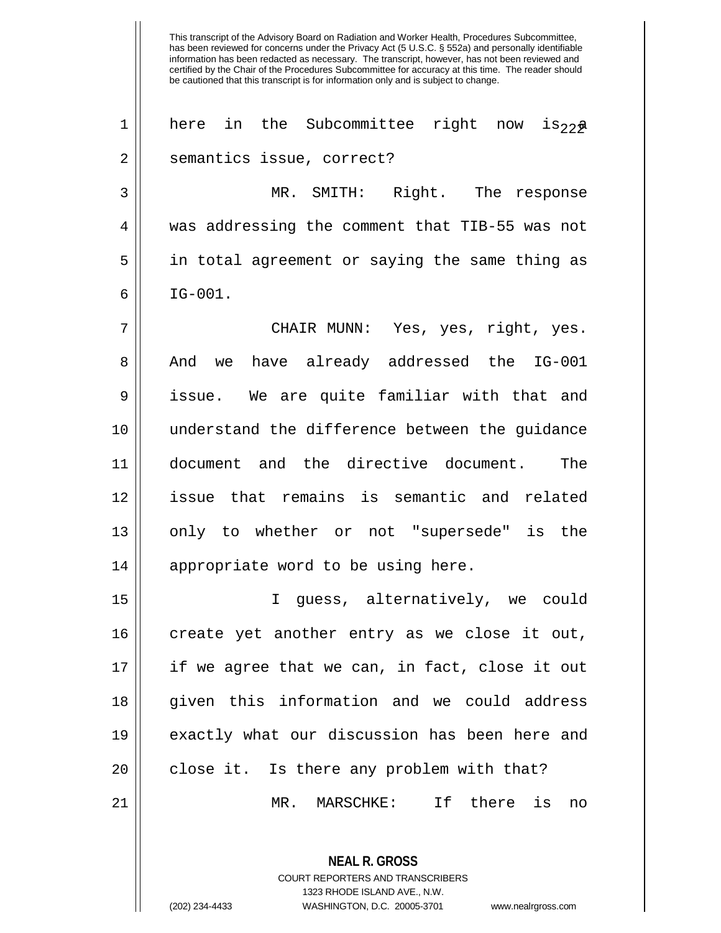This transcript of the Advisory Board on Radiation and Worker Health, Procedures Subcommittee, has been reviewed for concerns under the Privacy Act (5 U.S.C. § 552a) and personally identifiable information has been redacted as necessary. The transcript, however, has not been reviewed and certified by the Chair of the Procedures Subcommittee for accuracy at this time. The reader should be cautioned that this transcript is for information only and is subject to change. 1 || here in the Subcommittee right now is  $22\pi$ 2 || semantics issue, correct? 3 MR. SMITH: Right. The response 4 || was addressing the comment that TIB-55 was not 5 in total agreement or saying the same thing as  $6 \parallel$  IG-001. 7 CHAIR MUNN: Yes, yes, right, yes. 8 And we have already addressed the IG-001 9 issue. We are quite familiar with that and 10 understand the difference between the guidance 11 document and the directive document. The 12 issue that remains is semantic and related 13 || only to whether or not "supersede" is the 14 || appropriate word to be using here. 15 I guess, alternatively, we could  $16$  create yet another entry as we close it out, 17 if we agree that we can, in fact, close it out 18 given this information and we could address 19 exactly what our discussion has been here and  $20$  || close it. Is there any problem with that? 21 MR. MARSCHKE: If there is no

> **NEAL R. GROSS** COURT REPORTERS AND TRANSCRIBERS 1323 RHODE ISLAND AVE., N.W. (202) 234-4433 WASHINGTON, D.C. 20005-3701 www.nealrgross.com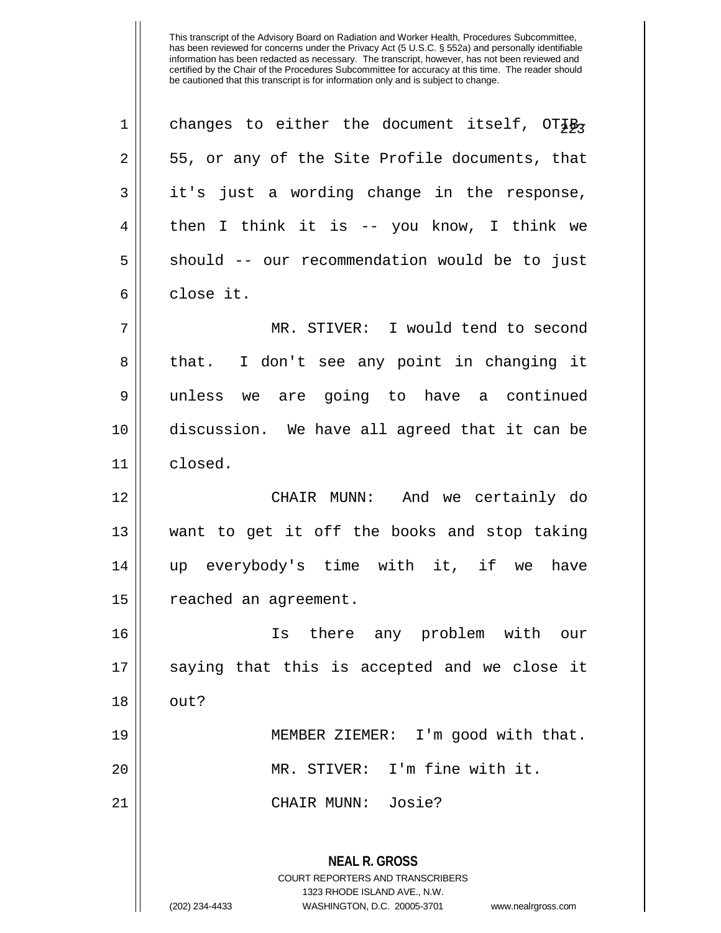| $\mathbf 1$    | changes to either the document itself, $OT\frac{7}{2}R$                                                                                                                |
|----------------|------------------------------------------------------------------------------------------------------------------------------------------------------------------------|
| $\overline{2}$ | 55, or any of the Site Profile documents, that                                                                                                                         |
| 3              | it's just a wording change in the response,                                                                                                                            |
| 4              | then I think it is -- you know, I think we                                                                                                                             |
| 5              | should -- our recommendation would be to just                                                                                                                          |
| 6              | close it.                                                                                                                                                              |
| 7              | MR. STIVER: I would tend to second                                                                                                                                     |
| 8              | I don't see any point in changing it<br>that.                                                                                                                          |
| $\mathsf 9$    | unless we are going to have a continued                                                                                                                                |
| 10             | discussion. We have all agreed that it can be                                                                                                                          |
| 11             | closed.                                                                                                                                                                |
| 12             | CHAIR MUNN: And we certainly do                                                                                                                                        |
| 13             | want to get it off the books and stop taking                                                                                                                           |
| 14             | up everybody's time with it, if we<br>have                                                                                                                             |
| 15             | reached an agreement.                                                                                                                                                  |
| 16             | Is there any problem with our                                                                                                                                          |
| 17             | saying that this is accepted and we close it                                                                                                                           |
| 18             | out?                                                                                                                                                                   |
| 19             | MEMBER ZIEMER: I'm good with that.                                                                                                                                     |
| 20             | MR. STIVER: I'm fine with it.                                                                                                                                          |
| 21             | CHAIR MUNN: Josie?                                                                                                                                                     |
|                | <b>NEAL R. GROSS</b><br><b>COURT REPORTERS AND TRANSCRIBERS</b><br>1323 RHODE ISLAND AVE., N.W.<br>(202) 234-4433<br>WASHINGTON, D.C. 20005-3701<br>www.nealrgross.com |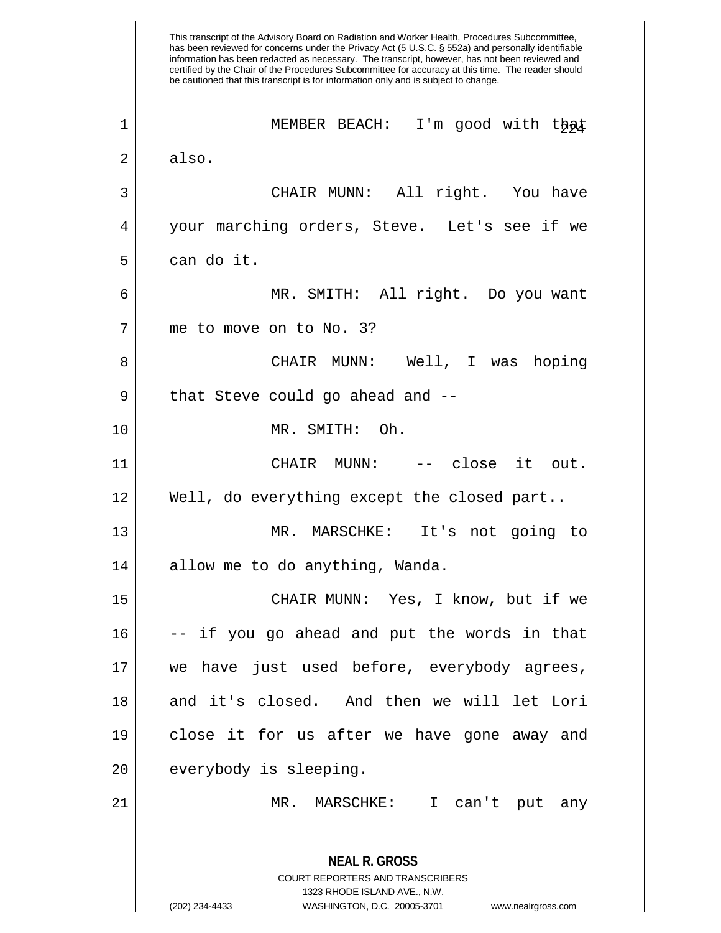This transcript of the Advisory Board on Radiation and Worker Health, Procedures Subcommittee, has been reviewed for concerns under the Privacy Act (5 U.S.C. § 552a) and personally identifiable information has been redacted as necessary. The transcript, however, has not been reviewed and certified by the Chair of the Procedures Subcommittee for accuracy at this time. The reader should be cautioned that this transcript is for information only and is subject to change. **NEAL R. GROSS** COURT REPORTERS AND TRANSCRIBERS 1323 RHODE ISLAND AVE., N.W. 1 || MEMBER BEACH: I'm good with that  $2 \parallel$  also. 3 CHAIR MUNN: All right. You have 4 your marching orders, Steve. Let's see if we 5 can do it. 6 MR. SMITH: All right. Do you want 7 | me to move on to No. 3? 8 CHAIR MUNN: Well, I was hoping 9 || that Steve could go ahead and --10 MR. SMITH: Oh. 11 CHAIR MUNN: -- close it out. 12 Well, do everything except the closed part.. 13 MR. MARSCHKE: It's not going to 14 || allow me to do anything, Wanda. 15 CHAIR MUNN: Yes, I know, but if we  $16$   $\vert$  -- if you go ahead and put the words in that 17 we have just used before, everybody agrees, 18 and it's closed. And then we will let Lori 19 close it for us after we have gone away and 20 | everybody is sleeping. 21 MR. MARSCHKE: I can't put any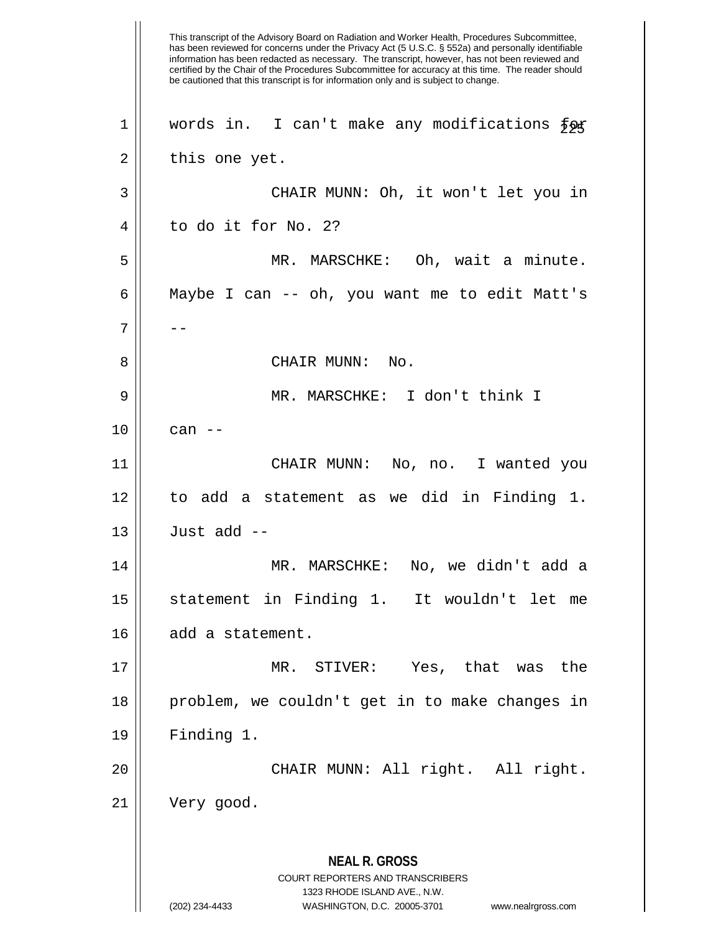This transcript of the Advisory Board on Radiation and Worker Health, Procedures Subcommittee, has been reviewed for concerns under the Privacy Act (5 U.S.C. § 552a) and personally identifiable information has been redacted as necessary. The transcript, however, has not been reviewed and certified by the Chair of the Procedures Subcommittee for accuracy at this time. The reader should be cautioned that this transcript is for information only and is subject to change. **NEAL R. GROSS** COURT REPORTERS AND TRANSCRIBERS 1323 RHODE ISLAND AVE., N.W. (202) 234-4433 WASHINGTON, D.C. 20005-3701 www.nealrgross.com 1 | words in. I can't make any modifications  $\frac{2}{5}$  $2 \parallel$  this one yet. 3 CHAIR MUNN: Oh, it won't let you in  $4 \parallel$  to do it for No. 2? 5 || MR. MARSCHKE: Oh, wait a minute. 6 Maybe I can -- oh, you want me to edit Matt's 7 | --8 CHAIR MUNN: No. 9 MR. MARSCHKE: I don't think I  $10 \parallel$  can  $-$ 11 CHAIR MUNN: No, no. I wanted you 12 to add a statement as we did in Finding 1.  $13$  || Just add --14 MR. MARSCHKE: No, we didn't add a 15 statement in Finding 1. It wouldn't let me 16 | add a statement. 17 MR. STIVER: Yes, that was the 18 problem, we couldn't get in to make changes in 19 Finding 1. 20 CHAIR MUNN: All right. All right. 21 Very good.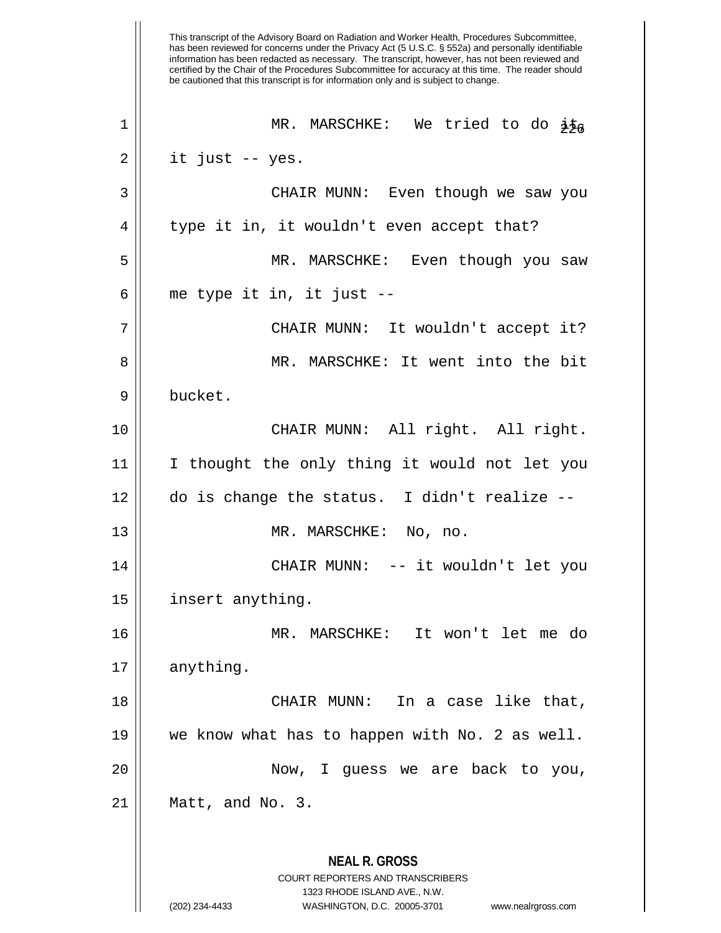This transcript of the Advisory Board on Radiation and Worker Health, Procedures Subcommittee, has been reviewed for concerns under the Privacy Act (5 U.S.C. § 552a) and personally identifiable information has been redacted as necessary. The transcript, however, has not been reviewed and certified by the Chair of the Procedures Subcommittee for accuracy at this time. The reader should be cautioned that this transcript is for information only and is subject to change. **NEAL R. GROSS** COURT REPORTERS AND TRANSCRIBERS 1323 RHODE ISLAND AVE., N.W. (202) 234-4433 WASHINGTON, D.C. 20005-3701 www.nealrgross.com MR. MARSCHKE: We tried to do it, 226 1  $2 \parallel$  it just -- yes. 3 CHAIR MUNN: Even though we saw you 4 || type it in, it wouldn't even accept that? 5 MR. MARSCHKE: Even though you saw  $6$  || me type it in, it just  $-$ 7 CHAIR MUNN: It wouldn't accept it? 8 MR. MARSCHKE: It went into the bit 9 bucket. 10 || CHAIR MUNN: All right. All right. 11 I thought the only thing it would not let you  $12 \parallel$  do is change the status. I didn't realize --13 || MR. MARSCHKE: No, no. 14 CHAIR MUNN: -- it wouldn't let you 15 | insert anything. 16 MR. MARSCHKE: It won't let me do 17 anything. 18 CHAIR MUNN: In a case like that, 19 we know what has to happen with No. 2 as well. 20 || Now, I guess we are back to you, 21 Matt, and No. 3.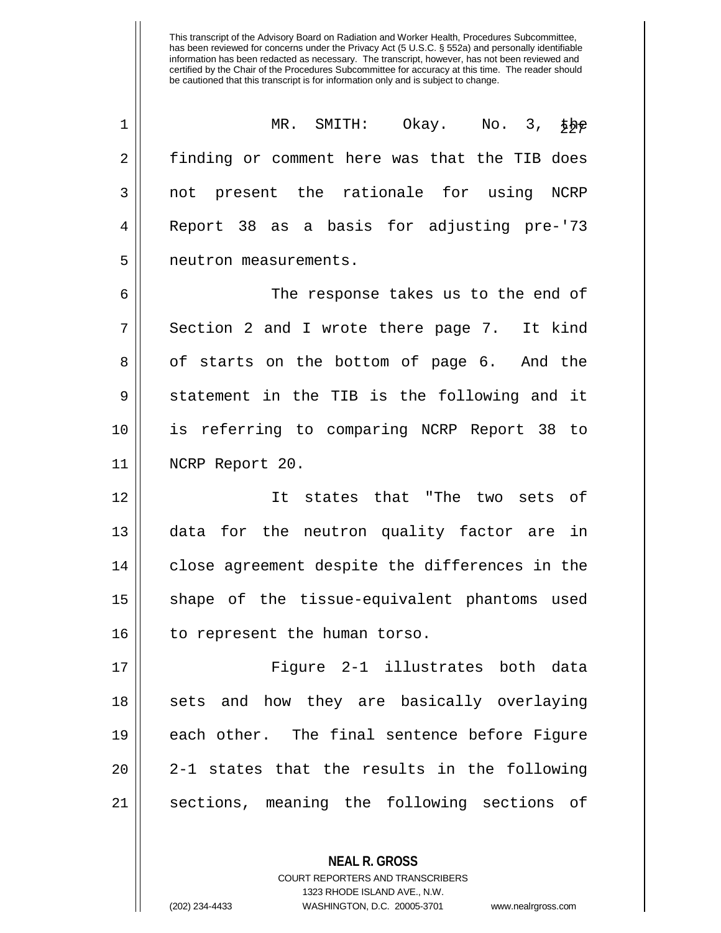| 1  | MR. SMITH: Okay. No. 3, the                    |
|----|------------------------------------------------|
| 2  | finding or comment here was that the TIB does  |
| 3  | not present the rationale for using NCRP       |
| 4  | Report 38 as a basis for adjusting pre-'73     |
| 5  | neutron measurements.                          |
| 6  | The response takes us to the end of            |
| 7  | Section 2 and I wrote there page 7. It kind    |
| 8  | of starts on the bottom of page 6. And the     |
| 9  | statement in the TIB is the following and it   |
| 10 | is referring to comparing NCRP Report 38 to    |
| 11 | NCRP Report 20.                                |
| 12 | It states that "The two sets of                |
| 13 | data for the neutron quality factor are in     |
| 14 | close agreement despite the differences in the |
| 15 | shape of the tissue-equivalent phantoms used   |
| 16 | to represent the human torso.                  |
| 17 | Figure 2-1 illustrates both data               |
| 18 | sets and how they are basically overlaying     |
| 19 | each other. The final sentence before Figure   |
| 20 | 2-1 states that the results in the following   |
| 21 | sections, meaning the following sections of    |

**NEAL R. GROSS** COURT REPORTERS AND TRANSCRIBERS 1323 RHODE ISLAND AVE., N.W.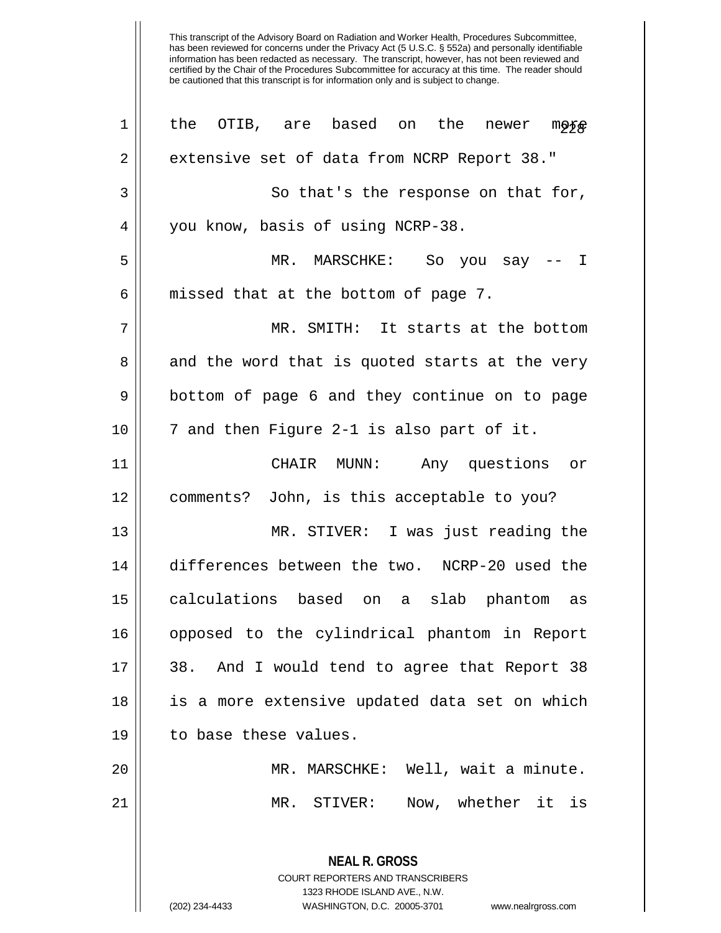| 1           | the OTIB, are based on the<br>newer<br><b>moxe</b>                                              |
|-------------|-------------------------------------------------------------------------------------------------|
| $\mathbf 2$ | extensive set of data from NCRP Report 38."                                                     |
| 3           | So that's the response on that for,                                                             |
| 4           | you know, basis of using NCRP-38.                                                               |
| 5           | MR. MARSCHKE: So you say -- I                                                                   |
| 6           | missed that at the bottom of page 7.                                                            |
| 7           | MR. SMITH: It starts at the bottom                                                              |
| 8           | and the word that is quoted starts at the very                                                  |
| 9           | bottom of page 6 and they continue on to page                                                   |
| 10          | 7 and then Figure 2-1 is also part of it.                                                       |
| 11          | CHAIR MUNN:<br>Any questions or                                                                 |
| 12          | comments? John, is this acceptable to you?                                                      |
| 13          | MR. STIVER: I was just reading the                                                              |
| 14          | differences between the two. NCRP-20 used the                                                   |
| 15          | calculations based on a slab phantom as                                                         |
| 16          | opposed to the cylindrical phantom in Report                                                    |
| 17          | 38. And I would tend to agree that Report 38                                                    |
| 18          | is a more extensive updated data set on which                                                   |
| 19          | to base these values.                                                                           |
| 20          | MR. MARSCHKE: Well, wait a minute.                                                              |
| 21          | Now, whether it is<br>MR. STIVER:                                                               |
|             | <b>NEAL R. GROSS</b><br><b>COURT REPORTERS AND TRANSCRIBERS</b><br>1323 RHODE ISLAND AVE., N.W. |
|             | (202) 234-4433<br>WASHINGTON, D.C. 20005-3701<br>www.nealrgross.com                             |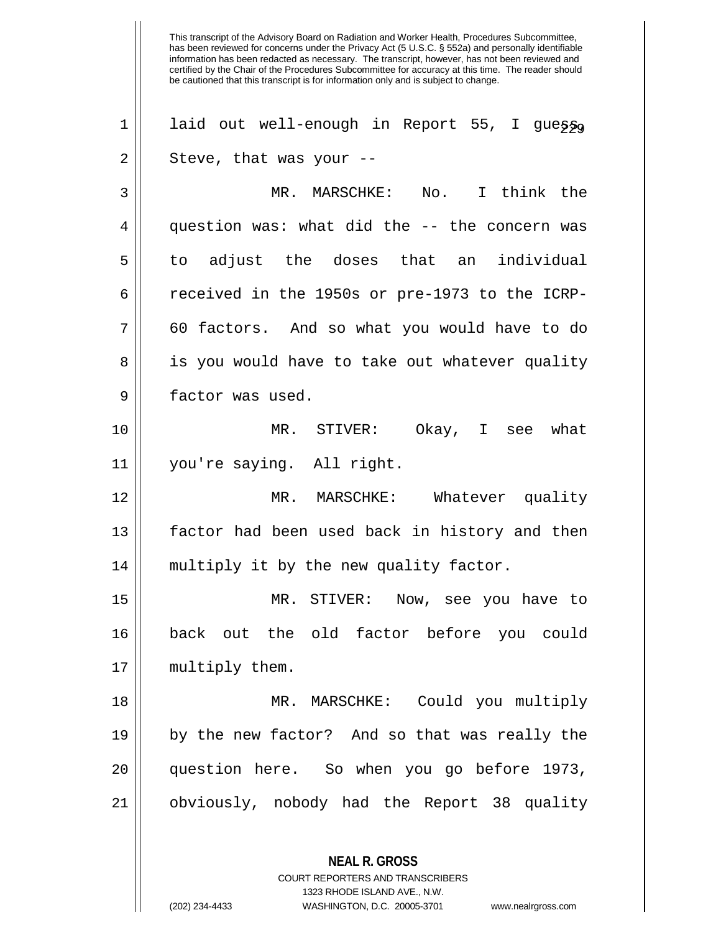This transcript of the Advisory Board on Radiation and Worker Health, Procedures Subcommittee, has been reviewed for concerns under the Privacy Act (5 U.S.C. § 552a) and personally identifiable information has been redacted as necessary. The transcript, however, has not been reviewed and certified by the Chair of the Procedures Subcommittee for accuracy at this time. The reader should be cautioned that this transcript is for information only and is subject to change. **NEAL R. GROSS** 1 | laid out well-enough in Report 55, I guess,  $2 \parallel$  Steve, that was your --3 MR. MARSCHKE: No. I think the 4 || question was: what did the -- the concern was 5 || to adjust the doses that an individual 6  $\parallel$  received in the 1950s or pre-1973 to the ICRP- $7 \parallel$  60 factors. And so what you would have to do 8 || is you would have to take out whatever quality 9 | factor was used. 10 MR. STIVER: Okay, I see what 11 you're saying. All right. 12 MR. MARSCHKE: Whatever quality 13 factor had been used back in history and then 14 multiply it by the new quality factor. 15 MR. STIVER: Now, see you have to 16 back out the old factor before you could 17 || multiply them. 18 MR. MARSCHKE: Could you multiply 19 by the new factor? And so that was really the 20 question here. So when you go before 1973, 21 obviously, nobody had the Report 38 quality

> COURT REPORTERS AND TRANSCRIBERS 1323 RHODE ISLAND AVE., N.W.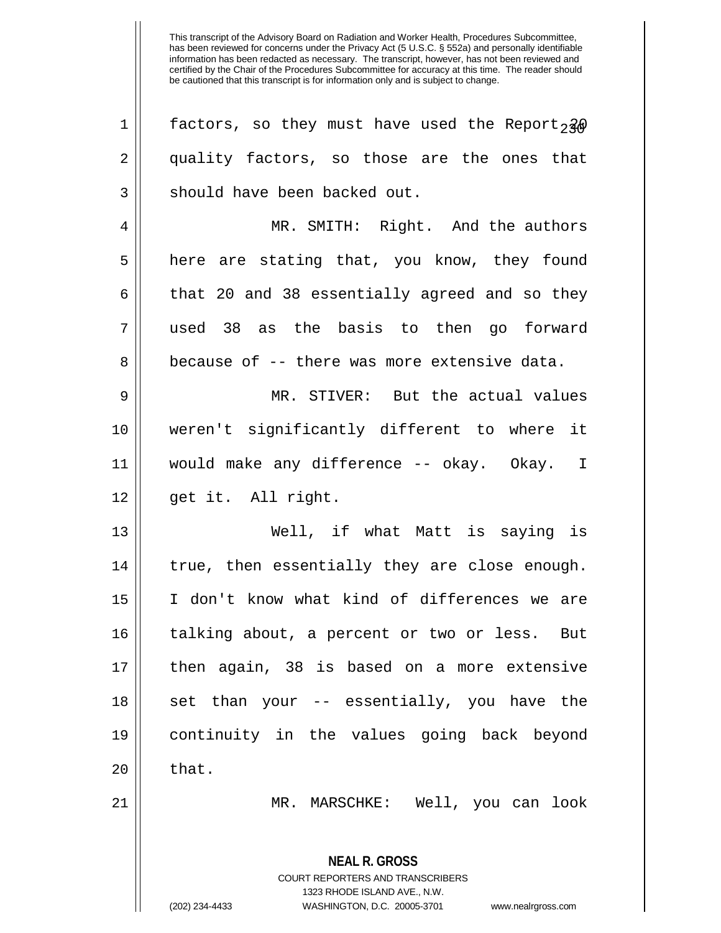**NEAL R. GROSS** COURT REPORTERS AND TRANSCRIBERS 1323 RHODE ISLAND AVE., N.W. (202) 234-4433 WASHINGTON, D.C. 20005-3701 www.nealrgross.com 1 | factors, so they must have used the Report,  $2\phi$ 2 quality factors, so those are the ones that 3 || should have been backed out. 4 MR. SMITH: Right. And the authors 5 | here are stating that, you know, they found  $6 \parallel$  that 20 and 38 essentially agreed and so they 7 used 38 as the basis to then go forward 8 **because of -- there was more extensive data.** 9 MR. STIVER: But the actual values 10 weren't significantly different to where it 11 would make any difference -- okay. Okay. I 12 get it. All right. 13 Well, if what Matt is saying is 14 || true, then essentially they are close enough. 15 I don't know what kind of differences we are 16 || talking about, a percent or two or less. But 17 then again, 38 is based on a more extensive  $18$  || set than your -- essentially, you have the 19 continuity in the values going back beyond  $20 \parallel$  that. 21 MR. MARSCHKE: Well, you can look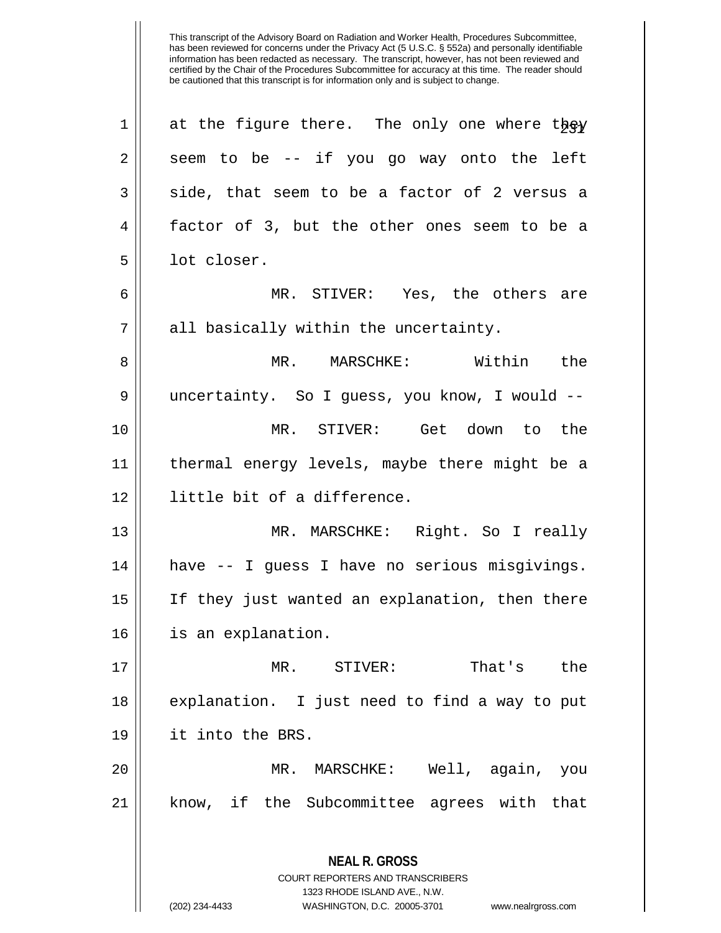| $\mathbf 1$ | at the figure there. The only one where they                                                                                                                           |
|-------------|------------------------------------------------------------------------------------------------------------------------------------------------------------------------|
| 2           | seem to be -- if you go way onto the left                                                                                                                              |
| 3           | side, that seem to be a factor of 2 versus a                                                                                                                           |
| 4           | factor of 3, but the other ones seem to be a                                                                                                                           |
| 5           | lot closer.                                                                                                                                                            |
| 6           | MR. STIVER: Yes, the others are                                                                                                                                        |
| 7           | all basically within the uncertainty.                                                                                                                                  |
| 8           | MR. MARSCHKE: Within<br>the                                                                                                                                            |
| 9           | uncertainty. So I guess, you know, I would --                                                                                                                          |
| 10          | MR. STIVER: Get down to the                                                                                                                                            |
| 11          | thermal energy levels, maybe there might be a                                                                                                                          |
| 12          | little bit of a difference.                                                                                                                                            |
| 13          | MR. MARSCHKE: Right. So I really                                                                                                                                       |
| 14          | have -- I guess I have no serious misgivings.                                                                                                                          |
| 15          | If they just wanted an explanation, then there                                                                                                                         |
| 16          | is an explanation.                                                                                                                                                     |
| 17          | MR. STIVER:<br>That's the                                                                                                                                              |
| 18          | explanation. I just need to find a way to put                                                                                                                          |
| 19          | it into the BRS.                                                                                                                                                       |
| 20          | MR. MARSCHKE: Well, again, you                                                                                                                                         |
| 21          | know, if the Subcommittee agrees with that                                                                                                                             |
|             | <b>NEAL R. GROSS</b><br><b>COURT REPORTERS AND TRANSCRIBERS</b><br>1323 RHODE ISLAND AVE., N.W.<br>(202) 234-4433<br>WASHINGTON, D.C. 20005-3701<br>www.nealrgross.com |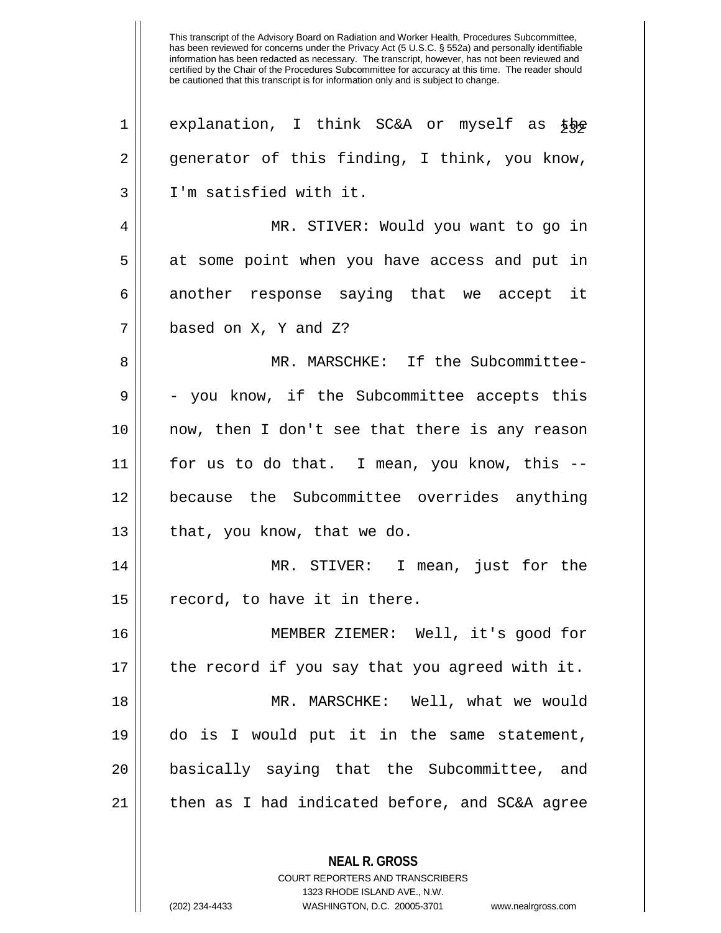This transcript of the Advisory Board on Radiation and Worker Health, Procedures Subcommittee, has been reviewed for concerns under the Privacy Act (5 U.S.C. § 552a) and personally identifiable information has been redacted as necessary. The transcript, however, has not been reviewed and certified by the Chair of the Procedures Subcommittee for accuracy at this time. The reader should be cautioned that this transcript is for information only and is subject to change. 1 explanation, I think SC&A or myself as  $\bar{\phi}$ 2 generator of this finding, I think, you know, 3 I'm satisfied with it. 4 MR. STIVER: Would you want to go in 5 at some point when you have access and put in  $6$  another response saying that we accept it 7 based on X, Y and Z? 8 MR. MARSCHKE: If the Subcommittee- $9 \parallel -$  you know, if the Subcommittee accepts this 10 now, then I don't see that there is any reason 11 for us to do that. I mean, you know, this -- 12 because the Subcommittee overrides anything  $13$  || that, you know, that we do. 14 MR. STIVER: I mean, just for the 15 || record, to have it in there. 16 MEMBER ZIEMER: Well, it's good for 17 || the record if you say that you agreed with it. 18 MR. MARSCHKE: Well, what we would 19 do is I would put it in the same statement, 20 basically saying that the Subcommittee, and  $21$  | then as I had indicated before, and SC&A agree

> **NEAL R. GROSS** COURT REPORTERS AND TRANSCRIBERS

> > 1323 RHODE ISLAND AVE., N.W.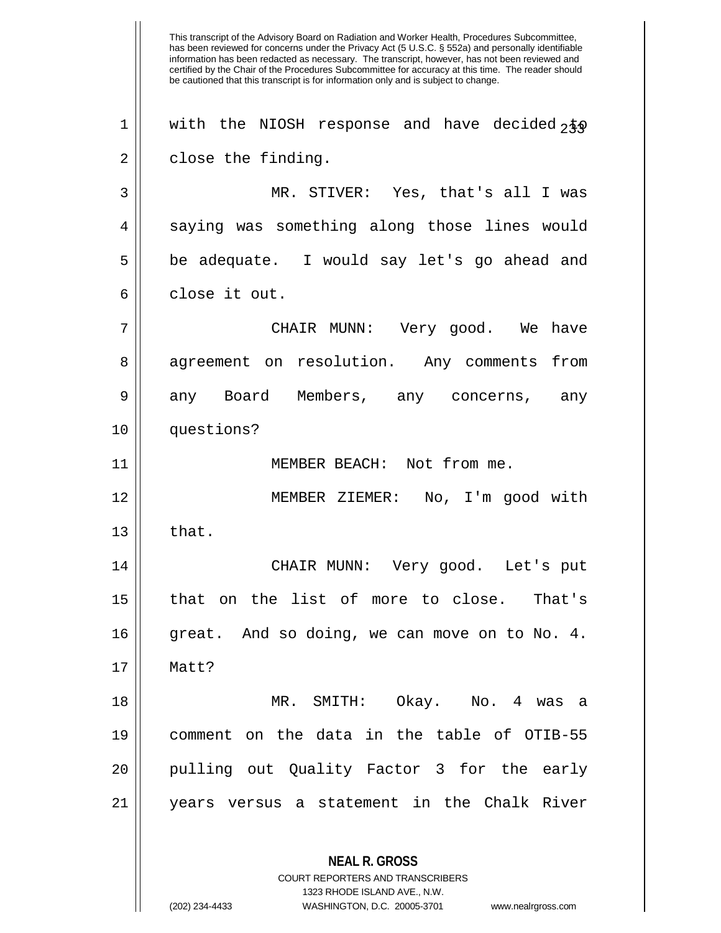This transcript of the Advisory Board on Radiation and Worker Health, Procedures Subcommittee, has been reviewed for concerns under the Privacy Act (5 U.S.C. § 552a) and personally identifiable information has been redacted as necessary. The transcript, however, has not been reviewed and certified by the Chair of the Procedures Subcommittee for accuracy at this time. The reader should be cautioned that this transcript is for information only and is subject to change. **NEAL R. GROSS** COURT REPORTERS AND TRANSCRIBERS  $1$  | with the NIOSH response and have decided  $2\overline{50}$  $2 \parallel$  close the finding. 3 MR. STIVER: Yes, that's all I was 4 || saying was something along those lines would 5 be adequate. I would say let's go ahead and 6 close it out. 7 CHAIR MUNN: Very good. We have 8 agreement on resolution. Any comments from 9 any Board Members, any concerns, any 10 questions? 11 MEMBER BEACH: Not from me. 12 || MEMBER ZIEMER: No, I'm good with  $13 \parallel$  that. 14 CHAIR MUNN: Very good. Let's put 15 that on the list of more to close. That's  $16$  great. And so doing, we can move on to No. 4. 17 Matt? 18 MR. SMITH: Okay. No. 4 was a 19 comment on the data in the table of OTIB-55 20 || pulling out Quality Factor 3 for the early 21 years versus a statement in the Chalk River

1323 RHODE ISLAND AVE., N.W.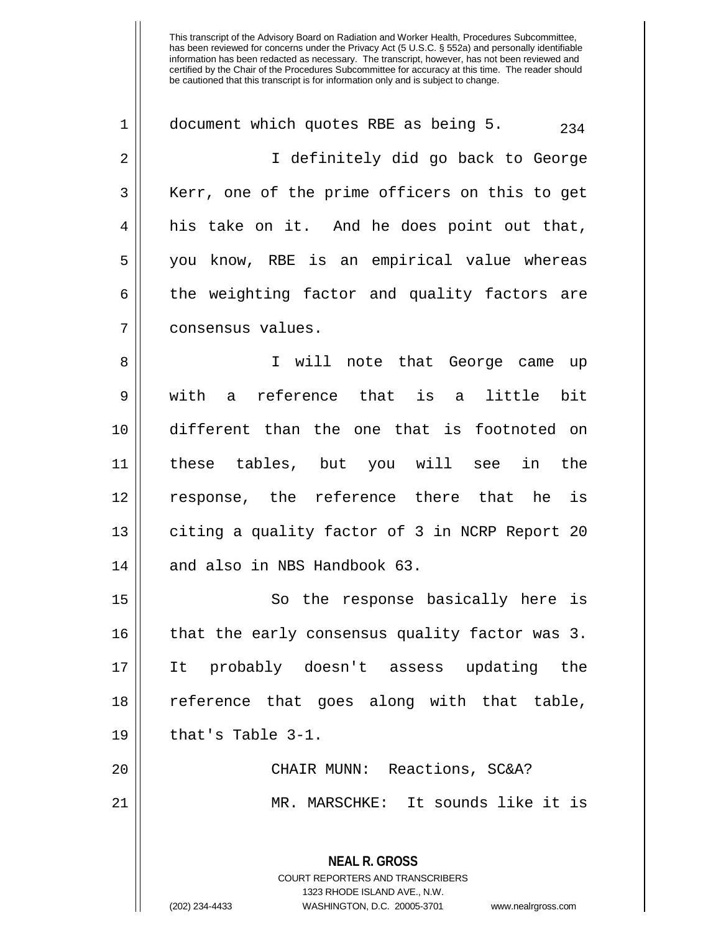**NEAL R. GROSS** COURT REPORTERS AND TRANSCRIBERS 1 | document which quotes RBE as being 5.  $234$ 2 I definitely did go back to George 3 || Kerr, one of the prime officers on this to get 4 || his take on it. And he does point out that, 5 you know, RBE is an empirical value whereas  $6 \parallel$  the weighting factor and quality factors are 7 consensus values. 8 || I will note that George came up 9 with a reference that is a little bit 10 different than the one that is footnoted on 11 these tables, but you will see in the 12 response, the reference there that he is 13 || citing a quality factor of 3 in NCRP Report 20 14 || and also in NBS Handbook 63. 15 || So the response basically here is 16 || that the early consensus quality factor was 3. 17 It probably doesn't assess updating the 18 reference that goes along with that table,  $19 \parallel$  that's Table 3-1. 20 CHAIR MUNN: Reactions, SC&A? 21 MR. MARSCHKE: It sounds like it is

1323 RHODE ISLAND AVE., N.W.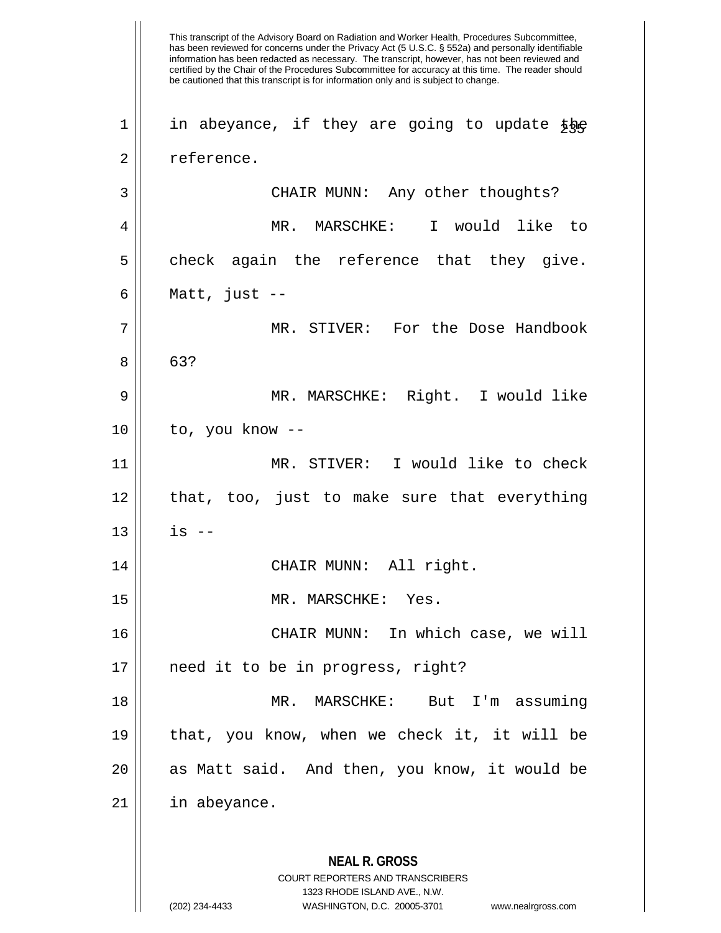This transcript of the Advisory Board on Radiation and Worker Health, Procedures Subcommittee, has been reviewed for concerns under the Privacy Act (5 U.S.C. § 552a) and personally identifiable information has been redacted as necessary. The transcript, however, has not been reviewed and certified by the Chair of the Procedures Subcommittee for accuracy at this time. The reader should be cautioned that this transcript is for information only and is subject to change. **NEAL R. GROSS** COURT REPORTERS AND TRANSCRIBERS 1323 RHODE ISLAND AVE., N.W. (202) 234-4433 WASHINGTON, D.C. 20005-3701 www.nealrgross.com  $1 \parallel$  in abeyance, if they are going to update the 2 | reference. 3 CHAIR MUNN: Any other thoughts? 4 MR. MARSCHKE: I would like to  $5 \parallel$  check again the reference that they give. 6 Matt, just -- 7 MR. STIVER: For the Dose Handbook  $8 \parallel 63?$ 9 MR. MARSCHKE: Right. I would like  $10$  || to, you know --11 MR. STIVER: I would like to check  $12$  || that, too, just to make sure that everything  $13$  || is  $-$ 14 CHAIR MUNN: All right. 15 MR. MARSCHKE: Yes. 16 CHAIR MUNN: In which case, we will 17 need it to be in progress, right? 18 MR. MARSCHKE: But I'm assuming 19 that, you know, when we check it, it will be 20 || as Matt said. And then, you know, it would be  $21$  | in abeyance.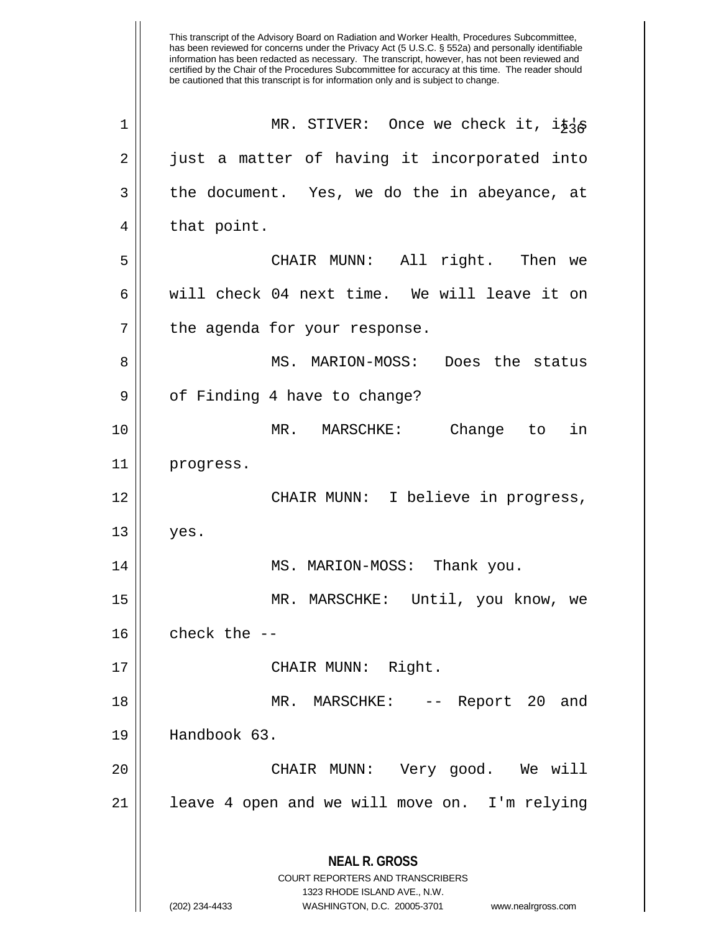This transcript of the Advisory Board on Radiation and Worker Health, Procedures Subcommittee, has been reviewed for concerns under the Privacy Act (5 U.S.C. § 552a) and personally identifiable information has been redacted as necessary. The transcript, however, has not been reviewed and certified by the Chair of the Procedures Subcommittee for accuracy at this time. The reader should be cautioned that this transcript is for information only and is subject to change. **NEAL R. GROSS** COURT REPORTERS AND TRANSCRIBERS 1323 RHODE ISLAND AVE., N.W. (202) 234-4433 WASHINGTON, D.C. 20005-3701 www.nealrgross.com 1 || MR. STIVER: Once we check it,  $i\bar{\psi}$   $\chi$ 2 || just a matter of having it incorporated into  $3 \parallel$  the document. Yes, we do the in abeyance, at  $4 \parallel$  that point. 5 CHAIR MUNN: All right. Then we 6 We will check 04 next time. We will leave it on  $7$  | the agenda for your response. 8 || MS. MARION-MOSS: Does the status 9 | of Finding 4 have to change? 10 || MR. MARSCHKE: Change to in 11 progress. 12 || CHAIR MUNN: I believe in progress,  $13 \parallel$  yes. 14 MS. MARION-MOSS: Thank you. 15 MR. MARSCHKE: Until, you know, we  $16$   $\parallel$  check the  $-$ 17 || CHAIR MUNN: Right. 18 || MR. MARSCHKE: -- Report 20 and 19 Handbook 63. 20 CHAIR MUNN: Very good. We will  $21$  | leave 4 open and we will move on. I'm relying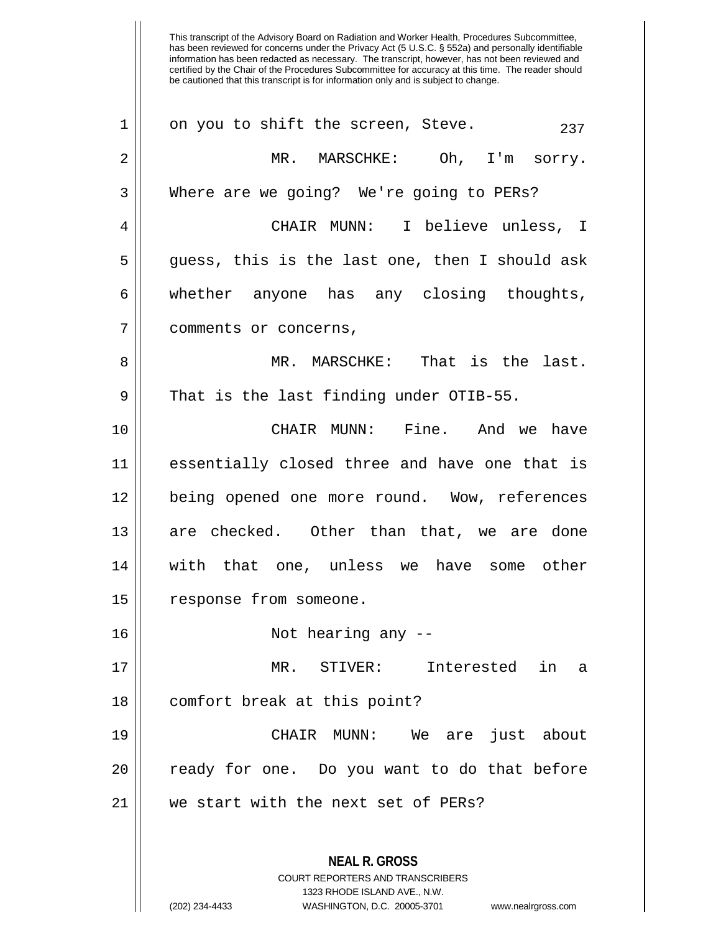This transcript of the Advisory Board on Radiation and Worker Health, Procedures Subcommittee, has been reviewed for concerns under the Privacy Act (5 U.S.C. § 552a) and personally identifiable information has been redacted as necessary. The transcript, however, has not been reviewed and certified by the Chair of the Procedures Subcommittee for accuracy at this time. The reader should be cautioned that this transcript is for information only and is subject to change. **NEAL R. GROSS** COURT REPORTERS AND TRANSCRIBERS 1323 RHODE ISLAND AVE., N.W.  $1 \parallel$  on you to shift the screen, Steve.  $237$ 2 MR. MARSCHKE: Oh, I'm sorry. 3 Where are we going? We're going to PERs? 4 CHAIR MUNN: I believe unless, I  $5 \parallel$  quess, this is the last one, then I should ask 6 whether anyone has any closing thoughts, 7 | comments or concerns, 8 MR. MARSCHKE: That is the last.  $9 \parallel$  That is the last finding under OTIB-55. 10 CHAIR MUNN: Fine. And we have 11 essentially closed three and have one that is 12 being opened one more round. Wow, references 13 are checked. Other than that, we are done 14 with that one, unless we have some other 15 || response from someone. 16 || Not hearing any --17 MR. STIVER: Interested in a 18 || comfort break at this point? 19 CHAIR MUNN: We are just about 20 || ready for one. Do you want to do that before 21 We start with the next set of PERs?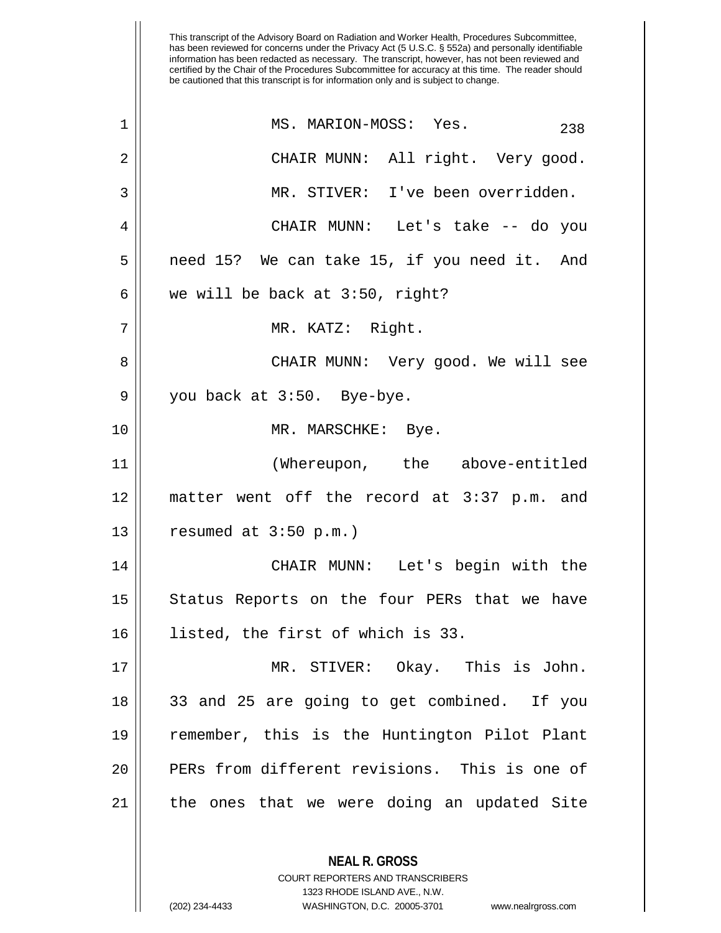| 1  | MS. MARION-MOSS: Yes.<br>238                  |
|----|-----------------------------------------------|
| 2  | CHAIR MUNN: All right. Very good.             |
| 3  | MR. STIVER: I've been overridden.             |
| 4  | CHAIR MUNN: Let's take -- do you              |
| 5  | need 15? We can take 15, if you need it. And  |
| 6  | we will be back at 3:50, right?               |
| 7  | MR. KATZ: Right.                              |
| 8  | CHAIR MUNN: Very good. We will see            |
| 9  | you back at 3:50. Bye-bye.                    |
| 10 | MR. MARSCHKE: Bye.                            |
| 11 | (Whereupon, the above-entitled                |
| 12 | matter went off the record at 3:37 p.m. and   |
| 13 | resumed at $3:50$ p.m.)                       |
| 14 | CHAIR MUNN: Let's begin with the              |
| 15 | Status Reports on the four PERs that we have  |
| 16 | listed, the first of which is 33.             |
| 17 | MR. STIVER: Okay. This is John.               |
| 18 | 33 and 25 are going to get combined. If you   |
| 19 | remember, this is the Huntington Pilot Plant  |
| 20 | PERs from different revisions. This is one of |
| 21 | the ones that we were doing an updated Site   |
|    | <b>NEAL R. GROSS</b>                          |

COURT REPORTERS AND TRANSCRIBERS 1323 RHODE ISLAND AVE., N.W.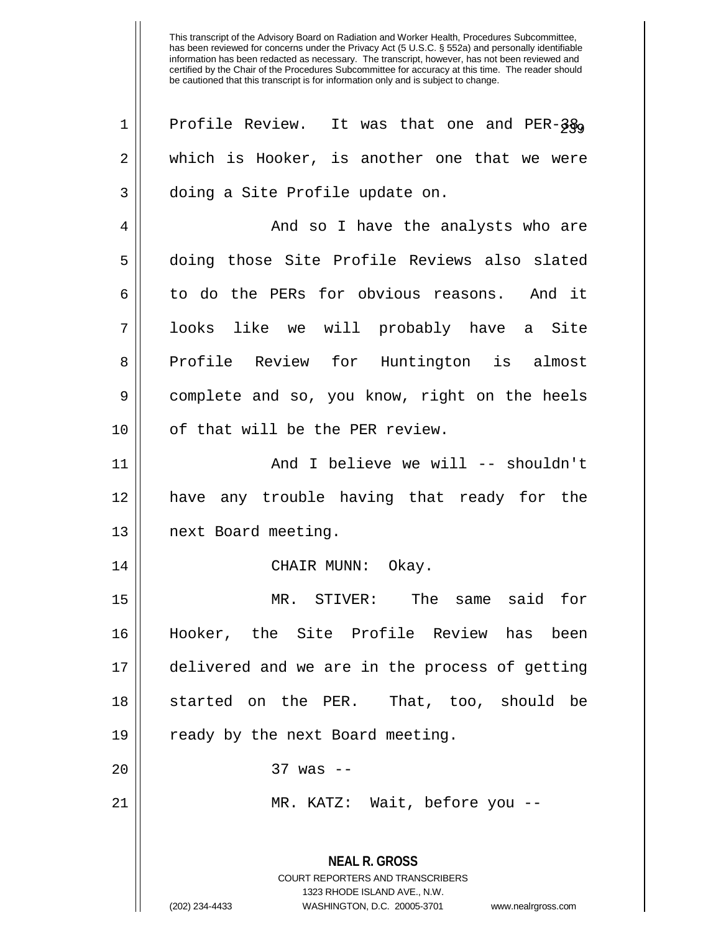**NEAL R. GROSS** COURT REPORTERS AND TRANSCRIBERS 1323 RHODE ISLAND AVE., N.W. (202) 234-4433 WASHINGTON, D.C. 20005-3701 www.nealrgross.com  $1 \parallel$  Profile Review. It was that one and PER-3 $\frac{2}{9}$ 2 which is Hooker, is another one that we were 3 || doing a Site Profile update on. 4 And so I have the analysts who are 5 doing those Site Profile Reviews also slated 6 to do the PERs for obvious reasons. And it 7 looks like we will probably have a Site 8 || Profile Review for Huntington is almost 9 || complete and so, you know, right on the heels 10 || of that will be the PER review. 11 || And I believe we will -- shouldn't 12 have any trouble having that ready for the 13 | next Board meeting. 14 CHAIR MUNN: Okay. 15 MR. STIVER: The same said for 16 Hooker, the Site Profile Review has been 17 delivered and we are in the process of getting 18 Started on the PER. That, too, should be 19 || ready by the next Board meeting. 20 || 37 was --21 || MR. KATZ: Wait, before you --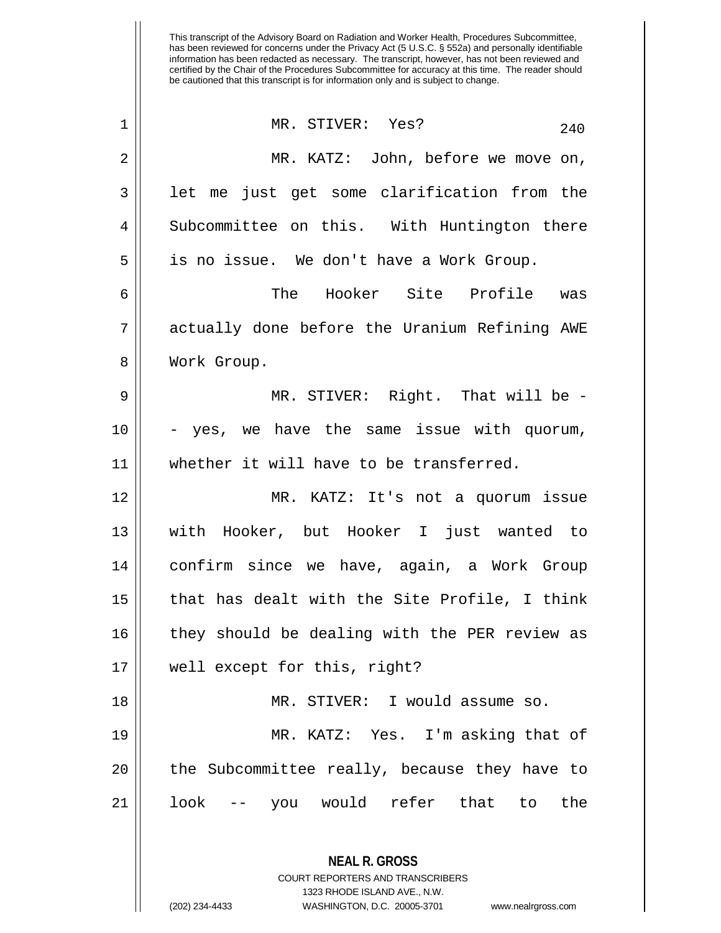| 1  | MR. STIVER: Yes?<br>240                                                                         |
|----|-------------------------------------------------------------------------------------------------|
| 2  | MR. KATZ: John, before we move on,                                                              |
| 3  | let me just get some clarification from the                                                     |
| 4  | Subcommittee on this. With Huntington there                                                     |
| 5  | is no issue. We don't have a Work Group.                                                        |
| 6  | The Hooker Site Profile was                                                                     |
| 7  | actually done before the Uranium Refining AWE                                                   |
| 8  | Work Group.                                                                                     |
| 9  | MR. STIVER: Right. That will be -                                                               |
| 10 | - yes, we have the same issue with quorum,                                                      |
| 11 | whether it will have to be transferred.                                                         |
| 12 | MR. KATZ: It's not a quorum issue                                                               |
| 13 | with Hooker, but Hooker I just wanted to                                                        |
| 14 | confirm since we have, again, a Work Group                                                      |
| 15 | that has dealt with the Site Profile, I think                                                   |
| 16 | they should be dealing with the PER review as                                                   |
| 17 | well except for this, right?                                                                    |
| 18 | MR. STIVER: I would assume so.                                                                  |
| 19 | MR. KATZ: Yes. I'm asking that of                                                               |
| 20 | the Subcommittee really, because they have to                                                   |
| 21 | -- you would refer that to the<br>look                                                          |
|    | <b>NEAL R. GROSS</b><br><b>COURT REPORTERS AND TRANSCRIBERS</b><br>1323 RHODE ISLAND AVE., N.W. |

 $\parallel$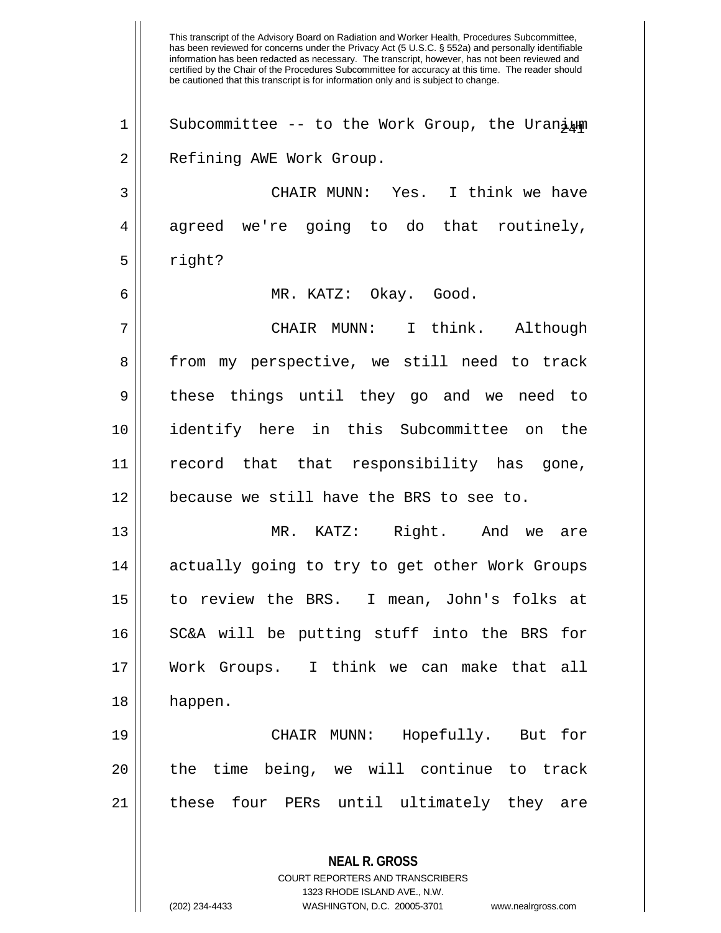This transcript of the Advisory Board on Radiation and Worker Health, Procedures Subcommittee, has been reviewed for concerns under the Privacy Act (5 U.S.C. § 552a) and personally identifiable information has been redacted as necessary. The transcript, however, has not been reviewed and certified by the Chair of the Procedures Subcommittee for accuracy at this time. The reader should be cautioned that this transcript is for information only and is subject to change. **NEAL R. GROSS** COURT REPORTERS AND TRANSCRIBERS 1323 RHODE ISLAND AVE., N.W. 1 || Subcommittee -- to the Work Group, the Uranium 2 || Refining AWE Work Group. 3 CHAIR MUNN: Yes. I think we have  $4 \parallel$  agreed we're going to do that routinely,  $5 \parallel$  right? 6 MR. KATZ: Okay. Good. 7 CHAIR MUNN: I think. Although 8 from my perspective, we still need to track 9 these things until they go and we need to 10 identify here in this Subcommittee on the 11 record that that responsibility has gone, 12 | because we still have the BRS to see to. 13 MR. KATZ: Right. And we are 14 || actually going to try to get other Work Groups 15 to review the BRS. I mean, John's folks at 16 || SC&A will be putting stuff into the BRS for 17 Work Groups. I think we can make that all 18 happen. 19 CHAIR MUNN: Hopefully. But for  $20$  || the time being, we will continue to track 21 || these four PERs until ultimately they are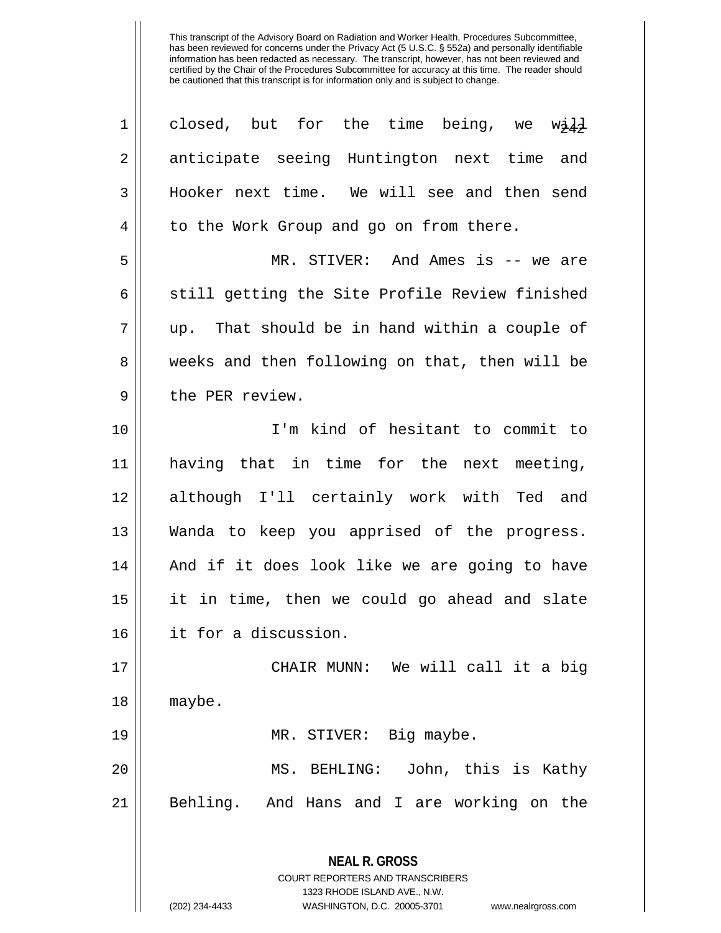| $\mathbf 1$    | closed, but for the time being, we will                                                             |
|----------------|-----------------------------------------------------------------------------------------------------|
| $\overline{2}$ | anticipate seeing Huntington next time and                                                          |
| $\mathfrak{Z}$ | Hooker next time. We will see and then send                                                         |
| $\overline{4}$ | to the Work Group and go on from there.                                                             |
| 5              | MR. STIVER: And Ames is -- we are                                                                   |
| 6              | still getting the Site Profile Review finished                                                      |
| 7              | up. That should be in hand within a couple of                                                       |
| 8              | weeks and then following on that, then will be                                                      |
| 9              | the PER review.                                                                                     |
| 10             | I'm kind of hesitant to commit to                                                                   |
| 11             | having that in time for the next meeting,                                                           |
| 12             | although I'll certainly work with Ted and                                                           |
| 13             | Wanda to keep you apprised of the progress.                                                         |
| 14             | And if it does look like we are going to have                                                       |
| 15             | it in time, then we could go ahead and slate                                                        |
| 16             | it for a discussion.                                                                                |
| 17             | CHAIR MUNN: We will call it a big                                                                   |
| 18             | maybe.                                                                                              |
| 19             | MR. STIVER: Big maybe.                                                                              |
| 20             | John, this is Kathy<br>MS. BEHLING:                                                                 |
| 21             | Behling. And Hans and I are working on the                                                          |
|                | <b>NEAL R. GROSS</b><br><b>COURT REPORTERS AND TRANSCRIBERS</b>                                     |
|                | 1323 RHODE ISLAND AVE., N.W.<br>(202) 234-4433<br>WASHINGTON, D.C. 20005-3701<br>www.nealrgross.com |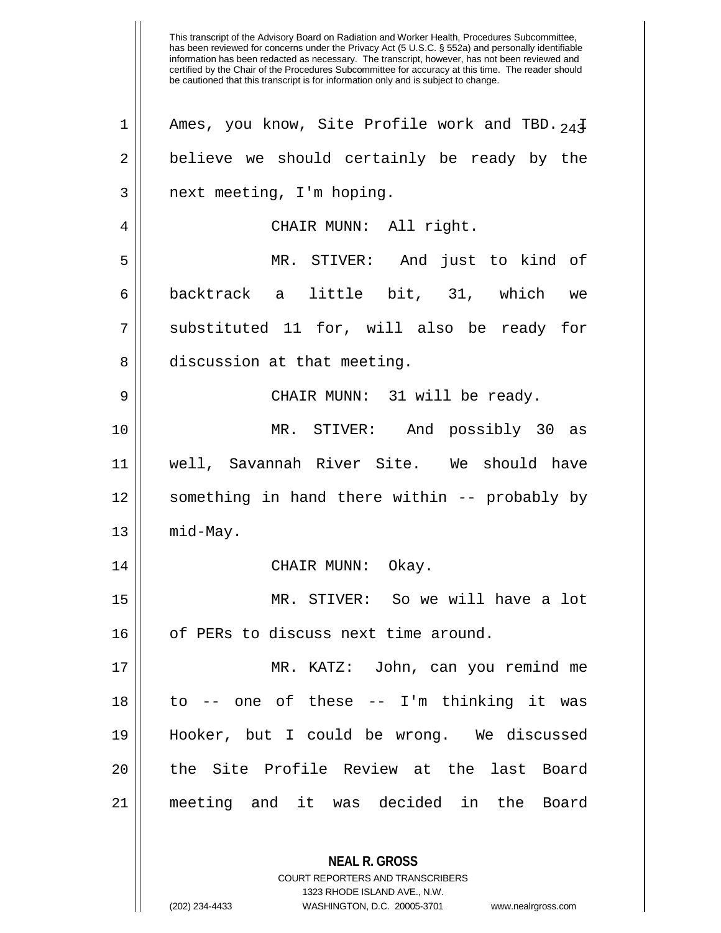This transcript of the Advisory Board on Radiation and Worker Health, Procedures Subcommittee, has been reviewed for concerns under the Privacy Act (5 U.S.C. § 552a) and personally identifiable information has been redacted as necessary. The transcript, however, has not been reviewed and certified by the Chair of the Procedures Subcommittee for accuracy at this time. The reader should be cautioned that this transcript is for information only and is subject to change. **NEAL R. GROSS** COURT REPORTERS AND TRANSCRIBERS 1323 RHODE ISLAND AVE., N.W. 1 || Ames, you know, Site Profile work and TBD.  $24\bar{4}$ 2 | believe we should certainly be ready by the 3 || next meeting, I'm hoping. 4 CHAIR MUNN: All right. 5 MR. STIVER: And just to kind of 6 || backtrack a little bit, 31, which we 7 || substituted 11 for, will also be ready for 8 discussion at that meeting. 9 CHAIR MUNN: 31 will be ready. 10 MR. STIVER: And possibly 30 as 11 well, Savannah River Site. We should have 12 || something in hand there within -- probably by  $13$  | mid-May. 14 CHAIR MUNN: Okay. 15 MR. STIVER: So we will have a lot 16 | of PERs to discuss next time around. 17 MR. KATZ: John, can you remind me 18 to -- one of these -- I'm thinking it was 19 Hooker, but I could be wrong. We discussed 20 || the Site Profile Review at the last Board 21 meeting and it was decided in the Board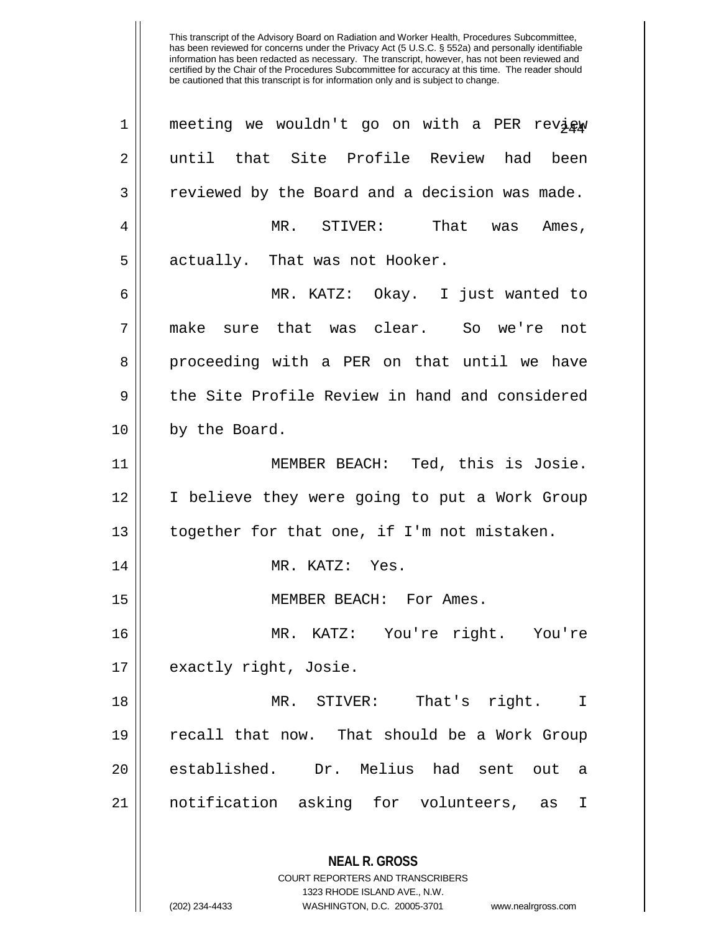| $\mathbf 1$ | meeting we wouldn't go on with a PER review                                                     |
|-------------|-------------------------------------------------------------------------------------------------|
| 2           | until that Site Profile Review had been                                                         |
| 3           | reviewed by the Board and a decision was made.                                                  |
| 4           | MR. STIVER: That was Ames,                                                                      |
| 5           | actually. That was not Hooker.                                                                  |
| 6           | MR. KATZ: Okay. I just wanted to                                                                |
| 7           | make sure that was clear. So we're not                                                          |
| 8           | proceeding with a PER on that until we have                                                     |
| 9           | the Site Profile Review in hand and considered                                                  |
| 10          | by the Board.                                                                                   |
| 11          | MEMBER BEACH: Ted, this is Josie.                                                               |
| 12          | I believe they were going to put a Work Group                                                   |
| 13          | together for that one, if I'm not mistaken.                                                     |
| 14          | MR. KATZ: Yes.                                                                                  |
| 15          | MEMBER BEACH: For Ames.                                                                         |
| 16          | MR. KATZ: You're right. You're                                                                  |
| 17          | exactly right, Josie.                                                                           |
| 18          | MR. STIVER: That's right.<br>$\mathbf I$                                                        |
| 19          | recall that now. That should be a Work Group                                                    |
| 20          | established. Dr. Melius had sent out<br>a                                                       |
| 21          | notification asking for volunteers,<br>I<br>as                                                  |
|             | <b>NEAL R. GROSS</b><br><b>COURT REPORTERS AND TRANSCRIBERS</b><br>1323 RHODE ISLAND AVE., N.W. |

 $\mathbf{\mathcal{H}}$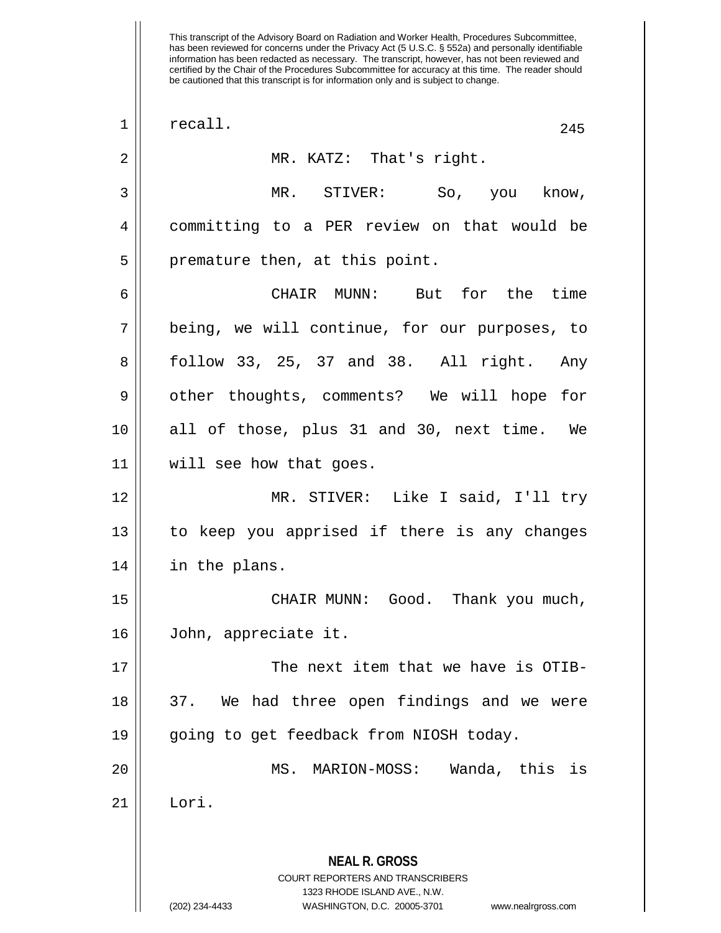| 1              | recall.<br>245                                                          |
|----------------|-------------------------------------------------------------------------|
| 2              | MR. KATZ: That's right.                                                 |
| 3              | MR. STIVER: So, you know,                                               |
| $\overline{4}$ | committing to a PER review on that would be                             |
| 5              | premature then, at this point.                                          |
| 6              | CHAIR MUNN: But for the time                                            |
| 7              | being, we will continue, for our purposes, to                           |
| 8              | follow 33, 25, 37 and 38. All right. Any                                |
| 9              | other thoughts, comments? We will hope for                              |
| 10             | all of those, plus 31 and 30, next time. We                             |
| 11             | will see how that goes.                                                 |
| 12             | MR. STIVER: Like I said, I'll try                                       |
| 13             | to keep you apprised if there is any changes                            |
| 14             | in the plans.                                                           |
| 15             | CHAIR MUNN: Good. Thank you much,                                       |
| 16             | John, appreciate it.                                                    |
| 17             | The next item that we have is OTIB-                                     |
| 18             | 37. We had three open findings and we were                              |
| 19             | going to get feedback from NIOSH today.                                 |
| 20             | Wanda, this is<br>MS. MARION-MOSS:                                      |
| 21             | Lori.                                                                   |
|                |                                                                         |
|                | <b>NEAL R. GROSS</b>                                                    |
|                | <b>COURT REPORTERS AND TRANSCRIBERS</b><br>1323 RHODE ISLAND AVE., N.W. |
|                | (202) 234-4433<br>WASHINGTON, D.C. 20005-3701<br>www.nealrgross.com     |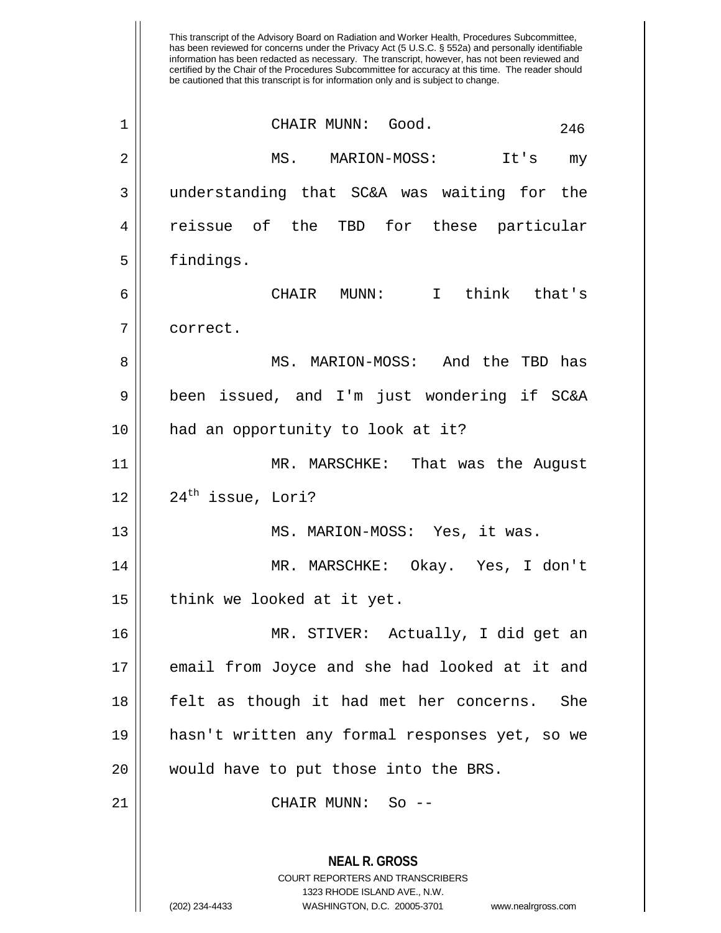has been reviewed for concerns under the Privacy Act (5 U.S.C. § 552a) and personally identifiable information has been redacted as necessary. The transcript, however, has not been reviewed and certified by the Chair of the Procedures Subcommittee for accuracy at this time. The reader should be cautioned that this transcript is for information only and is subject to change. **NEAL R. GROSS** COURT REPORTERS AND TRANSCRIBERS 1323 RHODE ISLAND AVE., N.W. CHAIR MUNN: Good. 246 1 2 MS. MARION-MOSS: It's my 3 understanding that SC&A was waiting for the 4 reissue of the TBD for these particular 5 | findings. 6 CHAIR MUNN: I think that's 7 correct. 8 MS. MARION-MOSS: And the TBD has 9 been issued, and I'm just wondering if SC&A 10 || had an opportunity to look at it? 11 MR. MARSCHKE: That was the August  $12$  |  $24$ <sup>th</sup> issue, Lori? 13 MS. MARION-MOSS: Yes, it was. 14 MR. MARSCHKE: Okay. Yes, I don't 15 || think we looked at it yet. 16 MR. STIVER: Actually, I did get an 17 email from Joyce and she had looked at it and 18 felt as though it had met her concerns. She 19 hasn't written any formal responses yet, so we 20 || would have to put those into the BRS. 21 CHAIR MUNN: So --

This transcript of the Advisory Board on Radiation and Worker Health, Procedures Subcommittee,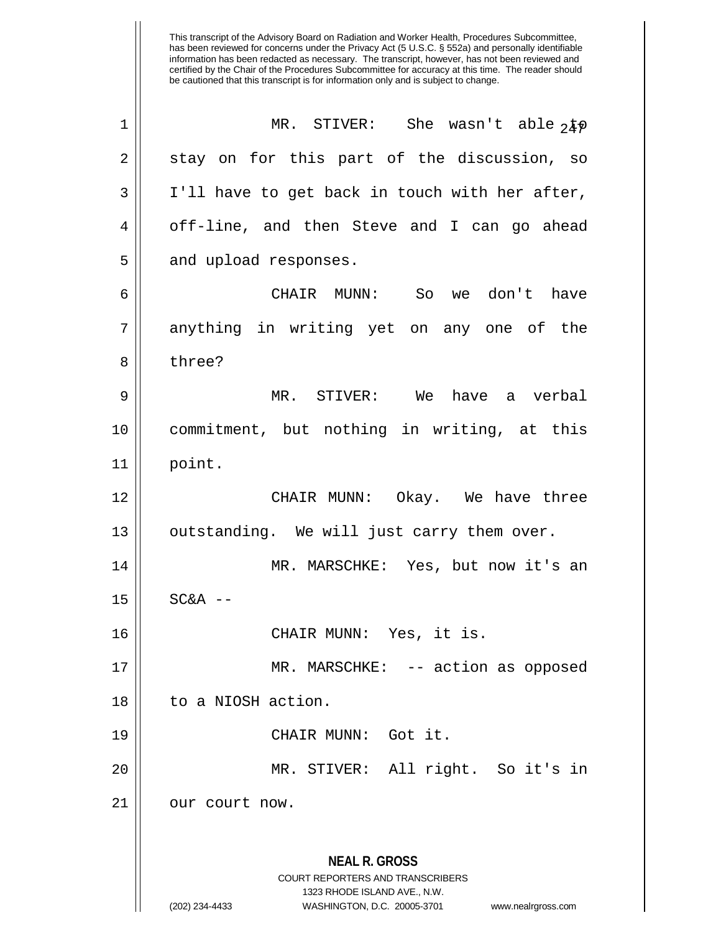| $\mathbf 1$ | MR. STIVER: She wasn't able $24\phi$                                                                                                                                   |
|-------------|------------------------------------------------------------------------------------------------------------------------------------------------------------------------|
| 2           | stay on for this part of the discussion, so                                                                                                                            |
| 3           | I'll have to get back in touch with her after,                                                                                                                         |
| 4           | off-line, and then Steve and I can go ahead                                                                                                                            |
| 5           | and upload responses.                                                                                                                                                  |
| 6           | CHAIR MUNN: So we don't have                                                                                                                                           |
| 7           | anything in writing yet on any one of the                                                                                                                              |
| 8           | three?                                                                                                                                                                 |
| 9           | MR. STIVER: We have a verbal                                                                                                                                           |
| 10          | commitment, but nothing in writing, at this                                                                                                                            |
| 11          | point.                                                                                                                                                                 |
| 12          | CHAIR MUNN: Okay. We have three                                                                                                                                        |
| 13          | outstanding. We will just carry them over.                                                                                                                             |
| 14          | MR. MARSCHKE: Yes, but now it's an                                                                                                                                     |
| 15          | $SC&A$ --                                                                                                                                                              |
| 16          | CHAIR MUNN: Yes, it is.                                                                                                                                                |
| 17          | MR. MARSCHKE: -- action as opposed                                                                                                                                     |
| 18          | to a NIOSH action.                                                                                                                                                     |
| 19          | CHAIR MUNN: Got it.                                                                                                                                                    |
| 20          | MR. STIVER: All right. So it's in                                                                                                                                      |
| 21          | our court now.                                                                                                                                                         |
|             | <b>NEAL R. GROSS</b><br><b>COURT REPORTERS AND TRANSCRIBERS</b><br>1323 RHODE ISLAND AVE., N.W.<br>(202) 234-4433<br>WASHINGTON, D.C. 20005-3701<br>www.nealrgross.com |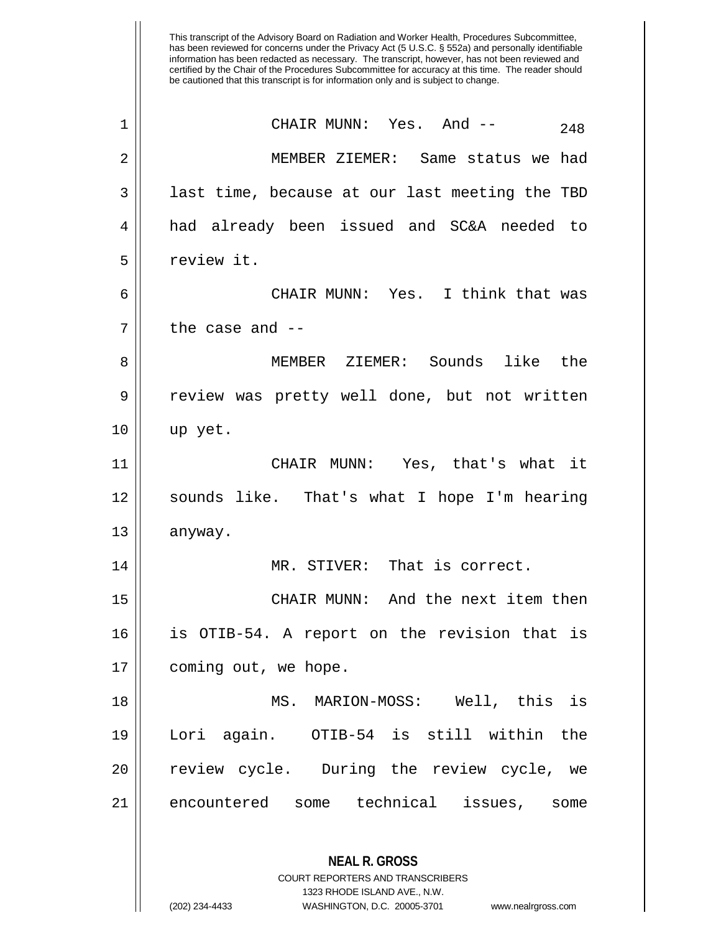This transcript of the Advisory Board on Radiation and Worker Health, Procedures Subcommittee, has been reviewed for concerns under the Privacy Act (5 U.S.C. § 552a) and personally identifiable information has been redacted as necessary. The transcript, however, has not been reviewed and certified by the Chair of the Procedures Subcommittee for accuracy at this time. The reader should be cautioned that this transcript is for information only and is subject to change. **NEAL R. GROSS** COURT REPORTERS AND TRANSCRIBERS 1323 RHODE ISLAND AVE., N.W.  $1 \parallel$  CHAIR MUNN: Yes. And --  $248$ 2 MEMBER ZIEMER: Same status we had  $3 \parallel$  last time, because at our last meeting the TBD 4 had already been issued and SC&A needed to 5 l review it. 6 CHAIR MUNN: Yes. I think that was  $7 \parallel$  the case and  $-$ 8 MEMBER ZIEMER: Sounds like the 9 || review was pretty well done, but not written 10 up yet. 11 || CHAIR MUNN: Yes, that's what it 12 sounds like. That's what I hope I'm hearing  $13$  anyway. 14 MR. STIVER: That is correct. 15 CHAIR MUNN: And the next item then 16 is OTIB-54. A report on the revision that is 17 | coming out, we hope. 18 MS. MARION-MOSS: Well, this is 19 Lori again. OTIB-54 is still within the 20 || review cycle. During the review cycle, we 21 || encountered some technical issues, some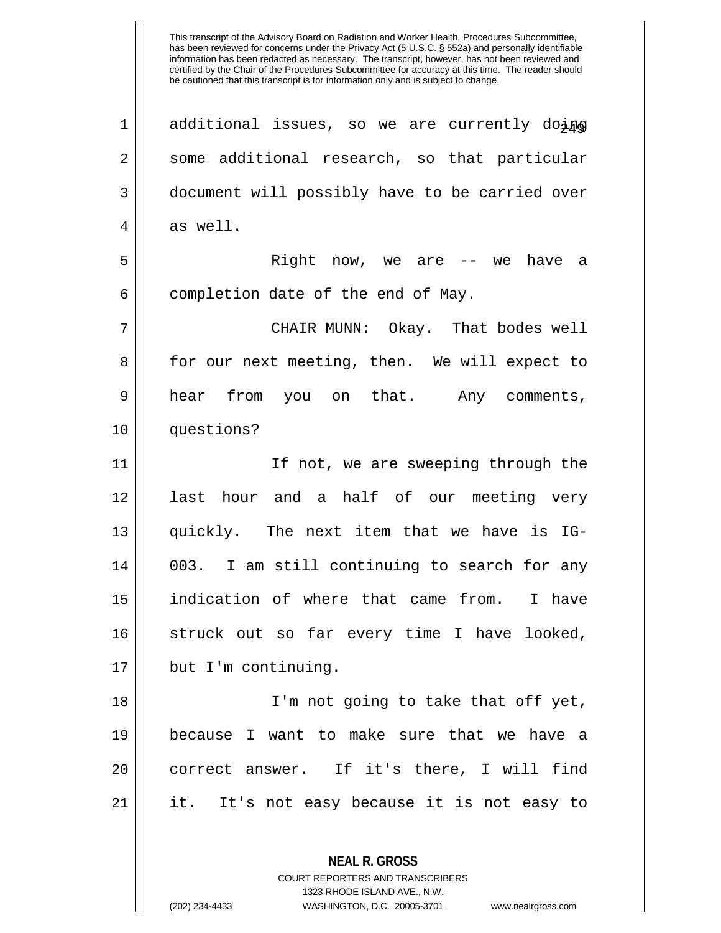1 || additional issues, so we are currently doing 2 || some additional research, so that particular 3 document will possibly have to be carried over  $4 \parallel$  as well. 5 Right now, we are -- we have a  $6$  | completion date of the end of May. 7 CHAIR MUNN: Okay. That bodes well 8 for our next meeting, then. We will expect to 9 hear from you on that. Any comments, 10 questions? 11 If not, we are sweeping through the 12 || last hour and a half of our meeting very 13 quickly. The next item that we have is IG-14 003. I am still continuing to search for any 15 indication of where that came from. I have 16 struck out so far every time I have looked, 17 but I'm continuing. 18 I'm not going to take that off yet, 19 because I want to make sure that we have a 20 || correct answer. If it's there, I will find 21 || it. It's not easy because it is not easy to

> **NEAL R. GROSS** COURT REPORTERS AND TRANSCRIBERS 1323 RHODE ISLAND AVE., N.W.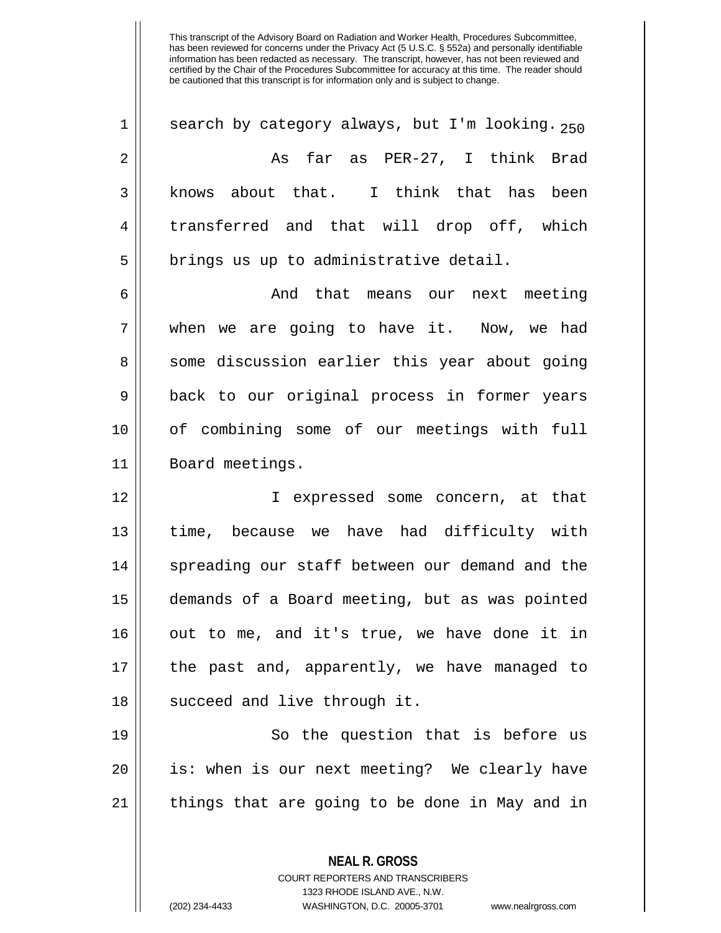$1 \parallel$  search by category always, but I'm looking.  $250$ 2 As far as PER-27, I think Brad 3 knows about that. I think that has been 4 || transferred and that will drop off, which  $5$  || brings us up to administrative detail.

6 And that means our next meeting 7 when we are going to have it. Now, we had 8 || some discussion earlier this year about going 9 || back to our original process in former years 10 of combining some of our meetings with full 11 | Board meetings.

12 I expressed some concern, at that 13 time, because we have had difficulty with 14 || spreading our staff between our demand and the 15 demands of a Board meeting, but as was pointed 16 || out to me, and it's true, we have done it in 17 the past and, apparently, we have managed to 18 || succeed and live through it.

19 || So the question that is before us 20 || is: when is our next meeting? We clearly have  $21$  | things that are going to be done in May and in

> **NEAL R. GROSS** COURT REPORTERS AND TRANSCRIBERS

> > 1323 RHODE ISLAND AVE., N.W.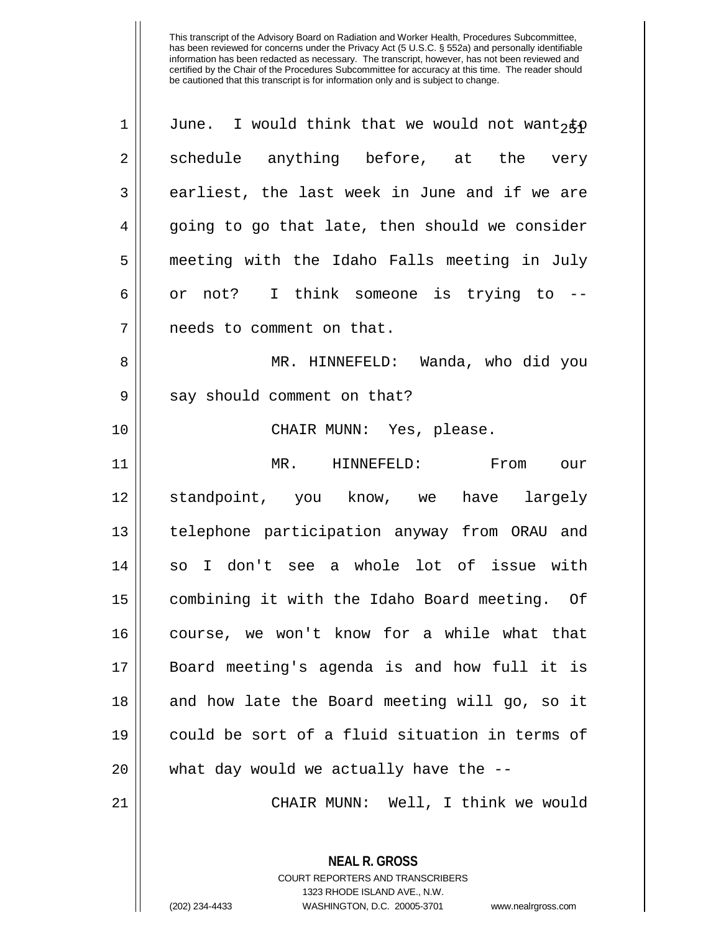| $\mathbf 1$ | June. I would think that we would not want2 $\notin \rho$ |
|-------------|-----------------------------------------------------------|
| $\sqrt{2}$  | schedule anything before, at the very                     |
| 3           | earliest, the last week in June and if we are             |
| 4           | going to go that late, then should we consider            |
| 5           | meeting with the Idaho Falls meeting in July              |
| 6           | or not? I think someone is trying to --                   |
| 7           | needs to comment on that.                                 |
| 8           | MR. HINNEFELD: Wanda, who did you                         |
| $\mathsf 9$ | say should comment on that?                               |
| 10          | CHAIR MUNN: Yes, please.                                  |
| 11          | MR. HINNEFELD: From<br>our                                |
| 12          | standpoint, you know, we have largely                     |
| 13          | telephone participation anyway from ORAU and              |
| 14          | so I don't see a whole lot of issue with                  |
| 15          | combining it with the Idaho Board meeting. Of             |
| 16          | course, we won't know for a while what that               |
| 17          | Board meeting's agenda is and how full it is              |
| 18          | and how late the Board meeting will go, so it             |
| 19          | could be sort of a fluid situation in terms of            |
| 20          | what day would we actually have the --                    |
| 21          | CHAIR MUNN: Well, I think we would                        |
|             | <b>NEAL R. GROSS</b><br>COURT REPORTERS AND TRANSCRIBERS  |

1323 RHODE ISLAND AVE., N.W.

Ш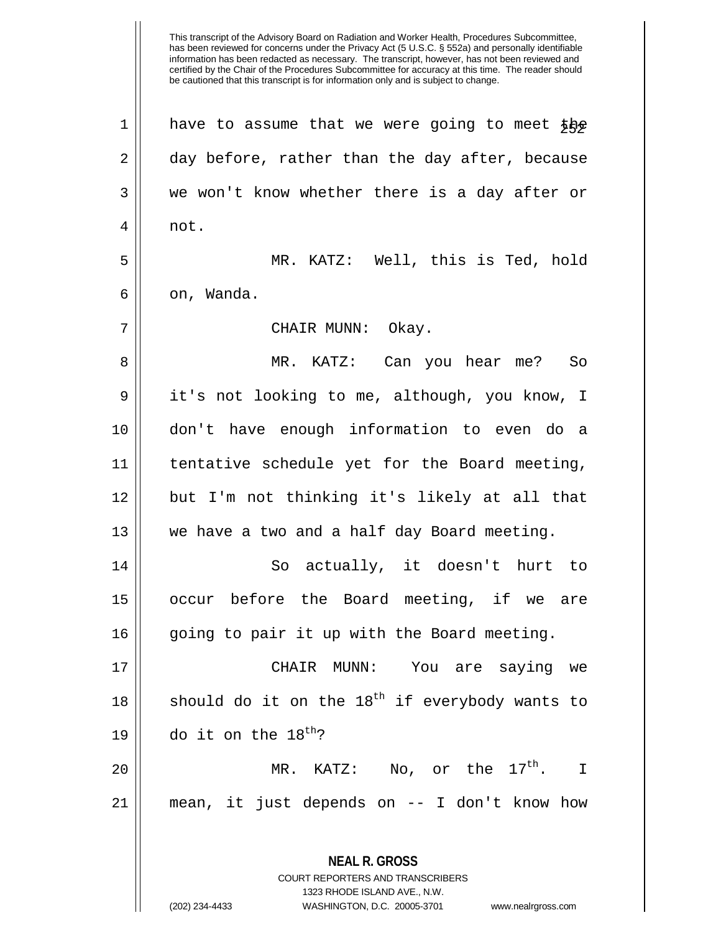This transcript of the Advisory Board on Radiation and Worker Health, Procedures Subcommittee, has been reviewed for concerns under the Privacy Act (5 U.S.C. § 552a) and personally identifiable information has been redacted as necessary. The transcript, however, has not been reviewed and certified by the Chair of the Procedures Subcommittee for accuracy at this time. The reader should be cautioned that this transcript is for information only and is subject to change. **NEAL R. GROSS** COURT REPORTERS AND TRANSCRIBERS  $1$  have to assume that we were going to meet the 2 day before, rather than the day after, because 3 we won't know whether there is a day after or  $4 \parallel$  not. 5 MR. KATZ: Well, this is Ted, hold  $6 \parallel$  on, Wanda. 7 CHAIR MUNN: Okay. 8 MR. KATZ: Can you hear me? So 9 | it's not looking to me, although, you know, I 10 don't have enough information to even do a 11 tentative schedule yet for the Board meeting, 12 but I'm not thinking it's likely at all that 13 we have a two and a half day Board meeting. 14 So actually, it doesn't hurt to 15 occur before the Board meeting, if we are 16 || going to pair it up with the Board meeting. 17 CHAIR MUNN: You are saying we 18  $\parallel$  should do it on the 18<sup>th</sup> if everybody wants to 19 || do it on the  $18^{\text{th}}$ ? 20  $\parallel$  MR. KATZ: No, or the  $17^{th}$ . I 21 mean, it just depends on -- I don't know how

1323 RHODE ISLAND AVE., N.W.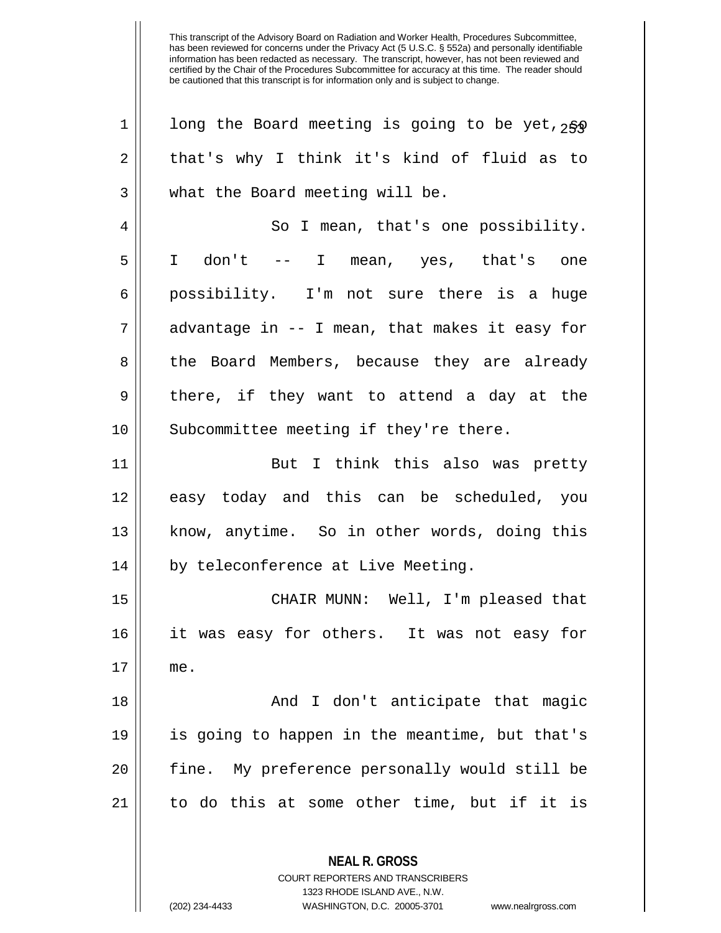| $\mathbf 1$ | long the Board meeting is going to be yet, 250           |
|-------------|----------------------------------------------------------|
| 2           | that's why I think it's kind of fluid as to              |
| 3           | what the Board meeting will be.                          |
| 4           | So I mean, that's one possibility.                       |
| 5           | I don't -- I mean, yes, that's one                       |
| 6           | possibility. I'm not sure there is a huge                |
| 7           | advantage in -- I mean, that makes it easy for           |
| 8           | the Board Members, because they are already              |
| 9           | there, if they want to attend a day at the               |
| 10          | Subcommittee meeting if they're there.                   |
| 11          | But I think this also was pretty                         |
| 12          | easy today and this can be scheduled, you                |
| 13          | know, anytime. So in other words, doing this             |
| 14          | by teleconference at Live Meeting.                       |
| 15          | CHAIR MUNN: Well, I'm pleased that                       |
| 16          | it was easy for others. It was not easy for              |
| 17          | me.                                                      |
| 18          | And I don't anticipate that magic                        |
| 19          | is going to happen in the meantime, but that's           |
| 20          | fine. My preference personally would still be            |
| 21          | to do this at some other time, but if it is              |
|             | <b>NEAL R. GROSS</b><br>COURT REPORTERS AND TRANSCRIBERS |

1323 RHODE ISLAND AVE., N.W.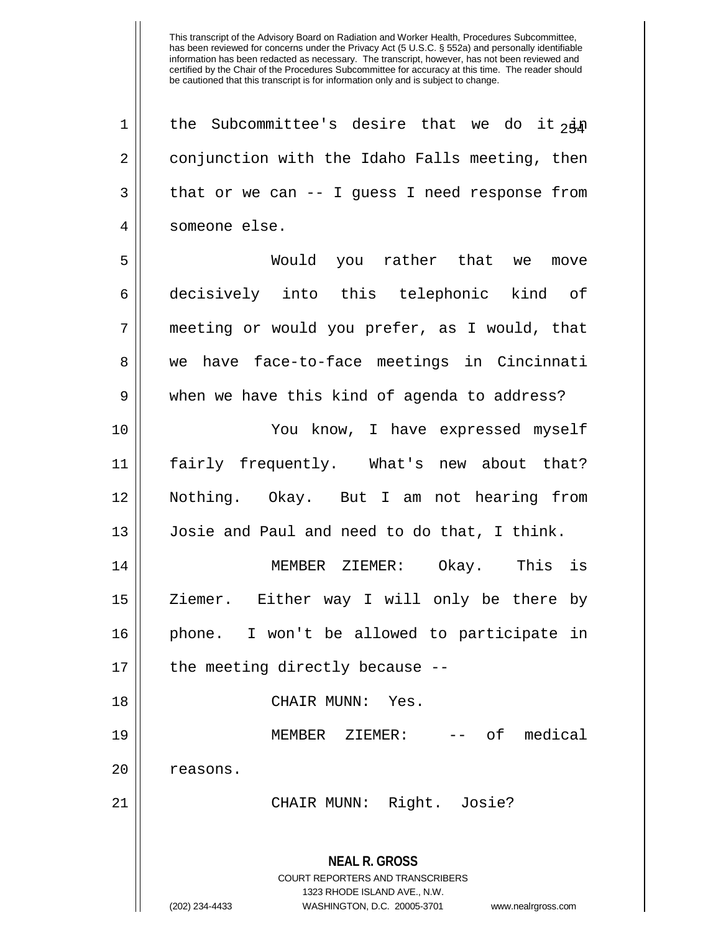**NEAL R. GROSS** 1 || the Subcommittee's desire that we do it  $\frac{1}{2}$ 2 | conjunction with the Idaho Falls meeting, then  $3 \parallel$  that or we can -- I guess I need response from someone else. Would you rather that we move decisively into this telephonic kind of meeting or would you prefer, as I would, that 8 we have face-to-face meetings in Cincinnati 9 when we have this kind of agenda to address? You know, I have expressed myself fairly frequently. What's new about that? Nothing. Okay. But I am not hearing from Josie and Paul and need to do that, I think. MEMBER ZIEMER: Okay. This is 15 || Ziemer. Either way I will only be there by phone. I won't be allowed to participate in | the meeting directly because -- CHAIR MUNN: Yes. MEMBER ZIEMER: -- of medical 20 | reasons. CHAIR MUNN: Right. Josie?

> COURT REPORTERS AND TRANSCRIBERS 1323 RHODE ISLAND AVE., N.W.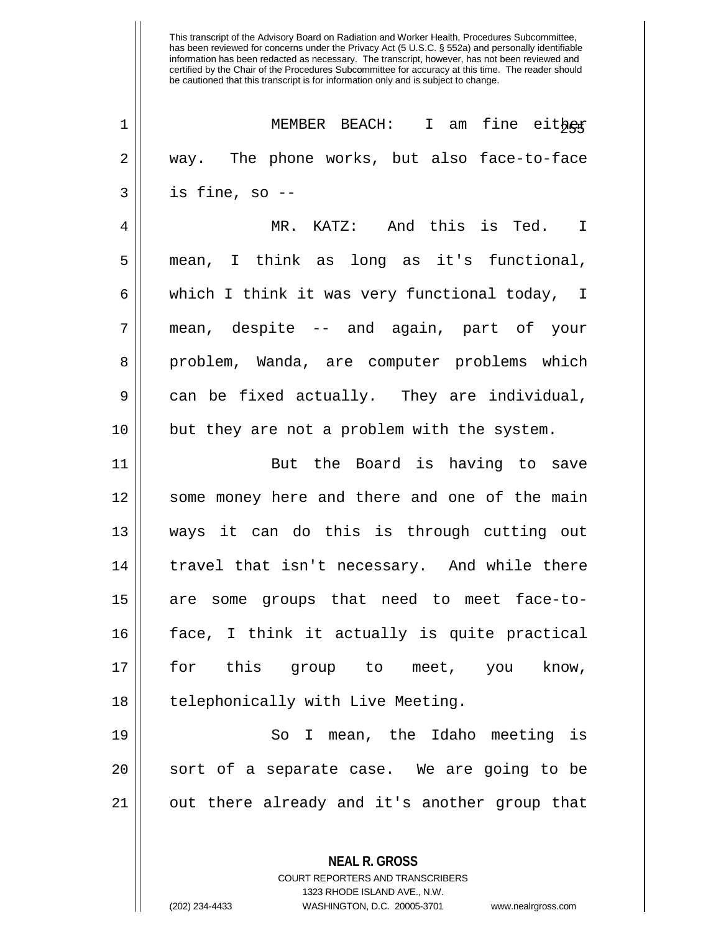| $\mathbf 1$ | MEMBER BEACH: I am fine either                |
|-------------|-----------------------------------------------|
| 2           | way. The phone works, but also face-to-face   |
| 3           | is fine, so --                                |
| 4           | MR. KATZ: And this is Ted. I                  |
| 5           | mean, I think as long as it's functional,     |
| 6           | which I think it was very functional today, I |
| 7           | mean, despite -- and again, part of your      |
| 8           | problem, Wanda, are computer problems which   |
| 9           | can be fixed actually. They are individual,   |
| 10          | but they are not a problem with the system.   |
| 11          | But the Board is having to save               |
| 12          | some money here and there and one of the main |
| 13          | ways it can do this is through cutting out    |
| 14          | travel that isn't necessary. And while there  |
| 15          | are some groups that need to meet face-to-    |
| 16          | face, I think it actually is quite practical  |
| 17          | for this group to meet, you know,             |
| 18          | telephonically with Live Meeting.             |
| 19          | I mean, the Idaho meeting is<br>So            |
| 20          | sort of a separate case. We are going to be   |
| 21          | out there already and it's another group that |
|             |                                               |
|             | <b>NEAL R. GROSS</b>                          |

COURT REPORTERS AND TRANSCRIBERS 1323 RHODE ISLAND AVE., N.W.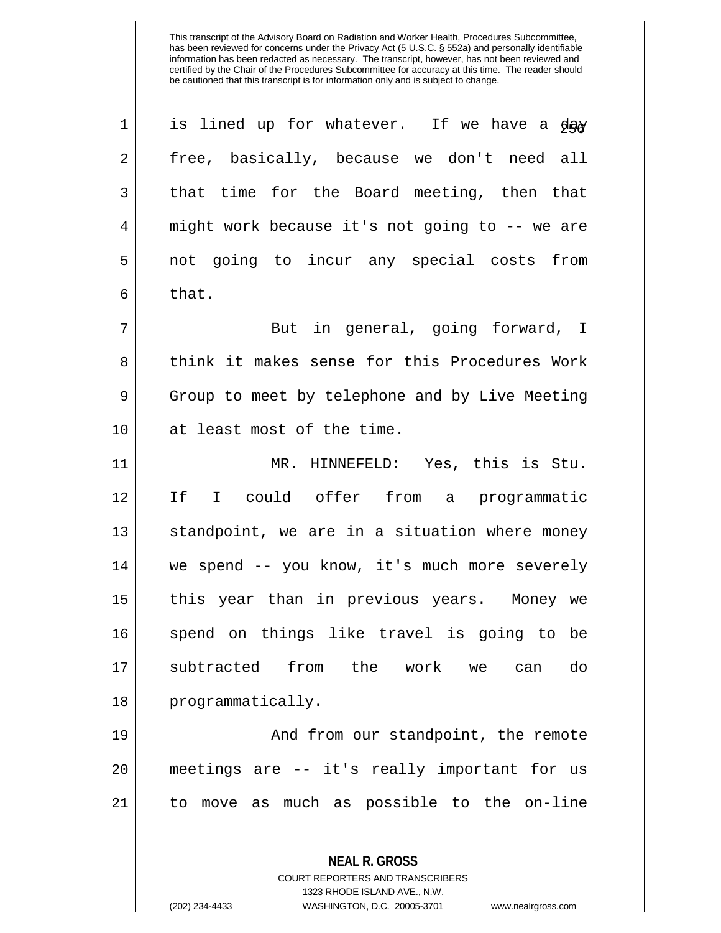| $\mathbf 1$ | is lined up for whatever. If we have a day     |
|-------------|------------------------------------------------|
| 2           | free, basically, because we don't need all     |
| 3           | that time for the Board meeting, then that     |
| 4           | might work because it's not going to -- we are |
| 5           | not going to incur any special costs from      |
| 6           | that.                                          |
| 7           | But in general, going forward, I               |
| 8           | think it makes sense for this Procedures Work  |
| 9           | Group to meet by telephone and by Live Meeting |
| 10          | at least most of the time.                     |
| 11          | MR. HINNEFELD: Yes, this is Stu.               |
| 12          | I could offer from a programmatic<br>If        |
| 13          | standpoint, we are in a situation where money  |
| 14          | we spend -- you know, it's much more severely  |
| 15          | this year than in previous years. Money we     |
| 16          | spend on things like travel is going to be     |
| 17          | subtracted from the work we can<br>do          |
| 18          | programmatically.                              |
| 19          | And from our standpoint, the remote            |
| 20          | meetings are -- it's really important for us   |
| 21          | to move as much as possible to the on-line     |
|             |                                                |

**NEAL R. GROSS** COURT REPORTERS AND TRANSCRIBERS

1323 RHODE ISLAND AVE., N.W.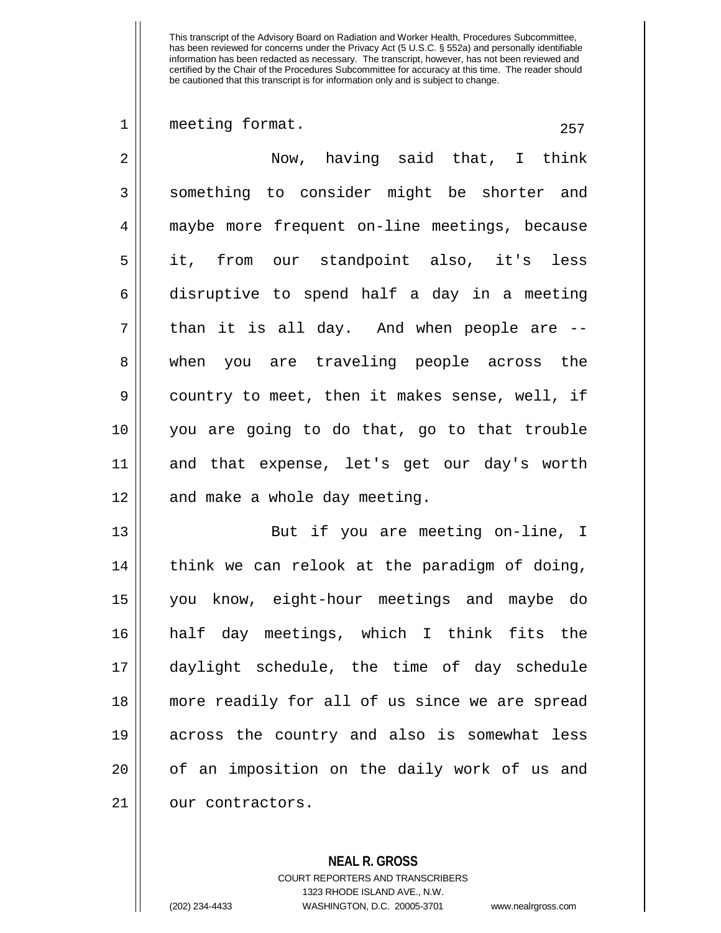$1 \parallel$  meeting format. 257 2 || Now, having said that, I think 3 Something to consider might be shorter and 4 maybe more frequent on-line meetings, because 5 it, from our standpoint also, it's less 6 disruptive to spend half a day in a meeting  $7 \parallel$  than it is all day. And when people are  $-$ 8 || when you are traveling people across the 9 || country to meet, then it makes sense, well, if 10 you are going to do that, go to that trouble 11 and that expense, let's get our day's worth  $12$  | and make a whole day meeting. 13 || But if you are meeting on-line, I  $14$  || think we can relook at the paradigm of doing, 15 you know, eight-hour meetings and maybe do 16 half day meetings, which I think fits the 17 daylight schedule, the time of day schedule 18 more readily for all of us since we are spread 19 across the country and also is somewhat less 20 || of an imposition on the daily work of us and 21 | our contractors.

> **NEAL R. GROSS** COURT REPORTERS AND TRANSCRIBERS 1323 RHODE ISLAND AVE., N.W. (202) 234-4433 WASHINGTON, D.C. 20005-3701 www.nealrgross.com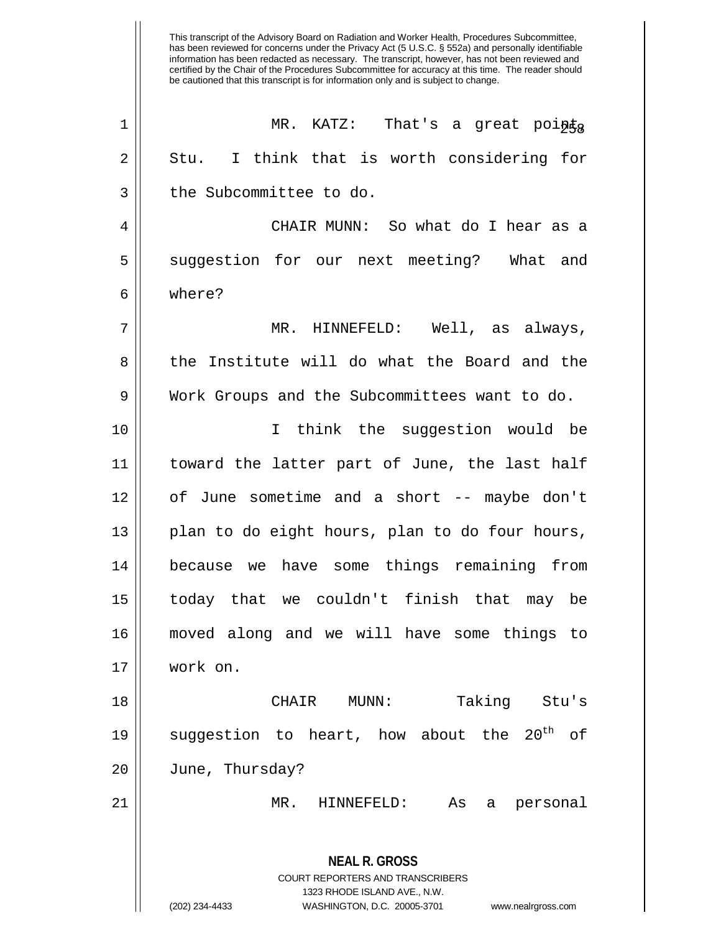| $\mathbf 1$ | MR. KATZ:<br>That's a great points                                                                                                                                     |
|-------------|------------------------------------------------------------------------------------------------------------------------------------------------------------------------|
| 2           | I think that is worth considering for<br>Stu.                                                                                                                          |
| 3           | the Subcommittee to do.                                                                                                                                                |
| 4           | CHAIR MUNN: So what do I hear as a                                                                                                                                     |
| 5           | suggestion for our next meeting? What and                                                                                                                              |
| 6           | where?                                                                                                                                                                 |
| 7           | MR. HINNEFELD: Well, as always,                                                                                                                                        |
| 8           | the Institute will do what the Board and the                                                                                                                           |
| 9           | Work Groups and the Subcommittees want to do.                                                                                                                          |
| 10          | I think the suggestion would be                                                                                                                                        |
| 11          | toward the latter part of June, the last half                                                                                                                          |
| 12          | of June sometime and a short -- maybe don't                                                                                                                            |
| 13          | plan to do eight hours, plan to do four hours,                                                                                                                         |
| 14          | because we have some things remaining from                                                                                                                             |
| 15          | today that we couldn't finish that may be                                                                                                                              |
| 16          | moved along and we will have some things to                                                                                                                            |
| 17          | work on.                                                                                                                                                               |
| 18          | Taking Stu's<br>CHAIR MUNN:                                                                                                                                            |
| 19          | $20^{\rm th}$<br>suggestion to heart, how about the<br>of                                                                                                              |
| 20          | June, Thursday?                                                                                                                                                        |
| 21          | HINNEFELD:<br>$MR$ .<br>As<br>personal<br>a                                                                                                                            |
|             | <b>NEAL R. GROSS</b><br><b>COURT REPORTERS AND TRANSCRIBERS</b><br>1323 RHODE ISLAND AVE., N.W.<br>(202) 234-4433<br>WASHINGTON, D.C. 20005-3701<br>www.nealrgross.com |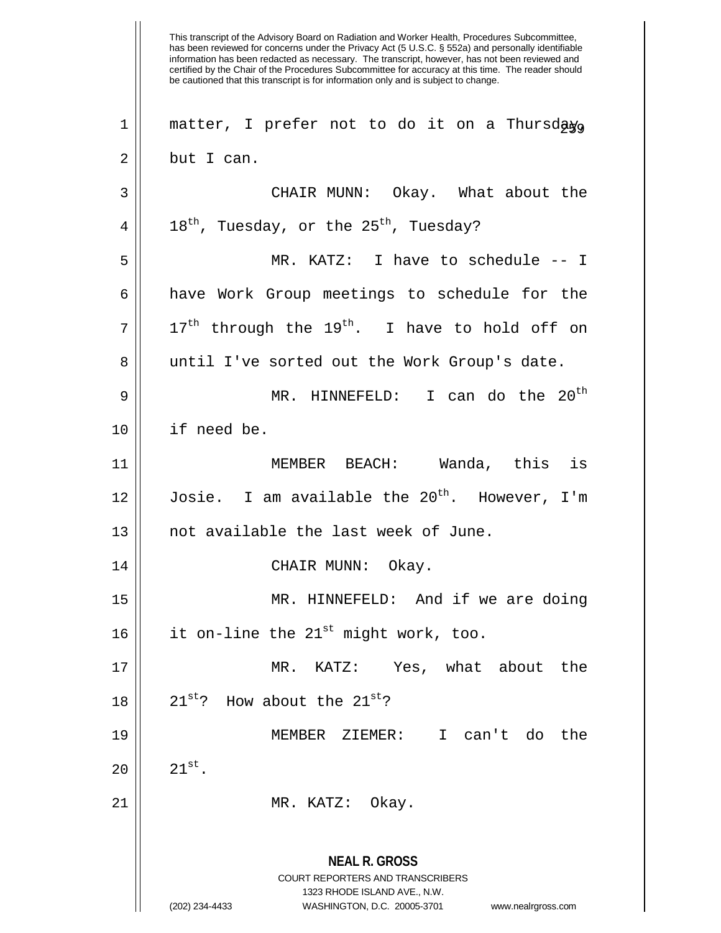This transcript of the Advisory Board on Radiation and Worker Health, Procedures Subcommittee, has been reviewed for concerns under the Privacy Act (5 U.S.C. § 552a) and personally identifiable information has been redacted as necessary. The transcript, however, has not been reviewed and certified by the Chair of the Procedures Subcommittee for accuracy at this time. The reader should be cautioned that this transcript is for information only and is subject to change. **NEAL R. GROSS** COURT REPORTERS AND TRANSCRIBERS 1323 RHODE ISLAND AVE., N.W. (202) 234-4433 WASHINGTON, D.C. 20005-3701 www.nealrgross.com  $1$  matter, I prefer not to do it on a Thursday. 2 l but I can. 3 CHAIR MUNN: Okay. What about the  $4 \parallel 18^{th}$ , Tuesday, or the 25<sup>th</sup>, Tuesday? 5 MR. KATZ: I have to schedule -- I 6 have Work Group meetings to schedule for the  $7\parallel$  17<sup>th</sup> through the 19<sup>th</sup>. I have to hold off on 8 || until I've sorted out the Work Group's date. MR. HINNEFELD: I can do the 20th 9 10 if need be. 11 MEMBER BEACH: Wanda, this is 12  $\parallel$  Josie. I am available the 20<sup>th</sup>. However, I'm 13 || not available the last week of June. 14 CHAIR MUNN: Okay. 15 MR. HINNEFELD: And if we are doing 16  $\parallel$  it on-line the 21<sup>st</sup> might work, too. 17 MR. KATZ: Yes, what about the 18  $\vert$  21st? How about the 21st? 19 MEMBER ZIEMER: I can't do the  $20 \parallel 21^{st}$ . 21 || MR. KATZ: Okay.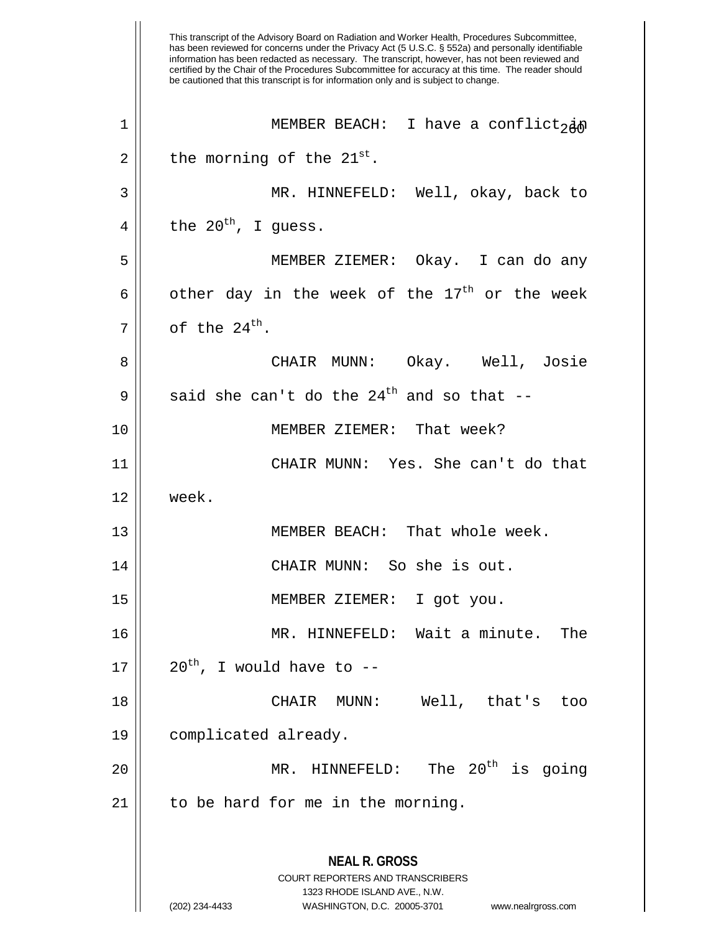This transcript of the Advisory Board on Radiation and Worker Health, Procedures Subcommittee, has been reviewed for concerns under the Privacy Act (5 U.S.C. § 552a) and personally identifiable information has been redacted as necessary. The transcript, however, has not been reviewed and certified by the Chair of the Procedures Subcommittee for accuracy at this time. The reader should be cautioned that this transcript is for information only and is subject to change. **NEAL R. GROSS** COURT REPORTERS AND TRANSCRIBERS 1323 RHODE ISLAND AVE., N.W. (202) 234-4433 WASHINGTON, D.C. 20005-3701 www.nealrgross.com 1 || MEMBER BEACH: I have a conflict, in  $2 \parallel$  the morning of the  $21^{\text{st}}$ . 3 MR. HINNEFELD: Well, okay, back to 4 the  $20^{th}$ , I guess. 5 MEMBER ZIEMER: Okay. I can do any 6 dother day in the week of the  $17<sup>th</sup>$  or the week  $7 \parallel$  of the 24<sup>th</sup>. 8 CHAIR MUNN: Okay. Well, Josie 9  $\parallel$  said she can't do the 24<sup>th</sup> and so that --10 MEMBER ZIEMER: That week? 11 CHAIR MUNN: Yes. She can't do that 12 week. 13 || MEMBER BEACH: That whole week. 14 CHAIR MUNN: So she is out. 15 MEMBER ZIEMER: I got you. 16 MR. HINNEFELD: Wait a minute. The  $17 \parallel 20^{th}$ , I would have to --18 CHAIR MUNN: Well, that's too 19 complicated already. 20  $\parallel$  MR. HINNEFELD: The 20<sup>th</sup> is going  $21$  | to be hard for me in the morning.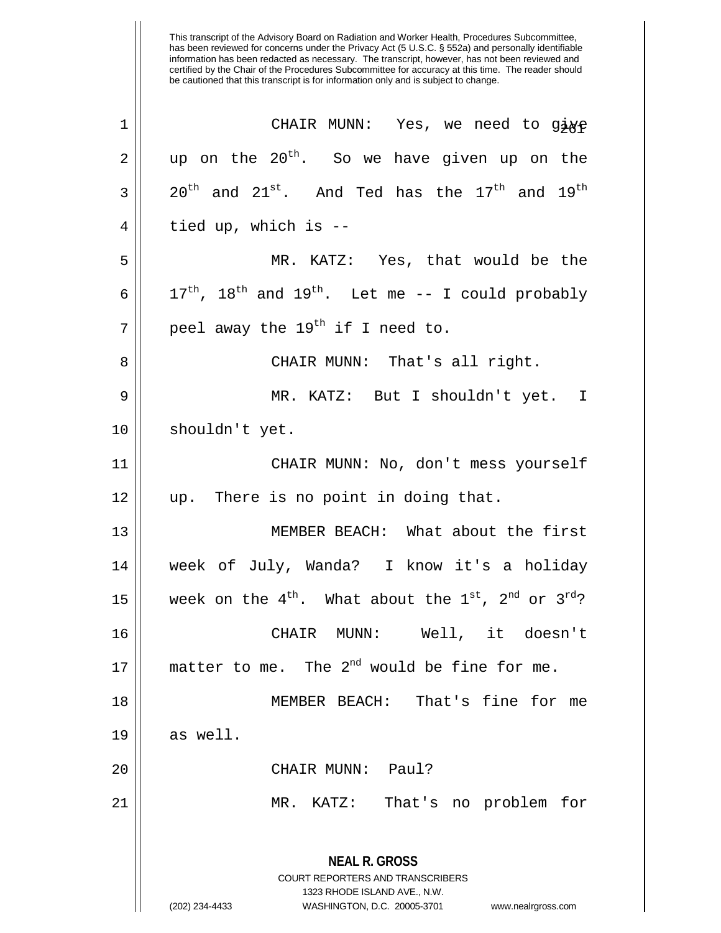| $\mathbf 1$ | CHAIR MUNN: Yes, we need to gige                                                                                                                                       |
|-------------|------------------------------------------------------------------------------------------------------------------------------------------------------------------------|
| 2           | up on the $20^{th}$ . So we have given up on the                                                                                                                       |
| 3           | $20^{\text{th}}$ and $21^{\text{st}}$ . And Ted has the $17^{\text{th}}$ and $19^{\text{th}}$                                                                          |
| 4           | tied up, which is --                                                                                                                                                   |
| 5           | MR. KATZ: Yes, that would be the                                                                                                                                       |
| 6           | $17^{\text{th}}$ , $18^{\text{th}}$ and $19^{\text{th}}$ . Let me -- I could probably                                                                                  |
| 7           | peel away the $19^{th}$ if I need to.                                                                                                                                  |
| 8           | CHAIR MUNN: That's all right.                                                                                                                                          |
| $\mathsf 9$ | MR. KATZ: But I shouldn't yet. I                                                                                                                                       |
| 10          | shouldn't yet.                                                                                                                                                         |
| 11          | CHAIR MUNN: No, don't mess yourself                                                                                                                                    |
| 12          | up. There is no point in doing that.                                                                                                                                   |
| 13          | MEMBER BEACH: What about the first                                                                                                                                     |
| 14          | week of July, Wanda? I know it's a holiday                                                                                                                             |
| 15          | week on the $4^{th}$ . What about the $1^{st}$ , $2^{nd}$ or $3^{rd}$ ?                                                                                                |
| 16          | CHAIR MUNN: Well, it doesn't                                                                                                                                           |
| 17          | matter to me. The $2^{nd}$ would be fine for me.                                                                                                                       |
| 18          | MEMBER BEACH: That's fine for me                                                                                                                                       |
| 19          | as well.                                                                                                                                                               |
| 20          | CHAIR MUNN: Paul?                                                                                                                                                      |
| 21          | That's no problem for<br>MR. KATZ:                                                                                                                                     |
|             | <b>NEAL R. GROSS</b><br><b>COURT REPORTERS AND TRANSCRIBERS</b><br>1323 RHODE ISLAND AVE., N.W.<br>(202) 234-4433<br>WASHINGTON, D.C. 20005-3701<br>www.nealrgross.com |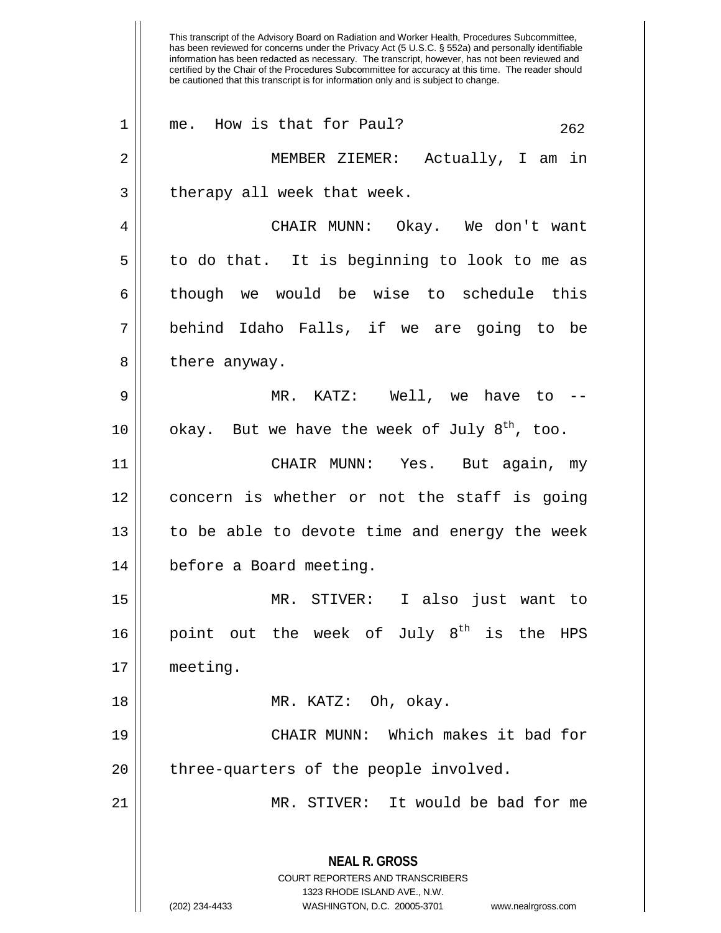This transcript of the Advisory Board on Radiation and Worker Health, Procedures Subcommittee, has been reviewed for concerns under the Privacy Act (5 U.S.C. § 552a) and personally identifiable information has been redacted as necessary. The transcript, however, has not been reviewed and certified by the Chair of the Procedures Subcommittee for accuracy at this time. The reader should be cautioned that this transcript is for information only and is subject to change. **NEAL R. GROSS** COURT REPORTERS AND TRANSCRIBERS 1323 RHODE ISLAND AVE., N.W. (202) 234-4433 WASHINGTON, D.C. 20005-3701 www.nealrgross.com  $1 \parallel$  me. How is that for Paul? 262 2 MEMBER ZIEMER: Actually, I am in  $3$  || therapy all week that week. 4 CHAIR MUNN: Okay. We don't want  $5 \parallel$  to do that. It is beginning to look to me as  $6 \parallel$  though we would be wise to schedule this 7 behind Idaho Falls, if we are going to be  $8 \parallel$  there anyway. 9 MR. KATZ: Well, we have to -- 10 || okay. But we have the week of July  $8^{th}$ , too. 11 CHAIR MUNN: Yes. But again, my 12 || concern is whether or not the staff is going 13 || to be able to devote time and energy the week 14 before a Board meeting. 15 MR. STIVER: I also just want to 16 || point out the week of July  $8^{th}$  is the HPS 17 meeting. 18 MR. KATZ: Oh, okay. 19 CHAIR MUNN: Which makes it bad for  $20$  || three-quarters of the people involved. 21 MR. STIVER: It would be bad for me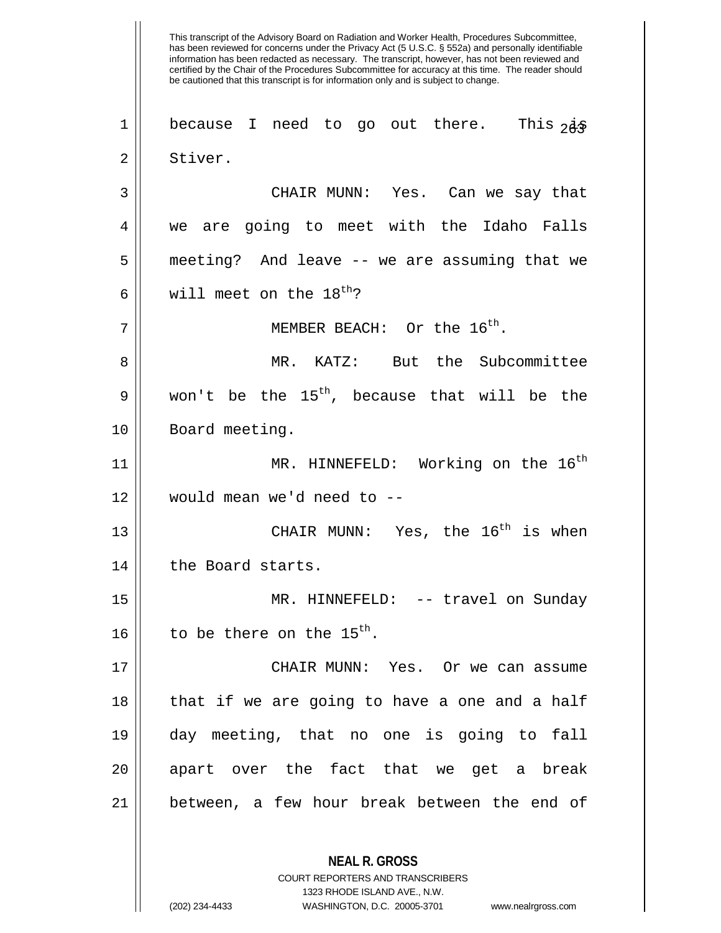This transcript of the Advisory Board on Radiation and Worker Health, Procedures Subcommittee, has been reviewed for concerns under the Privacy Act (5 U.S.C. § 552a) and personally identifiable information has been redacted as necessary. The transcript, however, has not been reviewed and certified by the Chair of the Procedures Subcommittee for accuracy at this time. The reader should be cautioned that this transcript is for information only and is subject to change. **NEAL R. GROSS** 1 || because I need to go out there. This  $2\dot{a}$ 2 || Stiver. 3 CHAIR MUNN: Yes. Can we say that 4 we are going to meet with the Idaho Falls 5 || meeting? And leave -- we are assuming that we 6 Will meet on the  $18^{\text{th}}$ ?  $7 \parallel$  MEMBER BEACH: Or the  $16^{th}$ . 8 MR. KATZ: But the Subcommittee  $9 \parallel$  won't be the 15<sup>th</sup>, because that will be the 10 | Board meeting. 11 || MR. HINNEFELD: Working on the 16<sup>th</sup> 12 would mean we'd need to -- 13  $\parallel$  CHAIR MUNN: Yes, the 16<sup>th</sup> is when 14 || the Board starts. 15 || MR. HINNEFELD: -- travel on Sunday 16  $\parallel$  to be there on the 15<sup>th</sup>. 17 CHAIR MUNN: Yes. Or we can assume 18 || that if we are going to have a one and a half 19 day meeting, that no one is going to fall 20 || apart over the fact that we get a break  $21$  | between, a few hour break between the end of

> COURT REPORTERS AND TRANSCRIBERS 1323 RHODE ISLAND AVE., N.W.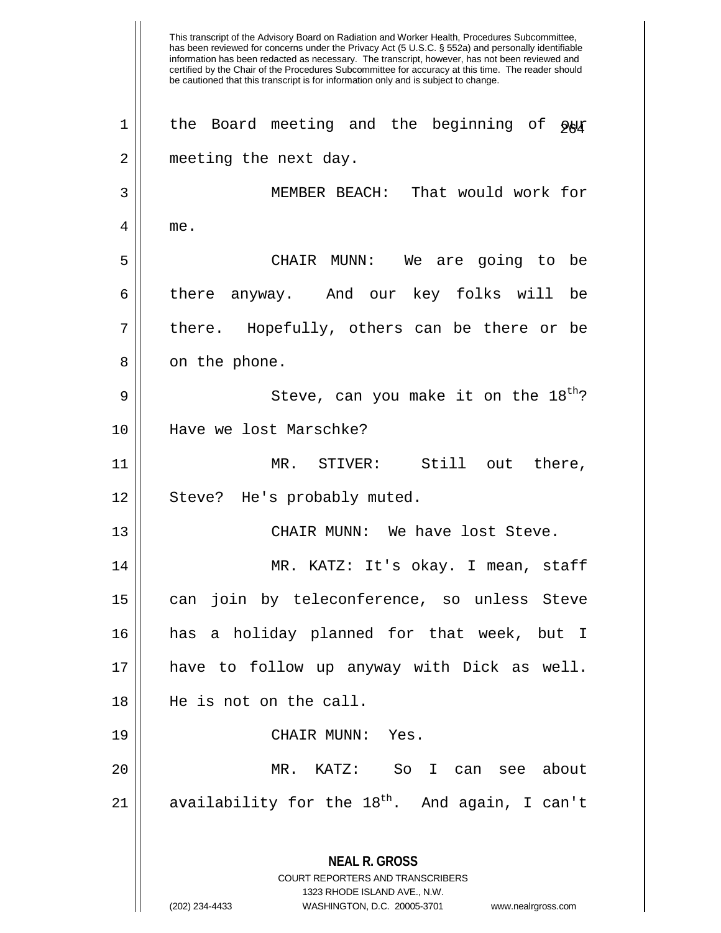This transcript of the Advisory Board on Radiation and Worker Health, Procedures Subcommittee, has been reviewed for concerns under the Privacy Act (5 U.S.C. § 552a) and personally identifiable information has been redacted as necessary. The transcript, however, has not been reviewed and certified by the Chair of the Procedures Subcommittee for accuracy at this time. The reader should be cautioned that this transcript is for information only and is subject to change. **NEAL R. GROSS** COURT REPORTERS AND TRANSCRIBERS 1323 RHODE ISLAND AVE., N.W. (202) 234-4433 WASHINGTON, D.C. 20005-3701 www.nealrgross.com 1 || the Board meeting and the beginning of  $\varphi_{\mathcal{H}}$ 2 || meeting the next day. 3 MEMBER BEACH: That would work for 4 me. 5 CHAIR MUNN: We are going to be 6 there anyway. And our key folks will be  $7 \parallel$  there. Hopefully, others can be there or be  $8 \parallel$  on the phone. Steve, can you make it on the 18th 9 ? 10 Have we lost Marschke? 11 MR. STIVER: Still out there, 12 || Steve? He's probably muted. 13 CHAIR MUNN: We have lost Steve. 14 MR. KATZ: It's okay. I mean, staff 15 can join by teleconference, so unless Steve 16 has a holiday planned for that week, but I 17 have to follow up anyway with Dick as well. 18 He is not on the call. 19 CHAIR MUNN: Yes. 20 MR. KATZ: So I can see about 21  $\parallel$  availability for the 18<sup>th</sup>. And again, I can't